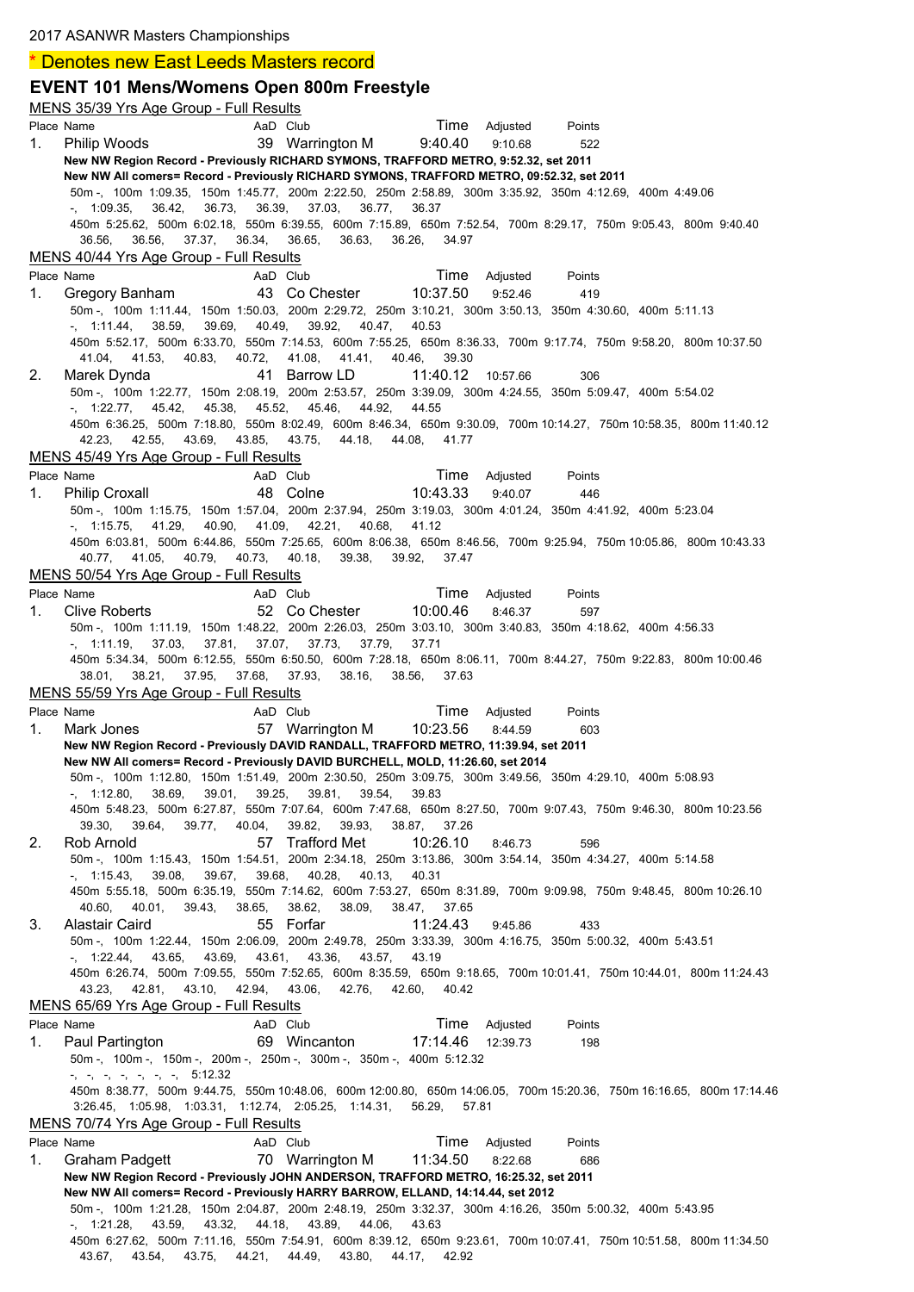### \* Denotes new East Leeds Masters record

# **EVENT 101 Mens/Womens Open 800m Freestyle**

|    | MENS 35/39 Yrs Age Group - Full Results                                                                                                                                |                      |                                                        |                 |          |        |                                                                                                                      |
|----|------------------------------------------------------------------------------------------------------------------------------------------------------------------------|----------------------|--------------------------------------------------------|-----------------|----------|--------|----------------------------------------------------------------------------------------------------------------------|
|    | Place Name                                                                                                                                                             | AaD Club             |                                                        | Time            | Adjusted | Points |                                                                                                                      |
| 1. | Philip Woods                                                                                                                                                           |                      | 39 Warrington M                                        | 9:40.40         | 9:10.68  | 522    |                                                                                                                      |
|    | New NW Region Record - Previously RICHARD SYMONS, TRAFFORD METRO, 9:52.32, set 2011                                                                                    |                      |                                                        |                 |          |        |                                                                                                                      |
|    | New NW All comers= Record - Previously RICHARD SYMONS, TRAFFORD METRO, 09:52.32, set 2011                                                                              |                      |                                                        |                 |          |        |                                                                                                                      |
|    | 50m -, 100m 1:09.35, 150m 1:45.77, 200m 2:22.50, 250m 2:58.89, 300m 3:35.92, 350m 4:12.69, 400m 4:49.06                                                                |                      |                                                        |                 |          |        |                                                                                                                      |
|    | $-1.09.35$<br>36.42.                                                                                                                                                   | 36.73,<br>36.39,     | 37.03,<br>36.77.                                       | 36.37           |          |        |                                                                                                                      |
|    | 450m 5:25.62, 500m 6:02.18, 550m 6:39.55, 600m 7:15.89, 650m 7:52.54, 700m 8:29.17, 750m 9:05.43, 800m 9:40.40                                                         |                      |                                                        |                 |          |        |                                                                                                                      |
|    | 36.56,                                                                                                                                                                 | 36.56, 37.37, 36.34, | 36.65,<br>36.63,                                       | 36.26,<br>34.97 |          |        |                                                                                                                      |
|    | MENS 40/44 Yrs Age Group - Full Results                                                                                                                                |                      |                                                        |                 |          |        |                                                                                                                      |
|    | Place Name                                                                                                                                                             | AaD Club             |                                                        | Time            | Adjusted | Points |                                                                                                                      |
| 1. | Gregory Banham                                                                                                                                                         |                      | 43 Co Chester                                          | 10:37.50        | 9:52.46  | 419    |                                                                                                                      |
|    | 50m -, 100m 1:11.44, 150m 1:50.03, 200m 2:29.72, 250m 3:10.21, 300m 3:50.13, 350m 4:30.60, 400m 5:11.13                                                                |                      |                                                        |                 |          |        |                                                                                                                      |
|    | 38.59,<br>$-1.11.44$                                                                                                                                                   | 39.69,<br>40.49,     | 39.92,<br>40.47,                                       | 40.53           |          |        |                                                                                                                      |
|    | 450m 5:52.17, 500m 6:33.70, 550m 7:14.53, 600m 7:55.25, 650m 8:36.33, 700m 9:17.74, 750m 9:58.20, 800m 10:37.50                                                        |                      |                                                        |                 |          |        |                                                                                                                      |
|    | 41.04, 41.53, 40.83,                                                                                                                                                   | 40.72,               | 41.08, 41.41, 40.46,                                   | 39.30           |          |        |                                                                                                                      |
| 2. | Marek Dynda                                                                                                                                                            |                      | 41 Barrow LD                                           | 11:40.12        | 10:57.66 | 306    |                                                                                                                      |
|    | 50m -, 100m 1:22.77, 150m 2:08.19, 200m 2:53.57, 250m 3:39.09, 300m 4:24.55, 350m 5:09.47, 400m 5:54.02                                                                |                      |                                                        |                 |          |        |                                                                                                                      |
|    | $-1.22.77$<br>45.42,                                                                                                                                                   | 45.52,<br>45.38,     | 45.46,<br>44.92,                                       | 44.55           |          |        |                                                                                                                      |
|    |                                                                                                                                                                        |                      |                                                        |                 |          |        | 450m 6:36.25, 500m 7:18.80, 550m 8:02.49, 600m 8:46.34, 650m 9:30.09, 700m 10:14.27, 750m 10:58.35, 800m 11:40.12    |
|    |                                                                                                                                                                        |                      | 42.23, 42.55, 43.69, 43.85, 43.75, 44.18, 44.08, 41.77 |                 |          |        |                                                                                                                      |
|    | MENS 45/49 Yrs Age Group - Full Results                                                                                                                                |                      |                                                        |                 |          |        |                                                                                                                      |
|    | Place Name                                                                                                                                                             | AaD Club             |                                                        | Time            | Adjusted | Points |                                                                                                                      |
| 1. | <b>Philip Croxall</b>                                                                                                                                                  |                      | 48 Colne                                               | 10:43.33        | 9:40.07  | 446    |                                                                                                                      |
|    | 50m -, 100m 1:15.75, 150m 1:57.04, 200m 2:37.94, 250m 3:19.03, 300m 4:01.24, 350m 4:41.92, 400m 5:23.04                                                                |                      |                                                        |                 |          |        |                                                                                                                      |
|    | $-1.15.75$ .<br>41.29,                                                                                                                                                 | 41.09,<br>40.90,     | 42.21,<br>40.68.                                       | 41.12           |          |        |                                                                                                                      |
|    |                                                                                                                                                                        |                      |                                                        |                 |          |        | 450m 6:03.81, 500m 6:44.86, 550m 7:25.65, 600m 8:06.38, 650m 8:46.56, 700m 9:25.94, 750m 10:05.86, 800m 10:43.33     |
|    | 40.77, 41.05, 40.79, 40.73,                                                                                                                                            |                      | 40.18, 39.38, 39.92,                                   | 37.47           |          |        |                                                                                                                      |
|    | MENS 50/54 Yrs Age Group - Full Results                                                                                                                                |                      |                                                        |                 |          |        |                                                                                                                      |
|    | Place Name                                                                                                                                                             | AaD Club             |                                                        | Time            | Adjusted | Points |                                                                                                                      |
| 1. | <b>Clive Roberts</b>                                                                                                                                                   |                      | 52 Co Chester                                          | 10:00.46        |          |        |                                                                                                                      |
|    |                                                                                                                                                                        |                      |                                                        |                 | 8:46.37  | 597    |                                                                                                                      |
|    | 50m -, 100m 1:11.19, 150m 1:48.22, 200m 2:26.03, 250m 3:03.10, 300m 3:40.83, 350m 4:18.62, 400m 4:56.33<br>37.03,<br>-, 1:11.19,                                       | 37.07,<br>37.81,     | 37.73,<br>37.79,                                       | 37.71           |          |        |                                                                                                                      |
|    | 450m 5:34.34, 500m 6:12.55, 550m 6:50.50, 600m 7:28.18, 650m 8:06.11, 700m 8:44.27, 750m 9:22.83, 800m 10:00.46                                                        |                      |                                                        |                 |          |        |                                                                                                                      |
|    | 38.21, 37.95,<br>38.01,                                                                                                                                                | 37.68,               | 37.93,<br>38.16,                                       | 38.56,<br>37.63 |          |        |                                                                                                                      |
|    | MENS 55/59 Yrs Age Group - Full Results                                                                                                                                |                      |                                                        |                 |          |        |                                                                                                                      |
|    |                                                                                                                                                                        |                      |                                                        |                 |          |        |                                                                                                                      |
|    | Place Name                                                                                                                                                             | AaD Club             |                                                        | Time            | Adjusted | Points |                                                                                                                      |
| 1. | Mark Jones                                                                                                                                                             |                      | 57 Warrington M                                        | 10:23.56        | 8:44.59  | 603    |                                                                                                                      |
|    | New NW Region Record - Previously DAVID RANDALL, TRAFFORD METRO, 11:39.94, set 2011<br>New NW All comers= Record - Previously DAVID BURCHELL, MOLD, 11:26.60, set 2014 |                      |                                                        |                 |          |        |                                                                                                                      |
|    | 50m -, 100m 1:12.80, 150m 1:51.49, 200m 2:30.50, 250m 3:09.75, 300m 3:49.56, 350m 4:29.10, 400m 5:08.93                                                                |                      |                                                        |                 |          |        |                                                                                                                      |
|    | 38.69,<br>-, 1:12.80,                                                                                                                                                  |                      | 39.01, 39.25, 39.81, 39.54, 39.83                      |                 |          |        |                                                                                                                      |
|    | 450m 5:48.23, 500m 6:27.87, 550m 7:07.64, 600m 7:47.68, 650m 8:27.50, 700m 9:07.43, 750m 9:46.30, 800m 10:23.56                                                        |                      |                                                        |                 |          |        |                                                                                                                      |
|    | 39.30,<br>39.64,                                                                                                                                                       | 39.77,<br>40.04,     | 39.82,<br>39.93,                                       | 38.87,<br>37.26 |          |        |                                                                                                                      |
| 2. | Rob Arnold                                                                                                                                                             |                      | 57 Trafford Met                                        | 10:26.10        | 8:46.73  | 596    |                                                                                                                      |
|    | 50m -, 100m 1:15.43, 150m 1:54.51, 200m 2:34.18, 250m 3:13.86, 300m 3:54.14, 350m 4:34.27, 400m 5:14.58                                                                |                      |                                                        |                 |          |        |                                                                                                                      |
|    | $-1.15.43$<br>39.08,                                                                                                                                                   | 39.67,               | 39.68, 40.28,<br>40.13,                                | 40.31           |          |        |                                                                                                                      |
|    | 450m 5:55.18, 500m 6:35.19, 550m 7:14.62, 600m 7:53.27, 650m 8:31.89, 700m 9:09.98, 750m 9:48.45, 800m 10:26.10                                                        |                      |                                                        |                 |          |        |                                                                                                                      |
|    | 40.60, 40.01, 39.43,                                                                                                                                                   | 38.65,               | 38.62,<br>38.09,                                       | 38.47,<br>37.65 |          |        |                                                                                                                      |
| 3. | Alastair Caird                                                                                                                                                         |                      | 55 Forfar                                              | 11:24.43        | 9:45.86  | 433    |                                                                                                                      |
|    | 50m -, 100m 1:22.44, 150m 2:06.09, 200m 2:49.78, 250m 3:33.39, 300m 4:16.75, 350m 5:00.32, 400m 5:43.51                                                                |                      |                                                        |                 |          |        |                                                                                                                      |
|    | $-$ , 1:22.44, 43.65,                                                                                                                                                  | 43.69,               | 43.61, 43.36, 43.57,                                   | 43.19           |          |        |                                                                                                                      |
|    |                                                                                                                                                                        |                      |                                                        |                 |          |        | 450m 6:26.74, 500m 7:09.55, 550m 7:52.65, 600m 8:35.59, 650m 9:18.65, 700m 10:01.41, 750m 10:44.01, 800m 11:24.43    |
|    | 43.23.                                                                                                                                                                 |                      | 42.81, 43.10, 42.94, 43.06, 42.76, 42.60,              | 40.42           |          |        |                                                                                                                      |
|    | MENS 65/69 Yrs Age Group - Full Results                                                                                                                                |                      |                                                        |                 |          |        |                                                                                                                      |
|    | Place Name                                                                                                                                                             | AaD Club             |                                                        | Time            | Adjusted | Points |                                                                                                                      |
| 1. | Paul Partington                                                                                                                                                        |                      | 69 Wincanton                                           | 17:14.46        | 12:39.73 | 198    |                                                                                                                      |
|    | 50m -, 100m -, 150m -, 200m -, 250m -, 300m -, 350m -, 400m 5:12.32                                                                                                    |                      |                                                        |                 |          |        |                                                                                                                      |
|    |                                                                                                                                                                        |                      |                                                        |                 |          |        |                                                                                                                      |
|    |                                                                                                                                                                        |                      |                                                        |                 |          |        | 450m 8:38.77, 500m 9:44.75, 550m 10:48.06, 600m 12:00.80, 650m 14:06.05, 700m 15:20.36, 750m 16:16.65, 800m 17:14.46 |
|    | $3:26.45$ , $1:05.98$ , $1:03.31$ , $1:12.74$ , $2:05.25$ , $1:14.31$ ,                                                                                                |                      |                                                        | 56.29.<br>57.81 |          |        |                                                                                                                      |
|    | MENS 70/74 Yrs Age Group - Full Results                                                                                                                                |                      |                                                        |                 |          |        |                                                                                                                      |
|    |                                                                                                                                                                        |                      |                                                        | Time            |          |        |                                                                                                                      |
|    | Place Name                                                                                                                                                             | AaD Club             |                                                        |                 | Adjusted | Points |                                                                                                                      |
| 1. | Graham Padgett                                                                                                                                                         |                      | 70 Warrington M                                        | 11:34.50        | 8:22.68  | 686    |                                                                                                                      |
|    | New NW Region Record - Previously JOHN ANDERSON, TRAFFORD METRO, 16:25.32, set 2011                                                                                    |                      |                                                        |                 |          |        |                                                                                                                      |
|    | New NW All comers= Record - Previously HARRY BARROW, ELLAND, 14:14.44, set 2012                                                                                        |                      |                                                        |                 |          |        |                                                                                                                      |
|    | 50m -, 100m 1:21.28, 150m 2:04.87, 200m 2:48.19, 250m 3:32.37, 300m 4:16.26, 350m 5:00.32, 400m 5:43.95<br>$-$ , 1:21.28,<br>43.59,                                    | 43.32,<br>44.18,     | 43.89,<br>44.06,                                       | 43.63           |          |        |                                                                                                                      |
|    |                                                                                                                                                                        |                      |                                                        |                 |          |        | 450m 6:27.62, 500m 7:11.16, 550m 7:54.91, 600m 8:39.12, 650m 9:23.61, 700m 10:07.41, 750m 10:51.58, 800m 11:34.50    |
|    | 43.67, 43.54, 43.75,                                                                                                                                                   | 44.21, 44.49,        | 43.80, 44.17, 42.92                                    |                 |          |        |                                                                                                                      |
|    |                                                                                                                                                                        |                      |                                                        |                 |          |        |                                                                                                                      |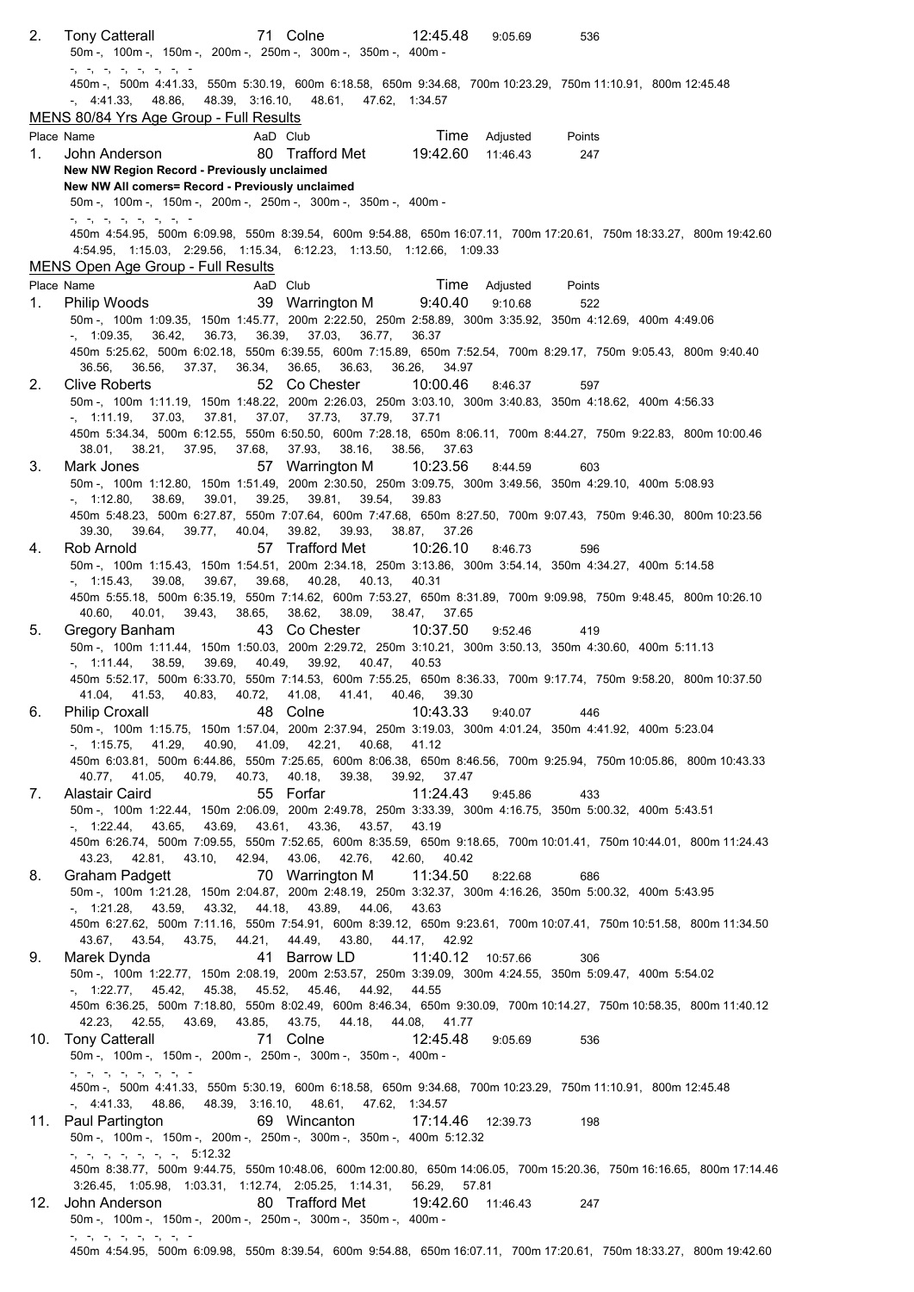| 2.  | <b>Tony Catterall</b>                                                                                                                                                      |                      | 71 Colne                                     | 12:45.48                 | 9:05.69       | 536    |                                                                                                                      |
|-----|----------------------------------------------------------------------------------------------------------------------------------------------------------------------------|----------------------|----------------------------------------------|--------------------------|---------------|--------|----------------------------------------------------------------------------------------------------------------------|
|     | 50m -, 100m -, 150m -, 200m -, 250m -, 300m -, 350m -, 400m -                                                                                                              |                      |                                              |                          |               |        |                                                                                                                      |
|     |                                                                                                                                                                            |                      |                                              |                          |               |        |                                                                                                                      |
|     | 450m -, 500m 4:41.33, 550m 5:30.19, 600m 6:18.58, 650m 9:34.68, 700m 10:23.29, 750m 11:10.91, 800m 12:45.48                                                                |                      |                                              |                          |               |        |                                                                                                                      |
|     | -, 4:41.33,                                                                                                                                                                |                      | 48.86, 48.39, 3:16.10, 48.61, 47.62, 1:34.57 |                          |               |        |                                                                                                                      |
|     | MENS 80/84 Yrs Age Group - Full Results                                                                                                                                    |                      |                                              |                          |               |        |                                                                                                                      |
|     | Place Name                                                                                                                                                                 | AaD Club             |                                              |                          | Time Adjusted | Points |                                                                                                                      |
| 1.  | John Anderson                                                                                                                                                              |                      | 80 Trafford Met                              | 19:42.60                 | 11:46.43      | 247    |                                                                                                                      |
|     | New NW Region Record - Previously unclaimed                                                                                                                                |                      |                                              |                          |               |        |                                                                                                                      |
|     | New NW All comers= Record - Previously unclaimed                                                                                                                           |                      |                                              |                          |               |        |                                                                                                                      |
|     | 50m -, 100m -, 150m -, 200m -, 250m -, 300m -, 350m -, 400m -                                                                                                              |                      |                                              |                          |               |        |                                                                                                                      |
|     |                                                                                                                                                                            |                      |                                              |                          |               |        |                                                                                                                      |
|     |                                                                                                                                                                            |                      |                                              |                          |               |        | 450m 4:54.95, 500m 6:09.98, 550m 8:39.54, 600m 9:54.88, 650m 16:07.11, 700m 17:20.61, 750m 18:33.27, 800m 19:42.60   |
|     | 4:54.95, 1:15.03, 2:29.56, 1:15.34, 6:12.23, 1:13.50, 1:12.66, 1:09.33                                                                                                     |                      |                                              |                          |               |        |                                                                                                                      |
|     | MENS Open Age Group - Full Results                                                                                                                                         |                      |                                              |                          |               |        |                                                                                                                      |
|     | Place Name                                                                                                                                                                 | AaD Club             |                                              | Time                     | Adjusted      | Points |                                                                                                                      |
| 1.  | Philip Woods                                                                                                                                                               |                      | 39 Warrington M 9:40.40                      |                          | 9:10.68       | 522    |                                                                                                                      |
|     | 50m -, 100m 1:09.35, 150m 1:45.77, 200m 2:22.50, 250m 2:58.89, 300m 3:35.92, 350m 4:12.69, 400m 4:49.06                                                                    |                      |                                              |                          |               |        |                                                                                                                      |
|     | 36.42,<br>$-$ , 1:09.35,                                                                                                                                                   | 36.73,<br>36.39,     | 37.03,<br>36.77,                             | 36.37                    |               |        |                                                                                                                      |
|     | 450m 5:25.62, 500m 6:02.18, 550m 6:39.55, 600m 7:15.89, 650m 7:52.54, 700m 8:29.17, 750m 9:05.43, 800m 9:40.40                                                             |                      |                                              |                          |               |        |                                                                                                                      |
| 2.  | 36.56,<br>36.56,<br><b>Clive Roberts</b>                                                                                                                                   | 37.37, 36.34,        | 36.65, 36.63,<br>52 Co Chester               | 36.26, 34.97<br>10:00.46 | 8:46.37       | 597    |                                                                                                                      |
|     | 50m -, 100m 1:11.19, 150m 1:48.22, 200m 2:26.03, 250m 3:03.10, 300m 3:40.83, 350m 4:18.62, 400m 4:56.33                                                                    |                      |                                              |                          |               |        |                                                                                                                      |
|     | $-$ , 1:11.19,<br>37.03,                                                                                                                                                   | 37.07,<br>37.81,     | 37.73,<br>37.79,                             | 37.71                    |               |        |                                                                                                                      |
|     | 450m 5:34.34, 500m 6:12.55, 550m 6:50.50, 600m 7:28.18, 650m 8:06.11, 700m 8:44.27, 750m 9:22.83, 800m 10:00.46                                                            |                      |                                              |                          |               |        |                                                                                                                      |
|     | 38.01,                                                                                                                                                                     | 38.21, 37.95, 37.68, | 37.93, 38.16,                                | 38.56, 37.63             |               |        |                                                                                                                      |
| 3.  | Mark Jones                                                                                                                                                                 |                      | 57 Warrington M                              | 10:23.56                 | 8:44.59       | 603    |                                                                                                                      |
|     | 50m -, 100m 1:12.80, 150m 1:51.49, 200m 2:30.50, 250m 3:09.75, 300m 3:49.56, 350m 4:29.10, 400m 5:08.93                                                                    |                      |                                              |                          |               |        |                                                                                                                      |
|     | $-$ , 1:12.80,<br>38.69,                                                                                                                                                   | 39.25,<br>39.01,     | 39.81,<br>39.54,                             | 39.83                    |               |        |                                                                                                                      |
|     | 450m 5:48.23, 500m 6:27.87, 550m 7:07.64, 600m 7:47.68, 650m 8:27.50, 700m 9:07.43, 750m 9:46.30, 800m 10:23.56                                                            |                      |                                              |                          |               |        |                                                                                                                      |
|     | 39.30, 39.64, 39.77, 40.04,                                                                                                                                                |                      | 39.82, 39.93, 38.87, 37.26                   |                          |               |        |                                                                                                                      |
| 4.  | Rob Arnold                                                                                                                                                                 |                      | 57 Trafford Met                              | 10:26.10                 | 8:46.73       | 596    |                                                                                                                      |
|     | 50m -, 100m 1:15.43, 150m 1:54.51, 200m 2:34.18, 250m 3:13.86, 300m 3:54.14, 350m 4:34.27, 400m 5:14.58                                                                    |                      |                                              |                          |               |        |                                                                                                                      |
|     | 39.08,<br>$-1.15.43$                                                                                                                                                       | 39.67,<br>39.68,     | 40.28,<br>40.13,                             | 40.31                    |               |        |                                                                                                                      |
|     | 450m 5:55.18, 500m 6:35.19, 550m 7:14.62, 600m 7:53.27, 650m 8:31.89, 700m 9:09.98, 750m 9:48.45, 800m 10:26.10<br>40.01, 39.43,                                           |                      | 38.09,<br>38.62,                             |                          |               |        |                                                                                                                      |
| 5.  | 40.60,<br>Gregory Banham                                                                                                                                                   | 38.65,               | 43 Co Chester                                | 38.47, 37.65<br>10:37.50 | 9:52.46       | 419    |                                                                                                                      |
|     | 50m -, 100m 1:11.44, 150m 1:50.03, 200m 2:29.72, 250m 3:10.21, 300m 3:50.13, 350m 4:30.60, 400m 5:11.13                                                                    |                      |                                              |                          |               |        |                                                                                                                      |
|     | $-. \quad 1:11.44.$<br>38.59,                                                                                                                                              | 39.69,<br>40.49,     | 39.92, 40.47,                                | 40.53                    |               |        |                                                                                                                      |
|     | 450m 5:52.17, 500m 6:33.70, 550m 7:14.53, 600m 7:55.25, 650m 8:36.33, 700m 9:17.74, 750m 9:58.20, 800m 10:37.50                                                            |                      |                                              |                          |               |        |                                                                                                                      |
|     | 41.04, 41.53, 40.83, 40.72, 41.08, 41.41,                                                                                                                                  |                      |                                              | 40.46,<br>39.30          |               |        |                                                                                                                      |
| 6.  | <b>Philip Croxall</b>                                                                                                                                                      |                      | 48 Colne <b>Colle</b>                        | 10:43.33                 | 9:40.07       | 446    |                                                                                                                      |
|     | 50m -, 100m 1:15.75, 150m 1:57.04, 200m 2:37.94, 250m 3:19.03, 300m 4:01.24, 350m 4:41.92, 400m 5:23.04                                                                    |                      |                                              |                          |               |        |                                                                                                                      |
|     | -, 1:15.75, 41.29,                                                                                                                                                         | 40.90,               | 41.09, 42.21, 40.68,                         | 41.12                    |               |        |                                                                                                                      |
|     |                                                                                                                                                                            |                      |                                              |                          |               |        | 450m 6:03.81, 500m 6:44.86, 550m 7:25.65, 600m 8:06.38, 650m 8:46.56, 700m 9:25.94, 750m 10:05.86, 800m 10:43.33     |
|     | 40.77, 41.05, 40.79, 40.73,                                                                                                                                                |                      | 40.18, 39.38, 39.92, 37.47                   |                          |               |        |                                                                                                                      |
| 7.  | Alastair Caird                                                                                                                                                             |                      | 55 Forfar                                    | 11:24.43                 | 9:45.86       | 433    |                                                                                                                      |
|     | 50m -, 100m 1:22.44, 150m 2:06.09, 200m 2:49.78, 250m 3:33.39, 300m 4:16.75, 350m 5:00.32, 400m 5:43.51                                                                    |                      |                                              |                          |               |        |                                                                                                                      |
|     | $-$ , 1:22.44, 43.65, 43.69,                                                                                                                                               |                      | 43.61, 43.36, 43.57, 43.19                   |                          |               |        | 450m 6:26.74, 500m 7:09.55, 550m 7:52.65, 600m 8:35.59, 650m 9:18.65, 700m 10:01.41, 750m 10:44.01, 800m 11:24.43    |
|     | 43.23,                                                                                                                                                                     | 42.81, 43.10, 42.94, | 43.06, 42.76,                                | 42.60, 40.42             |               |        |                                                                                                                      |
| 8.  | Graham Padgett                                                                                                                                                             |                      | 70 Warrington M                              | 11:34.50                 | 8:22.68       | 686    |                                                                                                                      |
|     | 50m -, 100m 1:21.28, 150m 2:04.87, 200m 2:48.19, 250m 3:32.37, 300m 4:16.26, 350m 5:00.32, 400m 5:43.95                                                                    |                      |                                              |                          |               |        |                                                                                                                      |
|     | $-$ , 1:21.28, 43.59, 43.32, 44.18, 43.89, 44.06,                                                                                                                          |                      |                                              | 43.63                    |               |        |                                                                                                                      |
|     |                                                                                                                                                                            |                      |                                              |                          |               |        | 450m 6:27.62, 500m 7:11.16, 550m 7:54.91, 600m 8:39.12, 650m 9:23.61, 700m 10:07.41, 750m 10:51.58, 800m 11:34.50    |
|     | 43.67, 43.54, 43.75, 44.21, 44.49, 43.80, 44.17, 42.92                                                                                                                     |                      |                                              |                          |               |        |                                                                                                                      |
| 9.  | Marek Dynda                                                                                                                                                                |                      | 41 Barrow LD                                 | 11:40.12 10:57.66        |               | 306    |                                                                                                                      |
|     | 50m -, 100m 1:22.77, 150m 2:08.19, 200m 2:53.57, 250m 3:39.09, 300m 4:24.55, 350m 5:09.47, 400m 5:54.02                                                                    |                      |                                              |                          |               |        |                                                                                                                      |
|     | -, 1:22.77, 45.42, 45.38,                                                                                                                                                  |                      | 45.52, 45.46, 44.92,                         | 44.55                    |               |        |                                                                                                                      |
|     |                                                                                                                                                                            |                      |                                              |                          |               |        | 450m 6:36.25, 500m 7:18.80, 550m 8:02.49, 600m 8:46.34, 650m 9:30.09, 700m 10:14.27, 750m 10:58.35, 800m 11:40.12    |
|     | 42.23, 42.55, 43.69, 43.85, 43.75, 44.18, 44.08, 41.77                                                                                                                     |                      |                                              |                          |               |        |                                                                                                                      |
| 10. | <b>Tony Catterall</b>                                                                                                                                                      |                      | 71 Colne                                     | 12:45.48                 | 9:05.69       | 536    |                                                                                                                      |
|     | 50m -, 100m -, 150m -, 200m -, 250m -, 300m -, 350m -, 400m -                                                                                                              |                      |                                              |                          |               |        |                                                                                                                      |
|     |                                                                                                                                                                            |                      |                                              |                          |               |        |                                                                                                                      |
|     | 450m -, 500m 4:41.33, 550m 5:30.19, 600m 6:18.58, 650m 9:34.68, 700m 10:23.29, 750m 11:10.91, 800m 12:45.48<br>$-$ , 4:41.33, 48.86, 48.39, 3:16.10, 48.61, 47.62, 1:34.57 |                      |                                              |                          |               |        |                                                                                                                      |
| 11. | Paul Partington                                                                                                                                                            | 69 Wincanton         |                                              | 17:14.46 12:39.73        |               | 198    |                                                                                                                      |
|     | 50m -, 100m -, 150m -, 200m -, 250m -, 300m -, 350m -, 400m 5:12.32                                                                                                        |                      |                                              |                          |               |        |                                                                                                                      |
|     |                                                                                                                                                                            |                      |                                              |                          |               |        |                                                                                                                      |
|     |                                                                                                                                                                            |                      |                                              |                          |               |        | 450m 8:38.77, 500m 9:44.75, 550m 10:48.06, 600m 12:00.80, 650m 14:06.05, 700m 15:20.36, 750m 16:16.65, 800m 17:14.46 |
|     | 3:26.45, 1:05.98, 1:03.31, 1:12.74, 2:05.25, 1:14.31, 56.29, 57.81                                                                                                         |                      |                                              |                          |               |        |                                                                                                                      |
| 12. | John Anderson                                                                                                                                                              |                      | 80 Trafford Met                              | 19:42.60                 | 11:46.43      | 247    |                                                                                                                      |
|     | 50m -, 100m -, 150m -, 200m -, 250m -, 300m -, 350m -, 400m -                                                                                                              |                      |                                              |                          |               |        |                                                                                                                      |
|     |                                                                                                                                                                            |                      |                                              |                          |               |        |                                                                                                                      |
|     |                                                                                                                                                                            |                      |                                              |                          |               |        | 450m 4:54.95, 500m 6:09.98, 550m 8:39.54, 600m 9:54.88, 650m 16:07.11, 700m 17:20.61, 750m 18:33.27, 800m 19:42.60   |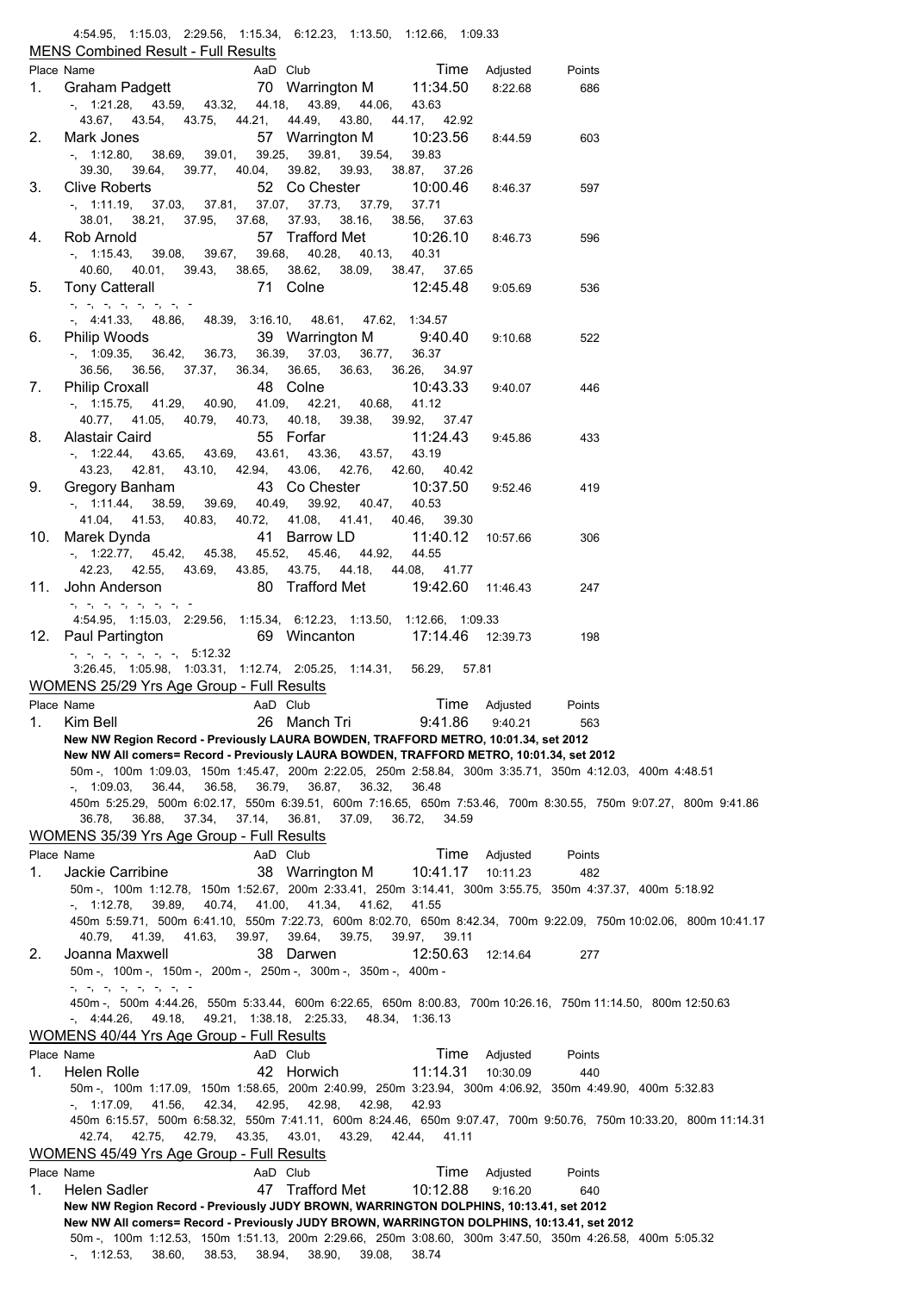4:54.95, 1:15.03, 2:29.56, 1:15.34, 6:12.23, 1:13.50, 1:12.66, 1:09.33 MENS Combined Result - Full Results Place Name **AaD** Club **Time** Adjusted Points 1. Graham Padgett 70 Warrington M 11:34.50 8:22.68 686 -, 1:21.28, 43.59, 43.32, 44.18, 43.89, 44.06, 43.63 43.67, 43.54, 43.75, 44.21, 44.49, 43.80, 44.17, 42.92 2. Mark Jones 57 Warrington M 10:23.56 8:44.59 603 -, 1:12.80, 38.69, 39.01, 39.25, 39.81, 39.54, 39.83 39.30, 39.64, 39.77, 40.04, 39.82, 39.93, 38.87, 37.26 3. Clive Roberts 52 Co Chester 10:00.46 8:46.37 597 -, 1:11.19, 37.03, 37.81, 37.07, 37.73, 37.79, 37.71 38.01, 38.21, 37.95, 37.68, 37.93, 38.16, 38.56, 37.63 4. Rob Arnold 57 Trafford Met 10:26.10 8:46.73 596 -, 1:15.43, 39.08, 39.67, 39.68, 40.28, 40.13, 40.31 40.60, 40.01, 39.43, 38.65, 38.62, 38.09, 38.47, 37.65 5. Tony Catterall 71 Colne 12:45.48 9:05.69 536 -, -, -, -, -, -, -, - -, 4:41.33, 48.86, 48.39, 3:16.10, 48.61, 47.62, 1:34.57 6. Philip Woods 39 Warrington M 9:40.40 9:10.68 522 -, 1:09.35, 36.42, 36.73, 36.39, 37.03, 36.77, 36.37 36.56, 36.56, 37.37, 36.34, 36.65, 36.63, 36.26, 34.97 7. Philip Croxall 48 Colne 10:43.33 9:40.07 446 -, 1:15.75, 41.29, 40.90, 41.09, 42.21, 40.68, 41.12 40.77, 41.05, 40.79, 40.73, 40.18, 39.38, 39.92, 37.47 8. Alastair Caird 55 Forfar 11:24.43 9:45.86 433 -, 1:22.44, 43.65, 43.69, 43.61, 43.36, 43.57, 43.19 43.23, 42.81, 43.10, 42.94, 43.06, 42.76, 42.60, 40.42 9. Gregory Banham 43 Co Chester 10:37.50 9:52.46 419 -, 1:11.44, 38.59, 39.69, 40.49, 39.92, 40.47, 40.53 41.04, 41.53, 40.83, 40.72, 41.08, 41.41, 40.46, 39.30 10. Marek Dynda 41 Barrow LD 11:40.12 10:57.66 306 -, 1:22.77, 45.42, 45.38, 45.52, 45.46, 44.92, 44.55 42.23, 42.55, 43.69, 43.85, 43.75, 44.18, 44.08, 41.77 11. John Anderson 80 Trafford Met 19:42.60 11:46.43 247  $\gamma$  ,  $\gamma$  ,  $\gamma$  ,  $\gamma$  ,  $\gamma$  ,  $\gamma$  ,  $\gamma$ 4:54.95, 1:15.03, 2:29.56, 1:15.34, 6:12.23, 1:13.50, 1:12.66, 1:09.33 12. Paul Partington 69 Wincanton 17:14.46 12:39.73 198 -, -, -, -, -, -, -, 5:12.32 3:26.45, 1:05.98, 1:03.31, 1:12.74, 2:05.25, 1:14.31, 56.29, 57.81 WOMENS 25/29 Yrs Age Group - Full Results Place Name **AaD** Club Time Adjusted Points 1. Kim Bell 26 Manch Tri 9:41.86 9:40.21 563 **New NW Region Record - Previously LAURA BOWDEN, TRAFFORD METRO, 10:01.34, set 2012 New NW All comers= Record - Previously LAURA BOWDEN, TRAFFORD METRO, 10:01.34, set 2012** 50m -, 100m 1:09.03, 150m 1:45.47, 200m 2:22.05, 250m 2:58.84, 300m 3:35.71, 350m 4:12.03, 400m 4:48.51 -, 1:09.03, 36.44, 36.58, 36.79, 36.87, 36.32, 36.48 450m 5:25.29, 500m 6:02.17, 550m 6:39.51, 600m 7:16.65, 650m 7:53.46, 700m 8:30.55, 750m 9:07.27, 800m 9:41.86 36.78, 36.88, 37.34, 37.14, 36.81, 37.09, 36.72, 34.59 WOMENS 35/39 Yrs Age Group - Full Results Place Name **AaD** Club **Time** Adjusted Points 1. Jackie Carribine 38 Warrington M 10:41.17 10:11.23 482 50m -, 100m 1:12.78, 150m 1:52.67, 200m 2:33.41, 250m 3:14.41, 300m 3:55.75, 350m 4:37.37, 400m 5:18.92 -, 1:12.78, 39.89, 40.74, 41.00, 41.34, 41.62, 41.55 450m 5:59.71, 500m 6:41.10, 550m 7:22.73, 600m 8:02.70, 650m 8:42.34, 700m 9:22.09, 750m 10:02.06, 800m 10:41.17 40.79, 41.39, 41.63, 39.97, 39.64, 39.75, 39.97, 39.11 2. Joanna Maxwell 38 Darwen 12:50.63 12:14.64 277 50m -, 100m -, 150m -, 200m -, 250m -, 300m -, 350m -, 400m - -, -, -, -, -, -, -, - 450m -, 500m 4:44.26, 550m 5:33.44, 600m 6:22.65, 650m 8:00.83, 700m 10:26.16, 750m 11:14.50, 800m 12:50.63 -, 4:44.26, 49.18, 49.21, 1:38.18, 2:25.33, 48.34, 1:36.13 WOMENS 40/44 Yrs Age Group - Full Results Place Name **A** AaD Club **Time** Adjusted Points 1. Helen Rolle 42 Horwich 11:14.31 10:30.09 440 50m -, 100m 1:17.09, 150m 1:58.65, 200m 2:40.99, 250m 3:23.94, 300m 4:06.92, 350m 4:49.90, 400m 5:32.83 -, 1:17.09, 41.56, 42.34, 42.95, 42.98, 42.98, 42.93 450m 6:15.57, 500m 6:58.32, 550m 7:41.11, 600m 8:24.46, 650m 9:07.47, 700m 9:50.76, 750m 10:33.20, 800m 11:14.31 42.74, 42.75, 42.79, 43.35, 43.01, 43.29, 42.44, 41.11 WOMENS 45/49 Yrs Age Group - Full Results Place Name **AaD** Club **Time** Adjusted Points 1. Helen Sadler 47 Trafford Met 10:12.88 9:16.20 640 **New NW Region Record - Previously JUDY BROWN, WARRINGTON DOLPHINS, 10:13.41, set 2012 New NW All comers= Record - Previously JUDY BROWN, WARRINGTON DOLPHINS, 10:13.41, set 2012** 50m -, 100m 1:12.53, 150m 1:51.13, 200m 2:29.66, 250m 3:08.60, 300m 3:47.50, 350m 4:26.58, 400m 5:05.32 -, 1:12.53, 38.60, 38.53, 38.94, 38.90, 39.08, 38.74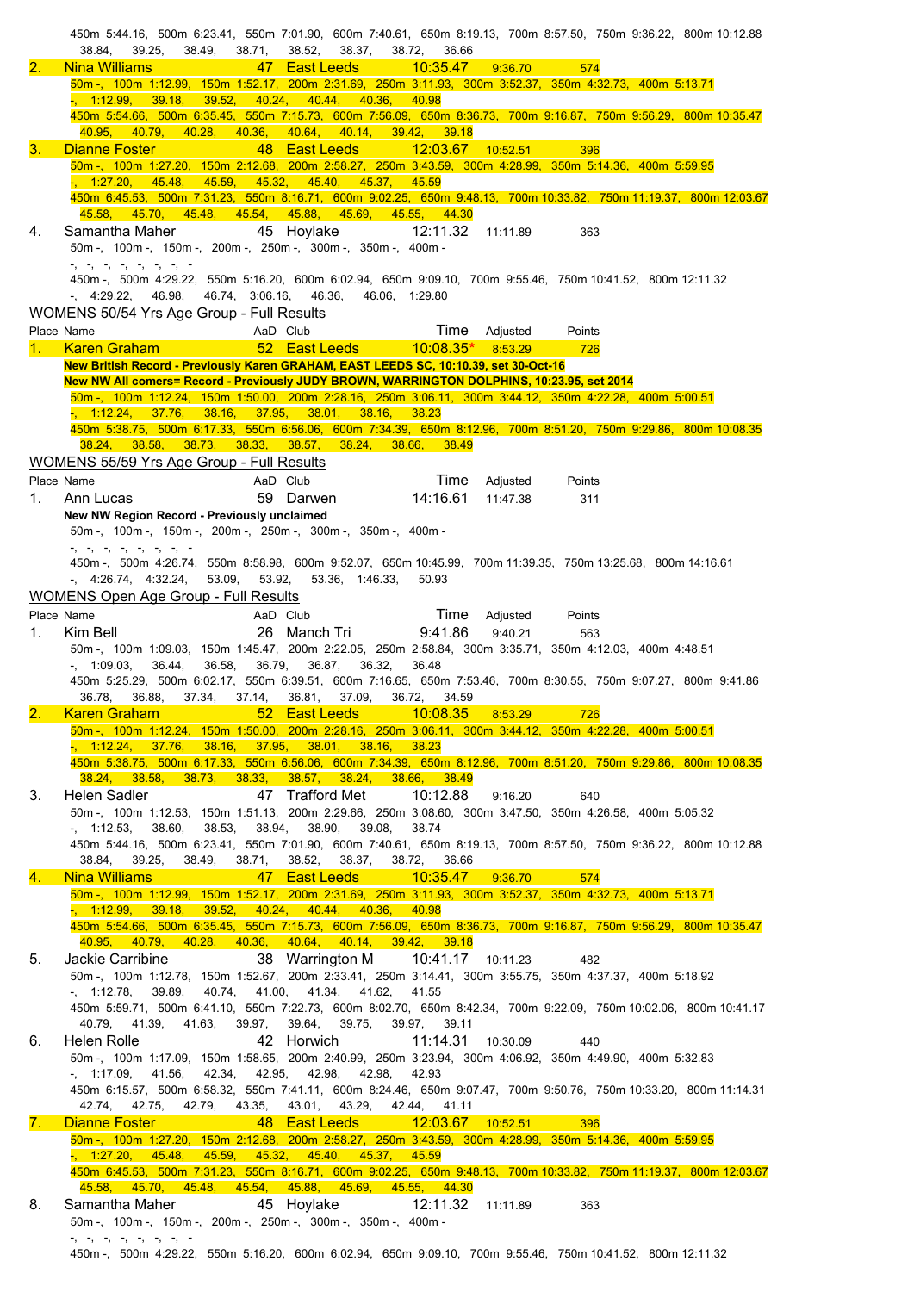450m 5:44.16, 500m 6:23.41, 550m 7:01.90, 600m 7:40.61, 650m 8:19.13, 700m 8:57.50, 750m 9:36.22, 800m 10:12.88 38.84, 39.25, 38.49, 38.71, 38.52, 38.37, 38.72, 36.66 2. Nina Williams 47 East Leeds 10:35.47 9:36.70 574 50m -, 100m 1:12.99, 150m 1:52.17, 200m 2:31.69, 250m 3:11.93, 300m 3:52.37, 350m 4:32.73, 400m 5:13.71 -, 1:12.99, 39.18, 39.52, 40.24, 40.44, 40.36, 40.98 450m 5:54.66, 500m 6:35.45, 550m 7:15.73, 600m 7:56.09, 650m 8:36.73, 700m 9:16.87, 750m 9:56.29, 800m 10:35.47 40.95, 40.79, 40.28, 40.36, 40.64, 40.14, 39.42, 39.18 3. Dianne Foster 48 East Leeds 12:03.67 10:52.51 396 50m -, 100m 1:27.20, 150m 2:12.68, 200m 2:58.27, 250m 3:43.59, 300m 4:28.99, 350m 5:14.36, 400m 5:59.95 -, 1:27.20, 45.48, 45.59, 45.32, 45.40, 45.37, 45.59 450m 6:45.53, 500m 7:31.23, 550m 8:16.71, 600m 9:02.25, 650m 9:48.13, 700m 10:33.82, 750m 11:19.37, 800m 12:03.67 45.58, 45.70, 45.48, 45.54, 45.88, 45.69, 45.55, 44.30 4. Samantha Maher 45 Hoylake 12:11.32 11:11.89 363 50m -, 100m -, 150m -, 200m -, 250m -, 300m -, 350m -, 400m - -, -, -, -, -, -, -, - 450m -, 500m 4:29.22, 550m 5:16.20, 600m 6:02.94, 650m 9:09.10, 700m 9:55.46, 750m 10:41.52, 800m 12:11.32 -, 4:29.22, 46.98, 46.74, 3:06.16, 46.36, 46.06, 1:29.80 WOMENS 50/54 Yrs Age Group - Full Results Place Name **A** AaD Club **Time** Adjusted Points 1. Karen Graham 52 East Leeds 10:08.35<sup>\*</sup> 8:53.29 **New British Record - Previously Karen GRAHAM, EAST LEEDS SC, 10:10.39, set 30-Oct-16 New NW All comers= Record - Previously JUDY BROWN, WARRINGTON DOLPHINS, 10:23.95, set 2014** 50m -, 100m 1:12.24, 150m 1:50.00, 200m 2:28.16, 250m 3:06.11, 300m 3:44.12, 350m 4:22.28, 400m 5:00.51 -, 1:12.24, 37.76, 38.16, 37.95, 38.01, 38.16, 38.23 450m 5:38.75, 500m 6:17.33, 550m 6:56.06, 600m 7:34.39, 650m 8:12.96, 700m 8:51.20, 750m 9:29.86, 800m 10:08.35 38.24, 38.58, 38.73, 38.33, 38.57, 38.24, 38.66, 38.49 WOMENS 55/59 Yrs Age Group - Full Results Place Name **A** AaD Club **Time** Adjusted Points 1. Ann Lucas 59 Darwen 14:16.61 11:47.38 311 **New NW Region Record - Previously unclaimed** 50m -, 100m -, 150m -, 200m -, 250m -, 300m -, 350m -, 400m - -, -, -, -, -, -, -, - 450m -, 500m 4:26.74, 550m 8:58.98, 600m 9:52.07, 650m 10:45.99, 700m 11:39.35, 750m 13:25.68, 800m 14:16.61 -, 4:26.74, 4:32.24, 53.09, 53.92, 53.36, 1:46.33, 50.93 WOMENS Open Age Group - Full Results Place Name **AaD Club Time Adjusted** Points 1. Kim Bell 26 Manch Tri 9:41.86 9:40.21 563 50m -, 100m 1:09.03, 150m 1:45.47, 200m 2:22.05, 250m 2:58.84, 300m 3:35.71, 350m 4:12.03, 400m 4:48.51 -, 1:09.03, 36.44, 36.58, 36.79, 36.87, 36.32, 36.48 450m 5:25.29, 500m 6:02.17, 550m 6:39.51, 600m 7:16.65, 650m 7:53.46, 700m 8:30.55, 750m 9:07.27, 800m 9:41.86 36.78, 36.88, 37.34, 37.14, 36.81, 37.09, 36.72, 34.59 2. Karen Graham 52 East Leeds 10:08.35 8:53.29 726 50m -, 100m 1:12.24, 150m 1:50.00, 200m 2:28.16, 250m 3:06.11, 300m 3:44.12, 350m 4:22.28, 400m 5:00.51 -, 1:12.24, 37.76, 38.16, 37.95, 38.01, 38.16, 38.23 450m 5:38.75, 500m 6:17.33, 550m 6:56.06, 600m 7:34.39, 650m 8:12.96, 700m 8:51.20, 750m 9:29.86, 800m 10:08.35 38.24, 38.58, 38.73, 38.33, 38.57, 38.24, 38.66, 38.49 3. Helen Sadler 47 Trafford Met 10:12.88 9:16.20 640 50m -, 100m 1:12.53, 150m 1:51.13, 200m 2:29.66, 250m 3:08.60, 300m 3:47.50, 350m 4:26.58, 400m 5:05.32 -, 1:12.53, 38.60, 38.53, 38.94, 38.90, 39.08, 38.74 450m 5:44.16, 500m 6:23.41, 550m 7:01.90, 600m 7:40.61, 650m 8:19.13, 700m 8:57.50, 750m 9:36.22, 800m 10:12.88 38.84, 39.25, 38.49, 38.71, 38.52, 38.37, 38.72, 36.66 4. Nina Williams 47 East Leeds 10:35.47 9:36.70 574 50m -, 100m 1:12.99, 150m 1:52.17, 200m 2:31.69, 250m 3:11.93, 300m 3:52.37, 350m 4:32.73, 400m 5:13.71 -, 1:12.99, 39.18, 39.52, 40.24, 40.44, 40.36, 40.98 450m 5:54.66, 500m 6:35.45, 550m 7:15.73, 600m 7:56.09, 650m 8:36.73, 700m 9:16.87, 750m 9:56.29, 800m 10:35.47 40.95, 40.79, 40.28, 40.36, 40.64, 40.14, 39.42, 39.18 5. Jackie Carribine 38 Warrington M 10:41.17 10:11.23 482 50m -, 100m 1:12.78, 150m 1:52.67, 200m 2:33.41, 250m 3:14.41, 300m 3:55.75, 350m 4:37.37, 400m 5:18.92 -, 1:12.78, 39.89, 40.74, 41.00, 41.34, 41.62, 41.55 450m 5:59.71, 500m 6:41.10, 550m 7:22.73, 600m 8:02.70, 650m 8:42.34, 700m 9:22.09, 750m 10:02.06, 800m 10:41.17 40.79, 41.39, 41.63, 39.97, 39.64, 39.75, 39.97, 39.11 6. Helen Rolle 42 Horwich 11:14.31 10:30.09 440 50m -, 100m 1:17.09, 150m 1:58.65, 200m 2:40.99, 250m 3:23.94, 300m 4:06.92, 350m 4:49.90, 400m 5:32.83 -, 1:17.09, 41.56, 42.34, 42.95, 42.98, 42.98, 42.93 450m 6:15.57, 500m 6:58.32, 550m 7:41.11, 600m 8:24.46, 650m 9:07.47, 700m 9:50.76, 750m 10:33.20, 800m 11:14.31 42.74, 42.75, 42.79, 43.35, 43.01, 43.29, 42.44, 41.11 7. Dianne Foster 48 East Leeds 12:03.67 10:52.51 396 50m -, 100m 1:27.20, 150m 2:12.68, 200m 2:58.27, 250m 3:43.59, 300m 4:28.99, 350m 5:14.36, 400m 5:59.95 -, 1:27.20, 45.48, 45.59, 45.32, 45.40, 45.37, 45.59 450m 6:45.53, 500m 7:31.23, 550m 8:16.71, 600m 9:02.25, 650m 9:48.13, 700m 10:33.82, 750m 11:19.37, 800m 12:03.67 45.58, 45.70, 45.48, 45.54, 45.88, 45.69, 45.55, 44.30 8. Samantha Maher 45 Hoylake 12:11.32 11:11.89 363 50m -, 100m -, 150m -, 200m -, 250m -, 300m -, 350m -, 400m - -, -, -, -, -, -, -, - 450m -, 500m 4:29.22, 550m 5:16.20, 600m 6:02.94, 650m 9:09.10, 700m 9:55.46, 750m 10:41.52, 800m 12:11.32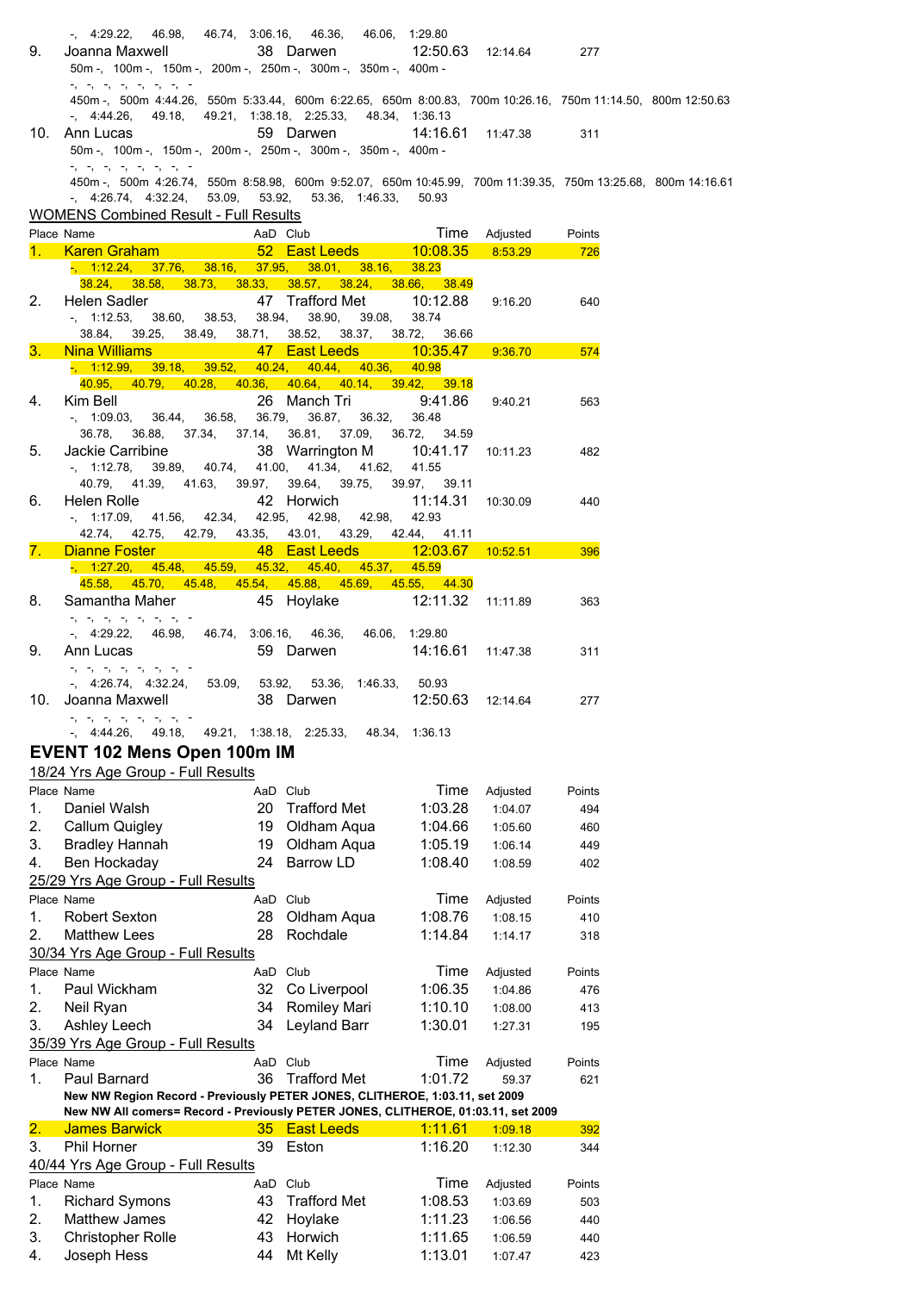| 9.                        | $-$ , 4:29.22, 46.98, 46.74, 3:06.16, 46.36, 46.06, 1:29.80<br>Joanna Maxwell <b>38 Darwen 12:50.63</b> 12:14.64 277<br>50m -, 100m -, 150m -, 200m -, 250m -, 300m -, 350m -, 400m - |                |                          |               |                 |                                        |                        |  |
|---------------------------|---------------------------------------------------------------------------------------------------------------------------------------------------------------------------------------|----------------|--------------------------|---------------|-----------------|----------------------------------------|------------------------|--|
|                           | 450m -, 500m 4:44.26, 550m 5:33.44, 600m 6:22.65, 650m 8:00.83, 700m 10:26.16, 750m 11:14.50, 800m 12:50.63<br>$-$ , 4:44.26, 49.18, 49.21, 1:38.18, 2:25.33, 48.34, 1:36.13          |                |                          |               |                 |                                        |                        |  |
|                           | 10. Ann Lucas 59 Darwen 14:16.61 11:47.38<br>50m -, 100m -, 150m -, 200m -, 250m -, 300m -, 350m -, 400m -                                                                            |                |                          |               |                 |                                        | 311                    |  |
|                           | 450m -, 500m 4:26.74, 550m 8:58.98, 600m 9:52.07, 650m 10:45.99, 700m 11:39.35, 750m 13:25.68, 800m 14:16.61<br>$-$ , 4:26.74, 4:32.24, 53.09, 53.92, 53.36, 1:46.33,                 |                |                          |               | 50.93           |                                        |                        |  |
|                           | <b>WOMENS Combined Result - Full Results</b>                                                                                                                                          |                |                          |               |                 |                                        |                        |  |
|                           | Place Name<br>1. Karen Graham 52 East Leeds 10:08.35                                                                                                                                  | AaD Club       |                          |               | Time            | Adjusted<br>8:53.29                    | Points<br><u>. 726</u> |  |
|                           | $-$ , 1:12.24, 37.76, 38.16, 37.95, 38.01, 38.16, 38.23                                                                                                                               |                |                          |               |                 |                                        |                        |  |
|                           | 38.24, 38.58, 38.73, 38.33, 38.57, 38.24, 38.66, 38.49                                                                                                                                |                |                          |               |                 |                                        |                        |  |
| 2.                        | Helen Sadler <b>47</b> Trafford Met 10:12.88                                                                                                                                          |                |                          |               |                 | 9:16.20                                | 640                    |  |
|                           | $-$ , 1:12.53, 38.60, 38.53, 38.94, 38.90, 39.08,                                                                                                                                     |                |                          |               | 38.74           |                                        |                        |  |
|                           | 39.25, 38.49, 38.71, 38.52,<br>38.84,                                                                                                                                                 |                |                          | 38.37, 38.72, | 36.66           |                                        |                        |  |
|                           | 3. Nina Williams<br>$\frac{1}{2}$ , 1:12.99, 39.18, 39.52, 40.24, 40.44, 40.36, 40.98                                                                                                 |                | 47 East Leeds            |               |                 | $10.35.47$ $9.36.70$                   | 574                    |  |
|                           | 40.95, 40.79, 40.28, 40.36, 40.64, 40.14, 39.42, 39.18                                                                                                                                |                |                          |               |                 |                                        |                        |  |
| 4.                        | Kim Bell 26 Manch Tri 9:41.86                                                                                                                                                         |                |                          |               |                 | 9:40.21                                | 563                    |  |
|                           | $-$ , 1:09.03, 36.44, 36.58, 36.79, 36.87, 36.32, 36.48                                                                                                                               |                |                          |               |                 |                                        |                        |  |
|                           | 36.78, 36.88, 37.34, 37.14, 36.81, 37.09, 36.72, 34.59                                                                                                                                |                |                          |               |                 |                                        |                        |  |
| 5.                        | Jackie Carribine 38 Warrington M 10:41.17 10:11.23                                                                                                                                    |                |                          |               |                 |                                        | 482                    |  |
|                           | $-$ , 1:12.78, 39.89, 40.74, 41.00, 41.34, 41.62, 41.55                                                                                                                               |                |                          |               |                 |                                        |                        |  |
|                           | 40.79, 41.39, 41.63, 39.97, 39.64, 39.75, 39.97, 39.11                                                                                                                                |                |                          |               |                 |                                        |                        |  |
| 6.                        | Helen Rolle <b>Access 12 Horwich</b>                                                                                                                                                  |                |                          |               | 11:14.31        | 10:30.09                               | 440                    |  |
|                           | $-$ , 1:17.09, 41.56, 42.34, 42.95, 42.98, 42.98, 42.93<br>42.74, 42.75, 42.79, 43.35, 43.01, 43.29, 42.44, 41.11                                                                     |                |                          |               |                 |                                        |                        |  |
| 7.                        | Dianne Foster                                                                                                                                                                         |                |                          |               |                 | <b>48 East Leeds 12:03.67 10:52.51</b> | 396                    |  |
|                           | $-$ , 1:27.20, 45.48, 45.59, 45.32, 45.40, 45.37, 45.59                                                                                                                               |                |                          |               |                 |                                        |                        |  |
|                           | 45.58, 45.70, 45.48, 45.54, 45.88, 45.69, 45.55, 44.30                                                                                                                                |                |                          |               |                 |                                        |                        |  |
| 8.                        | Samantha Maher 45 Hoylake 12:11.32 11:11.89<br>かっかっかっかっか                                                                                                                              |                |                          |               |                 |                                        | 363                    |  |
|                           | $-$ , 4:29.22, 46.98, 46.74, 3:06.16, 46.36, 46.06, 1:29.80                                                                                                                           |                |                          |               |                 |                                        |                        |  |
| 9.                        | Ann Lucas                                                                                                                                                                             |                |                          |               |                 | 59 Darwen 14:16.61 11:47.38            | 311                    |  |
|                           | $-$ , 4:26.74, 4:32.24, 53.09, 53.92, 53.36, 1:46.33, 50.93                                                                                                                           |                |                          |               |                 |                                        |                        |  |
|                           | 10. Joanna Maxwell 38 Darwen                                                                                                                                                          |                |                          |               |                 | 12:50.63 12:14.64                      | 277                    |  |
|                           | かっか かっかっか                                                                                                                                                                             |                |                          |               |                 |                                        |                        |  |
|                           | 49.18,<br>$-$ , 4:44.26,                                                                                                                                                              |                | 49.21, 1:38.18, 2:25.33, |               | 48.34, 1:36.13  |                                        |                        |  |
|                           | <b>EVENT 102 Mens Open 100m IM</b>                                                                                                                                                    |                |                          |               |                 |                                        |                        |  |
|                           | 18/24 Yrs Age Group - Full Results                                                                                                                                                    |                |                          |               |                 |                                        |                        |  |
|                           | Place Name                                                                                                                                                                            | AaD Club       |                          |               | Time            | Adjusted                               | Points                 |  |
| 1.                        | Daniel Walsh                                                                                                                                                                          | 20             | <b>Trafford Met</b>      |               | 1:03.28         | 1:04.07                                | 494                    |  |
| 2.                        | <b>Callum Quigley</b>                                                                                                                                                                 | 19             | Oldham Aqua              |               | 1:04.66         | 1:05.60                                | 460                    |  |
| 3.                        | <b>Bradley Hannah</b>                                                                                                                                                                 | 19             | Oldham Aqua              |               | 1:05.19         | 1:06.14                                | 449                    |  |
| 4.                        | Ben Hockaday                                                                                                                                                                          | 24             | <b>Barrow LD</b>         |               | 1:08.40         | 1:08.59                                | 402                    |  |
|                           | 25/29 Yrs Age Group - Full Results                                                                                                                                                    |                |                          |               |                 |                                        |                        |  |
|                           | Place Name                                                                                                                                                                            | AaD Club       |                          |               | Time            | Adjusted                               | Points                 |  |
| 1.                        | <b>Robert Sexton</b>                                                                                                                                                                  | 28             | Oldham Aqua              |               | 1:08.76         | 1:08.15                                | 410                    |  |
| 2.                        | <b>Matthew Lees</b>                                                                                                                                                                   | 28             | Rochdale                 |               | 1:14.84         | 1:14.17                                | 318                    |  |
|                           | 30/34 Yrs Age Group - Full Results                                                                                                                                                    |                |                          |               |                 |                                        |                        |  |
|                           | Place Name                                                                                                                                                                            | AaD Club       |                          |               | Time            | Adjusted                               | Points                 |  |
| 1.                        | Paul Wickham                                                                                                                                                                          | 32             | Co Liverpool             |               | 1:06.35         | 1:04.86                                | 476                    |  |
| 2.                        | Neil Ryan                                                                                                                                                                             | 34             | Romiley Mari             |               | 1:10.10         | 1:08.00                                | 413                    |  |
| 3.                        | Ashley Leech                                                                                                                                                                          | 34             | Leyland Barr             |               | 1:30.01         | 1:27.31                                | 195                    |  |
|                           | 35/39 Yrs Age Group - Full Results                                                                                                                                                    |                |                          |               |                 |                                        |                        |  |
| 1.                        | Place Name<br>Paul Barnard                                                                                                                                                            | AaD Club<br>36 | <b>Trafford Met</b>      |               | Time<br>1:01.72 | Adjusted<br>59.37                      | Points<br>621          |  |
|                           | New NW Region Record - Previously PETER JONES, CLITHEROE, 1:03.11, set 2009                                                                                                           |                |                          |               |                 |                                        |                        |  |
|                           | New NW All comers= Record - Previously PETER JONES, CLITHEROE, 01:03.11, set 2009                                                                                                     |                |                          |               |                 |                                        |                        |  |
| $\overline{\mathbf{2}}$ . | <b>James Barwick</b>                                                                                                                                                                  |                | 35 East Leeds            |               | 1:11.61         | 1:09.18                                | 392                    |  |
| 3.                        | Phil Horner                                                                                                                                                                           | 39             | Eston                    |               | 1:16.20         | 1:12.30                                | 344                    |  |
|                           | 40/44 Yrs Age Group - Full Results                                                                                                                                                    |                |                          |               |                 |                                        |                        |  |
|                           | Place Name                                                                                                                                                                            | AaD Club       |                          |               | Time            | Adjusted                               | Points                 |  |
| 1.                        | <b>Richard Symons</b>                                                                                                                                                                 | 43             | <b>Trafford Met</b>      |               | 1:08.53         | 1:03.69                                | 503                    |  |
| 2.                        | Matthew James                                                                                                                                                                         | 42             | Hoylake                  |               | 1:11.23         | 1:06.56                                | 440                    |  |
| 3.                        | <b>Christopher Rolle</b>                                                                                                                                                              | 43             | Horwich                  |               | 1:11.65         | 1:06.59                                | 440                    |  |

4. Joseph Hess 44 Mt Kelly 1:13.01 1:07.47 423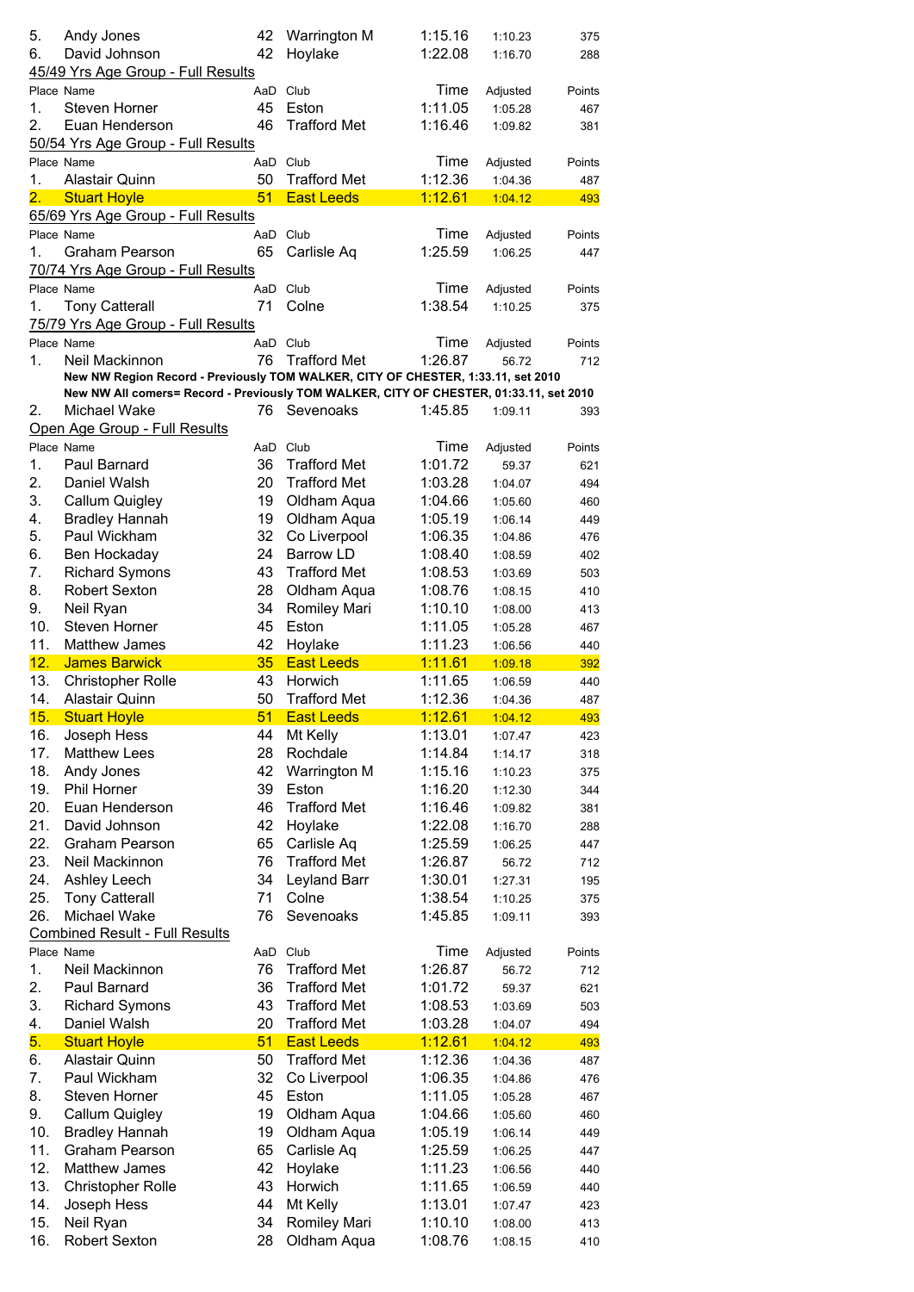| 5.<br>6.   | Andy Jones<br>David Johnson<br>45/49 Yrs Age Group - Full Results                                  | 42<br>42 | <b>Warrington M</b><br>Hoylake             | 1:15.16<br>1:22.08 | 1:10.23<br>1:16.70 | 375<br>288 |
|------------|----------------------------------------------------------------------------------------------------|----------|--------------------------------------------|--------------------|--------------------|------------|
|            | Place Name                                                                                         | AaD      | Club                                       | Time               | Adjusted           | Points     |
| 1.         | Steven Horner                                                                                      | 45       | Eston                                      | 1:11.05            | 1:05.28            | 467        |
| 2.         | Euan Henderson                                                                                     | 46       | <b>Trafford Met</b>                        | 1:16.46            | 1:09.82            | 381        |
|            | 50/54 Yrs Age Group - Full Results                                                                 |          |                                            |                    |                    |            |
|            | Place Name                                                                                         | AaD      | Club                                       | Time               | Adjusted           | Points     |
| 1.         | <b>Alastair Quinn</b>                                                                              | 50       | <b>Trafford Met</b>                        | 1:12.36            | 1:04.36            | 487        |
| 2.         | <b>Stuart Hoyle</b>                                                                                | 51       | <b>East Leeds</b>                          | 1:12.61            | 1:04.12            | 493        |
|            | 65/69 Yrs Age Group - Full Results                                                                 |          |                                            |                    |                    |            |
|            | Place Name                                                                                         |          | AaD Club                                   | Time               | Adjusted           | Points     |
| 1.         | Graham Pearson                                                                                     | 65       | Carlisle Aq                                | 1:25.59            | 1:06.25            | 447        |
|            | 70/74 Yrs Age Group - Full Results                                                                 |          |                                            |                    |                    |            |
|            | Place Name                                                                                         | AaD      | Club                                       | Time               | Adjusted           | Points     |
| 1.         | <b>Tony Catterall</b>                                                                              | 71       | Colne                                      | 1:38.54            | 1:10.25            | 375        |
|            | 75/79 Yrs Age Group - Full Results                                                                 |          |                                            |                    |                    |            |
|            | Place Name                                                                                         |          | AaD Club                                   | Time               | Adjusted           | Points     |
| 1.         | Neil Mackinnon<br>New NW Region Record - Previously TOM WALKER, CITY OF CHESTER, 1:33.11, set 2010 | 76       | <b>Trafford Met</b>                        | 1:26.87            | 56.72              | 712        |
|            | New NW All comers= Record - Previously TOM WALKER, CITY OF CHESTER, 01:33.11, set 2010             |          |                                            |                    |                    |            |
| 2.         | <b>Michael Wake</b>                                                                                | 76       | Sevenoaks                                  | 1:45.85            | 1:09.11            | 393        |
|            | Open Age Group - Full Results                                                                      |          |                                            |                    |                    |            |
|            | Place Name                                                                                         | AaD      | Club                                       | Time               | Adjusted           | Points     |
| 1.         | Paul Barnard                                                                                       | 36       | <b>Trafford Met</b>                        | 1:01.72            | 59.37              | 621        |
| 2.         | Daniel Walsh                                                                                       | 20       | <b>Trafford Met</b>                        | 1:03.28            | 1:04.07            | 494        |
| 3.         | <b>Callum Quigley</b>                                                                              | 19       | Oldham Aqua                                | 1:04.66            | 1:05.60            | 460        |
| 4.         | <b>Bradley Hannah</b>                                                                              | 19       | Oldham Aqua                                | 1:05.19            | 1:06.14            | 449        |
| 5.         | Paul Wickham                                                                                       | 32       | Co Liverpool                               | 1:06.35            | 1:04.86            | 476        |
| 6.         | Ben Hockaday                                                                                       | 24       | <b>Barrow LD</b>                           | 1:08.40            | 1:08.59            | 402        |
| 7.         | <b>Richard Symons</b>                                                                              | 43       | <b>Trafford Met</b>                        | 1:08.53            | 1:03.69            | 503        |
| 8.         | <b>Robert Sexton</b>                                                                               | 28       | Oldham Aqua                                | 1:08.76            | 1:08.15            | 410        |
| 9.         | Neil Ryan                                                                                          | 34       | Romiley Mari                               | 1:10.10            | 1:08.00            | 413        |
| 10.        | Steven Horner                                                                                      | 45       | Eston                                      | 1:11.05            | 1:05.28            | 467        |
| 11.        | <b>Matthew James</b>                                                                               | 42       | Hoylake                                    | 1:11.23            | 1:06.56            | 440        |
| 12.        | <b>James Barwick</b>                                                                               | 35       | <b>East Leeds</b>                          | 1:11.61            | 1:09.18            | 392        |
| 13.        | <b>Christopher Rolle</b>                                                                           | 43       | Horwich                                    | 1:11.65            | 1:06.59            | 440        |
| 14.        | <b>Alastair Quinn</b>                                                                              | 50       | <b>Trafford Met</b>                        | 1:12.36            | 1:04.36            | 487        |
| 15.        | <b>Stuart Hoyle</b>                                                                                | 51       | <b>East Leeds</b>                          | 1:12.61            | 1:04.12            | 493        |
|            |                                                                                                    |          |                                            |                    |                    |            |
| 16.        | Joseph Hess                                                                                        | 44       | Mt Kelly                                   | 1:13.01            | 1:07.47            | 423        |
| 17.        | <b>Matthew Lees</b>                                                                                | 28       | Rochdale                                   | 1:14.84            | 1:14.17            | 318        |
| 18.        | Andy Jones                                                                                         | 42       | Warrington M                               | 1:15.16            | 1:10.23            | 375        |
| 19.        | Phil Horner                                                                                        | 39       | Eston                                      | 1:16.20            | 1:12.30            | 344        |
| 20.        | Euan Henderson                                                                                     | 46       | <b>Trafford Met</b>                        | 1:16.46            | 1:09.82            | 381        |
| 21.        | David Johnson                                                                                      | 42       | Hoylake                                    | 1:22.08            | 1:16.70            | 288        |
| 22.        | <b>Graham Pearson</b>                                                                              | 65       | Carlisle Aq                                | 1:25.59            | 1:06.25            | 447        |
| 23.        | Neil Mackinnon                                                                                     | 76       | <b>Trafford Met</b>                        | 1:26.87            | 56.72              | 712        |
| 24.        | Ashley Leech                                                                                       | 34       | Leyland Barr                               | 1:30.01            | 1:27.31            | 195        |
| 25.        | <b>Tony Catterall</b>                                                                              | 71       | Colne                                      | 1:38.54            | 1:10.25            | 375        |
| 26.        | Michael Wake                                                                                       | 76       | Sevenoaks                                  | 1:45.85            | 1:09.11            | 393        |
|            | <b>Combined Result - Full Results</b>                                                              |          |                                            |                    |                    |            |
|            | Place Name                                                                                         | AaD      | Club                                       | Time               | Adjusted           | Points     |
| 1.         | Neil Mackinnon                                                                                     | 76       | <b>Trafford Met</b>                        | 1:26.87            | 56.72              | 712        |
| 2.         | Paul Barnard                                                                                       | 36       | <b>Trafford Met</b>                        | 1:01.72            | 59.37              | 621        |
| 3.         | <b>Richard Symons</b><br>Daniel Walsh                                                              | 43<br>20 | <b>Trafford Met</b><br><b>Trafford Met</b> | 1:08.53            | 1:03.69<br>1:04.07 | 503<br>494 |
| 4.         |                                                                                                    | 51       | <b>East Leeds</b>                          | 1:03.28            |                    |            |
| 5.<br>6.   | <b>Stuart Hoyle</b><br>Alastair Quinn                                                              | 50       | <b>Trafford Met</b>                        | 1:12.61<br>1:12.36 | 1:04.12<br>1:04.36 | 493<br>487 |
| 7.         | Paul Wickham                                                                                       | 32       | Co Liverpool                               | 1:06.35            | 1:04.86            | 476        |
| 8.         | Steven Horner                                                                                      | 45       | Eston                                      | 1:11.05            | 1:05.28            | 467        |
| 9.         | Callum Quigley                                                                                     | 19       | Oldham Aqua                                | 1:04.66            | 1:05.60            | 460        |
| 10.        | <b>Bradley Hannah</b>                                                                              | 19       | Oldham Aqua                                | 1:05.19            | 1:06.14            | 449        |
| 11.        | <b>Graham Pearson</b>                                                                              | 65       | Carlisle Aq                                | 1:25.59            | 1:06.25            | 447        |
| 12.        | Matthew James                                                                                      | 42       | Hoylake                                    | 1:11.23            | 1:06.56            | 440        |
| 13.        | <b>Christopher Rolle</b>                                                                           | 43       | Horwich                                    | 1:11.65            | 1:06.59            | 440        |
| 14.        | Joseph Hess                                                                                        | 44       | Mt Kelly                                   | 1:13.01            | 1:07.47            | 423        |
| 15.<br>16. | Neil Ryan<br><b>Robert Sexton</b>                                                                  | 34<br>28 | Romiley Mari<br>Oldham Aqua                | 1:10.10<br>1:08.76 | 1:08.00            | 413<br>410 |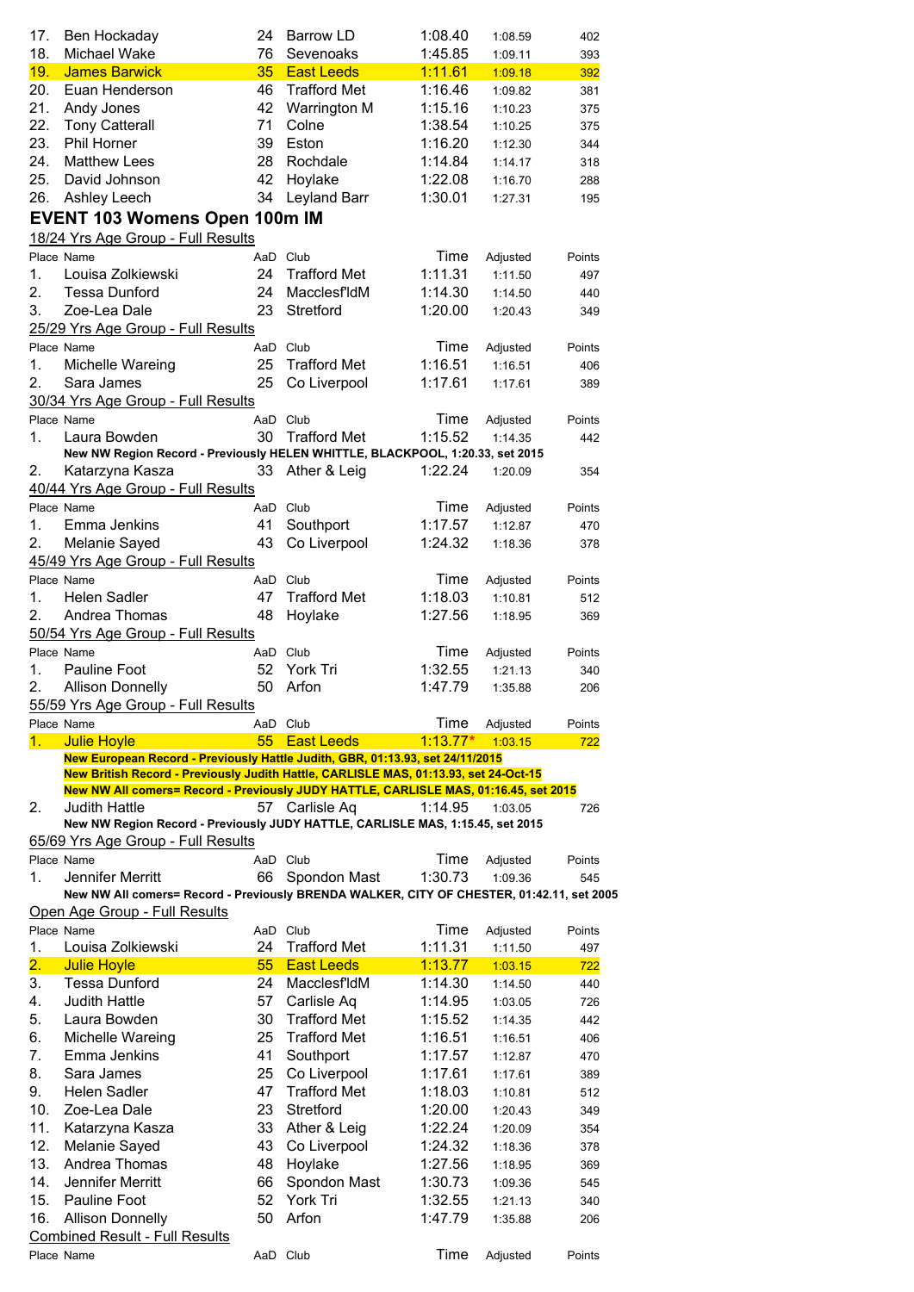| 17.                       | Ben Hockaday                                                                              | 24       | <b>Barrow LD</b>                         | 1:08.40            | 1:08.59            | 402        |
|---------------------------|-------------------------------------------------------------------------------------------|----------|------------------------------------------|--------------------|--------------------|------------|
| 18.                       | <b>Michael Wake</b>                                                                       | 76<br>35 | Sevenoaks                                | 1:45.85            | 1:09.11            | 393        |
| 19.<br>20.                | <b>James Barwick</b><br>Euan Henderson                                                    | 46       | <b>East Leeds</b><br><b>Trafford Met</b> | 1:11.61            | 1:09.18            | 392        |
| 21.                       | Andy Jones                                                                                | 42       | Warrington M                             | 1:16.46<br>1:15.16 | 1:09.82<br>1:10.23 | 381<br>375 |
| 22.                       | <b>Tony Catterall</b>                                                                     | 71       | Colne                                    | 1:38.54            | 1:10.25            | 375        |
| 23.                       | <b>Phil Horner</b>                                                                        | 39       | Eston                                    | 1:16.20            | 1:12.30            | 344        |
| 24.                       | <b>Matthew Lees</b>                                                                       | 28       | Rochdale                                 | 1:14.84            | 1:14.17            | 318        |
| 25.                       | David Johnson                                                                             | 42       | Hoylake                                  | 1:22.08            |                    |            |
| 26.                       | Ashley Leech                                                                              | 34       | Leyland Barr                             | 1:30.01            | 1:16.70<br>1:27.31 | 288<br>195 |
|                           |                                                                                           |          |                                          |                    |                    |            |
|                           | <b>EVENT 103 Womens Open 100m IM</b>                                                      |          |                                          |                    |                    |            |
|                           | 18/24 Yrs Age Group - Full Results                                                        |          |                                          |                    |                    |            |
|                           | Place Name                                                                                |          | AaD Club                                 | Time               | Adjusted           | Points     |
| 1.                        | Louisa Zolkiewski                                                                         | 24       | <b>Trafford Met</b>                      | 1:11.31            | 1:11.50            | 497        |
| 2.                        | <b>Tessa Dunford</b>                                                                      | 24       | Macclesf <sup>'</sup> IdM                | 1:14.30            | 1:14.50            | 440        |
| 3.                        | Zoe-Lea Dale                                                                              | 23       | Stretford                                | 1:20.00            | 1:20.43            | 349        |
|                           | 25/29 Yrs Age Group - Full Results                                                        |          |                                          |                    |                    |            |
|                           | Place Name                                                                                |          | AaD Club                                 | Time               | Adjusted           | Points     |
| 1.                        | Michelle Wareing                                                                          | 25       | <b>Trafford Met</b>                      | 1:16.51            | 1:16.51            | 406        |
| 2.                        | Sara James                                                                                | 25       | Co Liverpool                             | 1:17.61            | 1:17.61            | 389        |
|                           | 30/34 Yrs Age Group - Full Results                                                        |          |                                          |                    |                    |            |
|                           | Place Name                                                                                |          | AaD Club                                 | Time               | Adjusted           | Points     |
| 1.                        | Laura Bowden                                                                              | 30       | <b>Trafford Met</b>                      | 1:15.52            | 1:14.35            | 442        |
|                           | New NW Region Record - Previously HELEN WHITTLE, BLACKPOOL, 1:20.33, set 2015             |          |                                          |                    |                    |            |
| 2.                        | Katarzyna Kasza                                                                           | 33       | Ather & Leig                             | 1:22.24            | 1:20.09            | 354        |
|                           | 40/44 Yrs Age Group - Full Results                                                        |          |                                          |                    |                    |            |
|                           | Place Name                                                                                | AaD      | Club                                     | Time               | Adjusted           | Points     |
| 1.                        | Emma Jenkins                                                                              | 41       | Southport                                | 1:17.57            | 1:12.87            | 470        |
| 2.                        | Melanie Sayed                                                                             | 43       | Co Liverpool                             | 1:24.32            | 1:18.36            | 378        |
|                           | 45/49 Yrs Age Group - Full Results                                                        |          |                                          |                    |                    |            |
|                           | Place Name                                                                                | AaD      | Club                                     | Time               | Adjusted           | Points     |
| 1.                        | <b>Helen Sadler</b>                                                                       | 47       | <b>Trafford Met</b>                      | 1:18.03            | 1:10.81            | 512        |
| 2.                        | Andrea Thomas                                                                             | 48       | Hoylake                                  | 1:27.56            | 1:18.95            | 369        |
|                           | 50/54 Yrs Age Group - Full Results                                                        |          |                                          |                    |                    |            |
|                           | Place Name                                                                                |          | AaD Club                                 | Time               | Adjusted           | Points     |
| 1.                        | Pauline Foot                                                                              | 52       | York Tri                                 | 1:32.55            | 1:21.13            | 340        |
| 2.                        | <b>Allison Donnelly</b>                                                                   | 50       | Arfon                                    | 1:47.79            | 1:35.88            | 206        |
|                           | 55/59 Yrs Age Group - Full Results                                                        |          |                                          |                    |                    |            |
|                           | Place Name                                                                                |          | AaD Club                                 | Time               | Adjusted           | Points     |
| 1.                        | <b>Julie Hoyle</b>                                                                        |          | 55 East Leeds                            | $1:13.77*$         | 1:03.15            | 722        |
|                           | New European Record - Previously Hattle Judith, GBR, 01:13.93, set 24/11/2015             |          |                                          |                    |                    |            |
|                           | New British Record - Previously Judith Hattle, CARLISLE MAS, 01:13.93, set 24-Oct-15      |          |                                          |                    |                    |            |
|                           | New NW All comers= Record - Previously JUDY HATTLE, CARLISLE MAS, 01:16.45, set 2015      |          |                                          |                    |                    |            |
| 2.                        | <b>Judith Hattle</b>                                                                      |          | 57 Carlisle Aq                           | 1:14.95            | 1:03.05            | 726        |
|                           | New NW Region Record - Previously JUDY HATTLE, CARLISLE MAS, 1:15.45, set 2015            |          |                                          |                    |                    |            |
|                           | 65/69 Yrs Age Group - Full Results                                                        |          |                                          |                    |                    |            |
|                           | Place Name                                                                                |          | AaD Club                                 | Time               | Adjusted           | Points     |
| 1.                        | Jennifer Merritt                                                                          | 66       | Spondon Mast                             | 1:30.73            | 1:09.36            | 545        |
|                           | New NW All comers= Record - Previously BRENDA WALKER, CITY OF CHESTER, 01:42.11, set 2005 |          |                                          |                    |                    |            |
|                           | Open Age Group - Full Results                                                             |          |                                          |                    |                    |            |
|                           | Place Name                                                                                |          | AaD Club                                 | Time               | Adjusted           | Points     |
| 1.                        | Louisa Zolkiewski                                                                         | 24       | <b>Trafford Met</b>                      | 1:11.31            | 1:11.50            | 497        |
| $\overline{\mathbf{2}}$ . | <b>Julie Hoyle</b>                                                                        | 55       | <b>East Leeds</b>                        | 1:13.77            | 1:03.15            | <b>722</b> |
| 3.                        | <b>Tessa Dunford</b>                                                                      | 24       | Macclesf'ldM                             | 1:14.30            | 1:14.50            | 440        |
| 4.                        | Judith Hattle                                                                             | 57       | Carlisle Aq                              | 1:14.95            | 1:03.05            | 726        |
| 5.                        | Laura Bowden                                                                              | 30       | <b>Trafford Met</b>                      | 1:15.52            | 1:14.35            | 442        |
| 6.                        | Michelle Wareing                                                                          | 25       | <b>Trafford Met</b>                      | 1:16.51            | 1:16.51            | 406        |
| 7.                        | Emma Jenkins                                                                              | 41       | Southport                                | 1:17.57            | 1:12.87            | 470        |
| 8.                        | Sara James                                                                                | 25       | Co Liverpool                             | 1:17.61            | 1:17.61            | 389        |
| 9.                        | Helen Sadler                                                                              | 47       | <b>Trafford Met</b>                      | 1:18.03            | 1:10.81            | 512        |
| 10.                       | Zoe-Lea Dale                                                                              | 23       | Stretford                                | 1:20.00            | 1:20.43            | 349        |
| 11.                       | Katarzyna Kasza                                                                           | 33       | Ather & Leig                             | 1:22.24            | 1:20.09            | 354        |
| 12.                       | Melanie Sayed                                                                             | 43       | Co Liverpool                             | 1:24.32            | 1:18.36            | 378        |
| 13.                       | Andrea Thomas                                                                             | 48       | Hoylake                                  | 1:27.56            | 1:18.95            | 369        |
| 14.                       | Jennifer Merritt                                                                          | 66       | Spondon Mast                             | 1:30.73            | 1:09.36            | 545        |
| 15.                       | Pauline Foot                                                                              | 52       | York Tri                                 | 1:32.55            | 1:21.13            | 340        |
| 16.                       | <b>Allison Donnelly</b>                                                                   | 50       | Arfon                                    | 1:47.79            | 1:35.88            | 206        |
|                           | <b>Combined Result - Full Results</b>                                                     |          |                                          |                    |                    |            |
|                           | Place Name                                                                                |          | AaD Club                                 | Time               | Adjusted           | Points     |
|                           |                                                                                           |          |                                          |                    |                    |            |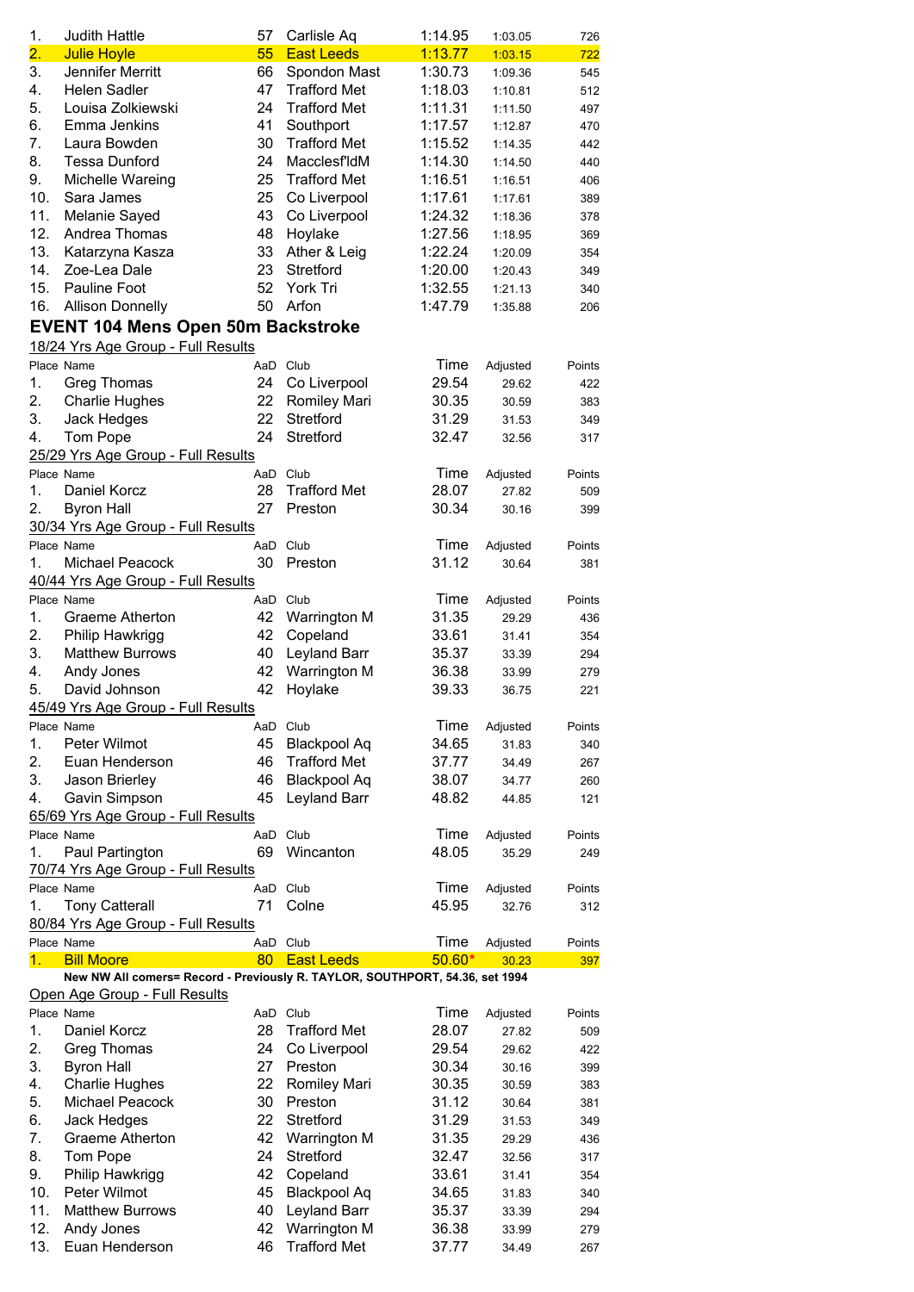| 1.               | <b>Judith Hattle</b>                                                         | 57        | Carlisle Aq               | 1:14.95          | 1:03.05  | 726    |
|------------------|------------------------------------------------------------------------------|-----------|---------------------------|------------------|----------|--------|
| $\overline{2}$ . | <b>Julie Hoyle</b>                                                           | 55        | <b>East Leeds</b>         | 1:13.77          | 1:03.15  | 722    |
| 3.               | Jennifer Merritt                                                             | 66        | Spondon Mast              | 1:30.73          | 1:09.36  | 545    |
| 4.               | <b>Helen Sadler</b>                                                          | 47        | <b>Trafford Met</b>       | 1:18.03          | 1:10.81  | 512    |
| 5.               | Louisa Zolkiewski                                                            | 24        | <b>Trafford Met</b>       | 1:11.31          | 1:11.50  | 497    |
| 6.               | Emma Jenkins                                                                 | 41        | Southport                 | 1:17.57          | 1:12.87  | 470    |
| 7.               | Laura Bowden                                                                 | 30        | <b>Trafford Met</b>       | 1:15.52          | 1:14.35  | 442    |
| 8.               | <b>Tessa Dunford</b>                                                         | 24        | MacclesfldM               | 1:14.30          | 1:14.50  | 440    |
| 9.               | Michelle Wareing                                                             | 25        | <b>Trafford Met</b>       | 1:16.51          | 1:16.51  | 406    |
| 10.              | Sara James                                                                   | 25        | Co Liverpool              | 1:17.61          | 1:17.61  | 389    |
| 11.              | Melanie Sayed                                                                | 43        | Co Liverpool              | 1:24.32          | 1:18.36  | 378    |
| 12.              | Andrea Thomas                                                                | 48        | Hoylake                   | 1:27.56          | 1:18.95  | 369    |
| 13.              | Katarzyna Kasza                                                              | 33        | Ather & Leig              | 1:22.24          | 1:20.09  | 354    |
| 14.              | Zoe-Lea Dale                                                                 | 23        | Stretford                 | 1:20.00          | 1:20.43  | 349    |
| 15.              | Pauline Foot                                                                 | 52        | York Tri                  | 1:32.55          | 1:21.13  | 340    |
| 16.              | <b>Allison Donnelly</b>                                                      | 50        | Arfon                     | 1:47.79          | 1:35.88  | 206    |
|                  | <b>EVENT 104 Mens Open 50m Backstroke</b>                                    |           |                           |                  |          |        |
|                  | 18/24 Yrs Age Group - Full Results                                           |           |                           |                  |          |        |
|                  | Place Name                                                                   |           | AaD Club                  | Time             | Adjusted | Points |
| 1.               | Greg Thomas                                                                  | 24        | Co Liverpool              | 29.54            | 29.62    | 422    |
| 2.               | <b>Charlie Hughes</b>                                                        | 22        | Romiley Mari              | 30.35            | 30.59    | 383    |
| 3.               | Jack Hedges                                                                  | 22        | Stretford                 | 31.29            | 31.53    | 349    |
| 4.               | Tom Pope                                                                     | 24        | Stretford                 | 32.47            | 32.56    | 317    |
|                  | 25/29 Yrs Age Group - Full Results                                           |           |                           |                  |          |        |
|                  | Place Name                                                                   |           | AaD Club                  | Time             | Adjusted | Points |
| 1.               | Daniel Korcz                                                                 | 28        | <b>Trafford Met</b>       | 28.07            | 27.82    | 509    |
| 2.               | <b>Byron Hall</b>                                                            | 27        | Preston                   | 30.34            | 30.16    | 399    |
|                  | 30/34 Yrs Age Group - Full Results                                           |           |                           |                  |          |        |
|                  | Place Name                                                                   |           | AaD Club                  | Time             | Adjusted | Points |
| 1.               | Michael Peacock                                                              | 30        | Preston                   | 31.12            | 30.64    | 381    |
|                  | 40/44 Yrs Age Group - Full Results                                           |           |                           |                  |          |        |
|                  | Place Name                                                                   | AaD       | Club                      | Time             | Adjusted | Points |
| 1.               | Graeme Atherton                                                              | 42        | Warrington M              | 31.35            | 29.29    | 436    |
| 2.               | Philip Hawkrigg                                                              | 42        | Copeland                  | 33.61            | 31.41    | 354    |
| 3.               | <b>Matthew Burrows</b>                                                       | 40        | Leyland Barr              | 35.37            | 33.39    | 294    |
| 4.               | Andy Jones                                                                   | 42        | Warrington M              | 36.38            | 33.99    | 279    |
| 5.               | David Johnson                                                                | 42        | Hoylake                   | 39.33            | 36.75    | 221    |
|                  | 45/49 Yrs Age Group - Full Results                                           |           |                           |                  |          |        |
|                  | Place Name                                                                   |           | AaD Club                  | Time             | Adjusted | Points |
| 1.               | Peter Wilmot                                                                 | 45        | <b>Blackpool Aq</b>       | 34.65            | 31.83    | 340    |
| 2.               | Euan Henderson                                                               | 46        | <b>Trafford Met</b>       | 37.77            | 34.49    | 267    |
| 3.               | Jason Brierley                                                               | 46        | <b>Blackpool Aq</b>       | 38.07            | 34.77    | 260    |
| 4.               | Gavin Simpson                                                                | 45        | Leyland Barr              | 48.82            | 44.85    | 121    |
|                  | 65/69 Yrs Age Group - Full Results                                           |           |                           |                  |          |        |
|                  | Place Name                                                                   |           | AaD Club                  | Time             | Adjusted | Points |
| 1.               | Paul Partington                                                              | 69        | Wincanton                 | 48.05            | 35.29    | 249    |
|                  | 70/74 Yrs Age Group - Full Results                                           |           |                           |                  |          |        |
|                  | Place Name                                                                   |           | AaD Club                  | Time             | Adjusted | Points |
| 1.               | <b>Tony Catterall</b>                                                        | 71        | Colne                     | 45.95            | 32.76    | 312    |
|                  | 80/84 Yrs Age Group - Full Results                                           |           |                           |                  |          |        |
| 1 <sub>1</sub>   | Place Name<br><b>Bill Moore</b>                                              | AaD<br>80 | Club<br><b>East Leeds</b> | Time<br>$50.60*$ | Adjusted | Points |
|                  | New NW All comers= Record - Previously R. TAYLOR, SOUTHPORT, 54.36, set 1994 |           |                           |                  | 30.23    | 397    |
|                  | Open Age Group - Full Results                                                |           |                           |                  |          |        |
|                  | Place Name                                                                   |           | AaD Club                  | Time             | Adjusted | Points |
| 1.               | Daniel Korcz                                                                 | 28        | <b>Trafford Met</b>       | 28.07            | 27.82    | 509    |
| 2.               | <b>Greg Thomas</b>                                                           | 24        | Co Liverpool              | 29.54            | 29.62    | 422    |
| 3.               | <b>Byron Hall</b>                                                            | 27        | Preston                   | 30.34            | 30.16    | 399    |
| 4.               | <b>Charlie Hughes</b>                                                        | 22        | Romiley Mari              | 30.35            | 30.59    | 383    |
| 5.               | Michael Peacock                                                              | 30        | Preston                   | 31.12            | 30.64    | 381    |
| 6.               | Jack Hedges                                                                  | 22        | Stretford                 | 31.29            | 31.53    | 349    |
| 7.               | Graeme Atherton                                                              | 42        | Warrington M              | 31.35            | 29.29    | 436    |
| 8.               | Tom Pope                                                                     | 24        | Stretford                 | 32.47            | 32.56    | 317    |
| 9.               | Philip Hawkrigg                                                              | 42        | Copeland                  | 33.61            | 31.41    | 354    |
| 10.              | Peter Wilmot                                                                 | 45        | <b>Blackpool Aq</b>       | 34.65            | 31.83    | 340    |
| 11.              | <b>Matthew Burrows</b>                                                       | 40        | Leyland Barr              | 35.37            | 33.39    | 294    |
| 12.              | Andy Jones                                                                   | 42        | Warrington M              | 36.38            | 33.99    | 279    |
| 13.              | Euan Henderson                                                               | 46        | <b>Trafford Met</b>       | 37.77            | 34.49    | 267    |
|                  |                                                                              |           |                           |                  |          |        |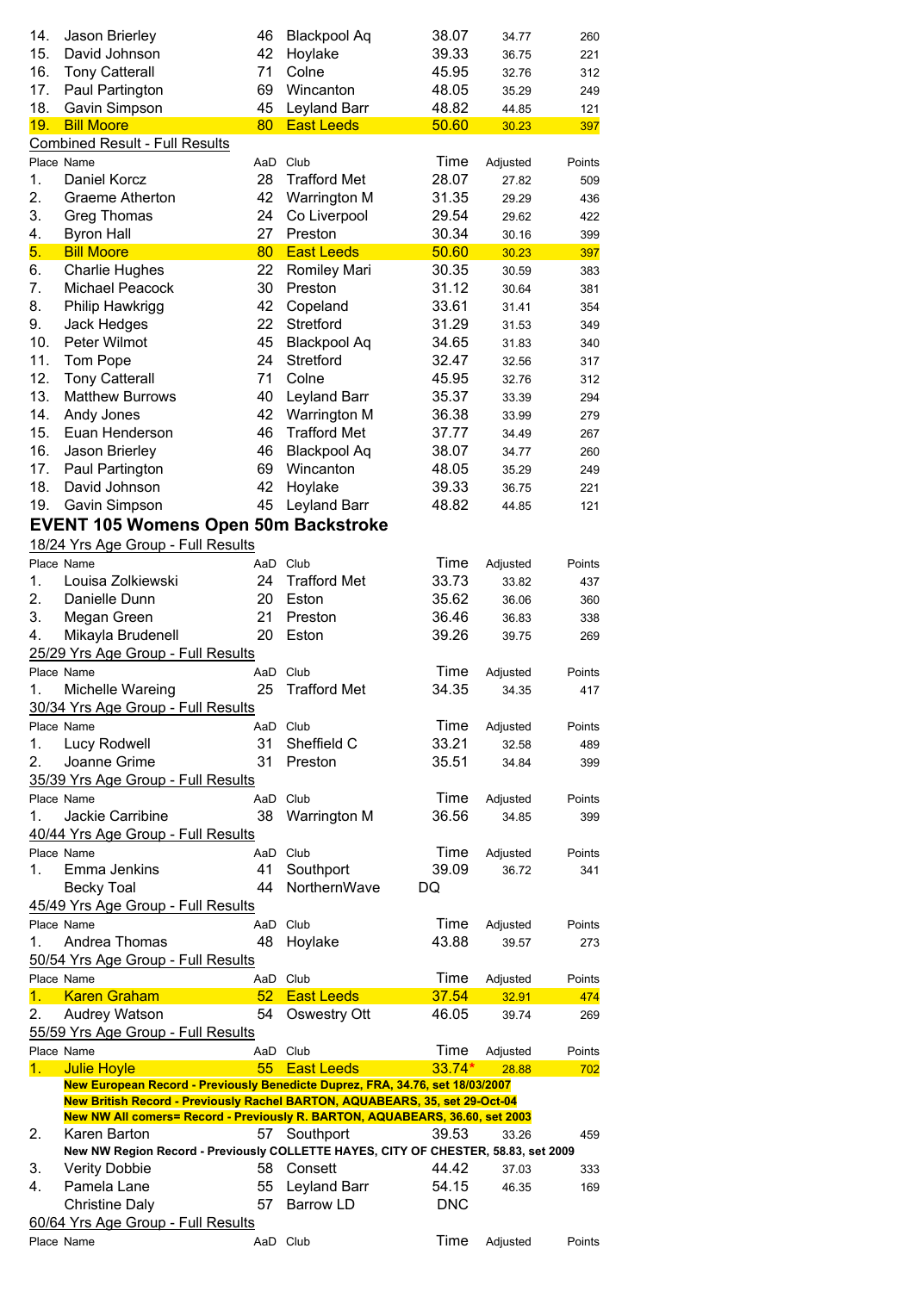| 14.        | Jason Brierley                                                                                                                                               | 46              | <b>Blackpool Aq</b>             | 38.07          | 34.77             | 260           |
|------------|--------------------------------------------------------------------------------------------------------------------------------------------------------------|-----------------|---------------------------------|----------------|-------------------|---------------|
| 15.        | David Johnson                                                                                                                                                | 42              | Hoylake                         | 39.33          | 36.75             | 221           |
| 16.        | <b>Tony Catterall</b>                                                                                                                                        | 71              | Colne                           | 45.95          | 32.76             | 312           |
| 17.        | Paul Partington                                                                                                                                              | 69              | Wincanton                       | 48.05          | 35.29             | 249           |
| 18.        | Gavin Simpson                                                                                                                                                | 45              | Leyland Barr                    | 48.82          | 44.85             | 121           |
| 19.        | <b>Bill Moore</b>                                                                                                                                            | 80              | <b>East Leeds</b>               | 50.60          | 30.23             | 397           |
|            | <b>Combined Result - Full Results</b>                                                                                                                        |                 |                                 | Time           |                   |               |
| 1.         | Place Name<br>Daniel Korcz                                                                                                                                   | 28              | AaD Club<br><b>Trafford Met</b> | 28.07          | Adjusted<br>27.82 | Points<br>509 |
| 2.         | <b>Graeme Atherton</b>                                                                                                                                       | 42              | Warrington M                    | 31.35          | 29.29             | 436           |
| 3.         | Greg Thomas                                                                                                                                                  | 24              | Co Liverpool                    | 29.54          | 29.62             | 422           |
| 4.         | <b>Byron Hall</b>                                                                                                                                            | 27              | Preston                         | 30.34          | 30.16             | 399           |
| 5.         | <b>Bill Moore</b>                                                                                                                                            | 80              | <b>East Leeds</b>               | 50.60          | 30.23             | 397           |
| 6.         | <b>Charlie Hughes</b>                                                                                                                                        | 22              | Romiley Mari                    | 30.35          | 30.59             | 383           |
| 7.         | Michael Peacock                                                                                                                                              | 30              | Preston                         | 31.12          | 30.64             | 381           |
| 8.         | Philip Hawkrigg                                                                                                                                              | 42              | Copeland                        | 33.61          | 31.41             | 354           |
| 9.         | Jack Hedges                                                                                                                                                  | 22              | Stretford                       | 31.29          | 31.53             | 349           |
| 10.        | Peter Wilmot                                                                                                                                                 | 45              | <b>Blackpool Aq</b>             | 34.65          | 31.83             | 340           |
| 11.<br>12. | Tom Pope<br><b>Tony Catterall</b>                                                                                                                            | 24<br>71        | Stretford<br>Colne              | 32.47<br>45.95 | 32.56<br>32.76    | 317           |
| 13.        | <b>Matthew Burrows</b>                                                                                                                                       | 40              | Leyland Barr                    | 35.37          | 33.39             | 312<br>294    |
| 14.        | Andy Jones                                                                                                                                                   | 42              | Warrington M                    | 36.38          | 33.99             | 279           |
| 15.        | Euan Henderson                                                                                                                                               | 46              | <b>Trafford Met</b>             | 37.77          | 34.49             | 267           |
| 16.        | Jason Brierley                                                                                                                                               | 46              | <b>Blackpool Aq</b>             | 38.07          | 34.77             | 260           |
| 17.        | Paul Partington                                                                                                                                              | 69              | Wincanton                       | 48.05          | 35.29             | 249           |
| 18.        | David Johnson                                                                                                                                                | 42              | Hoylake                         | 39.33          | 36.75             | 221           |
| 19.        | Gavin Simpson                                                                                                                                                | 45              | Leyland Barr                    | 48.82          | 44.85             | 121           |
|            | <b>EVENT 105 Womens Open 50m Backstroke</b>                                                                                                                  |                 |                                 |                |                   |               |
|            | 18/24 Yrs Age Group - Full Results                                                                                                                           |                 |                                 |                |                   |               |
|            | Place Name                                                                                                                                                   | AaD             | Club                            | Time           | Adjusted          | Points        |
| 1.         | Louisa Zolkiewski                                                                                                                                            | 24              | <b>Trafford Met</b>             | 33.73          | 33.82             | 437           |
| 2.         | Danielle Dunn                                                                                                                                                | 20              | Eston                           | 35.62          | 36.06             | 360           |
| 3.         | Megan Green                                                                                                                                                  | 21              | Preston                         | 36.46          | 36.83             | 338           |
| 4.         | Mikayla Brudenell                                                                                                                                            | 20              | Eston                           | 39.26          | 39.75             | 269           |
|            | 25/29 Yrs Age Group - Full Results                                                                                                                           |                 |                                 |                |                   |               |
| 1.         | Place Name<br>Michelle Wareing                                                                                                                               | AaD<br>25       | Club<br><b>Trafford Met</b>     | Time<br>34.35  | Adjusted<br>34.35 | Points<br>417 |
|            | 30/34 Yrs Age Group - Full Results                                                                                                                           |                 |                                 |                |                   |               |
|            | Place Name                                                                                                                                                   |                 | AaD Club                        | Time           | Adjusted          | Points        |
| 1.         | Lucy Rodwell                                                                                                                                                 | 31              | Sheffield C                     | 33.21          | 32.58             | 489           |
| 2.         | Joanne Grime                                                                                                                                                 | 31              | Preston                         | 35.51          | 34.84             | 399           |
|            | 35/39 Yrs Age Group - Full Results                                                                                                                           |                 |                                 |                |                   |               |
|            | Place Name                                                                                                                                                   |                 | AaD Club                        | Time           | Adjusted          | Points        |
| 1.         | Jackie Carribine                                                                                                                                             | 38              | Warrington M                    | 36.56          | 34.85             | 399           |
|            | 40/44 Yrs Age Group - Full Results                                                                                                                           |                 |                                 |                |                   |               |
|            | Place Name                                                                                                                                                   | AaD             | Club                            | Time           | Adjusted          | Points        |
| 1.         | Emma Jenkins                                                                                                                                                 | 41              | Southport                       | 39.09          | 36.72             | 341           |
|            | <b>Becky Toal</b><br>45/49 Yrs Age Group - Full Results                                                                                                      | 44              | NorthernWave                    | DQ             |                   |               |
|            | Place Name                                                                                                                                                   |                 | AaD Club                        | Time           | Adjusted          | Points        |
| 1.         | Andrea Thomas                                                                                                                                                | 48              | Hoylake                         | 43.88          | 39.57             | 273           |
|            | 50/54 Yrs Age Group - Full Results                                                                                                                           |                 |                                 |                |                   |               |
|            | Place Name                                                                                                                                                   |                 | AaD Club                        | Time           | Adjusted          | Points        |
| 1.         | <b>Karen Graham</b>                                                                                                                                          | 52 <sub>2</sub> | <b>East Leeds</b>               | 37.54          | 32.91             | 474           |
| 2.         | Audrey Watson                                                                                                                                                | 54              | Oswestry Ott                    | 46.05          | 39.74             | 269           |
|            | 55/59 Yrs Age Group - Full Results                                                                                                                           |                 |                                 |                |                   |               |
|            | Place Name                                                                                                                                                   |                 | AaD Club                        | Time           | Adjusted          | Points        |
| 1.         | <b>Julie Hoyle</b>                                                                                                                                           | 55 <sub>1</sub> | <b>East Leeds</b>               | $33.74*$       | 28.88             | 702           |
|            | New European Record - Previously Benedicte Duprez, FRA, 34.76, set 18/03/2007<br>New British Record - Previously Rachel BARTON, AQUABEARS, 35, set 29-Oct-04 |                 |                                 |                |                   |               |
|            | New NW All comers= Record - Previously R. BARTON, AQUABEARS, 36.60, set 2003                                                                                 |                 |                                 |                |                   |               |
| 2.         | Karen Barton                                                                                                                                                 | 57              | Southport                       | 39.53          | 33.26             | 459           |
|            | New NW Region Record - Previously COLLETTE HAYES, CITY OF CHESTER, 58.83, set 2009                                                                           |                 |                                 |                |                   |               |
| 3.         | <b>Verity Dobbie</b>                                                                                                                                         |                 | 58 Consett                      | 44.42          | 37.03             | 333           |
| 4.         | Pamela Lane                                                                                                                                                  | 55              | Leyland Barr                    | 54.15          | 46.35             | 169           |
|            | <b>Christine Daly</b>                                                                                                                                        | 57              | Barrow LD                       | <b>DNC</b>     |                   |               |
|            | 60/64 Yrs Age Group - Full Results<br>Place Name                                                                                                             |                 | AaD Club                        | Time           | Adjusted          | Points        |
|            |                                                                                                                                                              |                 |                                 |                |                   |               |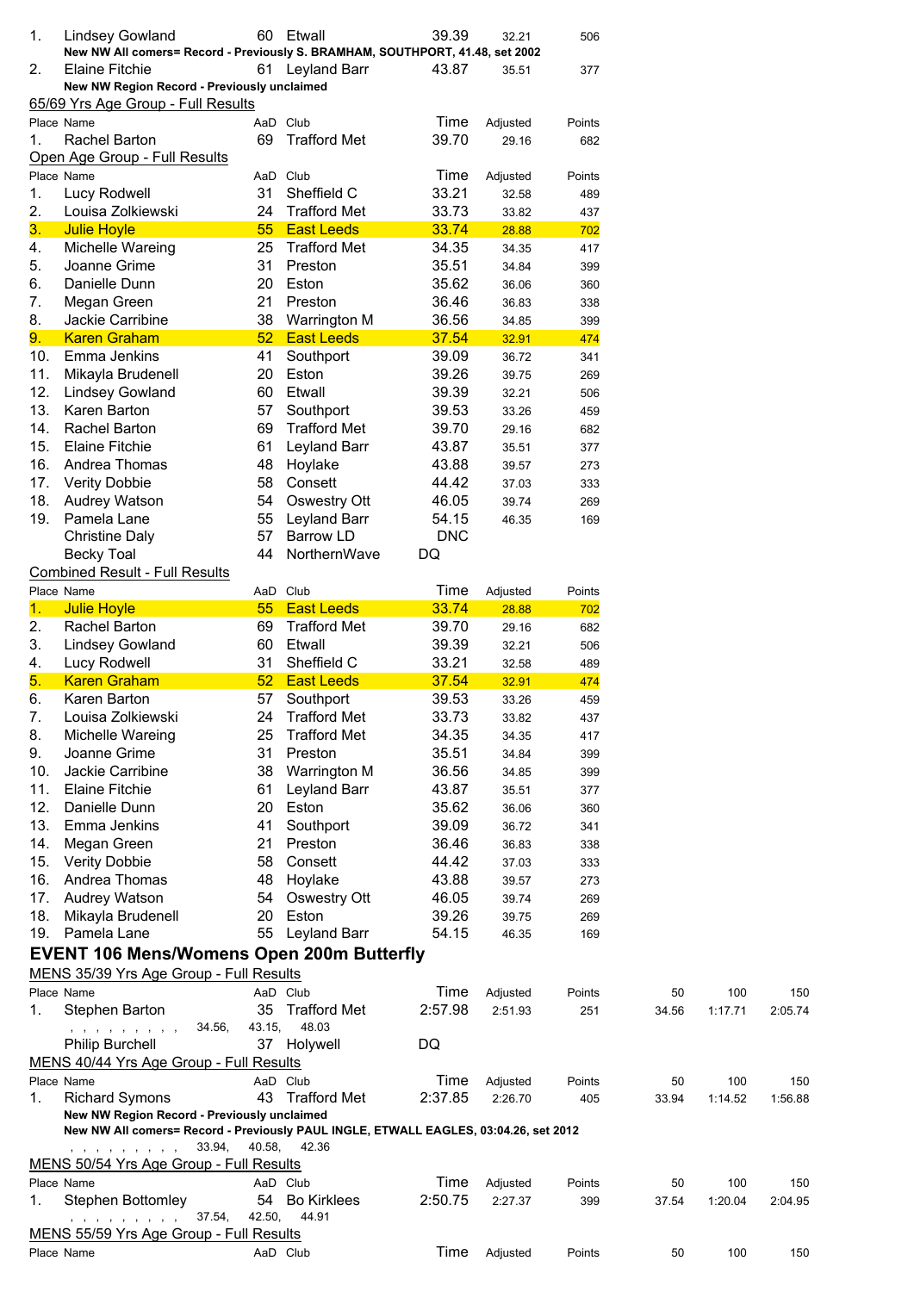| 1.       | <b>Lindsey Gowland</b>                                                                                                                      | 60       | Etwall                           | 39.39          | 32.21          | 506        |       |         |         |
|----------|---------------------------------------------------------------------------------------------------------------------------------------------|----------|----------------------------------|----------------|----------------|------------|-------|---------|---------|
|          | New NW All comers= Record - Previously S. BRAMHAM, SOUTHPORT, 41.48, set 2002                                                               |          |                                  |                |                |            |       |         |         |
| 2.       | <b>Elaine Fitchie</b><br>New NW Region Record - Previously unclaimed                                                                        |          | 61 Leyland Barr                  | 43.87          | 35.51          | 377        |       |         |         |
|          | 65/69 Yrs Age Group - Full Results                                                                                                          |          |                                  |                |                |            |       |         |         |
|          | Place Name                                                                                                                                  |          | AaD Club                         | Time           | Adjusted       | Points     |       |         |         |
| 1.       | Rachel Barton                                                                                                                               | 69       | <b>Trafford Met</b>              | 39.70          | 29.16          | 682        |       |         |         |
|          | Open Age Group - Full Results                                                                                                               |          |                                  |                |                |            |       |         |         |
|          | Place Name                                                                                                                                  |          | AaD Club                         | Time           | Adjusted       | Points     |       |         |         |
| 1.       | Lucy Rodwell                                                                                                                                | 31       | Sheffield C                      | 33.21          | 32.58          | 489        |       |         |         |
| 2.       | Louisa Zolkiewski                                                                                                                           | 24       | <b>Trafford Met</b>              | 33.73          | 33.82          | 437        |       |         |         |
| 3.       | <b>Julie Hoyle</b>                                                                                                                          | 55       | <b>East Leeds</b>                | 33.74          | 28.88          | 702        |       |         |         |
| 4.       | Michelle Wareing                                                                                                                            | 25       | <b>Trafford Met</b>              | 34.35          | 34.35          | 417        |       |         |         |
| 5.       | Joanne Grime                                                                                                                                | 31       | Preston                          | 35.51          | 34.84          | 399        |       |         |         |
| 6.       | Danielle Dunn                                                                                                                               | 20       | Eston                            | 35.62          | 36.06          | 360        |       |         |         |
| 7.<br>8. | Megan Green<br>Jackie Carribine                                                                                                             | 21<br>38 | Preston<br><b>Warrington M</b>   | 36.46<br>36.56 | 36.83          | 338<br>399 |       |         |         |
| 9.       | <b>Karen Graham</b>                                                                                                                         | 52       | <b>East Leeds</b>                | 37.54          | 34.85<br>32.91 | 474        |       |         |         |
| 10.      | Emma Jenkins                                                                                                                                | 41       | Southport                        | 39.09          | 36.72          | 341        |       |         |         |
| 11.      | Mikayla Brudenell                                                                                                                           | 20       | Eston                            | 39.26          | 39.75          | 269        |       |         |         |
| 12.      | <b>Lindsey Gowland</b>                                                                                                                      | 60       | Etwall                           | 39.39          | 32.21          | 506        |       |         |         |
| 13.      | Karen Barton                                                                                                                                | 57       | Southport                        | 39.53          | 33.26          | 459        |       |         |         |
| 14.      | Rachel Barton                                                                                                                               | 69       | <b>Trafford Met</b>              | 39.70          | 29.16          | 682        |       |         |         |
| 15.      | <b>Elaine Fitchie</b>                                                                                                                       | 61       | Leyland Barr                     | 43.87          | 35.51          | 377        |       |         |         |
| 16.      | Andrea Thomas                                                                                                                               | 48       | Hoylake                          | 43.88          | 39.57          | 273        |       |         |         |
| 17.      | <b>Verity Dobbie</b>                                                                                                                        | 58       | Consett                          | 44.42          | 37.03          | 333        |       |         |         |
| 18.      | <b>Audrey Watson</b>                                                                                                                        | 54       | Oswestry Ott                     | 46.05          | 39.74          | 269        |       |         |         |
| 19.      | Pamela Lane                                                                                                                                 | 55       | Leyland Barr                     | 54.15          | 46.35          | 169        |       |         |         |
|          | <b>Christine Daly</b>                                                                                                                       | 57       | Barrow LD                        | <b>DNC</b>     |                |            |       |         |         |
|          | <b>Becky Toal</b>                                                                                                                           | 44       | NorthernWave                     | DQ             |                |            |       |         |         |
|          | <b>Combined Result - Full Results</b>                                                                                                       |          |                                  |                |                |            |       |         |         |
|          | Place Name                                                                                                                                  | AaD Club |                                  | Time           | Adjusted       | Points     |       |         |         |
| 1.       | <b>Julie Hoyle</b>                                                                                                                          | 55       | <b>East Leeds</b>                | 33.74          | 28.88          | 702        |       |         |         |
| 2.       | <b>Rachel Barton</b>                                                                                                                        | 69       | <b>Trafford Met</b>              | 39.70          | 29.16          | 682        |       |         |         |
| 3.       | <b>Lindsey Gowland</b>                                                                                                                      | 60       | Etwall                           | 39.39          | 32.21          | 506        |       |         |         |
| 4.       | Lucy Rodwell                                                                                                                                | 31<br>52 | Sheffield C                      | 33.21          | 32.58          | 489        |       |         |         |
| 5.<br>6. | <b>Karen Graham</b>                                                                                                                         | 57       | <b>East Leeds</b>                | 37.54          | 32.91          | 474        |       |         |         |
| 7.       | Karen Barton<br>Louisa Zolkiewski                                                                                                           | 24       | Southport<br><b>Trafford Met</b> | 39.53<br>33.73 | 33.26          | 459        |       |         |         |
| 8.       | Michelle Wareing                                                                                                                            | 25       | <b>Trafford Met</b>              | 34.35          | 33.82<br>34.35 | 437<br>417 |       |         |         |
| 9.       | Joanne Grime                                                                                                                                | 31       | Preston                          | 35.51          | 34.84          | 399        |       |         |         |
| 10.      | Jackie Carribine                                                                                                                            | 38       | Warrington M                     | 36.56          | 34.85          | 399        |       |         |         |
| 11.      | <b>Elaine Fitchie</b>                                                                                                                       | 61       | Leyland Barr                     | 43.87          | 35.51          | 377        |       |         |         |
| 12.      | Danielle Dunn                                                                                                                               | 20       | Eston                            | 35.62          | 36.06          | 360        |       |         |         |
| 13.      | Emma Jenkins                                                                                                                                | 41       | Southport                        | 39.09          | 36.72          | 341        |       |         |         |
| 14.      | Megan Green                                                                                                                                 | 21       | Preston                          | 36.46          | 36.83          | 338        |       |         |         |
| 15.      | <b>Verity Dobbie</b>                                                                                                                        | 58       | Consett                          | 44.42          | 37.03          | 333        |       |         |         |
| 16.      | Andrea Thomas                                                                                                                               | 48       | Hoylake                          | 43.88          | 39.57          | 273        |       |         |         |
| 17.      | Audrey Watson                                                                                                                               | 54       | Oswestry Ott                     | 46.05          | 39.74          | 269        |       |         |         |
| 18.      | Mikayla Brudenell                                                                                                                           | 20       | Eston                            | 39.26          | 39.75          | 269        |       |         |         |
| 19.      | Pamela Lane                                                                                                                                 |          | 55 Leyland Barr                  | 54.15          | 46.35          | 169        |       |         |         |
|          | <b>EVENT 106 Mens/Womens Open 200m Butterfly</b>                                                                                            |          |                                  |                |                |            |       |         |         |
|          | MENS 35/39 Yrs Age Group - Full Results                                                                                                     |          |                                  |                |                |            |       |         |         |
|          | Place Name                                                                                                                                  | AaD Club |                                  | Time           | Adjusted       | Points     | 50    | 100     | 150     |
| 1.       | Stephen Barton                                                                                                                              | 35       | <b>Trafford Met</b>              | 2:57.98        | 2:51.93        | 251        | 34.56 | 1:17.71 | 2:05.74 |
|          | 34.56,<br>$\mathbf{y} = \mathbf{y} - \mathbf{y} = \mathbf{y} - \mathbf{y} = \mathbf{y} - \mathbf{y} = \mathbf{y} - \mathbf{y} = \mathbf{y}$ | 43.15,   | 48.03                            |                |                |            |       |         |         |
|          | Philip Burchell                                                                                                                             |          | 37 Holywell                      | DQ             |                |            |       |         |         |
|          | MENS 40/44 Yrs Age Group - Full Results                                                                                                     |          |                                  |                |                |            |       |         |         |
|          | Place Name                                                                                                                                  |          | AaD Club                         | Time           | Adjusted       | Points     | 50    | 100     | 150     |
| 1.       | <b>Richard Symons</b><br>New NW Region Record - Previously unclaimed                                                                        | 43       | <b>Trafford Met</b>              | 2:37.85        | 2:26.70        | 405        | 33.94 | 1:14.52 | 1:56.88 |
|          | New NW All comers= Record - Previously PAUL INGLE, ETWALL EAGLES, 03:04.26, set 2012                                                        |          |                                  |                |                |            |       |         |         |
|          | 33.94,<br>, , , , , , , , ,                                                                                                                 | 40.58,   | 42.36                            |                |                |            |       |         |         |
|          | MENS 50/54 Yrs Age Group - Full Results                                                                                                     |          |                                  |                |                |            |       |         |         |
|          | Place Name                                                                                                                                  |          | AaD Club                         | Time           | Adjusted       | Points     | 50    | 100     | 150     |
| 1.       | Stephen Bottomley                                                                                                                           | 54       | <b>Bo Kirklees</b>               | 2:50.75        | 2:27.37        | 399        | 37.54 | 1:20.04 | 2:04.95 |
|          | 37.54,                                                                                                                                      | 42.50,   | 44.91                            |                |                |            |       |         |         |
|          | MENS 55/59 Yrs Age Group - Full Results                                                                                                     |          |                                  |                |                |            |       |         |         |
|          | Place Name                                                                                                                                  |          | AaD Club                         | Time           | Adjusted       | Points     | 50    | 100     | 150     |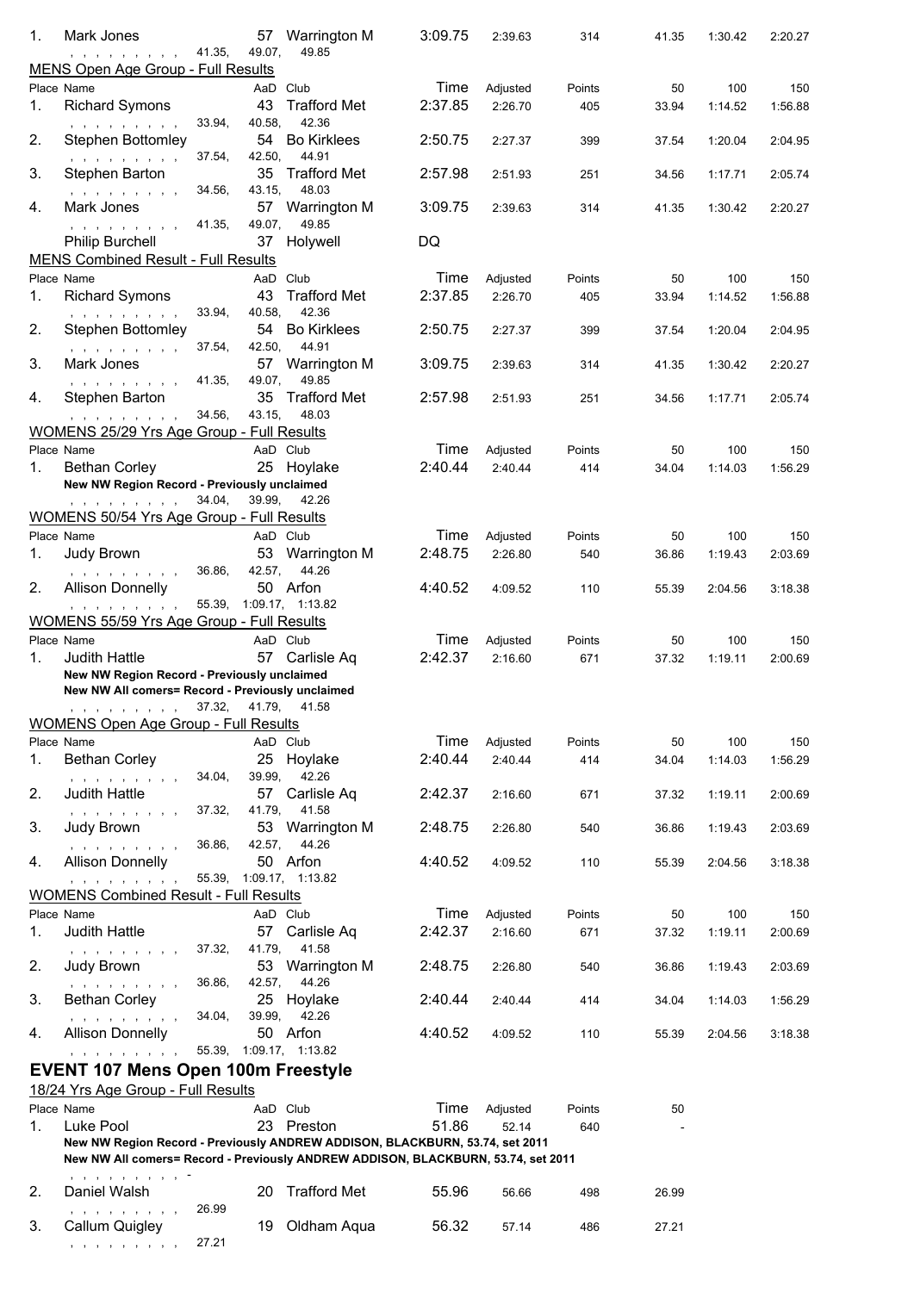| 1. | Mark Jones                                                                                                                                                                                                                                                                                                                                                                                                                                                 | 41.35, | 49.07,       | 57 Warrington M<br>49.85     | 3:09.75 | 2:39.63  | 314    | 41.35 | 1:30.42 | 2:20.27 |
|----|------------------------------------------------------------------------------------------------------------------------------------------------------------------------------------------------------------------------------------------------------------------------------------------------------------------------------------------------------------------------------------------------------------------------------------------------------------|--------|--------------|------------------------------|---------|----------|--------|-------|---------|---------|
|    | $\mathbf{y} = \mathbf{y} - \mathbf{y} = \mathbf{y} - \mathbf{y} = \mathbf{y} - \mathbf{y} = \mathbf{y} - \mathbf{y} = \mathbf{y}$<br><b>MENS Open Age Group - Full Results</b>                                                                                                                                                                                                                                                                             |        |              |                              |         |          |        |       |         |         |
|    | Place Name                                                                                                                                                                                                                                                                                                                                                                                                                                                 |        | AaD Club     |                              | Time    | Adjusted | Points | 50    | 100     | 150     |
| 1. | <b>Richard Symons</b>                                                                                                                                                                                                                                                                                                                                                                                                                                      |        | 43           | <b>Trafford Met</b>          | 2:37.85 | 2:26.70  | 405    | 33.94 | 1:14.52 | 1:56.88 |
|    | $\mathbf{y} = \mathbf{y} - \mathbf{y} = \mathbf{y} - \mathbf{y} = \mathbf{y} - \mathbf{y} = \mathbf{y} - \mathbf{y} = \mathbf{y}$                                                                                                                                                                                                                                                                                                                          | 33.94, | 40.58,       | 42.36                        |         |          |        |       |         |         |
| 2. | Stephen Bottomley                                                                                                                                                                                                                                                                                                                                                                                                                                          |        | 54           | <b>Bo Kirklees</b>           | 2:50.75 | 2:27.37  | 399    | 37.54 | 1:20.04 | 2:04.95 |
| 3. | $\mathbf{y} = \mathbf{y} - \mathbf{y} - \mathbf{y} = \mathbf{y} - \mathbf{y} - \mathbf{y} = \mathbf{y} - \mathbf{y}$<br>Stephen Barton                                                                                                                                                                                                                                                                                                                     | 37.54, | 42.50,<br>35 | 44.91<br><b>Trafford Met</b> | 2:57.98 | 2:51.93  | 251    | 34.56 |         |         |
|    | $\mathbf{y} = \mathbf{y} = \mathbf{y} = \mathbf{y} = \mathbf{y} = \mathbf{y} = \mathbf{y} = \mathbf{y} = \mathbf{y}$                                                                                                                                                                                                                                                                                                                                       | 34.56, | 43.15,       | 48.03                        |         |          |        |       | 1:17.71 | 2:05.74 |
| 4. | Mark Jones                                                                                                                                                                                                                                                                                                                                                                                                                                                 |        | 57           | <b>Warrington M</b>          | 3:09.75 | 2:39.63  | 314    | 41.35 | 1:30.42 | 2:20.27 |
|    | $\mathbf{y} = \mathbf{y} - \mathbf{y} = \mathbf{y} - \mathbf{y} = \mathbf{y} - \mathbf{y} = \mathbf{y} - \mathbf{y} = \mathbf{y}$                                                                                                                                                                                                                                                                                                                          | 41.35, | 49.07,       | 49.85                        |         |          |        |       |         |         |
|    | <b>Philip Burchell</b>                                                                                                                                                                                                                                                                                                                                                                                                                                     |        | 37           | Holywell                     | DQ      |          |        |       |         |         |
|    | <b>MENS Combined Result - Full Results</b>                                                                                                                                                                                                                                                                                                                                                                                                                 |        |              |                              |         |          |        |       |         |         |
|    | Place Name                                                                                                                                                                                                                                                                                                                                                                                                                                                 |        | AaD Club     |                              | Time    | Adjusted | Points | 50    | 100     | 150     |
| 1. | <b>Richard Symons</b>                                                                                                                                                                                                                                                                                                                                                                                                                                      |        | 43           | <b>Trafford Met</b>          | 2:37.85 | 2:26.70  | 405    | 33.94 | 1:14.52 | 1:56.88 |
|    | $\mathbf{y} = \mathbf{y} - \mathbf{y} = \mathbf{y} - \mathbf{y} = \mathbf{y} - \mathbf{y} = \mathbf{y} - \mathbf{y} = \mathbf{y}$                                                                                                                                                                                                                                                                                                                          | 33.94, | 40.58,       | 42.36                        |         |          |        |       |         |         |
| 2. | Stephen Bottomley                                                                                                                                                                                                                                                                                                                                                                                                                                          |        |              | 54 Bo Kirklees               | 2:50.75 | 2:27.37  | 399    | 37.54 | 1:20.04 | 2:04.95 |
|    | $\mathbf{y} = \mathbf{y} - \mathbf{y} = \mathbf{y} - \mathbf{y} = \mathbf{y} - \mathbf{y} = \mathbf{y} - \mathbf{y} = \mathbf{y}$                                                                                                                                                                                                                                                                                                                          | 37.54, | 42.50,       | 44.91                        |         |          |        |       |         |         |
| 3. | Mark Jones                                                                                                                                                                                                                                                                                                                                                                                                                                                 |        | 57<br>49.07, | Warrington M<br>49.85        | 3:09.75 | 2:39.63  | 314    | 41.35 | 1:30.42 | 2:20.27 |
| 4. | $\mathbf{y} = \mathbf{y} - \mathbf{y} = \mathbf{y} - \mathbf{y} = \mathbf{y} - \mathbf{y} = \mathbf{y} - \mathbf{y} = \mathbf{y}$<br>Stephen Barton                                                                                                                                                                                                                                                                                                        | 41.35, | 35           | <b>Trafford Met</b>          | 2:57.98 | 2:51.93  | 251    | 34.56 | 1:17.71 | 2:05.74 |
|    |                                                                                                                                                                                                                                                                                                                                                                                                                                                            | 34.56, | 43.15,       | 48.03                        |         |          |        |       |         |         |
|    | $\mathbf{y} = \mathbf{y} - \mathbf{y} = \mathbf{y} - \mathbf{y} = \mathbf{y} - \mathbf{y} = \mathbf{y} - \mathbf{y} = \mathbf{y}$<br><b>WOMENS 25/29 Yrs Age Group - Full Results</b>                                                                                                                                                                                                                                                                      |        |              |                              |         |          |        |       |         |         |
|    | Place Name                                                                                                                                                                                                                                                                                                                                                                                                                                                 |        | AaD Club     |                              | Time    | Adjusted | Points | 50    | 100     | 150     |
| 1. | <b>Bethan Corley</b>                                                                                                                                                                                                                                                                                                                                                                                                                                       |        |              | 25 Hoylake                   | 2:40.44 | 2:40.44  | 414    | 34.04 | 1:14.03 | 1:56.29 |
|    | New NW Region Record - Previously unclaimed                                                                                                                                                                                                                                                                                                                                                                                                                |        |              |                              |         |          |        |       |         |         |
|    | .                                                                                                                                                                                                                                                                                                                                                                                                                                                          | 34.04, | 39.99,       | 42.26                        |         |          |        |       |         |         |
|    | <b>WOMENS 50/54 Yrs Age Group - Full Results</b>                                                                                                                                                                                                                                                                                                                                                                                                           |        |              |                              |         |          |        |       |         |         |
|    | Place Name                                                                                                                                                                                                                                                                                                                                                                                                                                                 |        | AaD Club     |                              | Time    | Adjusted | Points | 50    | 100     | 150     |
| 1. | Judy Brown                                                                                                                                                                                                                                                                                                                                                                                                                                                 |        |              | 53 Warrington M              | 2:48.75 | 2:26.80  | 540    | 36.86 | 1:19.43 | 2:03.69 |
|    | $\mathbf{y} = \mathbf{y} - \mathbf{y} = \mathbf{y} - \mathbf{y} = \mathbf{y} - \mathbf{y} = \mathbf{y} - \mathbf{y} = \mathbf{y}$                                                                                                                                                                                                                                                                                                                          | 36.86, | 42.57,       | 44.26                        |         |          |        |       |         |         |
| 2. | <b>Allison Donnelly</b>                                                                                                                                                                                                                                                                                                                                                                                                                                    |        |              | 50 Arfon                     | 4:40.52 | 4:09.52  | 110    | 55.39 | 2:04.56 | 3:18.38 |
|    | $\mathbf{y} = \mathbf{y} - \mathbf{y} = \mathbf{y} - \mathbf{y} = \mathbf{y} - \mathbf{y} = \mathbf{y} - \mathbf{y} = \mathbf{y}$                                                                                                                                                                                                                                                                                                                          |        |              | 55.39, 1:09.17, 1:13.82      |         |          |        |       |         |         |
|    | <b>WOMENS 55/59 Yrs Age Group - Full Results</b>                                                                                                                                                                                                                                                                                                                                                                                                           |        |              |                              |         |          |        |       |         |         |
|    | Place Name                                                                                                                                                                                                                                                                                                                                                                                                                                                 |        | AaD Club     |                              | Time    | Adjusted | Points | 50    | 100     | 150     |
| 1. | <b>Judith Hattle</b>                                                                                                                                                                                                                                                                                                                                                                                                                                       |        |              | 57 Carlisle Aq               | 2:42.37 | 2:16.60  | 671    | 37.32 | 1:19.11 | 2:00.69 |
|    | New NW Region Record - Previously unclaimed                                                                                                                                                                                                                                                                                                                                                                                                                |        |              |                              |         |          |        |       |         |         |
|    | New NW All comers= Record - Previously unclaimed                                                                                                                                                                                                                                                                                                                                                                                                           | 37.32, | 41.79.       | 41.58                        |         |          |        |       |         |         |
|    | $\mathbf{y} = \mathbf{y} - \mathbf{y} - \mathbf{y} = \mathbf{y} - \mathbf{y} - \mathbf{y} = \mathbf{y} - \mathbf{y} = \mathbf{y} - \mathbf{y}$<br><b>WOMENS Open Age Group - Full Results</b>                                                                                                                                                                                                                                                              |        |              |                              |         |          |        |       |         |         |
|    | Place Name                                                                                                                                                                                                                                                                                                                                                                                                                                                 |        | AaD Club     |                              | Time    | Adjusted | Points | 50    | 100     | 150     |
| 1. | <b>Bethan Corley</b>                                                                                                                                                                                                                                                                                                                                                                                                                                       |        | 25           | Hoylake                      | 2:40.44 | 2:40.44  | 414    | 34.04 | 1:14.03 | 1:56.29 |
|    |                                                                                                                                                                                                                                                                                                                                                                                                                                                            | 34.04, | 39.99,       | 42.26                        |         |          |        |       |         |         |
| 2. | <b>Judith Hattle</b>                                                                                                                                                                                                                                                                                                                                                                                                                                       |        | 57           | Carlisle Aq                  | 2:42.37 | 2:16.60  | 671    | 37.32 | 1:19.11 | 2:00.69 |
|    | $\mathbf{y} = \mathbf{y} - \mathbf{y} = \mathbf{y} - \mathbf{y} = \mathbf{y} - \mathbf{y} = \mathbf{y} - \mathbf{y} = \mathbf{y}$                                                                                                                                                                                                                                                                                                                          | 37.32, | 41.79,       | 41.58                        |         |          |        |       |         |         |
| 3. | Judy Brown                                                                                                                                                                                                                                                                                                                                                                                                                                                 |        |              | 53 Warrington M              | 2:48.75 | 2:26.80  | 540    | 36.86 | 1:19.43 | 2:03.69 |
|    | $\mathbf{y} = \mathbf{y} - \mathbf{y} = \mathbf{y} - \mathbf{y} = \mathbf{y} - \mathbf{y} = \mathbf{y} - \mathbf{y} = \mathbf{y}$                                                                                                                                                                                                                                                                                                                          | 36.86, | 42.57,       | 44.26                        |         |          |        |       |         |         |
| 4. | <b>Allison Donnelly</b>                                                                                                                                                                                                                                                                                                                                                                                                                                    |        |              | 50 Arfon                     | 4:40.52 | 4:09.52  | 110    | 55.39 | 2:04.56 | 3:18.38 |
|    | .                                                                                                                                                                                                                                                                                                                                                                                                                                                          |        |              | 55.39, 1:09.17, 1:13.82      |         |          |        |       |         |         |
|    | <b>WOMENS Combined Result - Full Results</b>                                                                                                                                                                                                                                                                                                                                                                                                               |        |              |                              |         |          |        |       |         |         |
|    | Place Name                                                                                                                                                                                                                                                                                                                                                                                                                                                 |        |              | AaD Club                     | Time    | Adjusted | Points | 50    | 100     | 150     |
| 1. | <b>Judith Hattle</b>                                                                                                                                                                                                                                                                                                                                                                                                                                       |        |              | 57 Carlisle Aq               | 2:42.37 | 2:16.60  | 671    | 37.32 | 1:19.11 | 2:00.69 |
|    | $\mathbf{y} = \mathbf{y} - \mathbf{y} = \mathbf{y} - \mathbf{y} = \mathbf{y} - \mathbf{y} = \mathbf{y} - \mathbf{y} = \mathbf{y}$                                                                                                                                                                                                                                                                                                                          | 37.32, | 41.79,       | 41.58                        |         |          |        |       |         |         |
| 2. | Judy Brown                                                                                                                                                                                                                                                                                                                                                                                                                                                 | 36.86, | 42.57,       | 53 Warrington M<br>44.26     | 2:48.75 | 2:26.80  | 540    | 36.86 | 1:19.43 | 2:03.69 |
| 3. | $\mathbf{y} = \mathbf{y} - \mathbf{y} = \mathbf{y} - \mathbf{y} = \mathbf{y} - \mathbf{y} = \mathbf{y} - \mathbf{y} = \mathbf{y}$<br><b>Bethan Corley</b>                                                                                                                                                                                                                                                                                                  |        |              | 25 Hoylake                   | 2:40.44 | 2:40.44  | 414    | 34.04 | 1:14.03 | 1:56.29 |
|    | $\mathbf{y} = \mathbf{y} - \mathbf{y} = \mathbf{y} - \mathbf{y} = \mathbf{y} - \mathbf{y} = \mathbf{y} - \mathbf{y} = \mathbf{y}$                                                                                                                                                                                                                                                                                                                          | 34.04, | 39.99,       | 42.26                        |         |          |        |       |         |         |
| 4. | <b>Allison Donnelly</b>                                                                                                                                                                                                                                                                                                                                                                                                                                    |        |              | 50 Arfon                     | 4:40.52 | 4:09.52  | 110    | 55.39 | 2:04.56 | 3:18.38 |
|    |                                                                                                                                                                                                                                                                                                                                                                                                                                                            |        |              | 55.39, 1:09.17, 1:13.82      |         |          |        |       |         |         |
|    | <b>EVENT 107 Mens Open 100m Freestyle</b>                                                                                                                                                                                                                                                                                                                                                                                                                  |        |              |                              |         |          |        |       |         |         |
|    | 18/24 Yrs Age Group - Full Results                                                                                                                                                                                                                                                                                                                                                                                                                         |        |              |                              |         |          |        |       |         |         |
|    | Place Name                                                                                                                                                                                                                                                                                                                                                                                                                                                 |        |              | AaD Club                     | Time    | Adjusted | Points | 50    |         |         |
| 1. | Luke Pool                                                                                                                                                                                                                                                                                                                                                                                                                                                  |        |              | 23 Preston                   | 51.86   | 52.14    | 640    |       |         |         |
|    | New NW Region Record - Previously ANDREW ADDISON, BLACKBURN, 53.74, set 2011                                                                                                                                                                                                                                                                                                                                                                               |        |              |                              |         |          |        |       |         |         |
|    | New NW All comers= Record - Previously ANDREW ADDISON, BLACKBURN, 53.74, set 2011                                                                                                                                                                                                                                                                                                                                                                          |        |              |                              |         |          |        |       |         |         |
|    |                                                                                                                                                                                                                                                                                                                                                                                                                                                            |        |              |                              |         |          |        |       |         |         |
| 2. | Daniel Walsh                                                                                                                                                                                                                                                                                                                                                                                                                                               |        | 20           | <b>Trafford Met</b>          | 55.96   | 56.66    | 498    | 26.99 |         |         |
|    | , , , , , , , , , ,                                                                                                                                                                                                                                                                                                                                                                                                                                        | 26.99  |              |                              |         |          |        |       |         |         |
| 3. | Callum Quigley                                                                                                                                                                                                                                                                                                                                                                                                                                             |        | 19           | Oldham Aqua                  | 56.32   | 57.14    | 486    | 27.21 |         |         |
|    | $\mathbf{1} \qquad \mathbf{1} \qquad \mathbf{1} \qquad \mathbf{1} \qquad \mathbf{1} \qquad \mathbf{1} \qquad \mathbf{1} \qquad \mathbf{1} \qquad \mathbf{1} \qquad \mathbf{1} \qquad \mathbf{1} \qquad \mathbf{1} \qquad \mathbf{1} \qquad \mathbf{1} \qquad \mathbf{1} \qquad \mathbf{1} \qquad \mathbf{1} \qquad \mathbf{1} \qquad \mathbf{1} \qquad \mathbf{1} \qquad \mathbf{1} \qquad \mathbf{1} \qquad \mathbf{1} \qquad \mathbf{1} \qquad \mathbf{$ | 27.21  |              |                              |         |          |        |       |         |         |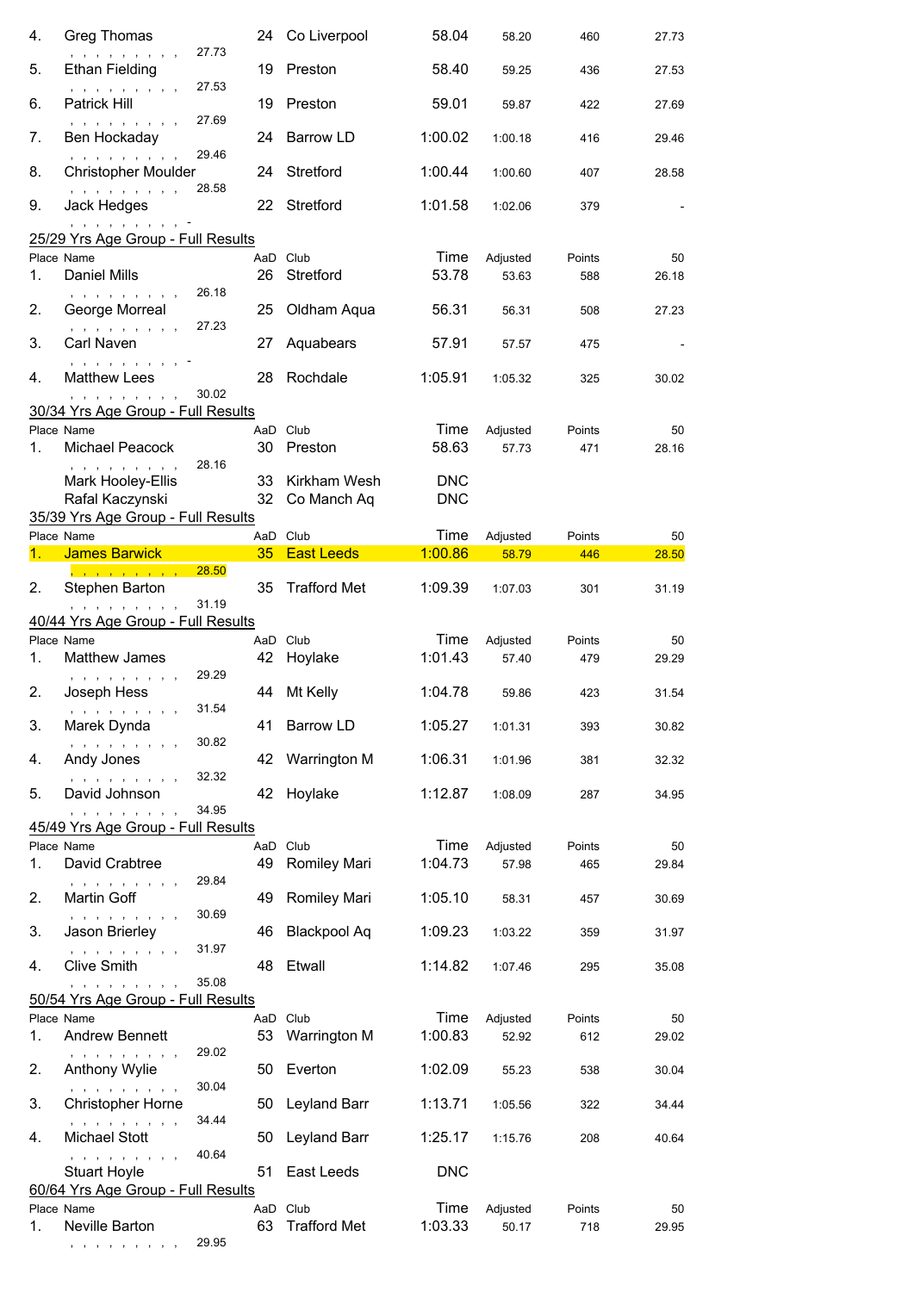| 4.             | Greg Thomas                                                                                                                                                             | 27.73          | 24 -            | Co Liverpool                    | 58.04                    | 58.20             | 460           | 27.73       |
|----------------|-------------------------------------------------------------------------------------------------------------------------------------------------------------------------|----------------|-----------------|---------------------------------|--------------------------|-------------------|---------------|-------------|
| 5.             | $\mathbf{y} = \mathbf{y} - \mathbf{y} = \mathbf{y} - \mathbf{y} = \mathbf{y} - \mathbf{y} = \mathbf{y} - \mathbf{y} = \mathbf{y}$<br><b>Ethan Fielding</b>              | 27.53          | 19              | Preston                         | 58.40                    | 59.25             | 436           | 27.53       |
| 6.             | $\mathbf{y} = \mathbf{y} - \mathbf{y} - \mathbf{y} - \mathbf{y} - \mathbf{y} - \mathbf{y} - \mathbf{y} - \mathbf{y} - \mathbf{y}$<br><b>Patrick Hill</b>                | 27.69          | 19              | Preston                         | 59.01                    | 59.87             | 422           | 27.69       |
| 7.             | Ben Hockaday<br>$\mathbf{y} = \mathbf{y} - \mathbf{y} = \mathbf{y} - \mathbf{y} = \mathbf{y} - \mathbf{y} = \mathbf{y} - \mathbf{y} = \mathbf{y}$                       | 29.46          | 24              | <b>Barrow LD</b>                | 1:00.02                  | 1:00.18           | 416           | 29.46       |
| 8.             | Christopher Moulder                                                                                                                                                     | 28.58          | 24              | Stretford                       | 1:00.44                  | 1:00.60           | 407           | 28.58       |
| 9.             | Jack Hedges<br>. <del>.</del>                                                                                                                                           |                | 22              | Stretford                       | 1:01.58                  | 1:02.06           | 379           |             |
|                | 25/29 Yrs Age Group - Full Results                                                                                                                                      |                |                 |                                 |                          |                   |               |             |
|                | Place Name                                                                                                                                                              |                |                 | AaD Club                        | Time                     | Adjusted          | Points        | 50          |
| 1.             | <b>Daniel Mills</b>                                                                                                                                                     |                | 26              | Stretford                       | 53.78                    | 53.63             | 588           | 26.18       |
| 2.             | $\mathbf{y} = \mathbf{y} - \mathbf{y} = \mathbf{y} - \mathbf{y} = \mathbf{y} - \mathbf{y} = \mathbf{y} - \mathbf{y} = \mathbf{y}$<br>George Morreal                     | 26.18<br>27.23 | 25              | Oldham Aqua                     | 56.31                    | 56.31             | 508           | 27.23       |
| 3.             | Carl Naven                                                                                                                                                              |                | 27              | Aquabears                       | 57.91                    | 57.57             | 475           |             |
| 4.             | $\mathbf{y} = \mathbf{y} - \mathbf{y} - \mathbf{y} = \mathbf{y} - \mathbf{y} - \mathbf{y} = \mathbf{y} - \mathbf{y} = \mathbf{y}$<br><b>Matthew Lees</b>                | 30.02          | 28              | Rochdale                        | 1:05.91                  | 1:05.32           | 325           | 30.02       |
|                | $\mathbf{y} = \mathbf{y} - \mathbf{y} = \mathbf{y} - \mathbf{y} = \mathbf{y} - \mathbf{y} = \mathbf{y} - \mathbf{y} = \mathbf{y}$<br>30/34 Yrs Age Group - Full Results |                |                 |                                 |                          |                   |               |             |
|                | Place Name                                                                                                                                                              |                |                 | AaD Club                        | Time                     | Adjusted          | Points        | 50          |
| 1.             | Michael Peacock                                                                                                                                                         |                | 30              | Preston                         | 58.63                    | 57.73             | 471           | 28.16       |
|                | .<br>Mark Hooley-Ellis<br>Rafal Kaczynski                                                                                                                               | 28.16          | 33<br>32        | Kirkham Wesh<br>Co Manch Aq     | <b>DNC</b><br><b>DNC</b> |                   |               |             |
|                | 35/39 Yrs Age Group - Full Results                                                                                                                                      |                |                 |                                 |                          |                   |               |             |
|                | Place Name                                                                                                                                                              |                |                 | AaD Club                        | Time                     | Adjusted          | Points        | 50          |
| 1 <sub>1</sub> | <b>James Barwick</b>                                                                                                                                                    |                | 35 <sub>2</sub> | <b>East Leeds</b>               | 1:00.86                  | 58.79             | 446           | 28.50       |
| 2.             | <u>in de la característica de la característica de la característica de la característica de la característica de </u><br>Stephen Barton                                | 28.50          | 35              | <b>Trafford Met</b>             | 1:09.39                  | 1:07.03           | 301           | 31.19       |
|                | , , , , , , , , , , , , , , , , , ,                                                                                                                                     | 31.19          |                 |                                 |                          |                   |               |             |
|                | 40/44 Yrs Age Group - Full Results                                                                                                                                      |                |                 |                                 |                          |                   |               |             |
| 1.             | Place Name<br><b>Matthew James</b>                                                                                                                                      |                |                 | AaD Club<br>42 Hoylake          | Time<br>1:01.43          | Adjusted<br>57.40 | Points<br>479 | 50<br>29.29 |
| 2.             | , , , , , ,<br>Joseph Hess                                                                                                                                              | 29.29          | 44              | Mt Kelly                        | 1:04.78                  | 59.86             | 423           | 31.54       |
| 3.             | Marek Dynda                                                                                                                                                             | 31.54          | 41              | <b>Barrow LD</b>                | 1:05.27                  | 1:01.31           | 393           | 30.82       |
| 4.             | $\mathbf{y} = \mathbf{y} = \mathbf{y} = \mathbf{y} = \mathbf{y} = \mathbf{y} = \mathbf{y} = \mathbf{y} = \mathbf{y}$<br>Andy Jones                                      | 30.82          |                 | 42 Warrington M                 | 1:06.31                  | 1:01.96           | 381           | 32.32       |
| 5.             | .<br>David Johnson                                                                                                                                                      | 32.32          |                 | 42 Hoylake                      | 1:12.87                  | 1:08.09           | 287           | 34.95       |
|                | .<br>45/49 Yrs Age Group - Full Results                                                                                                                                 | 34.95          |                 |                                 |                          |                   |               |             |
|                | Place Name                                                                                                                                                              |                |                 | AaD Club                        | Time                     | Adjusted          | Points        | 50          |
| 1.             | David Crabtree                                                                                                                                                          |                | 49              | Romiley Mari                    | 1:04.73                  | 57.98             | 465           | 29.84       |
| 2.             | $\begin{array}{cccccccccccccc} &\bullet &\bullet &\bullet &\bullet &\bullet &\bullet &\bullet &\bullet &\bullet &\bullet &\bullet \end{array}$<br>Martin Goff           | 29.84<br>30.69 | 49              | <b>Romiley Mari</b>             | 1:05.10                  | 58.31             | 457           | 30.69       |
| 3.             | .<br>Jason Brierley                                                                                                                                                     | 31.97          | 46              | <b>Blackpool Aq</b>             | 1:09.23                  | 1:03.22           | 359           | 31.97       |
| 4.             | .<br><b>Clive Smith</b>                                                                                                                                                 | 35.08          | 48              | Etwall                          | 1:14.82                  | 1:07.46           | 295           | 35.08       |
|                | $1 - 1 - 1 - 1 - 1 - 1 - 1 - 1 - 1 - 1$<br>50/54 Yrs Age Group - Full Results                                                                                           |                |                 |                                 |                          |                   |               |             |
|                | Place Name                                                                                                                                                              |                |                 | AaD Club                        | Time                     | Adjusted          | Points        | 50          |
| 1.             | <b>Andrew Bennett</b>                                                                                                                                                   |                | 53              | Warrington M                    | 1:00.83                  | 52.92             | 612           | 29.02       |
| 2.             | $1 - 1 - 1 - 1 - 1 - 1 - 1 - 1 - 1 - 1$<br>Anthony Wylie                                                                                                                | 29.02<br>30.04 | 50              | Everton                         | 1:02.09                  | 55.23             | 538           | 30.04       |
| 3.             | <b>Christopher Horne</b>                                                                                                                                                | 34.44          | 50              | Leyland Barr                    | 1:13.71                  | 1:05.56           | 322           | 34.44       |
| 4.             | $\mathbf{y} = \mathbf{y} - \mathbf{y} - \mathbf{y} - \mathbf{y} - \mathbf{y} - \mathbf{y} - \mathbf{y} - \mathbf{y} - \mathbf{y}$<br>Michael Stott                      |                | 50              | Leyland Barr                    | 1:25.17                  | 1:15.76           | 208           | 40.64       |
|                |                                                                                                                                                                         |                |                 |                                 |                          |                   |               |             |
|                | $\mathbf{y} = \mathbf{y} - \mathbf{y} = \mathbf{y} - \mathbf{y} = \mathbf{y} - \mathbf{y} = \mathbf{y} - \mathbf{y} = \mathbf{y}$<br><b>Stuart Hoyle</b>                | 40.64          | 51              | East Leeds                      | <b>DNC</b>               |                   |               |             |
|                | 60/64 Yrs Age Group - Full Results                                                                                                                                      |                |                 |                                 |                          |                   |               |             |
| 1.             | Place Name<br>Neville Barton<br>$\mathbf{y} = \mathbf{y} = \mathbf{y} = \mathbf{y} = \mathbf{y} = \mathbf{y} = \mathbf{y} = \mathbf{y} = \mathbf{y}$                    | 29.95          | 63              | AaD Club<br><b>Trafford Met</b> | Time<br>1:03.33          | Adjusted<br>50.17 | Points<br>718 | 50<br>29.95 |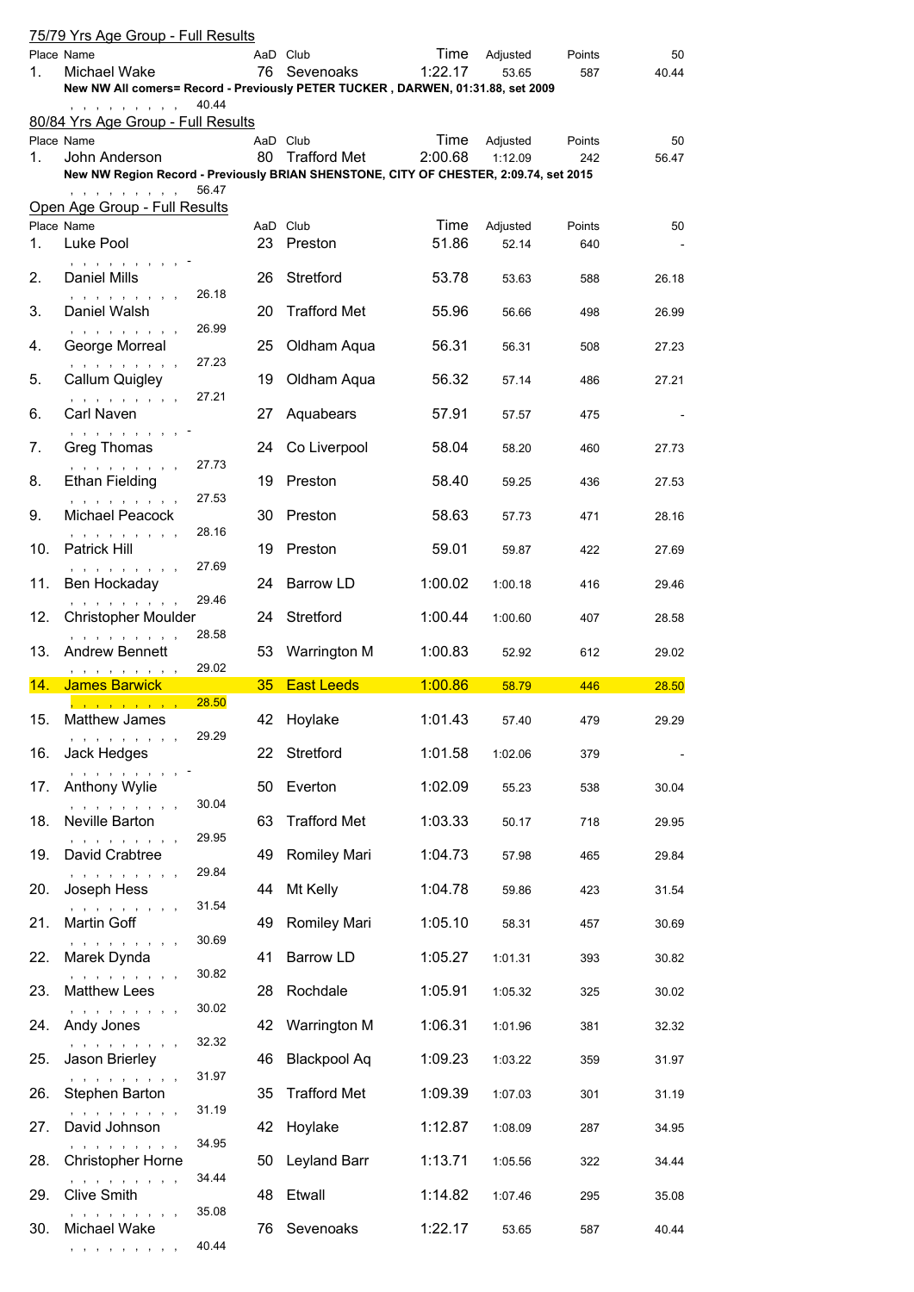|     | 75/79 Yrs Age Group - Full Results                                                                                                                                                                                                                                                     |                |    |                                 |                 |                     |               |             |
|-----|----------------------------------------------------------------------------------------------------------------------------------------------------------------------------------------------------------------------------------------------------------------------------------------|----------------|----|---------------------------------|-----------------|---------------------|---------------|-------------|
| 1.  | Place Name<br>Michael Wake                                                                                                                                                                                                                                                             |                |    | AaD Club<br>76 Sevenoaks        | Time<br>1:22.17 | Adjusted<br>53.65   | Points<br>587 | 50<br>40.44 |
|     | New NW All comers= Record - Previously PETER TUCKER, DARWEN, 01:31.88, set 2009<br>.                                                                                                                                                                                                   | 40.44          |    |                                 |                 |                     |               |             |
|     | 80/84 Yrs Age Group - Full Results                                                                                                                                                                                                                                                     |                |    |                                 |                 |                     |               |             |
| 1.  | Place Name<br>John Anderson                                                                                                                                                                                                                                                            |                | 80 | AaD Club<br><b>Trafford Met</b> | Time<br>2:00.68 | Adjusted<br>1:12.09 | Points<br>242 | 50<br>56.47 |
|     | New NW Region Record - Previously BRIAN SHENSTONE, CITY OF CHESTER, 2:09.74, set 2015                                                                                                                                                                                                  |                |    |                                 |                 |                     |               |             |
|     | , , , , , , , , ,<br>Open Age Group - Full Results                                                                                                                                                                                                                                     | 56.47          |    |                                 |                 |                     |               |             |
|     | Place Name                                                                                                                                                                                                                                                                             |                |    | AaD Club                        | Time            | Adjusted            | Points        | 50          |
| 1.  | Luke Pool<br>9. 9. 9. 9. 9. 9. 9. 9. 9. 7                                                                                                                                                                                                                                              |                | 23 | Preston                         | 51.86           | 52.14               | 640           |             |
| 2.  | Daniel Mills                                                                                                                                                                                                                                                                           | 26.18          | 26 | Stretford                       | 53.78           | 53.63               | 588           | 26.18       |
| 3.  | $\mathbf{y} = \mathbf{y} - \mathbf{y} = \mathbf{y} - \mathbf{y} = \mathbf{y} - \mathbf{y} = \mathbf{y} - \mathbf{y} = \mathbf{y}$<br>Daniel Walsh<br>$\mathbf{y} = \mathbf{y} - \mathbf{y} = \mathbf{y} - \mathbf{y} = \mathbf{y} - \mathbf{y} = \mathbf{y} - \mathbf{y} = \mathbf{y}$ | 26.99          | 20 | <b>Trafford Met</b>             | 55.96           | 56.66               | 498           | 26.99       |
| 4.  | George Morreal                                                                                                                                                                                                                                                                         | 27.23          | 25 | Oldham Aqua                     | 56.31           | 56.31               | 508           | 27.23       |
| 5.  | <b>Callum Quigley</b><br>$\mathbf{a}=\mathbf{a}=\mathbf{a}=\mathbf{a}=\mathbf{a}=\mathbf{a}=\mathbf{a}=\mathbf{a}=\mathbf{a}=\mathbf{a}$                                                                                                                                               | 27.21          | 19 | Oldham Aqua                     | 56.32           | 57.14               | 486           | 27.21       |
| 6.  | Carl Naven<br>$\mathbf{y} = \mathbf{y} - \mathbf{y} = \mathbf{y} - \mathbf{y} = \mathbf{y} - \mathbf{y} = \mathbf{y} - \mathbf{y} = \mathbf{y}$                                                                                                                                        |                | 27 | Aquabears                       | 57.91           | 57.57               | 475           |             |
| 7.  | Greg Thomas                                                                                                                                                                                                                                                                            | 27.73          | 24 | Co Liverpool                    | 58.04           | 58.20               | 460           | 27.73       |
| 8.  | <b>Ethan Fielding</b><br>, , , , , , , , ,                                                                                                                                                                                                                                             | 27.53          | 19 | Preston                         | 58.40           | 59.25               | 436           | 27.53       |
| 9.  | Michael Peacock<br>$\mathbf{y} = \mathbf{y} - \mathbf{y} = \mathbf{y} - \mathbf{y} = \mathbf{y} - \mathbf{y} = \mathbf{y} - \mathbf{y} = \mathbf{y}$                                                                                                                                   | 28.16          | 30 | Preston                         | 58.63           | 57.73               | 471           | 28.16       |
| 10. | Patrick Hill                                                                                                                                                                                                                                                                           | 27.69          | 19 | Preston                         | 59.01           | 59.87               | 422           | 27.69       |
| 11. | $1 - 1 - 1 - 1 - 1 - 1 - 1 - 1 - 1 - 1$<br>Ben Hockaday                                                                                                                                                                                                                                | 29.46          | 24 | Barrow LD                       | 1:00.02         | 1:00.18             | 416           | 29.46       |
| 12. | <b>Christopher Moulder</b>                                                                                                                                                                                                                                                             | 28.58          | 24 | Stretford                       | 1:00.44         | 1:00.60             | 407           | 28.58       |
|     |                                                                                                                                                                                                                                                                                        |                |    |                                 |                 |                     |               |             |
| 13. | $\mathbf{y} = \mathbf{y} - \mathbf{y} = \mathbf{y} - \mathbf{y} = \mathbf{y} - \mathbf{y} = \mathbf{y} - \mathbf{y} = \mathbf{y}$<br><b>Andrew Bennett</b>                                                                                                                             |                | 53 | Warrington M                    | 1:00.83         | 52.92               | 612           | 29.02       |
| 14. | $\mathbf{y} = \mathbf{y} - \mathbf{y} - \mathbf{y} = \mathbf{y} - \mathbf{y} - \mathbf{y} = \mathbf{y} - \mathbf{y} - \mathbf{y}$<br><b>James Barwick</b>                                                                                                                              | 29.02          | 35 | <b>East Leeds</b>               | 1:00.86         | 58.79               | 446           | 28.50       |
| 15. | .<br>Matthew James                                                                                                                                                                                                                                                                     | 28.50          | 42 | Hoylake                         | 1:01.43         | 57.40               | 479           | 29.29       |
| 16. | $\cdots$<br>Jack Hedges                                                                                                                                                                                                                                                                | 29.29          | 22 | Stretford                       | 1:01.58         | 1:02.06             | 379           |             |
| 17. | $1 - 1 - 1 - 1 - 1 - 1 - 1 - 1 - 1 - 1 - 1$<br>Anthony Wylie                                                                                                                                                                                                                           |                | 50 | Everton                         | 1:02.09         | 55.23               | 538           | 30.04       |
| 18. | .<br>Neville Barton                                                                                                                                                                                                                                                                    | 30.04          | 63 | <b>Trafford Met</b>             | 1:03.33         | 50.17               | 718           | 29.95       |
| 19. | $\mathbf{y} = \mathbf{y} - \mathbf{y} = \mathbf{y} - \mathbf{y} = \mathbf{y} - \mathbf{y} = \mathbf{y} - \mathbf{y} = \mathbf{y}$<br>David Crabtree                                                                                                                                    | 29.95          | 49 | Romiley Mari                    | 1:04.73         | 57.98               | 465           | 29.84       |
| 20. | $\mathbf{y} = \mathbf{y} - \mathbf{y} = \mathbf{y} - \mathbf{y} = \mathbf{y} - \mathbf{y} = \mathbf{y} - \mathbf{y} = \mathbf{y}$<br>Joseph Hess                                                                                                                                       | 29.84          | 44 | Mt Kelly                        | 1:04.78         | 59.86               | 423           | 31.54       |
| 21. | $\mathbf{y} = \mathbf{y} - \mathbf{y} = \mathbf{y} - \mathbf{y} = \mathbf{y} - \mathbf{y} = \mathbf{y} - \mathbf{y} = \mathbf{y}$<br>Martin Goff                                                                                                                                       | 31.54          | 49 | Romiley Mari                    | 1:05.10         | 58.31               | 457           | 30.69       |
| 22. | $\mathbf{y} = \mathbf{y} = \mathbf{y} = \mathbf{y} = \mathbf{y} = \mathbf{y} = \mathbf{y} = \mathbf{y} = \mathbf{y}$<br>Marek Dynda                                                                                                                                                    | 30.69          | 41 | Barrow LD                       | 1:05.27         | 1:01.31             | 393           | 30.82       |
| 23. | $\mathbf{y} = \mathbf{y} - \mathbf{y} = \mathbf{y} - \mathbf{y} = \mathbf{y} - \mathbf{y} = \mathbf{y} - \mathbf{y} = \mathbf{y}$<br><b>Matthew Lees</b>                                                                                                                               | 30.82          | 28 | Rochdale                        | 1:05.91         | 1:05.32             | 325           | 30.02       |
| 24. | .<br>Andy Jones                                                                                                                                                                                                                                                                        | 30.02          | 42 | Warrington M                    | 1:06.31         | 1:01.96             | 381           | 32.32       |
| 25. | .<br>Jason Brierley                                                                                                                                                                                                                                                                    | 32.32          | 46 | <b>Blackpool Aq</b>             | 1:09.23         | 1:03.22             | 359           | 31.97       |
| 26. | $\mathbf{y} = \mathbf{y} - \mathbf{y} = \mathbf{y} - \mathbf{y} = \mathbf{y} - \mathbf{y} = \mathbf{y} - \mathbf{y} = \mathbf{y}$<br>Stephen Barton                                                                                                                                    | 31.97          | 35 | <b>Trafford Met</b>             | 1:09.39         | 1:07.03             | 301           | 31.19       |
| 27. | $\mathbf{y} = \mathbf{y} - \mathbf{y} = \mathbf{y} - \mathbf{y} = \mathbf{y} - \mathbf{y} = \mathbf{y} - \mathbf{y} = \mathbf{y}$<br>David Johnson                                                                                                                                     | 31.19          | 42 | Hoylake                         | 1:12.87         | 1:08.09             | 287           | 34.95       |
| 28. | $\mathbf{y} = \mathbf{y} = \mathbf{y} = \mathbf{y} = \mathbf{y} = \mathbf{y} = \mathbf{y} = \mathbf{y} = \mathbf{y}$<br><b>Christopher Horne</b>                                                                                                                                       | 34.95          | 50 | Leyland Barr                    | 1:13.71         | 1:05.56             | 322           | 34.44       |
| 29. | $\mathbf{y} = \mathbf{y} - \mathbf{y} - \mathbf{y} = \mathbf{y} - \mathbf{y} - \mathbf{y} = \mathbf{y} - \mathbf{y} = \mathbf{y}$<br>Clive Smith                                                                                                                                       | 34.44          | 48 | Etwall                          | 1:14.82         | 1:07.46             | 295           | 35.08       |
| 30. | $\mathbf{y} = \mathbf{y} - \mathbf{y} = \mathbf{y} - \mathbf{y} = \mathbf{y} - \mathbf{y} = \mathbf{y} - \mathbf{y} = \mathbf{y}$<br>Michael Wake                                                                                                                                      | 35.08<br>40.44 | 76 | Sevenoaks                       | 1:22.17         | 53.65               | 587           | 40.44       |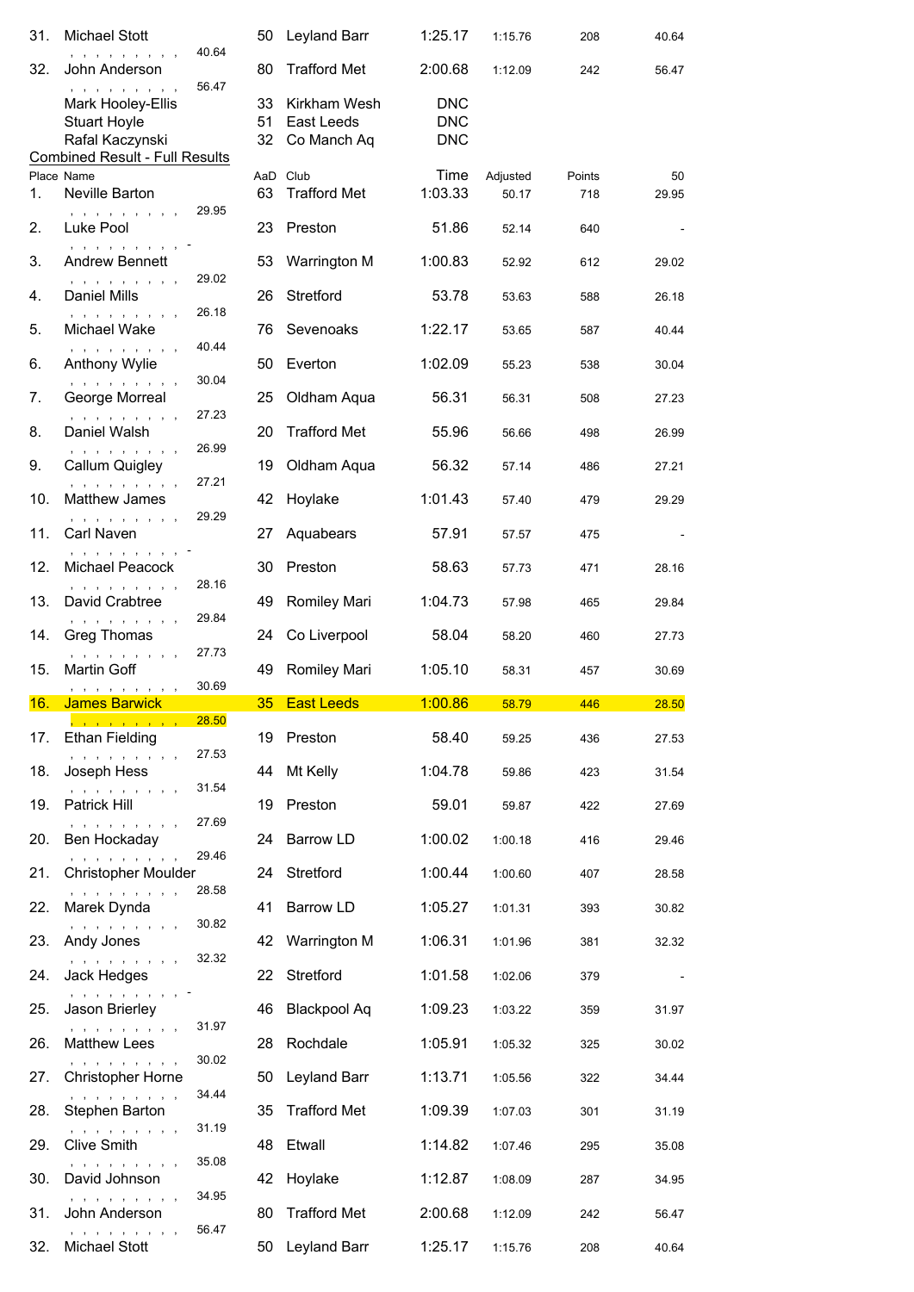| 31. | <b>Michael Stott</b>                                                                                                                                                                                                                                                                                                                                                               | 40.64          | 50              | Leyland Barr                              | 1:25.17                                | 1:15.76           | 208           | 40.64       |
|-----|------------------------------------------------------------------------------------------------------------------------------------------------------------------------------------------------------------------------------------------------------------------------------------------------------------------------------------------------------------------------------------|----------------|-----------------|-------------------------------------------|----------------------------------------|-------------------|---------------|-------------|
| 32. | $\mathbf{y} = \mathbf{y} - \mathbf{y} = \mathbf{y} - \mathbf{y} = \mathbf{y} - \mathbf{y} = \mathbf{y} - \mathbf{y} = \mathbf{y}$<br>John Anderson                                                                                                                                                                                                                                 | 56.47          | 80              | <b>Trafford Met</b>                       | 2:00.68                                | 1:12.09           | 242           | 56.47       |
|     | Mark Hooley-Ellis<br><b>Stuart Hoyle</b><br>Rafal Kaczynski                                                                                                                                                                                                                                                                                                                        |                | 33<br>51<br>32  | Kirkham Wesh<br>East Leeds<br>Co Manch Aq | <b>DNC</b><br><b>DNC</b><br><b>DNC</b> |                   |               |             |
|     | <b>Combined Result - Full Results</b>                                                                                                                                                                                                                                                                                                                                              |                |                 |                                           |                                        |                   |               |             |
| 1.  | Place Name<br>Neville Barton                                                                                                                                                                                                                                                                                                                                                       |                | 63              | AaD Club<br><b>Trafford Met</b>           | Time<br>1:03.33                        | Adjusted<br>50.17 | Points<br>718 | 50<br>29.95 |
| 2.  | $\mathbf{y} = \mathbf{y} = \mathbf{y} = \mathbf{y} = \mathbf{y} = \mathbf{y} = \mathbf{y} = \mathbf{y} = \mathbf{y}$<br>Luke Pool                                                                                                                                                                                                                                                  | 29.95          | 23              | Preston                                   | 51.86                                  | 52.14             | 640           |             |
| 3.  | $\mathbf{y} = \mathbf{y} - \mathbf{y} = \mathbf{y} - \mathbf{y} = \mathbf{y} - \mathbf{y} = \mathbf{y} - \mathbf{y} = \mathbf{y} = \mathbf{T}$<br><b>Andrew Bennett</b>                                                                                                                                                                                                            |                | 53              | Warrington M                              | 1:00.83                                | 52.92             | 612           | 29.02       |
| 4.  | $\mathbf{y} = \mathbf{y} - \mathbf{y} = \mathbf{y} - \mathbf{y} = \mathbf{y} - \mathbf{y} = \mathbf{y} - \mathbf{y} = \mathbf{y}$<br>Daniel Mills                                                                                                                                                                                                                                  | 29.02<br>26.18 | 26              | Stretford                                 | 53.78                                  | 53.63             | 588           | 26.18       |
| 5.  | $\frac{1}{2}$ , $\frac{1}{2}$ , $\frac{1}{2}$ , $\frac{1}{2}$ , $\frac{1}{2}$ , $\frac{1}{2}$ , $\frac{1}{2}$ , $\frac{1}{2}$ , $\frac{1}{2}$<br>Michael Wake                                                                                                                                                                                                                      | 40.44          | 76              | Sevenoaks                                 | 1:22.17                                | 53.65             | 587           | 40.44       |
| 6.  | , , , , , , , , ,<br>Anthony Wylie                                                                                                                                                                                                                                                                                                                                                 | 30.04          | 50              | Everton                                   | 1:02.09                                | 55.23             | 538           | 30.04       |
| 7.  | $\mathbf{y} = \mathbf{y} - \mathbf{y} = \mathbf{y} - \mathbf{y} = \mathbf{y} - \mathbf{y} = \mathbf{y} - \mathbf{y} = \mathbf{y}$<br>George Morreal<br>$1 \t1 \t1 \t1 \t1 \t1 \t1 \t1 \t1 \t1 \t1 \t1 \t1$                                                                                                                                                                         | 27.23          | 25              | Oldham Aqua                               | 56.31                                  | 56.31             | 508           | 27.23       |
| 8.  | Daniel Walsh<br>$\mathbf{y} = \mathbf{y} - \mathbf{y} = \mathbf{y} - \mathbf{y} = \mathbf{y} - \mathbf{y} = \mathbf{y} - \mathbf{y} = \mathbf{y}$                                                                                                                                                                                                                                  | 26.99          | 20              | <b>Trafford Met</b>                       | 55.96                                  | 56.66             | 498           | 26.99       |
| 9.  | Callum Quigley<br>$\mathbf{y} = \mathbf{y} - \mathbf{y} = \mathbf{y} - \mathbf{y} = \mathbf{y} - \mathbf{y} = \mathbf{y} - \mathbf{y} = \mathbf{y}$                                                                                                                                                                                                                                | 27.21          | 19              | Oldham Aqua                               | 56.32                                  | 57.14             | 486           | 27.21       |
| 10. | Matthew James                                                                                                                                                                                                                                                                                                                                                                      | 29.29          | 42              | Hoylake                                   | 1:01.43                                | 57.40             | 479           | 29.29       |
| 11. | $\mathbf{y} = \mathbf{y} - \mathbf{y} = \mathbf{y} - \mathbf{y} = \mathbf{y} - \mathbf{y} = \mathbf{y} - \mathbf{y} = \mathbf{y}$<br>Carl Naven<br>, , , , , , , , <sup>-</sup>                                                                                                                                                                                                    |                | 27              | Aquabears                                 | 57.91                                  | 57.57             | 475           |             |
| 12. | Michael Peacock<br>$\mathbf{y} = \mathbf{y} - \mathbf{y} = \mathbf{y} - \mathbf{y} = \mathbf{y} - \mathbf{y} = \mathbf{y} - \mathbf{y}$                                                                                                                                                                                                                                            | 28.16          | 30              | Preston                                   | 58.63                                  | 57.73             | 471           | 28.16       |
| 13. | David Crabtree                                                                                                                                                                                                                                                                                                                                                                     | 29.84          | 49              | Romiley Mari                              | 1:04.73                                | 57.98             | 465           | 29.84       |
| 14. | .<br>Greg Thomas                                                                                                                                                                                                                                                                                                                                                                   | 27.73          | 24              | Co Liverpool                              | 58.04                                  | 58.20             | 460           | 27.73       |
| 15. | $\mathbf{y} = \mathbf{y} - \mathbf{y} = \mathbf{y} - \mathbf{y} = \mathbf{y} - \mathbf{y} = \mathbf{y} - \mathbf{y} = \mathbf{y}$<br>Martin Goff                                                                                                                                                                                                                                   | 30.69          | 49              | Romiley Mari                              | 1:05.10                                | 58.31             | 457           | 30.69       |
|     | $\left\langle \left( \mathbf{1} \right) \left( \left( \mathbf{1} \right) \right) \left( \left( \mathbf{1} \right) \left( \left( \mathbf{1} \right) \right) \right) \left( \mathbf{1} \right) \left( \left( \mathbf{1} \right) \right) \left( \left( \mathbf{1} \right) \right) \left( \left( \mathbf{1} \right) \right) \left( \mathbf{1} \right) \right)$<br><b>James Barwick</b> |                |                 |                                           |                                        |                   |               |             |
| 16. |                                                                                                                                                                                                                                                                                                                                                                                    |                | 35 <sup>°</sup> | <b>East Leeds</b>                         | 1:00.86                                | 58.79             | 446           | 28.50       |
| 17. | <del>, , , , , , , , ,</del><br><b>Ethan Fielding</b>                                                                                                                                                                                                                                                                                                                              | 28.50          | 19              | Preston                                   | 58.40                                  | 59.25             | 436           | 27.53       |
| 18. | Joseph Hess                                                                                                                                                                                                                                                                                                                                                                        | 27.53          | 44              | Mt Kelly                                  | 1:04.78                                | 59.86             | 423           | 31.54       |
| 19. | $\mathbf{y} = \mathbf{y} - \mathbf{y} - \mathbf{y} - \mathbf{y} - \mathbf{y} - \mathbf{y} - \mathbf{y} - \mathbf{y} - \mathbf{y}$<br>Patrick Hill                                                                                                                                                                                                                                  | 31.54          | 19              | Preston                                   | 59.01                                  | 59.87             | 422           | 27.69       |
| 20. | .<br>Ben Hockaday                                                                                                                                                                                                                                                                                                                                                                  | 27.69          | 24              | Barrow LD                                 | 1:00.02                                | 1:00.18           | 416           | 29.46       |
| 21. | , , , , , , , , ,<br><b>Christopher Moulder</b>                                                                                                                                                                                                                                                                                                                                    | 29.46          | 24              | Stretford                                 | 1:00.44                                | 1:00.60           | 407           | 28.58       |
| 22. | Marek Dynda                                                                                                                                                                                                                                                                                                                                                                        | 28.58          | 41              | Barrow LD                                 | 1:05.27                                | 1:01.31           | 393           | 30.82       |
| 23. | $\mathbf{y} = \mathbf{y} - \mathbf{y} = \mathbf{y} - \mathbf{y} = \mathbf{y} - \mathbf{y} = \mathbf{y} - \mathbf{y} = \mathbf{y}$<br>Andy Jones                                                                                                                                                                                                                                    | 30.82          | 42              | Warrington M                              | 1:06.31                                | 1:01.96           | 381           | 32.32       |
| 24. | $\mathbf{y} = \mathbf{y} - \mathbf{y} = \mathbf{y} - \mathbf{y} = \mathbf{y} - \mathbf{y} = \mathbf{y} - \mathbf{y} = \mathbf{y}$<br>Jack Hedges                                                                                                                                                                                                                                   | 32.32          | 22              | Stretford                                 | 1:01.58                                | 1:02.06           | 379           |             |
| 25. | $\mathbf{y} = \mathbf{y} - \mathbf{y} = \mathbf{y} - \mathbf{y} = \mathbf{y} - \mathbf{y} = \mathbf{y} - \mathbf{y} = \mathbf{y} = \mathbf{T}$<br>Jason Brierley                                                                                                                                                                                                                   |                | 46              | <b>Blackpool Aq</b>                       | 1:09.23                                | 1:03.22           | 359           | 31.97       |
| 26. | $1 - 1 - 1 - 1 - 1 - 1 - 1 - 1 - 1$<br><b>Matthew Lees</b>                                                                                                                                                                                                                                                                                                                         | 31.97          | 28              | Rochdale                                  | 1:05.91                                | 1:05.32           | 325           | 30.02       |
| 27. | Christopher Horne                                                                                                                                                                                                                                                                                                                                                                  | 30.02          | 50              | Leyland Barr                              | 1:13.71                                | 1:05.56           | 322           | 34.44       |
| 28. | , , , , , , , , ,<br>Stephen Barton                                                                                                                                                                                                                                                                                                                                                | 34.44          | 35              | <b>Trafford Met</b>                       | 1:09.39                                | 1:07.03           | 301           | 31.19       |
| 29. | .<br><b>Clive Smith</b>                                                                                                                                                                                                                                                                                                                                                            | 31.19          | 48              | Etwall                                    | 1:14.82                                | 1:07.46           | 295           | 35.08       |
| 30. | , , , , , , , , ,<br>David Johnson                                                                                                                                                                                                                                                                                                                                                 | 35.08          | 42              | Hoylake                                   | 1:12.87                                | 1:08.09           | 287           | 34.95       |
| 31. | $\mathbf{y} = \mathbf{y} = \mathbf{y} = \mathbf{y} = \mathbf{y} = \mathbf{y} = \mathbf{y} = \mathbf{y} = \mathbf{y}$<br>John Anderson<br>$\mathbf{y} = \mathbf{y} - \mathbf{y} = \mathbf{y} - \mathbf{y} = \mathbf{y} - \mathbf{y} = \mathbf{y} - \mathbf{y} = \mathbf{y}$                                                                                                         | 34.95<br>56.47 | 80              | <b>Trafford Met</b>                       | 2:00.68                                | 1:12.09           | 242           | 56.47       |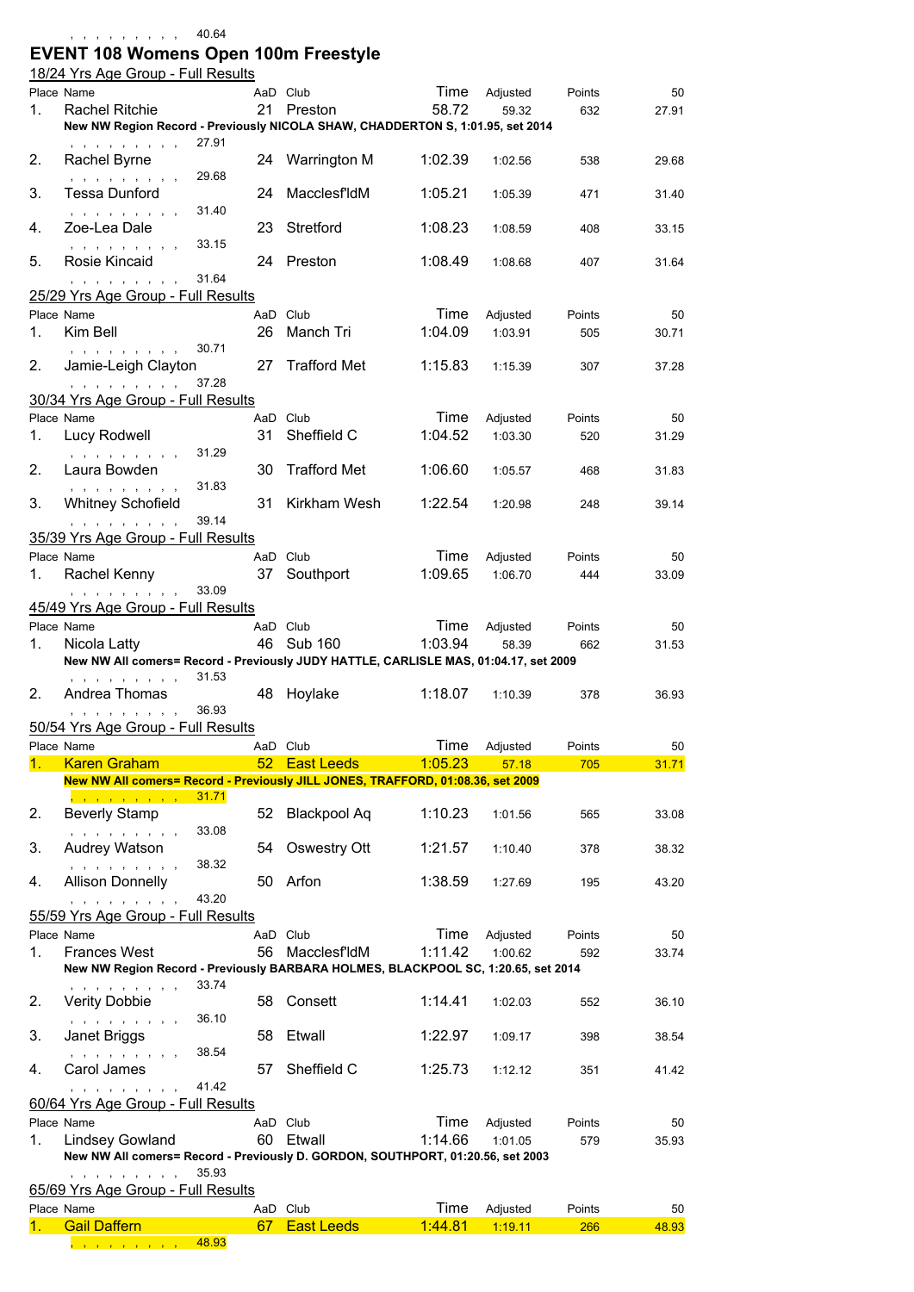#### , , , , , , , , , 40.64

#### **EVENT 108 Womens Open 100m Freestyle**

|    | <u> 18/24 Yrs Age Group - Full Results</u>                                                                                                                                                                |             |                                                                                      |         |                   |        |       |
|----|-----------------------------------------------------------------------------------------------------------------------------------------------------------------------------------------------------------|-------------|--------------------------------------------------------------------------------------|---------|-------------------|--------|-------|
|    | Place Name                                                                                                                                                                                                |             | AaD Club                                                                             | Time    | Adjusted          | Points | 50    |
| 1. | <b>Rachel Ritchie</b>                                                                                                                                                                                     | 21          | Preston                                                                              | 58.72   | 59.32             | 632    | 27.91 |
|    | New NW Region Record - Previously NICOLA SHAW, CHADDERTON S, 1:01.95, set 2014                                                                                                                            | 27.91       |                                                                                      |         |                   |        |       |
| 2. | Rachel Byrne                                                                                                                                                                                              | 24          | Warrington M                                                                         | 1:02.39 | 1:02.56           | 538    | 29.68 |
| 3. | $\mathbf{y} = \mathbf{y} - \mathbf{y} = \mathbf{y} - \mathbf{y} = \mathbf{y} - \mathbf{y} = \mathbf{y} - \mathbf{y} = \mathbf{y}$<br><b>Tessa Dunford</b>                                                 | 29.68<br>24 | <b>MacclesfldM</b>                                                                   | 1:05.21 | 1:05.39           | 471    | 31.40 |
| 4. | .<br>Zoe-Lea Dale                                                                                                                                                                                         | 31.40<br>23 | Stretford                                                                            | 1:08.23 | 1:08.59           | 408    | 33.15 |
| 5. | $\mathbf{y} = \mathbf{y} - \mathbf{y} = \mathbf{y} - \mathbf{y} = \mathbf{y} - \mathbf{y} = \mathbf{y} - \mathbf{y} = \mathbf{y}$<br>Rosie Kincaid                                                        | 33.15       | 24 Preston                                                                           | 1:08.49 | 1:08.68           | 407    | 31.64 |
|    | $\mathbf{y} = \mathbf{y} - \mathbf{y} = \mathbf{y} - \mathbf{y} = \mathbf{y} - \mathbf{y} = \mathbf{y} - \mathbf{y} = \mathbf{y}$<br>25/29 Yrs Age Group - Full Results                                   | 31.64       |                                                                                      |         |                   |        |       |
|    | Place Name                                                                                                                                                                                                |             | AaD Club                                                                             | Time    | Adjusted          | Points | 50    |
| 1. | Kim Bell                                                                                                                                                                                                  | 26          | Manch Tri                                                                            | 1:04.09 | 1:03.91           | 505    | 30.71 |
| 2. | Jamie-Leigh Clayton                                                                                                                                                                                       | 30.71<br>27 | <b>Trafford Met</b>                                                                  | 1:15.83 | 1:15.39           | 307    | 37.28 |
|    | $\mathbf{y} = \mathbf{y} - \mathbf{y} = \mathbf{y} - \mathbf{y} = \mathbf{y} - \mathbf{y} = \mathbf{y} - \mathbf{y}$<br>30/34 Yrs Age Group - Full Results                                                | 37.28       |                                                                                      |         |                   |        |       |
|    | Place Name                                                                                                                                                                                                |             | AaD Club                                                                             | Time    | Adjusted          | Points | 50    |
| 1. | Lucy Rodwell                                                                                                                                                                                              | 31          | Sheffield C                                                                          | 1:04.52 | 1:03.30           | 520    | 31.29 |
|    |                                                                                                                                                                                                           | 31.29       |                                                                                      |         |                   |        |       |
| 2. | Laura Bowden<br>.                                                                                                                                                                                         | 30<br>31.83 | <b>Trafford Met</b>                                                                  | 1:06.60 | 1:05.57           | 468    | 31.83 |
| 3. | <b>Whitney Schofield</b><br>.                                                                                                                                                                             | 31<br>39.14 | Kirkham Wesh                                                                         | 1:22.54 | 1:20.98           | 248    | 39.14 |
|    | 35/39 Yrs Age Group - Full Results                                                                                                                                                                        |             |                                                                                      |         |                   |        |       |
|    | Place Name                                                                                                                                                                                                |             | AaD Club                                                                             | Time    | Adjusted          | Points | 50    |
| 1. | Rachel Kenny<br>.                                                                                                                                                                                         | 37<br>33.09 | Southport                                                                            | 1:09.65 | 1:06.70           | 444    | 33.09 |
|    | 45/49 Yrs Age Group - Full Results                                                                                                                                                                        |             |                                                                                      |         |                   |        |       |
|    | Place Name                                                                                                                                                                                                |             | AaD Club                                                                             | Time    | Adjusted          | Points | 50    |
| 1. | Nicola Latty                                                                                                                                                                                              | 46          | Sub 160                                                                              | 1:03.94 | 58.39             | 662    | 31.53 |
|    |                                                                                                                                                                                                           |             |                                                                                      |         |                   |        |       |
|    |                                                                                                                                                                                                           |             | New NW All comers= Record - Previously JUDY HATTLE, CARLISLE MAS, 01:04.17, set 2009 |         |                   |        |       |
|    |                                                                                                                                                                                                           | 31.53       |                                                                                      |         |                   |        |       |
| 2. | Andrea Thomas                                                                                                                                                                                             | 48          | Hoylake                                                                              | 1:18.07 | 1:10.39           | 378    | 36.93 |
|    | , , , , , , , , ,                                                                                                                                                                                         | 36.93       |                                                                                      |         |                   |        |       |
|    | 50/54 Yrs Age Group - Full Results<br>Place Name                                                                                                                                                          |             | AaD Club                                                                             | Time    |                   | Points | 50    |
| 1. | <b>Karen Graham</b>                                                                                                                                                                                       |             | 52 East Leeds                                                                        | 1:05.23 | Adjusted<br>57.18 | 705    | 31.71 |
|    | New NW All comers= Record - Previously JILL JONES, TRAFFORD, 01:08.36, set 2009                                                                                                                           |             |                                                                                      |         |                   |        |       |
|    | .                                                                                                                                                                                                         | 31.71       |                                                                                      |         |                   |        |       |
| 2. | <b>Beverly Stamp</b>                                                                                                                                                                                      |             | 52 Blackpool Aq                                                                      | 1:10.23 | 1:01.56           | 565    | 33.08 |
| 3. | .<br>Audrey Watson                                                                                                                                                                                        | 33.08<br>54 | Oswestry Ott                                                                         | 1:21.57 | 1:10.40           | 378    | 38.32 |
| 4. | .<br><b>Allison Donnelly</b>                                                                                                                                                                              | 38.32       | 50 Arfon                                                                             | 1:38.59 | 1:27.69           | 195    | 43.20 |
|    | .                                                                                                                                                                                                         | 43.20       |                                                                                      |         |                   |        |       |
|    | 55/59 Yrs Age Group - Full Results                                                                                                                                                                        |             |                                                                                      |         |                   |        |       |
|    | Place Name                                                                                                                                                                                                |             | AaD Club                                                                             | Time    | Adjusted          | Points | 50    |
| 1. | <b>Frances West</b>                                                                                                                                                                                       |             | 56 MacclesfldM                                                                       | 1:11.42 | 1:00.62           | 592    | 33.74 |
|    | New NW Region Record - Previously BARBARA HOLMES, BLACKPOOL SC, 1:20.65, set 2014<br>$\mathbf{y} = \mathbf{y} = \mathbf{y} = \mathbf{y} = \mathbf{y} = \mathbf{y} = \mathbf{y} = \mathbf{y} = \mathbf{y}$ | 33.74       |                                                                                      |         |                   |        |       |
| 2. | <b>Verity Dobbie</b>                                                                                                                                                                                      | 58<br>36.10 | Consett                                                                              | 1:14.41 | 1:02.03           | 552    | 36.10 |
| 3. | $\mathbf{y} = \mathbf{y} - \mathbf{y} = \mathbf{y} - \mathbf{y} = \mathbf{y} - \mathbf{y} = \mathbf{y} - \mathbf{y} = \mathbf{y}$<br>Janet Briggs                                                         | 58          | Etwall                                                                               | 1:22.97 | 1:09.17           | 398    | 38.54 |
| 4. | $1 - 1 - 1 - 1 - 1 - 1 - 1 - 1 - 1 - 1$<br>Carol James                                                                                                                                                    | 38.54<br>57 | Sheffield C                                                                          | 1:25.73 | 1:12.12           | 351    | 41.42 |
|    | .                                                                                                                                                                                                         | 41.42       |                                                                                      |         |                   |        |       |
|    | 60/64 Yrs Age Group - Full Results<br>Place Name                                                                                                                                                          |             | AaD Club                                                                             | Time    | Adjusted          | Points | 50    |
| 1. | <b>Lindsey Gowland</b>                                                                                                                                                                                    |             | 60 Etwall                                                                            | 1:14.66 | 1:01.05           | 579    | 35.93 |
|    | New NW All comers= Record - Previously D. GORDON, SOUTHPORT, 01:20.56, set 2003                                                                                                                           |             |                                                                                      |         |                   |        |       |
|    |                                                                                                                                                                                                           | 35.93       |                                                                                      |         |                   |        |       |
|    | 65/69 Yrs Age Group - Full Results                                                                                                                                                                        |             |                                                                                      |         |                   |        |       |
|    | Place Name                                                                                                                                                                                                |             | AaD Club                                                                             | Time    | Adjusted          | Points | 50    |
| 1. | <b>Gail Daffern</b><br>, , , , , , , ,                                                                                                                                                                    | 48.93       | 67 East Leeds                                                                        | 1:44.81 | 1:19.11           | 266    | 48.93 |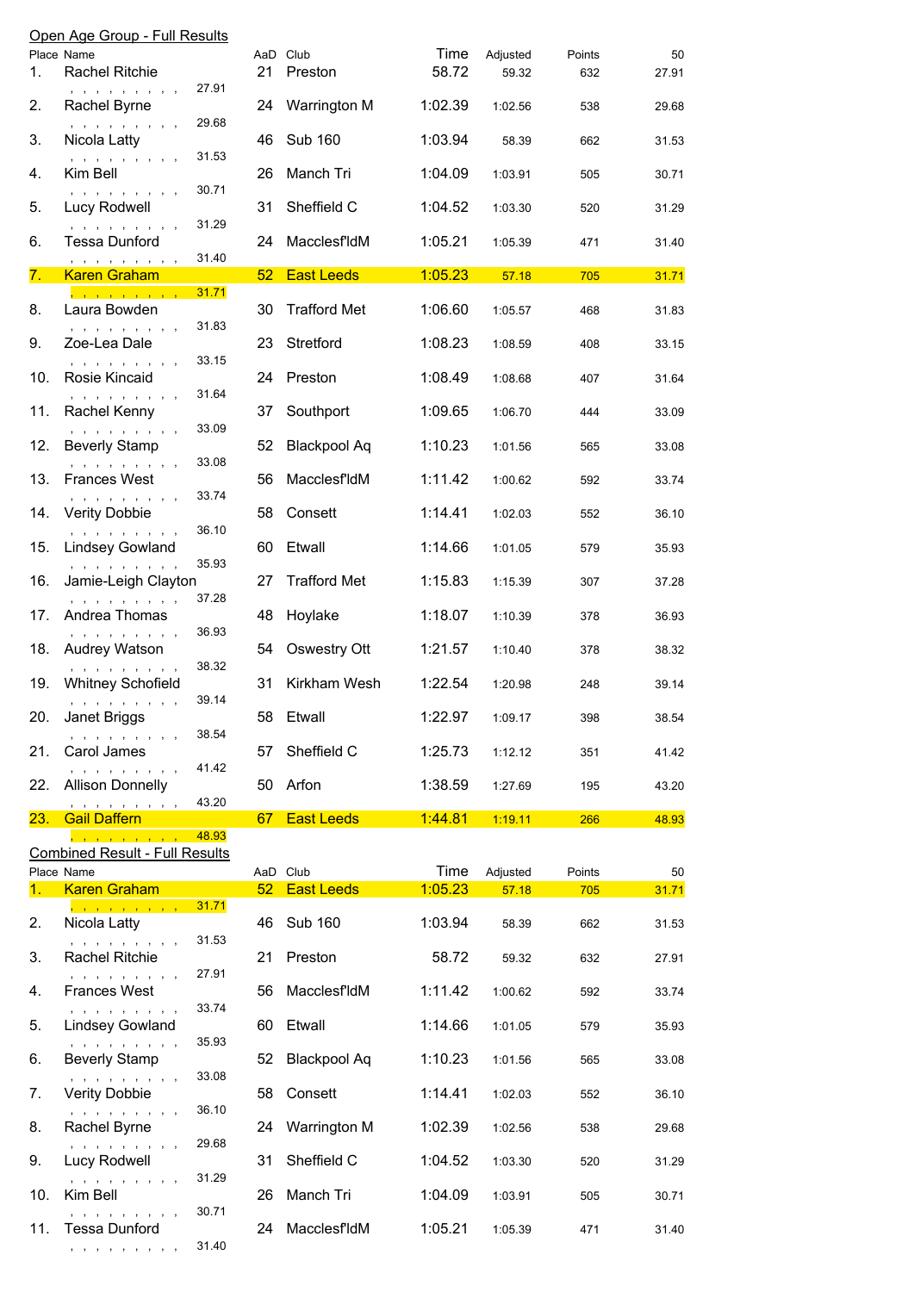|                | Open Age Group - Full Results                                                                                                                                                              |                |                 |                           |               |                   |               |             |
|----------------|--------------------------------------------------------------------------------------------------------------------------------------------------------------------------------------------|----------------|-----------------|---------------------------|---------------|-------------------|---------------|-------------|
| 1.             | Place Name<br><b>Rachel Ritchie</b>                                                                                                                                                        | 27.91          | 21              | AaD Club<br>Preston       | Time<br>58.72 | Adjusted<br>59.32 | Points<br>632 | 50<br>27.91 |
| 2.             | $\mathbf{y} = \mathbf{y} - \mathbf{y} = \mathbf{y} - \mathbf{y} = \mathbf{y} - \mathbf{y} = \mathbf{y} - \mathbf{y} = \mathbf{y}$<br>Rachel Byrne                                          | 29.68          | 24              | Warrington M              | 1:02.39       | 1:02.56           | 538           | 29.68       |
| 3.             | $\mathbf{y} = \mathbf{y} - \mathbf{y} = \mathbf{y} - \mathbf{y} = \mathbf{y} - \mathbf{y} = \mathbf{y} - \mathbf{y} = \mathbf{y}$<br>Nicola Latty                                          | 31.53          | 46              | <b>Sub 160</b>            | 1:03.94       | 58.39             | 662           | 31.53       |
| 4.             | $\mathbf{y} = \mathbf{y} - \mathbf{y} = \mathbf{y} - \mathbf{y} = \mathbf{y} - \mathbf{y} = \mathbf{y} - \mathbf{y} = \mathbf{y}$<br>Kim Bell                                              | 30.71          | 26              | Manch Tri                 | 1:04.09       | 1:03.91           | 505           | 30.71       |
| 5.             | .<br>Lucy Rodwell                                                                                                                                                                          | 31.29          | 31              | Sheffield C               | 1:04.52       | 1:03.30           | 520           | 31.29       |
| 6.             | $\mathbf{y} = \mathbf{y} - \mathbf{y} = \mathbf{y} - \mathbf{y} = \mathbf{y} - \mathbf{y} = \mathbf{y} - \mathbf{y} = \mathbf{y}$<br><b>Tessa Dunford</b>                                  | 31.40          | 24              | Macclesf <sup>'</sup> IdM | 1:05.21       | 1:05.39           | 471           | 31.40       |
| 7.             | $\mathbf{y} = \mathbf{y} - \mathbf{y} - \mathbf{y} = \mathbf{y} - \mathbf{y} - \mathbf{y} = \mathbf{y} - \mathbf{y} - \mathbf{y}$<br><b>Karen Graham</b>                                   |                | 52              | <b>East Leeds</b>         | 1:05.23       | 57.18             | 705           | 31.71       |
| 8.             | Laura Bowden                                                                                                                                                                               | 31.71          | 30              | <b>Trafford Met</b>       | 1:06.60       | 1:05.57           | 468           | 31.83       |
| 9.             | $\mathbf{y} = \mathbf{y} = \mathbf{y} = \mathbf{y} = \mathbf{y} = \mathbf{y} = \mathbf{y} = \mathbf{y} = \mathbf{y}$<br>Zoe-Lea Dale                                                       | 31.83          | 23              | Stretford                 | 1:08.23       | 1:08.59           | 408           | 33.15       |
| 10.            | $\mathbf{y} = \mathbf{y} - \mathbf{y} = \mathbf{y} - \mathbf{y} = \mathbf{y} - \mathbf{y} = \mathbf{y} - \mathbf{y} = \mathbf{y}$<br>Rosie Kincaid                                         | 33.15          | 24              | Preston                   | 1:08.49       | 1:08.68           | 407           | 31.64       |
| 11.            | $\mathbf{y} = \mathbf{y} - \mathbf{y} = \mathbf{y} - \mathbf{y} = \mathbf{y} - \mathbf{y} = \mathbf{y} - \mathbf{y} = \mathbf{y}$<br>Rachel Kenny                                          | 31.64          | 37              | Southport                 | 1:09.65       | 1:06.70           | 444           | 33.09       |
| 12.            | , , , , , , , , ,<br><b>Beverly Stamp</b>                                                                                                                                                  | 33.09          | 52              | <b>Blackpool Aq</b>       | 1:10.23       | 1:01.56           | 565           | 33.08       |
| 13.            | .<br><b>Frances West</b>                                                                                                                                                                   | 33.08          | 56              | <b>MacclesfldM</b>        | 1:11.42       | 1:00.62           | 592           | 33.74       |
| 14.            | .<br><b>Verity Dobbie</b>                                                                                                                                                                  | 33.74          | 58              | Consett                   | 1:14.41       | 1:02.03           | 552           | 36.10       |
| 15.            | <b>Lindsey Gowland</b>                                                                                                                                                                     | 36.10<br>35.93 | 60              | Etwall                    | 1:14.66       | 1:01.05           | 579           | 35.93       |
| 16.            | $\mathbf{y} = \mathbf{y} - \mathbf{y} = \mathbf{y} - \mathbf{y} = \mathbf{y} - \mathbf{y} = \mathbf{y} - \mathbf{y} = \mathbf{y}$<br>Jamie-Leigh Clayton                                   | 37.28          | 27              | <b>Trafford Met</b>       | 1:15.83       | 1:15.39           | 307           | 37.28       |
| 17.            | $\mathbf{y} = \mathbf{y} - \mathbf{y} = \mathbf{y} - \mathbf{y} = \mathbf{y} - \mathbf{y} = \mathbf{y} - \mathbf{y} = \mathbf{y}$<br>Andrea Thomas                                         | 36.93          | 48              | Hoylake                   | 1:18.07       | 1:10.39           | 378           | 36.93       |
| 18.            | $\mathbf{y} = \mathbf{y} - \mathbf{y} = \mathbf{y} - \mathbf{y} = \mathbf{y} - \mathbf{y} = \mathbf{y} - \mathbf{y} = \mathbf{y}$<br>Audrey Watson                                         | 38.32          | 54              | Oswestry Ott              | 1:21.57       | 1:10.40           | 378           | 38.32       |
| 19.            | .<br><b>Whitney Schofield</b>                                                                                                                                                              | 39.14          | 31              | Kirkham Wesh              | 1:22.54       | 1:20.98           | 248           | 39.14       |
| 20.            | .<br>Janet Briggs                                                                                                                                                                          | 38.54          |                 | 58 Etwall                 | 1:22.97       | 1:09.17           | 398           | 38.54       |
| 21.            | .<br>Carol James                                                                                                                                                                           | 41.42          | 57              | Sheffield C               | 1:25.73       | 1:12.12           | 351           | 41.42       |
| 22.            | $\mathbf{y} = \mathbf{y} - \mathbf{y} = \mathbf{y} - \mathbf{y} = \mathbf{y} - \mathbf{y} = \mathbf{y} - \mathbf{y} = \mathbf{y}$<br><b>Allison Donnelly</b><br>contractors and a state of | 43.20          | 50              | Arfon                     | 1:38.59       | 1:27.69           | 195           | 43.20       |
| 23.            | <b>Gail Daffern</b>                                                                                                                                                                        |                | 67.             | <b>East Leeds</b>         | 1:44.81       | 1:19.11           | 266           | 48.93       |
|                | <b>Combined Result - Full Results</b>                                                                                                                                                      | 48.93          |                 |                           |               |                   |               |             |
|                | Place Name                                                                                                                                                                                 |                |                 | AaD Club                  | Time          | Adjusted          | Points        | 50          |
| 1 <sub>1</sub> | <b>Karen Graham</b><br>$\frac{1}{2}$ , $\frac{1}{2}$ , $\frac{1}{2}$ , $\frac{1}{2}$ , $\frac{1}{2}$ , $\frac{1}{2}$ , $\frac{1}{2}$                                                       | 31.71          | 52 <sub>2</sub> | <b>East Leeds</b>         | 1:05.23       | 57.18             | 705           | 31.71       |
| 2.             | Nicola Latty                                                                                                                                                                               | 31.53          | 46              | <b>Sub 160</b>            | 1:03.94       | 58.39             | 662           | 31.53       |
| 3.             | Rachel Ritchie<br>$\begin{array}{cccccccccccccc} \bullet & \bullet & \bullet & \bullet & \bullet & \bullet & \bullet & \bullet & \bullet & \bullet & \bullet \end{array}$                  | 27.91          | 21              | Preston                   | 58.72         | 59.32             | 632           | 27.91       |
| 4.             | <b>Frances West</b><br>.                                                                                                                                                                   | 33.74          | 56              | MacclesfldM               | 1:11.42       | 1:00.62           | 592           | 33.74       |
| 5.             | <b>Lindsey Gowland</b><br>, , , , , , , , ,                                                                                                                                                | 35.93          | 60              | Etwall                    | 1:14.66       | 1:01.05           | 579           | 35.93       |
| 6.             | <b>Beverly Stamp</b><br>$\mathbf{y} = \mathbf{y} - \mathbf{y} = \mathbf{y} - \mathbf{y} = \mathbf{y} - \mathbf{y} = \mathbf{y} - \mathbf{y} = \mathbf{y}$                                  | 33.08          | 52              | <b>Blackpool Aq</b>       | 1:10.23       | 1:01.56           | 565           | 33.08       |
| 7.             | <b>Verity Dobbie</b><br>.                                                                                                                                                                  | 36.10          | 58              | Consett                   | 1:14.41       | 1:02.03           | 552           | 36.10       |
| 8.             | Rachel Byrne<br>$\mathbf{y} = \mathbf{y} - \mathbf{y} = \mathbf{y} - \mathbf{y} = \mathbf{y} - \mathbf{y} = \mathbf{y} - \mathbf{y} = \mathbf{y}$                                          | 29.68          | 24              | Warrington M              | 1:02.39       | 1:02.56           | 538           | 29.68       |
| 9.             | Lucy Rodwell<br>$\mathbf{y} = \mathbf{y} - \mathbf{y} - \mathbf{y} = \mathbf{y} - \mathbf{y} - \mathbf{y} = \mathbf{y} - \mathbf{y} = \mathbf{y}$                                          | 31.29          | 31              | Sheffield C               | 1:04.52       | 1:03.30           | 520           | 31.29       |
| 10.            | Kim Bell<br>$\begin{array}{cccccccccccccc} \bullet & \bullet & \bullet & \bullet & \bullet & \bullet & \bullet & \bullet & \bullet & \bullet \end{array}$                                  | 30.71          | 26              | Manch Tri                 | 1:04.09       | 1:03.91           | 505           | 30.71       |
| 11.            | <b>Tessa Dunford</b><br>, , , , , , ,                                                                                                                                                      | 31.40          | 24              | MacclesfldM               | 1:05.21       | 1:05.39           | 471           | 31.40       |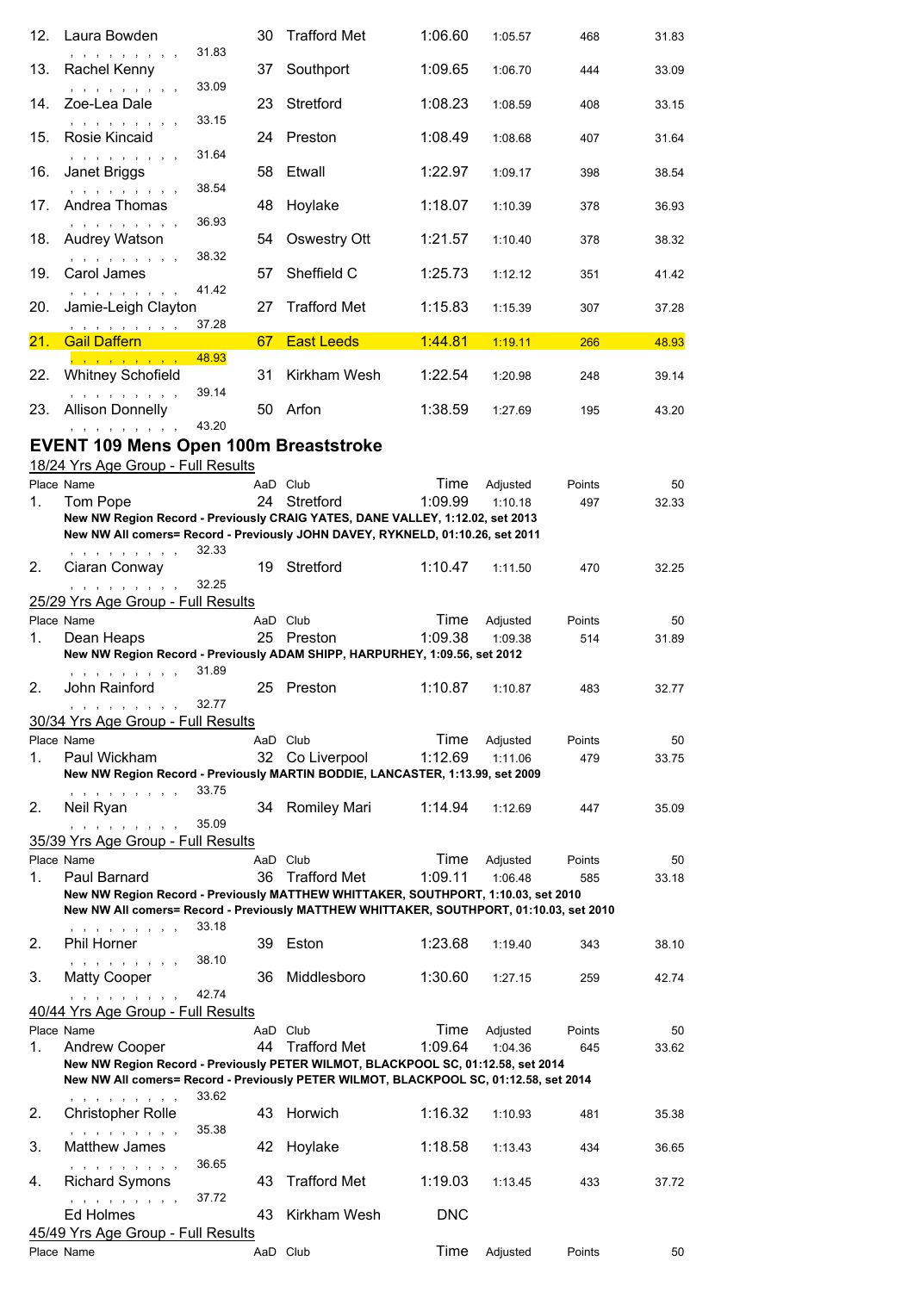| 12. | Laura Bowden                                                                                                                                                              |       | 30   | <b>Trafford Met</b> | 1:06.60    | 1:05.57             | 468           | 31.83 |
|-----|---------------------------------------------------------------------------------------------------------------------------------------------------------------------------|-------|------|---------------------|------------|---------------------|---------------|-------|
| 13. | $\mathbf{y} = \mathbf{y} - \mathbf{y} = \mathbf{y} - \mathbf{y} = \mathbf{y} - \mathbf{y} = \mathbf{y} - \mathbf{y} = \mathbf{y}$<br>Rachel Kenny                         | 31.83 | 37   | Southport           | 1:09.65    | 1:06.70             | 444           | 33.09 |
| 14. | $\mathbf{y} = \mathbf{y} - \mathbf{y} - \mathbf{y} = \mathbf{y} - \mathbf{y} - \mathbf{y} = \mathbf{y} - \mathbf{y} = \mathbf{y}$<br>Zoe-Lea Dale                         | 33.09 | 23   | Stretford           | 1:08.23    | 1:08.59             | 408           | 33.15 |
| 15. | $\mathbf{y} = \mathbf{y} = \mathbf{y} = \mathbf{y} = \mathbf{y} = \mathbf{y} = \mathbf{y} = \mathbf{y} = \mathbf{y}$<br>Rosie Kincaid                                     | 33.15 | 24   | Preston             | 1:08.49    | 1:08.68             | 407           | 31.64 |
| 16. | $\mathbf{y} = \mathbf{y} - \mathbf{y} = \mathbf{y} - \mathbf{y} = \mathbf{y} - \mathbf{y} = \mathbf{y} - \mathbf{y} = \mathbf{y}$<br>Janet Briggs                         | 31.64 | 58   | Etwall              | 1:22.97    | 1:09.17             | 398           | 38.54 |
| 17. | $1 - 1 - 1 - 1 - 1 - 1 - 1 - 1 - 1$<br>Andrea Thomas                                                                                                                      | 38.54 | 48   | Hoylake             | 1:18.07    | 1:10.39             | 378           | 36.93 |
| 18. | .<br>Audrey Watson                                                                                                                                                        | 36.93 | 54   | Oswestry Ott        | 1:21.57    | 1:10.40             | 378           | 38.32 |
| 19. | $\mathbf{y} = \mathbf{y} - \mathbf{y} = \mathbf{y} - \mathbf{y} = \mathbf{y} - \mathbf{y} = \mathbf{y} - \mathbf{y} = \mathbf{y}$<br>Carol James                          | 38.32 | 57   | Sheffield C         | 1:25.73    | 1:12.12             | 351           | 41.42 |
| 20. | .<br>Jamie-Leigh Clayton                                                                                                                                                  | 41.42 | 27   | <b>Trafford Met</b> | 1:15.83    | 1:15.39             | 307           | 37.28 |
| 21. | $\mathbf{y} = \mathbf{y} - \mathbf{y} = \mathbf{y} - \mathbf{y} = \mathbf{y} - \mathbf{y} = \mathbf{y} - \mathbf{y} = \mathbf{y}$<br><b>Gail Daffern</b>                  | 37.28 | 67   | <b>East Leeds</b>   | 1:44.81    | 1:19.11             | 266           | 48.93 |
| 22. | .<br><b>Whitney Schofield</b>                                                                                                                                             | 48.93 | 31   | Kirkham Wesh        | 1:22.54    | 1:20.98             | 248           | 39.14 |
| 23. | .<br><b>Allison Donnelly</b>                                                                                                                                              | 39.14 | 50   | Arfon               | 1:38.59    | 1:27.69             | 195           | 43.20 |
|     | $\mathbf{y} = \mathbf{y} - \mathbf{y} = \mathbf{y} - \mathbf{y} = \mathbf{y} - \mathbf{y} = \mathbf{y} - \mathbf{y} = \mathbf{y}$                                         | 43.20 |      |                     |            |                     |               |       |
|     | <b>EVENT 109 Mens Open 100m Breaststroke</b><br>18/24 Yrs Age Group - Full Results                                                                                        |       |      |                     |            |                     |               |       |
|     | Place Name                                                                                                                                                                |       |      | AaD Club            | Time       | Adjusted            | Points        | 50    |
| 1.  | Tom Pope                                                                                                                                                                  |       |      | 24 Stretford        | 1:09.99    | 1:10.18             | 497           | 32.33 |
|     | New NW Region Record - Previously CRAIG YATES, DANE VALLEY, 1:12.02, set 2013                                                                                             |       |      |                     |            |                     |               |       |
|     | New NW All comers= Record - Previously JOHN DAVEY, RYKNELD, 01:10.26, set 2011                                                                                            |       |      |                     |            |                     |               |       |
| 2.  | $\mathbf{y} = \mathbf{y} - \mathbf{y} = \mathbf{y} - \mathbf{y} = \mathbf{y} - \mathbf{y} = \mathbf{y} - \mathbf{y} = \mathbf{y}$<br>Ciaran Conway                        | 32.33 | 19 - | Stretford           | 1:10.47    | 1:11.50             | 470           | 32.25 |
|     |                                                                                                                                                                           | 32.25 |      |                     |            |                     |               |       |
|     | 25/29 Yrs Age Group - Full Results<br>Place Name                                                                                                                          |       |      | AaD Club            | Time       | Adjusted            | Points        | 50    |
| 1.  | Dean Heaps                                                                                                                                                                |       |      | 25 Preston          | 1:09.38    | 1:09.38             | 514           | 31.89 |
|     | New NW Region Record - Previously ADAM SHIPP, HARPURHEY, 1:09.56, set 2012                                                                                                |       |      |                     |            |                     |               |       |
|     |                                                                                                                                                                           | 31.89 |      |                     |            |                     |               |       |
| 2.  | John Rainford<br>$\mathbf{a} = \mathbf{a} + \mathbf{a} + \mathbf{a} + \mathbf{a} + \mathbf{a} + \mathbf{a} + \mathbf{a} + \mathbf{a} + \mathbf{a}$                        | 32.77 | 25   | Preston             | 1:10.87    | 1:10.87             | 483           | 32.77 |
|     | 30/34 Yrs Age Group - Full Results                                                                                                                                        |       |      |                     |            |                     |               |       |
|     | Place Name                                                                                                                                                                |       |      | AaD Club            | Time       | Adjusted            | Points        | 50    |
| 1.  | Paul Wickham<br>New NW Region Record - Previously MARTIN BODDIE, LANCASTER, 1:13.99, set 2009                                                                             |       | 32   | Co Liverpool        | 1:12.69    | 1:11.06             | 479           | 33.75 |
|     |                                                                                                                                                                           | 33.75 |      |                     |            |                     |               |       |
| 2.  | Neil Ryan                                                                                                                                                                 |       |      | 34 Romiley Mari     | 1:14.94    | 1:12.69             | 447           | 35.09 |
|     | $\mathbf{y} = \mathbf{y} - \mathbf{y} = \mathbf{y} - \mathbf{y} = \mathbf{y} - \mathbf{y} = \mathbf{y} - \mathbf{y} = \mathbf{y}$                                         | 35.09 |      |                     |            |                     |               |       |
|     | 35/39 Yrs Age Group - Full Results<br>Place Name                                                                                                                          |       |      | AaD Club            | Time       |                     |               | 50    |
| 1.  | Paul Barnard                                                                                                                                                              |       | 36   | <b>Trafford Met</b> | 1:09.11    | Adjusted<br>1:06.48 | Points<br>585 | 33.18 |
|     | New NW Region Record - Previously MATTHEW WHITTAKER, SOUTHPORT, 1:10.03, set 2010                                                                                         |       |      |                     |            |                     |               |       |
|     | New NW All comers= Record - Previously MATTHEW WHITTAKER, SOUTHPORT, 01:10.03, set 2010                                                                                   |       |      |                     |            |                     |               |       |
| 2.  | $\mathbf{y} = \mathbf{y} - \mathbf{y} = \mathbf{y} - \mathbf{y} = \mathbf{y} - \mathbf{y} = \mathbf{y} - \mathbf{y} = \mathbf{y}$<br>Phil Horner                          | 33.18 | 39   | Eston               | 1:23.68    | 1:19.40             | 343           | 38.10 |
| 3.  | <b>Matty Cooper</b>                                                                                                                                                       | 38.10 | 36   | Middlesboro         | 1:30.60    | 1:27.15             | 259           | 42.74 |
|     | $\mathbf{y} = \mathbf{y} - \mathbf{y} = \mathbf{y} - \mathbf{y} = \mathbf{y} - \mathbf{y} = \mathbf{y} - \mathbf{y} = \mathbf{y}$<br>40/44 Yrs Age Group - Full Results   | 42.74 |      |                     |            |                     |               |       |
|     | Place Name                                                                                                                                                                |       |      | AaD Club            | Time       | Adjusted            | Points        | 50    |
| 1.  | <b>Andrew Cooper</b>                                                                                                                                                      |       | 44   | <b>Trafford Met</b> | 1:09.64    | 1:04.36             | 645           | 33.62 |
|     | New NW Region Record - Previously PETER WILMOT, BLACKPOOL SC, 01:12.58, set 2014<br>New NW All comers= Record - Previously PETER WILMOT, BLACKPOOL SC, 01:12.58, set 2014 |       |      |                     |            |                     |               |       |
|     | .                                                                                                                                                                         | 33.62 |      |                     |            |                     |               |       |
| 2.  | <b>Christopher Rolle</b>                                                                                                                                                  | 35.38 | 43   | Horwich             | 1:16.32    | 1:10.93             | 481           | 35.38 |
| 3.  | <b>Matthew James</b>                                                                                                                                                      | 36.65 | 42   | Hoylake             | 1:18.58    | 1:13.43             | 434           | 36.65 |
| 4.  | .<br><b>Richard Symons</b>                                                                                                                                                | 37.72 | 43   | <b>Trafford Met</b> | 1:19.03    | 1:13.45             | 433           | 37.72 |
|     | Ed Holmes                                                                                                                                                                 |       | 43   | Kirkham Wesh        | <b>DNC</b> |                     |               |       |
|     | 45/49 Yrs Age Group - Full Results                                                                                                                                        |       |      |                     |            |                     |               |       |
|     | Place Name                                                                                                                                                                |       |      | AaD Club            | Time       | Adjusted            | Points        | 50    |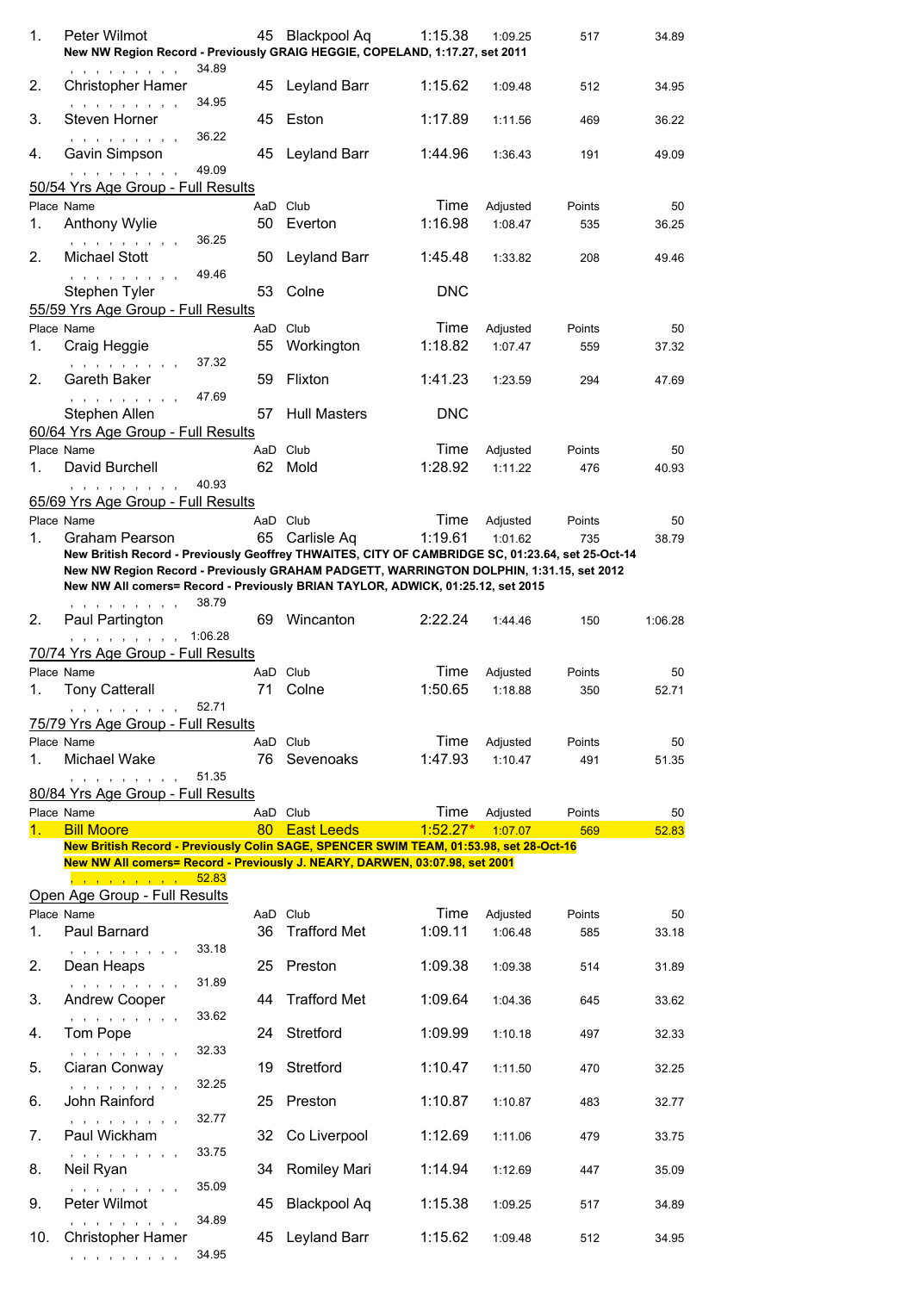| 1.         | Peter Wilmot<br>New NW Region Record - Previously GRAIG HEGGIE, COPELAND, 1:17.27, set 2011                                                                                                                                                                                             | 34.89                | 45 Blackpool Aq        | 1:15.38         | 1:09.25             | 517           | 34.89       |
|------------|-----------------------------------------------------------------------------------------------------------------------------------------------------------------------------------------------------------------------------------------------------------------------------------------|----------------------|------------------------|-----------------|---------------------|---------------|-------------|
| 2.         | $\mathbf{y} = \mathbf{y} - \mathbf{y} = \mathbf{y} - \mathbf{y} = \mathbf{y} - \mathbf{y} = \mathbf{y} - \mathbf{y}$<br>Christopher Hamer<br>$\mathbf{y} = \mathbf{y} = \mathbf{y} = \mathbf{y} = \mathbf{y} = \mathbf{y} = \mathbf{y} = \mathbf{y} = \mathbf{y}$                       | 45<br>34.95          | Leyland Barr           | 1:15.62         | 1:09.48             | 512           | 34.95       |
| 3.         | <b>Steven Horner</b>                                                                                                                                                                                                                                                                    | 45<br>36.22          | Eston                  | 1:17.89         | 1:11.56             | 469           | 36.22       |
| 4.         | $\mathbf{y} = \mathbf{y} - \mathbf{y} = \mathbf{y} - \mathbf{y} = \mathbf{y} - \mathbf{y} = \mathbf{y} - \mathbf{y} = \mathbf{y}$<br>Gavin Simpson<br>$\mathbf{y} = \mathbf{y} - \mathbf{y} = \mathbf{y} - \mathbf{y} = \mathbf{y} - \mathbf{y} = \mathbf{y} - \mathbf{y} = \mathbf{y}$ | 45<br>49.09          | Leyland Barr           | 1:44.96         | 1:36.43             | 191           | 49.09       |
|            | 50/54 Yrs Age Group - Full Results                                                                                                                                                                                                                                                      |                      |                        |                 |                     |               |             |
| 1.         | Place Name<br>Anthony Wylie                                                                                                                                                                                                                                                             | 50                   | AaD Club<br>Everton    | Time<br>1:16.98 | Adjusted<br>1:08.47 | Points<br>535 | 50<br>36.25 |
| 2.         | , , , , , , , , ,<br>Michael Stott<br>.                                                                                                                                                                                                                                                 | 36.25<br>50<br>49.46 | <b>Leyland Barr</b>    | 1:45.48         | 1:33.82             | 208           | 49.46       |
|            | Stephen Tyler                                                                                                                                                                                                                                                                           | 53                   | Colne                  | <b>DNC</b>      |                     |               |             |
|            | 55/59 Yrs Age Group - Full Results                                                                                                                                                                                                                                                      |                      |                        |                 |                     |               |             |
| 1.         | Place Name<br>Craig Heggie                                                                                                                                                                                                                                                              | 55                   | AaD Club<br>Workington | Time<br>1:18.82 | Adjusted<br>1:07.47 | Points<br>559 | 50<br>37.32 |
| 2.         | , , , , , , , , , ,<br><b>Gareth Baker</b><br>$\mathbf{y} = \mathbf{y} - \mathbf{y} = \mathbf{y} - \mathbf{y} = \mathbf{y} - \mathbf{y} = \mathbf{y} - \mathbf{y} = \mathbf{y}$                                                                                                         | 37.32<br>59<br>47.69 | Flixton                | 1:41.23         | 1:23.59             | 294           | 47.69       |
|            | Stephen Allen<br>60/64 Yrs Age Group - Full Results                                                                                                                                                                                                                                     | 57                   | <b>Hull Masters</b>    | <b>DNC</b>      |                     |               |             |
|            | Place Name                                                                                                                                                                                                                                                                              |                      | AaD Club               | Time            | Adjusted            | Points        | 50          |
| 1.         | David Burchell                                                                                                                                                                                                                                                                          | 62                   | Mold                   | 1:28.92         | 1:11.22             | 476           | 40.93       |
|            | .<br>65/69 Yrs Age Group - Full Results                                                                                                                                                                                                                                                 | 40.93                |                        |                 |                     |               |             |
|            | Place Name                                                                                                                                                                                                                                                                              |                      | AaD Club               | Time            | Adjusted            | Points        | 50          |
| 1.         | Graham Pearson                                                                                                                                                                                                                                                                          | 65                   | Carlisle Aq            | 1:19.61         | 1:01.62             | 735           | 38.79       |
|            | New British Record - Previously Geoffrey THWAITES, CITY OF CAMBRIDGE SC, 01:23.64, set 25-Oct-14<br>New NW Region Record - Previously GRAHAM PADGETT, WARRINGTON DOLPHIN, 1:31.15, set 2012                                                                                             |                      |                        |                 |                     |               |             |
|            | New NW All comers= Record - Previously BRIAN TAYLOR, ADWICK, 01:25.12, set 2015                                                                                                                                                                                                         |                      |                        |                 |                     |               |             |
|            |                                                                                                                                                                                                                                                                                         | 38.79                |                        |                 |                     |               |             |
| 2.         | Paul Partington                                                                                                                                                                                                                                                                         | 1:06.28              | 69 Wincanton           | 2:22.24         | 1:44.46             | 150           | 1:06.28     |
|            | 70/74 Yrs Age Group - Full Results                                                                                                                                                                                                                                                      |                      |                        |                 |                     |               |             |
|            | Place Name                                                                                                                                                                                                                                                                              |                      | AaD Club               | Time            | Adjusted            | Points        | 50          |
| 1.         | <b>Tony Catterall</b>                                                                                                                                                                                                                                                                   | 71<br>52.71          | Colne                  | 1:50.65         | 1:18.88             | 350           | 52.71       |
|            | 75/79 Yrs Age Group - Full Results                                                                                                                                                                                                                                                      |                      |                        |                 |                     |               |             |
| Place Name |                                                                                                                                                                                                                                                                                         |                      |                        |                 |                     | Points        | 50          |
|            |                                                                                                                                                                                                                                                                                         |                      | AaD Club               | Time            | Adjusted            | 491           |             |
| 1.         | Michael Wake                                                                                                                                                                                                                                                                            | 76<br>51.35          | Sevenoaks              | 1:47.93         | 1:10.47             |               | 51.35       |
|            | .<br>80/84 Yrs Age Group - Full Results                                                                                                                                                                                                                                                 |                      |                        |                 |                     |               |             |
|            | Place Name                                                                                                                                                                                                                                                                              |                      | AaD Club               | Time            | Adjusted            | Points        | 50          |
| 1.         | <b>Bill Moore</b>                                                                                                                                                                                                                                                                       |                      | 80 East Leeds          | $1:52.27*$      | 1:07.07             | 569           | 52.83       |
|            | New British Record - Previously Colin SAGE, SPENCER SWIM TEAM, 01:53.98, set 28-Oct-16<br>New NW All comers= Record - Previously J. NEARY, DARWEN, 03:07.98, set 2001                                                                                                                   |                      |                        |                 |                     |               |             |
|            | .                                                                                                                                                                                                                                                                                       | 52.83                |                        |                 |                     |               |             |
|            | Open Age Group - Full Results<br>Place Name                                                                                                                                                                                                                                             |                      | AaD Club               |                 |                     |               | 50          |
| 1.         | Paul Barnard                                                                                                                                                                                                                                                                            | 36<br>33.18          | <b>Trafford Met</b>    | Time<br>1:09.11 | Adjusted<br>1:06.48 | Points<br>585 | 33.18       |
| 2.         | .<br>Dean Heaps<br>.                                                                                                                                                                                                                                                                    | 25<br>31.89          | Preston                | 1:09.38         | 1:09.38             | 514           | 31.89       |
| 3.         | <b>Andrew Cooper</b><br>$\mathbf{y} = \mathbf{y} - \mathbf{y} = \mathbf{y} - \mathbf{y} = \mathbf{y} - \mathbf{y} = \mathbf{y} - \mathbf{y} = \mathbf{y}$                                                                                                                               | 44<br>33.62          | <b>Trafford Met</b>    | 1:09.64         | 1:04.36             | 645           | 33.62       |
| 4.         | Tom Pope                                                                                                                                                                                                                                                                                | 24                   | Stretford              | 1:09.99         | 1:10.18             | 497           | 32.33       |
| 5.         | Ciaran Conway                                                                                                                                                                                                                                                                           | 32.33<br>19<br>32.25 | Stretford              | 1:10.47         | 1:11.50             | 470           | 32.25       |
| 6.         | $\mathbf{y} = \mathbf{y} - \mathbf{y} = \mathbf{y} - \mathbf{y} = \mathbf{y} - \mathbf{y} = \mathbf{y} - \mathbf{y} = \mathbf{y}$<br>John Rainford                                                                                                                                      | 25<br>32.77          | Preston                | 1:10.87         | 1:10.87             | 483           | 32.77       |
| 7.         | $\mathbf{y} = \mathbf{y} - \mathbf{y} = \mathbf{y} - \mathbf{y} = \mathbf{y} - \mathbf{y} = \mathbf{y} - \mathbf{y} = \mathbf{y}$<br>Paul Wickham                                                                                                                                       | 32<br>33.75          | Co Liverpool           | 1:12.69         | 1:11.06             | 479           | 33.75       |
| 8.         | $\mathbf{y} = \mathbf{y} - \mathbf{y} = \mathbf{y} - \mathbf{y} = \mathbf{y} - \mathbf{y} = \mathbf{y} - \mathbf{y} = \mathbf{y}$<br>Neil Ryan                                                                                                                                          | 34                   | <b>Romiley Mari</b>    | 1:14.94         | 1:12.69             | 447           | 35.09       |
| 9.         | Peter Wilmot<br>, , , , , , , , ,                                                                                                                                                                                                                                                       | 35.09<br>45<br>34.89 | <b>Blackpool Aq</b>    | 1:15.38         | 1:09.25             | 517           | 34.89       |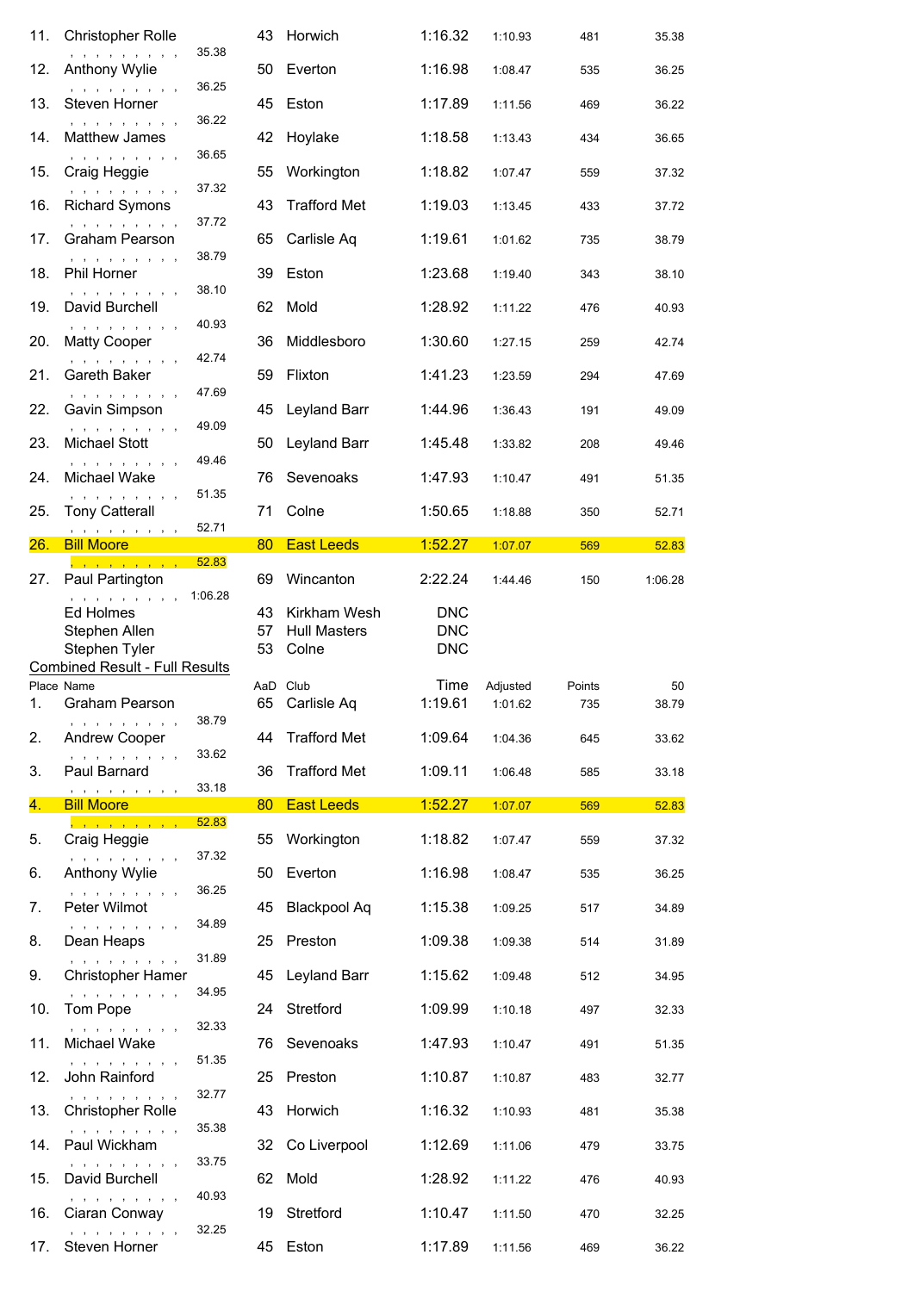| $\mathbf{y} = \mathbf{y} - \mathbf{y} = \mathbf{y} - \mathbf{y} = \mathbf{y} - \mathbf{y} = \mathbf{y} - \mathbf{y} = \mathbf{y}$<br>Anthony Wylie<br>50<br>Everton<br>1:16.98<br>1:08.47<br>535<br>36.25<br>36.25<br>$\mathbf{y} = \mathbf{y} - \mathbf{y} = \mathbf{y} - \mathbf{y} = \mathbf{y} - \mathbf{y} = \mathbf{y} - \mathbf{y} = \mathbf{y}$<br>Steven Horner<br>Eston<br>1:17.89<br>45<br>36.22<br>1:11.56<br>469<br>36.22<br>$\mathbf{y} = \mathbf{y} - \mathbf{y} = \mathbf{y} - \mathbf{y} = \mathbf{y} - \mathbf{y} = \mathbf{y} - \mathbf{y} = \mathbf{y}$<br>Matthew James<br>42<br>Hoylake<br>1:18.58<br>1:13.43<br>434<br>36.65<br>36.65<br>Craig Heggie<br>Workington<br>1:18.82<br>55<br>1:07.47<br>559<br>37.32<br>37.32<br>.<br><b>Richard Symons</b><br>43<br><b>Trafford Met</b><br>1:19.03<br>1:13.45<br>433<br>37.72<br>37.72<br>.<br>Graham Pearson<br>Carlisle Aq<br>1:19.61<br>65<br>1:01.62<br>735<br>38.79<br>38.79<br>$\mathbf{y} = \mathbf{y} - \mathbf{y} = \mathbf{y} - \mathbf{y} = \mathbf{y} - \mathbf{y} = \mathbf{y} - \mathbf{y} = \mathbf{y}$<br>Phil Horner<br>39<br>Eston<br>1:23.68<br>1:19.40<br>343<br>38.10<br>38.10<br>David Burchell<br>Mold<br>62<br>1:28.92<br>1:11.22<br>476<br>40.93<br>40.93<br>$\mathbf{y} = \mathbf{y} - \mathbf{y} = \mathbf{y} - \mathbf{y} = \mathbf{y} - \mathbf{y} = \mathbf{y} - \mathbf{y} = \mathbf{y}$<br>Middlesboro<br><b>Matty Cooper</b><br>36<br>1:30.60<br>1:27.15<br>259<br>42.74<br>42.74<br>$\mathbf{y} = \mathbf{y} - \mathbf{y} - \mathbf{y} - \mathbf{y} - \mathbf{y} - \mathbf{y} - \mathbf{y} - \mathbf{y} - \mathbf{y}$<br>Gareth Baker<br>Flixton<br>59<br>1:41.23<br>1:23.59<br>294<br>47.69<br>47.69<br>$\mathbf{y} = \mathbf{y} - \mathbf{y} = \mathbf{y} - \mathbf{y} = \mathbf{y} - \mathbf{y} = \mathbf{y} - \mathbf{y}$<br>Gavin Simpson<br>45<br>Leyland Barr<br>1:44.96<br>1:36.43<br>191<br>49.09<br>49.09<br>Michael Stott<br>Leyland Barr<br>50<br>1:45.48<br>1:33.82<br>208<br>49.46<br>49.46<br>Michael Wake<br>Sevenoaks<br>1:47.93<br>76<br>1:10.47<br>491<br>51.35<br>51.35<br>71<br>Colne<br>1:50.65<br><b>Tony Catterall</b><br>1:18.88<br>350<br>52.71<br>52.71<br>$\mathbf{y} = \mathbf{y} - \mathbf{y} - \mathbf{y} = \mathbf{y} - \mathbf{y} - \mathbf{y} = \mathbf{y} - \mathbf{y} = \mathbf{y}$<br><b>East Leeds</b><br><b>Bill Moore</b><br>1:52.27<br>80<br>52.83<br>1:07.07<br>569<br>52.83<br>.<br>Paul Partington<br>69<br>Wincanton<br>2:22.24<br>1:44.46<br>150<br>1:06.28<br>1:06.28<br>$\mathbf{y} = \mathbf{y} - \mathbf{y} = \mathbf{y} - \mathbf{y} = \mathbf{y} - \mathbf{y} = \mathbf{y} - \mathbf{y}$<br>Ed Holmes<br>43<br>Kirkham Wesh<br><b>DNC</b><br>Stephen Allen<br>57<br><b>Hull Masters</b><br><b>DNC</b><br>Stephen Tyler<br><b>DNC</b><br>53<br>Colne<br><b>Combined Result - Full Results</b><br>Time<br>Place Name<br>AaD Club<br>Adjusted<br>Points<br>50<br>1:19.61<br>Graham Pearson<br>65 Carlisle Aq<br>1:01.62<br>735<br>38.79<br>38.79<br>$\mathbf{y} = \mathbf{y} - \mathbf{y} = \mathbf{y} - \mathbf{y} = \mathbf{y} - \mathbf{y} = \mathbf{y} - \mathbf{y} = \mathbf{y}$<br><b>Trafford Met</b><br>Andrew Cooper<br>1:09.64<br>44<br>1:04.36<br>33.62<br>645<br>33.62<br>$\mathbf{y} = \mathbf{y} - \mathbf{y} = \mathbf{y} - \mathbf{y} = \mathbf{y} - \mathbf{y} = \mathbf{y} - \mathbf{y} = \mathbf{y}$<br><b>Trafford Met</b><br>Paul Barnard<br>36<br>1:09.11<br>1:06.48<br>585<br>33.18<br>33.18<br>$\mathbf{1} \qquad \mathbf{1} \qquad \mathbf{1} \qquad \mathbf{1} \qquad \mathbf{1} \qquad \mathbf{1} \qquad \mathbf{1} \qquad \mathbf{1} \qquad \mathbf{1} \qquad \mathbf{1} \qquad \mathbf{1} \qquad \mathbf{1} \qquad \mathbf{1} \qquad \mathbf{1} \qquad \mathbf{1} \qquad \mathbf{1} \qquad \mathbf{1} \qquad \mathbf{1} \qquad \mathbf{1} \qquad \mathbf{1} \qquad \mathbf{1} \qquad \mathbf{1} \qquad \mathbf{1} \qquad \mathbf{1} \qquad \mathbf{$<br><b>East Leeds</b><br>80<br>1:52.27<br><b>Bill Moore</b><br>1:07.07<br>52.83<br>569<br>52.83<br>$\frac{1}{2}$ , $\frac{1}{2}$ , $\frac{1}{2}$ , $\frac{1}{2}$ , $\frac{1}{2}$ , $\frac{1}{2}$ , $\frac{1}{2}$<br>Craig Heggie<br>Workington<br>1:18.82<br>55<br>1:07.47<br>559<br>37.32<br>37.32<br>$1 - 1 - 1 - 1 - 1 - 1 - 1 - 1 - 1$<br>Anthony Wylie<br>Everton<br>1:16.98<br>50<br>1:08.47<br>535<br>36.25<br>36.25<br>$\mathbf{y} = \mathbf{y} - \mathbf{y} - \mathbf{y} = \mathbf{y} - \mathbf{y} - \mathbf{y} = \mathbf{y} - \mathbf{y} = \mathbf{y}$<br>Peter Wilmot<br>45<br><b>Blackpool Aq</b><br>1:15.38<br>1:09.25<br>517<br>34.89<br>34.89<br>$\mathbf{y} = \mathbf{y} - \mathbf{y} = \mathbf{y} - \mathbf{y} = \mathbf{y} - \mathbf{y} = \mathbf{y} - \mathbf{y} = \mathbf{y}$<br>Preston<br>1:09.38<br>Dean Heaps<br>25<br>1:09.38<br>514<br>31.89<br>31.89<br>$\mathbf{y} = \mathbf{y} - \mathbf{y} = \mathbf{y} - \mathbf{y} = \mathbf{y} - \mathbf{y} = \mathbf{y} - \mathbf{y} = \mathbf{y}$<br>Christopher Hamer<br>Leyland Barr<br>1:15.62<br>45<br>1:09.48<br>512<br>34.95<br>34.95<br>$\mathbf{y} = \mathbf{y} - \mathbf{y} = \mathbf{y} - \mathbf{y} = \mathbf{y} - \mathbf{y} = \mathbf{y} - \mathbf{y} = \mathbf{y}$<br>Stretford<br>Tom Pope<br>1:09.99<br>24<br>1:10.18<br>32.33<br>497<br>32.33<br>$\mathcal{A} = \mathcal{A} \cup \mathcal{A} = \mathcal{A} \cup \mathcal{A} = \mathcal{A} \cup \mathcal{A} = \mathcal{A} \cup \mathcal{A}$<br>Michael Wake<br>Sevenoaks<br>76<br>1:47.93<br>1:10.47<br>51.35<br>491<br>51.35<br>$\begin{array}{cccccccccccccc} \bullet & \bullet & \bullet & \bullet & \bullet & \bullet & \bullet & \bullet & \bullet & \bullet & \bullet & \bullet & \bullet \end{array}$<br>John Rainford<br>Preston<br>1:10.87<br>25<br>1:10.87<br>483<br>32.77<br>32.77<br>$\mathbf{y} = \mathbf{y} - \mathbf{y} = \mathbf{y} - \mathbf{y} = \mathbf{y} - \mathbf{y} = \mathbf{y} - \mathbf{y} = \mathbf{y}$<br><b>Christopher Rolle</b><br>43<br>Horwich<br>1:16.32<br>1:10.93<br>35.38<br>481<br>35.38<br>$\mathbf{y} = \mathbf{y} - \mathbf{y} = \mathbf{y} - \mathbf{y} = \mathbf{y} - \mathbf{y} = \mathbf{y} - \mathbf{y}$<br>Paul Wickham<br>32<br>Co Liverpool<br>1:12.69<br>1:11.06<br>479<br>33.75<br>33.75<br>$\mathbf{y} = \mathbf{y} - \mathbf{y} = \mathbf{y} - \mathbf{y} = \mathbf{y} - \mathbf{y} = \mathbf{y} - \mathbf{y} = \mathbf{y}$<br>David Burchell<br>Mold<br>1:28.92<br>62<br>1:11.22<br>40.93<br>476<br>40.93<br>$\mathbf{y} = \mathbf{y} = \mathbf{y} = \mathbf{y} = \mathbf{y} = \mathbf{y} = \mathbf{y} = \mathbf{y} = \mathbf{y}$<br>Stretford<br>Ciaran Conway<br>1:10.47<br>19<br>1:11.50<br>470<br>32.25<br>32.25<br>$\mathbf{y} = \mathbf{y} - \mathbf{y} - \mathbf{y} - \mathbf{y} - \mathbf{y} - \mathbf{y} - \mathbf{y} - \mathbf{y} - \mathbf{y}$<br>Steven Horner<br>45 Eston<br>1:17.89<br>17.<br>1:11.56<br>36.22<br>469 | 11.      | <b>Christopher Rolle</b> |       | 43 | Horwich | 1:16.32 | 1:10.93 | 481 | 35.38 |
|---------------------------------------------------------------------------------------------------------------------------------------------------------------------------------------------------------------------------------------------------------------------------------------------------------------------------------------------------------------------------------------------------------------------------------------------------------------------------------------------------------------------------------------------------------------------------------------------------------------------------------------------------------------------------------------------------------------------------------------------------------------------------------------------------------------------------------------------------------------------------------------------------------------------------------------------------------------------------------------------------------------------------------------------------------------------------------------------------------------------------------------------------------------------------------------------------------------------------------------------------------------------------------------------------------------------------------------------------------------------------------------------------------------------------------------------------------------------------------------------------------------------------------------------------------------------------------------------------------------------------------------------------------------------------------------------------------------------------------------------------------------------------------------------------------------------------------------------------------------------------------------------------------------------------------------------------------------------------------------------------------------------------------------------------------------------------------------------------------------------------------------------------------------------------------------------------------------------------------------------------------------------------------------------------------------------------------------------------------------------------------------------------------------------------------------------------------------------------------------------------------------------------------------------------------------------------------------------------------------------------------------------------------------------------------------------------------------------------------------------------------------------------------------------------------------------------------------------------------------------------------------------------------------------------------------------------------------------------------------------------------------------------------------------------------------------------------------------------------------------------------------------------------------------------------------------------------------------------------------------------------------------------------------------------------------------------------------------------------------------------------------------------------------------------------------------------------------------------------------------------------------------------------------------------------------------------------------------------------------------------------------------------------------------------------------------------------------------------------------------------------------------------------------------------------------------------------------------------------------------------------------------------------------------------------------------------------------------------------------------------------------------------------------------------------------------------------------------------------------------------------------------------------------------------------------------------------------------------------------------------------------------------------------------------------------------------------------------------------------------------------------------------------------------------------------------------------------------------------------------------------------------------------------------------------------------------------------------------------------------------------------------------------------------------------------------------------------------------------------------------------------------------------------------------------------------------------------------------------------------------------------------------------------------------------------------------------------------------------------------------------------------------------------------------------------------------------------------------------------------------------------------------------------------------------------------------------------------------------------------------------------------------------------------------------------------------------------------------------------------------------------------------------------------------------------------------------------------------------------------------------------------------------------------------------------------------------------------------------------------------------------------------------------------------------------------------------------------------------------------------------------------------------------------------------------------------------------------------------------------------------------------------------------------------------------------------------------------------------------------------------------------------------------------------------------------------------------------------------------------------------------------------------------------------------------------------------------------------------------------------------------------------------------------------------------------------------------------------------------------------------------------------------------------------------------------------------------------------------------------------------------------------------------------------------------------------------------------------------------------------------------------------------------------------------------------------------------------------------------------------------------------------------------------------------------------------------------------------------------------|----------|--------------------------|-------|----|---------|---------|---------|-----|-------|
|                                                                                                                                                                                                                                                                                                                                                                                                                                                                                                                                                                                                                                                                                                                                                                                                                                                                                                                                                                                                                                                                                                                                                                                                                                                                                                                                                                                                                                                                                                                                                                                                                                                                                                                                                                                                                                                                                                                                                                                                                                                                                                                                                                                                                                                                                                                                                                                                                                                                                                                                                                                                                                                                                                                                                                                                                                                                                                                                                                                                                                                                                                                                                                                                                                                                                                                                                                                                                                                                                                                                                                                                                                                                                                                                                                                                                                                                                                                                                                                                                                                                                                                                                                                                                                                                                                                                                                                                                                                                                                                                                                                                                                                                                                                                                                                                                                                                                                                                                                                                                                                                                                                                                                                                                                                                                                                                                                                                                                                                                                                                                                                                                                                                                                                                                                                                                                                                                                                                                                                                                                                                                                                                                                                                                                                                                                                                                                                                                                                                                                                                                                                                                                                                                                                                                                                                                                                                     | 12.      |                          | 35.38 |    |         |         |         |     |       |
|                                                                                                                                                                                                                                                                                                                                                                                                                                                                                                                                                                                                                                                                                                                                                                                                                                                                                                                                                                                                                                                                                                                                                                                                                                                                                                                                                                                                                                                                                                                                                                                                                                                                                                                                                                                                                                                                                                                                                                                                                                                                                                                                                                                                                                                                                                                                                                                                                                                                                                                                                                                                                                                                                                                                                                                                                                                                                                                                                                                                                                                                                                                                                                                                                                                                                                                                                                                                                                                                                                                                                                                                                                                                                                                                                                                                                                                                                                                                                                                                                                                                                                                                                                                                                                                                                                                                                                                                                                                                                                                                                                                                                                                                                                                                                                                                                                                                                                                                                                                                                                                                                                                                                                                                                                                                                                                                                                                                                                                                                                                                                                                                                                                                                                                                                                                                                                                                                                                                                                                                                                                                                                                                                                                                                                                                                                                                                                                                                                                                                                                                                                                                                                                                                                                                                                                                                                                                     | 13.      |                          |       |    |         |         |         |     |       |
|                                                                                                                                                                                                                                                                                                                                                                                                                                                                                                                                                                                                                                                                                                                                                                                                                                                                                                                                                                                                                                                                                                                                                                                                                                                                                                                                                                                                                                                                                                                                                                                                                                                                                                                                                                                                                                                                                                                                                                                                                                                                                                                                                                                                                                                                                                                                                                                                                                                                                                                                                                                                                                                                                                                                                                                                                                                                                                                                                                                                                                                                                                                                                                                                                                                                                                                                                                                                                                                                                                                                                                                                                                                                                                                                                                                                                                                                                                                                                                                                                                                                                                                                                                                                                                                                                                                                                                                                                                                                                                                                                                                                                                                                                                                                                                                                                                                                                                                                                                                                                                                                                                                                                                                                                                                                                                                                                                                                                                                                                                                                                                                                                                                                                                                                                                                                                                                                                                                                                                                                                                                                                                                                                                                                                                                                                                                                                                                                                                                                                                                                                                                                                                                                                                                                                                                                                                                                     | 14.      |                          |       |    |         |         |         |     |       |
|                                                                                                                                                                                                                                                                                                                                                                                                                                                                                                                                                                                                                                                                                                                                                                                                                                                                                                                                                                                                                                                                                                                                                                                                                                                                                                                                                                                                                                                                                                                                                                                                                                                                                                                                                                                                                                                                                                                                                                                                                                                                                                                                                                                                                                                                                                                                                                                                                                                                                                                                                                                                                                                                                                                                                                                                                                                                                                                                                                                                                                                                                                                                                                                                                                                                                                                                                                                                                                                                                                                                                                                                                                                                                                                                                                                                                                                                                                                                                                                                                                                                                                                                                                                                                                                                                                                                                                                                                                                                                                                                                                                                                                                                                                                                                                                                                                                                                                                                                                                                                                                                                                                                                                                                                                                                                                                                                                                                                                                                                                                                                                                                                                                                                                                                                                                                                                                                                                                                                                                                                                                                                                                                                                                                                                                                                                                                                                                                                                                                                                                                                                                                                                                                                                                                                                                                                                                                     | 15.      |                          |       |    |         |         |         |     |       |
|                                                                                                                                                                                                                                                                                                                                                                                                                                                                                                                                                                                                                                                                                                                                                                                                                                                                                                                                                                                                                                                                                                                                                                                                                                                                                                                                                                                                                                                                                                                                                                                                                                                                                                                                                                                                                                                                                                                                                                                                                                                                                                                                                                                                                                                                                                                                                                                                                                                                                                                                                                                                                                                                                                                                                                                                                                                                                                                                                                                                                                                                                                                                                                                                                                                                                                                                                                                                                                                                                                                                                                                                                                                                                                                                                                                                                                                                                                                                                                                                                                                                                                                                                                                                                                                                                                                                                                                                                                                                                                                                                                                                                                                                                                                                                                                                                                                                                                                                                                                                                                                                                                                                                                                                                                                                                                                                                                                                                                                                                                                                                                                                                                                                                                                                                                                                                                                                                                                                                                                                                                                                                                                                                                                                                                                                                                                                                                                                                                                                                                                                                                                                                                                                                                                                                                                                                                                                     | 16.      |                          |       |    |         |         |         |     |       |
|                                                                                                                                                                                                                                                                                                                                                                                                                                                                                                                                                                                                                                                                                                                                                                                                                                                                                                                                                                                                                                                                                                                                                                                                                                                                                                                                                                                                                                                                                                                                                                                                                                                                                                                                                                                                                                                                                                                                                                                                                                                                                                                                                                                                                                                                                                                                                                                                                                                                                                                                                                                                                                                                                                                                                                                                                                                                                                                                                                                                                                                                                                                                                                                                                                                                                                                                                                                                                                                                                                                                                                                                                                                                                                                                                                                                                                                                                                                                                                                                                                                                                                                                                                                                                                                                                                                                                                                                                                                                                                                                                                                                                                                                                                                                                                                                                                                                                                                                                                                                                                                                                                                                                                                                                                                                                                                                                                                                                                                                                                                                                                                                                                                                                                                                                                                                                                                                                                                                                                                                                                                                                                                                                                                                                                                                                                                                                                                                                                                                                                                                                                                                                                                                                                                                                                                                                                                                     | 17.      |                          |       |    |         |         |         |     |       |
|                                                                                                                                                                                                                                                                                                                                                                                                                                                                                                                                                                                                                                                                                                                                                                                                                                                                                                                                                                                                                                                                                                                                                                                                                                                                                                                                                                                                                                                                                                                                                                                                                                                                                                                                                                                                                                                                                                                                                                                                                                                                                                                                                                                                                                                                                                                                                                                                                                                                                                                                                                                                                                                                                                                                                                                                                                                                                                                                                                                                                                                                                                                                                                                                                                                                                                                                                                                                                                                                                                                                                                                                                                                                                                                                                                                                                                                                                                                                                                                                                                                                                                                                                                                                                                                                                                                                                                                                                                                                                                                                                                                                                                                                                                                                                                                                                                                                                                                                                                                                                                                                                                                                                                                                                                                                                                                                                                                                                                                                                                                                                                                                                                                                                                                                                                                                                                                                                                                                                                                                                                                                                                                                                                                                                                                                                                                                                                                                                                                                                                                                                                                                                                                                                                                                                                                                                                                                     | 18.      |                          |       |    |         |         |         |     |       |
|                                                                                                                                                                                                                                                                                                                                                                                                                                                                                                                                                                                                                                                                                                                                                                                                                                                                                                                                                                                                                                                                                                                                                                                                                                                                                                                                                                                                                                                                                                                                                                                                                                                                                                                                                                                                                                                                                                                                                                                                                                                                                                                                                                                                                                                                                                                                                                                                                                                                                                                                                                                                                                                                                                                                                                                                                                                                                                                                                                                                                                                                                                                                                                                                                                                                                                                                                                                                                                                                                                                                                                                                                                                                                                                                                                                                                                                                                                                                                                                                                                                                                                                                                                                                                                                                                                                                                                                                                                                                                                                                                                                                                                                                                                                                                                                                                                                                                                                                                                                                                                                                                                                                                                                                                                                                                                                                                                                                                                                                                                                                                                                                                                                                                                                                                                                                                                                                                                                                                                                                                                                                                                                                                                                                                                                                                                                                                                                                                                                                                                                                                                                                                                                                                                                                                                                                                                                                     | 19.      |                          |       |    |         |         |         |     |       |
|                                                                                                                                                                                                                                                                                                                                                                                                                                                                                                                                                                                                                                                                                                                                                                                                                                                                                                                                                                                                                                                                                                                                                                                                                                                                                                                                                                                                                                                                                                                                                                                                                                                                                                                                                                                                                                                                                                                                                                                                                                                                                                                                                                                                                                                                                                                                                                                                                                                                                                                                                                                                                                                                                                                                                                                                                                                                                                                                                                                                                                                                                                                                                                                                                                                                                                                                                                                                                                                                                                                                                                                                                                                                                                                                                                                                                                                                                                                                                                                                                                                                                                                                                                                                                                                                                                                                                                                                                                                                                                                                                                                                                                                                                                                                                                                                                                                                                                                                                                                                                                                                                                                                                                                                                                                                                                                                                                                                                                                                                                                                                                                                                                                                                                                                                                                                                                                                                                                                                                                                                                                                                                                                                                                                                                                                                                                                                                                                                                                                                                                                                                                                                                                                                                                                                                                                                                                                     | 20.      |                          |       |    |         |         |         |     |       |
|                                                                                                                                                                                                                                                                                                                                                                                                                                                                                                                                                                                                                                                                                                                                                                                                                                                                                                                                                                                                                                                                                                                                                                                                                                                                                                                                                                                                                                                                                                                                                                                                                                                                                                                                                                                                                                                                                                                                                                                                                                                                                                                                                                                                                                                                                                                                                                                                                                                                                                                                                                                                                                                                                                                                                                                                                                                                                                                                                                                                                                                                                                                                                                                                                                                                                                                                                                                                                                                                                                                                                                                                                                                                                                                                                                                                                                                                                                                                                                                                                                                                                                                                                                                                                                                                                                                                                                                                                                                                                                                                                                                                                                                                                                                                                                                                                                                                                                                                                                                                                                                                                                                                                                                                                                                                                                                                                                                                                                                                                                                                                                                                                                                                                                                                                                                                                                                                                                                                                                                                                                                                                                                                                                                                                                                                                                                                                                                                                                                                                                                                                                                                                                                                                                                                                                                                                                                                     | 21.      |                          |       |    |         |         |         |     |       |
|                                                                                                                                                                                                                                                                                                                                                                                                                                                                                                                                                                                                                                                                                                                                                                                                                                                                                                                                                                                                                                                                                                                                                                                                                                                                                                                                                                                                                                                                                                                                                                                                                                                                                                                                                                                                                                                                                                                                                                                                                                                                                                                                                                                                                                                                                                                                                                                                                                                                                                                                                                                                                                                                                                                                                                                                                                                                                                                                                                                                                                                                                                                                                                                                                                                                                                                                                                                                                                                                                                                                                                                                                                                                                                                                                                                                                                                                                                                                                                                                                                                                                                                                                                                                                                                                                                                                                                                                                                                                                                                                                                                                                                                                                                                                                                                                                                                                                                                                                                                                                                                                                                                                                                                                                                                                                                                                                                                                                                                                                                                                                                                                                                                                                                                                                                                                                                                                                                                                                                                                                                                                                                                                                                                                                                                                                                                                                                                                                                                                                                                                                                                                                                                                                                                                                                                                                                                                     | 22.      |                          |       |    |         |         |         |     |       |
|                                                                                                                                                                                                                                                                                                                                                                                                                                                                                                                                                                                                                                                                                                                                                                                                                                                                                                                                                                                                                                                                                                                                                                                                                                                                                                                                                                                                                                                                                                                                                                                                                                                                                                                                                                                                                                                                                                                                                                                                                                                                                                                                                                                                                                                                                                                                                                                                                                                                                                                                                                                                                                                                                                                                                                                                                                                                                                                                                                                                                                                                                                                                                                                                                                                                                                                                                                                                                                                                                                                                                                                                                                                                                                                                                                                                                                                                                                                                                                                                                                                                                                                                                                                                                                                                                                                                                                                                                                                                                                                                                                                                                                                                                                                                                                                                                                                                                                                                                                                                                                                                                                                                                                                                                                                                                                                                                                                                                                                                                                                                                                                                                                                                                                                                                                                                                                                                                                                                                                                                                                                                                                                                                                                                                                                                                                                                                                                                                                                                                                                                                                                                                                                                                                                                                                                                                                                                     | 23.      |                          |       |    |         |         |         |     |       |
|                                                                                                                                                                                                                                                                                                                                                                                                                                                                                                                                                                                                                                                                                                                                                                                                                                                                                                                                                                                                                                                                                                                                                                                                                                                                                                                                                                                                                                                                                                                                                                                                                                                                                                                                                                                                                                                                                                                                                                                                                                                                                                                                                                                                                                                                                                                                                                                                                                                                                                                                                                                                                                                                                                                                                                                                                                                                                                                                                                                                                                                                                                                                                                                                                                                                                                                                                                                                                                                                                                                                                                                                                                                                                                                                                                                                                                                                                                                                                                                                                                                                                                                                                                                                                                                                                                                                                                                                                                                                                                                                                                                                                                                                                                                                                                                                                                                                                                                                                                                                                                                                                                                                                                                                                                                                                                                                                                                                                                                                                                                                                                                                                                                                                                                                                                                                                                                                                                                                                                                                                                                                                                                                                                                                                                                                                                                                                                                                                                                                                                                                                                                                                                                                                                                                                                                                                                                                     | 24.      |                          |       |    |         |         |         |     |       |
|                                                                                                                                                                                                                                                                                                                                                                                                                                                                                                                                                                                                                                                                                                                                                                                                                                                                                                                                                                                                                                                                                                                                                                                                                                                                                                                                                                                                                                                                                                                                                                                                                                                                                                                                                                                                                                                                                                                                                                                                                                                                                                                                                                                                                                                                                                                                                                                                                                                                                                                                                                                                                                                                                                                                                                                                                                                                                                                                                                                                                                                                                                                                                                                                                                                                                                                                                                                                                                                                                                                                                                                                                                                                                                                                                                                                                                                                                                                                                                                                                                                                                                                                                                                                                                                                                                                                                                                                                                                                                                                                                                                                                                                                                                                                                                                                                                                                                                                                                                                                                                                                                                                                                                                                                                                                                                                                                                                                                                                                                                                                                                                                                                                                                                                                                                                                                                                                                                                                                                                                                                                                                                                                                                                                                                                                                                                                                                                                                                                                                                                                                                                                                                                                                                                                                                                                                                                                     | 25.      |                          |       |    |         |         |         |     |       |
|                                                                                                                                                                                                                                                                                                                                                                                                                                                                                                                                                                                                                                                                                                                                                                                                                                                                                                                                                                                                                                                                                                                                                                                                                                                                                                                                                                                                                                                                                                                                                                                                                                                                                                                                                                                                                                                                                                                                                                                                                                                                                                                                                                                                                                                                                                                                                                                                                                                                                                                                                                                                                                                                                                                                                                                                                                                                                                                                                                                                                                                                                                                                                                                                                                                                                                                                                                                                                                                                                                                                                                                                                                                                                                                                                                                                                                                                                                                                                                                                                                                                                                                                                                                                                                                                                                                                                                                                                                                                                                                                                                                                                                                                                                                                                                                                                                                                                                                                                                                                                                                                                                                                                                                                                                                                                                                                                                                                                                                                                                                                                                                                                                                                                                                                                                                                                                                                                                                                                                                                                                                                                                                                                                                                                                                                                                                                                                                                                                                                                                                                                                                                                                                                                                                                                                                                                                                                     | 26.      |                          |       |    |         |         |         |     |       |
|                                                                                                                                                                                                                                                                                                                                                                                                                                                                                                                                                                                                                                                                                                                                                                                                                                                                                                                                                                                                                                                                                                                                                                                                                                                                                                                                                                                                                                                                                                                                                                                                                                                                                                                                                                                                                                                                                                                                                                                                                                                                                                                                                                                                                                                                                                                                                                                                                                                                                                                                                                                                                                                                                                                                                                                                                                                                                                                                                                                                                                                                                                                                                                                                                                                                                                                                                                                                                                                                                                                                                                                                                                                                                                                                                                                                                                                                                                                                                                                                                                                                                                                                                                                                                                                                                                                                                                                                                                                                                                                                                                                                                                                                                                                                                                                                                                                                                                                                                                                                                                                                                                                                                                                                                                                                                                                                                                                                                                                                                                                                                                                                                                                                                                                                                                                                                                                                                                                                                                                                                                                                                                                                                                                                                                                                                                                                                                                                                                                                                                                                                                                                                                                                                                                                                                                                                                                                     | 27.      |                          |       |    |         |         |         |     |       |
|                                                                                                                                                                                                                                                                                                                                                                                                                                                                                                                                                                                                                                                                                                                                                                                                                                                                                                                                                                                                                                                                                                                                                                                                                                                                                                                                                                                                                                                                                                                                                                                                                                                                                                                                                                                                                                                                                                                                                                                                                                                                                                                                                                                                                                                                                                                                                                                                                                                                                                                                                                                                                                                                                                                                                                                                                                                                                                                                                                                                                                                                                                                                                                                                                                                                                                                                                                                                                                                                                                                                                                                                                                                                                                                                                                                                                                                                                                                                                                                                                                                                                                                                                                                                                                                                                                                                                                                                                                                                                                                                                                                                                                                                                                                                                                                                                                                                                                                                                                                                                                                                                                                                                                                                                                                                                                                                                                                                                                                                                                                                                                                                                                                                                                                                                                                                                                                                                                                                                                                                                                                                                                                                                                                                                                                                                                                                                                                                                                                                                                                                                                                                                                                                                                                                                                                                                                                                     |          |                          |       |    |         |         |         |     |       |
|                                                                                                                                                                                                                                                                                                                                                                                                                                                                                                                                                                                                                                                                                                                                                                                                                                                                                                                                                                                                                                                                                                                                                                                                                                                                                                                                                                                                                                                                                                                                                                                                                                                                                                                                                                                                                                                                                                                                                                                                                                                                                                                                                                                                                                                                                                                                                                                                                                                                                                                                                                                                                                                                                                                                                                                                                                                                                                                                                                                                                                                                                                                                                                                                                                                                                                                                                                                                                                                                                                                                                                                                                                                                                                                                                                                                                                                                                                                                                                                                                                                                                                                                                                                                                                                                                                                                                                                                                                                                                                                                                                                                                                                                                                                                                                                                                                                                                                                                                                                                                                                                                                                                                                                                                                                                                                                                                                                                                                                                                                                                                                                                                                                                                                                                                                                                                                                                                                                                                                                                                                                                                                                                                                                                                                                                                                                                                                                                                                                                                                                                                                                                                                                                                                                                                                                                                                                                     |          |                          |       |    |         |         |         |     |       |
|                                                                                                                                                                                                                                                                                                                                                                                                                                                                                                                                                                                                                                                                                                                                                                                                                                                                                                                                                                                                                                                                                                                                                                                                                                                                                                                                                                                                                                                                                                                                                                                                                                                                                                                                                                                                                                                                                                                                                                                                                                                                                                                                                                                                                                                                                                                                                                                                                                                                                                                                                                                                                                                                                                                                                                                                                                                                                                                                                                                                                                                                                                                                                                                                                                                                                                                                                                                                                                                                                                                                                                                                                                                                                                                                                                                                                                                                                                                                                                                                                                                                                                                                                                                                                                                                                                                                                                                                                                                                                                                                                                                                                                                                                                                                                                                                                                                                                                                                                                                                                                                                                                                                                                                                                                                                                                                                                                                                                                                                                                                                                                                                                                                                                                                                                                                                                                                                                                                                                                                                                                                                                                                                                                                                                                                                                                                                                                                                                                                                                                                                                                                                                                                                                                                                                                                                                                                                     |          |                          |       |    |         |         |         |     |       |
|                                                                                                                                                                                                                                                                                                                                                                                                                                                                                                                                                                                                                                                                                                                                                                                                                                                                                                                                                                                                                                                                                                                                                                                                                                                                                                                                                                                                                                                                                                                                                                                                                                                                                                                                                                                                                                                                                                                                                                                                                                                                                                                                                                                                                                                                                                                                                                                                                                                                                                                                                                                                                                                                                                                                                                                                                                                                                                                                                                                                                                                                                                                                                                                                                                                                                                                                                                                                                                                                                                                                                                                                                                                                                                                                                                                                                                                                                                                                                                                                                                                                                                                                                                                                                                                                                                                                                                                                                                                                                                                                                                                                                                                                                                                                                                                                                                                                                                                                                                                                                                                                                                                                                                                                                                                                                                                                                                                                                                                                                                                                                                                                                                                                                                                                                                                                                                                                                                                                                                                                                                                                                                                                                                                                                                                                                                                                                                                                                                                                                                                                                                                                                                                                                                                                                                                                                                                                     |          |                          |       |    |         |         |         |     |       |
|                                                                                                                                                                                                                                                                                                                                                                                                                                                                                                                                                                                                                                                                                                                                                                                                                                                                                                                                                                                                                                                                                                                                                                                                                                                                                                                                                                                                                                                                                                                                                                                                                                                                                                                                                                                                                                                                                                                                                                                                                                                                                                                                                                                                                                                                                                                                                                                                                                                                                                                                                                                                                                                                                                                                                                                                                                                                                                                                                                                                                                                                                                                                                                                                                                                                                                                                                                                                                                                                                                                                                                                                                                                                                                                                                                                                                                                                                                                                                                                                                                                                                                                                                                                                                                                                                                                                                                                                                                                                                                                                                                                                                                                                                                                                                                                                                                                                                                                                                                                                                                                                                                                                                                                                                                                                                                                                                                                                                                                                                                                                                                                                                                                                                                                                                                                                                                                                                                                                                                                                                                                                                                                                                                                                                                                                                                                                                                                                                                                                                                                                                                                                                                                                                                                                                                                                                                                                     | 1.<br>2. |                          |       |    |         |         |         |     |       |
|                                                                                                                                                                                                                                                                                                                                                                                                                                                                                                                                                                                                                                                                                                                                                                                                                                                                                                                                                                                                                                                                                                                                                                                                                                                                                                                                                                                                                                                                                                                                                                                                                                                                                                                                                                                                                                                                                                                                                                                                                                                                                                                                                                                                                                                                                                                                                                                                                                                                                                                                                                                                                                                                                                                                                                                                                                                                                                                                                                                                                                                                                                                                                                                                                                                                                                                                                                                                                                                                                                                                                                                                                                                                                                                                                                                                                                                                                                                                                                                                                                                                                                                                                                                                                                                                                                                                                                                                                                                                                                                                                                                                                                                                                                                                                                                                                                                                                                                                                                                                                                                                                                                                                                                                                                                                                                                                                                                                                                                                                                                                                                                                                                                                                                                                                                                                                                                                                                                                                                                                                                                                                                                                                                                                                                                                                                                                                                                                                                                                                                                                                                                                                                                                                                                                                                                                                                                                     | 3.       |                          |       |    |         |         |         |     |       |
|                                                                                                                                                                                                                                                                                                                                                                                                                                                                                                                                                                                                                                                                                                                                                                                                                                                                                                                                                                                                                                                                                                                                                                                                                                                                                                                                                                                                                                                                                                                                                                                                                                                                                                                                                                                                                                                                                                                                                                                                                                                                                                                                                                                                                                                                                                                                                                                                                                                                                                                                                                                                                                                                                                                                                                                                                                                                                                                                                                                                                                                                                                                                                                                                                                                                                                                                                                                                                                                                                                                                                                                                                                                                                                                                                                                                                                                                                                                                                                                                                                                                                                                                                                                                                                                                                                                                                                                                                                                                                                                                                                                                                                                                                                                                                                                                                                                                                                                                                                                                                                                                                                                                                                                                                                                                                                                                                                                                                                                                                                                                                                                                                                                                                                                                                                                                                                                                                                                                                                                                                                                                                                                                                                                                                                                                                                                                                                                                                                                                                                                                                                                                                                                                                                                                                                                                                                                                     | 4.       |                          |       |    |         |         |         |     |       |
|                                                                                                                                                                                                                                                                                                                                                                                                                                                                                                                                                                                                                                                                                                                                                                                                                                                                                                                                                                                                                                                                                                                                                                                                                                                                                                                                                                                                                                                                                                                                                                                                                                                                                                                                                                                                                                                                                                                                                                                                                                                                                                                                                                                                                                                                                                                                                                                                                                                                                                                                                                                                                                                                                                                                                                                                                                                                                                                                                                                                                                                                                                                                                                                                                                                                                                                                                                                                                                                                                                                                                                                                                                                                                                                                                                                                                                                                                                                                                                                                                                                                                                                                                                                                                                                                                                                                                                                                                                                                                                                                                                                                                                                                                                                                                                                                                                                                                                                                                                                                                                                                                                                                                                                                                                                                                                                                                                                                                                                                                                                                                                                                                                                                                                                                                                                                                                                                                                                                                                                                                                                                                                                                                                                                                                                                                                                                                                                                                                                                                                                                                                                                                                                                                                                                                                                                                                                                     | 5.       |                          |       |    |         |         |         |     |       |
|                                                                                                                                                                                                                                                                                                                                                                                                                                                                                                                                                                                                                                                                                                                                                                                                                                                                                                                                                                                                                                                                                                                                                                                                                                                                                                                                                                                                                                                                                                                                                                                                                                                                                                                                                                                                                                                                                                                                                                                                                                                                                                                                                                                                                                                                                                                                                                                                                                                                                                                                                                                                                                                                                                                                                                                                                                                                                                                                                                                                                                                                                                                                                                                                                                                                                                                                                                                                                                                                                                                                                                                                                                                                                                                                                                                                                                                                                                                                                                                                                                                                                                                                                                                                                                                                                                                                                                                                                                                                                                                                                                                                                                                                                                                                                                                                                                                                                                                                                                                                                                                                                                                                                                                                                                                                                                                                                                                                                                                                                                                                                                                                                                                                                                                                                                                                                                                                                                                                                                                                                                                                                                                                                                                                                                                                                                                                                                                                                                                                                                                                                                                                                                                                                                                                                                                                                                                                     | 6.       |                          |       |    |         |         |         |     |       |
|                                                                                                                                                                                                                                                                                                                                                                                                                                                                                                                                                                                                                                                                                                                                                                                                                                                                                                                                                                                                                                                                                                                                                                                                                                                                                                                                                                                                                                                                                                                                                                                                                                                                                                                                                                                                                                                                                                                                                                                                                                                                                                                                                                                                                                                                                                                                                                                                                                                                                                                                                                                                                                                                                                                                                                                                                                                                                                                                                                                                                                                                                                                                                                                                                                                                                                                                                                                                                                                                                                                                                                                                                                                                                                                                                                                                                                                                                                                                                                                                                                                                                                                                                                                                                                                                                                                                                                                                                                                                                                                                                                                                                                                                                                                                                                                                                                                                                                                                                                                                                                                                                                                                                                                                                                                                                                                                                                                                                                                                                                                                                                                                                                                                                                                                                                                                                                                                                                                                                                                                                                                                                                                                                                                                                                                                                                                                                                                                                                                                                                                                                                                                                                                                                                                                                                                                                                                                     | 7.       |                          |       |    |         |         |         |     |       |
|                                                                                                                                                                                                                                                                                                                                                                                                                                                                                                                                                                                                                                                                                                                                                                                                                                                                                                                                                                                                                                                                                                                                                                                                                                                                                                                                                                                                                                                                                                                                                                                                                                                                                                                                                                                                                                                                                                                                                                                                                                                                                                                                                                                                                                                                                                                                                                                                                                                                                                                                                                                                                                                                                                                                                                                                                                                                                                                                                                                                                                                                                                                                                                                                                                                                                                                                                                                                                                                                                                                                                                                                                                                                                                                                                                                                                                                                                                                                                                                                                                                                                                                                                                                                                                                                                                                                                                                                                                                                                                                                                                                                                                                                                                                                                                                                                                                                                                                                                                                                                                                                                                                                                                                                                                                                                                                                                                                                                                                                                                                                                                                                                                                                                                                                                                                                                                                                                                                                                                                                                                                                                                                                                                                                                                                                                                                                                                                                                                                                                                                                                                                                                                                                                                                                                                                                                                                                     | 8.       |                          |       |    |         |         |         |     |       |
|                                                                                                                                                                                                                                                                                                                                                                                                                                                                                                                                                                                                                                                                                                                                                                                                                                                                                                                                                                                                                                                                                                                                                                                                                                                                                                                                                                                                                                                                                                                                                                                                                                                                                                                                                                                                                                                                                                                                                                                                                                                                                                                                                                                                                                                                                                                                                                                                                                                                                                                                                                                                                                                                                                                                                                                                                                                                                                                                                                                                                                                                                                                                                                                                                                                                                                                                                                                                                                                                                                                                                                                                                                                                                                                                                                                                                                                                                                                                                                                                                                                                                                                                                                                                                                                                                                                                                                                                                                                                                                                                                                                                                                                                                                                                                                                                                                                                                                                                                                                                                                                                                                                                                                                                                                                                                                                                                                                                                                                                                                                                                                                                                                                                                                                                                                                                                                                                                                                                                                                                                                                                                                                                                                                                                                                                                                                                                                                                                                                                                                                                                                                                                                                                                                                                                                                                                                                                     | 9.       |                          |       |    |         |         |         |     |       |
|                                                                                                                                                                                                                                                                                                                                                                                                                                                                                                                                                                                                                                                                                                                                                                                                                                                                                                                                                                                                                                                                                                                                                                                                                                                                                                                                                                                                                                                                                                                                                                                                                                                                                                                                                                                                                                                                                                                                                                                                                                                                                                                                                                                                                                                                                                                                                                                                                                                                                                                                                                                                                                                                                                                                                                                                                                                                                                                                                                                                                                                                                                                                                                                                                                                                                                                                                                                                                                                                                                                                                                                                                                                                                                                                                                                                                                                                                                                                                                                                                                                                                                                                                                                                                                                                                                                                                                                                                                                                                                                                                                                                                                                                                                                                                                                                                                                                                                                                                                                                                                                                                                                                                                                                                                                                                                                                                                                                                                                                                                                                                                                                                                                                                                                                                                                                                                                                                                                                                                                                                                                                                                                                                                                                                                                                                                                                                                                                                                                                                                                                                                                                                                                                                                                                                                                                                                                                     | 10.      |                          |       |    |         |         |         |     |       |
|                                                                                                                                                                                                                                                                                                                                                                                                                                                                                                                                                                                                                                                                                                                                                                                                                                                                                                                                                                                                                                                                                                                                                                                                                                                                                                                                                                                                                                                                                                                                                                                                                                                                                                                                                                                                                                                                                                                                                                                                                                                                                                                                                                                                                                                                                                                                                                                                                                                                                                                                                                                                                                                                                                                                                                                                                                                                                                                                                                                                                                                                                                                                                                                                                                                                                                                                                                                                                                                                                                                                                                                                                                                                                                                                                                                                                                                                                                                                                                                                                                                                                                                                                                                                                                                                                                                                                                                                                                                                                                                                                                                                                                                                                                                                                                                                                                                                                                                                                                                                                                                                                                                                                                                                                                                                                                                                                                                                                                                                                                                                                                                                                                                                                                                                                                                                                                                                                                                                                                                                                                                                                                                                                                                                                                                                                                                                                                                                                                                                                                                                                                                                                                                                                                                                                                                                                                                                     | 11.      |                          |       |    |         |         |         |     |       |
|                                                                                                                                                                                                                                                                                                                                                                                                                                                                                                                                                                                                                                                                                                                                                                                                                                                                                                                                                                                                                                                                                                                                                                                                                                                                                                                                                                                                                                                                                                                                                                                                                                                                                                                                                                                                                                                                                                                                                                                                                                                                                                                                                                                                                                                                                                                                                                                                                                                                                                                                                                                                                                                                                                                                                                                                                                                                                                                                                                                                                                                                                                                                                                                                                                                                                                                                                                                                                                                                                                                                                                                                                                                                                                                                                                                                                                                                                                                                                                                                                                                                                                                                                                                                                                                                                                                                                                                                                                                                                                                                                                                                                                                                                                                                                                                                                                                                                                                                                                                                                                                                                                                                                                                                                                                                                                                                                                                                                                                                                                                                                                                                                                                                                                                                                                                                                                                                                                                                                                                                                                                                                                                                                                                                                                                                                                                                                                                                                                                                                                                                                                                                                                                                                                                                                                                                                                                                     | 12.      |                          |       |    |         |         |         |     |       |
|                                                                                                                                                                                                                                                                                                                                                                                                                                                                                                                                                                                                                                                                                                                                                                                                                                                                                                                                                                                                                                                                                                                                                                                                                                                                                                                                                                                                                                                                                                                                                                                                                                                                                                                                                                                                                                                                                                                                                                                                                                                                                                                                                                                                                                                                                                                                                                                                                                                                                                                                                                                                                                                                                                                                                                                                                                                                                                                                                                                                                                                                                                                                                                                                                                                                                                                                                                                                                                                                                                                                                                                                                                                                                                                                                                                                                                                                                                                                                                                                                                                                                                                                                                                                                                                                                                                                                                                                                                                                                                                                                                                                                                                                                                                                                                                                                                                                                                                                                                                                                                                                                                                                                                                                                                                                                                                                                                                                                                                                                                                                                                                                                                                                                                                                                                                                                                                                                                                                                                                                                                                                                                                                                                                                                                                                                                                                                                                                                                                                                                                                                                                                                                                                                                                                                                                                                                                                     | 13.      |                          |       |    |         |         |         |     |       |
|                                                                                                                                                                                                                                                                                                                                                                                                                                                                                                                                                                                                                                                                                                                                                                                                                                                                                                                                                                                                                                                                                                                                                                                                                                                                                                                                                                                                                                                                                                                                                                                                                                                                                                                                                                                                                                                                                                                                                                                                                                                                                                                                                                                                                                                                                                                                                                                                                                                                                                                                                                                                                                                                                                                                                                                                                                                                                                                                                                                                                                                                                                                                                                                                                                                                                                                                                                                                                                                                                                                                                                                                                                                                                                                                                                                                                                                                                                                                                                                                                                                                                                                                                                                                                                                                                                                                                                                                                                                                                                                                                                                                                                                                                                                                                                                                                                                                                                                                                                                                                                                                                                                                                                                                                                                                                                                                                                                                                                                                                                                                                                                                                                                                                                                                                                                                                                                                                                                                                                                                                                                                                                                                                                                                                                                                                                                                                                                                                                                                                                                                                                                                                                                                                                                                                                                                                                                                     | 14.      |                          |       |    |         |         |         |     |       |
|                                                                                                                                                                                                                                                                                                                                                                                                                                                                                                                                                                                                                                                                                                                                                                                                                                                                                                                                                                                                                                                                                                                                                                                                                                                                                                                                                                                                                                                                                                                                                                                                                                                                                                                                                                                                                                                                                                                                                                                                                                                                                                                                                                                                                                                                                                                                                                                                                                                                                                                                                                                                                                                                                                                                                                                                                                                                                                                                                                                                                                                                                                                                                                                                                                                                                                                                                                                                                                                                                                                                                                                                                                                                                                                                                                                                                                                                                                                                                                                                                                                                                                                                                                                                                                                                                                                                                                                                                                                                                                                                                                                                                                                                                                                                                                                                                                                                                                                                                                                                                                                                                                                                                                                                                                                                                                                                                                                                                                                                                                                                                                                                                                                                                                                                                                                                                                                                                                                                                                                                                                                                                                                                                                                                                                                                                                                                                                                                                                                                                                                                                                                                                                                                                                                                                                                                                                                                     | 15.      |                          |       |    |         |         |         |     |       |
|                                                                                                                                                                                                                                                                                                                                                                                                                                                                                                                                                                                                                                                                                                                                                                                                                                                                                                                                                                                                                                                                                                                                                                                                                                                                                                                                                                                                                                                                                                                                                                                                                                                                                                                                                                                                                                                                                                                                                                                                                                                                                                                                                                                                                                                                                                                                                                                                                                                                                                                                                                                                                                                                                                                                                                                                                                                                                                                                                                                                                                                                                                                                                                                                                                                                                                                                                                                                                                                                                                                                                                                                                                                                                                                                                                                                                                                                                                                                                                                                                                                                                                                                                                                                                                                                                                                                                                                                                                                                                                                                                                                                                                                                                                                                                                                                                                                                                                                                                                                                                                                                                                                                                                                                                                                                                                                                                                                                                                                                                                                                                                                                                                                                                                                                                                                                                                                                                                                                                                                                                                                                                                                                                                                                                                                                                                                                                                                                                                                                                                                                                                                                                                                                                                                                                                                                                                                                     | 16.      |                          |       |    |         |         |         |     |       |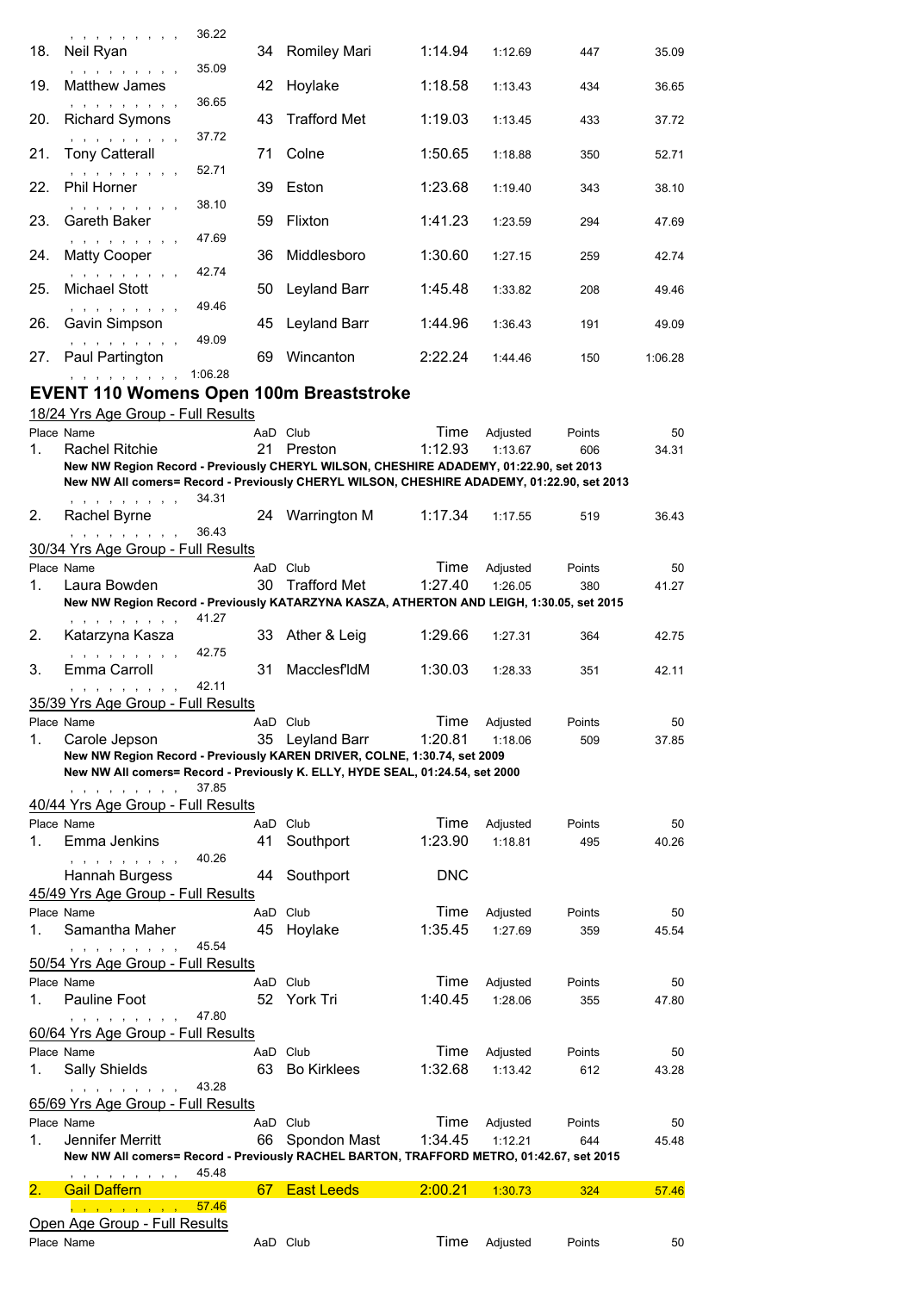|     |                                                                                                                                                                                     | 36.22          |      |                     |            |          |        |         |
|-----|-------------------------------------------------------------------------------------------------------------------------------------------------------------------------------------|----------------|------|---------------------|------------|----------|--------|---------|
| 18. | $1 - 1 - 1 - 1 - 1 - 1 - 1 - 1 - 1$<br>Neil Ryan                                                                                                                                    |                | 34   | Romiley Mari        | 1:14.94    | 1:12.69  | 447    | 35.09   |
| 19. | $1 \t1 \t1 \t1 \t1 \t1 \t1 \t1 \t1 \t1 \t1 \t1 \t1$<br>Matthew James                                                                                                                | 35.09          | 42   | Hoylake             | 1:18.58    | 1:13.43  | 434    | 36.65   |
| 20. | $\mathbf{y} = \mathbf{y} = \mathbf{y} = \mathbf{y} = \mathbf{y} = \mathbf{y} = \mathbf{y} = \mathbf{y} = \mathbf{y}$<br><b>Richard Symons</b>                                       | 36.65          | 43   | <b>Trafford Met</b> | 1:19.03    | 1:13.45  | 433    | 37.72   |
| 21. | $\mathbf{y} = \mathbf{y} - \mathbf{y} = \mathbf{y} - \mathbf{y} = \mathbf{y} - \mathbf{y} = \mathbf{y} - \mathbf{y} = \mathbf{y}$<br><b>Tony Catterall</b>                          | 37.72          | 71   | Colne               | 1:50.65    | 1:18.88  | 350    | 52.71   |
| 22. | $\mathbf{y} = \mathbf{y} - \mathbf{y} = \mathbf{y} - \mathbf{y} = \mathbf{y} - \mathbf{y} = \mathbf{y} - \mathbf{y} = \mathbf{y}$<br>Phil Horner                                    | 52.71          | 39   | Eston               | 1:23.68    | 1:19.40  | 343    | 38.10   |
| 23. | .<br>Gareth Baker                                                                                                                                                                   | 38.10          | 59   | Flixton             | 1:41.23    | 1:23.59  | 294    | 47.69   |
| 24. | .<br><b>Matty Cooper</b>                                                                                                                                                            | 47.69<br>42.74 | 36   | Middlesboro         | 1:30.60    | 1:27.15  | 259    | 42.74   |
| 25. | $\mathbf{y} = \mathbf{y} - \mathbf{y} = \mathbf{y} - \mathbf{y} = \mathbf{y} - \mathbf{y} = \mathbf{y} - \mathbf{y} = \mathbf{y}$<br><b>Michael Stott</b>                           | 49.46          | 50   | Leyland Barr        | 1:45.48    | 1:33.82  | 208    | 49.46   |
| 26. | $1 - 1 - 1 - 1 - 1 - 1 - 1 - 1 - 1 - 1$<br>Gavin Simpson                                                                                                                            | 49.09          | 45   | Leyland Barr        | 1:44.96    | 1:36.43  | 191    | 49.09   |
| 27. | $\mathbf{y} = \mathbf{y} - \mathbf{y} = \mathbf{y} - \mathbf{y} = \mathbf{y} - \mathbf{y} = \mathbf{y} - \mathbf{y} = \mathbf{y}$<br>Paul Partington<br>.                           | 1:06.28        | 69   | Wincanton           | 2:22.24    | 1:44.46  | 150    | 1:06.28 |
|     | <b>EVENT 110 Womens Open 100m Breaststroke</b>                                                                                                                                      |                |      |                     |            |          |        |         |
|     | 18/24 Yrs Age Group - Full Results                                                                                                                                                  |                |      |                     |            |          |        |         |
|     | Place Name                                                                                                                                                                          |                |      | AaD Club            | Time       | Adjusted | Points | 50      |
| 1.  | <b>Rachel Ritchie</b>                                                                                                                                                               |                | 21   | Preston             | 1:12.93    | 1:13.67  | 606    | 34.31   |
|     | New NW Region Record - Previously CHERYL WILSON, CHESHIRE ADADEMY, 01:22.90, set 2013<br>New NW All comers= Record - Previously CHERYL WILSON, CHESHIRE ADADEMY, 01:22.90, set 2013 |                |      |                     |            |          |        |         |
|     | $\mathbf{y} = \mathbf{y} = \mathbf{y} = \mathbf{y} = \mathbf{y} = \mathbf{y} = \mathbf{y} = \mathbf{y} = \mathbf{y}$                                                                | 34.31          |      |                     |            |          |        |         |
| 2.  | Rachel Byrne<br>.                                                                                                                                                                   | 36.43          |      | 24 Warrington M     | 1:17.34    | 1:17.55  | 519    | 36.43   |
|     | 30/34 Yrs Age Group - Full Results                                                                                                                                                  |                |      |                     |            |          |        |         |
|     | Place Name                                                                                                                                                                          |                |      | AaD Club            | Time       | Adjusted | Points | 50      |
| 1.  | Laura Bowden                                                                                                                                                                        |                | 30   | <b>Trafford Met</b> | 1:27.40    | 1:26.05  | 380    | 41.27   |
|     | New NW Region Record - Previously KATARZYNA KASZA, ATHERTON AND LEIGH, 1:30.05, set 2015                                                                                            |                |      |                     |            |          |        |         |
|     | , , , , , , , , , ,                                                                                                                                                                 | 41.27          |      |                     |            |          |        |         |
| 2.  | Katarzyna Kasza                                                                                                                                                                     | 42.75          |      | 33 Ather & Leig     | 1:29.66    | 1:27.31  | 364    | 42.75   |
| 3.  | Emma Carroll<br>$\mathbf{y} = \mathbf{y} - \mathbf{y} = \mathbf{y} - \mathbf{y} = \mathbf{y} - \mathbf{y} = \mathbf{y} - \mathbf{y} = \mathbf{y}$                                   | 42.11          | 31   | MacclesfldM         | 1:30.03    | 1:28.33  | 351    | 42.11   |
|     | 35/39 Yrs Age Group - Full Results                                                                                                                                                  |                |      |                     |            |          |        |         |
|     | Place Name                                                                                                                                                                          |                |      | AaD Club            | Time       | Adjusted | Points | 50      |
| 1.  | Carole Jepson                                                                                                                                                                       |                |      | 35 Leyland Barr     | 1:20.81    | 1:18.06  | 509    | 37.85   |
|     | New NW Region Record - Previously KAREN DRIVER, COLNE, 1:30.74, set 2009                                                                                                            |                |      |                     |            |          |        |         |
|     | New NW All comers= Record - Previously K. ELLY, HYDE SEAL, 01:24.54, set 2000<br>.                                                                                                  | 37.85          |      |                     |            |          |        |         |
|     | 40/44 Yrs Age Group - Full Results                                                                                                                                                  |                |      |                     |            |          |        |         |
|     | Place Name                                                                                                                                                                          |                |      | AaD Club            | Time       | Adjusted | Points | 50      |
| 1.  | Emma Jenkins                                                                                                                                                                        | 40.26          | 41   | Southport           | 1:23.90    | 1:18.81  | 495    | 40.26   |
|     | , , , , , , ,<br>Hannah Burgess                                                                                                                                                     |                | 44   | Southport           | <b>DNC</b> |          |        |         |
|     | 45/49 Yrs Age Group - Full Results                                                                                                                                                  |                |      |                     |            |          |        |         |
|     | Place Name                                                                                                                                                                          |                |      | AaD Club            | Time       | Adjusted | Points | 50      |
| 1.  | Samantha Maher                                                                                                                                                                      | 45.54          |      | 45 Hoylake          | 1:35.45    | 1:27.69  | 359    | 45.54   |
|     | 50/54 Yrs Age Group - Full Results                                                                                                                                                  |                |      |                     |            |          |        |         |
|     | Place Name                                                                                                                                                                          |                |      | AaD Club            | Time       | Adjusted | Points | 50      |
| 1.  | Pauline Foot                                                                                                                                                                        |                | 52   | York Tri            | 1:40.45    | 1:28.06  | 355    | 47.80   |
|     | , , , , , , ,                                                                                                                                                                       | 47.80          |      |                     |            |          |        |         |
|     | 60/64 Yrs Age Group - Full Results                                                                                                                                                  |                |      |                     |            |          |        |         |
|     | Place Name                                                                                                                                                                          |                |      | AaD Club            | Time       | Adjusted | Points | 50      |
| 1.  | <b>Sally Shields</b><br>$\mathbf{y} = \mathbf{y} - \mathbf{y} = \mathbf{y} - \mathbf{y} = \mathbf{y} - \mathbf{y} = \mathbf{y} - \mathbf{y} = \mathbf{y}$                           | 43.28          |      | 63 Bo Kirklees      | 1:32.68    | 1:13.42  | 612    | 43.28   |
|     | 65/69 Yrs Age Group - Full Results                                                                                                                                                  |                |      |                     |            |          |        |         |
|     | Place Name                                                                                                                                                                          |                |      | AaD Club            | Time       | Adjusted | Points | 50      |
| 1.  | Jennifer Merritt                                                                                                                                                                    |                | 66   | Spondon Mast        | 1:34.45    | 1:12.21  | 644    | 45.48   |
|     | New NW All comers= Record - Previously RACHEL BARTON, TRAFFORD METRO, 01:42.67, set 2015                                                                                            | 45.48          |      |                     |            |          |        |         |
| 2.  | $\mathbf{y} = \mathbf{y} - \mathbf{y} = \mathbf{y} - \mathbf{y} = \mathbf{y} - \mathbf{y} = \mathbf{y} - \mathbf{y}$<br><b>Gail Daffern</b>                                         |                | 67 - | <b>East Leeds</b>   | 2:00.21    | 1:30.73  | 324    | 57.46   |
|     | .                                                                                                                                                                                   | 57.46          |      |                     |            |          |        |         |
|     | Open Age Group - Full Results                                                                                                                                                       |                |      |                     |            |          |        |         |
|     | Place Name                                                                                                                                                                          |                |      | AaD Club            | Time       | Adjusted | Points | 50      |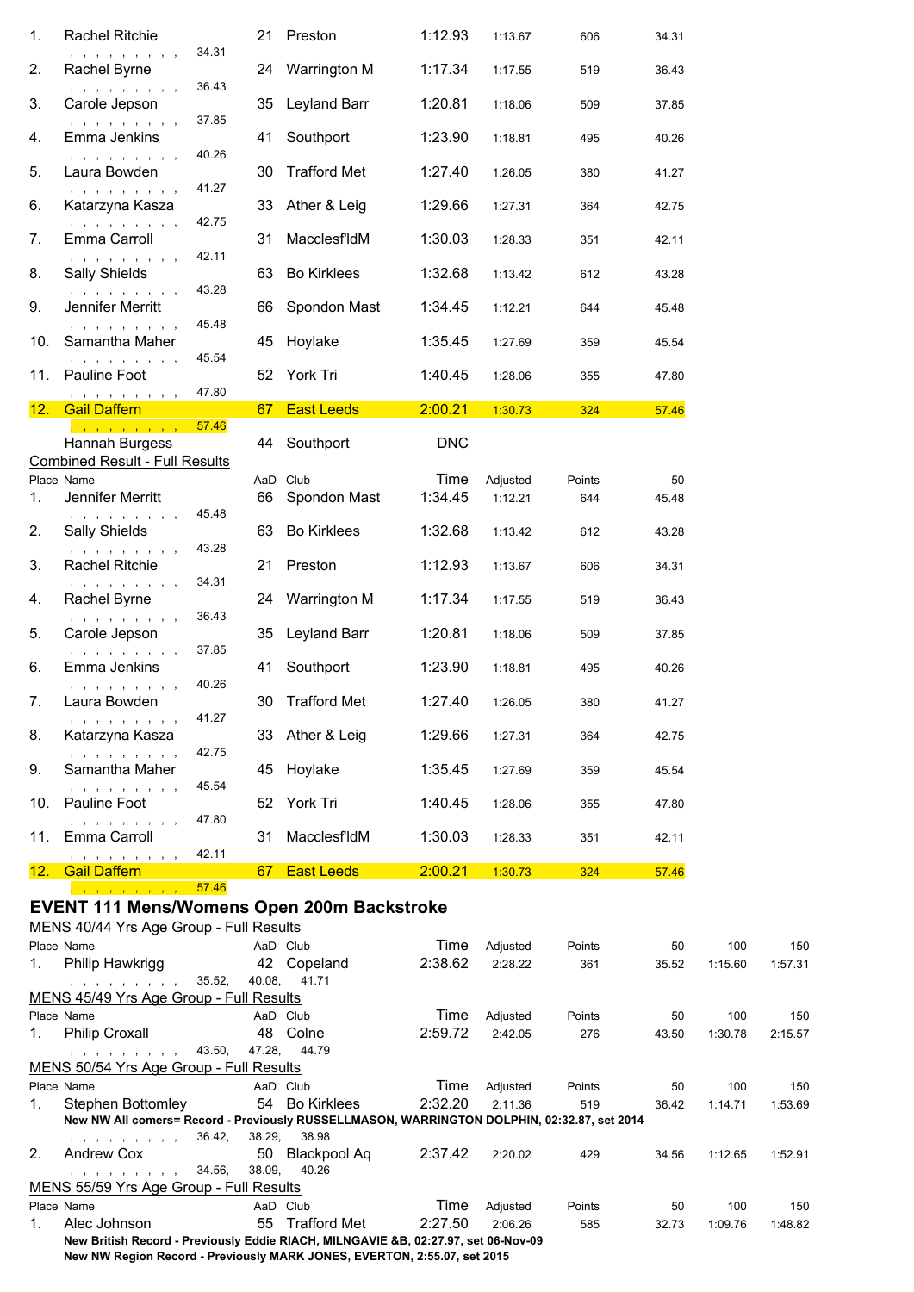| 2.<br>24 Warrington M<br>1:17.34<br>Rachel Byrne<br>1:17.55<br>519<br>36.43<br>36.43<br>$\mathbf{y} = \mathbf{y} = \mathbf{y} = \mathbf{y} = \mathbf{y} = \mathbf{y} = \mathbf{y} = \mathbf{y} = \mathbf{y}$<br>3.<br><b>Leyland Barr</b><br>1:20.81<br>Carole Jepson<br>35<br>1:18.06<br>509<br>37.85<br>37.85<br>$\mathbf{y} = \mathbf{y} - \mathbf{y} - \mathbf{y} - \mathbf{y} - \mathbf{y} - \mathbf{y} - \mathbf{y} - \mathbf{y} - \mathbf{y}$<br>Emma Jenkins<br>Southport<br>1:23.90<br>4.<br>41<br>1:18.81<br>495<br>40.26<br>40.26<br>$\mathbf{y} = \mathbf{y} - \mathbf{y} = \mathbf{y} - \mathbf{y} = \mathbf{y} - \mathbf{y} = \mathbf{y} - \mathbf{y} = \mathbf{y}$<br>5.<br><b>Trafford Met</b><br>Laura Bowden<br>1:27.40<br>30<br>1:26.05<br>380<br>41.27<br>41.27<br>$\mathbf{y} = \mathbf{y} - \mathbf{y} - \mathbf{y} = \mathbf{y} - \mathbf{y} - \mathbf{y} = \mathbf{y} - \mathbf{y} = \mathbf{y}$<br>Ather & Leig<br>1:29.66<br>6.<br>Katarzyna Kasza<br>33<br>1:27.31<br>42.75<br>364<br>42.75<br>$\mathbf{y} = \mathbf{y} - \mathbf{y} - \mathbf{y} = \mathbf{y} - \mathbf{y} - \mathbf{y} = \mathbf{y} - \mathbf{y} = \mathbf{y}$<br>7.<br><b>MacclesfldM</b><br>1:30.03<br>Emma Carroll<br>31<br>1:28.33<br>351<br>42.11<br>42.11<br>$\mathbf{y} = \mathbf{y} - \mathbf{y} = \mathbf{y} - \mathbf{y} = \mathbf{y} - \mathbf{y} = \mathbf{y} - \mathbf{y} = \mathbf{y}$<br>8.<br>Sally Shields<br><b>Bo Kirklees</b><br>1:32.68<br>63<br>1:13.42<br>612<br>43.28<br>43.28<br>$\mathbf{y} = \mathbf{y} - \mathbf{y} = \mathbf{y} - \mathbf{y} = \mathbf{y} - \mathbf{y} = \mathbf{y} - \mathbf{y} = \mathbf{y}$<br>9.<br>Jennifer Merritt<br>Spondon Mast<br>1:34.45<br>66<br>1:12.21<br>644<br>45.48<br>45.48<br>$1 - 1 - 1 - 1 - 1 - 1 - 1 - 1 - 1$<br>10.<br>Samantha Maher<br>1:35.45<br>Hoylake<br>45<br>1:27.69<br>359<br>45.54<br>45.54<br>$\mathbf{y} = \mathbf{y} - \mathbf{y} - \mathbf{y} = \mathbf{y} - \mathbf{y} - \mathbf{y} = \mathbf{y} - \mathbf{y} = \mathbf{y}$<br>Pauline Foot<br>52 York Tri<br>1:40.45<br>11.<br>1:28.06<br>355<br>47.80<br>47.80<br>$\mathbf{J}^{\mathcal{A}}=\mathbf{J}^{\mathcal{A}}=\mathbf{J}^{\mathcal{A}}=\mathbf{J}^{\mathcal{A}}=\mathbf{J}^{\mathcal{A}}=\mathbf{J}^{\mathcal{A}}=\mathbf{J}^{\mathcal{A}}=\mathbf{J}^{\mathcal{A}}$<br><b>East Leeds</b><br><b>Gail Daffern</b><br>2:00.21<br>12.<br>67<br>1:30.73<br>57.46<br>324<br>57.46<br>.<br>Hannah Burgess<br>44 Southport<br><b>DNC</b><br><b>Combined Result - Full Results</b><br>Time<br>Place Name<br>AaD Club<br>Adjusted<br>50<br>Points<br>1.<br>Jennifer Merritt<br>66<br>Spondon Mast<br>1:34.45<br>1:12.21<br>45.48<br>644<br>45.48<br>2.<br>Sally Shields<br><b>Bo Kirklees</b><br>1:32.68<br>63<br>1:13.42<br>612<br>43.28<br>43.28<br>$\mathbf{y} = \mathbf{y} - \mathbf{y} = \mathbf{y} - \mathbf{y} = \mathbf{y} - \mathbf{y} = \mathbf{y} - \mathbf{y} = \mathbf{y}$<br>3.<br>Rachel Ritchie<br>Preston<br>1:12.93<br>21<br>1:13.67<br>606<br>34.31<br>34.31<br>1:17.34<br>4.<br>Rachel Byrne<br>Warrington M<br>24<br>519<br>1:17.55<br>36.43<br>36.43<br>$\mathbf{y} = \mathbf{y} - \mathbf{y} - \mathbf{y} = \mathbf{y} - \mathbf{y} - \mathbf{y} = \mathbf{y} - \mathbf{y} = \mathbf{y}$<br>5.<br>Leyland Barr<br>1:20.81<br>Carole Jepson<br>35<br>1:18.06<br>509<br>37.85<br>37.85<br>$\mathbf{y} = \mathbf{y} - \mathbf{y} - \mathbf{y} - \mathbf{y} - \mathbf{y} - \mathbf{y} - \mathbf{y} - \mathbf{y} - \mathbf{y}$<br>Emma Jenkins<br>Southport<br>1:23.90<br>6.<br>41<br>1:18.81<br>495<br>40.26<br>40.26<br>$\mathbf{y} = \mathbf{y} = \mathbf{y} = \mathbf{y} = \mathbf{y} = \mathbf{y} = \mathbf{y} = \mathbf{y} = \mathbf{y}$<br>7.<br><b>Trafford Met</b><br>1:27.40<br>Laura Bowden<br>30<br>380<br>41.27<br>1:26.05<br>41.27<br>8.<br>33 Ather & Leig<br>1:29.66<br>Katarzyna Kasza<br>1:27.31<br>364<br>42.75<br>42.75<br>$\mathbf{y} = \mathbf{y} - \mathbf{y} = \mathbf{y} - \mathbf{y} = \mathbf{y} - \mathbf{y} = \mathbf{y} - \mathbf{y} = \mathbf{y}$<br>9.<br>Samantha Maher<br>45 Hoylake<br>1:35.45<br>1:27.69<br>359<br>45.54<br>45.54<br>$\mathbf{y} = \mathbf{y} - \mathbf{y} = \mathbf{y} - \mathbf{y} = \mathbf{y} - \mathbf{y} = \mathbf{y} - \mathbf{y} = \mathbf{y}$<br>10.<br>Pauline Foot<br>52 York Tri<br>1:40.45<br>1:28.06<br>355<br>47.80<br>47.80<br>$\mathbf{y} = \mathbf{y} - \mathbf{y} = \mathbf{y} - \mathbf{y} = \mathbf{y} - \mathbf{y} = \mathbf{y} - \mathbf{y} = \mathbf{y}$<br>Emma Carroll<br>Macclesf'ldM<br>1:30.03<br>11.<br>31<br>1:28.33<br>351<br>42.11<br>42.11<br>$\mathbf{y} = \mathbf{y} - \mathbf{y} = \mathbf{y} - \mathbf{y} = \mathbf{y} - \mathbf{y} = \mathbf{y} - \mathbf{y} = \mathbf{y}$<br><b>East Leeds</b><br>2:00.21<br>12.<br><b>Gail Daffern</b><br>67<br>1:30.73<br>324<br>57.46<br>57.46<br>.<br>EVENT 111 Mens/Womens Open 200m Backstroke<br>MENS 40/44 Yrs Age Group - Full Results<br>Time<br>Place Name<br>Adjusted<br>AaD Club<br>Points<br>50<br>100<br>150<br>2:38.62<br>Philip Hawkrigg<br>42 Copeland<br>1:57.31<br>1.<br>2:28.22<br>1:15.60<br>361<br>35.52<br>40.08,<br>41.71<br>35.52,<br>$\mathbf{y} = \mathbf{y} - \mathbf{y} - \mathbf{y} = \mathbf{y} - \mathbf{y} - \mathbf{y} = \mathbf{y} - \mathbf{y} - \mathbf{y}$<br>MENS 45/49 Yrs Age Group - Full Results<br>Place Name<br>Time<br>Adjusted<br>100<br>AaD Club<br>Points<br>50<br>150<br><b>Philip Croxall</b><br>48 Colne<br>2:59.72<br>1.<br>2:42.05<br>276<br>43.50<br>1:30.78<br>2:15.57<br>47.28,<br>44.79<br>43.50,<br>$\mathbf{y} = \mathbf{y} = \mathbf{y} = \mathbf{y} = \mathbf{y} = \mathbf{y} = \mathbf{y} = \mathbf{y} = \mathbf{y}$<br>MENS 50/54 Yrs Age Group - Full Results<br>Time<br>100<br>Place Name<br>AaD Club<br>Adjusted<br>Points<br>50<br>150<br>2:32.20<br>54 Bo Kirklees<br>Stephen Bottomley<br>2:11.36<br>1.<br>519<br>36.42<br>1:14.71<br>1:53.69<br>New NW All comers= Record - Previously RUSSELLMASON, WARRINGTON DOLPHIN, 02:32.87, set 2014<br>38.98<br>36.42,<br>38.29,<br>$\mathbf{y} = \mathbf{y} - \mathbf{y} = \mathbf{y} - \mathbf{y} = \mathbf{y} - \mathbf{y} = \mathbf{y} - \mathbf{y} = \mathbf{y}$<br>2.<br><b>Andrew Cox</b><br>50 Blackpool Aq<br>2:37.42<br>2:20.02<br>1:52.91<br>429<br>34.56<br>1:12.65<br>40.26<br>34.56,<br>38.09,<br>MENS 55/59 Yrs Age Group - Full Results<br>AaD Club<br>Time<br>Place Name<br>Adjusted<br>Points<br>100<br>150<br>50<br>55 Trafford Met<br>2:27.50<br>Alec Johnson<br>1.<br>2:06.26<br>1:48.82<br>585<br>32.73<br>1:09.76<br>New British Record - Previously Eddie RIACH, MILNGAVIE &B, 02:27.97, set 06-Nov-09 | 1. | Rachel Ritchie                                                                                                                    |       | 21 | Preston | 1:12.93 | 1:13.67 | 606 | 34.31 |  |
|-------------------------------------------------------------------------------------------------------------------------------------------------------------------------------------------------------------------------------------------------------------------------------------------------------------------------------------------------------------------------------------------------------------------------------------------------------------------------------------------------------------------------------------------------------------------------------------------------------------------------------------------------------------------------------------------------------------------------------------------------------------------------------------------------------------------------------------------------------------------------------------------------------------------------------------------------------------------------------------------------------------------------------------------------------------------------------------------------------------------------------------------------------------------------------------------------------------------------------------------------------------------------------------------------------------------------------------------------------------------------------------------------------------------------------------------------------------------------------------------------------------------------------------------------------------------------------------------------------------------------------------------------------------------------------------------------------------------------------------------------------------------------------------------------------------------------------------------------------------------------------------------------------------------------------------------------------------------------------------------------------------------------------------------------------------------------------------------------------------------------------------------------------------------------------------------------------------------------------------------------------------------------------------------------------------------------------------------------------------------------------------------------------------------------------------------------------------------------------------------------------------------------------------------------------------------------------------------------------------------------------------------------------------------------------------------------------------------------------------------------------------------------------------------------------------------------------------------------------------------------------------------------------------------------------------------------------------------------------------------------------------------------------------------------------------------------------------------------------------------------------------------------------------------------------------------------------------------------------------------------------------------------------------------------------------------------------------------------------------------------------------------------------------------------------------------------------------------------------------------------------------------------------------------------------------------------------------------------------------------------------------------------------------------------------------------------------------------------------------------------------------------------------------------------------------------------------------------------------------------------------------------------------------------------------------------------------------------------------------------------------------------------------------------------------------------------------------------------------------------------------------------------------------------------------------------------------------------------------------------------------------------------------------------------------------------------------------------------------------------------------------------------------------------------------------------------------------------------------------------------------------------------------------------------------------------------------------------------------------------------------------------------------------------------------------------------------------------------------------------------------------------------------------------------------------------------------------------------------------------------------------------------------------------------------------------------------------------------------------------------------------------------------------------------------------------------------------------------------------------------------------------------------------------------------------------------------------------------------------------------------------------------------------------------------------------------------------------------------------------------------------------------------------------------------------------------------------------------------------------------------------------------------------------------------------------------------------------------------------------------------------------------------------------------------------------------------------------------------------------------------------------------------------------------------------------------------------------------------------------------------------------------------------------------------------------------------------------------------------------------------------------------------------------------------------------------------------------------------------------------------------------------------------------------------------------------------------------------------------------------------------------------------------------------------------------------------------------------------------------------------------------------------------------------------------------------------------------------------------------------------------------------------------------------------------------------------------------------------------------------------|----|-----------------------------------------------------------------------------------------------------------------------------------|-------|----|---------|---------|---------|-----|-------|--|
|                                                                                                                                                                                                                                                                                                                                                                                                                                                                                                                                                                                                                                                                                                                                                                                                                                                                                                                                                                                                                                                                                                                                                                                                                                                                                                                                                                                                                                                                                                                                                                                                                                                                                                                                                                                                                                                                                                                                                                                                                                                                                                                                                                                                                                                                                                                                                                                                                                                                                                                                                                                                                                                                                                                                                                                                                                                                                                                                                                                                                                                                                                                                                                                                                                                                                                                                                                                                                                                                                                                                                                                                                                                                                                                                                                                                                                                                                                                                                                                                                                                                                                                                                                                                                                                                                                                                                                                                                                                                                                                                                                                                                                                                                                                                                                                                                                                                                                                                                                                                                                                                                                                                                                                                                                                                                                                                                                                                                                                                                                                                                                                                                                                                                                                                                                                                                                                                                                                                                                                                                                                                                                                                                                                                                                                                                                                                                                                                                                                                                                                                                                                                                               |    | $\mathbf{y} = \mathbf{y} - \mathbf{y} = \mathbf{y} - \mathbf{y} = \mathbf{y} - \mathbf{y} = \mathbf{y} - \mathbf{y} = \mathbf{y}$ | 34.31 |    |         |         |         |     |       |  |
|                                                                                                                                                                                                                                                                                                                                                                                                                                                                                                                                                                                                                                                                                                                                                                                                                                                                                                                                                                                                                                                                                                                                                                                                                                                                                                                                                                                                                                                                                                                                                                                                                                                                                                                                                                                                                                                                                                                                                                                                                                                                                                                                                                                                                                                                                                                                                                                                                                                                                                                                                                                                                                                                                                                                                                                                                                                                                                                                                                                                                                                                                                                                                                                                                                                                                                                                                                                                                                                                                                                                                                                                                                                                                                                                                                                                                                                                                                                                                                                                                                                                                                                                                                                                                                                                                                                                                                                                                                                                                                                                                                                                                                                                                                                                                                                                                                                                                                                                                                                                                                                                                                                                                                                                                                                                                                                                                                                                                                                                                                                                                                                                                                                                                                                                                                                                                                                                                                                                                                                                                                                                                                                                                                                                                                                                                                                                                                                                                                                                                                                                                                                                                               |    |                                                                                                                                   |       |    |         |         |         |     |       |  |
|                                                                                                                                                                                                                                                                                                                                                                                                                                                                                                                                                                                                                                                                                                                                                                                                                                                                                                                                                                                                                                                                                                                                                                                                                                                                                                                                                                                                                                                                                                                                                                                                                                                                                                                                                                                                                                                                                                                                                                                                                                                                                                                                                                                                                                                                                                                                                                                                                                                                                                                                                                                                                                                                                                                                                                                                                                                                                                                                                                                                                                                                                                                                                                                                                                                                                                                                                                                                                                                                                                                                                                                                                                                                                                                                                                                                                                                                                                                                                                                                                                                                                                                                                                                                                                                                                                                                                                                                                                                                                                                                                                                                                                                                                                                                                                                                                                                                                                                                                                                                                                                                                                                                                                                                                                                                                                                                                                                                                                                                                                                                                                                                                                                                                                                                                                                                                                                                                                                                                                                                                                                                                                                                                                                                                                                                                                                                                                                                                                                                                                                                                                                                                               |    |                                                                                                                                   |       |    |         |         |         |     |       |  |
|                                                                                                                                                                                                                                                                                                                                                                                                                                                                                                                                                                                                                                                                                                                                                                                                                                                                                                                                                                                                                                                                                                                                                                                                                                                                                                                                                                                                                                                                                                                                                                                                                                                                                                                                                                                                                                                                                                                                                                                                                                                                                                                                                                                                                                                                                                                                                                                                                                                                                                                                                                                                                                                                                                                                                                                                                                                                                                                                                                                                                                                                                                                                                                                                                                                                                                                                                                                                                                                                                                                                                                                                                                                                                                                                                                                                                                                                                                                                                                                                                                                                                                                                                                                                                                                                                                                                                                                                                                                                                                                                                                                                                                                                                                                                                                                                                                                                                                                                                                                                                                                                                                                                                                                                                                                                                                                                                                                                                                                                                                                                                                                                                                                                                                                                                                                                                                                                                                                                                                                                                                                                                                                                                                                                                                                                                                                                                                                                                                                                                                                                                                                                                               |    |                                                                                                                                   |       |    |         |         |         |     |       |  |
|                                                                                                                                                                                                                                                                                                                                                                                                                                                                                                                                                                                                                                                                                                                                                                                                                                                                                                                                                                                                                                                                                                                                                                                                                                                                                                                                                                                                                                                                                                                                                                                                                                                                                                                                                                                                                                                                                                                                                                                                                                                                                                                                                                                                                                                                                                                                                                                                                                                                                                                                                                                                                                                                                                                                                                                                                                                                                                                                                                                                                                                                                                                                                                                                                                                                                                                                                                                                                                                                                                                                                                                                                                                                                                                                                                                                                                                                                                                                                                                                                                                                                                                                                                                                                                                                                                                                                                                                                                                                                                                                                                                                                                                                                                                                                                                                                                                                                                                                                                                                                                                                                                                                                                                                                                                                                                                                                                                                                                                                                                                                                                                                                                                                                                                                                                                                                                                                                                                                                                                                                                                                                                                                                                                                                                                                                                                                                                                                                                                                                                                                                                                                                               |    |                                                                                                                                   |       |    |         |         |         |     |       |  |
|                                                                                                                                                                                                                                                                                                                                                                                                                                                                                                                                                                                                                                                                                                                                                                                                                                                                                                                                                                                                                                                                                                                                                                                                                                                                                                                                                                                                                                                                                                                                                                                                                                                                                                                                                                                                                                                                                                                                                                                                                                                                                                                                                                                                                                                                                                                                                                                                                                                                                                                                                                                                                                                                                                                                                                                                                                                                                                                                                                                                                                                                                                                                                                                                                                                                                                                                                                                                                                                                                                                                                                                                                                                                                                                                                                                                                                                                                                                                                                                                                                                                                                                                                                                                                                                                                                                                                                                                                                                                                                                                                                                                                                                                                                                                                                                                                                                                                                                                                                                                                                                                                                                                                                                                                                                                                                                                                                                                                                                                                                                                                                                                                                                                                                                                                                                                                                                                                                                                                                                                                                                                                                                                                                                                                                                                                                                                                                                                                                                                                                                                                                                                                               |    |                                                                                                                                   |       |    |         |         |         |     |       |  |
|                                                                                                                                                                                                                                                                                                                                                                                                                                                                                                                                                                                                                                                                                                                                                                                                                                                                                                                                                                                                                                                                                                                                                                                                                                                                                                                                                                                                                                                                                                                                                                                                                                                                                                                                                                                                                                                                                                                                                                                                                                                                                                                                                                                                                                                                                                                                                                                                                                                                                                                                                                                                                                                                                                                                                                                                                                                                                                                                                                                                                                                                                                                                                                                                                                                                                                                                                                                                                                                                                                                                                                                                                                                                                                                                                                                                                                                                                                                                                                                                                                                                                                                                                                                                                                                                                                                                                                                                                                                                                                                                                                                                                                                                                                                                                                                                                                                                                                                                                                                                                                                                                                                                                                                                                                                                                                                                                                                                                                                                                                                                                                                                                                                                                                                                                                                                                                                                                                                                                                                                                                                                                                                                                                                                                                                                                                                                                                                                                                                                                                                                                                                                                               |    |                                                                                                                                   |       |    |         |         |         |     |       |  |
|                                                                                                                                                                                                                                                                                                                                                                                                                                                                                                                                                                                                                                                                                                                                                                                                                                                                                                                                                                                                                                                                                                                                                                                                                                                                                                                                                                                                                                                                                                                                                                                                                                                                                                                                                                                                                                                                                                                                                                                                                                                                                                                                                                                                                                                                                                                                                                                                                                                                                                                                                                                                                                                                                                                                                                                                                                                                                                                                                                                                                                                                                                                                                                                                                                                                                                                                                                                                                                                                                                                                                                                                                                                                                                                                                                                                                                                                                                                                                                                                                                                                                                                                                                                                                                                                                                                                                                                                                                                                                                                                                                                                                                                                                                                                                                                                                                                                                                                                                                                                                                                                                                                                                                                                                                                                                                                                                                                                                                                                                                                                                                                                                                                                                                                                                                                                                                                                                                                                                                                                                                                                                                                                                                                                                                                                                                                                                                                                                                                                                                                                                                                                                               |    |                                                                                                                                   |       |    |         |         |         |     |       |  |
|                                                                                                                                                                                                                                                                                                                                                                                                                                                                                                                                                                                                                                                                                                                                                                                                                                                                                                                                                                                                                                                                                                                                                                                                                                                                                                                                                                                                                                                                                                                                                                                                                                                                                                                                                                                                                                                                                                                                                                                                                                                                                                                                                                                                                                                                                                                                                                                                                                                                                                                                                                                                                                                                                                                                                                                                                                                                                                                                                                                                                                                                                                                                                                                                                                                                                                                                                                                                                                                                                                                                                                                                                                                                                                                                                                                                                                                                                                                                                                                                                                                                                                                                                                                                                                                                                                                                                                                                                                                                                                                                                                                                                                                                                                                                                                                                                                                                                                                                                                                                                                                                                                                                                                                                                                                                                                                                                                                                                                                                                                                                                                                                                                                                                                                                                                                                                                                                                                                                                                                                                                                                                                                                                                                                                                                                                                                                                                                                                                                                                                                                                                                                                               |    |                                                                                                                                   |       |    |         |         |         |     |       |  |
|                                                                                                                                                                                                                                                                                                                                                                                                                                                                                                                                                                                                                                                                                                                                                                                                                                                                                                                                                                                                                                                                                                                                                                                                                                                                                                                                                                                                                                                                                                                                                                                                                                                                                                                                                                                                                                                                                                                                                                                                                                                                                                                                                                                                                                                                                                                                                                                                                                                                                                                                                                                                                                                                                                                                                                                                                                                                                                                                                                                                                                                                                                                                                                                                                                                                                                                                                                                                                                                                                                                                                                                                                                                                                                                                                                                                                                                                                                                                                                                                                                                                                                                                                                                                                                                                                                                                                                                                                                                                                                                                                                                                                                                                                                                                                                                                                                                                                                                                                                                                                                                                                                                                                                                                                                                                                                                                                                                                                                                                                                                                                                                                                                                                                                                                                                                                                                                                                                                                                                                                                                                                                                                                                                                                                                                                                                                                                                                                                                                                                                                                                                                                                               |    |                                                                                                                                   |       |    |         |         |         |     |       |  |
|                                                                                                                                                                                                                                                                                                                                                                                                                                                                                                                                                                                                                                                                                                                                                                                                                                                                                                                                                                                                                                                                                                                                                                                                                                                                                                                                                                                                                                                                                                                                                                                                                                                                                                                                                                                                                                                                                                                                                                                                                                                                                                                                                                                                                                                                                                                                                                                                                                                                                                                                                                                                                                                                                                                                                                                                                                                                                                                                                                                                                                                                                                                                                                                                                                                                                                                                                                                                                                                                                                                                                                                                                                                                                                                                                                                                                                                                                                                                                                                                                                                                                                                                                                                                                                                                                                                                                                                                                                                                                                                                                                                                                                                                                                                                                                                                                                                                                                                                                                                                                                                                                                                                                                                                                                                                                                                                                                                                                                                                                                                                                                                                                                                                                                                                                                                                                                                                                                                                                                                                                                                                                                                                                                                                                                                                                                                                                                                                                                                                                                                                                                                                                               |    |                                                                                                                                   |       |    |         |         |         |     |       |  |
|                                                                                                                                                                                                                                                                                                                                                                                                                                                                                                                                                                                                                                                                                                                                                                                                                                                                                                                                                                                                                                                                                                                                                                                                                                                                                                                                                                                                                                                                                                                                                                                                                                                                                                                                                                                                                                                                                                                                                                                                                                                                                                                                                                                                                                                                                                                                                                                                                                                                                                                                                                                                                                                                                                                                                                                                                                                                                                                                                                                                                                                                                                                                                                                                                                                                                                                                                                                                                                                                                                                                                                                                                                                                                                                                                                                                                                                                                                                                                                                                                                                                                                                                                                                                                                                                                                                                                                                                                                                                                                                                                                                                                                                                                                                                                                                                                                                                                                                                                                                                                                                                                                                                                                                                                                                                                                                                                                                                                                                                                                                                                                                                                                                                                                                                                                                                                                                                                                                                                                                                                                                                                                                                                                                                                                                                                                                                                                                                                                                                                                                                                                                                                               |    |                                                                                                                                   |       |    |         |         |         |     |       |  |
|                                                                                                                                                                                                                                                                                                                                                                                                                                                                                                                                                                                                                                                                                                                                                                                                                                                                                                                                                                                                                                                                                                                                                                                                                                                                                                                                                                                                                                                                                                                                                                                                                                                                                                                                                                                                                                                                                                                                                                                                                                                                                                                                                                                                                                                                                                                                                                                                                                                                                                                                                                                                                                                                                                                                                                                                                                                                                                                                                                                                                                                                                                                                                                                                                                                                                                                                                                                                                                                                                                                                                                                                                                                                                                                                                                                                                                                                                                                                                                                                                                                                                                                                                                                                                                                                                                                                                                                                                                                                                                                                                                                                                                                                                                                                                                                                                                                                                                                                                                                                                                                                                                                                                                                                                                                                                                                                                                                                                                                                                                                                                                                                                                                                                                                                                                                                                                                                                                                                                                                                                                                                                                                                                                                                                                                                                                                                                                                                                                                                                                                                                                                                                               |    |                                                                                                                                   |       |    |         |         |         |     |       |  |
|                                                                                                                                                                                                                                                                                                                                                                                                                                                                                                                                                                                                                                                                                                                                                                                                                                                                                                                                                                                                                                                                                                                                                                                                                                                                                                                                                                                                                                                                                                                                                                                                                                                                                                                                                                                                                                                                                                                                                                                                                                                                                                                                                                                                                                                                                                                                                                                                                                                                                                                                                                                                                                                                                                                                                                                                                                                                                                                                                                                                                                                                                                                                                                                                                                                                                                                                                                                                                                                                                                                                                                                                                                                                                                                                                                                                                                                                                                                                                                                                                                                                                                                                                                                                                                                                                                                                                                                                                                                                                                                                                                                                                                                                                                                                                                                                                                                                                                                                                                                                                                                                                                                                                                                                                                                                                                                                                                                                                                                                                                                                                                                                                                                                                                                                                                                                                                                                                                                                                                                                                                                                                                                                                                                                                                                                                                                                                                                                                                                                                                                                                                                                                               |    |                                                                                                                                   |       |    |         |         |         |     |       |  |
|                                                                                                                                                                                                                                                                                                                                                                                                                                                                                                                                                                                                                                                                                                                                                                                                                                                                                                                                                                                                                                                                                                                                                                                                                                                                                                                                                                                                                                                                                                                                                                                                                                                                                                                                                                                                                                                                                                                                                                                                                                                                                                                                                                                                                                                                                                                                                                                                                                                                                                                                                                                                                                                                                                                                                                                                                                                                                                                                                                                                                                                                                                                                                                                                                                                                                                                                                                                                                                                                                                                                                                                                                                                                                                                                                                                                                                                                                                                                                                                                                                                                                                                                                                                                                                                                                                                                                                                                                                                                                                                                                                                                                                                                                                                                                                                                                                                                                                                                                                                                                                                                                                                                                                                                                                                                                                                                                                                                                                                                                                                                                                                                                                                                                                                                                                                                                                                                                                                                                                                                                                                                                                                                                                                                                                                                                                                                                                                                                                                                                                                                                                                                                               |    |                                                                                                                                   |       |    |         |         |         |     |       |  |
|                                                                                                                                                                                                                                                                                                                                                                                                                                                                                                                                                                                                                                                                                                                                                                                                                                                                                                                                                                                                                                                                                                                                                                                                                                                                                                                                                                                                                                                                                                                                                                                                                                                                                                                                                                                                                                                                                                                                                                                                                                                                                                                                                                                                                                                                                                                                                                                                                                                                                                                                                                                                                                                                                                                                                                                                                                                                                                                                                                                                                                                                                                                                                                                                                                                                                                                                                                                                                                                                                                                                                                                                                                                                                                                                                                                                                                                                                                                                                                                                                                                                                                                                                                                                                                                                                                                                                                                                                                                                                                                                                                                                                                                                                                                                                                                                                                                                                                                                                                                                                                                                                                                                                                                                                                                                                                                                                                                                                                                                                                                                                                                                                                                                                                                                                                                                                                                                                                                                                                                                                                                                                                                                                                                                                                                                                                                                                                                                                                                                                                                                                                                                                               |    |                                                                                                                                   |       |    |         |         |         |     |       |  |
|                                                                                                                                                                                                                                                                                                                                                                                                                                                                                                                                                                                                                                                                                                                                                                                                                                                                                                                                                                                                                                                                                                                                                                                                                                                                                                                                                                                                                                                                                                                                                                                                                                                                                                                                                                                                                                                                                                                                                                                                                                                                                                                                                                                                                                                                                                                                                                                                                                                                                                                                                                                                                                                                                                                                                                                                                                                                                                                                                                                                                                                                                                                                                                                                                                                                                                                                                                                                                                                                                                                                                                                                                                                                                                                                                                                                                                                                                                                                                                                                                                                                                                                                                                                                                                                                                                                                                                                                                                                                                                                                                                                                                                                                                                                                                                                                                                                                                                                                                                                                                                                                                                                                                                                                                                                                                                                                                                                                                                                                                                                                                                                                                                                                                                                                                                                                                                                                                                                                                                                                                                                                                                                                                                                                                                                                                                                                                                                                                                                                                                                                                                                                                               |    |                                                                                                                                   |       |    |         |         |         |     |       |  |
|                                                                                                                                                                                                                                                                                                                                                                                                                                                                                                                                                                                                                                                                                                                                                                                                                                                                                                                                                                                                                                                                                                                                                                                                                                                                                                                                                                                                                                                                                                                                                                                                                                                                                                                                                                                                                                                                                                                                                                                                                                                                                                                                                                                                                                                                                                                                                                                                                                                                                                                                                                                                                                                                                                                                                                                                                                                                                                                                                                                                                                                                                                                                                                                                                                                                                                                                                                                                                                                                                                                                                                                                                                                                                                                                                                                                                                                                                                                                                                                                                                                                                                                                                                                                                                                                                                                                                                                                                                                                                                                                                                                                                                                                                                                                                                                                                                                                                                                                                                                                                                                                                                                                                                                                                                                                                                                                                                                                                                                                                                                                                                                                                                                                                                                                                                                                                                                                                                                                                                                                                                                                                                                                                                                                                                                                                                                                                                                                                                                                                                                                                                                                                               |    |                                                                                                                                   |       |    |         |         |         |     |       |  |
|                                                                                                                                                                                                                                                                                                                                                                                                                                                                                                                                                                                                                                                                                                                                                                                                                                                                                                                                                                                                                                                                                                                                                                                                                                                                                                                                                                                                                                                                                                                                                                                                                                                                                                                                                                                                                                                                                                                                                                                                                                                                                                                                                                                                                                                                                                                                                                                                                                                                                                                                                                                                                                                                                                                                                                                                                                                                                                                                                                                                                                                                                                                                                                                                                                                                                                                                                                                                                                                                                                                                                                                                                                                                                                                                                                                                                                                                                                                                                                                                                                                                                                                                                                                                                                                                                                                                                                                                                                                                                                                                                                                                                                                                                                                                                                                                                                                                                                                                                                                                                                                                                                                                                                                                                                                                                                                                                                                                                                                                                                                                                                                                                                                                                                                                                                                                                                                                                                                                                                                                                                                                                                                                                                                                                                                                                                                                                                                                                                                                                                                                                                                                                               |    |                                                                                                                                   |       |    |         |         |         |     |       |  |
|                                                                                                                                                                                                                                                                                                                                                                                                                                                                                                                                                                                                                                                                                                                                                                                                                                                                                                                                                                                                                                                                                                                                                                                                                                                                                                                                                                                                                                                                                                                                                                                                                                                                                                                                                                                                                                                                                                                                                                                                                                                                                                                                                                                                                                                                                                                                                                                                                                                                                                                                                                                                                                                                                                                                                                                                                                                                                                                                                                                                                                                                                                                                                                                                                                                                                                                                                                                                                                                                                                                                                                                                                                                                                                                                                                                                                                                                                                                                                                                                                                                                                                                                                                                                                                                                                                                                                                                                                                                                                                                                                                                                                                                                                                                                                                                                                                                                                                                                                                                                                                                                                                                                                                                                                                                                                                                                                                                                                                                                                                                                                                                                                                                                                                                                                                                                                                                                                                                                                                                                                                                                                                                                                                                                                                                                                                                                                                                                                                                                                                                                                                                                                               |    |                                                                                                                                   |       |    |         |         |         |     |       |  |
|                                                                                                                                                                                                                                                                                                                                                                                                                                                                                                                                                                                                                                                                                                                                                                                                                                                                                                                                                                                                                                                                                                                                                                                                                                                                                                                                                                                                                                                                                                                                                                                                                                                                                                                                                                                                                                                                                                                                                                                                                                                                                                                                                                                                                                                                                                                                                                                                                                                                                                                                                                                                                                                                                                                                                                                                                                                                                                                                                                                                                                                                                                                                                                                                                                                                                                                                                                                                                                                                                                                                                                                                                                                                                                                                                                                                                                                                                                                                                                                                                                                                                                                                                                                                                                                                                                                                                                                                                                                                                                                                                                                                                                                                                                                                                                                                                                                                                                                                                                                                                                                                                                                                                                                                                                                                                                                                                                                                                                                                                                                                                                                                                                                                                                                                                                                                                                                                                                                                                                                                                                                                                                                                                                                                                                                                                                                                                                                                                                                                                                                                                                                                                               |    |                                                                                                                                   |       |    |         |         |         |     |       |  |
|                                                                                                                                                                                                                                                                                                                                                                                                                                                                                                                                                                                                                                                                                                                                                                                                                                                                                                                                                                                                                                                                                                                                                                                                                                                                                                                                                                                                                                                                                                                                                                                                                                                                                                                                                                                                                                                                                                                                                                                                                                                                                                                                                                                                                                                                                                                                                                                                                                                                                                                                                                                                                                                                                                                                                                                                                                                                                                                                                                                                                                                                                                                                                                                                                                                                                                                                                                                                                                                                                                                                                                                                                                                                                                                                                                                                                                                                                                                                                                                                                                                                                                                                                                                                                                                                                                                                                                                                                                                                                                                                                                                                                                                                                                                                                                                                                                                                                                                                                                                                                                                                                                                                                                                                                                                                                                                                                                                                                                                                                                                                                                                                                                                                                                                                                                                                                                                                                                                                                                                                                                                                                                                                                                                                                                                                                                                                                                                                                                                                                                                                                                                                                               |    |                                                                                                                                   |       |    |         |         |         |     |       |  |
|                                                                                                                                                                                                                                                                                                                                                                                                                                                                                                                                                                                                                                                                                                                                                                                                                                                                                                                                                                                                                                                                                                                                                                                                                                                                                                                                                                                                                                                                                                                                                                                                                                                                                                                                                                                                                                                                                                                                                                                                                                                                                                                                                                                                                                                                                                                                                                                                                                                                                                                                                                                                                                                                                                                                                                                                                                                                                                                                                                                                                                                                                                                                                                                                                                                                                                                                                                                                                                                                                                                                                                                                                                                                                                                                                                                                                                                                                                                                                                                                                                                                                                                                                                                                                                                                                                                                                                                                                                                                                                                                                                                                                                                                                                                                                                                                                                                                                                                                                                                                                                                                                                                                                                                                                                                                                                                                                                                                                                                                                                                                                                                                                                                                                                                                                                                                                                                                                                                                                                                                                                                                                                                                                                                                                                                                                                                                                                                                                                                                                                                                                                                                                               |    |                                                                                                                                   |       |    |         |         |         |     |       |  |
|                                                                                                                                                                                                                                                                                                                                                                                                                                                                                                                                                                                                                                                                                                                                                                                                                                                                                                                                                                                                                                                                                                                                                                                                                                                                                                                                                                                                                                                                                                                                                                                                                                                                                                                                                                                                                                                                                                                                                                                                                                                                                                                                                                                                                                                                                                                                                                                                                                                                                                                                                                                                                                                                                                                                                                                                                                                                                                                                                                                                                                                                                                                                                                                                                                                                                                                                                                                                                                                                                                                                                                                                                                                                                                                                                                                                                                                                                                                                                                                                                                                                                                                                                                                                                                                                                                                                                                                                                                                                                                                                                                                                                                                                                                                                                                                                                                                                                                                                                                                                                                                                                                                                                                                                                                                                                                                                                                                                                                                                                                                                                                                                                                                                                                                                                                                                                                                                                                                                                                                                                                                                                                                                                                                                                                                                                                                                                                                                                                                                                                                                                                                                                               |    |                                                                                                                                   |       |    |         |         |         |     |       |  |
|                                                                                                                                                                                                                                                                                                                                                                                                                                                                                                                                                                                                                                                                                                                                                                                                                                                                                                                                                                                                                                                                                                                                                                                                                                                                                                                                                                                                                                                                                                                                                                                                                                                                                                                                                                                                                                                                                                                                                                                                                                                                                                                                                                                                                                                                                                                                                                                                                                                                                                                                                                                                                                                                                                                                                                                                                                                                                                                                                                                                                                                                                                                                                                                                                                                                                                                                                                                                                                                                                                                                                                                                                                                                                                                                                                                                                                                                                                                                                                                                                                                                                                                                                                                                                                                                                                                                                                                                                                                                                                                                                                                                                                                                                                                                                                                                                                                                                                                                                                                                                                                                                                                                                                                                                                                                                                                                                                                                                                                                                                                                                                                                                                                                                                                                                                                                                                                                                                                                                                                                                                                                                                                                                                                                                                                                                                                                                                                                                                                                                                                                                                                                                               |    |                                                                                                                                   |       |    |         |         |         |     |       |  |
|                                                                                                                                                                                                                                                                                                                                                                                                                                                                                                                                                                                                                                                                                                                                                                                                                                                                                                                                                                                                                                                                                                                                                                                                                                                                                                                                                                                                                                                                                                                                                                                                                                                                                                                                                                                                                                                                                                                                                                                                                                                                                                                                                                                                                                                                                                                                                                                                                                                                                                                                                                                                                                                                                                                                                                                                                                                                                                                                                                                                                                                                                                                                                                                                                                                                                                                                                                                                                                                                                                                                                                                                                                                                                                                                                                                                                                                                                                                                                                                                                                                                                                                                                                                                                                                                                                                                                                                                                                                                                                                                                                                                                                                                                                                                                                                                                                                                                                                                                                                                                                                                                                                                                                                                                                                                                                                                                                                                                                                                                                                                                                                                                                                                                                                                                                                                                                                                                                                                                                                                                                                                                                                                                                                                                                                                                                                                                                                                                                                                                                                                                                                                                               |    |                                                                                                                                   |       |    |         |         |         |     |       |  |
|                                                                                                                                                                                                                                                                                                                                                                                                                                                                                                                                                                                                                                                                                                                                                                                                                                                                                                                                                                                                                                                                                                                                                                                                                                                                                                                                                                                                                                                                                                                                                                                                                                                                                                                                                                                                                                                                                                                                                                                                                                                                                                                                                                                                                                                                                                                                                                                                                                                                                                                                                                                                                                                                                                                                                                                                                                                                                                                                                                                                                                                                                                                                                                                                                                                                                                                                                                                                                                                                                                                                                                                                                                                                                                                                                                                                                                                                                                                                                                                                                                                                                                                                                                                                                                                                                                                                                                                                                                                                                                                                                                                                                                                                                                                                                                                                                                                                                                                                                                                                                                                                                                                                                                                                                                                                                                                                                                                                                                                                                                                                                                                                                                                                                                                                                                                                                                                                                                                                                                                                                                                                                                                                                                                                                                                                                                                                                                                                                                                                                                                                                                                                                               |    |                                                                                                                                   |       |    |         |         |         |     |       |  |
|                                                                                                                                                                                                                                                                                                                                                                                                                                                                                                                                                                                                                                                                                                                                                                                                                                                                                                                                                                                                                                                                                                                                                                                                                                                                                                                                                                                                                                                                                                                                                                                                                                                                                                                                                                                                                                                                                                                                                                                                                                                                                                                                                                                                                                                                                                                                                                                                                                                                                                                                                                                                                                                                                                                                                                                                                                                                                                                                                                                                                                                                                                                                                                                                                                                                                                                                                                                                                                                                                                                                                                                                                                                                                                                                                                                                                                                                                                                                                                                                                                                                                                                                                                                                                                                                                                                                                                                                                                                                                                                                                                                                                                                                                                                                                                                                                                                                                                                                                                                                                                                                                                                                                                                                                                                                                                                                                                                                                                                                                                                                                                                                                                                                                                                                                                                                                                                                                                                                                                                                                                                                                                                                                                                                                                                                                                                                                                                                                                                                                                                                                                                                                               |    |                                                                                                                                   |       |    |         |         |         |     |       |  |
|                                                                                                                                                                                                                                                                                                                                                                                                                                                                                                                                                                                                                                                                                                                                                                                                                                                                                                                                                                                                                                                                                                                                                                                                                                                                                                                                                                                                                                                                                                                                                                                                                                                                                                                                                                                                                                                                                                                                                                                                                                                                                                                                                                                                                                                                                                                                                                                                                                                                                                                                                                                                                                                                                                                                                                                                                                                                                                                                                                                                                                                                                                                                                                                                                                                                                                                                                                                                                                                                                                                                                                                                                                                                                                                                                                                                                                                                                                                                                                                                                                                                                                                                                                                                                                                                                                                                                                                                                                                                                                                                                                                                                                                                                                                                                                                                                                                                                                                                                                                                                                                                                                                                                                                                                                                                                                                                                                                                                                                                                                                                                                                                                                                                                                                                                                                                                                                                                                                                                                                                                                                                                                                                                                                                                                                                                                                                                                                                                                                                                                                                                                                                                               |    |                                                                                                                                   |       |    |         |         |         |     |       |  |
|                                                                                                                                                                                                                                                                                                                                                                                                                                                                                                                                                                                                                                                                                                                                                                                                                                                                                                                                                                                                                                                                                                                                                                                                                                                                                                                                                                                                                                                                                                                                                                                                                                                                                                                                                                                                                                                                                                                                                                                                                                                                                                                                                                                                                                                                                                                                                                                                                                                                                                                                                                                                                                                                                                                                                                                                                                                                                                                                                                                                                                                                                                                                                                                                                                                                                                                                                                                                                                                                                                                                                                                                                                                                                                                                                                                                                                                                                                                                                                                                                                                                                                                                                                                                                                                                                                                                                                                                                                                                                                                                                                                                                                                                                                                                                                                                                                                                                                                                                                                                                                                                                                                                                                                                                                                                                                                                                                                                                                                                                                                                                                                                                                                                                                                                                                                                                                                                                                                                                                                                                                                                                                                                                                                                                                                                                                                                                                                                                                                                                                                                                                                                                               |    |                                                                                                                                   |       |    |         |         |         |     |       |  |
|                                                                                                                                                                                                                                                                                                                                                                                                                                                                                                                                                                                                                                                                                                                                                                                                                                                                                                                                                                                                                                                                                                                                                                                                                                                                                                                                                                                                                                                                                                                                                                                                                                                                                                                                                                                                                                                                                                                                                                                                                                                                                                                                                                                                                                                                                                                                                                                                                                                                                                                                                                                                                                                                                                                                                                                                                                                                                                                                                                                                                                                                                                                                                                                                                                                                                                                                                                                                                                                                                                                                                                                                                                                                                                                                                                                                                                                                                                                                                                                                                                                                                                                                                                                                                                                                                                                                                                                                                                                                                                                                                                                                                                                                                                                                                                                                                                                                                                                                                                                                                                                                                                                                                                                                                                                                                                                                                                                                                                                                                                                                                                                                                                                                                                                                                                                                                                                                                                                                                                                                                                                                                                                                                                                                                                                                                                                                                                                                                                                                                                                                                                                                                               |    |                                                                                                                                   |       |    |         |         |         |     |       |  |
|                                                                                                                                                                                                                                                                                                                                                                                                                                                                                                                                                                                                                                                                                                                                                                                                                                                                                                                                                                                                                                                                                                                                                                                                                                                                                                                                                                                                                                                                                                                                                                                                                                                                                                                                                                                                                                                                                                                                                                                                                                                                                                                                                                                                                                                                                                                                                                                                                                                                                                                                                                                                                                                                                                                                                                                                                                                                                                                                                                                                                                                                                                                                                                                                                                                                                                                                                                                                                                                                                                                                                                                                                                                                                                                                                                                                                                                                                                                                                                                                                                                                                                                                                                                                                                                                                                                                                                                                                                                                                                                                                                                                                                                                                                                                                                                                                                                                                                                                                                                                                                                                                                                                                                                                                                                                                                                                                                                                                                                                                                                                                                                                                                                                                                                                                                                                                                                                                                                                                                                                                                                                                                                                                                                                                                                                                                                                                                                                                                                                                                                                                                                                                               |    |                                                                                                                                   |       |    |         |         |         |     |       |  |
|                                                                                                                                                                                                                                                                                                                                                                                                                                                                                                                                                                                                                                                                                                                                                                                                                                                                                                                                                                                                                                                                                                                                                                                                                                                                                                                                                                                                                                                                                                                                                                                                                                                                                                                                                                                                                                                                                                                                                                                                                                                                                                                                                                                                                                                                                                                                                                                                                                                                                                                                                                                                                                                                                                                                                                                                                                                                                                                                                                                                                                                                                                                                                                                                                                                                                                                                                                                                                                                                                                                                                                                                                                                                                                                                                                                                                                                                                                                                                                                                                                                                                                                                                                                                                                                                                                                                                                                                                                                                                                                                                                                                                                                                                                                                                                                                                                                                                                                                                                                                                                                                                                                                                                                                                                                                                                                                                                                                                                                                                                                                                                                                                                                                                                                                                                                                                                                                                                                                                                                                                                                                                                                                                                                                                                                                                                                                                                                                                                                                                                                                                                                                                               |    |                                                                                                                                   |       |    |         |         |         |     |       |  |
|                                                                                                                                                                                                                                                                                                                                                                                                                                                                                                                                                                                                                                                                                                                                                                                                                                                                                                                                                                                                                                                                                                                                                                                                                                                                                                                                                                                                                                                                                                                                                                                                                                                                                                                                                                                                                                                                                                                                                                                                                                                                                                                                                                                                                                                                                                                                                                                                                                                                                                                                                                                                                                                                                                                                                                                                                                                                                                                                                                                                                                                                                                                                                                                                                                                                                                                                                                                                                                                                                                                                                                                                                                                                                                                                                                                                                                                                                                                                                                                                                                                                                                                                                                                                                                                                                                                                                                                                                                                                                                                                                                                                                                                                                                                                                                                                                                                                                                                                                                                                                                                                                                                                                                                                                                                                                                                                                                                                                                                                                                                                                                                                                                                                                                                                                                                                                                                                                                                                                                                                                                                                                                                                                                                                                                                                                                                                                                                                                                                                                                                                                                                                                               |    |                                                                                                                                   |       |    |         |         |         |     |       |  |
|                                                                                                                                                                                                                                                                                                                                                                                                                                                                                                                                                                                                                                                                                                                                                                                                                                                                                                                                                                                                                                                                                                                                                                                                                                                                                                                                                                                                                                                                                                                                                                                                                                                                                                                                                                                                                                                                                                                                                                                                                                                                                                                                                                                                                                                                                                                                                                                                                                                                                                                                                                                                                                                                                                                                                                                                                                                                                                                                                                                                                                                                                                                                                                                                                                                                                                                                                                                                                                                                                                                                                                                                                                                                                                                                                                                                                                                                                                                                                                                                                                                                                                                                                                                                                                                                                                                                                                                                                                                                                                                                                                                                                                                                                                                                                                                                                                                                                                                                                                                                                                                                                                                                                                                                                                                                                                                                                                                                                                                                                                                                                                                                                                                                                                                                                                                                                                                                                                                                                                                                                                                                                                                                                                                                                                                                                                                                                                                                                                                                                                                                                                                                                               |    |                                                                                                                                   |       |    |         |         |         |     |       |  |
|                                                                                                                                                                                                                                                                                                                                                                                                                                                                                                                                                                                                                                                                                                                                                                                                                                                                                                                                                                                                                                                                                                                                                                                                                                                                                                                                                                                                                                                                                                                                                                                                                                                                                                                                                                                                                                                                                                                                                                                                                                                                                                                                                                                                                                                                                                                                                                                                                                                                                                                                                                                                                                                                                                                                                                                                                                                                                                                                                                                                                                                                                                                                                                                                                                                                                                                                                                                                                                                                                                                                                                                                                                                                                                                                                                                                                                                                                                                                                                                                                                                                                                                                                                                                                                                                                                                                                                                                                                                                                                                                                                                                                                                                                                                                                                                                                                                                                                                                                                                                                                                                                                                                                                                                                                                                                                                                                                                                                                                                                                                                                                                                                                                                                                                                                                                                                                                                                                                                                                                                                                                                                                                                                                                                                                                                                                                                                                                                                                                                                                                                                                                                                               |    |                                                                                                                                   |       |    |         |         |         |     |       |  |
|                                                                                                                                                                                                                                                                                                                                                                                                                                                                                                                                                                                                                                                                                                                                                                                                                                                                                                                                                                                                                                                                                                                                                                                                                                                                                                                                                                                                                                                                                                                                                                                                                                                                                                                                                                                                                                                                                                                                                                                                                                                                                                                                                                                                                                                                                                                                                                                                                                                                                                                                                                                                                                                                                                                                                                                                                                                                                                                                                                                                                                                                                                                                                                                                                                                                                                                                                                                                                                                                                                                                                                                                                                                                                                                                                                                                                                                                                                                                                                                                                                                                                                                                                                                                                                                                                                                                                                                                                                                                                                                                                                                                                                                                                                                                                                                                                                                                                                                                                                                                                                                                                                                                                                                                                                                                                                                                                                                                                                                                                                                                                                                                                                                                                                                                                                                                                                                                                                                                                                                                                                                                                                                                                                                                                                                                                                                                                                                                                                                                                                                                                                                                                               |    |                                                                                                                                   |       |    |         |         |         |     |       |  |
|                                                                                                                                                                                                                                                                                                                                                                                                                                                                                                                                                                                                                                                                                                                                                                                                                                                                                                                                                                                                                                                                                                                                                                                                                                                                                                                                                                                                                                                                                                                                                                                                                                                                                                                                                                                                                                                                                                                                                                                                                                                                                                                                                                                                                                                                                                                                                                                                                                                                                                                                                                                                                                                                                                                                                                                                                                                                                                                                                                                                                                                                                                                                                                                                                                                                                                                                                                                                                                                                                                                                                                                                                                                                                                                                                                                                                                                                                                                                                                                                                                                                                                                                                                                                                                                                                                                                                                                                                                                                                                                                                                                                                                                                                                                                                                                                                                                                                                                                                                                                                                                                                                                                                                                                                                                                                                                                                                                                                                                                                                                                                                                                                                                                                                                                                                                                                                                                                                                                                                                                                                                                                                                                                                                                                                                                                                                                                                                                                                                                                                                                                                                                                               |    |                                                                                                                                   |       |    |         |         |         |     |       |  |
|                                                                                                                                                                                                                                                                                                                                                                                                                                                                                                                                                                                                                                                                                                                                                                                                                                                                                                                                                                                                                                                                                                                                                                                                                                                                                                                                                                                                                                                                                                                                                                                                                                                                                                                                                                                                                                                                                                                                                                                                                                                                                                                                                                                                                                                                                                                                                                                                                                                                                                                                                                                                                                                                                                                                                                                                                                                                                                                                                                                                                                                                                                                                                                                                                                                                                                                                                                                                                                                                                                                                                                                                                                                                                                                                                                                                                                                                                                                                                                                                                                                                                                                                                                                                                                                                                                                                                                                                                                                                                                                                                                                                                                                                                                                                                                                                                                                                                                                                                                                                                                                                                                                                                                                                                                                                                                                                                                                                                                                                                                                                                                                                                                                                                                                                                                                                                                                                                                                                                                                                                                                                                                                                                                                                                                                                                                                                                                                                                                                                                                                                                                                                                               |    |                                                                                                                                   |       |    |         |         |         |     |       |  |
|                                                                                                                                                                                                                                                                                                                                                                                                                                                                                                                                                                                                                                                                                                                                                                                                                                                                                                                                                                                                                                                                                                                                                                                                                                                                                                                                                                                                                                                                                                                                                                                                                                                                                                                                                                                                                                                                                                                                                                                                                                                                                                                                                                                                                                                                                                                                                                                                                                                                                                                                                                                                                                                                                                                                                                                                                                                                                                                                                                                                                                                                                                                                                                                                                                                                                                                                                                                                                                                                                                                                                                                                                                                                                                                                                                                                                                                                                                                                                                                                                                                                                                                                                                                                                                                                                                                                                                                                                                                                                                                                                                                                                                                                                                                                                                                                                                                                                                                                                                                                                                                                                                                                                                                                                                                                                                                                                                                                                                                                                                                                                                                                                                                                                                                                                                                                                                                                                                                                                                                                                                                                                                                                                                                                                                                                                                                                                                                                                                                                                                                                                                                                                               |    |                                                                                                                                   |       |    |         |         |         |     |       |  |
|                                                                                                                                                                                                                                                                                                                                                                                                                                                                                                                                                                                                                                                                                                                                                                                                                                                                                                                                                                                                                                                                                                                                                                                                                                                                                                                                                                                                                                                                                                                                                                                                                                                                                                                                                                                                                                                                                                                                                                                                                                                                                                                                                                                                                                                                                                                                                                                                                                                                                                                                                                                                                                                                                                                                                                                                                                                                                                                                                                                                                                                                                                                                                                                                                                                                                                                                                                                                                                                                                                                                                                                                                                                                                                                                                                                                                                                                                                                                                                                                                                                                                                                                                                                                                                                                                                                                                                                                                                                                                                                                                                                                                                                                                                                                                                                                                                                                                                                                                                                                                                                                                                                                                                                                                                                                                                                                                                                                                                                                                                                                                                                                                                                                                                                                                                                                                                                                                                                                                                                                                                                                                                                                                                                                                                                                                                                                                                                                                                                                                                                                                                                                                               |    |                                                                                                                                   |       |    |         |         |         |     |       |  |
|                                                                                                                                                                                                                                                                                                                                                                                                                                                                                                                                                                                                                                                                                                                                                                                                                                                                                                                                                                                                                                                                                                                                                                                                                                                                                                                                                                                                                                                                                                                                                                                                                                                                                                                                                                                                                                                                                                                                                                                                                                                                                                                                                                                                                                                                                                                                                                                                                                                                                                                                                                                                                                                                                                                                                                                                                                                                                                                                                                                                                                                                                                                                                                                                                                                                                                                                                                                                                                                                                                                                                                                                                                                                                                                                                                                                                                                                                                                                                                                                                                                                                                                                                                                                                                                                                                                                                                                                                                                                                                                                                                                                                                                                                                                                                                                                                                                                                                                                                                                                                                                                                                                                                                                                                                                                                                                                                                                                                                                                                                                                                                                                                                                                                                                                                                                                                                                                                                                                                                                                                                                                                                                                                                                                                                                                                                                                                                                                                                                                                                                                                                                                                               |    |                                                                                                                                   |       |    |         |         |         |     |       |  |

**New NW Region Record - Previously MARK JONES, EVERTON, 2:55.07, set 2015**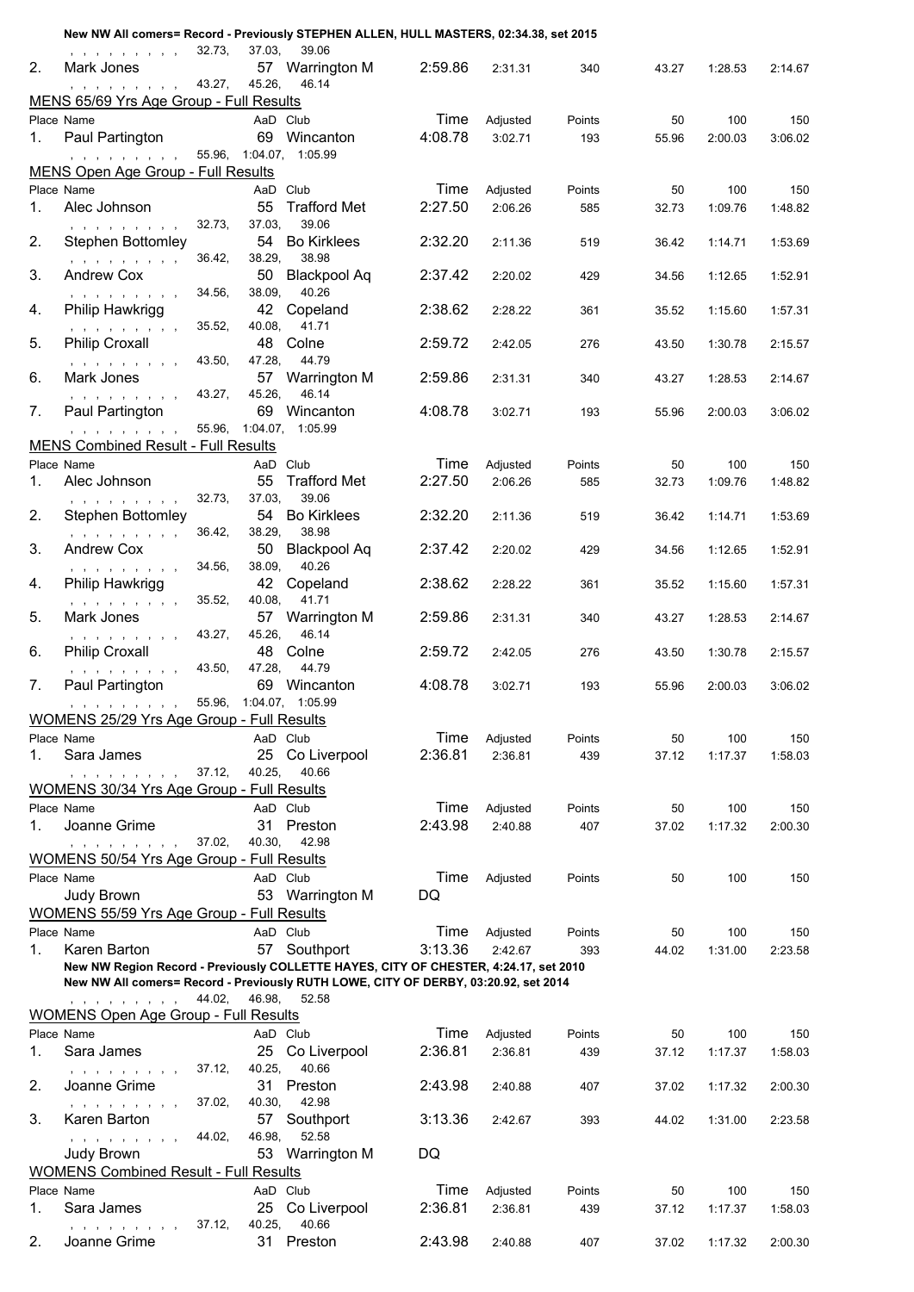|    | New NW All comers= Record - Previously STEPHEN ALLEN, HULL MASTERS, 02:34.38, set 2015                                                                                                                                                                                  |                  |                          |                                         |                 |                     |               |             |                |                |
|----|-------------------------------------------------------------------------------------------------------------------------------------------------------------------------------------------------------------------------------------------------------------------------|------------------|--------------------------|-----------------------------------------|-----------------|---------------------|---------------|-------------|----------------|----------------|
| 2. | $\mathbf{y} = \mathbf{y} = \mathbf{y} = \mathbf{y} = \mathbf{y} = \mathbf{y} = \mathbf{y} = \mathbf{y} = \mathbf{y}$<br>Mark Jones<br>$\mathbf{y} = \mathbf{y} - \mathbf{y} = \mathbf{y} - \mathbf{y} = \mathbf{y} - \mathbf{y} = \mathbf{y} - \mathbf{y} = \mathbf{y}$ | 32.73,<br>43.27, | 37.03,<br>45.26,         | 39.06<br>57 Warrington M<br>46.14       | 2:59.86         | 2:31.31             | 340           | 43.27       | 1:28.53        | 2:14.67        |
|    | MENS 65/69 Yrs Age Group - Full Results                                                                                                                                                                                                                                 |                  |                          |                                         |                 |                     |               |             |                |                |
|    | Place Name                                                                                                                                                                                                                                                              |                  |                          | AaD Club                                | Time            | Adjusted            | Points        | 50          | 100            | 150            |
| 1. | Paul Partington                                                                                                                                                                                                                                                         |                  |                          | 69 Wincanton                            | 4:08.78         | 3:02.71             | 193           | 55.96       | 2:00.03        | 3:06.02        |
|    | $\mathbf{y} = \mathbf{y} - \mathbf{y} = \mathbf{y} - \mathbf{y} = \mathbf{y} - \mathbf{y} = \mathbf{y} - \mathbf{y} = \mathbf{y}$                                                                                                                                       |                  |                          | 55.96, 1:04.07, 1:05.99                 |                 |                     |               |             |                |                |
|    | <b>MENS Open Age Group - Full Results</b><br>Place Name                                                                                                                                                                                                                 |                  | AaD Club                 |                                         | Time            |                     | Points        | 50          | 100            | 150            |
| 1. | Alec Johnson                                                                                                                                                                                                                                                            |                  | 55                       | <b>Trafford Met</b>                     | 2:27.50         | Adjusted<br>2:06.26 | 585           | 32.73       | 1:09.76        | 1:48.82        |
|    | $\mathbf{y} = \mathbf{y} = \mathbf{y} = \mathbf{y} = \mathbf{y} = \mathbf{y} = \mathbf{y} = \mathbf{y} = \mathbf{y}$                                                                                                                                                    | 32.73,           | 37.03,                   | 39.06                                   |                 |                     |               |             |                |                |
| 2. | <b>Stephen Bottomley</b>                                                                                                                                                                                                                                                | 36.42,           | 38.29,                   | 54 Bo Kirklees<br>38.98                 | 2:32.20         | 2:11.36             | 519           | 36.42       | 1:14.71        | 1:53.69        |
| 3. | <b>Andrew Cox</b>                                                                                                                                                                                                                                                       | 34.56,           | 50<br>38.09,             | <b>Blackpool Aq</b><br>40.26            | 2:37.42         | 2:20.02             | 429           | 34.56       | 1:12.65        | 1:52.91        |
| 4. | Philip Hawkrigg<br>$\mathbf{y} = \mathbf{y} - \mathbf{y} = \mathbf{y} - \mathbf{y} = \mathbf{y} - \mathbf{y} = \mathbf{y} - \mathbf{y} = \mathbf{y}$                                                                                                                    | 35.52,           | 40.08,                   | 42 Copeland<br>41.71                    | 2:38.62         | 2:28.22             | 361           | 35.52       | 1:15.60        | 1:57.31        |
| 5. | <b>Philip Croxall</b><br>$\mathbf{y} = \mathbf{y} - \mathbf{y} = \mathbf{y} - \mathbf{y} = \mathbf{y} - \mathbf{y} = \mathbf{y} - \mathbf{y} = \mathbf{y}$                                                                                                              | 43.50,           | 47.28,                   | 48 Colne<br>44.79                       | 2:59.72         | 2:42.05             | 276           | 43.50       | 1:30.78        | 2:15.57        |
| 6. | Mark Jones<br>$\mathbf{y} = \mathbf{y} - \mathbf{y} = \mathbf{y} - \mathbf{y} = \mathbf{y} - \mathbf{y} = \mathbf{y} - \mathbf{y} = \mathbf{y}$                                                                                                                         | 43.27,           | 45.26,                   | 57 Warrington M<br>46.14                | 2:59.86         | 2:31.31             | 340           | 43.27       | 1:28.53        | 2:14.67        |
| 7. | Paul Partington<br>$\mathbf{y} = \mathbf{y} - \mathbf{y} = \mathbf{y} - \mathbf{y} = \mathbf{y} - \mathbf{y} = \mathbf{y} - \mathbf{y} = \mathbf{y}$                                                                                                                    |                  | 69                       | Wincanton<br>55.96, 1:04.07, 1:05.99    | 4:08.78         | 3:02.71             | 193           | 55.96       | 2:00.03        | 3:06.02        |
|    | <b>MENS Combined Result - Full Results</b>                                                                                                                                                                                                                              |                  |                          |                                         |                 |                     |               |             |                |                |
|    | Place Name                                                                                                                                                                                                                                                              |                  | AaD Club                 |                                         | Time            | Adjusted            | Points        | 50          | 100            | 150            |
| 1. | Alec Johnson                                                                                                                                                                                                                                                            |                  | 55                       | <b>Trafford Met</b>                     | 2:27.50         | 2:06.26             | 585           | 32.73       | 1:09.76        | 1:48.82        |
| 2. | $\mathbf{y} = \mathbf{y} - \mathbf{y} = \mathbf{y} - \mathbf{y} = \mathbf{y} - \mathbf{y} = \mathbf{y} - \mathbf{y} = \mathbf{y}$<br><b>Stephen Bottomley</b>                                                                                                           | 32.73,<br>36.42, | 37.03,<br>38.29,         | 39.06<br>54 Bo Kirklees<br>38.98        | 2:32.20         | 2:11.36             | 519           | 36.42       | 1:14.71        | 1:53.69        |
| 3. | Andrew Cox<br>$\mathbf{y} = \mathbf{y} - \mathbf{y} = \mathbf{y} - \mathbf{y} = \mathbf{y} - \mathbf{y} = \mathbf{y} - \mathbf{y} = \mathbf{y}$                                                                                                                         | 34.56,           | 50<br>38.09,             | <b>Blackpool Aq</b><br>40.26            | 2:37.42         | 2:20.02             | 429           | 34.56       | 1:12.65        | 1:52.91        |
| 4. | Philip Hawkrigg<br>$\mathbf{y} = \mathbf{y} - \mathbf{y} = \mathbf{y} - \mathbf{y} = \mathbf{y} - \mathbf{y} = \mathbf{y} - \mathbf{y} = \mathbf{y}$                                                                                                                    | 35.52,           | 42<br>40.08,             | Copeland<br>41.71                       | 2:38.62         | 2:28.22             | 361           | 35.52       | 1:15.60        | 1:57.31        |
| 5. | Mark Jones<br>$\mathbf{y} = \mathbf{y} - \mathbf{y} = \mathbf{y} - \mathbf{y} = \mathbf{y} - \mathbf{y} = \mathbf{y} - \mathbf{y} = \mathbf{y}$                                                                                                                         | 43.27,           | 57<br>45.26.             | <b>Warrington M</b><br>46.14            | 2:59.86         | 2:31.31             | 340           | 43.27       | 1:28.53        | 2:14.67        |
| 6. | Philip Croxall<br>$\mathbf{y} = \mathbf{y} - \mathbf{y} = \mathbf{y} - \mathbf{y} = \mathbf{y} - \mathbf{y} = \mathbf{y} - \mathbf{y} = \mathbf{y}$                                                                                                                     | 43.50,           | 48<br>47.28,             | Colne<br>44.79                          | 2:59.72         | 2:42.05             | 276           | 43.50       | 1:30.78        | 2:15.57        |
| 7. | Paul Partington<br>$\mathbf{y} = \mathbf{y} - \mathbf{y} = \mathbf{y} - \mathbf{y} = \mathbf{y} - \mathbf{y} = \mathbf{y} - \mathbf{y} = \mathbf{y}$                                                                                                                    |                  |                          | 69 Wincanton<br>55.96, 1:04.07, 1:05.99 | 4:08.78         | 3:02.71             | 193           | 55.96       | 2:00.03        | 3:06.02        |
|    | <b>WOMENS 25/29 Yrs Age Group - Full Results</b>                                                                                                                                                                                                                        |                  |                          |                                         |                 |                     |               |             |                |                |
|    | Place Name                                                                                                                                                                                                                                                              |                  |                          | AaD Club                                | Time            | Adjusted            | Points        | 50          | 100            | 150            |
| 1. | Sara James                                                                                                                                                                                                                                                              |                  | 25                       | Co Liverpool                            | 2:36.81         | 2:36.81             | 439           | 37.12       | 1:17.37        | 1:58.03        |
|    | , , , , , , , , ,                                                                                                                                                                                                                                                       | 37.12,           | 40.25,                   | 40.66                                   |                 |                     |               |             |                |                |
|    | <b>WOMENS 30/34 Yrs Age Group - Full Results</b>                                                                                                                                                                                                                        |                  |                          |                                         |                 |                     |               |             |                |                |
| 1. | Place Name<br>Joanne Grime<br>.                                                                                                                                                                                                                                         | 37.02,           | AaD Club<br>31<br>40.30, | Preston<br>42.98                        | Time<br>2:43.98 | Adjusted<br>2:40.88 | Points<br>407 | 50<br>37.02 | 100<br>1:17.32 | 150<br>2:00.30 |
|    | <b>WOMENS 50/54 Yrs Age Group - Full Results</b>                                                                                                                                                                                                                        |                  |                          |                                         |                 |                     |               |             |                |                |
|    | Place Name                                                                                                                                                                                                                                                              |                  | AaD Club                 |                                         | Time            | Adjusted            | Points        | 50          | 100            | 150            |
|    | Judy Brown                                                                                                                                                                                                                                                              |                  |                          | 53 Warrington M                         | DQ              |                     |               |             |                |                |
|    | WOMENS 55/59 Yrs Age Group - Full Results                                                                                                                                                                                                                               |                  |                          |                                         |                 |                     |               |             |                |                |
|    | Place Name                                                                                                                                                                                                                                                              |                  | AaD Club                 |                                         | Time            | Adjusted            | Points        | 50          | 100            | 150            |
| 1. | Karen Barton                                                                                                                                                                                                                                                            |                  |                          | 57 Southport                            | 3:13.36         | 2:42.67             | 393           | 44.02       | 1:31.00        | 2:23.58        |
|    | New NW Region Record - Previously COLLETTE HAYES, CITY OF CHESTER, 4:24.17, set 2010<br>New NW All comers= Record - Previously RUTH LOWE, CITY OF DERBY, 03:20.92, set 2014                                                                                             | 44.02,           | 46.98,                   | 52.58                                   |                 |                     |               |             |                |                |
|    | .<br><b>WOMENS Open Age Group - Full Results</b>                                                                                                                                                                                                                        |                  |                          |                                         |                 |                     |               |             |                |                |
|    | Place Name                                                                                                                                                                                                                                                              |                  | AaD Club                 |                                         | Time            | Adjusted            | Points        | 50          | 100            | 150            |
| 1. | Sara James                                                                                                                                                                                                                                                              |                  | 25                       | Co Liverpool                            | 2:36.81         | 2:36.81             | 439           | 37.12       | 1:17.37        | 1:58.03        |
|    | $\mathbf{y} = \mathbf{y} - \mathbf{y} = \mathbf{y} - \mathbf{y} = \mathbf{y} - \mathbf{y} = \mathbf{y} - \mathbf{y} = \mathbf{y}$                                                                                                                                       | 37.12,           | 40.25,                   | 40.66                                   |                 |                     |               |             |                |                |
| 2. | Joanne Grime                                                                                                                                                                                                                                                            | 37.02,           | 31<br>40.30,             | Preston<br>42.98                        | 2:43.98         | 2:40.88             | 407           | 37.02       | 1:17.32        | 2:00.30        |
| 3. | $\mathbf{y} = \mathbf{y} - \mathbf{y} - \mathbf{y} = \mathbf{y} - \mathbf{y} - \mathbf{y} - \mathbf{y} = \mathbf{y} - \mathbf{y}$<br>Karen Barton                                                                                                                       | 44.02,           | 57<br>46.98,             | Southport<br>52.58                      | 3:13.36         | 2:42.67             | 393           | 44.02       | 1:31.00        | 2:23.58        |
|    | Judy Brown<br><b>WOMENS Combined Result - Full Results</b>                                                                                                                                                                                                              |                  | 53                       | Warrington M                            | DQ              |                     |               |             |                |                |
|    | Place Name                                                                                                                                                                                                                                                              |                  | AaD Club                 |                                         | Time            | Adjusted            | Points        | 50          | 100            | 150            |
| 1. | Sara James<br>$\mathbf{y} = \mathbf{y} - \mathbf{y} = \mathbf{y} - \mathbf{y} = \mathbf{y} - \mathbf{y} = \mathbf{y} - \mathbf{y} = \mathbf{y}$                                                                                                                         | 37.12,           | 25<br>40.25,             | Co Liverpool<br>40.66                   | 2:36.81         | 2:36.81             | 439           | 37.12       | 1:17.37        | 1:58.03        |
| 2. | Joanne Grime                                                                                                                                                                                                                                                            |                  | 31                       | Preston                                 | 2:43.98         | 2:40.88             | 407           | 37.02       | 1:17.32        | 2:00.30        |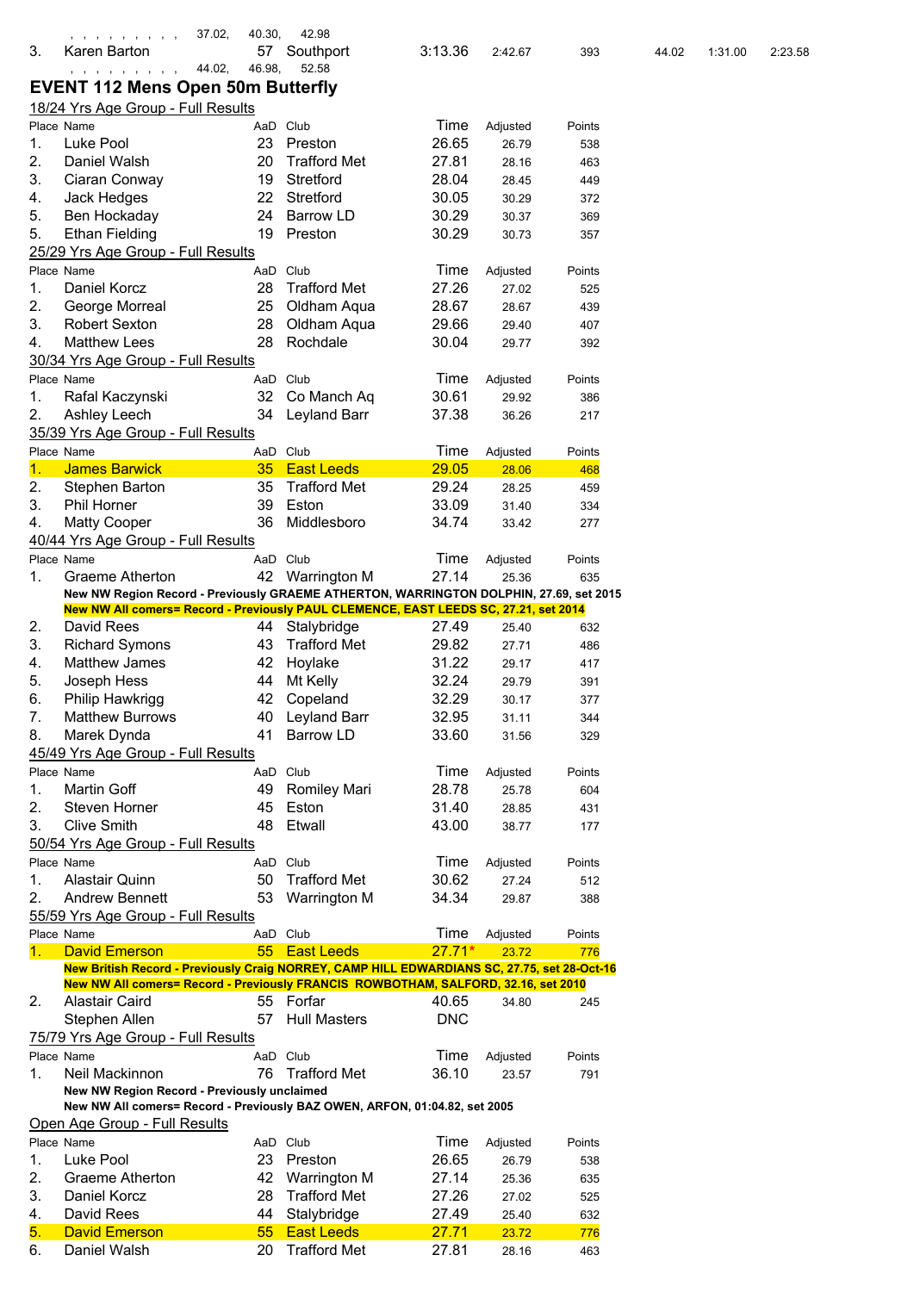| 3.       | 37.02,<br>$1 - 1 - 1 - 1 - 1 - 1 - 1 - 1 - 1$<br>Karen Barton                               | 40.30,<br>57    | 42.98<br>Southport       | 3:13.36       | 2:42.67        | 393        |
|----------|---------------------------------------------------------------------------------------------|-----------------|--------------------------|---------------|----------------|------------|
|          | 44.02,                                                                                      | 46.98,          | 52.58                    |               |                |            |
|          | <b>EVENT 112 Mens Open 50m Butterfly</b>                                                    |                 |                          |               |                |            |
|          | 18/24 Yrs Age Group - Full Results                                                          |                 |                          |               |                |            |
|          | Place Name                                                                                  |                 | AaD Club                 | Time          | Adjusted       | Points     |
| 1.       | Luke Pool                                                                                   | 23              | Preston                  | 26.65         | 26.79          | 538        |
| 2.       | Daniel Walsh                                                                                | 20              | <b>Trafford Met</b>      | 27.81         | 28.16          | 463        |
| 3.       | Ciaran Conway                                                                               | 19              | Stretford                | 28.04         | 28.45          | 449        |
| 4.       | Jack Hedges                                                                                 | 22              | Stretford                | 30.05         | 30.29          | 372        |
| 5.       | Ben Hockaday                                                                                | 24              | Barrow LD                | 30.29         | 30.37          | 369        |
| 5.       | <b>Ethan Fielding</b>                                                                       | 19              | Preston                  | 30.29         | 30.73          | 357        |
|          | 25/29 Yrs Age Group - Full Results                                                          |                 |                          |               |                |            |
|          | Place Name                                                                                  | AaD             | Club                     | Time          | Adjusted       | Points     |
| 1.       | Daniel Korcz                                                                                | 28              | <b>Trafford Met</b>      | 27.26         | 27.02          | 525        |
| 2.       | George Morreal                                                                              | 25              | Oldham Aqua              | 28.67         | 28.67          | 439        |
| 3.       | <b>Robert Sexton</b>                                                                        | 28              | Oldham Aqua              | 29.66         | 29.40          | 407        |
| 4.       | <b>Matthew Lees</b>                                                                         | 28              | Rochdale                 | 30.04         | 29.77          | 392        |
|          | 30/34 Yrs Age Group - Full Results                                                          |                 |                          |               |                |            |
|          | Place Name                                                                                  |                 | AaD Club                 | Time          | Adjusted       | Points     |
| 1.<br>2. | Rafal Kaczynski                                                                             | 32              | Co Manch Aq              | 30.61         | 29.92          | 386        |
|          | Ashley Leech<br>35/39 Yrs Age Group - Full Results                                          | 34              | Leyland Barr             | 37.38         | 36.26          | 217        |
|          | Place Name                                                                                  |                 | AaD Club                 | Time          | Adjusted       | Points     |
| 1.       | <b>James Barwick</b>                                                                        | 35              | <b>East Leeds</b>        | 29.05         | 28.06          | 468        |
| 2.       | Stephen Barton                                                                              | 35              | <b>Trafford Met</b>      | 29.24         | 28.25          | 459        |
| 3.       | <b>Phil Horner</b>                                                                          | 39              | Eston                    | 33.09         | 31.40          | 334        |
| 4.       | <b>Matty Cooper</b>                                                                         | 36              | Middlesboro              | 34.74         | 33.42          | 277        |
|          | 40/44 Yrs Age Group - Full Results                                                          |                 |                          |               |                |            |
|          | Place Name                                                                                  |                 | AaD Club                 | Time          | Adjusted       | Points     |
| 1.       | Graeme Atherton                                                                             | 42              | <b>Warrington M</b>      | 27.14         | 25.36          | 635        |
|          | New NW Region Record - Previously GRAEME ATHERTON, WARRINGTON DOLPHIN, 27.69, set 2015      |                 |                          |               |                |            |
|          | New NW All comers= Record - Previously PAUL CLEMENCE, EAST LEEDS SC, 27.21, set 2014        |                 |                          |               |                |            |
| 2.       | David Rees                                                                                  | 44              | Stalybridge              | 27.49         | 25.40          | 632        |
| 3.       | <b>Richard Symons</b>                                                                       | 43              | <b>Trafford Met</b>      | 29.82         | 27.71          | 486        |
| 4.       | <b>Matthew James</b>                                                                        | 42              | Hoylake                  | 31.22         | 29.17          | 417        |
| 5.       | Joseph Hess                                                                                 | 44              | Mt Kelly                 | 32.24         | 29.79          | 391        |
| 6.       | Philip Hawkrigg                                                                             | 42              | Copeland                 | 32.29         | 30.17          | 377        |
| 7.       | <b>Matthew Burrows</b>                                                                      | 40              | Leyland Barr             | 32.95         | 31.11          | 344        |
| 8.       | Marek Dynda                                                                                 | 41              | Barrow LD                | 33.60         | 31.56          | 329        |
|          | 45/49 Yrs Age Group - Full Results                                                          |                 |                          |               |                |            |
| 1.       | Place Name<br><b>Martin Goff</b>                                                            |                 | AaD Club<br>Romiley Mari | Time<br>28.78 | Adjusted       | Points     |
| 2.       | Steven Horner                                                                               | 49<br>45        | Eston                    | 31.40         | 25.78<br>28.85 | 604<br>431 |
| 3.       | <b>Clive Smith</b>                                                                          | 48              | Etwall                   | 43.00         |                |            |
|          | 50/54 Yrs Age Group - Full Results                                                          |                 |                          |               | 38.77          | 177        |
|          | Place Name                                                                                  |                 | AaD Club                 | Time          | Adjusted       | Points     |
| 1.       | <b>Alastair Quinn</b>                                                                       | 50              | <b>Trafford Met</b>      | 30.62         | 27.24          | 512        |
| 2.       | <b>Andrew Bennett</b>                                                                       | 53              | Warrington M             | 34.34         | 29.87          | 388        |
|          | 55/59 Yrs Age Group - Full Results                                                          |                 |                          |               |                |            |
|          | Place Name                                                                                  |                 | AaD Club                 | Time          | Adjusted       | Points     |
| 1.       | <b>David Emerson</b>                                                                        | 55 <sub>o</sub> | <b>East Leeds</b>        | $27.71*$      | 23.72          | 776        |
|          | New British Record - Previously Craig NORREY, CAMP HILL EDWARDIANS SC, 27.75, set 28-Oct-16 |                 |                          |               |                |            |
|          | New NW All comers= Record - Previously FRANCIS ROWBOTHAM, SALFORD, 32.16, set 2010          |                 |                          |               |                |            |
| 2.       | Alastair Caird                                                                              |                 | 55 Forfar                | 40.65         | 34.80          | 245        |
|          | Stephen Allen                                                                               | 57              | <b>Hull Masters</b>      | <b>DNC</b>    |                |            |
|          | 75/79 Yrs Age Group - Full Results                                                          |                 |                          |               |                |            |
|          | Place Name                                                                                  |                 | AaD Club                 | Time          | Adjusted       | Points     |
| 1.       | Neil Mackinnon                                                                              | 76              | <b>Trafford Met</b>      | 36.10         | 23.57          | 791        |
|          | New NW Region Record - Previously unclaimed                                                 |                 |                          |               |                |            |
|          | New NW All comers= Record - Previously BAZ OWEN, ARFON, 01:04.82, set 2005                  |                 |                          |               |                |            |
|          | Open Age Group - Full Results                                                               |                 |                          |               |                |            |
|          | Place Name                                                                                  |                 | AaD Club                 | Time          | Adjusted       | Points     |
| 1.       | Luke Pool                                                                                   | 23              | Preston                  | 26.65         | 26.79          | 538        |
| 2.       | Graeme Atherton                                                                             | 42              | Warrington M             | 27.14         | 25.36          | 635        |
| 3.       | Daniel Korcz                                                                                | 28              | <b>Trafford Met</b>      | 27.26         | 27.02          | 525        |
| 4.       | David Rees                                                                                  | 44              | Stalybridge              | 27.49         | 25.40          | 632        |
| 5.       | <b>David Emerson</b>                                                                        | 55              | <b>East Leeds</b>        | 27.71         | 23.72          | 776        |
| 6.       | Daniel Walsh                                                                                | 20              | <b>Trafford Met</b>      | 27.81         | 28.16          | 463        |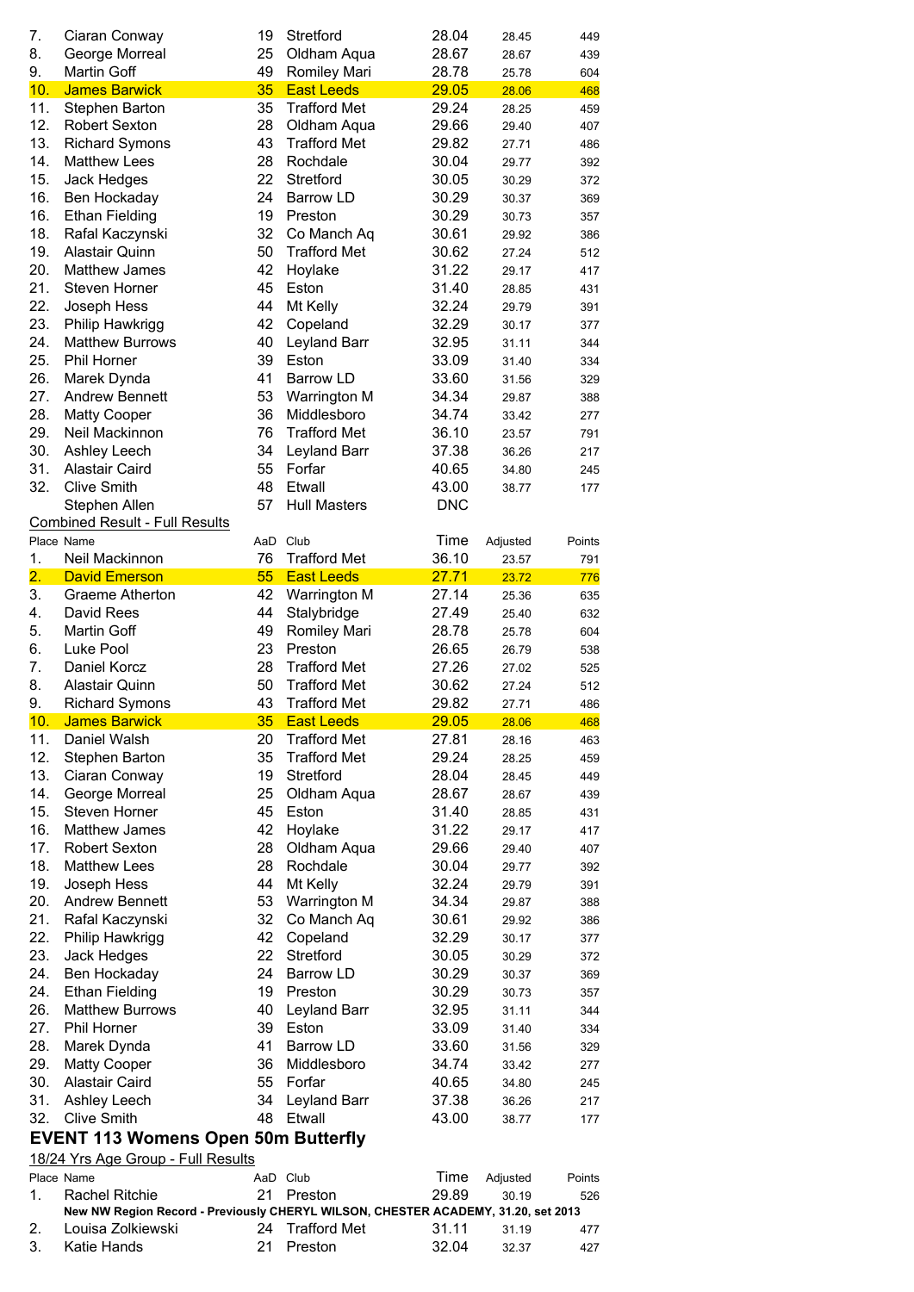|                           | Ciaran Conway                                                                                          | 19 | Stretford              | 28.04        | 28.45    | 449        |
|---------------------------|--------------------------------------------------------------------------------------------------------|----|------------------------|--------------|----------|------------|
| 8.                        | George Morreal                                                                                         | 25 | Oldham Aqua            | 28.67        | 28.67    | 439        |
| 9.                        | Martin Goff                                                                                            | 49 | Romiley Mari           | 28.78        | 25.78    | 604        |
| 10.                       | <b>James Barwick</b>                                                                                   | 35 | <b>East Leeds</b>      | 29.05        | 28.06    | 468        |
| 11.                       | Stephen Barton                                                                                         | 35 | <b>Trafford Met</b>    | 29.24        | 28.25    | 459        |
| 12.                       | <b>Robert Sexton</b>                                                                                   | 28 | Oldham Aqua            | 29.66        | 29.40    | 407        |
| 13.                       | <b>Richard Symons</b>                                                                                  | 43 | <b>Trafford Met</b>    | 29.82        | 27.71    | 486        |
| 14.                       | <b>Matthew Lees</b>                                                                                    | 28 | Rochdale               | 30.04        | 29.77    | 392        |
| 15.                       | Jack Hedges                                                                                            | 22 | Stretford              | 30.05        | 30.29    | 372        |
| 16.                       | Ben Hockaday                                                                                           | 24 | <b>Barrow LD</b>       | 30.29        | 30.37    | 369        |
| 16.                       | <b>Ethan Fielding</b>                                                                                  | 19 | Preston                | 30.29        | 30.73    | 357        |
| 18.                       | Rafal Kaczynski                                                                                        | 32 | Co Manch Aq            | 30.61        | 29.92    | 386        |
| 19.                       | <b>Alastair Quinn</b>                                                                                  | 50 | <b>Trafford Met</b>    | 30.62        | 27.24    | 512        |
| 20.                       | <b>Matthew James</b>                                                                                   | 42 | Hoylake                | 31.22        | 29.17    | 417        |
| 21.                       | Steven Horner                                                                                          | 45 | Eston                  | 31.40        | 28.85    | 431        |
| 22.                       | Joseph Hess                                                                                            | 44 | Mt Kelly               | 32.24        | 29.79    | 391        |
| 23.                       | Philip Hawkrigg                                                                                        | 42 | Copeland               | 32.29        | 30.17    | 377        |
| 24.                       | <b>Matthew Burrows</b>                                                                                 | 40 | Leyland Barr           | 32.95        | 31.11    |            |
| 25.                       | Phil Horner                                                                                            | 39 | Eston                  | 33.09        |          | 344<br>334 |
|                           |                                                                                                        | 41 |                        |              | 31.40    |            |
| 26.                       | Marek Dynda                                                                                            |    | <b>Barrow LD</b>       | 33.60        | 31.56    | 329        |
| 27.                       | <b>Andrew Bennett</b>                                                                                  | 53 | Warrington M           | 34.34        | 29.87    | 388        |
| 28.                       | <b>Matty Cooper</b>                                                                                    | 36 | Middlesboro            | 34.74        | 33.42    | 277        |
| 29.                       | Neil Mackinnon                                                                                         | 76 | <b>Trafford Met</b>    | 36.10        | 23.57    | 791        |
| 30.                       | Ashley Leech                                                                                           | 34 | Leyland Barr           | 37.38        | 36.26    | 217        |
| 31.                       | Alastair Caird                                                                                         | 55 | Forfar                 | 40.65        | 34.80    | 245        |
| 32.                       | <b>Clive Smith</b>                                                                                     | 48 | Etwall                 | 43.00        | 38.77    | 177        |
|                           | Stephen Allen                                                                                          | 57 | <b>Hull Masters</b>    | <b>DNC</b>   |          |            |
|                           | <b>Combined Result - Full Results</b>                                                                  |    |                        |              |          |            |
|                           | Place Name                                                                                             |    | AaD Club               | Time         | Adjusted | Points     |
| 1.                        | Neil Mackinnon                                                                                         | 76 | <b>Trafford Met</b>    | 36.10        | 23.57    | 791        |
| $\overline{\mathbf{2}}$ . | <b>David Emerson</b>                                                                                   | 55 | <b>East Leeds</b>      | 27.71        | 23.72    | 776        |
| 3.                        | Graeme Atherton                                                                                        | 42 | Warrington M           | 27.14        | 25.36    | 635        |
| 4.                        | David Rees                                                                                             | 44 | Stalybridge            | 27.49        | 25.40    | 632        |
| 5.                        | Martin Goff                                                                                            | 49 | Romiley Mari           | 28.78        | 25.78    | 604        |
| 6.                        | Luke Pool                                                                                              | 23 | Preston                | 26.65        | 26.79    | 538        |
| 7.                        | Daniel Korcz                                                                                           | 28 | <b>Trafford Met</b>    | 27.26        | 27.02    | 525        |
| 8.                        | Alastair Quinn                                                                                         | 50 | <b>Trafford Met</b>    | 30.62        | 27.24    | 512        |
|                           |                                                                                                        |    |                        |              |          |            |
|                           |                                                                                                        |    |                        |              |          |            |
| 9.                        | <b>Richard Symons</b>                                                                                  | 43 | <b>Trafford Met</b>    | 29.82        | 27.71    | 486        |
| 10.                       | <b>James Barwick</b>                                                                                   | 35 | <b>East Leeds</b>      | <b>29.05</b> | 28.06    | 468        |
| 11.                       | Daniel Walsh                                                                                           | 20 | <b>Trafford Met</b>    | 27.81        | 28.16    | 463        |
| 12.                       | Stephen Barton                                                                                         | 35 | <b>Trafford Met</b>    | 29.24        | 28.25    | 459        |
| 13.                       | Ciaran Conway                                                                                          | 19 | Stretford              | 28.04        | 28.45    | 449        |
| 14.                       | George Morreal                                                                                         | 25 | Oldham Aqua            | 28.67        | 28.67    | 439        |
| 15.                       | Steven Horner                                                                                          | 45 | Eston                  | 31.40        | 28.85    | 431        |
| 16.                       | <b>Matthew James</b>                                                                                   | 42 | Hoylake                | 31.22        | 29.17    | 417        |
| 17.                       | <b>Robert Sexton</b>                                                                                   | 28 | Oldham Aqua            | 29.66        | 29.40    | 407        |
| 18.                       | <b>Matthew Lees</b>                                                                                    | 28 | Rochdale               | 30.04        | 29.77    | 392        |
| 19.                       | Joseph Hess                                                                                            | 44 | Mt Kelly               | 32.24        | 29.79    | 391        |
| 20.                       | <b>Andrew Bennett</b>                                                                                  | 53 | Warrington M           | 34.34        | 29.87    | 388        |
| 21.                       | Rafal Kaczynski                                                                                        | 32 | Co Manch Aq            | 30.61        | 29.92    | 386        |
| 22.                       | Philip Hawkrigg                                                                                        | 42 | Copeland               | 32.29        | 30.17    | 377        |
| 23.                       | Jack Hedges                                                                                            | 22 | Stretford              | 30.05        | 30.29    | 372        |
| 24.                       | Ben Hockaday                                                                                           | 24 | <b>Barrow LD</b>       | 30.29        | 30.37    | 369        |
| 24.                       | <b>Ethan Fielding</b>                                                                                  | 19 | Preston                | 30.29        | 30.73    | 357        |
| 26.                       | <b>Matthew Burrows</b>                                                                                 | 40 | Leyland Barr           | 32.95        | 31.11    | 344        |
| 27.                       | Phil Horner                                                                                            | 39 | Eston                  | 33.09        | 31.40    | 334        |
| 28.                       | Marek Dynda                                                                                            | 41 | Barrow LD              | 33.60        | 31.56    | 329        |
| 29.                       | Matty Cooper                                                                                           | 36 | Middlesboro            | 34.74        | 33.42    | 277        |
| 30.                       | Alastair Caird                                                                                         | 55 | Forfar                 | 40.65        | 34.80    | 245        |
| 31.                       |                                                                                                        | 34 |                        |              | 36.26    | 217        |
|                           | Ashley Leech                                                                                           | 48 | Leyland Barr<br>Etwall | 37.38        |          | 177        |
| 32.                       | <b>Clive Smith</b>                                                                                     |    |                        | 43.00        | 38.77    |            |
|                           | <b>EVENT 113 Womens Open 50m Butterfly</b>                                                             |    |                        |              |          |            |
|                           | 18/24 Yrs Age Group - Full Results<br>Place Name                                                       |    | AaD Club               |              |          | Points     |
|                           |                                                                                                        |    | Preston                | Time         | Adjusted |            |
| 1.                        | <b>Rachel Ritchie</b>                                                                                  | 21 |                        | 29.89        | 30.19    | 526        |
| 2.                        | New NW Region Record - Previously CHERYL WILSON, CHESTER ACADEMY, 31.20, set 2013<br>Louisa Zolkiewski | 24 | <b>Trafford Met</b>    | 31.11        | 31.19    | 477        |
| 3.                        | Katie Hands                                                                                            | 21 | Preston                | 32.04        | 32.37    | 427        |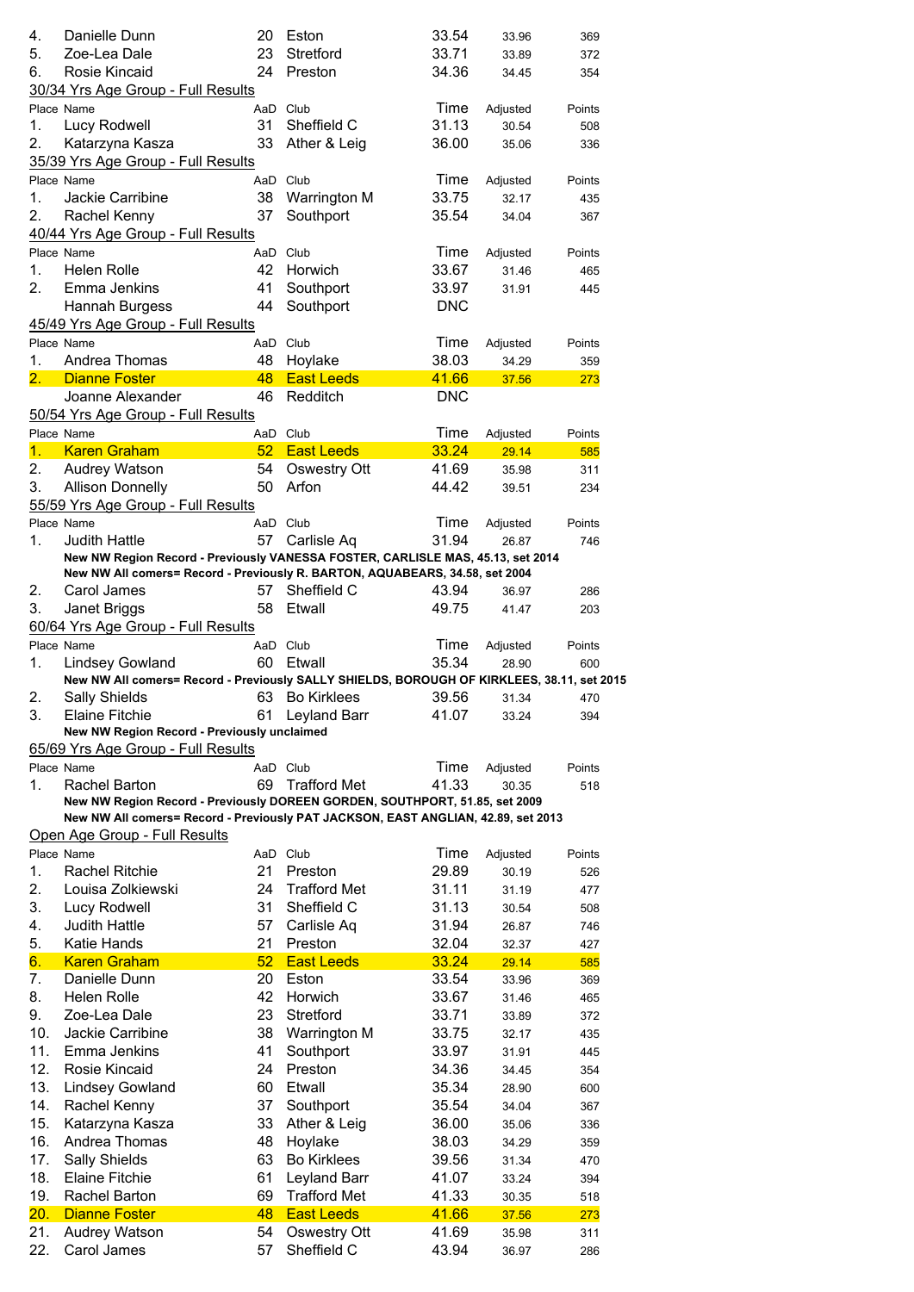| 4.  | Danielle Dunn                                                                                                        | 20  | Eston                      | 33.54      | 33.96          | 369        |
|-----|----------------------------------------------------------------------------------------------------------------------|-----|----------------------------|------------|----------------|------------|
| 5.  | Zoe-Lea Dale                                                                                                         | 23  | Stretford                  | 33.71      | 33.89          | 372        |
| 6.  | Rosie Kincaid                                                                                                        | 24  | Preston                    | 34.36      | 34.45          | 354        |
|     | 30/34 Yrs Age Group - Full Results                                                                                   |     |                            |            |                |            |
|     | Place Name                                                                                                           | AaD | Club                       | Time       | Adjusted       | Points     |
| 1.  | Lucy Rodwell                                                                                                         | 31  | Sheffield C                | 31.13      | 30.54          | 508        |
| 2.  | Katarzyna Kasza                                                                                                      | 33  | Ather & Leig               | 36.00      | 35.06          | 336        |
|     | 35/39 Yrs Age Group - Full Results                                                                                   |     |                            |            |                |            |
|     | Place Name                                                                                                           | AaD | Club                       | Time       | Adjusted       | Points     |
| 1.  | Jackie Carribine                                                                                                     | 38  | <b>Warrington M</b>        | 33.75      | 32.17          | 435        |
| 2.  | Rachel Kenny                                                                                                         | 37  | Southport                  | 35.54      | 34.04          | 367        |
|     | 40/44 Yrs Age Group - Full Results                                                                                   |     |                            |            |                |            |
|     |                                                                                                                      |     |                            |            |                |            |
|     | Place Name                                                                                                           |     | AaD Club                   | Time       | Adjusted       | Points     |
| 1.  | Helen Rolle                                                                                                          | 42  | Horwich                    | 33.67      | 31.46          | 465        |
| 2.  | Emma Jenkins                                                                                                         | 41  | Southport                  | 33.97      | 31.91          | 445        |
|     | Hannah Burgess                                                                                                       | 44  | Southport                  | <b>DNC</b> |                |            |
|     | 45/49 Yrs Age Group - Full Results                                                                                   |     |                            |            |                |            |
|     | Place Name                                                                                                           | AaD | Club                       | Time       | Adjusted       | Points     |
| 1.  | Andrea Thomas                                                                                                        | 48  | Hoylake                    | 38.03      | 34.29          | 359        |
| 2.  | <b>Dianne Foster</b>                                                                                                 | 48  | <b>East Leeds</b>          | 41.66      | 37.56          | 273        |
|     | Joanne Alexander                                                                                                     | 46  | Redditch                   | <b>DNC</b> |                |            |
|     | 50/54 Yrs Age Group - Full Results                                                                                   |     |                            |            |                |            |
|     | Place Name                                                                                                           |     | AaD Club                   | Time       | Adjusted       | Points     |
| 1.  | <b>Karen Graham</b>                                                                                                  | 52  | <b>East Leeds</b>          | 33.24      | 29.14          | 585        |
| 2.  | Audrey Watson                                                                                                        | 54  | Oswestry Ott               | 41.69      | 35.98          | 311        |
| 3.  | <b>Allison Donnelly</b>                                                                                              | 50  | Arfon                      | 44.42      | 39.51          | 234        |
|     | 55/59 Yrs Age Group - Full Results                                                                                   |     |                            |            |                |            |
|     | Place Name                                                                                                           | AaD | Club                       | Time       |                | Points     |
| 1.  | Judith Hattle                                                                                                        | 57  | Carlisle Aq                | 31.94      | Adjusted       |            |
|     | New NW Region Record - Previously VANESSA FOSTER, CARLISLE MAS, 45.13, set 2014                                      |     |                            |            | 26.87          | 746        |
|     | New NW All comers= Record - Previously R. BARTON, AQUABEARS, 34.58, set 2004                                         |     |                            |            |                |            |
| 2.  | Carol James                                                                                                          | 57  | Sheffield C                | 43.94      | 36.97          | 286        |
| 3.  | Janet Briggs                                                                                                         | 58  | Etwall                     | 49.75      | 41.47          | 203        |
|     | 60/64 Yrs Age Group - Full Results                                                                                   |     |                            |            |                |            |
|     |                                                                                                                      |     |                            | Time       |                |            |
|     | Place Name                                                                                                           |     | AaD Club<br>Etwall         | 35.34      | Adjusted       | Points     |
| 1.  | <b>Lindsey Gowland</b><br>New NW All comers= Record - Previously SALLY SHIELDS, BOROUGH OF KIRKLEES, 38.11, set 2015 | 60  |                            |            | 28.90          | 600        |
| 2.  | Sally Shields                                                                                                        | 63  | <b>Bo Kirklees</b>         | 39.56      |                |            |
|     |                                                                                                                      |     |                            |            | 31.34          | 470        |
| 3.  | <b>Elaine Fitchie</b>                                                                                                | 61  | Leyland Barr               | 41.07      | 33.24          | 394        |
|     | New NW Region Record - Previously unclaimed                                                                          |     |                            |            |                |            |
|     | 65/69 Yrs Age Group - Full Results                                                                                   |     |                            |            |                |            |
|     | Place Name                                                                                                           |     | AaD Club                   | Time       | Adjusted       | Points     |
| 1.  | Rachel Barton                                                                                                        | 69  | <b>Trafford Met</b>        | 41.33      | 30.35          | 518        |
|     | New NW Region Record - Previously DOREEN GORDEN, SOUTHPORT, 51.85, set 2009                                          |     |                            |            |                |            |
|     | New NW All comers= Record - Previously PAT JACKSON, EAST ANGLIAN, 42.89, set 2013                                    |     |                            |            |                |            |
|     | Open Age Group - Full Results                                                                                        |     |                            |            |                |            |
|     | Place Name                                                                                                           |     | AaD Club                   | Time       | Adjusted       | Points     |
| 1.  | <b>Rachel Ritchie</b>                                                                                                | 21  | Preston                    | 29.89      | 30.19          | 526        |
| 2.  | Louisa Zolkiewski                                                                                                    | 24  | <b>Trafford Met</b>        | 31.11      | 31.19          | 477        |
| 3.  | Lucy Rodwell                                                                                                         | 31  | Sheffield C                | 31.13      | 30.54          | 508        |
| 4.  |                                                                                                                      |     |                            |            |                |            |
| 5.  | Judith Hattle                                                                                                        | 57  | Carlisle Aq                | 31.94      | 26.87          | 746        |
|     | Katie Hands                                                                                                          | 21  | Preston                    | 32.04      | 32.37          | 427        |
| 6.  | <b>Karen Graham</b>                                                                                                  | 52  |                            | 33.24      |                |            |
| 7.  | Danielle Dunn                                                                                                        | 20  | <b>East Leeds</b><br>Eston | 33.54      | 29.14<br>33.96 | 585<br>369 |
|     |                                                                                                                      |     |                            |            |                |            |
| 8.  | Helen Rolle                                                                                                          | 42  | Horwich                    | 33.67      | 31.46          | 465        |
| 9.  | Zoe-Lea Dale                                                                                                         | 23  | Stretford                  | 33.71      | 33.89          | 372        |
| 10. | Jackie Carribine                                                                                                     | 38  | Warrington M               | 33.75      | 32.17          | 435        |
| 11. | Emma Jenkins                                                                                                         | 41  | Southport                  | 33.97      | 31.91          | 445        |
| 12. | Rosie Kincaid                                                                                                        | 24  | Preston                    | 34.36      | 34.45          | 354        |
| 13. | <b>Lindsey Gowland</b>                                                                                               | 60  | Etwall                     | 35.34      | 28.90          | 600        |
| 14. | Rachel Kenny                                                                                                         | 37  | Southport                  | 35.54      | 34.04          | 367        |
| 15. | Katarzyna Kasza                                                                                                      | 33  | Ather & Leig               | 36.00      | 35.06          | 336        |
| 16. | Andrea Thomas                                                                                                        | 48  | Hoylake                    | 38.03      | 34.29          | 359        |
| 17. | Sally Shields                                                                                                        | 63  | <b>Bo Kirklees</b>         | 39.56      | 31.34          | 470        |
| 18. | <b>Elaine Fitchie</b>                                                                                                | 61  | Leyland Barr               | 41.07      | 33.24          | 394        |
| 19. | Rachel Barton                                                                                                        | 69  | <b>Trafford Met</b>        | 41.33      | 30.35          | 518        |
| 20. | <b>Dianne Foster</b>                                                                                                 | 48  | <b>East Leeds</b>          | 41.66      | 37.56          | 273        |
| 21. | Audrey Watson                                                                                                        | 54  | Oswestry Ott               | 41.69      | 35.98          | 311        |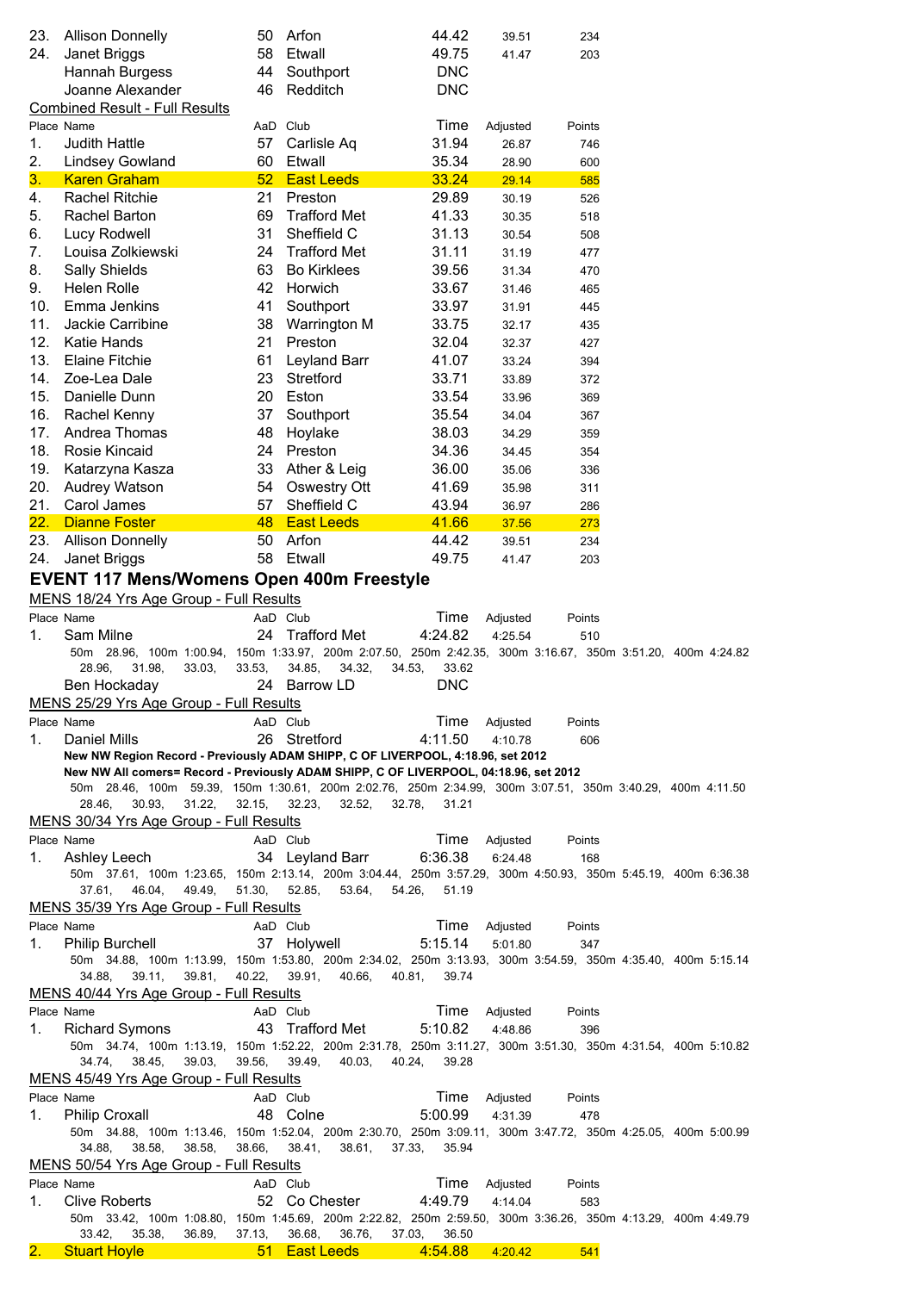| 24.        | 23. Allison Donnelly<br>Janet Briggs<br>Hannah Burgess                                                                                    | 50<br>58<br>44 | Arfon<br>Etwall<br>Southport         | 44.42<br>49.75<br><b>DNC</b>  | 39.51<br>41.47      | 234<br>203    |  |
|------------|-------------------------------------------------------------------------------------------------------------------------------------------|----------------|--------------------------------------|-------------------------------|---------------------|---------------|--|
|            | Joanne Alexander<br><b>Combined Result - Full Results</b>                                                                                 | 46             | Redditch                             | <b>DNC</b>                    |                     |               |  |
|            | Place Name                                                                                                                                | AaD Club       |                                      | Time                          | Adjusted            | Points        |  |
| 1.         | <b>Judith Hattle</b>                                                                                                                      | 57             | Carlisle Aq                          | 31.94                         | 26.87               | 746           |  |
| 2.<br>3.   | <b>Lindsey Gowland</b><br><b>Karen Graham</b>                                                                                             | 60<br>52       | Etwall<br><b>East Leeds</b>          | 35.34<br>33.24                | 28.90<br>29.14      | 600<br>585    |  |
| 4.         | <b>Rachel Ritchie</b>                                                                                                                     | 21             | Preston                              | 29.89                         | 30.19               | 526           |  |
| 5.         | Rachel Barton                                                                                                                             | 69             | <b>Trafford Met</b>                  | 41.33                         | 30.35               | 518           |  |
| 6.         | Lucy Rodwell                                                                                                                              | 31             | Sheffield C                          | 31.13                         | 30.54               | 508           |  |
| 7.         | Louisa Zolkiewski                                                                                                                         | 24             | <b>Trafford Met</b>                  | 31.11                         | 31.19               | 477           |  |
| 8.         | <b>Sally Shields</b>                                                                                                                      | 63             | <b>Bo Kirklees</b>                   | 39.56                         | 31.34               | 470           |  |
| 9.         | Helen Rolle                                                                                                                               | 42             | Horwich                              | 33.67                         | 31.46               | 465           |  |
| 10.        | Emma Jenkins                                                                                                                              | 41             | Southport                            | 33.97                         | 31.91               | 445           |  |
| 11.<br>12. | Jackie Carribine<br><b>Katie Hands</b>                                                                                                    | 38<br>21       | Warrington M<br>Preston              | 33.75                         | 32.17               | 435           |  |
| 13.        | <b>Elaine Fitchie</b>                                                                                                                     | 61             | Leyland Barr                         | 32.04<br>41.07                | 32.37<br>33.24      | 427<br>394    |  |
| 14.        | Zoe-Lea Dale                                                                                                                              | 23             | Stretford                            | 33.71                         | 33.89               | 372           |  |
| 15.        | Danielle Dunn                                                                                                                             | 20             | Eston                                | 33.54                         | 33.96               | 369           |  |
| 16.        | Rachel Kenny                                                                                                                              | 37             | Southport                            | 35.54                         | 34.04               | 367           |  |
| 17.        | Andrea Thomas                                                                                                                             | 48             | Hoylake                              | 38.03                         | 34.29               | 359           |  |
| 18.        | Rosie Kincaid                                                                                                                             |                | 24 Preston                           | 34.36                         | 34.45               | 354           |  |
| 19.        | Katarzyna Kasza                                                                                                                           | 33             | Ather & Leig                         | 36.00                         | 35.06               | 336           |  |
| 20.        | Audrey Watson                                                                                                                             |                | 54 Oswestry Ott                      | 41.69                         | 35.98               | 311           |  |
| 21.<br>22. | Carol James<br><b>Dianne Foster</b>                                                                                                       | 57<br>48       | Sheffield C<br><b>East Leeds</b>     | 43.94<br>41.66                | 36.97<br>37.56      | 286<br>273    |  |
| 23.        | <b>Allison Donnelly</b>                                                                                                                   | 50             | Arfon                                | 44.42                         | 39.51               | 234           |  |
| 24.        | Janet Briggs                                                                                                                              |                | 58 Etwall                            | 49.75                         | 41.47               | 203           |  |
|            | <b>EVENT 117 Mens/Womens Open 400m Freestyle</b>                                                                                          |                |                                      |                               |                     |               |  |
|            | MENS 18/24 Yrs Age Group - Full Results                                                                                                   |                |                                      |                               |                     |               |  |
|            | Place Name                                                                                                                                | AaD Club       |                                      | Time                          | Adjusted            | Points        |  |
| 1.         | Sam Milne                                                                                                                                 | 24             | <b>Trafford Met</b>                  | 4:24.82                       | 4:25.54             | 510           |  |
|            | 50m 28.96, 100m 1:00.94, 150m 1:33.97, 200m 2:07.50, 250m 2:42.35, 300m 3:16.67, 350m 3:51.20, 400m 4:24.82                               |                |                                      |                               |                     |               |  |
|            | 28.96,<br>31.98,<br>33.03,<br>Ben Hockaday                                                                                                | 33.53,<br>24   | 34.85,<br>34.32,<br><b>Barrow LD</b> | 34.53,<br>33.62<br><b>DNC</b> |                     |               |  |
|            | MENS 25/29 Yrs Age Group - Full Results                                                                                                   |                |                                      |                               |                     |               |  |
|            | Place Name                                                                                                                                | AaD Club       |                                      | Time                          | Adjusted            | Points        |  |
| 1.         | Daniel Mills                                                                                                                              |                | 26 Stretford                         | 4:11.50                       | 4:10.78             | 606           |  |
|            | New NW Region Record - Previously ADAM SHIPP, C OF LIVERPOOL, 4:18.96, set 2012                                                           |                |                                      |                               |                     |               |  |
|            | New NW All comers= Record - Previously ADAM SHIPP, C OF LIVERPOOL, 04:18.96, set 2012                                                     |                |                                      |                               |                     |               |  |
|            | 50m 28.46, 100m 59.39, 150m 1:30.61, 200m 2:02.76, 250m 2:34.99, 300m 3:07.51, 350m 3:40.29, 400m 4:11.50<br>31.22,<br>28.46,<br>30.93,   | 32.15,         | 32.23,<br>32.52,                     | 32.78,<br>31.21               |                     |               |  |
|            | MENS 30/34 Yrs Age Group - Full Results                                                                                                   |                |                                      |                               |                     |               |  |
|            | Place Name                                                                                                                                | AaD Club       |                                      | Time                          | Adjusted            | Points        |  |
| 1.         | Ashley Leech                                                                                                                              |                | 34 Leyland Barr                      | 6:36.38                       | 6:24.48             | 168           |  |
|            | 50m 37.61, 100m 1:23.65, 150m 2:13.14, 200m 3:04.44, 250m 3:57.29, 300m 4:50.93, 350m 5:45.19, 400m 6:36.38                               |                |                                      |                               |                     |               |  |
|            | 49.49,<br>37.61, 46.04,<br>MENS 35/39 Yrs Age Group - Full Results                                                                        | 51.30,         | 52.85, 53.64, 54.26,                 | 51.19                         |                     |               |  |
|            | Place Name                                                                                                                                | AaD Club       |                                      | Time                          | Adjusted            | Points        |  |
| 1.         | <b>Philip Burchell</b>                                                                                                                    |                | 37 Holywell                          | 5:15.14                       | 5:01.80             | 347           |  |
|            | 50m 34.88, 100m 1:13.99, 150m 1:53.80, 200m 2:34.02, 250m 3:13.93, 300m 3:54.59, 350m 4:35.40, 400m 5:15.14                               |                |                                      |                               |                     |               |  |
|            | 39.81,<br>34.88,<br>39.11,                                                                                                                | 40.22,         | 39.91,<br>40.66,                     | 40.81,<br>39.74               |                     |               |  |
|            | MENS 40/44 Yrs Age Group - Full Results                                                                                                   |                |                                      |                               |                     |               |  |
| 1.         | Place Name<br><b>Richard Symons</b>                                                                                                       | AaD Club       | 43 Trafford Met                      | Time<br>5:10.82               | Adjusted<br>4:48.86 | Points<br>396 |  |
|            | 50m 34.74, 100m 1:13.19, 150m 1:52.22, 200m 2:31.78, 250m 3:11.27, 300m 3:51.30, 350m 4:31.54, 400m 5:10.82                               |                |                                      |                               |                     |               |  |
|            | 39.03,<br>34.74,<br>38.45,                                                                                                                | 39.56,         | 39.49,<br>40.03,                     | 40.24,<br>39.28               |                     |               |  |
|            | MENS 45/49 Yrs Age Group - Full Results                                                                                                   |                |                                      |                               |                     |               |  |
|            | Place Name                                                                                                                                | AaD Club       |                                      | Time                          | Adjusted            | Points        |  |
| 1.         | <b>Philip Croxall</b>                                                                                                                     |                | 48 Colne                             | 5:00.99                       | 4:31.39             | 478           |  |
|            | 50m 34.88, 100m 1:13.46, 150m 1:52.04, 200m 2:30.70, 250m 3:09.11, 300m 3:47.72, 350m 4:25.05, 400m 5:00.99<br>38.58,<br>34.88,<br>38.58, | 38.66,         | 38.41,<br>38.61,                     | 37.33,<br>35.94               |                     |               |  |
|            | MENS 50/54 Yrs Age Group - Full Results                                                                                                   |                |                                      |                               |                     |               |  |
|            | Place Name                                                                                                                                | AaD Club       |                                      | Time                          | Adjusted            | Points        |  |
| 1.         | <b>Clive Roberts</b>                                                                                                                      |                | 52 Co Chester                        | 4:49.79                       | 4:14.04             | 583           |  |
|            | 50m 33.42, 100m 1:08.80, 150m 1:45.69, 200m 2:22.82, 250m 2:59.50, 300m 3:36.26, 350m 4:13.29, 400m 4:49.79<br>33.42,<br>35.38,           |                | 36.68,<br>36.76,                     |                               |                     |               |  |
| 2.         | 36.89,<br><b>Stuart Hoyle</b>                                                                                                             | 37.13,<br>51   | <b>East Leeds</b>                    | 37.03,<br>36.50<br>4:54.88    | 4:20.42             | 541           |  |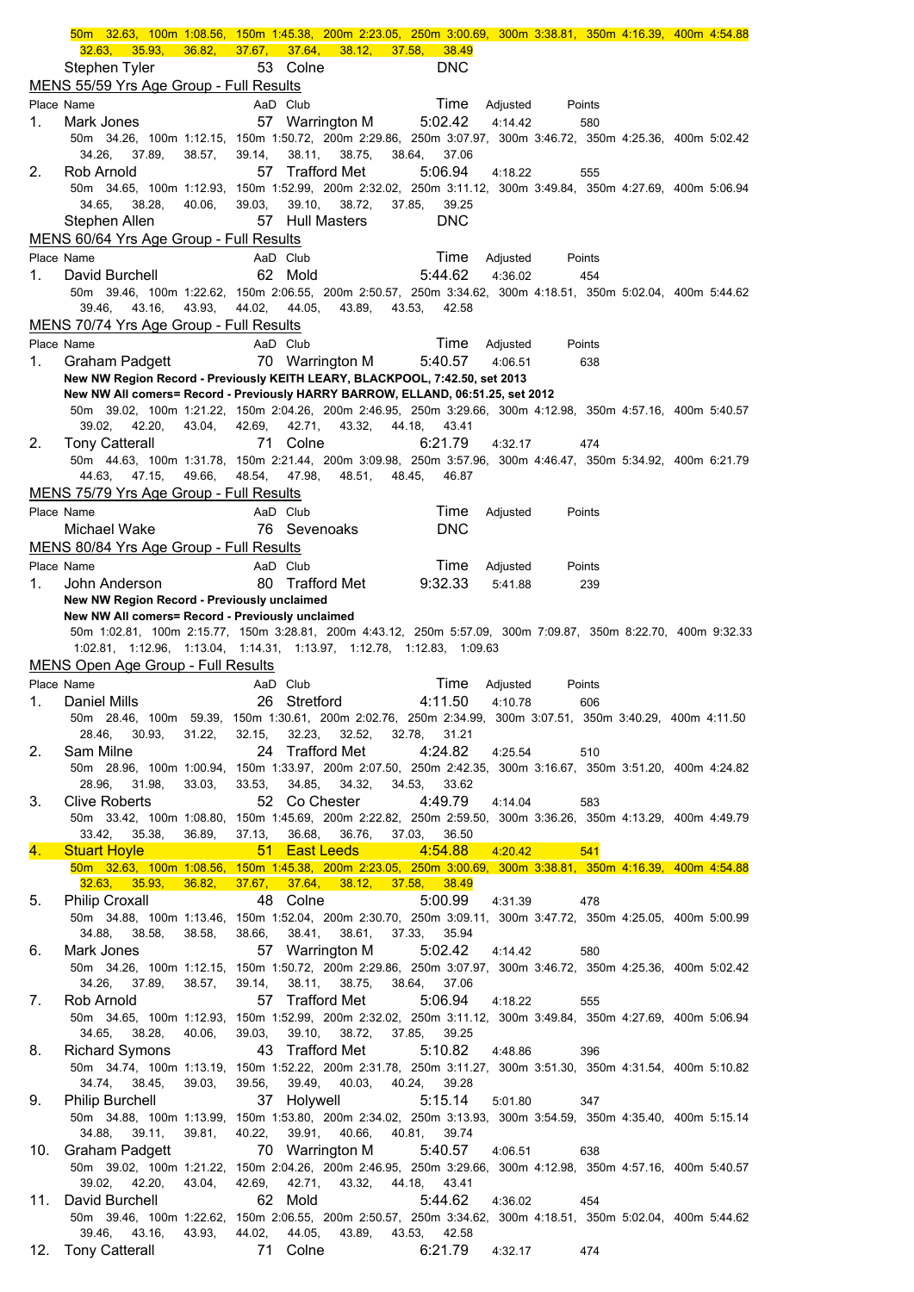50m 32.63, 100m 1:08.56, 150m 1:45.38, 200m 2:23.05, 250m 3:00.69, 300m 3:38.81, 350m 4:16.39, 400m 4:54.88 32.63, 35.93, 36.82, 37.67, 37.64, 38.12, 37.58, 38.49 Stephen Tyler 53 Colne DNC MENS 55/59 Yrs Age Group - Full Results Place Name **Aan Club** AaD Club **Time** Adjusted Points 1. Mark Jones 57 Warrington M 5:02.42 4:14.42 580 50m 34.26, 100m 1:12.15, 150m 1:50.72, 200m 2:29.86, 250m 3:07.97, 300m 3:46.72, 350m 4:25.36, 400m 5:02.42 34.26, 37.89, 38.57, 39.14, 38.11, 38.75, 38.64, 37.06 2. Rob Arnold 57 Trafford Met 5:06.94 4:18.22 555 50m 34.65, 100m 1:12.93, 150m 1:52.99, 200m 2:32.02, 250m 3:11.12, 300m 3:49.84, 350m 4:27.69, 400m 5:06.94 34.65, 38.28, 40.06, 39.03, 39.10, 38.72, 37.85, 39.25 Stephen Allen 57 Hull Masters DNC MENS 60/64 Yrs Age Group - Full Results Place Name **AaD** Club **Time** Adjusted Points 1. David Burchell 62 Mold 5:44.62 4:36.02 454 50m 39.46, 100m 1:22.62, 150m 2:06.55, 200m 2:50.57, 250m 3:34.62, 300m 4:18.51, 350m 5:02.04, 400m 5:44.62 39.46, 43.16, 43.93, 44.02, 44.05, 43.89, 43.53, 42.58 MENS 70/74 Yrs Age Group - Full Results Place Name **AaD** Club **Time** Adjusted Points 1. Graham Padgett 70 Warrington M 5:40.57 4:06.51 638 **New NW Region Record - Previously KEITH LEARY, BLACKPOOL, 7:42.50, set 2013 New NW All comers= Record - Previously HARRY BARROW, ELLAND, 06:51.25, set 2012** 50m 39.02, 100m 1:21.22, 150m 2:04.26, 200m 2:46.95, 250m 3:29.66, 300m 4:12.98, 350m 4:57.16, 400m 5:40.57 39.02, 42.20, 43.04, 42.69, 42.71, 43.32, 44.18, 43.41 2. Tony Catterall 71 Colne 6:21.79 4:32.17 474 50m 44.63, 100m 1:31.78, 150m 2:21.44, 200m 3:09.98, 250m 3:57.96, 300m 4:46.47, 350m 5:34.92, 400m 6:21.79 44.63, 47.15, 49.66, 48.54, 47.98, 48.51, 48.45, 46.87 MENS 75/79 Yrs Age Group - Full Results Place Name **AaD Club Time** Adjusted Points Michael Wake 76 Sevenoaks DNC MENS 80/84 Yrs Age Group - Full Results Place Name **AaD** Club **Time** Adjusted Points 1. John Anderson 80 Trafford Met 9:32.33 5:41.88 239 **New NW Region Record - Previously unclaimed New NW All comers= Record - Previously unclaimed** 50m 1:02.81, 100m 2:15.77, 150m 3:28.81, 200m 4:43.12, 250m 5:57.09, 300m 7:09.87, 350m 8:22.70, 400m 9:32.33 1:02.81, 1:12.96, 1:13.04, 1:14.31, 1:13.97, 1:12.78, 1:12.83, 1:09.63 MENS Open Age Group - Full Results Place Name **AaD** Club Time Adjusted Points 1. Daniel Mills 26 Stretford 4:11.50 4:10.78 606 50m 28.46, 100m 59.39, 150m 1:30.61, 200m 2:02.76, 250m 2:34.99, 300m 3:07.51, 350m 3:40.29, 400m 4:11.50 28.46, 30.93, 31.22, 32.15, 32.23, 32.52, 32.78, 31.21 2. Sam Milne 24 Trafford Met 4:24.82 4:25.54 510 50m 28.96, 100m 1:00.94, 150m 1:33.97, 200m 2:07.50, 250m 2:42.35, 300m 3:16.67, 350m 3:51.20, 400m 4:24.82 28.96, 31.98, 33.03, 33.53, 34.85, 34.32, 34.53, 33.62 3. Clive Roberts 52 Co Chester 4:49.79 4:14.04 583 50m 33.42, 100m 1:08.80, 150m 1:45.69, 200m 2:22.82, 250m 2:59.50, 300m 3:36.26, 350m 4:13.29, 400m 4:49.79 33.42, 35.38, 36.89, 37.13, 36.68, 36.76, 37.03, 36.50 4. Stuart Hoyle 51 East Leeds 4:54.88 4:20.42 541 50m 32.63, 100m 1:08.56, 150m 1:45.38, 200m 2:23.05, 250m 3:00.69, 300m 3:38.81, 350m 4:16.39, 400m 4:54.88 32.63, 35.93, 36.82, 37.67, 37.64, 38.12, 37.58, 38.49 5. Philip Croxall 48 Colne 5:00.99 4:31.39 478 50m 34.88, 100m 1:13.46, 150m 1:52.04, 200m 2:30.70, 250m 3:09.11, 300m 3:47.72, 350m 4:25.05, 400m 5:00.99 34.88, 38.58, 38.58, 38.66, 38.41, 38.61, 37.33, 35.94 6. Mark Jones 57 Warrington M 5:02.42 4:14.42 580 50m 34.26, 100m 1:12.15, 150m 1:50.72, 200m 2:29.86, 250m 3:07.97, 300m 3:46.72, 350m 4:25.36, 400m 5:02.42 34.26, 37.89, 38.57, 39.14, 38.11, 38.75, 38.64, 37.06 7. Rob Arnold 57 Trafford Met 5:06.94 4:18.22 555 50m 34.65, 100m 1:12.93, 150m 1:52.99, 200m 2:32.02, 250m 3:11.12, 300m 3:49.84, 350m 4:27.69, 400m 5:06.94 34.65, 38.28, 40.06, 39.03, 39.10, 38.72, 37.85, 39.25 8. Richard Symons 43 Trafford Met 5:10.82 4:48.86 396 50m 34.74, 100m 1:13.19, 150m 1:52.22, 200m 2:31.78, 250m 3:11.27, 300m 3:51.30, 350m 4:31.54, 400m 5:10.82 34.74, 38.45, 39.03, 39.56, 39.49, 40.03, 40.24, 39.28 9. Philip Burchell 37 Holywell 5:15.14 5:01.80 347 50m 34.88, 100m 1:13.99, 150m 1:53.80, 200m 2:34.02, 250m 3:13.93, 300m 3:54.59, 350m 4:35.40, 400m 5:15.14 34.88, 39.11, 39.81, 40.22, 39.91, 40.66, 40.81, 39.74 10. Graham Padgett 70 Warrington M 5:40.57 4:06.51 638 50m 39.02, 100m 1:21.22, 150m 2:04.26, 200m 2:46.95, 250m 3:29.66, 300m 4:12.98, 350m 4:57.16, 400m 5:40.57 39.02, 42.20, 43.04, 42.69, 42.71, 43.32, 44.18, 43.41 11. David Burchell 62 Mold 5:44.62 4:36.02 454 50m 39.46, 100m 1:22.62, 150m 2:06.55, 200m 2:50.57, 250m 3:34.62, 300m 4:18.51, 350m 5:02.04, 400m 5:44.62 39.46, 43.16, 43.93, 44.02, 44.05, 43.89, 43.53, 42.58 12. Tony Catterall 71 Colne 6:21.79 4:32.17 474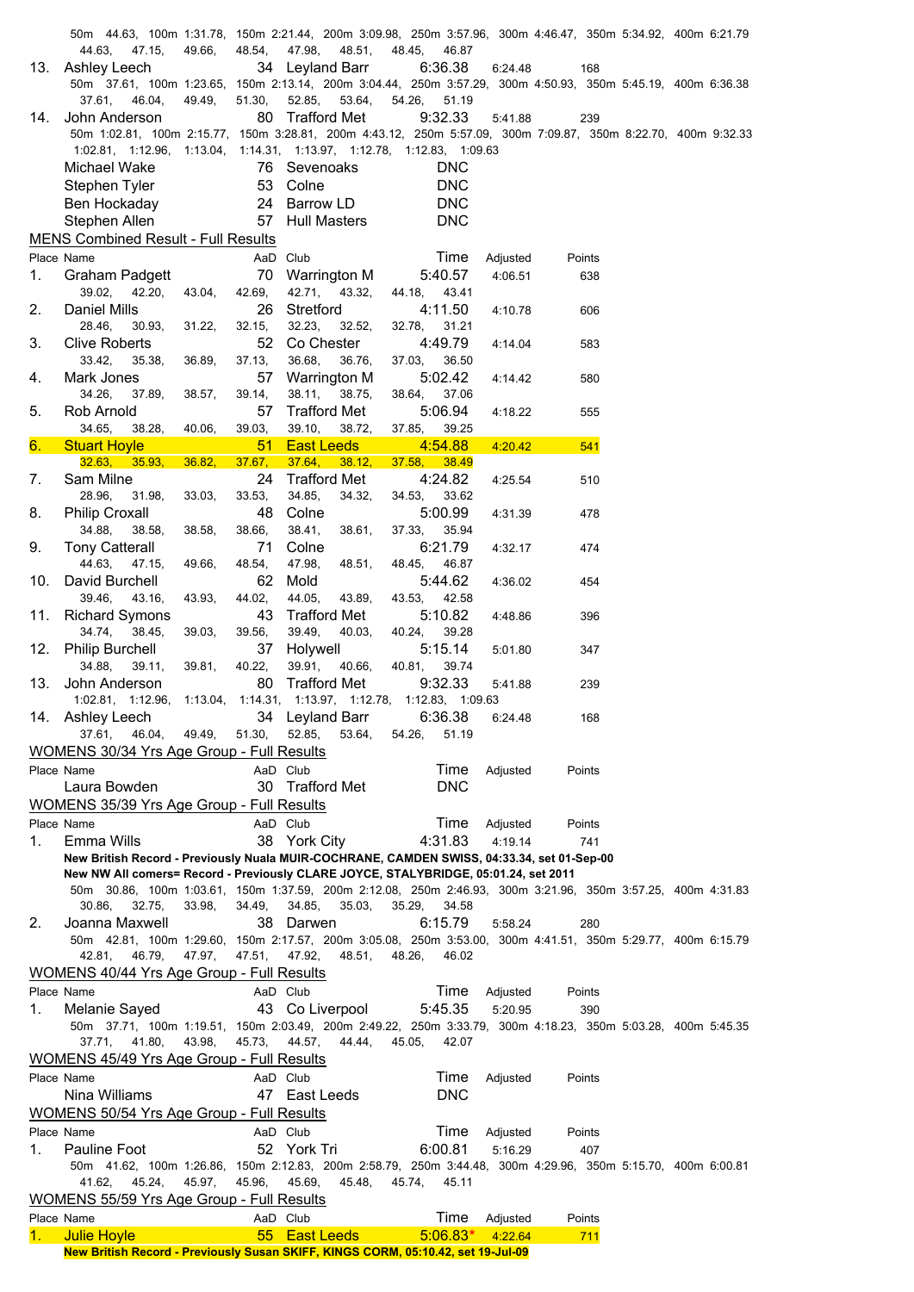|     | 50m 44.63, 100m 1:31.78, 150m 2:21.44, 200m 3:09.98, 250m 3:57.96, 300m 4:46.47, 350m 5:34.92, 400m 6:21.79                                                                                        |               |                 |                                                   |                            |          |        |  |
|-----|----------------------------------------------------------------------------------------------------------------------------------------------------------------------------------------------------|---------------|-----------------|---------------------------------------------------|----------------------------|----------|--------|--|
| 13. | 44.63,<br>47.15,<br>Ashley Leech                                                                                                                                                                   | 49.66,        | 48.54,          | 47.98, 48.51,<br>34 Leyland Barr                  | 48.45,<br>46.87<br>6:36.38 | 6:24.48  | 168    |  |
|     | 50m 37.61, 100m 1:23.65, 150m 2:13.14, 200m 3:04.44, 250m 3:57.29, 300m 4:50.93, 350m 5:45.19, 400m 6:36.38                                                                                        |               |                 |                                                   |                            |          |        |  |
|     | 37.61, 46.04, 49.49,                                                                                                                                                                               |               |                 | 51.30, 52.85, 53.64,                              | 54.26,<br>51.19            |          |        |  |
| 14. | John Anderson                                                                                                                                                                                      |               |                 | 80 Trafford Met                                   | 9:32.33                    | 5:41.88  | 239    |  |
|     | 50m 1:02.81, 100m 2:15.77, 150m 3:28.81, 200m 4:43.12, 250m 5:57.09, 300m 7:09.87, 350m 8:22.70, 400m 9:32.33                                                                                      |               |                 |                                                   |                            |          |        |  |
|     | 1:02.81, 1:12.96, 1:13.04, 1:14.31, 1:13.97, 1:12.78, 1:12.83, 1:09.63                                                                                                                             |               |                 |                                                   |                            |          |        |  |
|     | Michael Wake<br>Stephen Tyler                                                                                                                                                                      |               |                 | 76 Sevenoaks<br>53 Colne                          | <b>DNC</b><br><b>DNC</b>   |          |        |  |
|     | Ben Hockaday                                                                                                                                                                                       |               |                 | 24 Barrow LD                                      | <b>DNC</b>                 |          |        |  |
|     | Stephen Allen                                                                                                                                                                                      |               |                 | 57 Hull Masters                                   | <b>DNC</b>                 |          |        |  |
|     | <b>MENS Combined Result - Full Results</b>                                                                                                                                                         |               |                 |                                                   |                            |          |        |  |
|     | Place Name                                                                                                                                                                                         |               | AaD Club        |                                                   | Time                       | Adjusted | Points |  |
| 1.  | Graham Padgett                                                                                                                                                                                     |               | 70              | Warrington M                                      | 5:40.57                    | 4:06.51  | 638    |  |
|     | 39.02,<br>42.20,                                                                                                                                                                                   | 43.04,        | 42.69,          | 42.71, 43.32,                                     | 43.41<br>44.18,            |          |        |  |
| 2.  | Daniel Mills                                                                                                                                                                                       |               |                 | 26 Stretford                                      | 4:11.50                    | 4:10.78  | 606    |  |
| 3.  | 28.46,<br>30.93,<br><b>Clive Roberts</b>                                                                                                                                                           | 31.22,        | 32.15,<br>52    | 32.23, 32.52,<br>Co Chester                       | 32.78,<br>31.21<br>4:49.79 | 4:14.04  |        |  |
|     | 33.42,<br>35.38,                                                                                                                                                                                   | 36.89,        | 37.13,          | 36.68,<br>36.76,                                  | 37.03,<br>36.50            |          | 583    |  |
| 4.  | Mark Jones                                                                                                                                                                                         |               | 57              | Warrington M                                      | 5:02.42                    | 4:14.42  | 580    |  |
|     | 34.26, 37.89,                                                                                                                                                                                      | 38.57,        | 39.14,          | 38.11, 38.75,                                     | 37.06<br>38.64,            |          |        |  |
| 5.  | Rob Arnold                                                                                                                                                                                         |               | 57              | <b>Trafford Met</b>                               | 5:06.94                    | 4:18.22  | 555    |  |
|     | 34.65,<br>38.28,                                                                                                                                                                                   | 40.06,        | 39.03,          | 39.10,<br>38.72,                                  | 37.85,<br>39.25            |          |        |  |
| 6.  | <b>Stuart Hoyle</b>                                                                                                                                                                                |               | 51 <sup>1</sup> | <b>East Leeds</b>                                 | 4:54.88                    | 4:20.42  | 541    |  |
| 7.  | 32.63, 35.93,<br>Sam Milne                                                                                                                                                                         | 36.82, 37.67, | 24              | 37.64, 38.12, 37.58, 38.49<br><b>Trafford Met</b> | 4:24.82                    | 4:25.54  | 510    |  |
|     | 28.96,<br>31.98,                                                                                                                                                                                   | 33.03,        | 33.53,          | 34.85,<br>34.32,                                  | 34.53,<br>33.62            |          |        |  |
| 8.  | <b>Philip Croxall</b>                                                                                                                                                                              |               | 48              | Colne                                             | 5:00.99                    | 4:31.39  | 478    |  |
|     | 34.88,<br>38.58,                                                                                                                                                                                   | 38.58,        | 38.66,          | 38.41,<br>38.61,                                  | 37.33,<br>35.94            |          |        |  |
| 9.  | <b>Tony Catterall</b>                                                                                                                                                                              |               | 71              | Colne                                             | 6:21.79                    | 4:32.17  | 474    |  |
|     | 44.63,<br>47.15,                                                                                                                                                                                   | 49.66,        | 48.54,          | 47.98,<br>48.51,                                  | 46.87<br>48.45,            |          |        |  |
| 10. | David Burchell                                                                                                                                                                                     |               | 62              | Mold                                              | 5:44.62                    | 4:36.02  | 454    |  |
|     | 39.46,<br>43.16,<br>11. Richard Symons                                                                                                                                                             | 43.93,        | 44.02,          | 44.05,<br>43.89,<br>43 Trafford Met               | 43.53,<br>42.58<br>5:10.82 | 4:48.86  | 396    |  |
|     | 34.74,<br>38.45,                                                                                                                                                                                   | 39.03,        | 39.56,          | 39.49, 40.03,                                     | 39.28<br>40.24,            |          |        |  |
|     | 12. Philip Burchell                                                                                                                                                                                |               | 37              | Holywell                                          | 5:15.14                    | 5:01.80  | 347    |  |
|     | 34.88,<br>39.11,                                                                                                                                                                                   | 39.81,        | 40.22,          | 39.91, 40.66,                                     | 40.81,<br>39.74            |          |        |  |
| 13. | John Anderson                                                                                                                                                                                      |               |                 | 80 Trafford Met                                   | 9:32.33                    | 5:41.88  | 239    |  |
|     | 1:02.81, 1:12.96, 1:13.04, 1:14.31, 1:13.97, 1:12.78, 1:12.83, 1:09.63                                                                                                                             |               |                 |                                                   |                            |          |        |  |
|     | 14. Ashley Leech                                                                                                                                                                                   |               |                 | 34 Leyland Barr 6:36.38<br>52.85,                 |                            | 6:24.48  | 168    |  |
|     | 37.61,<br>46.04, 49.49, 51.30,<br>WOMENS 30/34 Yrs Age Group - Full Results                                                                                                                        |               |                 | 53.64,                                            | 54.26,<br>51.19            |          |        |  |
|     | Place Name                                                                                                                                                                                         |               | AaD Club        |                                                   | Time                       | Adjusted | Points |  |
|     | Laura Bowden                                                                                                                                                                                       |               |                 | 30 Trafford Met                                   | <b>DNC</b>                 |          |        |  |
|     | <b>WOMENS 35/39 Yrs Age Group - Full Results</b>                                                                                                                                                   |               |                 |                                                   |                            |          |        |  |
|     | Place Name                                                                                                                                                                                         |               | AaD Club        |                                                   | Time                       | Adjusted | Points |  |
| 1.  | Emma Wills                                                                                                                                                                                         |               |                 | 38 York City                                      | 4:31.83                    | 4:19.14  | 741    |  |
|     | New British Record - Previously Nuala MUIR-COCHRANE, CAMDEN SWISS, 04:33.34, set 01-Sep-00                                                                                                         |               |                 |                                                   |                            |          |        |  |
|     | New NW All comers= Record - Previously CLARE JOYCE, STALYBRIDGE, 05:01.24, set 2011<br>50m 30.86, 100m 1:03.61, 150m 1:37.59, 200m 2:12.08, 250m 2:46.93, 300m 3:21.96, 350m 3:57.25, 400m 4:31.83 |               |                 |                                                   |                            |          |        |  |
|     | 30.86,<br>32.75,                                                                                                                                                                                   | 33.98,        | 34.49,          | 34.85,<br>35.03,                                  | 35.29,<br>34.58            |          |        |  |
| 2.  | Joanna Maxwell                                                                                                                                                                                     |               |                 | 38 Darwen                                         | 6:15.79                    | 5:58.24  | 280    |  |
|     | 50m 42.81, 100m 1:29.60, 150m 2:17.57, 200m 3:05.08, 250m 3:53.00, 300m 4:41.51, 350m 5:29.77, 400m 6:15.79                                                                                        |               |                 |                                                   |                            |          |        |  |
|     | 42.81,<br>46.79,                                                                                                                                                                                   |               |                 | 47.97, 47.51, 47.92, 48.51,                       | 48.26,<br>46.02            |          |        |  |
|     | <b>WOMENS 40/44 Yrs Age Group - Full Results</b>                                                                                                                                                   |               |                 |                                                   |                            |          |        |  |
|     | Place Name                                                                                                                                                                                         |               | AaD Club        |                                                   | Time                       | Adjusted | Points |  |
| 1.  | Melanie Sayed<br>50m 37.71, 100m 1:19.51, 150m 2:03.49, 200m 2:49.22, 250m 3:33.79, 300m 4:18.23, 350m 5:03.28, 400m 5:45.35                                                                       |               |                 | 43 Co Liverpool                                   | 5:45.35                    | 5:20.95  | 390    |  |
|     | 37.71, 41.80,                                                                                                                                                                                      | 43.98,        |                 | 45.73, 44.57, 44.44,                              | 42.07<br>45.05,            |          |        |  |
|     | WOMENS 45/49 Yrs Age Group - Full Results                                                                                                                                                          |               |                 |                                                   |                            |          |        |  |
|     | Place Name                                                                                                                                                                                         |               | AaD Club        |                                                   | Time                       | Adjusted | Points |  |
|     | Nina Williams                                                                                                                                                                                      |               |                 | 47 East Leeds                                     | <b>DNC</b>                 |          |        |  |
|     | WOMENS 50/54 Yrs Age Group - Full Results                                                                                                                                                          |               |                 |                                                   |                            |          |        |  |
|     | Place Name                                                                                                                                                                                         |               | AaD Club        |                                                   | Time                       | Adjusted | Points |  |
| 1.  | Pauline Foot                                                                                                                                                                                       |               |                 | 52 York Tri                                       | 6:00.81                    | 5:16.29  | 407    |  |
|     | 50m 41.62, 100m 1:26.86, 150m 2:12.83, 200m 2:58.79, 250m 3:44.48, 300m 4:29.96, 350m 5:15.70, 400m 6:00.81                                                                                        |               |                 |                                                   |                            |          |        |  |
|     | 45.24,<br>41.62,<br><b>WOMENS 55/59 Yrs Age Group - Full Results</b>                                                                                                                               | 45.97,        |                 | 45.96, 45.69, 45.48,                              | 45.74,<br>45.11            |          |        |  |
|     | Place Name                                                                                                                                                                                         |               | AaD Club        |                                                   | Time                       | Adjusted | Points |  |
| 1.  | <b>Julie Hoyle</b>                                                                                                                                                                                 |               | 55              | <b>East Leeds</b>                                 | $5:06.83*$                 | 4:22.64  | 711    |  |
|     | New British Record - Previously Susan SKIFF, KINGS CORM, 05:10.42, set 19-Jul-09                                                                                                                   |               |                 |                                                   |                            |          |        |  |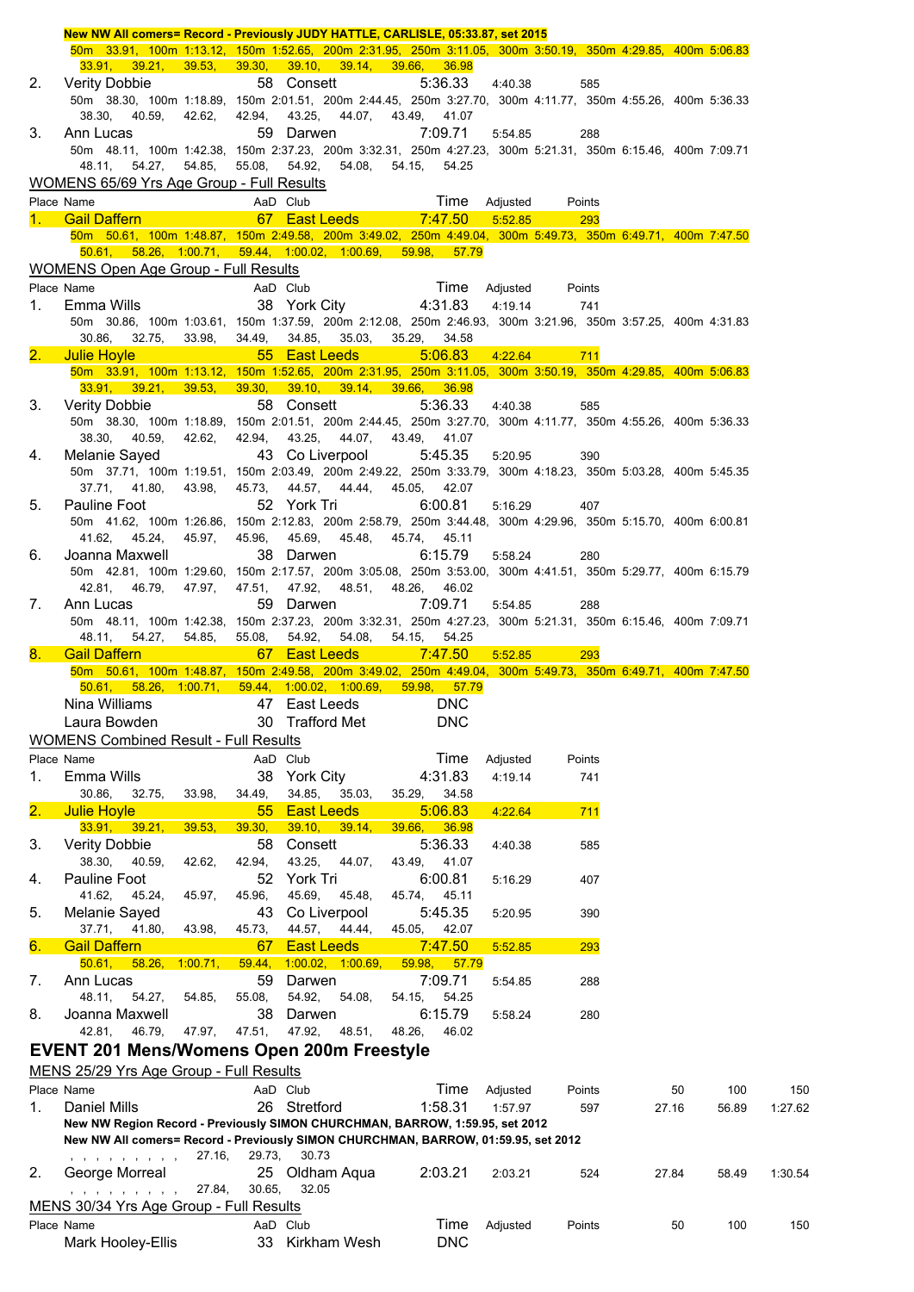|                                                                                 | New NW All comers= Record - Previously JUDY HATTLE, CARLISLE, 05:33.87, set 2015                            |          |        |                   |                                   |                     |                    |          |        |       |       |
|---------------------------------------------------------------------------------|-------------------------------------------------------------------------------------------------------------|----------|--------|-------------------|-----------------------------------|---------------------|--------------------|----------|--------|-------|-------|
|                                                                                 | 50m 33.91, 100m 1:13.12, 150m 1:52.65, 200m 2:31.95, 250m 3:11.05, 300m 3:50.19, 350m 4:29.85, 400m 5:06.83 |          |        |                   |                                   |                     |                    |          |        |       |       |
|                                                                                 | $33.91, 39.21, 39.53, 39.30, 39.10, 39.14, 39.66, 36.98$                                                    |          |        |                   |                                   |                     |                    |          |        |       |       |
| 2.                                                                              | Verity Dobbie                                                                                               |          |        | 58 Consett        |                                   |                     | 5:36.33            | 4:40.38  | 585    |       |       |
|                                                                                 | 50m 38.30, 100m 1:18.89, 150m 2:01.51, 200m 2:44.45, 250m 3:27.70, 300m 4:11.77, 350m 4:55.26, 400m 5:36.33 |          |        |                   |                                   |                     |                    |          |        |       |       |
|                                                                                 | 38.30, 40.59, 42.62,                                                                                        |          |        |                   | 42.94, 43.25, 44.07, 43.49, 41.07 |                     |                    |          |        |       |       |
| 3.                                                                              | Ann Lucas                                                                                                   |          |        | 59 Darwen         |                                   |                     | 7:09.71            | 5:54.85  | 288    |       |       |
|                                                                                 | 50m 48.11, 100m 1:42.38, 150m 2:37.23, 200m 3:32.31, 250m 4:27.23, 300m 5:21.31, 350m 6:15.46, 400m 7:09.71 |          |        |                   |                                   |                     |                    |          |        |       |       |
|                                                                                 | 48.11, 54.27, 54.85,                                                                                        |          |        | 55.08, 54.92,     |                                   | 54.08, 54.15, 54.25 |                    |          |        |       |       |
|                                                                                 | WOMENS 65/69 Yrs Age Group - Full Results                                                                   |          |        |                   |                                   |                     |                    |          |        |       |       |
|                                                                                 | Place Name                                                                                                  |          |        | AaD Club          |                                   |                     | Time               | Adjusted | Points |       |       |
|                                                                                 |                                                                                                             |          |        |                   |                                   |                     |                    |          |        |       |       |
|                                                                                 | 1. Gail Daffern                                                                                             |          |        |                   | 67 East Leeds 7:47.50 5:52.85     |                     |                    |          | 293    |       |       |
|                                                                                 | 50m 50.61, 100m 1:48.87, 150m 2:49.58, 200m 3:49.02, 250m 4:49.04, 300m 5:49.73, 350m 6:49.71, 400m 7:47.50 |          |        |                   |                                   |                     |                    |          |        |       |       |
|                                                                                 | 50.61, 58.26, 1:00.71, 59.44, 1:00.02, 1:00.69, 59.98, 57.79                                                |          |        |                   |                                   |                     |                    |          |        |       |       |
|                                                                                 | <b>WOMENS Open Age Group - Full Results</b>                                                                 |          |        |                   |                                   |                     |                    |          |        |       |       |
|                                                                                 | Place Name                                                                                                  |          |        | AaD Club          |                                   |                     | Time               | Adjusted | Points |       |       |
| 1.                                                                              | Emma Wills                                                                                                  |          |        |                   | 38 York City                      |                     | 4:31.83            | 4:19.14  | 741    |       |       |
|                                                                                 | 50m 30.86, 100m 1:03.61, 150m 1:37.59, 200m 2:12.08, 250m 2:46.93, 300m 3:21.96, 350m 3:57.25, 400m 4:31.83 |          |        |                   |                                   |                     |                    |          |        |       |       |
|                                                                                 | 30.86, 32.75,                                                                                               | 33.98,   | 34.49, | 34.85,            | 35.03,                            | 35.29,              | 34.58              |          |        |       |       |
| 2.                                                                              | <b>Julie Hoyle</b>                                                                                          |          |        | 55 East Leeds     |                                   |                     | 5:06.83            | 4:22.64  | 711    |       |       |
|                                                                                 | 50m 33.91, 100m 1:13.12, 150m 1:52.65, 200m 2:31.95, 250m 3:11.05, 300m 3:50.19, 350m 4:29.85, 400m 5:06.83 |          |        |                   |                                   |                     |                    |          |        |       |       |
|                                                                                 | 33.91, 39.21, 39.53, 39.30, 39.10, 39.14, 39.66, 36.98                                                      |          |        |                   |                                   |                     |                    |          |        |       |       |
| 3.                                                                              | Verity Dobbie                                                                                               |          |        | 58 Consett        |                                   |                     | 5:36.33            | 4:40.38  | 585    |       |       |
|                                                                                 | 50m 38.30, 100m 1:18.89, 150m 2:01.51, 200m 2:44.45, 250m 3:27.70, 300m 4:11.77, 350m 4:55.26, 400m 5:36.33 |          |        |                   |                                   |                     |                    |          |        |       |       |
|                                                                                 | 38.30, 40.59, 42.62, 42.94, 43.25, 44.07, 43.49, 41.07                                                      |          |        |                   |                                   |                     |                    |          |        |       |       |
|                                                                                 | Melanie Sayed                                                                                               |          |        |                   | 43 Co Liverpool                   |                     |                    |          |        |       |       |
| 4.                                                                              |                                                                                                             |          |        |                   |                                   |                     | 5:45.35            | 5:20.95  | 390    |       |       |
|                                                                                 | 50m 37.71, 100m 1:19.51, 150m 2:03.49, 200m 2:49.22, 250m 3:33.79, 300m 4:18.23, 350m 5:03.28, 400m 5:45.35 |          |        |                   |                                   |                     |                    |          |        |       |       |
|                                                                                 | 37.71, 41.80,                                                                                               | 43.98,   |        |                   | 45.73, 44.57, 44.44, 45.05, 42.07 |                     |                    |          |        |       |       |
| 5.                                                                              | Pauline Foot                                                                                                |          |        | 52 York Tri       |                                   |                     | 6:00.81            | 5:16.29  | 407    |       |       |
|                                                                                 | 50m 41.62, 100m 1:26.86, 150m 2:12.83, 200m 2:58.79, 250m 3:44.48, 300m 4:29.96, 350m 5:15.70, 400m 6:00.81 |          |        |                   |                                   |                     |                    |          |        |       |       |
|                                                                                 | 41.62, 45.24, 45.97,                                                                                        |          |        |                   | 45.96, 45.69, 45.48, 45.74,       |                     | 45.11              |          |        |       |       |
| 6.                                                                              | Joanna Maxwell                                                                                              |          |        | 38 Darwen         |                                   |                     | 6:15.79            | 5:58.24  | 280    |       |       |
|                                                                                 | 50m 42.81, 100m 1:29.60, 150m 2:17.57, 200m 3:05.08, 250m 3:53.00, 300m 4:41.51, 350m 5:29.77, 400m 6:15.79 |          |        |                   |                                   |                     |                    |          |        |       |       |
|                                                                                 | 42.81, 46.79, 47.97,                                                                                        |          |        |                   | 47.51, 47.92, 48.51, 48.26, 46.02 |                     |                    |          |        |       |       |
| 7.                                                                              | Ann Lucas                                                                                                   |          |        | 59 Darwen         |                                   |                     | 7:09.71            | 5:54.85  | 288    |       |       |
|                                                                                 | 50m 48.11, 100m 1:42.38, 150m 2:37.23, 200m 3:32.31, 250m 4:27.23, 300m 5:21.31, 350m 6:15.46, 400m 7:09.71 |          |        |                   |                                   |                     |                    |          |        |       |       |
|                                                                                 | 48.11, 54.27,                                                                                               | 54.85,   | 55.08, | 54.92,            | 54.08,                            | 54.15,              | 54.25              |          |        |       |       |
|                                                                                 |                                                                                                             |          |        |                   |                                   |                     |                    |          |        |       |       |
|                                                                                 | <b>Gail Daffern</b>                                                                                         |          |        | 67 East Leeds     |                                   | 7:47.50             |                    | 5:52.85  | 293    |       |       |
|                                                                                 | 50m 50.61, 100m 1:48.87, 150m 2:49.58, 200m 3:49.02, 250m 4:49.04, 300m 5:49.73, 350m 6:49.71, 400m 7:47.50 |          |        |                   |                                   |                     |                    |          |        |       |       |
|                                                                                 | 50.61, 58.26, 1:00.71, 59.44, 1:00.02, 1:00.69, 59.98, 57.79                                                |          |        |                   |                                   |                     |                    |          |        |       |       |
|                                                                                 | Nina Williams                                                                                               |          |        | 47 East Leeds     |                                   |                     | <b>DNC</b>         |          |        |       |       |
|                                                                                 |                                                                                                             |          |        |                   |                                   |                     |                    |          |        |       |       |
|                                                                                 | Laura Bowden                                                                                                |          |        | 30 Trafford Met   |                                   |                     | <b>DNC</b>         |          |        |       |       |
|                                                                                 | <b>WOMENS Combined Result - Full Results</b>                                                                |          |        |                   |                                   |                     |                    |          |        |       |       |
|                                                                                 | Place Name                                                                                                  |          |        | AaD Club          |                                   |                     | Time               | Adjusted | Points |       |       |
|                                                                                 | Emma Wills                                                                                                  |          | 38     | York City         |                                   |                     | 4:31.83            | 4:19.14  | 741    |       |       |
|                                                                                 | 30.86,<br>32.75,                                                                                            | 33.98,   | 34.49, | 34.85,            | 35.03,                            | 35.29,              | 34.58              |          |        |       |       |
|                                                                                 | <b>Julie Hoyle</b>                                                                                          |          | 55     | <b>East Leeds</b> |                                   |                     | 5:06.83            | 4:22.64  | 711    |       |       |
|                                                                                 | 33.91, 39.21,                                                                                               | 39.53,   | 39.30, |                   | 39.10, 39.14,                     | 39.66, 36.98        |                    |          |        |       |       |
|                                                                                 | <b>Verity Dobbie</b>                                                                                        |          | 58     | Consett           |                                   |                     | 5:36.33            | 4:40.38  | 585    |       |       |
|                                                                                 | 38.30,<br>40.59,                                                                                            | 42.62,   | 42.94, | 43.25.            | 44.07,                            | 43.49,              | 41.07              |          |        |       |       |
|                                                                                 |                                                                                                             |          |        |                   |                                   |                     |                    |          |        |       |       |
|                                                                                 | Pauline Foot                                                                                                |          | 52     | York Tri          |                                   |                     | 6:00.81            | 5:16.29  | 407    |       |       |
|                                                                                 | 41.62,<br>45.24,                                                                                            | 45.97,   | 45.96, | 45.69,            | 45.48,                            | 45.74,              | 45.11              |          |        |       |       |
|                                                                                 | Melanie Sayed                                                                                               |          | 43     |                   | Co Liverpool                      |                     | 5:45.35            | 5:20.95  | 390    |       |       |
|                                                                                 | 37.71,<br>41.80,                                                                                            | 43.98,   | 45.73, | 44.57,            | 44.44,                            | 45.05,              | 42.07              |          |        |       |       |
|                                                                                 | <b>Gail Daffern</b>                                                                                         |          | 67     | <b>East Leeds</b> |                                   |                     | 7:47.50            | 5:52.85  | 293    |       |       |
|                                                                                 | 50.61, 58.26,                                                                                               | 1:00.71, | 59.44, |                   | 1:00.02, 1:00.69,                 | 59.98,              | 57.79              |          |        |       |       |
|                                                                                 | Ann Lucas                                                                                                   |          | 59     | Darwen            |                                   |                     | 7:09.71            | 5:54.85  | 288    |       |       |
|                                                                                 | 48.11,<br>54.27,                                                                                            | 54.85,   | 55.08, | 54.92,            | 54.08,                            | 54.15,              | 54.25              |          |        |       |       |
|                                                                                 | Joanna Maxwell                                                                                              |          | 38     | Darwen            |                                   |                     | 6:15.79            | 5:58.24  | 280    |       |       |
|                                                                                 | 42.81,<br>46.79,                                                                                            | 47.97,   | 47.51, | 47.92,            | 48.51,                            | 48.26,              | 46.02              |          |        |       |       |
|                                                                                 |                                                                                                             |          |        |                   |                                   |                     |                    |          |        |       |       |
|                                                                                 | <b>EVENT 201 Mens/Womens Open 200m Freestyle</b>                                                            |          |        |                   |                                   |                     |                    |          |        |       |       |
|                                                                                 | MENS 25/29 Yrs Age Group - Full Results                                                                     |          |        |                   |                                   |                     |                    |          |        |       |       |
|                                                                                 | Place Name                                                                                                  |          |        | AaD Club          |                                   |                     | Time               | Adjusted | Points | 50    | 100   |
|                                                                                 | <b>Daniel Mills</b>                                                                                         |          |        | 26 Stretford      |                                   |                     | 1:58.31            | 1:57.97  | 597    | 27.16 | 56.89 |
|                                                                                 | New NW Region Record - Previously SIMON CHURCHMAN, BARROW, 1:59.95, set 2012                                |          |        |                   |                                   |                     |                    |          |        |       |       |
|                                                                                 | New NW All comers= Record - Previously SIMON CHURCHMAN, BARROW, 01:59.95, set 2012                          |          |        |                   |                                   |                     |                    |          |        |       |       |
| 8.<br>1.<br>$\overline{\mathbf{2}}$ .<br>3.<br>4.<br>5.<br>6.<br>7.<br>8.<br>1. |                                                                                                             | 27.16,   | 29.73, | 30.73             |                                   |                     |                    |          |        |       |       |
|                                                                                 |                                                                                                             |          |        |                   |                                   |                     |                    |          |        |       |       |
|                                                                                 | George Morreal                                                                                              |          | 25     |                   | Oldham Aqua                       |                     | 2:03.21            | 2:03.21  | 524    | 27.84 | 58.49 |
|                                                                                 | .                                                                                                           | 27.84,   | 30.65, | 32.05             |                                   |                     |                    |          |        |       |       |
|                                                                                 | MENS 30/34 Yrs Age Group - Full Results                                                                     |          |        |                   |                                   |                     |                    |          |        |       |       |
| 2.                                                                              | Place Name<br>Mark Hooley-Ellis                                                                             |          |        | AaD Club          | 33 Kirkham Wesh                   |                     | Time<br><b>DNC</b> | Adjusted | Points | 50    | 100   |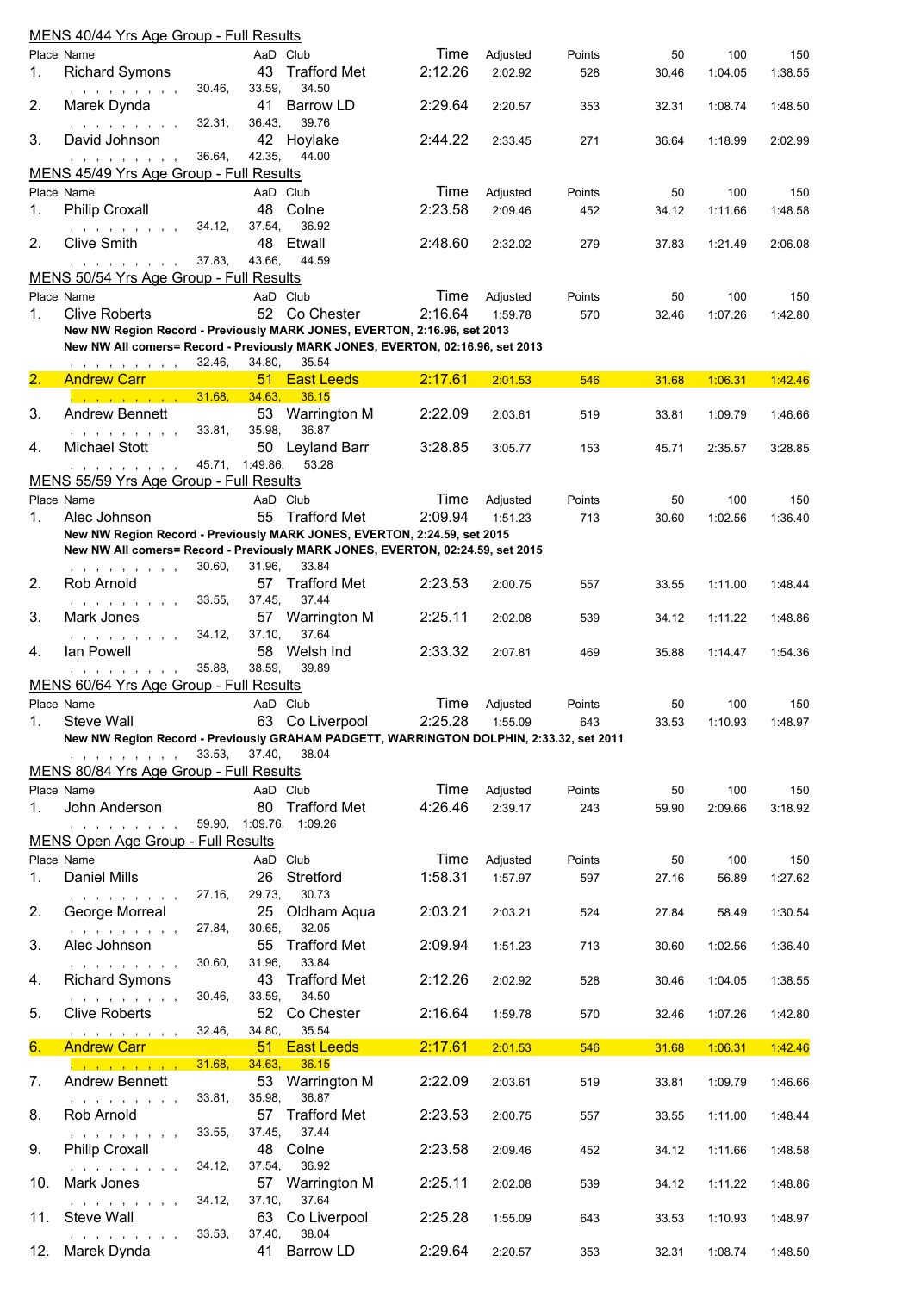|                           | MENS 40/44 Yrs Age Group - Full Results                                                                                                                                                                             |        |                 |                           |                 |                     |               |             |              |                |
|---------------------------|---------------------------------------------------------------------------------------------------------------------------------------------------------------------------------------------------------------------|--------|-----------------|---------------------------|-----------------|---------------------|---------------|-------------|--------------|----------------|
|                           | Place Name                                                                                                                                                                                                          |        | AaD Club        |                           | Time            | Adjusted            | Points        | 50          | 100          | 150            |
| 1.                        | <b>Richard Symons</b>                                                                                                                                                                                               |        | 43              | <b>Trafford Met</b>       | 2:12.26         | 2:02.92             | 528           | 30.46       | 1:04.05      | 1:38.55        |
|                           | $\mathbf{y} = \mathbf{y} - \mathbf{y} = \mathbf{y} - \mathbf{y} = \mathbf{y} - \mathbf{y} = \mathbf{y} - \mathbf{y} = \mathbf{y}$                                                                                   | 30.46, | 33.59,          | 34.50                     |                 |                     |               |             |              |                |
| 2.                        | Marek Dynda                                                                                                                                                                                                         | 32.31, | 41<br>36.43,    | <b>Barrow LD</b><br>39.76 | 2:29.64         | 2:20.57             | 353           | 32.31       | 1:08.74      | 1:48.50        |
| 3.                        | $\mathbf{y} = \mathbf{y} - \mathbf{y} = \mathbf{y} - \mathbf{y} = \mathbf{y} - \mathbf{y} = \mathbf{y} - \mathbf{y} = \mathbf{y}$<br>David Johnson                                                                  |        | 42              | Hoylake                   | 2:44.22         | 2:33.45             | 271           | 36.64       | 1:18.99      | 2:02.99        |
|                           | , , , , , , , , ,                                                                                                                                                                                                   | 36.64, | 42.35,          | 44.00                     |                 |                     |               |             |              |                |
|                           | MENS 45/49 Yrs Age Group - Full Results                                                                                                                                                                             |        |                 |                           |                 |                     |               |             |              |                |
|                           | Place Name                                                                                                                                                                                                          |        | AaD Club        |                           | Time            | Adjusted            | Points        | 50          | 100          | 150            |
| 1.                        | <b>Philip Croxall</b>                                                                                                                                                                                               |        | 48              | Colne                     | 2:23.58         | 2:09.46             | 452           | 34.12       | 1:11.66      | 1:48.58        |
|                           | $\mathbf{y} = \mathbf{y} - \mathbf{y} = \mathbf{y} - \mathbf{y} = \mathbf{y} - \mathbf{y} = \mathbf{y} - \mathbf{y} = \mathbf{y}$                                                                                   | 34.12, | 37.54,          | 36.92                     |                 |                     |               |             |              |                |
| 2.                        | <b>Clive Smith</b>                                                                                                                                                                                                  |        | 48              | Etwall                    | 2:48.60         | 2:32.02             | 279           | 37.83       | 1:21.49      | 2:06.08        |
|                           | .<br>MENS 50/54 Yrs Age Group - Full Results                                                                                                                                                                        | 37.83, | 43.66,          | 44.59                     |                 |                     |               |             |              |                |
|                           | Place Name                                                                                                                                                                                                          |        | AaD Club        |                           | Time            | Adjusted            | Points        | 50          | 100          | 150            |
| 1.                        | <b>Clive Roberts</b>                                                                                                                                                                                                |        |                 | 52 Co Chester             | 2:16.64         | 1:59.78             | 570           | 32.46       | 1:07.26      | 1:42.80        |
|                           | New NW Region Record - Previously MARK JONES, EVERTON, 2:16.96, set 2013                                                                                                                                            |        |                 |                           |                 |                     |               |             |              |                |
|                           | New NW All comers= Record - Previously MARK JONES, EVERTON, 02:16.96, set 2013                                                                                                                                      |        |                 |                           |                 |                     |               |             |              |                |
|                           | $\mathbf{y} = \mathbf{y} - \mathbf{y} = \mathbf{y} - \mathbf{y} = \mathbf{y} - \mathbf{y} = \mathbf{y} - \mathbf{y} = \mathbf{y}$                                                                                   | 32.46, | 34.80,          | 35.54                     |                 |                     |               |             |              |                |
| $\overline{\mathbf{2}}$ . | <b>Andrew Carr</b>                                                                                                                                                                                                  |        |                 | 51 East Leeds             | 2:17.61         | 2:01.53             | 546           | 31.68       | 1:06.31      | 1:42.46        |
| 3.                        | .<br>Andrew Bennett                                                                                                                                                                                                 | 31.68, | 34.63,          | 36.15<br>53 Warrington M  | 2:22.09         | 2:03.61             | 519           | 33.81       | 1:09.79      | 1:46.66        |
|                           | .                                                                                                                                                                                                                   | 33.81, | 35.98,          | 36.87                     |                 |                     |               |             |              |                |
| 4.                        | <b>Michael Stott</b>                                                                                                                                                                                                |        | 50              | Leyland Barr              | 3:28.85         | 3:05.77             | 153           | 45.71       | 2:35.57      | 3:28.85        |
|                           | , , , , , , , , ,                                                                                                                                                                                                   |        | 45.71, 1:49.86, | 53.28                     |                 |                     |               |             |              |                |
|                           | MENS 55/59 Yrs Age Group - Full Results                                                                                                                                                                             |        |                 |                           |                 |                     |               |             |              |                |
|                           | Place Name                                                                                                                                                                                                          |        | AaD Club        |                           | Time            | Adjusted            | Points        | 50          | 100          | 150            |
| 1.                        | Alec Johnson                                                                                                                                                                                                        |        |                 | 55 Trafford Met           | 2:09.94         | 1:51.23             | 713           | 30.60       | 1:02.56      | 1:36.40        |
|                           | New NW Region Record - Previously MARK JONES, EVERTON, 2:24.59, set 2015                                                                                                                                            |        |                 |                           |                 |                     |               |             |              |                |
|                           | New NW All comers= Record - Previously MARK JONES, EVERTON, 02:24.59, set 2015<br>$\mathbf{y} = \mathbf{y} - \mathbf{y} = \mathbf{y} - \mathbf{y} = \mathbf{y} - \mathbf{y} = \mathbf{y} - \mathbf{y} = \mathbf{y}$ | 30.60, | 31.96,          | 33.84                     |                 |                     |               |             |              |                |
| 2.                        | Rob Arnold                                                                                                                                                                                                          |        | 57              | <b>Trafford Met</b>       | 2:23.53         | 2:00.75             | 557           | 33.55       | 1:11.00      | 1:48.44        |
|                           |                                                                                                                                                                                                                     | 33.55, | 37.45,          | 37.44                     |                 |                     |               |             |              |                |
| 3.                        | Mark Jones                                                                                                                                                                                                          |        |                 | 57 Warrington M           | 2:25.11         | 2:02.08             | 539           | 34.12       | 1:11.22      | 1:48.86        |
|                           | $\mathbf{y} = \mathbf{y} = \mathbf{y} = \mathbf{y} = \mathbf{y} = \mathbf{y} = \mathbf{y} = \mathbf{y} = \mathbf{y}$                                                                                                | 34.12, | 37.10,          | 37.64                     |                 |                     |               |             |              |                |
| 4.                        | lan Powell                                                                                                                                                                                                          |        | 58              | Welsh Ind                 | 2:33.32         | 2:07.81             | 469           | 35.88       | 1:14.47      | 1:54.36        |
|                           | .                                                                                                                                                                                                                   | 35.88, | 38.59,          | 39.89                     |                 |                     |               |             |              |                |
|                           | MENS 60/64 Yrs Age Group - Full Results                                                                                                                                                                             |        |                 |                           | Time            |                     |               |             | 100          |                |
| 1.                        | Place Name<br>Steve Wall                                                                                                                                                                                            |        | AaD Club        | 63 Co Liverpool           | 2:25.28         | Adjusted<br>1:55.09 | Points<br>643 | 50<br>33.53 | 1:10.93      | 150<br>1:48.97 |
|                           | New NW Region Record - Previously GRAHAM PADGETT, WARRINGTON DOLPHIN, 2:33.32, set 2011                                                                                                                             |        |                 |                           |                 |                     |               |             |              |                |
|                           |                                                                                                                                                                                                                     | 33.53, | 37.40,          | 38.04                     |                 |                     |               |             |              |                |
|                           | MENS 80/84 Yrs Age Group - Full Results                                                                                                                                                                             |        |                 |                           |                 |                     |               |             |              |                |
|                           | Place Name                                                                                                                                                                                                          |        | AaD Club        |                           | Time            | Adjusted            | Points        | 50          | 100          | 150            |
| 1.                        | John Anderson                                                                                                                                                                                                       |        |                 | 80 Trafford Met           | 4:26.46         | 2:39.17             | 243           | 59.90       | 2:09.66      | 3:18.92        |
|                           | $\mathbf{y} = \mathbf{y} = \mathbf{y} = \mathbf{y} = \mathbf{y} = \mathbf{y} = \mathbf{y} = \mathbf{y} = \mathbf{y}$                                                                                                |        |                 | 59.90, 1:09.76, 1:09.26   |                 |                     |               |             |              |                |
|                           | <b>MENS Open Age Group - Full Results</b>                                                                                                                                                                           |        |                 |                           |                 |                     |               |             |              |                |
| 1.                        | Place Name<br>Daniel Mills                                                                                                                                                                                          |        | AaD Club<br>26  | Stretford                 | Time<br>1:58.31 | Adjusted<br>1:57.97 | Points<br>597 | 50<br>27.16 | 100<br>56.89 | 150<br>1:27.62 |
|                           |                                                                                                                                                                                                                     | 27.16, | 29.73,          | 30.73                     |                 |                     |               |             |              |                |
| 2.                        | $\mathbf{y} = \mathbf{y} - \mathbf{y} - \mathbf{y} = \mathbf{y} - \mathbf{y} - \mathbf{y} = \mathbf{y} - \mathbf{y} = \mathbf{y}$<br>George Morreal                                                                 |        |                 | 25 Oldham Aqua            | 2:03.21         | 2:03.21             | 524           | 27.84       | 58.49        | 1:30.54        |
|                           | $\mathbf{y} = \mathbf{y} - \mathbf{y} = \mathbf{y} - \mathbf{y} = \mathbf{y} - \mathbf{y} = \mathbf{y} - \mathbf{y} = \mathbf{y}$                                                                                   | 27.84, | 30.65,          | 32.05                     |                 |                     |               |             |              |                |
| 3.                        | Alec Johnson                                                                                                                                                                                                        |        |                 | 55 Trafford Met           | 2:09.94         | 1:51.23             | 713           | 30.60       | 1:02.56      | 1:36.40        |
|                           |                                                                                                                                                                                                                     | 30.60, | 31.96,          | 33.84                     |                 |                     |               |             |              |                |
| 4.                        | <b>Richard Symons</b>                                                                                                                                                                                               |        | 43              | <b>Trafford Met</b>       | 2:12.26         | 2:02.92             | 528           | 30.46       | 1:04.05      | 1:38.55        |
|                           | $\begin{array}{cccccccccccccc} \star & \star & \star & \star & \star & \star & \star & \star & \star & \star & \star \end{array}$                                                                                   | 30.46, | 33.59,          | 34.50                     |                 |                     |               |             |              |                |
| 5.                        | <b>Clive Roberts</b>                                                                                                                                                                                                | 32.46, | 34.80,          | 52 Co Chester<br>35.54    | 2:16.64         | 1:59.78             | 570           | 32.46       | 1:07.26      | 1:42.80        |
| 6.                        | $\mathbf{y} = \mathbf{y} - \mathbf{y} - \mathbf{y} = \mathbf{y} - \mathbf{y} - \mathbf{y} = \mathbf{y} - \mathbf{y} = \mathbf{y}$<br><b>Andrew Carr</b>                                                             |        |                 | 51 East Leeds             | 2:17.61         | 2:01.53             | 546           | 31.68       | 1:06.31      | 1:42.46        |
|                           | .                                                                                                                                                                                                                   | 31.68, |                 | 34.63, 36.15              |                 |                     |               |             |              |                |
| 7.                        | <b>Andrew Bennett</b>                                                                                                                                                                                               |        |                 | 53 Warrington M           | 2:22.09         | 2:03.61             | 519           | 33.81       | 1:09.79      | 1:46.66        |
|                           | $\mathbf{y} = \mathbf{y} - \mathbf{y} = \mathbf{y} - \mathbf{y} = \mathbf{y} - \mathbf{y} = \mathbf{y} - \mathbf{y} = \mathbf{y}$                                                                                   | 33.81, | 35.98,          | 36.87                     |                 |                     |               |             |              |                |
| 8.                        | Rob Arnold                                                                                                                                                                                                          |        |                 | 57 Trafford Met           | 2:23.53         | 2:00.75             | 557           | 33.55       | 1:11.00      | 1:48.44        |
|                           | $\mathbf{y} = \mathbf{y} - \mathbf{y} - \mathbf{y} = \mathbf{y} - \mathbf{y} - \mathbf{y} - \mathbf{y} = \mathbf{y} - \mathbf{y}$                                                                                   | 33.55, | 37.45,          | 37.44                     |                 |                     |               |             |              |                |
| 9.                        | <b>Philip Croxall</b>                                                                                                                                                                                               |        | 37.54,          | 48 Colne<br>36.92         | 2:23.58         | 2:09.46             | 452           | 34.12       | 1:11.66      | 1:48.58        |
| 10.                       | $\mathbf{y} = \mathbf{y} - \mathbf{y} = \mathbf{y} - \mathbf{y} = \mathbf{y} - \mathbf{y} = \mathbf{y} - \mathbf{y} = \mathbf{y}$<br>Mark Jones                                                                     | 34.12, |                 | 57 Warrington M           | 2:25.11         | 2:02.08             | 539           | 34.12       | 1:11.22      | 1:48.86        |
|                           | $\mathbf{y} = \mathbf{y} - \mathbf{y} = \mathbf{y} - \mathbf{y} = \mathbf{y} - \mathbf{y} = \mathbf{y} - \mathbf{y} = \mathbf{y}$                                                                                   | 34.12, | 37.10,          | 37.64                     |                 |                     |               |             |              |                |
| 11.                       | Steve Wall                                                                                                                                                                                                          |        |                 | 63 Co Liverpool           | 2:25.28         | 1:55.09             | 643           | 33.53       | 1:10.93      | 1:48.97        |
|                           | $\mathbf{y} = \mathbf{y} - \mathbf{y} = \mathbf{y} - \mathbf{y} = \mathbf{y} - \mathbf{y} = \mathbf{y} - \mathbf{y}$                                                                                                | 33.53, | 37.40,          | 38.04                     |                 |                     |               |             |              |                |
| 12.                       | Marek Dynda                                                                                                                                                                                                         |        |                 | 41 Barrow LD              | 2:29.64         | 2:20.57             | 353           | 32.31       | 1:08.74      | 1:48.50        |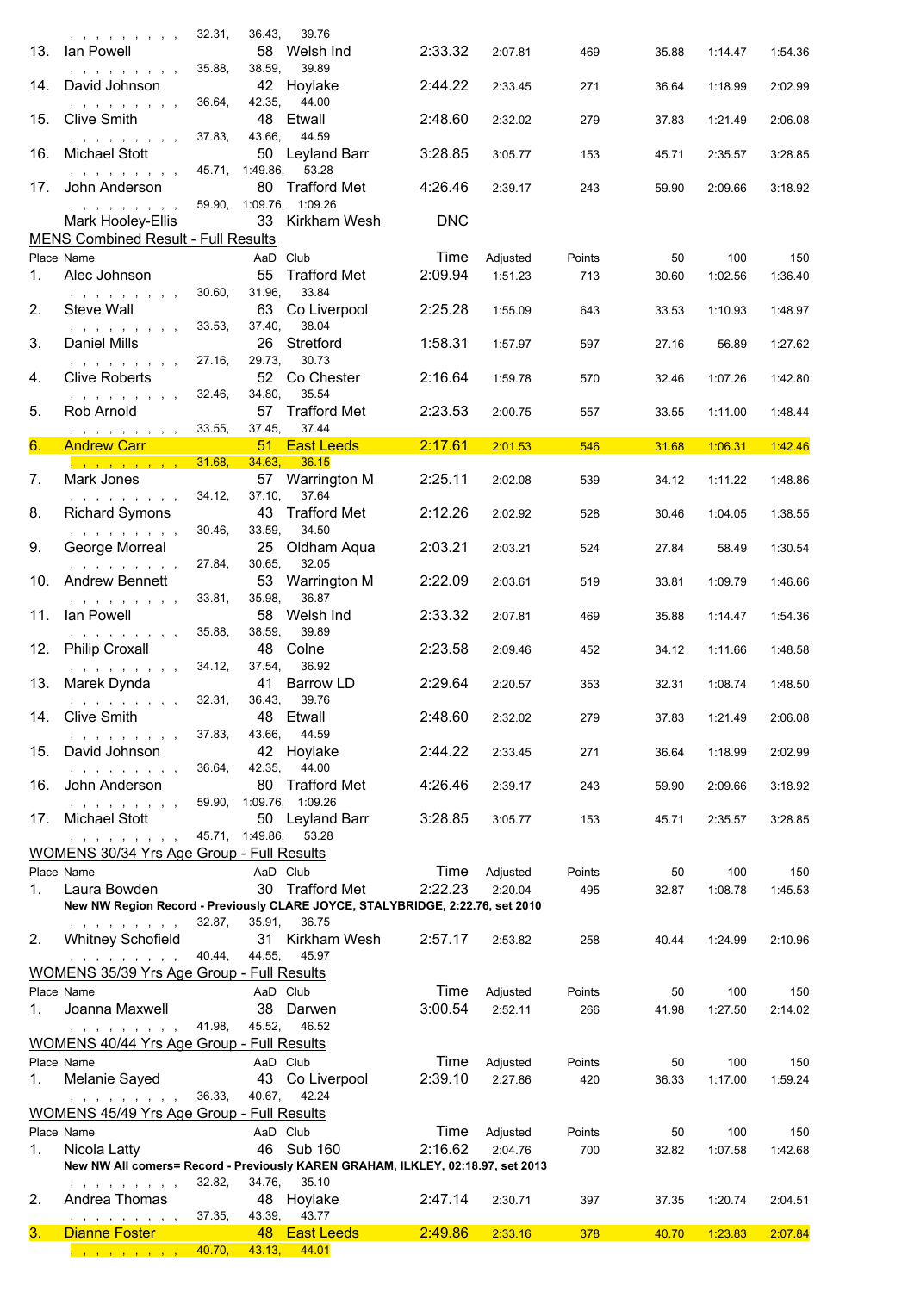|     | $\mathbf{y} = \mathbf{y} = \mathbf{y} = \mathbf{y} = \mathbf{y} = \mathbf{y} = \mathbf{y} = \mathbf{y} = \mathbf{y}$                                                                                              | 32.31, | 36.43,          | 39.76                                      |            |          |        |       |         |         |
|-----|-------------------------------------------------------------------------------------------------------------------------------------------------------------------------------------------------------------------|--------|-----------------|--------------------------------------------|------------|----------|--------|-------|---------|---------|
| 13. | lan Powell                                                                                                                                                                                                        |        |                 | 58 Welsh Ind                               | 2:33.32    | 2:07.81  | 469    | 35.88 | 1:14.47 | 1:54.36 |
|     | $\mathbf{y} = \mathbf{y} - \mathbf{y} = \mathbf{y} - \mathbf{y} = \mathbf{y} - \mathbf{y} = \mathbf{y} - \mathbf{y} = \mathbf{y}$<br>14. David Johnson                                                            | 35.88, | 38.59,          | 39.89<br>42 Hoylake                        | 2:44.22    | 2:33.45  | 271    | 36.64 | 1:18.99 | 2:02.99 |
|     | $\mathbf{y} = \mathbf{y} - \mathbf{y} - \mathbf{y} = \mathbf{y} - \mathbf{y} - \mathbf{y} = \mathbf{y} - \mathbf{y} = \mathbf{y}$                                                                                 | 36.64, | 42.35,          | 44.00                                      |            |          |        |       |         |         |
| 15. | Clive Smith<br>$\mathbf{y} = \mathbf{y} = \mathbf{y} = \mathbf{y} = \mathbf{y} = \mathbf{y} = \mathbf{y} = \mathbf{y} = \mathbf{y}$                                                                               | 37.83, | 43.66,          | 48 Etwall<br>44.59                         | 2:48.60    | 2:32.02  | 279    | 37.83 | 1:21.49 | 2:06.08 |
| 16. | <b>Michael Stott</b>                                                                                                                                                                                              |        | 45.71, 1:49.86, | 50 Leyland Barr<br>53.28                   | 3:28.85    | 3:05.77  | 153    | 45.71 | 2:35.57 | 3:28.85 |
| 17. | $\mathbf{y} = \mathbf{y} - \mathbf{y} = \mathbf{y} - \mathbf{y} = \mathbf{y} - \mathbf{y} = \mathbf{y} - \mathbf{y} = \mathbf{y}$<br>John Anderson                                                                |        | 80              | Trafford Met                               | 4:26.46    | 2:39.17  | 243    | 59.90 | 2:09.66 | 3:18.92 |
|     | $\mathbf{y} = \mathbf{y} - \mathbf{y} - \mathbf{y} = \mathbf{y} - \mathbf{y} - \mathbf{y} = \mathbf{y} - \mathbf{y} = \mathbf{y}$<br>Mark Hooley-Ellis                                                            |        |                 | 59.90, 1:09.76, 1:09.26<br>33 Kirkham Wesh | <b>DNC</b> |          |        |       |         |         |
|     | <b>MENS Combined Result - Full Results</b>                                                                                                                                                                        |        |                 |                                            |            |          |        |       |         |         |
|     | Place Name                                                                                                                                                                                                        |        |                 | AaD Club                                   | Time       | Adjusted | Points | 50    | 100     | 150     |
| 1.  | Alec Johnson                                                                                                                                                                                                      |        | 55              | <b>Trafford Met</b>                        | 2:09.94    | 1:51.23  | 713    | 30.60 | 1:02.56 | 1:36.40 |
| 2.  | $\mathbf{y} = \mathbf{y} - \mathbf{y} = \mathbf{y} - \mathbf{y} = \mathbf{y} - \mathbf{y} = \mathbf{y} - \mathbf{y} = \mathbf{y}$<br>Steve Wall                                                                   | 30.60, | 31.96,<br>63    | 33.84<br>Co Liverpool                      | 2:25.28    | 1:55.09  | 643    | 33.53 | 1:10.93 | 1:48.97 |
| 3.  | <b>Daniel Mills</b>                                                                                                                                                                                               | 33.53, | 37.40,          | 38.04<br>26 Stretford                      | 1:58.31    | 1:57.97  | 597    | 27.16 | 56.89   | 1:27.62 |
| 4.  | $\mathbf{y} = \mathbf{y} - \mathbf{y} - \mathbf{y} = \mathbf{y} - \mathbf{y} - \mathbf{y} = \mathbf{y} - \mathbf{y} = \mathbf{y}$<br><b>Clive Roberts</b>                                                         | 27.16, | 29.73,          | 30.73<br>52 Co Chester                     | 2:16.64    | 1:59.78  |        |       |         |         |
|     | $\mathbf{y} = \mathbf{y} - \mathbf{y} = \mathbf{y} - \mathbf{y} = \mathbf{y} - \mathbf{y} = \mathbf{y} - \mathbf{y} = \mathbf{y}$                                                                                 | 32.46, | 34.80,          | 35.54                                      |            |          | 570    | 32.46 | 1:07.26 | 1:42.80 |
| 5.  | Rob Arnold<br>$\mathbf{J} = \mathbf{J} \left( \begin{array}{cccccccccccc} \mathbf{J} & \mathbf{J} & \mathbf{J} & \mathbf{J} & \mathbf{J} & \mathbf{J} & \mathbf{J} & \mathbf{J} & \mathbf{J} \end{array} \right)$ | 33.55, | 57<br>37.45,    | <b>Trafford Met</b><br>37.44               | 2:23.53    | 2:00.75  | 557    | 33.55 | 1:11.00 | 1:48.44 |
| 6.  | <b>Andrew Carr</b>                                                                                                                                                                                                |        |                 | 51 East Leeds                              | 2:17.61    | 2:01.53  | 546    | 31.68 | 1:06.31 | 1:42.46 |
|     | .                                                                                                                                                                                                                 | 31.68, | 34.63,          | 36.15                                      |            |          |        |       |         |         |
| 7.  | Mark Jones<br>$\mathbf{y} = \mathbf{y} - \mathbf{y} = \mathbf{y} - \mathbf{y} = \mathbf{y} - \mathbf{y} = \mathbf{y} - \mathbf{y} = \mathbf{y}$                                                                   | 34.12, | 37.10,          | 57 Warrington M<br>37.64                   | 2:25.11    | 2:02.08  | 539    | 34.12 | 1:11.22 | 1:48.86 |
| 8.  | <b>Richard Symons</b>                                                                                                                                                                                             |        | 43<br>33.59,    | <b>Trafford Met</b><br>34.50               | 2:12.26    | 2:02.92  | 528    | 30.46 | 1:04.05 | 1:38.55 |
| 9.  | $\mathbf{y} = \mathbf{y} - \mathbf{y} = \mathbf{y} - \mathbf{y} = \mathbf{y} - \mathbf{y} = \mathbf{y} - \mathbf{y} = \mathbf{y}$<br>George Morreal                                                               | 30.46, |                 | 25 Oldham Aqua                             | 2:03.21    | 2:03.21  | 524    | 27.84 | 58.49   | 1:30.54 |
| 10. | $\mathbf{y} = \mathbf{y} = \mathbf{y} = \mathbf{y} = \mathbf{y} = \mathbf{y} = \mathbf{y} = \mathbf{y} = \mathbf{y}$<br><b>Andrew Bennett</b>                                                                     | 27.84, | 30.65,          | 32.05<br>53 Warrington M                   | 2:22.09    | 2:03.61  | 519    | 33.81 | 1:09.79 | 1:46.66 |
| 11. | $\mathbf{y} = \mathbf{y} - \mathbf{y} = \mathbf{y} - \mathbf{y} = \mathbf{y} - \mathbf{y} = \mathbf{y} - \mathbf{y} = \mathbf{y}$<br>lan Powell                                                                   | 33.81, | 35.98,<br>58    | 36.87<br>Welsh Ind                         | 2:33.32    | 2:07.81  |        |       | 1:14.47 |         |
|     | $\mathbf{y} = \mathbf{y} - \mathbf{y} - \mathbf{y} = \mathbf{y} - \mathbf{y} - \mathbf{y} = \mathbf{y} - \mathbf{y} = \mathbf{y}$                                                                                 | 35.88, | 38.59,          | 39.89                                      |            |          | 469    | 35.88 |         | 1:54.36 |
| 12. | Philip Croxall<br>$\mathbf{y} = \mathbf{y} = \mathbf{y} = \mathbf{y} = \mathbf{y} = \mathbf{y} = \mathbf{y} = \mathbf{y} = \mathbf{y}$                                                                            | 34.12, | 48<br>37.54,    | Colne<br>36.92                             | 2:23.58    | 2:09.46  | 452    | 34.12 | 1:11.66 | 1:48.58 |
| 13. | Marek Dynda                                                                                                                                                                                                       | 32.31. | 41              | Barrow LD<br>39.76                         | 2:29.64    | 2:20.57  | 353    | 32.31 | 1:08.74 | 1:48.50 |
| 14. | $\mathbf{y} = \mathbf{y} - \mathbf{y} = \mathbf{y} - \mathbf{y} = \mathbf{y} - \mathbf{y} = \mathbf{y} - \mathbf{y} = \mathbf{y}$<br>Clive Smith                                                                  |        | 36.43,          | 48 Etwall                                  | 2:48.60    | 2:32.02  | 279    | 37.83 | 1:21.49 | 2:06.08 |
| 15. | $\mathbf{y} = \mathbf{y} - \mathbf{y} - \mathbf{y} = \mathbf{y} - \mathbf{y} - \mathbf{y} = \mathbf{y} - \mathbf{y} = \mathbf{y}$<br>David Johnson                                                                | 37.83, | 43.66,          | 44.59<br>42 Hoylake                        | 2:44.22    | 2:33.45  | 271    | 36.64 | 1:18.99 | 2:02.99 |
|     | $\mathbf{y} = \mathbf{y} - \mathbf{y} = \mathbf{y} - \mathbf{y} = \mathbf{y} - \mathbf{y} = \mathbf{y} - \mathbf{y} = \mathbf{y}$                                                                                 | 36.64, | 42.35,          | 44.00                                      |            |          |        |       |         |         |
| 16. | John Anderson<br>$\mathbf{y} = \mathbf{y} - \mathbf{y} = \mathbf{y} - \mathbf{y} = \mathbf{y} - \mathbf{y} = \mathbf{y} - \mathbf{y} = \mathbf{y}$                                                                |        |                 | 80 Trafford Met<br>59.90, 1:09.76, 1:09.26 | 4:26.46    | 2:39.17  | 243    | 59.90 | 2:09.66 | 3:18.92 |
| 17. | <b>Michael Stott</b><br>$\mathbf{y} = \mathbf{y} = \mathbf{y} = \mathbf{y} = \mathbf{y} = \mathbf{y} = \mathbf{y} = \mathbf{y} = \mathbf{y}$                                                                      |        | 45.71, 1:49.86, | 50 Leyland Barr<br>53.28                   | 3:28.85    | 3:05.77  | 153    | 45.71 | 2:35.57 | 3:28.85 |
|     | WOMENS 30/34 Yrs Age Group - Full Results                                                                                                                                                                         |        |                 |                                            |            |          |        |       |         |         |
|     | Place Name                                                                                                                                                                                                        |        |                 | AaD Club                                   | Time       | Adjusted | Points | 50    | 100     | 150     |
| 1.  | Laura Bowden                                                                                                                                                                                                      |        | 30              | Trafford Met                               | 2:22.23    | 2:20.04  | 495    | 32.87 | 1:08.78 | 1:45.53 |
|     | New NW Region Record - Previously CLARE JOYCE, STALYBRIDGE, 2:22.76, set 2010                                                                                                                                     |        |                 |                                            |            |          |        |       |         |         |
|     |                                                                                                                                                                                                                   | 32.87, | 35.91,          | 36.75                                      |            |          |        |       |         |         |
| 2.  | <b>Whitney Schofield</b>                                                                                                                                                                                          | 40.44, | 44.55,          | 31 Kirkham Wesh<br>45.97                   | 2:57.17    | 2:53.82  | 258    | 40.44 | 1:24.99 | 2:10.96 |
|     | <b>WOMENS 35/39 Yrs Age Group - Full Results</b>                                                                                                                                                                  |        |                 |                                            |            |          |        |       |         |         |
|     | Place Name                                                                                                                                                                                                        |        | AaD Club        |                                            | Time       | Adjusted | Points | 50    | 100     | 150     |
| 1.  | Joanna Maxwell                                                                                                                                                                                                    |        | 38              | Darwen                                     | 3:00.54    | 2:52.11  | 266    | 41.98 | 1:27.50 | 2:14.02 |
|     | $\mathbf{y} = \mathbf{y} - \mathbf{y} = \mathbf{y} - \mathbf{y} = \mathbf{y} - \mathbf{y} = \mathbf{y} - \mathbf{y} = \mathbf{y}$                                                                                 | 41.98, | 45.52,          | 46.52                                      |            |          |        |       |         |         |
|     | WOMENS 40/44 Yrs Age Group - Full Results                                                                                                                                                                         |        |                 |                                            |            |          |        |       |         |         |
|     | Place Name                                                                                                                                                                                                        |        |                 | AaD Club                                   | Time       | Adjusted | Points | 50    | 100     | 150     |
| 1.  | Melanie Sayed<br>$\mathbf{y} = \mathbf{y} - \mathbf{y} = \mathbf{y} - \mathbf{y} = \mathbf{y} - \mathbf{y} = \mathbf{y} - \mathbf{y} = \mathbf{y}$                                                                | 36.33, | 40.67,          | 43 Co Liverpool<br>42.24                   | 2:39.10    | 2:27.86  | 420    | 36.33 | 1:17.00 | 1:59.24 |
|     | WOMENS 45/49 Yrs Age Group - Full Results                                                                                                                                                                         |        |                 |                                            |            |          |        |       |         |         |
|     | Place Name                                                                                                                                                                                                        |        |                 | AaD Club                                   | Time       | Adjusted | Points | 50    | 100     | 150     |
| 1.  | Nicola Latty                                                                                                                                                                                                      |        |                 | 46 Sub 160                                 | 2:16.62    | 2:04.76  | 700    | 32.82 | 1:07.58 | 1:42.68 |
|     | New NW All comers= Record - Previously KAREN GRAHAM, ILKLEY, 02:18.97, set 2013                                                                                                                                   | 32.82, | 34.76,          | 35.10                                      |            |          |        |       |         |         |
| 2.  | $\mathbf{y} = \mathbf{y} - \mathbf{y} = \mathbf{y} - \mathbf{y} = \mathbf{y} - \mathbf{y} = \mathbf{y} - \mathbf{y} = \mathbf{y}$<br>Andrea Thomas                                                                |        |                 | 48 Hoylake                                 | 2:47.14    | 2:30.71  | 397    | 37.35 | 1:20.74 | 2:04.51 |
|     | $\mathbf{y} = \mathbf{y} - \mathbf{y} = \mathbf{y} - \mathbf{y} = \mathbf{y} - \mathbf{y} = \mathbf{y} - \mathbf{y} = \mathbf{y}$                                                                                 | 37.35, | 43.39,          | 43.77                                      |            |          |        |       |         |         |
| 3.  | <b>Dianne Foster</b>                                                                                                                                                                                              |        |                 | 48 East Leeds                              | 2:49.86    | 2:33.16  | 378    | 40.70 | 1:23.83 | 2:07.84 |
|     | $\frac{1}{2}$ , $\frac{1}{2}$ , $\frac{1}{2}$ , $\frac{1}{2}$ , $\frac{1}{2}$ , $\frac{1}{2}$ , $\frac{1}{2}$                                                                                                     |        | 40.70, 43.13,   | 44.01                                      |            |          |        |       |         |         |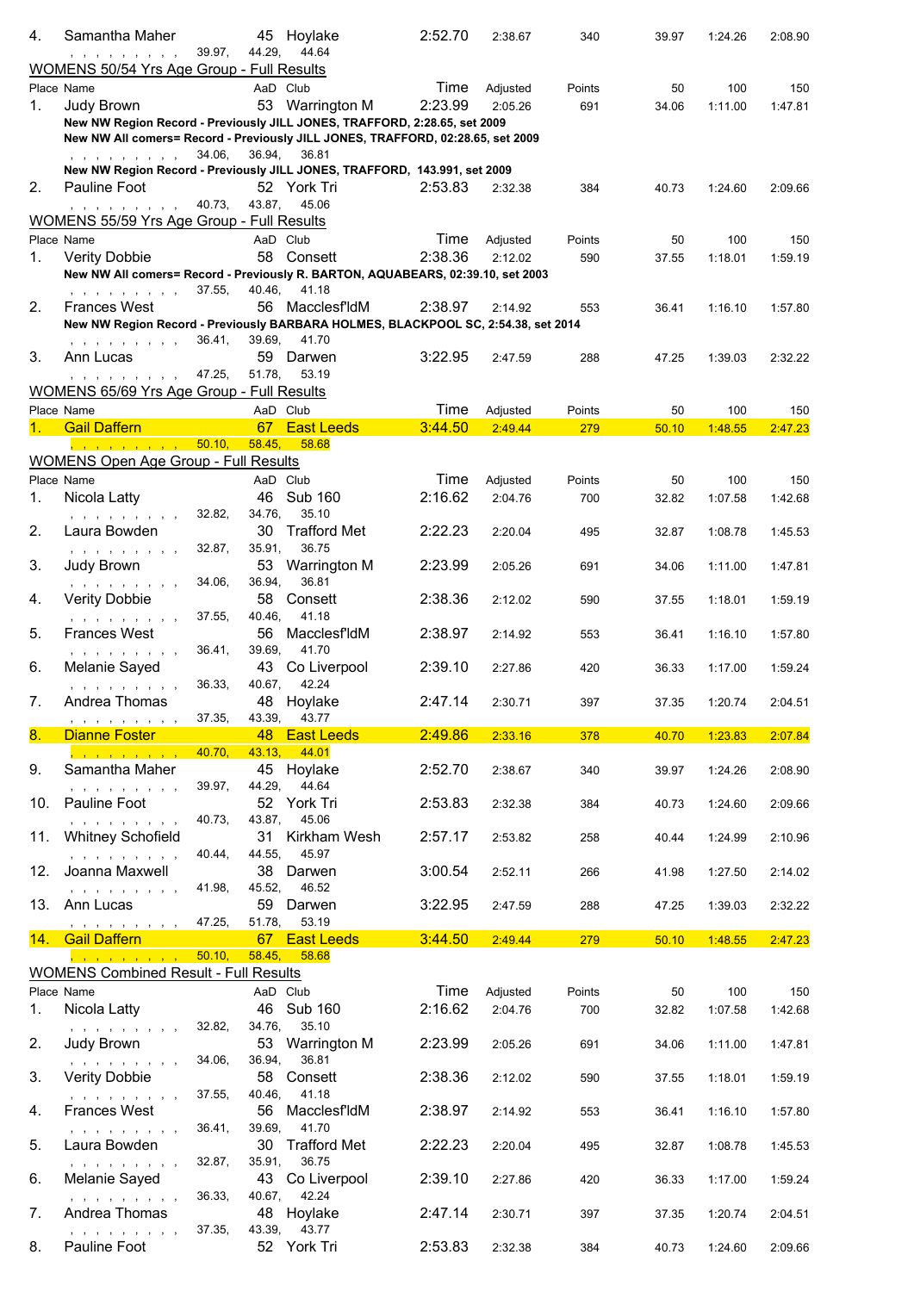| 4.  | Samantha Maher                                                                                                                                                                                                      |        |              | 45 Hoylake          | 2:52.70 | 2:38.67  | 340    | 39.97 | 1:24.26 | 2:08.90 |
|-----|---------------------------------------------------------------------------------------------------------------------------------------------------------------------------------------------------------------------|--------|--------------|---------------------|---------|----------|--------|-------|---------|---------|
|     | , , , , , , , , ,<br><b>WOMENS 50/54 Yrs Age Group - Full Results</b>                                                                                                                                               | 39.97, | 44.29,       | 44.64               |         |          |        |       |         |         |
|     | Place Name                                                                                                                                                                                                          |        |              | AaD Club            | Time    | Adjusted | Points | 50    | 100     | 150     |
| 1.  |                                                                                                                                                                                                                     |        |              | 53 Warrington M     | 2:23.99 |          |        |       |         |         |
|     | Judy Brown<br>New NW Region Record - Previously JILL JONES, TRAFFORD, 2:28.65, set 2009                                                                                                                             |        |              |                     |         | 2:05.26  | 691    | 34.06 | 1:11.00 | 1:47.81 |
|     | New NW All comers= Record - Previously JILL JONES, TRAFFORD, 02:28.65, set 2009                                                                                                                                     |        |              |                     |         |          |        |       |         |         |
|     | , , , , , , , , , ,                                                                                                                                                                                                 | 34.06, | 36.94,       | 36.81               |         |          |        |       |         |         |
|     | New NW Region Record - Previously JILL JONES, TRAFFORD, 143.991, set 2009                                                                                                                                           |        |              |                     |         |          |        |       |         |         |
| 2.  | Pauline Foot                                                                                                                                                                                                        |        |              | 52 York Tri         | 2:53.83 | 2:32.38  | 384    | 40.73 | 1:24.60 | 2:09.66 |
|     | , , , , , , , , , ,                                                                                                                                                                                                 | 40.73, | 43.87,       | 45.06               |         |          |        |       |         |         |
|     | <b>WOMENS 55/59 Yrs Age Group - Full Results</b>                                                                                                                                                                    |        |              |                     |         |          |        |       |         |         |
|     | Place Name                                                                                                                                                                                                          |        |              | AaD Club            | Time    | Adjusted | Points | 50    | 100     | 150     |
| 1.  | <b>Verity Dobbie</b>                                                                                                                                                                                                |        |              | 58 Consett          | 2:38.36 | 2:12.02  | 590    | 37.55 | 1:18.01 | 1:59.19 |
|     | New NW All comers= Record - Previously R. BARTON, AQUABEARS, 02:39.10, set 2003                                                                                                                                     |        |              |                     |         |          |        |       |         |         |
|     |                                                                                                                                                                                                                     | 37.55, | 40.46,       | 41.18               |         |          |        |       |         |         |
| 2.  | <b>Frances West</b>                                                                                                                                                                                                 |        |              | 56 MacclesfldM      | 2:38.97 | 2:14.92  | 553    | 36.41 | 1:16.10 | 1:57.80 |
|     | New NW Region Record - Previously BARBARA HOLMES, BLACKPOOL SC, 2:54.38, set 2014                                                                                                                                   |        |              |                     |         |          |        |       |         |         |
|     |                                                                                                                                                                                                                     | 36.41, | 39.69,       | 41.70               |         |          |        |       |         |         |
| 3.  | Ann Lucas                                                                                                                                                                                                           |        |              | 59 Darwen<br>53.19  | 3:22.95 | 2:47.59  | 288    | 47.25 | 1:39.03 | 2:32.22 |
|     | .<br>WOMENS 65/69 Yrs Age Group - Full Results                                                                                                                                                                      | 47.25, | 51.78,       |                     |         |          |        |       |         |         |
|     | Place Name                                                                                                                                                                                                          |        | AaD Club     |                     | Time    | Adjusted | Points | 50    | 100     | 150     |
| 1.  | <b>Gail Daffern</b>                                                                                                                                                                                                 |        |              | 67 East Leeds       | 3:44.50 | 2:49.44  | 279    | 50.10 | 1:48.55 | 2:47.23 |
|     | <del>, , , , , , , , ,</del>                                                                                                                                                                                        | 50.10  |              | 58.45, 58.68        |         |          |        |       |         |         |
|     | <b>WOMENS Open Age Group - Full Results</b>                                                                                                                                                                         |        |              |                     |         |          |        |       |         |         |
|     | Place Name                                                                                                                                                                                                          |        |              | AaD Club            | Time    | Adjusted | Points | 50    | 100     | 150     |
| 1.  | Nicola Latty                                                                                                                                                                                                        |        |              | 46 Sub 160          | 2:16.62 | 2:04.76  | 700    | 32.82 | 1:07.58 | 1:42.68 |
|     | $\mathbf{y} = \mathbf{y} - \mathbf{y} = \mathbf{y} - \mathbf{y} = \mathbf{y} - \mathbf{y} = \mathbf{y} - \mathbf{y} = \mathbf{y}$                                                                                   | 32.82, | 34.76,       | 35.10               |         |          |        |       |         |         |
| 2.  | Laura Bowden                                                                                                                                                                                                        |        | 30           | <b>Trafford Met</b> | 2:22.23 | 2:20.04  | 495    | 32.87 | 1:08.78 | 1:45.53 |
|     | $\mathbf{y} = \mathbf{y} - \mathbf{y} - \mathbf{y} = \mathbf{y} - \mathbf{y} - \mathbf{y} = \mathbf{y} - \mathbf{y} = \mathbf{y}$                                                                                   | 32.87, | 35.91,       | 36.75               |         |          |        |       |         |         |
| 3.  | Judy Brown                                                                                                                                                                                                          |        |              | 53 Warrington M     | 2:23.99 | 2:05.26  | 691    | 34.06 | 1:11.00 | 1:47.81 |
|     | $\mathbf{s} = \mathbf{s} - \mathbf{s} - \mathbf{s} - \mathbf{s} - \mathbf{s} - \mathbf{s} - \mathbf{s} - \mathbf{s} - \mathbf{s} - \mathbf{s}$                                                                      | 34.06, | 36.94,       | 36.81               |         |          |        |       |         |         |
| 4.  | <b>Verity Dobbie</b>                                                                                                                                                                                                |        | 58           | Consett             | 2:38.36 | 2:12.02  | 590    | 37.55 | 1:18.01 | 1:59.19 |
|     | $\mathbf{y} = \mathbf{y} = \mathbf{y} = \mathbf{y} = \mathbf{y} = \mathbf{y} = \mathbf{y} = \mathbf{y} = \mathbf{y}$                                                                                                | 37.55, | 40.46,       | 41.18               |         |          |        |       |         |         |
| 5.  | <b>Frances West</b>                                                                                                                                                                                                 |        | 56           | <b>MacclesfldM</b>  | 2:38.97 | 2:14.92  | 553    | 36.41 | 1:16.10 | 1:57.80 |
|     | $\mathbf{y} = \mathbf{y} - \mathbf{y} = \mathbf{y} - \mathbf{y} = \mathbf{y} - \mathbf{y} = \mathbf{y} - \mathbf{y} = \mathbf{y}$                                                                                   | 36.41, | 39.69,       | 41.70               |         |          |        |       |         |         |
| 6.  | Melanie Sayed                                                                                                                                                                                                       |        |              | 43 Co Liverpool     | 2:39.10 | 2:27.86  | 420    | 36.33 | 1:17.00 | 1:59.24 |
|     | $\mathbf{y} = \mathbf{y} - \mathbf{y} = \mathbf{y} - \mathbf{y} = \mathbf{y} - \mathbf{y} = \mathbf{y} - \mathbf{y} = \mathbf{y}$                                                                                   | 36.33, | 40.67,       | 42.24               |         |          |        |       |         |         |
| 7.  | Andrea Thomas                                                                                                                                                                                                       |        |              | 48 Hoylake          | 2:47.14 | 2:30.71  | 397    | 37.35 | 1:20.74 | 2:04.51 |
|     | $\mathbf{a}^{\dagger}=\mathbf{a}^{\dagger}=\mathbf{a}^{\dagger}=\mathbf{a}^{\dagger}=\mathbf{a}^{\dagger}=\mathbf{a}^{\dagger}=\mathbf{a}^{\dagger}=\mathbf{a}^{\dagger}=\mathbf{a}^{\dagger}=\mathbf{a}^{\dagger}$ | 37.35, | 43.39,       | 43.77               |         |          |        |       |         |         |
| 8.  | <b>Dianne Foster</b>                                                                                                                                                                                                |        | 48           | <b>East Leeds</b>   | 2:49.86 | 2:33.16  | 378    | 40.70 | 1:23.83 | 2:07.84 |
|     | <del>, , , , , , , , ,</del>                                                                                                                                                                                        | 40.70, | 43.13,       | 44.01               |         |          |        |       |         |         |
| 9.  | Samantha Maher                                                                                                                                                                                                      |        |              | 45 Hoylake          | 2:52.70 | 2:38.67  | 340    | 39.97 | 1:24.26 | 2:08.90 |
|     | $\mathbf{y} = \mathbf{y} = \mathbf{y} = \mathbf{y} = \mathbf{y} = \mathbf{y} = \mathbf{y} = \mathbf{y} = \mathbf{y}$                                                                                                | 39.97, | 44.29,       | 44.64               |         |          |        |       |         |         |
| 10. | Pauline Foot                                                                                                                                                                                                        |        |              | 52 York Tri         | 2:53.83 | 2:32.38  | 384    | 40.73 | 1:24.60 | 2:09.66 |
|     | $\mathbf{y} = \mathbf{y} - \mathbf{y} = \mathbf{y} - \mathbf{y} = \mathbf{y} - \mathbf{y} = \mathbf{y} - \mathbf{y} = \mathbf{y}$                                                                                   | 40.73, | 43.87,       | 45.06               |         |          |        |       |         |         |
| 11. | <b>Whitney Schofield</b>                                                                                                                                                                                            |        |              | 31 Kirkham Wesh     | 2:57.17 | 2:53.82  | 258    | 40.44 | 1:24.99 | 2:10.96 |
|     | $\mathbf{y} = \mathbf{y} = \mathbf{y} = \mathbf{y} = \mathbf{y} = \mathbf{y} = \mathbf{y} = \mathbf{y} = \mathbf{y}$                                                                                                | 40.44, | 44.55,       | 45.97<br>38 Darwen  |         |          |        |       |         |         |
| 12. | Joanna Maxwell                                                                                                                                                                                                      | 41.98, | 45.52,       | 46.52               | 3:00.54 | 2:52.11  | 266    | 41.98 | 1:27.50 | 2:14.02 |
|     | 13. Ann Lucas                                                                                                                                                                                                       |        |              | 59 Darwen           | 3:22.95 | 2:47.59  | 288    | 47.25 | 1:39.03 | 2:32.22 |
|     |                                                                                                                                                                                                                     | 47.25, | 51.78,       | 53.19               |         |          |        |       |         |         |
| 14. | $\mathbf{y} = \mathbf{y} - \mathbf{y} - \mathbf{y} = \mathbf{y} - \mathbf{y} - \mathbf{y} = \mathbf{y} - \mathbf{y} = \mathbf{y}$<br><b>Gail Daffern</b>                                                            |        |              | 67 East Leeds       | 3:44.50 | 2:49.44  | 279    | 50.10 | 1:48.55 | 2:47.23 |
|     | .                                                                                                                                                                                                                   | 50.10, |              | 58.45, 58.68        |         |          |        |       |         |         |
|     | <b>WOMENS Combined Result - Full Results</b>                                                                                                                                                                        |        |              |                     |         |          |        |       |         |         |
|     | Place Name                                                                                                                                                                                                          |        |              | AaD Club            | Time    | Adjusted | Points | 50    | 100     | 150     |
| 1.  | Nicola Latty                                                                                                                                                                                                        |        |              | 46 Sub 160          | 2:16.62 | 2:04.76  | 700    | 32.82 | 1:07.58 | 1:42.68 |
|     | $\mathbf{y} = \mathbf{y} - \mathbf{y} = \mathbf{y} - \mathbf{y} = \mathbf{y} - \mathbf{y} = \mathbf{y} - \mathbf{y} = \mathbf{y}$                                                                                   | 32.82, | 34.76,       | 35.10               |         |          |        |       |         |         |
| 2.  | Judy Brown                                                                                                                                                                                                          |        |              | 53 Warrington M     | 2:23.99 | 2:05.26  | 691    | 34.06 | 1:11.00 | 1:47.81 |
|     | $\mathbf{y} = \mathbf{y} = \mathbf{y} = \mathbf{y} = \mathbf{y} = \mathbf{y} = \mathbf{y} = \mathbf{y} = \mathbf{y}$                                                                                                | 34.06, | 36.94,       | 36.81               |         |          |        |       |         |         |
| 3.  | <b>Verity Dobbie</b>                                                                                                                                                                                                |        | 58           | Consett             | 2:38.36 | 2:12.02  | 590    | 37.55 | 1:18.01 | 1:59.19 |
|     | $\mathbf{y} = \mathbf{y} - \mathbf{y} = \mathbf{y} - \mathbf{y} = \mathbf{y} - \mathbf{y} = \mathbf{y} - \mathbf{y} = \mathbf{y}$                                                                                   | 37.55, | 40.46,       | 41.18               |         |          |        |       |         |         |
| 4.  | <b>Frances West</b>                                                                                                                                                                                                 |        |              | 56 MacclesfldM      | 2:38.97 | 2:14.92  | 553    | 36.41 | 1:16.10 | 1:57.80 |
|     | $\mathbf{y} = \mathbf{y} - \mathbf{y} = \mathbf{y} - \mathbf{y} = \mathbf{y} - \mathbf{y} = \mathbf{y} - \mathbf{y} = \mathbf{y}$                                                                                   | 36.41, | 39.69,       | 41.70               |         |          |        |       |         |         |
| 5.  | Laura Bowden                                                                                                                                                                                                        |        | 30           | Trafford Met        | 2:22.23 | 2:20.04  | 495    | 32.87 | 1:08.78 | 1:45.53 |
|     | $\mathbf{y} = \mathbf{y} - \mathbf{y} = \mathbf{y} - \mathbf{y} = \mathbf{y} - \mathbf{y} = \mathbf{y} - \mathbf{y} = \mathbf{y}$                                                                                   | 32.87, | 35.91,       | 36.75               |         |          |        |       |         |         |
| 6.  | Melanie Sayed                                                                                                                                                                                                       |        |              | 43 Co Liverpool     | 2:39.10 | 2:27.86  | 420    | 36.33 | 1:17.00 | 1:59.24 |
|     | $\mathbf{y} = \mathbf{y} - \mathbf{y} = \mathbf{y} - \mathbf{y} = \mathbf{y} - \mathbf{y} = \mathbf{y} - \mathbf{y} = \mathbf{y}$                                                                                   | 36.33, | 40.67,       | 42.24               |         |          |        |       |         |         |
| 7.  | Andrea Thomas                                                                                                                                                                                                       | 37.35, | 48<br>43.39, | Hoylake<br>43.77    | 2:47.14 | 2:30.71  | 397    | 37.35 | 1:20.74 | 2:04.51 |
| 8.  | $\begin{array}{cccccccccccccc} \star & \star & \star & \star & \star & \star & \star & \star & \star & \star & \star \end{array}$<br>Pauline Foot                                                                   |        |              | 52 York Tri         | 2:53.83 | 2:32.38  | 384    | 40.73 | 1:24.60 | 2:09.66 |
|     |                                                                                                                                                                                                                     |        |              |                     |         |          |        |       |         |         |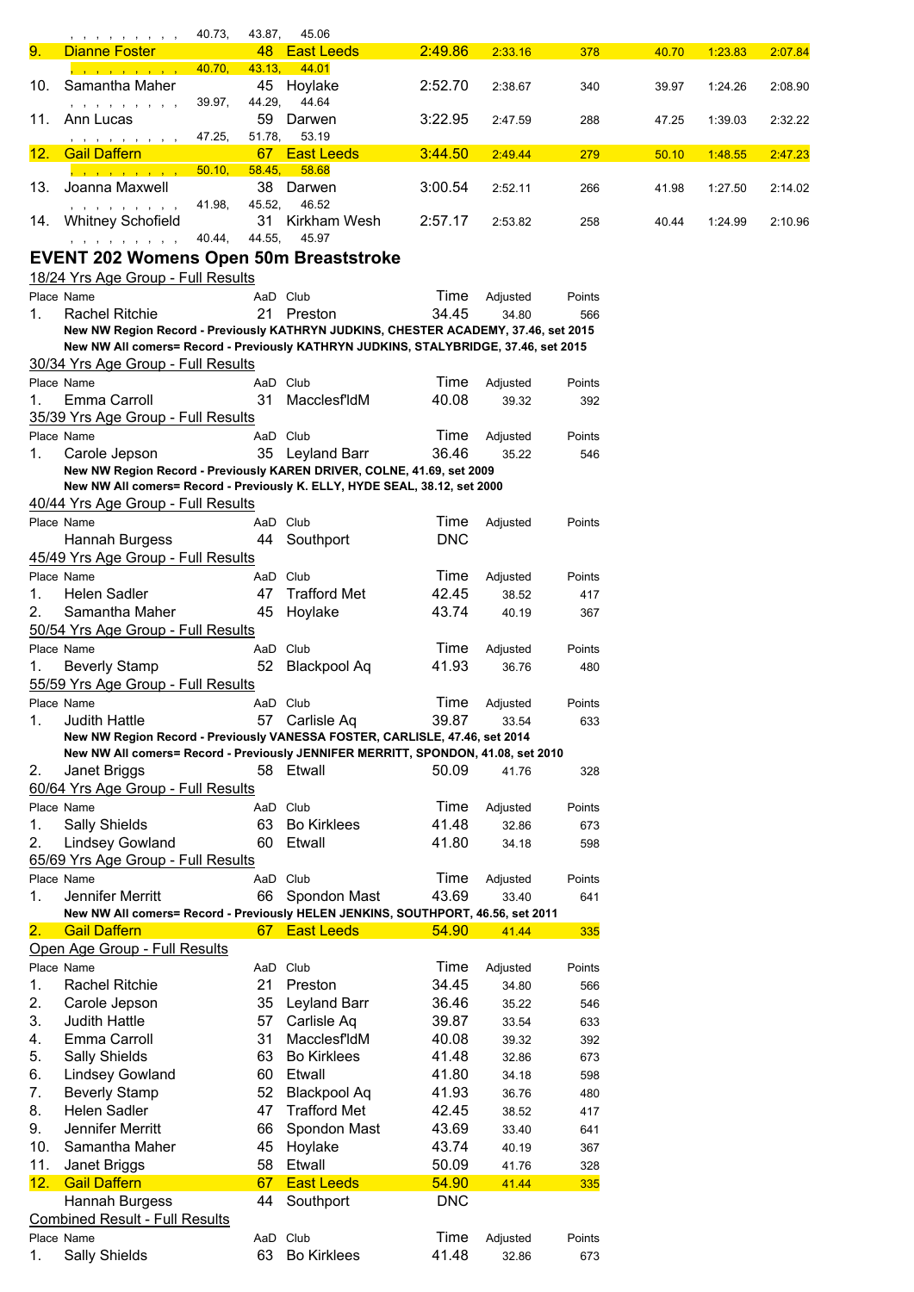|                           |                                                                                                                                   | 40.73, | 43.87,       | 45.06                        |                |                |               |       |         |         |
|---------------------------|-----------------------------------------------------------------------------------------------------------------------------------|--------|--------------|------------------------------|----------------|----------------|---------------|-------|---------|---------|
| 9.                        | <b>Dianne Foster</b>                                                                                                              |        | 48           | <b>East Leeds</b>            | 2:49.86        | 2:33.16        | 378           | 40.70 | 1:23.83 | 2:07.84 |
|                           | .                                                                                                                                 | 40.70, | 43.13,       | 44.01                        |                |                |               |       |         |         |
| 10.                       | Samantha Maher                                                                                                                    |        | 45           | Hoylake                      | 2:52.70        | 2:38.67        | 340           | 39.97 | 1:24.26 | 2:08.90 |
| 11.                       | Ann Lucas                                                                                                                         | 39.97, | 44.29,<br>59 | 44.64<br>Darwen              | 3:22.95        |                |               |       |         |         |
|                           | $\mathbf{y} = \mathbf{y} - \mathbf{y} = \mathbf{y} - \mathbf{y} = \mathbf{y} - \mathbf{y} = \mathbf{y} - \mathbf{y} = \mathbf{y}$ | 47.25, | 51.78,       | 53.19                        |                | 2:47.59        | 288           | 47.25 | 1:39.03 | 2:32.22 |
| 12.                       | <b>Gail Daffern</b>                                                                                                               |        | 67           | <b>East Leeds</b>            | 3:44.50        | 2:49.44        | 279           | 50.10 | 1:48.55 | 2:47.23 |
|                           | .                                                                                                                                 | 50.10, | 58.45,       | 58.68                        |                |                |               |       |         |         |
| 13.                       | Joanna Maxwell                                                                                                                    |        | 38.          | Darwen                       | 3:00.54        | 2:52.11        | 266           | 41.98 | 1:27.50 | 2:14.02 |
|                           | $1 - 1 - 1 - 1 - 1 - 1 - 1 - 1 - 1 - 1$<br>14. Whitney Schofield                                                                  | 41.98, | 45.52,<br>31 | 46.52<br>Kirkham Wesh        | 2:57.17        | 2:53.82        | 258           |       | 1:24.99 |         |
|                           | $\mathbf{y} = \mathbf{y} - \mathbf{y} = \mathbf{y} - \mathbf{y} = \mathbf{y} - \mathbf{y} = \mathbf{y} - \mathbf{y} = \mathbf{y}$ | 40.44, | 44.55,       | 45.97                        |                |                |               | 40.44 |         | 2:10.96 |
|                           | <b>EVENT 202 Womens Open 50m Breaststroke</b>                                                                                     |        |              |                              |                |                |               |       |         |         |
|                           | 18/24 Yrs Age Group - Full Results                                                                                                |        |              |                              |                |                |               |       |         |         |
|                           | Place Name                                                                                                                        |        |              | AaD Club                     | Time           | Adjusted       | Points        |       |         |         |
| 1.                        | <b>Rachel Ritchie</b>                                                                                                             |        |              | 21 Preston                   | 34.45          | 34.80          | 566           |       |         |         |
|                           | New NW Region Record - Previously KATHRYN JUDKINS, CHESTER ACADEMY, 37.46, set 2015                                               |        |              |                              |                |                |               |       |         |         |
|                           | New NW All comers= Record - Previously KATHRYN JUDKINS, STALYBRIDGE, 37.46, set 2015<br>30/34 Yrs Age Group - Full Results        |        |              |                              |                |                |               |       |         |         |
|                           | Place Name                                                                                                                        |        |              | AaD Club                     | Time           | Adjusted       | Points        |       |         |         |
| 1.                        | Emma Carroll                                                                                                                      |        | 31           | <b>MacclesfldM</b>           | 40.08          | 39.32          | 392           |       |         |         |
|                           | 35/39 Yrs Age Group - Full Results                                                                                                |        |              |                              |                |                |               |       |         |         |
|                           | Place Name                                                                                                                        |        |              | AaD Club                     | Time           | Adjusted       | Points        |       |         |         |
| 1.                        | Carole Jepson                                                                                                                     |        |              | 35 Leyland Barr              | 36.46          | 35.22          | 546           |       |         |         |
|                           | New NW Region Record - Previously KAREN DRIVER, COLNE, 41.69, set 2009                                                            |        |              |                              |                |                |               |       |         |         |
|                           | New NW All comers= Record - Previously K. ELLY, HYDE SEAL, 38.12, set 2000                                                        |        |              |                              |                |                |               |       |         |         |
|                           | <u>40/44 Yrs Age Group - Full Results</u>                                                                                         |        |              |                              | Time           |                |               |       |         |         |
|                           | Place Name<br>Hannah Burgess                                                                                                      |        | 44           | AaD Club<br>Southport        | <b>DNC</b>     | Adjusted       | Points        |       |         |         |
|                           | 45/49 Yrs Age Group - Full Results                                                                                                |        |              |                              |                |                |               |       |         |         |
|                           | Place Name                                                                                                                        |        |              | AaD Club                     | Time           | Adjusted       | Points        |       |         |         |
| 1.                        | <b>Helen Sadler</b>                                                                                                               |        | 47           | <b>Trafford Met</b>          | 42.45          | 38.52          | 417           |       |         |         |
| 2.                        | Samantha Maher                                                                                                                    |        | 45           | Hoylake                      | 43.74          | 40.19          | 367           |       |         |         |
|                           | 50/54 Yrs Age Group - Full Results                                                                                                |        |              |                              |                |                |               |       |         |         |
|                           | Place Name                                                                                                                        |        |              | AaD Club                     | Time           | Adjusted       | Points        |       |         |         |
| 1.                        | <b>Beverly Stamp</b>                                                                                                              |        | 52           | <b>Blackpool Aq</b>          | 41.93          | 36.76          | 480           |       |         |         |
|                           | 55/59 Yrs Age Group - Full Results                                                                                                |        |              |                              |                |                |               |       |         |         |
|                           | Place Name<br>Judith Hattle                                                                                                       |        |              | AaD Club                     | Time<br>39.87  | Adjusted       | Points        |       |         |         |
| 1.                        | New NW Region Record - Previously VANESSA FOSTER, CARLISLE, 47.46, set 2014                                                       |        |              | 57 Carlisle Aq               |                | 33.54          | 633           |       |         |         |
|                           | New NW All comers= Record - Previously JENNIFER MERRITT, SPONDON, 41.08, set 2010                                                 |        |              |                              |                |                |               |       |         |         |
| 2.                        | Janet Briggs                                                                                                                      |        |              | 58 Etwall                    | 50.09          | 41.76          | 328           |       |         |         |
|                           | 60/64 Yrs Age Group - Full Results                                                                                                |        |              |                              |                |                |               |       |         |         |
|                           | Place Name                                                                                                                        |        |              | AaD Club                     | Time           | Adjusted       | Points        |       |         |         |
| 1.                        | <b>Sally Shields</b>                                                                                                              |        | 63           | <b>Bo Kirklees</b>           | 41.48          | 32.86          | 673           |       |         |         |
| 2.                        | <b>Lindsey Gowland</b>                                                                                                            |        |              | 60 Etwall                    | 41.80          | 34.18          | 598           |       |         |         |
|                           | 65/69 Yrs Age Group - Full Results<br>Place Name                                                                                  |        |              | AaD Club                     | Time           | Adjusted       |               |       |         |         |
| 1.                        | Jennifer Merritt                                                                                                                  |        |              | 66 Spondon Mast              | 43.69          | 33.40          | Points<br>641 |       |         |         |
|                           | New NW All comers= Record - Previously HELEN JENKINS, SOUTHPORT, 46.56, set 2011                                                  |        |              |                              |                |                |               |       |         |         |
| $\overline{\mathbf{2}}$ . | <b>Gail Daffern</b>                                                                                                               |        |              | 67 East Leeds                | 54.90          | 41.44          | 335           |       |         |         |
|                           | Open Age Group - Full Results                                                                                                     |        |              |                              |                |                |               |       |         |         |
|                           | Place Name                                                                                                                        |        |              | AaD Club                     | Time           | Adjusted       | Points        |       |         |         |
| 1.                        | <b>Rachel Ritchie</b>                                                                                                             |        | 21           | Preston                      | 34.45          | 34.80          | 566           |       |         |         |
| 2.                        | Carole Jepson                                                                                                                     |        |              | 35 Leyland Barr              | 36.46          | 35.22          | 546           |       |         |         |
| 3.                        | <b>Judith Hattle</b>                                                                                                              |        | 57           | Carlisle Aq                  | 39.87          | 33.54          | 633           |       |         |         |
| 4.                        | Emma Carroll                                                                                                                      |        | 31           | Macclesf'ldM                 | 40.08          | 39.32          | 392           |       |         |         |
| 5.<br>6.                  | Sally Shields<br><b>Lindsey Gowland</b>                                                                                           |        | 63<br>60     | <b>Bo Kirklees</b><br>Etwall | 41.48<br>41.80 | 32.86<br>34.18 | 673<br>598    |       |         |         |
| 7.                        | <b>Beverly Stamp</b>                                                                                                              |        | 52           | <b>Blackpool Aq</b>          | 41.93          | 36.76          | 480           |       |         |         |
| 8.                        | <b>Helen Sadler</b>                                                                                                               |        | 47           | <b>Trafford Met</b>          | 42.45          | 38.52          | 417           |       |         |         |
| 9.                        | Jennifer Merritt                                                                                                                  |        | 66           | Spondon Mast                 | 43.69          | 33.40          | 641           |       |         |         |
| 10.                       | Samantha Maher                                                                                                                    |        | 45           | Hoylake                      | 43.74          | 40.19          | 367           |       |         |         |
| 11.                       | Janet Briggs                                                                                                                      |        | 58           | Etwall                       | 50.09          | 41.76          | 328           |       |         |         |
| 12.                       | <b>Gail Daffern</b>                                                                                                               |        | 67           | <b>East Leeds</b>            | 54.90          | 41.44          | 335           |       |         |         |
|                           | Hannah Burgess                                                                                                                    |        | 44           | Southport                    | <b>DNC</b>     |                |               |       |         |         |
|                           | <b>Combined Result - Full Results</b>                                                                                             |        |              |                              |                |                |               |       |         |         |
|                           | Place Name                                                                                                                        |        |              | AaD Club                     | Time           | Adjusted       | Points        |       |         |         |
| 1.                        | Sally Shields                                                                                                                     |        | 63           | <b>Bo Kirklees</b>           | 41.48          | 32.86          | 673           |       |         |         |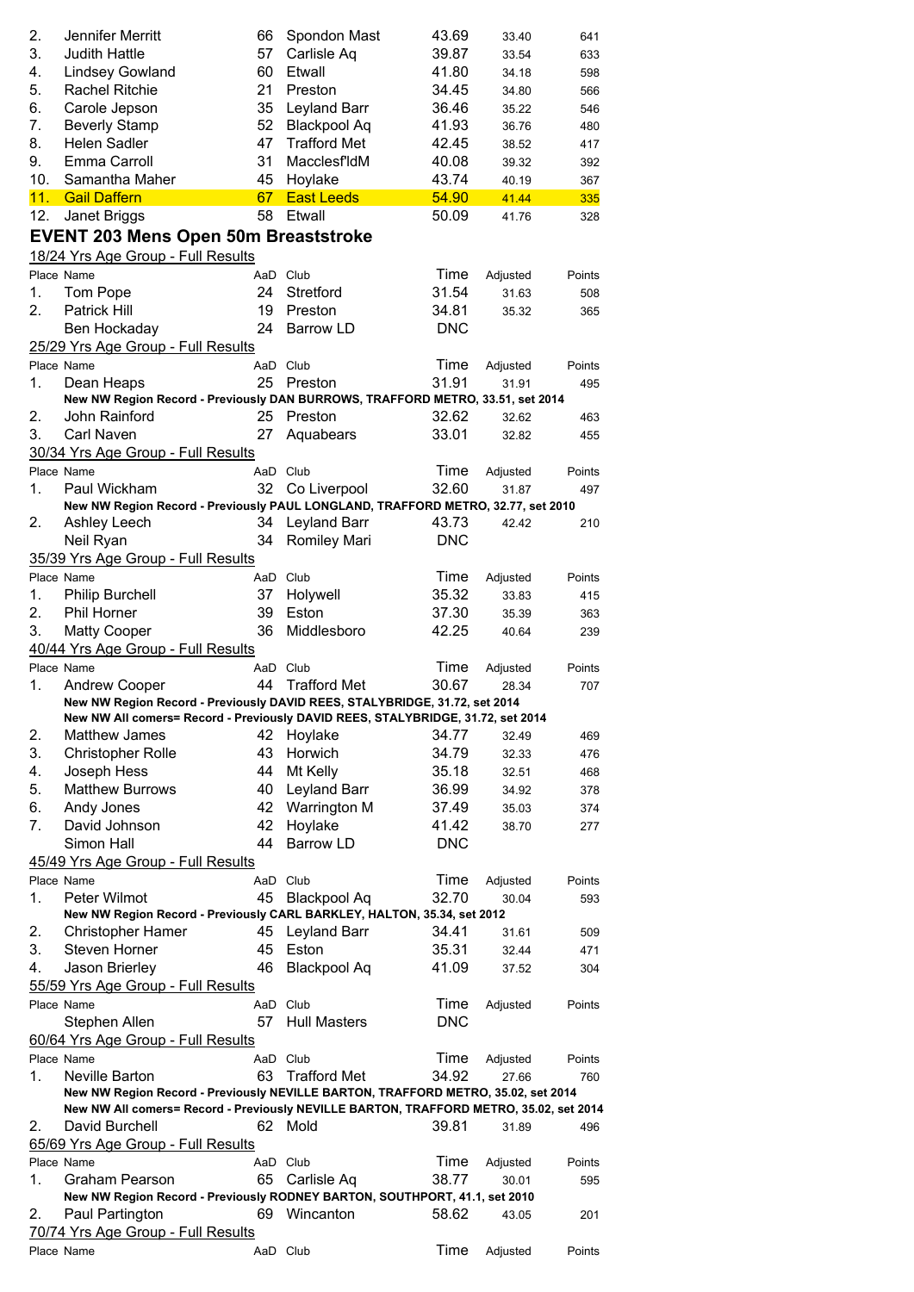| 2.  | Jennifer Merritt                                                                                                                                                            | 66             | Spondon Mast        | 43.69         | 33.40             | 641           |
|-----|-----------------------------------------------------------------------------------------------------------------------------------------------------------------------------|----------------|---------------------|---------------|-------------------|---------------|
| 3.  | <b>Judith Hattle</b>                                                                                                                                                        | 57             | Carlisle Aq         | 39.87         | 33.54             | 633           |
| 4.  | <b>Lindsey Gowland</b>                                                                                                                                                      | 60             | Etwall              | 41.80         | 34.18             | 598           |
| 5.  | <b>Rachel Ritchie</b>                                                                                                                                                       | 21             | Preston             | 34.45         | 34.80             | 566           |
| 6.  | Carole Jepson                                                                                                                                                               | 35             | Leyland Barr        | 36.46         | 35.22             | 546           |
| 7.  | <b>Beverly Stamp</b>                                                                                                                                                        | 52             | <b>Blackpool Aq</b> | 41.93         | 36.76             | 480           |
| 8.  | <b>Helen Sadler</b>                                                                                                                                                         | 47             | <b>Trafford Met</b> | 42.45         | 38.52             | 417           |
| 9.  | Emma Carroll                                                                                                                                                                | 31             | Macclesf'ldM        | 40.08         | 39.32             | 392           |
| 10. | Samantha Maher                                                                                                                                                              | 45             | Hoylake             | 43.74         | 40.19             | 367           |
| 11. | <b>Gail Daffern</b>                                                                                                                                                         | 67             | <b>East Leeds</b>   | 54.90         | 41.44             | 335           |
| 12. | Janet Briggs                                                                                                                                                                | 58             | Etwall              | 50.09         | 41.76             | 328           |
|     | <b>EVENT 203 Mens Open 50m Breaststroke</b>                                                                                                                                 |                |                     |               |                   |               |
|     | 18/24 Yrs Age Group - Full Results                                                                                                                                          |                |                     |               |                   |               |
|     | Place Name                                                                                                                                                                  | AaD Club       |                     | Time          | Adjusted          | Points        |
| 1.  | Tom Pope                                                                                                                                                                    | 24             | Stretford           | 31.54         | 31.63             | 508           |
| 2.  | <b>Patrick Hill</b>                                                                                                                                                         | 19             | Preston             | 34.81         | 35.32             | 365           |
|     | Ben Hockaday                                                                                                                                                                | 24             | Barrow LD           | <b>DNC</b>    |                   |               |
|     | 25/29 Yrs Age Group - Full Results                                                                                                                                          |                |                     | Time          |                   |               |
| 1.  | Place Name<br>Dean Heaps                                                                                                                                                    | 25             | AaD Club<br>Preston | 31.91         | Adjusted<br>31.91 | Points<br>495 |
|     | New NW Region Record - Previously DAN BURROWS, TRAFFORD METRO, 33.51, set 2014                                                                                              |                |                     |               |                   |               |
| 2.  | John Rainford                                                                                                                                                               | 25             | Preston             | 32.62         | 32.62             | 463           |
| 3.  | <b>Carl Naven</b>                                                                                                                                                           | 27             | Aquabears           | 33.01         | 32.82             | 455           |
|     | 30/34 Yrs Age Group - Full Results                                                                                                                                          |                |                     |               |                   |               |
|     | Place Name                                                                                                                                                                  |                | AaD Club            | Time          | Adjusted          | Points        |
| 1.  | Paul Wickham                                                                                                                                                                |                | 32 Co Liverpool     | 32.60         | 31.87             | 497           |
|     | New NW Region Record - Previously PAUL LONGLAND, TRAFFORD METRO, 32.77, set 2010                                                                                            |                |                     |               |                   |               |
| 2.  | Ashley Leech                                                                                                                                                                | 34             | Leyland Barr        | 43.73         | 42.42             | 210           |
|     | Neil Ryan                                                                                                                                                                   | 34             | Romiley Mari        | <b>DNC</b>    |                   |               |
|     | 35/39 Yrs Age Group - Full Results                                                                                                                                          |                |                     |               |                   |               |
|     | Place Name                                                                                                                                                                  | AaD Club       |                     | Time          | Adjusted          | Points        |
| 1.  | <b>Philip Burchell</b>                                                                                                                                                      | 37             | Holywell            | 35.32         | 33.83             | 415           |
| 2.  | Phil Horner                                                                                                                                                                 | 39<br>36       | Eston               | 37.30         | 35.39             | 363           |
| 3.  | Matty Cooper<br>40/44 Yrs Age Group - Full Results                                                                                                                          |                | Middlesboro         | 42.25         | 40.64             | 239           |
|     | Place Name                                                                                                                                                                  | AaD Club       |                     | Time          |                   | Points        |
| 1.  | <b>Andrew Cooper</b>                                                                                                                                                        | 44             | <b>Trafford Met</b> | 30.67         | Adjusted<br>28.34 | 707           |
|     | New NW Region Record - Previously DAVID REES, STALYBRIDGE, 31.72, set 2014                                                                                                  |                |                     |               |                   |               |
|     | New NW All comers= Record - Previously DAVID REES, STALYBRIDGE, 31.72, set 2014                                                                                             |                |                     |               |                   |               |
| 2.  | <b>Matthew James</b>                                                                                                                                                        | 42             | Hoylake             | 34.77         | 32.49             | 469           |
| 3.  | <b>Christopher Rolle</b>                                                                                                                                                    | 43             | Horwich             | 34.79         | 32.33             | 476           |
| 4.  | Joseph Hess                                                                                                                                                                 | 44             | Mt Kelly            | 35.18         | 32.51             | 468           |
| 5.  | <b>Matthew Burrows</b>                                                                                                                                                      | 40             | Leyland Barr        | 36.99         | 34.92             | 378           |
| 6.  | Andy Jones                                                                                                                                                                  | 42             | Warrington M        | 37.49         | 35.03             | 374           |
| 7.  | David Johnson                                                                                                                                                               | 42             | Hoylake             | 41.42         | 38.70             | 277           |
|     | Simon Hall                                                                                                                                                                  | 44             | Barrow LD           | <b>DNC</b>    |                   |               |
|     | 45/49 Yrs Age Group - Full Results                                                                                                                                          |                |                     |               |                   |               |
| 1.  | Place Name<br>Peter Wilmot                                                                                                                                                  | AaD Club<br>45 | <b>Blackpool Aq</b> | Time<br>32.70 | Adjusted<br>30.04 | Points<br>593 |
|     | New NW Region Record - Previously CARL BARKLEY, HALTON, 35.34, set 2012                                                                                                     |                |                     |               |                   |               |
| 2.  | Christopher Hamer                                                                                                                                                           |                | 45 Leyland Barr     | 34.41         | 31.61             | 509           |
| 3.  | Steven Horner                                                                                                                                                               | 45             | Eston               | 35.31         | 32.44             | 471           |
| 4.  | Jason Brierley                                                                                                                                                              | 46             | <b>Blackpool Aq</b> | 41.09         | 37.52             | 304           |
|     | 55/59 Yrs Age Group - Full Results                                                                                                                                          |                |                     |               |                   |               |
|     | Place Name                                                                                                                                                                  |                | AaD Club            | Time          | Adjusted          | Points        |
|     | Stephen Allen                                                                                                                                                               | 57             | <b>Hull Masters</b> | <b>DNC</b>    |                   |               |
|     | 60/64 Yrs Age Group - Full Results                                                                                                                                          |                |                     |               |                   |               |
|     | Place Name                                                                                                                                                                  |                | AaD Club            | Time          | Adjusted          | Points        |
| 1.  | Neville Barton                                                                                                                                                              |                | 63 Trafford Met     | 34.92         | 27.66             | 760           |
|     | New NW Region Record - Previously NEVILLE BARTON, TRAFFORD METRO, 35.02, set 2014<br>New NW All comers= Record - Previously NEVILLE BARTON, TRAFFORD METRO, 35.02, set 2014 |                |                     |               |                   |               |
| 2.  | David Burchell                                                                                                                                                              | 62.            | Mold                | 39.81         | 31.89             | 496           |
|     | 65/69 Yrs Age Group - Full Results                                                                                                                                          |                |                     |               |                   |               |
|     | Place Name                                                                                                                                                                  |                | AaD Club            | Time          | Adjusted          | Points        |
| 1.  | <b>Graham Pearson</b>                                                                                                                                                       |                | 65 Carlisle Aq      | 38.77         | 30.01             | 595           |
|     | New NW Region Record - Previously RODNEY BARTON, SOUTHPORT, 41.1, set 2010                                                                                                  |                |                     |               |                   |               |
| 2.  | Paul Partington                                                                                                                                                             |                | 69 Wincanton        | 58.62         | 43.05             | 201           |
|     | 70/74 Yrs Age Group - Full Results                                                                                                                                          |                |                     |               |                   |               |
|     | Place Name                                                                                                                                                                  |                | AaD Club            | Time          | Adjusted          | Points        |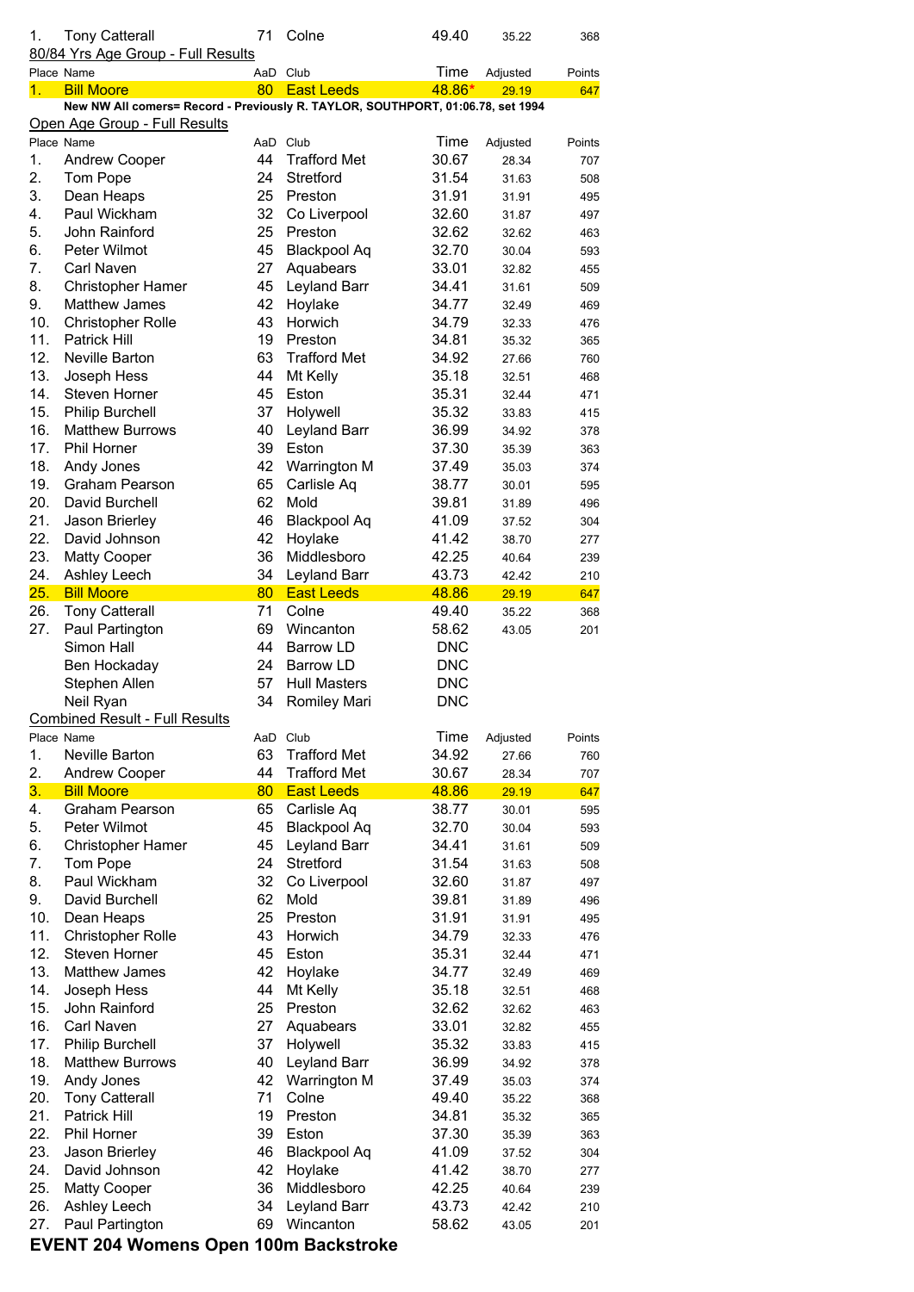| 1.         | <b>Tony Catterall</b><br>80/84 Yrs Age Group - Full Results                     | 71       | Colne                 | 49.40          | 35.22          | 368        |
|------------|---------------------------------------------------------------------------------|----------|-----------------------|----------------|----------------|------------|
|            | Place Name                                                                      |          | AaD Club              | Time           | Adjusted       | Points     |
| 1.         | <b>Bill Moore</b>                                                               | 80       | <b>East Leeds</b>     | 48.86*         | 29.19          | 647        |
|            | New NW All comers= Record - Previously R. TAYLOR, SOUTHPORT, 01:06.78, set 1994 |          |                       |                |                |            |
|            | Open Age Group - Full Results                                                   |          |                       |                |                |            |
|            | Place Name                                                                      |          | AaD Club              | Time           | Adjusted       | Points     |
| 1.         | Andrew Cooper                                                                   | 44       | <b>Trafford Met</b>   | 30.67          | 28.34          | 707        |
| 2.         | Tom Pope                                                                        | 24       | Stretford             | 31.54          | 31.63          | 508        |
| 3.         | Dean Heaps                                                                      | 25       | Preston               | 31.91          | 31.91          | 495        |
| 4.         | Paul Wickham                                                                    | 32       | Co Liverpool          | 32.60          | 31.87          | 497        |
| 5.         | John Rainford                                                                   | 25       | Preston               | 32.62          | 32.62          | 463        |
| 6.         | Peter Wilmot                                                                    | 45       | <b>Blackpool Aq</b>   | 32.70          | 30.04          | 593        |
| 7.         | <b>Carl Naven</b>                                                               | 27       | Aquabears             | 33.01          | 32.82          | 455        |
| 8.         | Christopher Hamer                                                               | 45       | Leyland Barr          | 34.41          | 31.61          | 509        |
| 9.         | <b>Matthew James</b>                                                            | 42       | Hoylake               | 34.77          | 32.49          | 469        |
| 10.<br>11. | <b>Christopher Rolle</b>                                                        | 43       | Horwich<br>Preston    | 34.79          | 32.33          | 476        |
| 12.        | <b>Patrick Hill</b>                                                             | 19       |                       | 34.81          | 35.32          | 365        |
| 13.        | Neville Barton                                                                  | 63<br>44 | <b>Trafford Met</b>   | 34.92          | 27.66          | 760        |
| 14.        | Joseph Hess                                                                     | 45       | Mt Kelly<br>Eston     | 35.18<br>35.31 | 32.51          | 468        |
| 15.        | Steven Horner                                                                   |          |                       |                | 32.44          | 471        |
| 16.        | <b>Philip Burchell</b><br><b>Matthew Burrows</b>                                | 37<br>40 | Holywell              | 35.32<br>36.99 | 33.83          | 415        |
| 17.        | <b>Phil Horner</b>                                                              | 39       | Leyland Barr<br>Eston |                | 34.92          | 378        |
| 18.        |                                                                                 | 42       |                       | 37.30<br>37.49 | 35.39          | 363        |
| 19.        | Andy Jones<br>Graham Pearson                                                    | 65       | Warrington M          | 38.77          | 35.03          | 374        |
| 20.        | David Burchell                                                                  | 62       | Carlisle Aq<br>Mold   | 39.81          | 30.01          | 595        |
| 21.        | Jason Brierley                                                                  | 46       | <b>Blackpool Aq</b>   | 41.09          | 31.89          | 496<br>304 |
| 22.        | David Johnson                                                                   | 42       | Hoylake               | 41.42          | 37.52          |            |
| 23.        | <b>Matty Cooper</b>                                                             | 36       | Middlesboro           | 42.25          | 38.70          | 277        |
| 24.        | Ashley Leech                                                                    | 34       | Leyland Barr          | 43.73          | 40.64<br>42.42 | 239<br>210 |
| 25.        | <b>Bill Moore</b>                                                               | 80       | <b>East Leeds</b>     | 48.86          | 29.19          | 647        |
| 26.        | <b>Tony Catterall</b>                                                           | 71       | Colne                 | 49.40          | 35.22          | 368        |
| 27.        | Paul Partington                                                                 | 69       | Wincanton             | 58.62          | 43.05          | 201        |
|            | Simon Hall                                                                      | 44       | Barrow LD             | <b>DNC</b>     |                |            |
|            | Ben Hockaday                                                                    | 24       | <b>Barrow LD</b>      | <b>DNC</b>     |                |            |
|            | Stephen Allen                                                                   | 57       | <b>Hull Masters</b>   | <b>DNC</b>     |                |            |
|            | Neil Ryan                                                                       | 34       | Romiley Mari          | <b>DNC</b>     |                |            |
|            | <b>Combined Result - Full Results</b>                                           |          |                       |                |                |            |
|            | Place Name                                                                      |          | AaD Club              | Time           | Adjusted       | Points     |
| 1.         | Neville Barton                                                                  | 63       | <b>Trafford Met</b>   | 34.92          | 27.66          | 760        |
| 2.         | <b>Andrew Cooper</b>                                                            | 44       | <b>Trafford Met</b>   | 30.67          | 28.34          | 707        |
| 3.         | <b>Bill Moore</b>                                                               | 80       | <b>East Leeds</b>     | 48.86          | 29.19          | 647        |
| 4.         | <b>Graham Pearson</b>                                                           | 65       | Carlisle Aq           | 38.77          | 30.01          | 595        |
| 5.         | Peter Wilmot                                                                    | 45       | <b>Blackpool Aq</b>   | 32.70          | 30.04          | 593        |
| 6.         | <b>Christopher Hamer</b>                                                        | 45       | Leyland Barr          | 34.41          | 31.61          | 509        |
| 7.         | Tom Pope                                                                        | 24       | Stretford             | 31.54          | 31.63          | 508        |
| 8.         | Paul Wickham                                                                    | 32       | Co Liverpool          | 32.60          | 31.87          | 497        |
| 9.         | David Burchell                                                                  | 62       | Mold                  | 39.81          | 31.89          | 496        |
| 10.        | Dean Heaps                                                                      | 25       | Preston               | 31.91          | 31.91          | 495        |
| 11.        | <b>Christopher Rolle</b>                                                        | 43       | Horwich               | 34.79          | 32.33          | 476        |
| 12.        | Steven Horner                                                                   | 45       | Eston                 | 35.31          | 32.44          | 471        |
| 13.        | <b>Matthew James</b>                                                            | 42       | Hoylake               | 34.77          | 32.49          | 469        |
| 14.        | Joseph Hess                                                                     | 44       | Mt Kelly              | 35.18          | 32.51          | 468        |
| 15.        | John Rainford                                                                   | 25       | Preston               | 32.62          | 32.62          | 463        |
| 16.        | Carl Naven                                                                      | 27       | Aquabears             | 33.01          | 32.82          | 455        |
| 17.        | <b>Philip Burchell</b>                                                          | 37       | Holywell              | 35.32          | 33.83          | 415        |
| 18.        | <b>Matthew Burrows</b>                                                          | 40       | Leyland Barr          | 36.99          | 34.92          | 378        |
| 19.        | Andy Jones                                                                      | 42       | Warrington M          | 37.49          | 35.03          | 374        |
| 20.        | <b>Tony Catterall</b>                                                           | 71       | Colne                 | 49.40          | 35.22          | 368        |
| 21.        | <b>Patrick Hill</b>                                                             | 19       | Preston               | 34.81          | 35.32          | 365        |
| 22.        | Phil Horner                                                                     | 39       | Eston                 | 37.30          | 35.39          | 363        |
| 23.        | Jason Brierley                                                                  | 46       | <b>Blackpool Aq</b>   | 41.09          | 37.52          | 304        |
| 24.        | David Johnson                                                                   | 42       | Hoylake               | 41.42          | 38.70          | 277        |
| 25.        | <b>Matty Cooper</b>                                                             | 36       | Middlesboro           | 42.25          | 40.64          | 239        |
| 26.        | Ashley Leech                                                                    | 34       | Leyland Barr          | 43.73          | 42.42          | 210        |
| 27.        | Paul Partington                                                                 | 69       | Wincanton             | 58.62          | 43.05          | 201        |

# **EVENT 204 Womens Open 100m Backstroke**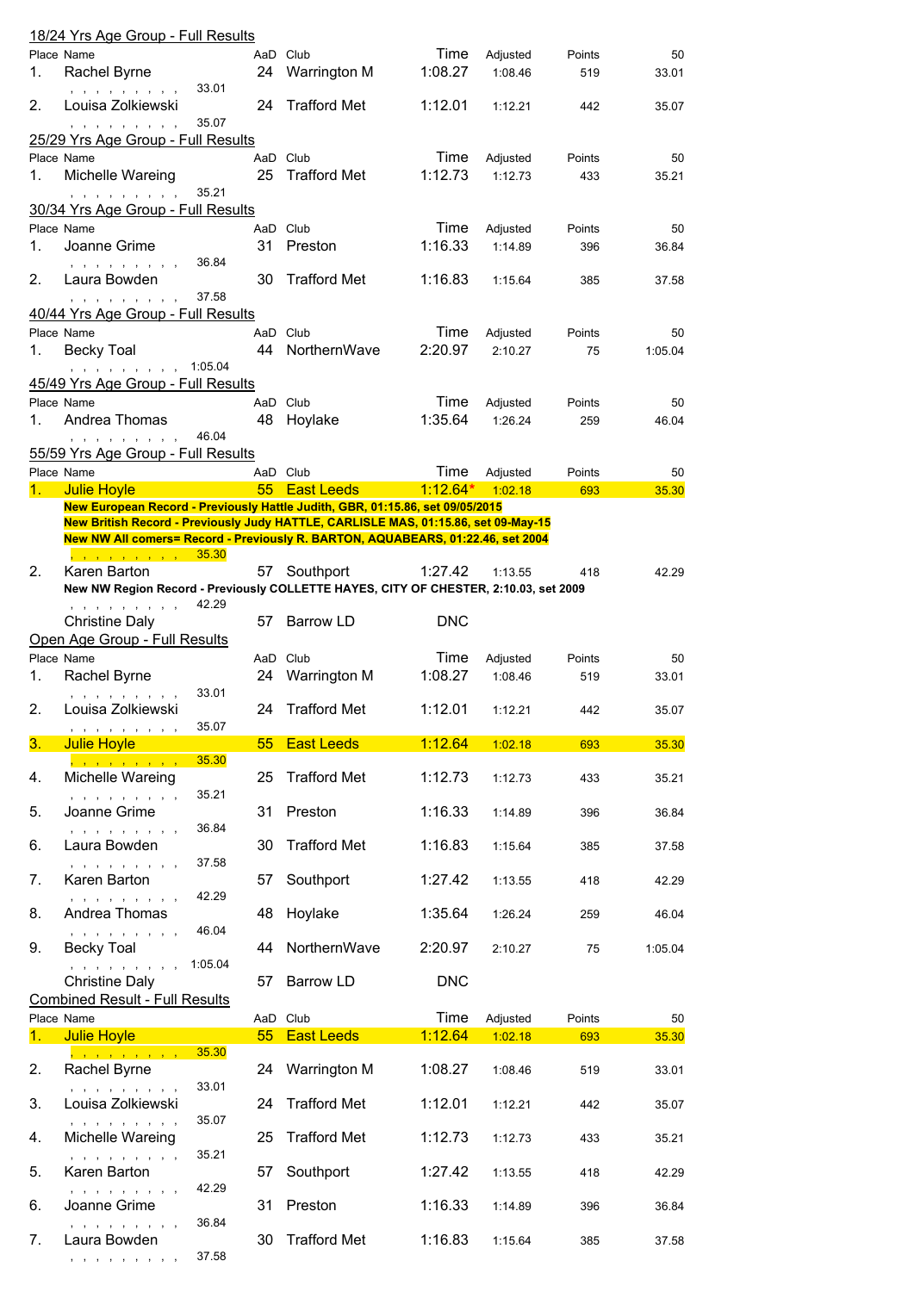|                | 18/24 Yrs Age Group - Full Results                                                                                                                                          |         |    |                          |                 |                     |               |             |
|----------------|-----------------------------------------------------------------------------------------------------------------------------------------------------------------------------|---------|----|--------------------------|-----------------|---------------------|---------------|-------------|
| 1.             | Place Name<br>Rachel Byrne                                                                                                                                                  |         | 24 | AaD Club<br>Warrington M | Time<br>1:08.27 | Adjusted<br>1:08.46 | Points<br>519 | 50<br>33.01 |
| 2.             | .<br>Louisa Zolkiewski                                                                                                                                                      | 33.01   | 24 | <b>Trafford Met</b>      | 1:12.01         | 1:12.21             | 442           | 35.07       |
|                | $1 - 1 - 1 - 1 - 1 - 1 - 1 - 1 - 1$<br>25/29 Yrs Age Group - Full Results                                                                                                   | 35.07   |    |                          |                 |                     |               |             |
|                | Place Name                                                                                                                                                                  |         |    | AaD Club                 | Time            | Adjusted            | Points        | 50          |
| 1.             | Michelle Wareing<br>.                                                                                                                                                       | 35.21   | 25 | <b>Trafford Met</b>      | 1:12.73         | 1:12.73             | 433           | 35.21       |
|                | 30/34 Yrs Age Group - Full Results                                                                                                                                          |         |    |                          |                 |                     |               |             |
|                | Place Name                                                                                                                                                                  |         |    | AaD Club                 | Time            | Adjusted            | Points        | 50          |
| 1.             | Joanne Grime<br>.                                                                                                                                                           | 36.84   | 31 | Preston                  | 1:16.33         | 1:14.89             | 396           | 36.84       |
| 2.             | Laura Bowden<br>$1 - 1 - 1 - 1 - 1 - 1 - 1 - 1 - 1 - 1$                                                                                                                     | 37.58   | 30 | <b>Trafford Met</b>      | 1:16.83         | 1:15.64             | 385           | 37.58       |
|                | 40/44 Yrs Age Group - Full Results                                                                                                                                          |         |    |                          |                 |                     |               |             |
|                | Place Name                                                                                                                                                                  |         |    | AaD Club                 | Time<br>2:20.97 | Adjusted            | Points        | 50          |
| 1.             | Becky Toal<br>$\mathbf{y} = \mathbf{y} = \mathbf{y} = \mathbf{y} = \mathbf{y} = \mathbf{y} = \mathbf{y} = \mathbf{y} = \mathbf{y} = \mathbf{y}$                             | 1:05.04 | 44 | NorthernWave             |                 | 2:10.27             | 75            | 1:05.04     |
|                | 45/49 Yrs Age Group - Full Results                                                                                                                                          |         |    |                          |                 |                     |               |             |
|                | Place Name                                                                                                                                                                  |         |    | AaD Club                 | Time            | Adjusted            | Points        | 50          |
| 1.             | Andrea Thomas<br>.                                                                                                                                                          | 46.04   |    | 48 Hoylake               | 1:35.64         | 1:26.24             | 259           | 46.04       |
|                | 55/59 Yrs Age Group - Full Results                                                                                                                                          |         |    |                          |                 |                     |               |             |
|                | Place Name                                                                                                                                                                  |         |    | AaD Club                 | Time            | Adjusted            | Points        | 50          |
| $1$ .          | <b>Julie Hoyle</b><br>New European Record - Previously Hattle Judith, GBR, 01:15.86, set 09/05/2015                                                                         |         | 55 | <b>East Leeds</b>        | $1:12.64*$      | 1:02.18             | 693           | 35.30       |
|                | New British Record - Previously Judy HATTLE, CARLISLE MAS, 01:15.86, set 09-May-15                                                                                          |         |    |                          |                 |                     |               |             |
|                | New NW All comers= Record - Previously R. BARTON, AQUABEARS, 01:22.46, set 2004                                                                                             |         |    |                          |                 |                     |               |             |
|                | .                                                                                                                                                                           | 35.30   |    |                          |                 |                     |               |             |
| 2.             | Karen Barton<br>New NW Region Record - Previously COLLETTE HAYES, CITY OF CHESTER, 2:10.03, set 2009                                                                        |         |    | 57 Southport             | 1:27.42         | 1:13.55             | 418           | 42.29       |
|                | <b>Christine Daly</b>                                                                                                                                                       | 42.29   | 57 | Barrow LD                | <b>DNC</b>      |                     |               |             |
|                | Open Age Group - Full Results<br>Place Name                                                                                                                                 |         |    | AaD Club                 | Time            | Adjusted            | Points        | 50          |
| 1.             | Rachel Byrne                                                                                                                                                                |         | 24 | Warrington M             | 1:08.27         | 1:08.46             | 519           | 33.01       |
| 2.             | $1 - 1 - 1 - 1 - 1 - 1 - 1 - 1 - 1 - 1$<br>Louisa Zolkiewski                                                                                                                | 33.01   | 24 | <b>Trafford Met</b>      | 1:12.01         | 1:12.21             | 442           | 35.07       |
| 3.             | $\mathbf{y} = \mathbf{y} - \mathbf{y} = \mathbf{y} - \mathbf{y} = \mathbf{y} - \mathbf{y} = \mathbf{y} - \mathbf{y} = \mathbf{y}$<br><b>Julie Hoyle</b>                     | 35.07   | 55 | <b>East Leeds</b>        | 1:12.64         | 1:02.18             | 693           |             |
|                | .                                                                                                                                                                           | 35.30   |    |                          |                 |                     |               | 35.30       |
| 4.             | Michelle Wareing<br>$\langle \hat{\mathbf{y}}_i \rangle$ , $\hat{\mathbf{y}}_i$ , $\hat{\mathbf{y}}_i$ , $\hat{\mathbf{y}}_i$ , $\hat{\mathbf{y}}_i$ , $\hat{\mathbf{y}}_i$ | 35.21   | 25 | <b>Trafford Met</b>      | 1:12.73         | 1:12.73             | 433           | 35.21       |
| 5.             | Joanne Grime                                                                                                                                                                | 36.84   | 31 | Preston                  | 1:16.33         | 1:14.89             | 396           | 36.84       |
| 6.             | $\begin{array}{cccccccccccccc} &\bullet &\bullet &\bullet &\bullet &\bullet &\bullet &\bullet &\bullet &\bullet &\bullet &\bullet \end{array}$<br>Laura Bowden              | 37.58   | 30 | <b>Trafford Met</b>      | 1:16.83         | 1:15.64             | 385           | 37.58       |
| 7.             | Karen Barton                                                                                                                                                                | 42.29   | 57 | Southport                | 1:27.42         | 1:13.55             | 418           | 42.29       |
| 8.             | .<br>Andrea Thomas                                                                                                                                                          | 46.04   | 48 | Hoylake                  | 1:35.64         | 1:26.24             | 259           | 46.04       |
| 9.             | .<br><b>Becky Toal</b>                                                                                                                                                      |         | 44 | NorthernWave             | 2:20.97         | 2:10.27             | 75            | 1:05.04     |
|                | $\mathbf{y} = \mathbf{y} - \mathbf{y} = \mathbf{y} - \mathbf{y} = \mathbf{y} - \mathbf{y} = \mathbf{y} - \mathbf{y} = \mathbf{y}$<br><b>Christine Daly</b>                  | 1:05.04 | 57 | <b>Barrow LD</b>         | <b>DNC</b>      |                     |               |             |
|                | <b>Combined Result - Full Results</b><br>Place Name                                                                                                                         |         |    | AaD Club                 | Time            |                     |               |             |
| 1 <sub>1</sub> | <b>Julie Hoyle</b>                                                                                                                                                          |         | 55 | <b>East Leeds</b>        | 1:12.64         | Adjusted<br>1:02.18 | Points<br>693 | 50<br>35.30 |
|                | .                                                                                                                                                                           | 35.30   |    |                          |                 |                     |               |             |
| 2.             | Rachel Byrne<br>.                                                                                                                                                           | 33.01   | 24 | Warrington M             | 1:08.27         | 1:08.46             | 519           | 33.01       |
| 3.             | Louisa Zolkiewski                                                                                                                                                           | 35.07   | 24 | <b>Trafford Met</b>      | 1:12.01         | 1:12.21             | 442           | 35.07       |
| 4.             | Michelle Wareing                                                                                                                                                            | 35.21   | 25 | <b>Trafford Met</b>      | 1:12.73         | 1:12.73             | 433           | 35.21       |
| 5.             | .<br>Karen Barton                                                                                                                                                           | 42.29   | 57 | Southport                | 1:27.42         | 1:13.55             | 418           | 42.29       |
| 6.             | .<br>Joanne Grime                                                                                                                                                           | 36.84   | 31 | Preston                  | 1:16.33         | 1:14.89             | 396           | 36.84       |
| 7.             | Laura Bowden                                                                                                                                                                | 37.58   | 30 | <b>Trafford Met</b>      | 1:16.83         | 1:15.64             | 385           | 37.58       |
|                | $\mathbf{y} = \mathbf{y} - \mathbf{y} - \mathbf{y} - \mathbf{y} - \mathbf{y} - \mathbf{y} - \mathbf{y} - \mathbf{y} - \mathbf{y}$                                           |         |    |                          |                 |                     |               |             |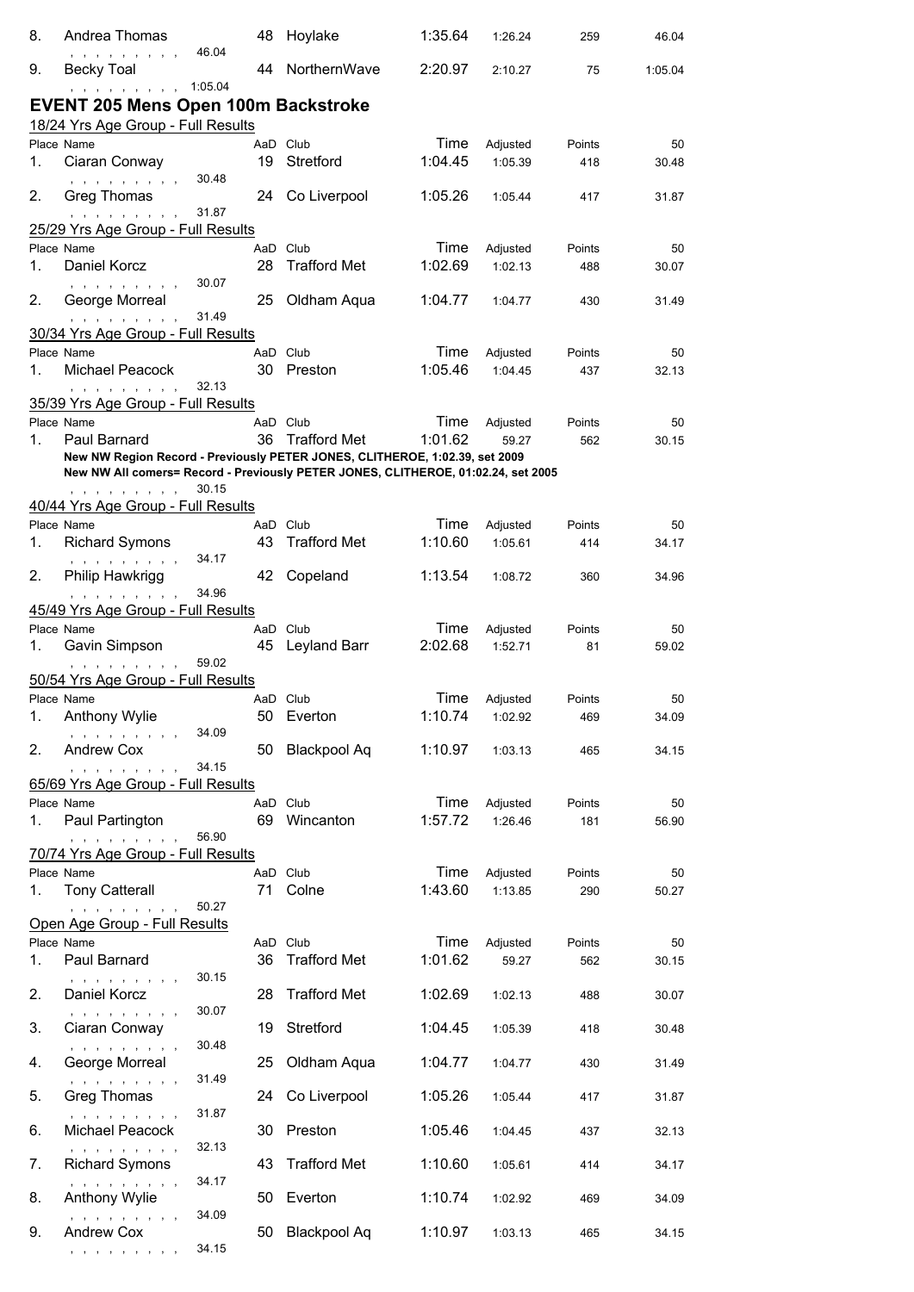| 8. | Andrea Thomas                                                                                                                                                           | 46.04   | 48  | Hoylake                                                                           | 1:35.64 | 1:26.24  | 259    | 46.04   |
|----|-------------------------------------------------------------------------------------------------------------------------------------------------------------------------|---------|-----|-----------------------------------------------------------------------------------|---------|----------|--------|---------|
| 9. | $1 - 1 - 1 - 1 - 1 - 1 - 1 - 1 - 1 - 1$<br>Becky Toal                                                                                                                   | 1:05.04 | 44  | NorthernWave                                                                      | 2:20.97 | 2:10.27  | 75     | 1:05.04 |
|    | .<br><b>EVENT 205 Mens Open 100m Backstroke</b>                                                                                                                         |         |     |                                                                                   |         |          |        |         |
|    | 18/24 Yrs Age Group - Full Results                                                                                                                                      |         |     |                                                                                   |         |          |        |         |
|    | Place Name                                                                                                                                                              |         |     | AaD Club                                                                          | Time    | Adjusted | Points | 50      |
| 1. | Ciaran Conway                                                                                                                                                           | 30.48   | 19  | Stretford                                                                         | 1:04.45 | 1:05.39  | 418    | 30.48   |
| 2. | $\mathbf{y} = \mathbf{y} - \mathbf{y} = \mathbf{y} - \mathbf{y} = \mathbf{y} - \mathbf{y} = \mathbf{y} - \mathbf{y} = \mathbf{y}$<br>Greg Thomas                        |         | 24. | Co Liverpool                                                                      | 1:05.26 | 1:05.44  | 417    | 31.87   |
|    | , , , , , , , , ,<br>25/29 Yrs Age Group - Full Results                                                                                                                 | 31.87   |     |                                                                                   |         |          |        |         |
|    | Place Name                                                                                                                                                              |         |     | AaD Club                                                                          | Time    | Adjusted | Points | 50      |
| 1. | Daniel Korcz                                                                                                                                                            |         | 28  | <b>Trafford Met</b>                                                               | 1:02.69 | 1:02.13  | 488    | 30.07   |
| 2. | George Morreal                                                                                                                                                          | 30.07   | 25  | Oldham Aqua                                                                       | 1:04.77 | 1:04.77  | 430    | 31.49   |
|    | $\mathbf{y} = \mathbf{y} - \mathbf{y} = \mathbf{y} - \mathbf{y} = \mathbf{y} - \mathbf{y} = \mathbf{y} - \mathbf{y} = \mathbf{y}$<br>30/34 Yrs Age Group - Full Results | 31.49   |     |                                                                                   |         |          |        |         |
|    | Place Name                                                                                                                                                              |         |     | AaD Club                                                                          | Time    | Adjusted | Points | 50      |
| 1. | Michael Peacock                                                                                                                                                         |         | 30  | Preston                                                                           | 1:05.46 | 1:04.45  | 437    | 32.13   |
|    | .                                                                                                                                                                       | 32.13   |     |                                                                                   |         |          |        |         |
|    | 35/39 Yrs Age Group - Full Results                                                                                                                                      |         |     |                                                                                   |         |          |        |         |
|    | Place Name                                                                                                                                                              |         |     | AaD Club                                                                          | Time    | Adjusted | Points | 50      |
| 1. | Paul Barnard                                                                                                                                                            |         | 36  | <b>Trafford Met</b>                                                               | 1:01.62 | 59.27    | 562    | 30.15   |
|    |                                                                                                                                                                         |         |     | New NW Region Record - Previously PETER JONES, CLITHEROE, 1:02.39, set 2009       |         |          |        |         |
|    |                                                                                                                                                                         |         |     | New NW All comers= Record - Previously PETER JONES, CLITHEROE, 01:02.24, set 2005 |         |          |        |         |
|    | , , , , , , , , ,                                                                                                                                                       | 30.15   |     |                                                                                   |         |          |        |         |
|    | 40/44 Yrs Age Group - Full Results                                                                                                                                      |         |     |                                                                                   |         |          |        |         |
|    | Place Name                                                                                                                                                              |         |     | AaD Club                                                                          | Time    | Adjusted | Points | 50      |
| 1. | <b>Richard Symons</b>                                                                                                                                                   | 34.17   | 43  | <b>Trafford Met</b>                                                               | 1:10.60 | 1:05.61  | 414    | 34.17   |
| 2. | Philip Hawkrigg<br>.                                                                                                                                                    | 34.96   | 42  | Copeland                                                                          | 1:13.54 | 1:08.72  | 360    | 34.96   |
|    | 45/49 Yrs Age Group - Full Results                                                                                                                                      |         |     |                                                                                   |         |          |        |         |
|    | Place Name                                                                                                                                                              |         |     | AaD Club                                                                          | Time    | Adjusted | Points | 50      |
| 1. | Gavin Simpson                                                                                                                                                           |         | 45  | Leyland Barr                                                                      | 2:02.68 | 1:52.71  | 81     | 59.02   |
|    | $\mathbf{y} = \mathbf{y} - \mathbf{y} - \mathbf{y} = \mathbf{y} - \mathbf{y} - \mathbf{y} = \mathbf{y} - \mathbf{y} = \mathbf{y}$                                       | 59.02   |     |                                                                                   |         |          |        |         |
|    | 50/54 Yrs Age Group - Full Results                                                                                                                                      |         |     |                                                                                   |         |          |        |         |
|    | Place Name                                                                                                                                                              |         |     | AaD Club                                                                          | Time    | Adjusted | Points | 50      |
| 1. | Anthony Wylie                                                                                                                                                           |         | 50  | Everton                                                                           | 1:10.74 | 1:02.92  | 469    | 34.09   |
| 2. | .<br><b>Andrew Cox</b>                                                                                                                                                  | 34.09   | 50  | <b>Blackpool Aq</b>                                                               | 1:10.97 | 1:03.13  | 465    | 34.15   |
|    | $\mathbf{y} = \mathbf{y} - \mathbf{y} = \mathbf{y} - \mathbf{y} = \mathbf{y} - \mathbf{y} = \mathbf{y} - \mathbf{y} = \mathbf{y}$                                       | 34.15   |     |                                                                                   |         |          |        |         |
|    | 65/69 Yrs Age Group - Full Results                                                                                                                                      |         |     |                                                                                   |         |          |        |         |
|    | Place Name                                                                                                                                                              |         |     | AaD Club                                                                          | Time    | Adjusted | Points | 50      |
| 1. | Paul Partington                                                                                                                                                         | 56.90   | 69  | Wincanton                                                                         | 1:57.72 | 1:26.46  | 181    | 56.90   |
|    | $\mathbf{y} = \mathbf{y} - \mathbf{y} = \mathbf{y} - \mathbf{y} = \mathbf{y} - \mathbf{y} = \mathbf{y} - \mathbf{y} = \mathbf{y}$<br>70/74 Yrs Age Group - Full Results |         |     |                                                                                   |         |          |        |         |
|    | Place Name                                                                                                                                                              |         |     | AaD Club                                                                          | Time    | Adjusted | Points | 50      |
| 1. | <b>Tony Catterall</b>                                                                                                                                                   |         | 71  | Colne                                                                             | 1:43.60 | 1:13.85  | 290    | 50.27   |
|    | $1 - 1 - 1 - 1 - 1 - 1 - 1 - 1 - 1$                                                                                                                                     | 50.27   |     |                                                                                   |         |          |        |         |
|    | Open Age Group - Full Results                                                                                                                                           |         |     |                                                                                   |         |          |        |         |
|    | Place Name                                                                                                                                                              |         |     | AaD Club                                                                          | Time    | Adjusted | Points | 50      |
| 1. | Paul Barnard                                                                                                                                                            |         | 36  | <b>Trafford Met</b>                                                               | 1:01.62 | 59.27    | 562    | 30.15   |
|    | $\mathbf{y} = \mathbf{y} - \mathbf{y} = \mathbf{y} - \mathbf{y} = \mathbf{y} - \mathbf{y} = \mathbf{y} - \mathbf{y} = \mathbf{y}$                                       | 30.15   |     |                                                                                   |         |          |        |         |
| 2. | Daniel Korcz                                                                                                                                                            | 30.07   | 28  | <b>Trafford Met</b>                                                               | 1:02.69 | 1:02.13  | 488    | 30.07   |
| 3. | $\mathbf{s} = \mathbf{s} - \mathbf{s} - \mathbf{s} - \mathbf{s} - \mathbf{s} - \mathbf{s} - \mathbf{s} - \mathbf{s} - \mathbf{s} - \mathbf{s}$<br>Ciaran Conway         |         | 19  | Stretford                                                                         | 1:04.45 | 1:05.39  | 418    | 30.48   |
| 4. | $\mathbf{y} = \mathbf{y} - \mathbf{y} - \mathbf{y} - \mathbf{y} - \mathbf{y} - \mathbf{y} - \mathbf{y} - \mathbf{y} - \mathbf{y}$<br>George Morreal                     | 30.48   | 25  | Oldham Aqua                                                                       | 1:04.77 | 1:04.77  | 430    | 31.49   |
|    | $\mathbf{y} = \mathbf{y} - \mathbf{y} = \mathbf{y} - \mathbf{y} = \mathbf{y} - \mathbf{y} = \mathbf{y} - \mathbf{y}$                                                    | 31.49   |     |                                                                                   |         |          |        |         |
| 5. | Greg Thomas                                                                                                                                                             | 31.87   | 24  | Co Liverpool                                                                      | 1:05.26 | 1:05.44  | 417    | 31.87   |
| 6. | $\mathbf{y} = \mathbf{y} - \mathbf{y} = \mathbf{y} - \mathbf{y} = \mathbf{y} - \mathbf{y} = \mathbf{y} - \mathbf{y} = \mathbf{y}$<br>Michael Peacock                    |         | 30  | Preston                                                                           | 1:05.46 | 1:04.45  | 437    | 32.13   |
|    | $\mathbf{y} = \mathbf{y} - \mathbf{y} = \mathbf{y} - \mathbf{y} = \mathbf{y} - \mathbf{y} = \mathbf{y} - \mathbf{y} = \mathbf{y}$                                       | 32.13   |     | <b>Trafford Met</b>                                                               |         |          |        |         |
| 7. | <b>Richard Symons</b><br>.                                                                                                                                              | 34.17   | 43  |                                                                                   | 1:10.60 | 1:05.61  | 414    | 34.17   |
| 8. | Anthony Wylie                                                                                                                                                           |         | 50  | Everton                                                                           | 1:10.74 | 1:02.92  | 469    | 34.09   |
|    | .                                                                                                                                                                       | 34.09   |     |                                                                                   |         |          |        |         |
| 9. | Andrew Cox                                                                                                                                                              |         | 50  | <b>Blackpool Aq</b>                                                               | 1:10.97 | 1:03.13  | 465    | 34.15   |
|    | $\mathbf{y} = \mathbf{y} - \mathbf{y} - \mathbf{y} = \mathbf{y} - \mathbf{y} - \mathbf{y} - \mathbf{y} = \mathbf{y} - \mathbf{y}$                                       | 34.15   |     |                                                                                   |         |          |        |         |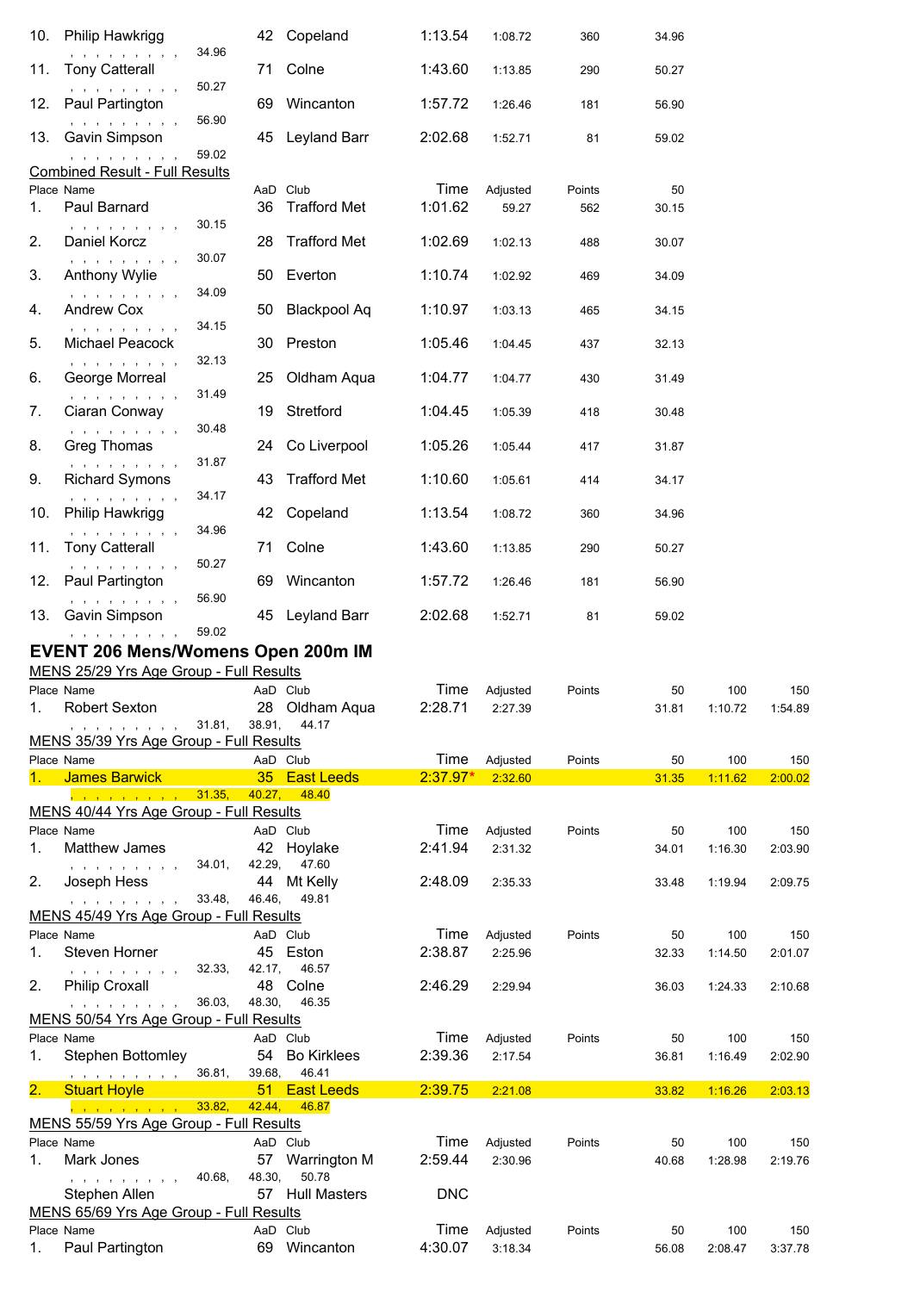|     | 10. Philip Hawkrigg                                                                                                                                                                                                               | 42                   | Copeland                        | 1:13.54         | 1:08.72             | 360           | 34.96       |         |                 |
|-----|-----------------------------------------------------------------------------------------------------------------------------------------------------------------------------------------------------------------------------------|----------------------|---------------------------------|-----------------|---------------------|---------------|-------------|---------|-----------------|
| 11. | $\mathbf{y} = \mathbf{y} - \mathbf{y} = \mathbf{y} - \mathbf{y} = \mathbf{y} - \mathbf{y} = \mathbf{y} - \mathbf{y}$<br><b>Tony Catterall</b>                                                                                     | 34.96<br>71          | Colne                           | 1:43.60         | 1:13.85             | 290           | 50.27       |         |                 |
| 12. | $\mathbf{y} = \mathbf{y} - \mathbf{y} = \mathbf{y} - \mathbf{y} = \mathbf{y} - \mathbf{y} = \mathbf{y} - \mathbf{y} = \mathbf{y}$<br>Paul Partington                                                                              | 50.27<br>69          | Wincanton                       | 1:57.72         | 1:26.46             | 181           | 56.90       |         |                 |
| 13. | $\mathbf{y} = \mathbf{y} - \mathbf{y} = \mathbf{y} - \mathbf{y} = \mathbf{y} - \mathbf{y} = \mathbf{y} - \mathbf{y} = \mathbf{y}$<br><b>Gavin Simpson</b>                                                                         | 56.90                | 45 Leyland Barr                 | 2:02.68         | 1:52.71             | 81            | 59.02       |         |                 |
|     | $1 - 1 - 1 - 1 - 1 - 1 - 1 - 1 - 1$<br><b>Combined Result - Full Results</b>                                                                                                                                                      | 59.02                |                                 |                 |                     |               |             |         |                 |
| 1.  | Place Name<br>Paul Barnard                                                                                                                                                                                                        | 36                   | AaD Club<br><b>Trafford Met</b> | Time<br>1:01.62 | Adjusted<br>59.27   | Points<br>562 | 50<br>30.15 |         |                 |
| 2.  | $\mathbf{y} = \mathbf{y} - \mathbf{y} = \mathbf{y} - \mathbf{y} = \mathbf{y} - \mathbf{y} = \mathbf{y} - \mathbf{y} = \mathbf{y}$<br>Daniel Korcz                                                                                 | 30.15<br>28          | <b>Trafford Met</b>             | 1:02.69         | 1:02.13             | 488           | 30.07       |         |                 |
| 3.  | $\mathbf{y} = \mathbf{y} - \mathbf{y} = \mathbf{y} - \mathbf{y} = \mathbf{y} - \mathbf{y} = \mathbf{y} - \mathbf{y} = \mathbf{y}$<br>Anthony Wylie                                                                                | 30.07<br>50          | Everton                         | 1:10.74         | 1:02.92             | 469           | 34.09       |         |                 |
| 4.  | $\mathbf{y} = \mathbf{y} - \mathbf{y} - \mathbf{y} = \mathbf{y} - \mathbf{y} - \mathbf{y} = \mathbf{y} - \mathbf{y} = \mathbf{y}$<br><b>Andrew Cox</b>                                                                            | 34.09<br>50          | <b>Blackpool Aq</b>             | 1:10.97         | 1:03.13             | 465           | 34.15       |         |                 |
| 5.  | .<br>Michael Peacock                                                                                                                                                                                                              | 34.15<br>30          | Preston                         | 1:05.46         | 1:04.45             | 437           | 32.13       |         |                 |
| 6.  | $\mathbf{y} = \mathbf{y} = \mathbf{y} = \mathbf{y} = \mathbf{y} = \mathbf{y} = \mathbf{y} = \mathbf{y} = \mathbf{y}$<br>George Morreal                                                                                            | 32.13<br>25          | Oldham Aqua                     | 1:04.77         | 1:04.77             | 430           | 31.49       |         |                 |
| 7.  | $\mathbf{y} = \mathbf{y} - \mathbf{y} - \mathbf{y} = \mathbf{y} - \mathbf{y} - \mathbf{y} = \mathbf{y} - \mathbf{y} = \mathbf{y}$<br>Ciaran Conway                                                                                | 31.49<br>19          | Stretford                       | 1:04.45         | 1:05.39             | 418           | 30.48       |         |                 |
| 8.  | $\mathbf{y} = \mathbf{y} = \mathbf{y} = \mathbf{y} = \mathbf{y} = \mathbf{y} = \mathbf{y} = \mathbf{y} = \mathbf{y}$<br>Greg Thomas                                                                                               | 30.48                | 24 Co Liverpool                 | 1:05.26         | 1:05.44             | 417           | 31.87       |         |                 |
| 9.  | $\mathbf{y} = \mathbf{y} - \mathbf{y} = \mathbf{y} - \mathbf{y} = \mathbf{y} - \mathbf{y} = \mathbf{y} - \mathbf{y} = \mathbf{y}$<br>Richard Symons                                                                               | 31.87<br>43          | <b>Trafford Met</b>             | 1:10.60         | 1:05.61             | 414           | 34.17       |         |                 |
| 10. | .<br>Philip Hawkrigg                                                                                                                                                                                                              | 34.17<br>42          | Copeland                        | 1:13.54         | 1:08.72             | 360           | 34.96       |         |                 |
| 11. | $\mathbf{y} = \mathbf{y} = \mathbf{y} = \mathbf{y} = \mathbf{y} = \mathbf{y} = \mathbf{y} = \mathbf{y} = \mathbf{y}$<br><b>Tony Catterall</b>                                                                                     | 34.96<br>71<br>50.27 | Colne                           | 1:43.60         | 1:13.85             | 290           | 50.27       |         |                 |
| 12. | $\mathbf{y} = \mathbf{y} - \mathbf{y} = \mathbf{y} - \mathbf{y} = \mathbf{y} - \mathbf{y} = \mathbf{y} - \mathbf{y}$<br>Paul Partington                                                                                           | 69<br>56.90          | Wincanton                       | 1:57.72         | 1:26.46             | 181           | 56.90       |         |                 |
| 13. | $\mathbf{y} = \mathbf{y} - \mathbf{y} - \mathbf{y} = \mathbf{y} - \mathbf{y} - \mathbf{y} = \mathbf{y} - \mathbf{y} = \mathbf{y}$<br>Gavin Simpson                                                                                | 59.02                | 45 Leyland Barr                 | 2:02.68         | 1:52.71             | 81            | 59.02       |         |                 |
|     | $\mathbf{y} = \mathbf{y} - \mathbf{y} - \mathbf{y} - \mathbf{y} - \mathbf{y} - \mathbf{y} - \mathbf{y} - \mathbf{y} - \mathbf{y}$<br><b>EVENT 206 Mens/Womens Open 200m IM</b>                                                    |                      |                                 |                 |                     |               |             |         |                 |
|     | MENS 25/29 Yrs Age Group - Full Results                                                                                                                                                                                           |                      |                                 |                 |                     |               |             |         |                 |
|     | Place Name                                                                                                                                                                                                                        |                      | AaD Club                        | Time            | Adjusted            | Points        | 50          | 100     | 150             |
|     | 1. Robert Sexton                                                                                                                                                                                                                  |                      | 28 Oldham Aqua                  | 2:28.71         | 2:27.39             |               | 31.81       | 1:10.72 | 1:54.89         |
|     | , , , , , , , , , 31.81, 38.91, 44.17<br>MENS 35/39 Yrs Age Group - Full Results                                                                                                                                                  |                      |                                 |                 |                     |               |             |         |                 |
|     | Place Name                                                                                                                                                                                                                        |                      | AaD Club                        | Time            |                     | Points        | 50          | 100     | 150             |
| 1.  | <b>James Barwick</b>                                                                                                                                                                                                              |                      | 35 East Leeds                   | $2:37.97*$      | Adjusted<br>2:32.60 |               |             | 1:11.62 |                 |
|     | .                                                                                                                                                                                                                                 | 31.35,               | 40.27, 48.40                    |                 |                     |               | 31.35       |         | 2:00.02         |
|     | MENS 40/44 Yrs Age Group - Full Results                                                                                                                                                                                           |                      |                                 |                 |                     |               |             |         |                 |
|     | Place Name                                                                                                                                                                                                                        |                      | AaD Club                        | Time            | Adjusted            | Points        | 50          | 100     | 150             |
| 1.  | Matthew James                                                                                                                                                                                                                     |                      | 42 Hoylake                      | 2:41.94         | 2:31.32             |               | 34.01       | 1:16.30 | 2:03.90         |
|     | $\mathbf{y} = \mathbf{y} - \mathbf{y} = \mathbf{y} - \mathbf{y} = \mathbf{y} - \mathbf{y} = \mathbf{y} - \mathbf{y} = \mathbf{y}$                                                                                                 | 34.01,               | 42.29, 47.60                    |                 |                     |               |             |         |                 |
| 2.  | Joseph Hess<br>$\begin{array}{cccccccccccccc} \mathbf{i} & \mathbf{j} & \mathbf{j} & \mathbf{k} & \mathbf{k} & \mathbf{k} & \mathbf{k} & \mathbf{k} & \mathbf{k} & \mathbf{k} & \mathbf{k} & \mathbf{k} & \mathbf{k} \end{array}$ | 46.46,<br>33.48,     | 44 Mt Kelly<br>49.81            | 2:48.09         | 2:35.33             |               | 33.48       | 1:19.94 | 2:09.75         |
|     | MENS 45/49 Yrs Age Group - Full Results                                                                                                                                                                                           |                      |                                 |                 |                     |               |             |         |                 |
|     | Place Name                                                                                                                                                                                                                        |                      | AaD Club                        | Time            | Adjusted            | Points        | 50          | 100     | 150             |
| 1.  | Steven Horner                                                                                                                                                                                                                     |                      | 45 Eston                        | 2:38.87         | 2:25.96             |               | 32.33       | 1:14.50 | 2:01.07         |
|     | $\mathbf{y} = \mathbf{y} - \mathbf{y} - \mathbf{y} = \mathbf{y} - \mathbf{y} - \mathbf{y} = \mathbf{y} - \mathbf{y} = \mathbf{y}$                                                                                                 | 32.33,<br>42.17,     | 46.57                           |                 |                     |               |             |         |                 |
| 2.  | <b>Philip Croxall</b>                                                                                                                                                                                                             | 36.03,<br>48.30,     | 48 Colne<br>46.35               | 2:46.29         | 2:29.94             |               | 36.03       | 1:24.33 | 2:10.68         |
|     | $\mathbf{y} = \mathbf{y} - \mathbf{y} = \mathbf{y} - \mathbf{y} = \mathbf{y} - \mathbf{y} = \mathbf{y} - \mathbf{y} = \mathbf{y}$<br>MENS 50/54 Yrs Age Group - Full Results                                                      |                      |                                 |                 |                     |               |             |         |                 |
|     | Place Name                                                                                                                                                                                                                        |                      | AaD Club                        | Time            | Adjusted            | Points        | 50          | 100     | 150             |
| 1.  | Stephen Bottomley                                                                                                                                                                                                                 |                      | 54 Bo Kirklees                  | 2:39.36         | 2:17.54             |               | 36.81       | 1:16.49 | 2:02.90         |
|     |                                                                                                                                                                                                                                   | 39.68,<br>36.81,     | 46.41                           |                 |                     |               |             |         |                 |
| 2.  | <b>Stuart Hoyle</b>                                                                                                                                                                                                               |                      | 51 East Leeds                   | 2:39.75         | 2:21.08             |               | 33.82       | 1:16.26 | 2:03.13         |
|     | .                                                                                                                                                                                                                                 | 33.82, 42.44, 46.87  |                                 |                 |                     |               |             |         |                 |
|     | MENS 55/59 Yrs Age Group - Full Results                                                                                                                                                                                           |                      |                                 |                 |                     |               |             |         |                 |
|     | Place Name                                                                                                                                                                                                                        |                      | AaD Club                        | Time            | Adjusted            | Points        | 50          | 100     | 15 <sub>C</sub> |
| 1.  | Mark Jones                                                                                                                                                                                                                        | 48.30,               | 57 Warrington M<br>50.78        | 2:59.44         | 2:30.96             |               | 40.68       | 1:28.98 | 2:19.76         |
|     | $, , , , , , , , , , , , ,$ 40.68,<br>Stephen Allen                                                                                                                                                                               |                      | 57 Hull Masters                 | <b>DNC</b>      |                     |               |             |         |                 |
|     | MENS 65/69 Yrs Age Group - Full Results                                                                                                                                                                                           |                      |                                 |                 |                     |               |             |         |                 |
|     | Place Name                                                                                                                                                                                                                        |                      | AaD Club                        | Time            | Adjusted            | Points        | 50          | 100     | 15C             |
| 1.  | Paul Partington                                                                                                                                                                                                                   |                      | 69 Wincanton                    | 4:30.07         | 3:18.34             |               | 56.08       | 2:08.47 | 3:37.78         |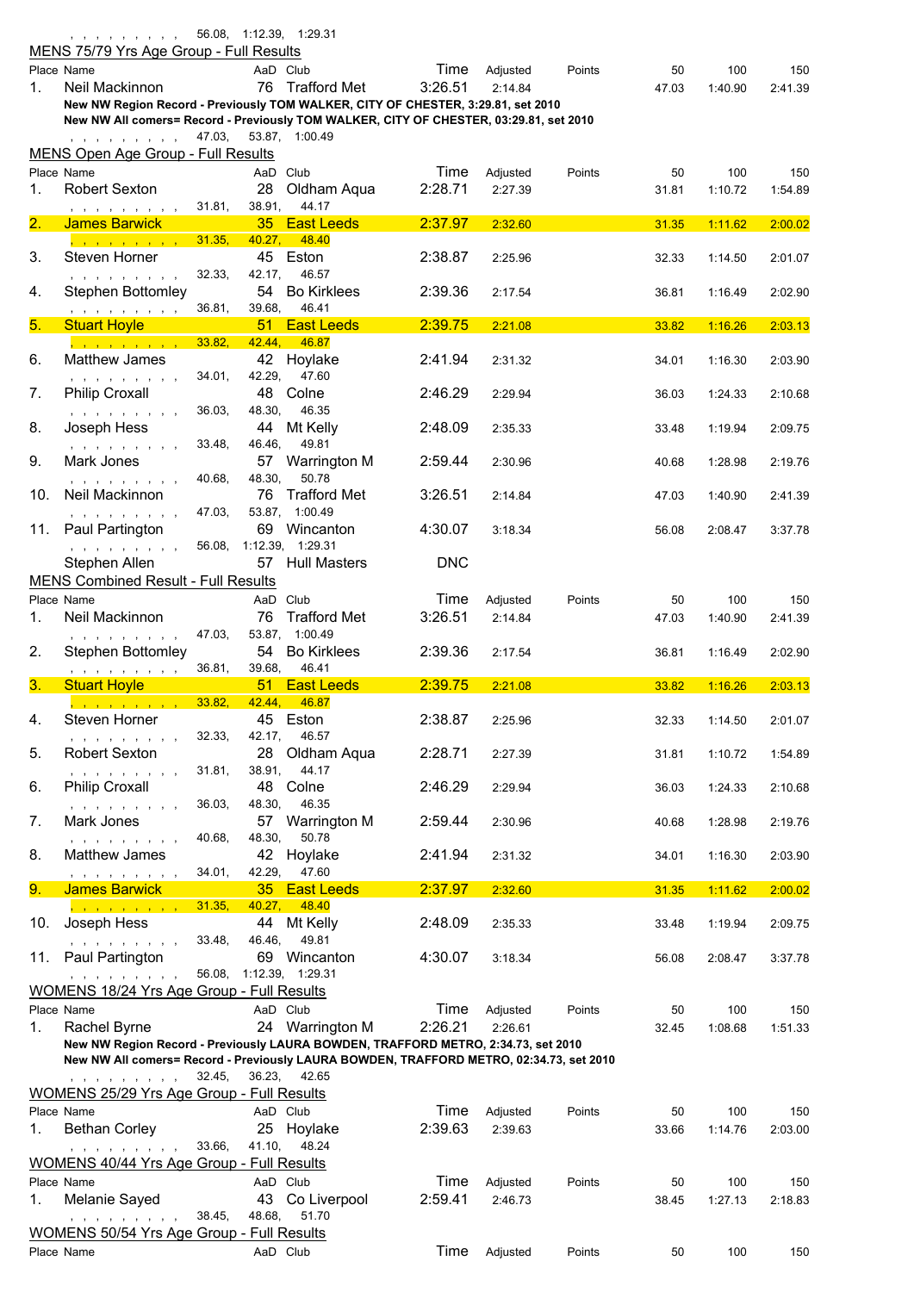|                           | .<br>MENS 75/79 Yrs Age Group - Full Results                                                                                                              |        |                           | 56.08, 1:12.39, 1:29.31      |            |                     |        |             |                |                |
|---------------------------|-----------------------------------------------------------------------------------------------------------------------------------------------------------|--------|---------------------------|------------------------------|------------|---------------------|--------|-------------|----------------|----------------|
|                           | Place Name                                                                                                                                                |        |                           | AaD Club                     | Time       | Adjusted            | Points | 50          | 100            | 150            |
| 1.                        | Neil Mackinnon                                                                                                                                            |        |                           | 76 Trafford Met              | 3:26.51    | 2:14.84             |        | 47.03       | 1:40.90        | 2:41.39        |
|                           | New NW Region Record - Previously TOM WALKER, CITY OF CHESTER, 3:29.81, set 2010                                                                          |        |                           |                              |            |                     |        |             |                |                |
|                           | New NW All comers= Record - Previously TOM WALKER, CITY OF CHESTER, 03:29.81, set 2010                                                                    | 47.03, |                           | 53.87, 1:00.49               |            |                     |        |             |                |                |
|                           | <b>MENS Open Age Group - Full Results</b>                                                                                                                 |        |                           |                              |            |                     |        |             |                |                |
|                           | Place Name                                                                                                                                                |        |                           | AaD Club                     | Time       | Adjusted            | Points | 50          | 100            | 150            |
| 1.                        | <b>Robert Sexton</b>                                                                                                                                      |        | 28                        | Oldham Aqua<br>44.17         | 2:28.71    | 2:27.39             |        | 31.81       | 1:10.72        | 1:54.89        |
| $\overline{\mathbf{2}}$ . | $\mathbf{y} = \mathbf{y} - \mathbf{y} - \mathbf{y} = \mathbf{y} - \mathbf{y} - \mathbf{y} = \mathbf{y} - \mathbf{y} = \mathbf{y}$<br><b>James Barwick</b> | 31.81, | 38.91,                    | 35 East Leeds                | 2:37.97    | 2:32.60             |        | 31.35       | 1:11.62        | 2:00.02        |
|                           | .                                                                                                                                                         | 31.35, | 40.27,                    | 48.40                        |            |                     |        |             |                |                |
| 3.                        | Steven Horner                                                                                                                                             |        | 42.17,                    | 45 Eston<br>46.57            | 2:38.87    | 2:25.96             |        | 32.33       | 1:14.50        | 2:01.07        |
| 4.                        | .<br>Stephen Bottomley                                                                                                                                    | 32.33, | 54                        | <b>Bo Kirklees</b>           | 2:39.36    | 2:17.54             |        | 36.81       | 1:16.49        | 2:02.90        |
|                           |                                                                                                                                                           | 36.81, | 39.68,                    | 46.41                        |            |                     |        |             |                |                |
| 5.                        | <b>Stuart Hoyle</b>                                                                                                                                       |        | 51                        | <b>East Leeds</b>            | 2:39.75    | 2:21.08             |        | 33.82       | 1:16.26        | 2:03.13        |
| 6.                        | .<br><b>Matthew James</b>                                                                                                                                 | 33.82, | 42.44,                    | 46.87<br>42 Hoylake          | 2:41.94    | 2:31.32             |        | 34.01       | 1:16.30        | 2:03.90        |
|                           | $\mathbf{y} = \mathbf{y} - \mathbf{y} = \mathbf{y} - \mathbf{y} = \mathbf{y} - \mathbf{y} = \mathbf{y} - \mathbf{y} = \mathbf{y}$                         | 34.01, | 42.29,                    | 47.60                        |            |                     |        |             |                |                |
| 7.                        | <b>Philip Croxall</b>                                                                                                                                     |        | 48                        | Colne                        | 2:46.29    | 2:29.94             |        | 36.03       | 1:24.33        | 2:10.68        |
| 8.                        | Joseph Hess                                                                                                                                               | 36.03, | 48.30,<br>44              | 46.35<br>Mt Kelly            | 2:48.09    | 2:35.33             |        | 33.48       | 1:19.94        | 2:09.75        |
|                           | $\mathbf{y} = \mathbf{y} - \mathbf{y} = \mathbf{y} - \mathbf{y} = \mathbf{y} - \mathbf{y} = \mathbf{y} - \mathbf{y} = \mathbf{y}$                         | 33.48, | 46.46,                    | 49.81                        |            |                     |        |             |                |                |
| 9.                        | Mark Jones                                                                                                                                                |        |                           | 57 Warrington M              | 2:59.44    | 2:30.96             |        | 40.68       | 1:28.98        | 2:19.76        |
| 10.                       | $\mathbf{r} = \mathbf{r} = \mathbf{r} = \mathbf{r} = \mathbf{r} = \mathbf{r} = \mathbf{r} = \mathbf{r} = \mathbf{r}$<br>Neil Mackinnon                    | 40.68, | 48.30,<br>76              | 50.78<br><b>Trafford Met</b> | 3:26.51    | 2:14.84             |        | 47.03       | 1:40.90        | 2:41.39        |
|                           | .                                                                                                                                                         | 47.03, |                           | 53.87, 1:00.49               |            |                     |        |             |                |                |
| 11.                       | Paul Partington                                                                                                                                           |        |                           | 69 Wincanton                 | 4:30.07    | 3:18.34             |        | 56.08       | 2:08.47        | 3:37.78        |
|                           |                                                                                                                                                           |        |                           | 56.08, 1:12.39, 1:29.31      |            |                     |        |             |                |                |
|                           | Stephen Allen<br><b>MENS Combined Result - Full Results</b>                                                                                               |        |                           | 57 Hull Masters              | <b>DNC</b> |                     |        |             |                |                |
|                           | Place Name                                                                                                                                                |        |                           | AaD Club                     | Time       | Adjusted            | Points | 50          | 100            | 150            |
| 1.                        | Neil Mackinnon                                                                                                                                            |        | 76                        | <b>Trafford Met</b>          | 3:26.51    | 2:14.84             |        | 47.03       | 1:40.90        | 2:41.39        |
|                           |                                                                                                                                                           | 47.03. |                           | 53.87, 1:00.49               |            |                     |        |             |                |                |
| 2.                        | Stephen Bottomley<br>$\mathbf{y} = \mathbf{y} - \mathbf{y} = \mathbf{y} - \mathbf{y} = \mathbf{y} - \mathbf{y} = \mathbf{y} - \mathbf{y} = \mathbf{y}$    | 36.81, | 54<br>39.68,              | <b>Bo Kirklees</b><br>46.41  | 2:39.36    | 2:17.54             |        | 36.81       | 1:16.49        | 2:02.90        |
| 3.                        | <b>Stuart Hoyle</b>                                                                                                                                       |        | 51                        | <b>East Leeds</b>            | 2:39.75    | 2:21.08             |        | 33.82       | 1:16.26        | 2:03.13        |
|                           | <u>.</u>                                                                                                                                                  | 33.82, | 42.44,                    | 46.87                        |            |                     |        |             |                |                |
| 4.                        | Steven Horner                                                                                                                                             | 32.33, | 42.17,                    | 45 Eston<br>46.57            | 2:38.87    | 2:25.96             |        | 32.33       | 1:14.50        | 2:01.07        |
| 5.                        | $\mathbf{y} = \mathbf{y} - \mathbf{y} = \mathbf{y} - \mathbf{y} = \mathbf{y} - \mathbf{y} = \mathbf{y} - \mathbf{y} = \mathbf{y}$<br><b>Robert Sexton</b> |        | 28                        | Oldham Aqua                  | 2:28.71    | 2:27.39             |        | 31.81       | 1:10.72        | 1:54.89        |
|                           | $\mathbf{y} = \mathbf{y} - \mathbf{y} - \mathbf{y} = \mathbf{y} - \mathbf{y} - \mathbf{y} = \mathbf{y} - \mathbf{y} = \mathbf{y}$                         | 31.81, | 38.91,                    | 44.17                        |            |                     |        |             |                |                |
| 6.                        | <b>Philip Croxall</b>                                                                                                                                     | 36.03, | 48<br>48.30,              | Colne<br>46.35               | 2:46.29    | 2:29.94             |        | 36.03       | 1:24.33        | 2:10.68        |
| 7.                        | $\mathbf{y} = \mathbf{y} - \mathbf{y} = \mathbf{y} - \mathbf{y} = \mathbf{y} - \mathbf{y} = \mathbf{y} - \mathbf{y} = \mathbf{y}$<br>Mark Jones           |        | 57                        | <b>Warrington M</b>          | 2:59.44    | 2:30.96             |        | 40.68       | 1:28.98        | 2:19.76        |
|                           | $1 - 1 - 1 - 1 - 1 - 1 - 1 - 1 - 1$                                                                                                                       | 40.68, | 48.30,                    | 50.78                        |            |                     |        |             |                |                |
| 8.                        | <b>Matthew James</b>                                                                                                                                      |        | 42                        | Hoylake                      | 2:41.94    | 2:31.32             |        | 34.01       | 1:16.30        | 2:03.90        |
| 9.                        | $\mathbf{y} = \mathbf{y} - \mathbf{y} = \mathbf{y} - \mathbf{y} = \mathbf{y} - \mathbf{y} = \mathbf{y} - \mathbf{y} = \mathbf{y}$<br><b>James Barwick</b> | 34.01, | 42.29,<br>35 <sub>2</sub> | 47.60<br><b>East Leeds</b>   | 2:37.97    | 2:32.60             |        | 31.35       | 1:11.62        | 2:00.02        |
|                           | .                                                                                                                                                         | 31.35, | 40.27,                    | 48.40                        |            |                     |        |             |                |                |
| 10.                       | Joseph Hess                                                                                                                                               |        | 44                        | Mt Kelly                     | 2:48.09    | 2:35.33             |        | 33.48       | 1:19.94        | 2:09.75        |
| 11.                       | $\mathbf{y} = \mathbf{y} - \mathbf{y} = \mathbf{y} - \mathbf{y} = \mathbf{y} - \mathbf{y} = \mathbf{y} - \mathbf{y} = \mathbf{y}$<br>Paul Partington      | 33.48, | 46.46,                    | 49.81<br>69 Wincanton        | 4:30.07    | 3:18.34             |        | 56.08       | 2:08.47        | 3:37.78        |
|                           | $\mathbf{y} = \mathbf{y} = \mathbf{y} = \mathbf{y} = \mathbf{y} = \mathbf{y} = \mathbf{y} = \mathbf{y} = \mathbf{y}$                                      |        |                           | 56.08, 1:12.39, 1:29.31      |            |                     |        |             |                |                |
|                           | WOMENS 18/24 Yrs Age Group - Full Results                                                                                                                 |        |                           |                              |            |                     |        |             |                |                |
|                           | Place Name                                                                                                                                                |        |                           | AaD Club                     | Time       | Adjusted            | Points | 50          | 100            | 150            |
| 1.                        | Rachel Byrne<br>New NW Region Record - Previously LAURA BOWDEN, TRAFFORD METRO, 2:34.73, set 2010                                                         |        |                           | 24 Warrington M              | 2:26.21    | 2:26.61             |        | 32.45       | 1:08.68        | 1:51.33        |
|                           | New NW All comers= Record - Previously LAURA BOWDEN, TRAFFORD METRO, 02:34.73, set 2010                                                                   |        |                           |                              |            |                     |        |             |                |                |
|                           | $1 \t1 \t1 \t1 \t1 \t1 \t1 \t1 \t1 \t1 \t1 \t1 \t1$                                                                                                       | 32.45, | 36.23,                    | 42.65                        |            |                     |        |             |                |                |
|                           | WOMENS 25/29 Yrs Age Group - Full Results<br>Place Name                                                                                                   |        |                           | AaD Club                     | Time       |                     |        |             |                |                |
| 1.                        | <b>Bethan Corley</b>                                                                                                                                      |        | 25                        | Hoylake                      | 2:39.63    | Adjusted<br>2:39.63 | Points | 50<br>33.66 | 100<br>1:14.76 | 150<br>2:03.00 |
|                           | $\mathbf{y} = \mathbf{y} - \mathbf{y} = \mathbf{y} - \mathbf{y} = \mathbf{y} - \mathbf{y} = \mathbf{y} - \mathbf{y} = \mathbf{y}$                         | 33.66, | 41.10,                    | 48.24                        |            |                     |        |             |                |                |
|                           | WOMENS 40/44 Yrs Age Group - Full Results                                                                                                                 |        |                           |                              |            |                     |        |             |                |                |
|                           | Place Name                                                                                                                                                |        |                           | AaD Club                     | Time       | Adjusted            | Points | 50          | 100            | 150            |
| 1.                        | Melanie Sayed<br>.                                                                                                                                        | 38.45, | 48.68,                    | 43 Co Liverpool<br>51.70     | 2:59.41    | 2:46.73             |        | 38.45       | 1:27.13        | 2:18.83        |
|                           | <b>WOMENS 50/54 Yrs Age Group - Full Results</b>                                                                                                          |        |                           |                              |            |                     |        |             |                |                |
|                           | Place Name                                                                                                                                                |        |                           | AaD Club                     | Time       | Adjusted            | Points | 50          | 100            | 150            |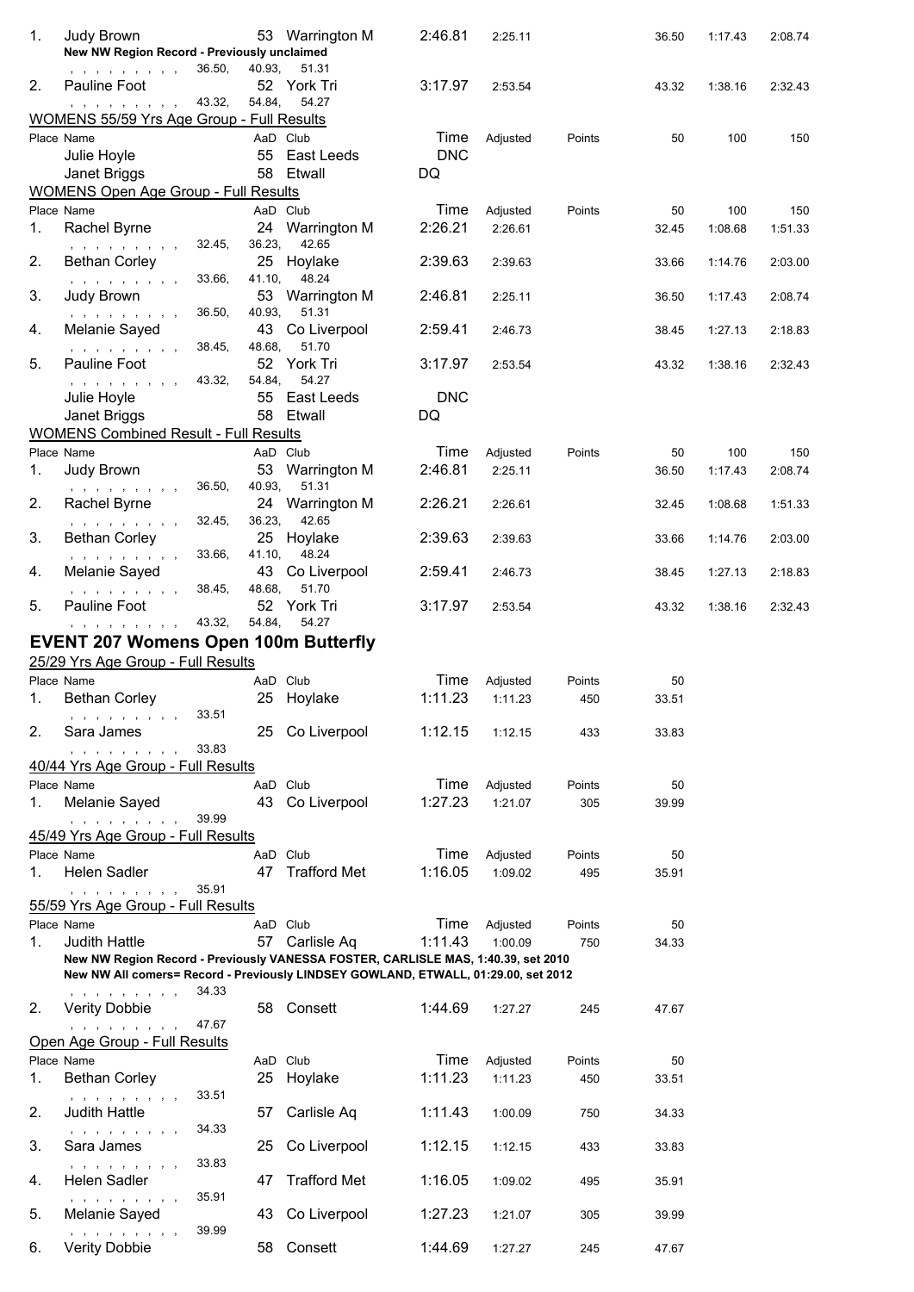| 1. | Judy Brown<br>New NW Region Record - Previously unclaimed                                                                                                                                                                                                                 | 36.50,<br>40.93, | 53 Warrington M<br>51.31 | 2:46.81         | 2:25.11             |        | 36.50       | 1:17.43 | 2:08.74 |
|----|---------------------------------------------------------------------------------------------------------------------------------------------------------------------------------------------------------------------------------------------------------------------------|------------------|--------------------------|-----------------|---------------------|--------|-------------|---------|---------|
| 2. | $\mathbf{y} = \mathbf{y} - \mathbf{y} = \mathbf{y} - \mathbf{y} = \mathbf{y} - \mathbf{y} = \mathbf{y} - \mathbf{y} = \mathbf{y}$<br>Pauline Foot<br>$\mathbf{y} = \mathbf{y} - \mathbf{y} = \mathbf{y} - \mathbf{y} = \mathbf{y} - \mathbf{y} = \mathbf{y} - \mathbf{y}$ | 54.84,<br>43.32, | 52 York Tri<br>54.27     | 3:17.97         | 2:53.54             |        | 43.32       | 1:38.16 | 2:32.43 |
|    | <b>WOMENS 55/59 Yrs Age Group - Full Results</b>                                                                                                                                                                                                                          |                  |                          |                 |                     |        |             |         |         |
|    | Place Name                                                                                                                                                                                                                                                                | AaD Club         |                          | Time            | Adjusted            | Points | 50          | 100     | 150     |
|    | Julie Hoyle                                                                                                                                                                                                                                                               | 55               | East Leeds               | <b>DNC</b>      |                     |        |             |         |         |
|    | Janet Briggs                                                                                                                                                                                                                                                              |                  | 58 Etwall                | DQ              |                     |        |             |         |         |
|    | <b>WOMENS Open Age Group - Full Results</b>                                                                                                                                                                                                                               |                  |                          |                 |                     |        |             |         |         |
|    | Place Name                                                                                                                                                                                                                                                                |                  | AaD Club                 | Time            | Adjusted            | Points | 50          | 100     | 150     |
| 1. | Rachel Byrne                                                                                                                                                                                                                                                              |                  | 24 Warrington M          | 2:26.21         | 2:26.61             |        | 32.45       | 1:08.68 | 1:51.33 |
|    | $\mathbf{y} = \mathbf{y} = \mathbf{y} = \mathbf{y} = \mathbf{y} = \mathbf{y} = \mathbf{y} = \mathbf{y} = \mathbf{y}$                                                                                                                                                      | 36.23,<br>32.45, | 42.65                    |                 |                     |        |             |         |         |
| 2. | <b>Bethan Corley</b>                                                                                                                                                                                                                                                      | 25               | Hoylake                  | 2:39.63         | 2:39.63             |        | 33.66       | 1:14.76 | 2:03.00 |
|    | $\mathbf{y} = \mathbf{y} - \mathbf{y} = \mathbf{y} - \mathbf{y} = \mathbf{y} - \mathbf{y} = \mathbf{y} - \mathbf{y} = \mathbf{y}$                                                                                                                                         | 41.10,<br>33.66, | 48.24                    |                 |                     |        |             |         |         |
| 3. | Judy Brown                                                                                                                                                                                                                                                                | 53               | <b>Warrington M</b>      | 2:46.81         | 2:25.11             |        | 36.50       | 1:17.43 | 2:08.74 |
|    | $\mathbf{y} = \mathbf{y} - \mathbf{y} = \mathbf{y} - \mathbf{y} = \mathbf{y} - \mathbf{y} = \mathbf{y} - \mathbf{y}$                                                                                                                                                      | 40.93,<br>36.50, | 51.31                    |                 |                     |        |             |         |         |
| 4. | Melanie Sayed                                                                                                                                                                                                                                                             | 43               | Co Liverpool             | 2:59.41         | 2:46.73             |        | 38.45       | 1:27.13 | 2:18.83 |
|    | $\mathbf{y} = \mathbf{y} - \mathbf{y} = \mathbf{y} - \mathbf{y} = \mathbf{y} - \mathbf{y} = \mathbf{y} - \mathbf{y} = \mathbf{y}$                                                                                                                                         | 48.68,<br>38.45, | 51.70                    |                 |                     |        |             |         |         |
| 5. | Pauline Foot                                                                                                                                                                                                                                                              |                  | 52 York Tri              | 3:17.97         | 2:53.54             |        | 43.32       | 1:38.16 | 2:32.43 |
|    | $\mathbf{y} = \mathbf{y} - \mathbf{y} - \mathbf{y} - \mathbf{y} - \mathbf{y} - \mathbf{y} - \mathbf{y} - \mathbf{y} - \mathbf{y}$                                                                                                                                         | 54.84,<br>43.32, | 54.27                    |                 |                     |        |             |         |         |
|    | Julie Hoyle                                                                                                                                                                                                                                                               |                  | 55 East Leeds            | <b>DNC</b>      |                     |        |             |         |         |
|    | Janet Briggs                                                                                                                                                                                                                                                              |                  | 58 Etwall                | DQ              |                     |        |             |         |         |
|    | <b>WOMENS Combined Result - Full Results</b>                                                                                                                                                                                                                              |                  |                          |                 |                     |        |             |         |         |
| 1. | Place Name                                                                                                                                                                                                                                                                | 53               | AaD Club                 | Time<br>2:46.81 | Adjusted<br>2:25.11 | Points | 50          | 100     | 150     |
|    | Judy Brown                                                                                                                                                                                                                                                                | 36.50,<br>40.93, | Warrington M<br>51.31    |                 |                     |        | 36.50       | 1:17.43 | 2:08.74 |
| 2. | $\mathbf{y} = \mathbf{y} - \mathbf{y} = \mathbf{y} - \mathbf{y} = \mathbf{y} - \mathbf{y} = \mathbf{y} - \mathbf{y} = \mathbf{y}$<br>Rachel Byrne                                                                                                                         |                  | 24 Warrington M          | 2:26.21         | 2:26.61             |        | 32.45       | 1:08.68 | 1:51.33 |
|    |                                                                                                                                                                                                                                                                           | 36.23,<br>32.45, | 42.65                    |                 |                     |        |             |         |         |
| 3. | $\mathbf{y} = \mathbf{y} - \mathbf{y} = \mathbf{y} - \mathbf{y} = \mathbf{y} - \mathbf{y} = \mathbf{y} - \mathbf{y} = \mathbf{y}$<br><b>Bethan Corley</b>                                                                                                                 |                  | 25 Hoylake               | 2:39.63         | 2:39.63             |        | 33.66       | 1:14.76 | 2:03.00 |
|    | $\mathbf{y} = \mathbf{y} - \mathbf{y} = \mathbf{y} - \mathbf{y} = \mathbf{y} - \mathbf{y} = \mathbf{y} - \mathbf{y} = \mathbf{y}$                                                                                                                                         | 41.10,<br>33.66, | 48.24                    |                 |                     |        |             |         |         |
| 4. | Melanie Sayed                                                                                                                                                                                                                                                             | 43               | Co Liverpool             | 2:59.41         | 2:46.73             |        | 38.45       | 1:27.13 | 2:18.83 |
|    |                                                                                                                                                                                                                                                                           | 48.68,<br>38.45, | 51.70                    |                 |                     |        |             |         |         |
| 5. | Pauline Foot                                                                                                                                                                                                                                                              |                  | 52 York Tri              | 3:17.97         | 2:53.54             |        | 43.32       | 1:38.16 | 2:32.43 |
|    | , , , , , , , , ,                                                                                                                                                                                                                                                         | 54.84,<br>43.32, | 54.27                    |                 |                     |        |             |         |         |
|    | <b>EVENT 207 Womens Open 100m Butterfly</b>                                                                                                                                                                                                                               |                  |                          |                 |                     |        |             |         |         |
|    | 25/29 Yrs Age Group - Full Results                                                                                                                                                                                                                                        |                  |                          |                 |                     |        |             |         |         |
|    | Place Name                                                                                                                                                                                                                                                                | AaD Club         |                          | Time            | Adjusted            | Points | 50          |         |         |
| 1. | <b>Bethan Corley</b>                                                                                                                                                                                                                                                      |                  | 25 Hoylake               | 1:11.23         | 1:11.23             | 450    | 33.51       |         |         |
|    | $\mathbf{y} = \mathbf{y} - \mathbf{y} - \mathbf{y} = \mathbf{y} - \mathbf{y} - \mathbf{y} = \mathbf{y} - \mathbf{y} - \mathbf{y}$                                                                                                                                         | 33.51            |                          |                 |                     |        |             |         |         |
| 2. | Sara James                                                                                                                                                                                                                                                                |                  | 25 Co Liverpool          | 1:12.15         | 1:12.15             | 433    | 33.83       |         |         |
|    | $1 - 1 - 1 - 1 - 1 - 1 - 1 - 1 - 1 - 1$                                                                                                                                                                                                                                   | 33.83            |                          |                 |                     |        |             |         |         |
|    | 40/44 Yrs Age Group - Full Results<br>Place Name                                                                                                                                                                                                                          | AaD Club         |                          | Time            | Adjusted            | Points | 50          |         |         |
| 1. | Melanie Sayed                                                                                                                                                                                                                                                             |                  | 43 Co Liverpool          | 1:27.23         | 1:21.07             | 305    | 39.99       |         |         |
|    | .                                                                                                                                                                                                                                                                         | 39.99            |                          |                 |                     |        |             |         |         |
|    | 45/49 Yrs Age Group - Full Results                                                                                                                                                                                                                                        |                  |                          |                 |                     |        |             |         |         |
|    | Place Name                                                                                                                                                                                                                                                                |                  | AaD Club                 | Time            | Adjusted            | Points | 50          |         |         |
| 1. | <b>Helen Sadler</b>                                                                                                                                                                                                                                                       |                  | 47 Trafford Met          | 1:16.05         | 1:09.02             | 495    | 35.91       |         |         |
|    | $\mathbf{y} = \mathbf{y} - \mathbf{y} = \mathbf{y} - \mathbf{y} = \mathbf{y} - \mathbf{y} = \mathbf{y} - \mathbf{y} = \mathbf{y}$                                                                                                                                         | 35.91            |                          |                 |                     |        |             |         |         |
|    | 55/59 Yrs Age Group - Full Results                                                                                                                                                                                                                                        |                  |                          |                 |                     |        |             |         |         |
|    | Place Name                                                                                                                                                                                                                                                                | AaD Club         |                          | Time            | Adjusted            | Points | 50          |         |         |
| 1. | <b>Judith Hattle</b>                                                                                                                                                                                                                                                      |                  | 57 Carlisle Aq           | 1:11.43         | 1:00.09             | 750    | 34.33       |         |         |
|    | New NW Region Record - Previously VANESSA FOSTER, CARLISLE MAS, 1:40.39, set 2010                                                                                                                                                                                         |                  |                          |                 |                     |        |             |         |         |
|    | New NW All comers= Record - Previously LINDSEY GOWLAND, ETWALL, 01:29.00, set 2012                                                                                                                                                                                        |                  |                          |                 |                     |        |             |         |         |
|    |                                                                                                                                                                                                                                                                           | 34.33            |                          |                 |                     |        |             |         |         |
| 2. | <b>Verity Dobbie</b>                                                                                                                                                                                                                                                      | 47.67            | 58 Consett               | 1:44.69         | 1:27.27             | 245    | 47.67       |         |         |
|    | $\mathbf{y} = \mathbf{y} - \mathbf{y} = \mathbf{y} - \mathbf{y} = \mathbf{y} - \mathbf{y} = \mathbf{y} - \mathbf{y} = \mathbf{y}$<br>Open Age Group - Full Results                                                                                                        |                  |                          |                 |                     |        |             |         |         |
|    | Place Name                                                                                                                                                                                                                                                                |                  | AaD Club                 | Time            |                     | Points |             |         |         |
| 1. | <b>Bethan Corley</b>                                                                                                                                                                                                                                                      | 25               | Hoylake                  | 1:11.23         | Adjusted<br>1:11.23 | 450    | 50<br>33.51 |         |         |
|    |                                                                                                                                                                                                                                                                           | 33.51            |                          |                 |                     |        |             |         |         |
| 2. | $\mathbf{y} = \mathbf{y} - \mathbf{y} = \mathbf{y} - \mathbf{y} = \mathbf{y} - \mathbf{y} = \mathbf{y} - \mathbf{y} = \mathbf{y}$<br><b>Judith Hattle</b>                                                                                                                 | 57               | Carlisle Aq              | 1:11.43         | 1:00.09             | 750    | 34.33       |         |         |
|    | $\mathbf{y} = \mathbf{y} - \mathbf{y} = \mathbf{y} - \mathbf{y} = \mathbf{y} - \mathbf{y} = \mathbf{y} - \mathbf{y} = \mathbf{y}$                                                                                                                                         | 34.33            |                          |                 |                     |        |             |         |         |
| 3. | Sara James                                                                                                                                                                                                                                                                | 25               | Co Liverpool             | 1:12.15         | 1:12.15             | 433    | 33.83       |         |         |
|    | $\mathbf{y} = \mathbf{y} - \mathbf{y} = \mathbf{y} - \mathbf{y} = \mathbf{y} - \mathbf{y} = \mathbf{y} - \mathbf{y} = \mathbf{y}$                                                                                                                                         | 33.83            |                          |                 |                     |        |             |         |         |
| 4. | Helen Sadler                                                                                                                                                                                                                                                              | 47               | <b>Trafford Met</b>      | 1:16.05         | 1:09.02             | 495    | 35.91       |         |         |
|    |                                                                                                                                                                                                                                                                           |                  |                          |                 |                     |        |             |         |         |
|    | $\mathbf{y} = \mathbf{y} - \mathbf{y} = \mathbf{y} - \mathbf{y} = \mathbf{y} - \mathbf{y} = \mathbf{y} - \mathbf{y} = \mathbf{y}$                                                                                                                                         | 35.91            |                          |                 |                     |        |             |         |         |
| 5. | Melanie Sayed                                                                                                                                                                                                                                                             | 43               | Co Liverpool             | 1:27.23         | 1:21.07             | 305    | 39.99       |         |         |
| 6. | $\mathbf{y} = \mathbf{y} - \mathbf{y} = \mathbf{y} - \mathbf{y} = \mathbf{y} - \mathbf{y} = \mathbf{y} - \mathbf{y} = \mathbf{y}$<br><b>Verity Dobbie</b>                                                                                                                 | 39.99<br>58      | Consett                  | 1:44.69         | 1:27.27             | 245    | 47.67       |         |         |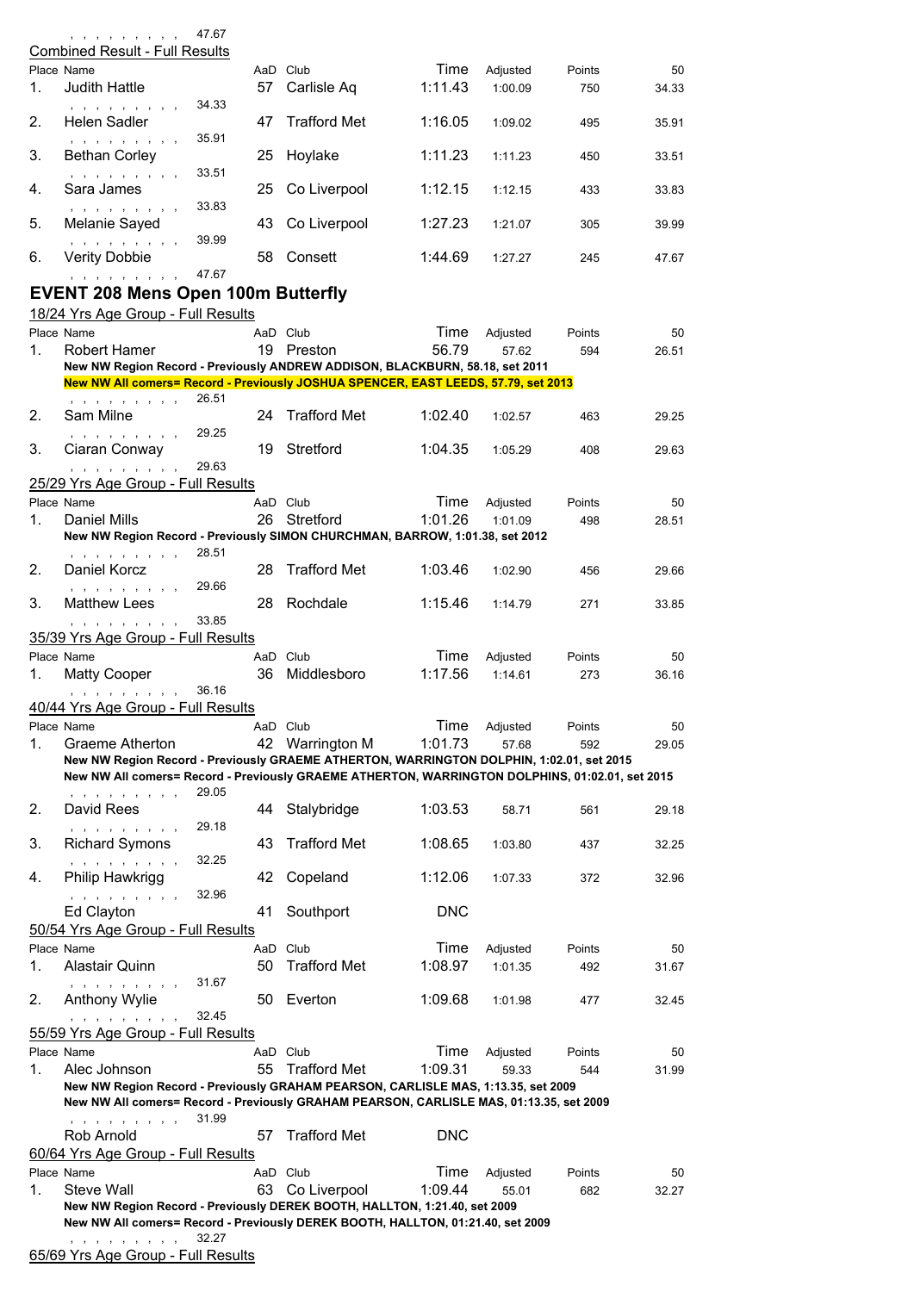|    | <b>Combined Result - Full Results</b>                                                                                                                                                                     | 47.67 |     |                     |            |          |        |       |
|----|-----------------------------------------------------------------------------------------------------------------------------------------------------------------------------------------------------------|-------|-----|---------------------|------------|----------|--------|-------|
|    | Place Name                                                                                                                                                                                                |       |     | AaD Club            | Time       | Adjusted | Points | 50    |
| 1. | <b>Judith Hattle</b>                                                                                                                                                                                      | 34.33 | 57  | Carlisle Aq         | 1:11.43    | 1:00.09  | 750    | 34.33 |
| 2. | $\mathbf{y} = \mathbf{y} = \mathbf{y} = \mathbf{y} = \mathbf{y} = \mathbf{y} = \mathbf{y} = \mathbf{y} = \mathbf{y}$<br><b>Helen Sadler</b>                                                               | 35.91 | 47  | <b>Trafford Met</b> | 1:16.05    | 1:09.02  | 495    | 35.91 |
| 3. | $\mathbf{y} = \mathbf{y} - \mathbf{y} = \mathbf{y} - \mathbf{y} = \mathbf{y} - \mathbf{y} = \mathbf{y} - \mathbf{y} = \mathbf{y}$<br>Bethan Corley                                                        | 33.51 | 25  | Hoylake             | 1:11.23    | 1:11.23  | 450    | 33.51 |
| 4. | $\mathbf{y} = \mathbf{y} - \mathbf{y} = \mathbf{y} - \mathbf{y} = \mathbf{y} - \mathbf{y} = \mathbf{y} - \mathbf{y} = \mathbf{y}$<br>Sara James                                                           | 33.83 | 25  | Co Liverpool        | 1:12.15    | 1:12.15  | 433    | 33.83 |
| 5. | Melanie Sayed                                                                                                                                                                                             | 39.99 | 43  | Co Liverpool        | 1:27.23    | 1:21.07  | 305    | 39.99 |
| 6. | $\mathbf{y} = \mathbf{y} - \mathbf{y} = \mathbf{y} - \mathbf{y} = \mathbf{y} - \mathbf{y} = \mathbf{y} - \mathbf{y} = \mathbf{y}$<br><b>Verity Dobbie</b>                                                 | 47.67 |     | 58 Consett          | 1:44.69    | 1:27.27  | 245    | 47.67 |
|    | $\mathbf{y} = \mathbf{y} - \mathbf{y} = \mathbf{y} - \mathbf{y} = \mathbf{y} - \mathbf{y} = \mathbf{y} - \mathbf{y} = \mathbf{y}$<br><b>EVENT 208 Mens Open 100m Butterfly</b>                            |       |     |                     |            |          |        |       |
|    | 18/24 Yrs Age Group - Full Results                                                                                                                                                                        |       |     |                     |            |          |        |       |
|    | Place Name                                                                                                                                                                                                |       |     | AaD Club            | Time       | Adjusted | Points | 50    |
| 1. | <b>Robert Hamer</b>                                                                                                                                                                                       |       |     | 19 Preston          | 56.79      | 57.62    | 594    | 26.51 |
|    | New NW Region Record - Previously ANDREW ADDISON, BLACKBURN, 58.18, set 2011                                                                                                                              |       |     |                     |            |          |        |       |
|    | New NW All comers= Record - Previously JOSHUA SPENCER, EAST LEEDS, 57.79, set 2013                                                                                                                        |       |     |                     |            |          |        |       |
|    | $\mathbf{y} = \mathbf{y} - \mathbf{y} = \mathbf{y} - \mathbf{y} = \mathbf{y} - \mathbf{y} = \mathbf{y} - \mathbf{y} = \mathbf{y}$                                                                         | 26.51 |     |                     |            |          |        |       |
| 2. | Sam Milne                                                                                                                                                                                                 | 29.25 | 24  | <b>Trafford Met</b> | 1:02.40    | 1:02.57  | 463    | 29.25 |
| 3. | $\mathbf{y} = \mathbf{y} - \mathbf{y} = \mathbf{y} - \mathbf{y} = \mathbf{y} - \mathbf{y} = \mathbf{y} - \mathbf{y} = \mathbf{y}$<br>Ciaran Conway<br>$1 \t1 \t1 \t1 \t1 \t1 \t1 \t1 \t1 \t1 \t1 \t1 \t1$ | 29.63 | 19. | Stretford           | 1:04.35    | 1:05.29  | 408    | 29.63 |
|    | 25/29 Yrs Age Group - Full Results                                                                                                                                                                        |       |     |                     |            |          |        |       |
|    | Place Name                                                                                                                                                                                                |       |     | AaD Club            | Time       | Adjusted | Points | 50    |
| 1. | Daniel Mills                                                                                                                                                                                              |       | 26  | Stretford           | 1:01.26    | 1:01.09  | 498    | 28.51 |
|    | New NW Region Record - Previously SIMON CHURCHMAN, BARROW, 1:01.38, set 2012                                                                                                                              |       |     |                     |            |          |        |       |
|    |                                                                                                                                                                                                           | 28.51 |     |                     |            |          |        |       |
| 2. | Daniel Korcz                                                                                                                                                                                              |       | 28  | <b>Trafford Met</b> | 1:03.46    | 1:02.90  | 456    | 29.66 |
| 3. | <b>Matthew Lees</b>                                                                                                                                                                                       | 29.66 | 28  | Rochdale            | 1:15.46    | 1:14.79  | 271    | 33.85 |
|    | $\mathbf{y} = \mathbf{y} - \mathbf{y} - \mathbf{y} = \mathbf{y} - \mathbf{y} - \mathbf{y} = \mathbf{y} - \mathbf{y} = \mathbf{y}$<br>35/39 Yrs Age Group - Full Results                                   | 33.85 |     |                     |            |          |        |       |
|    | Place Name                                                                                                                                                                                                |       |     | AaD Club            | Time       | Adjusted | Points | 50    |
| 1. | <b>Matty Cooper</b>                                                                                                                                                                                       |       | 36  | Middlesboro         | 1:17.56    | 1:14.61  | 273    | 36.16 |
|    | $\mathbf{y} = \mathbf{y} - \mathbf{y} = \mathbf{y} - \mathbf{y} = \mathbf{y} - \mathbf{y} = \mathbf{y} - \mathbf{y} = \mathbf{y}$                                                                         | 36.16 |     |                     |            |          |        |       |
|    | 40/44 Yrs Age Group - Full Results                                                                                                                                                                        |       |     |                     |            |          |        |       |
|    | Place Name                                                                                                                                                                                                |       |     | AaD Club            | Time       | Adjusted | Points | 50    |
| 1. | <b>Graeme Atherton</b>                                                                                                                                                                                    |       | 42  | Warrington M        | 1:01.73    | 57.68    | 592    | 29.05 |
|    | New NW Region Record - Previously GRAEME ATHERTON, WARRINGTON DOLPHIN, 1:02.01, set 2015                                                                                                                  |       |     |                     |            |          |        |       |
|    | New NW All comers= Record - Previously GRAEME ATHERTON, WARRINGTON DOLPHINS, 01:02.01, set 2015                                                                                                           |       |     |                     |            |          |        |       |
| 2. | $\mathbf{y} = \mathbf{y} - \mathbf{y} = \mathbf{y} - \mathbf{y} = \mathbf{y} - \mathbf{y} = \mathbf{y} - \mathbf{y} = \mathbf{y}$<br>David Rees                                                           | 29.05 | 44  | Stalybridge         | 1:03.53    | 58.71    | 561    | 29.18 |
| 3. | $\mathbf{y} = \mathbf{y} = \mathbf{y} = \mathbf{y} = \mathbf{y} = \mathbf{y} = \mathbf{y} = \mathbf{y} = \mathbf{y}$<br><b>Richard Symons</b>                                                             | 29.18 | 43  | <b>Trafford Met</b> | 1:08.65    | 1:03.80  | 437    | 32.25 |
|    | Philip Hawkrigg                                                                                                                                                                                           | 32.25 | 42  |                     |            |          |        |       |
| 4. | $1 - 1 - 1 - 1 - 1 - 1 - 1 - 1 - 1 - 1$                                                                                                                                                                   | 32.96 |     | Copeland            | 1:12.06    | 1:07.33  | 372    | 32.96 |
|    | Ed Clayton<br>50/54 Yrs Age Group - Full Results                                                                                                                                                          |       | 41  | Southport           | <b>DNC</b> |          |        |       |
|    | Place Name                                                                                                                                                                                                |       |     | AaD Club            | Time       | Adjusted | Points | 50    |
| 1. | <b>Alastair Quinn</b>                                                                                                                                                                                     |       | 50  | <b>Trafford Met</b> | 1:08.97    | 1:01.35  | 492    | 31.67 |
|    | $\mathbf{y} = \mathbf{y} - \mathbf{y} = \mathbf{y} - \mathbf{y} = \mathbf{y} - \mathbf{y} = \mathbf{y} - \mathbf{y} = \mathbf{y}$                                                                         | 31.67 |     |                     |            |          |        |       |
| 2. | <b>Anthony Wylie</b>                                                                                                                                                                                      | 32.45 | 50  | Everton             | 1:09.68    | 1:01.98  | 477    | 32.45 |
|    | $\mathbf{y} = \mathbf{y} - \mathbf{y} = \mathbf{y} - \mathbf{y} = \mathbf{y} - \mathbf{y} = \mathbf{y} - \mathbf{y} = \mathbf{y}$<br>55/59 Yrs Age Group - Full Results                                   |       |     |                     |            |          |        |       |
|    | Place Name                                                                                                                                                                                                |       |     | AaD Club            | Time       | Adjusted | Points | 50    |
| 1. | Alec Johnson                                                                                                                                                                                              |       | 55  | <b>Trafford Met</b> | 1:09.31    | 59.33    | 544    | 31.99 |
|    |                                                                                                                                                                                                           |       |     |                     |            |          |        |       |
|    | New NW Region Record - Previously GRAHAM PEARSON, CARLISLE MAS, 1:13.35, set 2009                                                                                                                         |       |     |                     |            |          |        |       |
|    | New NW All comers= Record - Previously GRAHAM PEARSON, CARLISLE MAS, 01:13.35, set 2009                                                                                                                   |       |     |                     |            |          |        |       |
|    | , , , , , , , , ,                                                                                                                                                                                         | 31.99 |     |                     | <b>DNC</b> |          |        |       |
|    | Rob Arnold<br>60/64 Yrs Age Group - Full Results                                                                                                                                                          |       | 57  | <b>Trafford Met</b> |            |          |        |       |
|    | Place Name                                                                                                                                                                                                |       |     | AaD Club            | Time       |          | Points |       |
| 1. | Steve Wall                                                                                                                                                                                                |       |     | 63 Co Liverpool     | 1:09.44    | Adjusted |        | 50    |
|    | New NW Region Record - Previously DEREK BOOTH, HALLTON, 1:21.40, set 2009                                                                                                                                 |       |     |                     |            | 55.01    | 682    | 32.27 |
|    | New NW All comers= Record - Previously DEREK BOOTH, HALLTON, 01:21.40, set 2009                                                                                                                           |       |     |                     |            |          |        |       |
|    | , , , , , , , , ,                                                                                                                                                                                         | 32.27 |     |                     |            |          |        |       |

65/69 Yrs Age Group - Full Results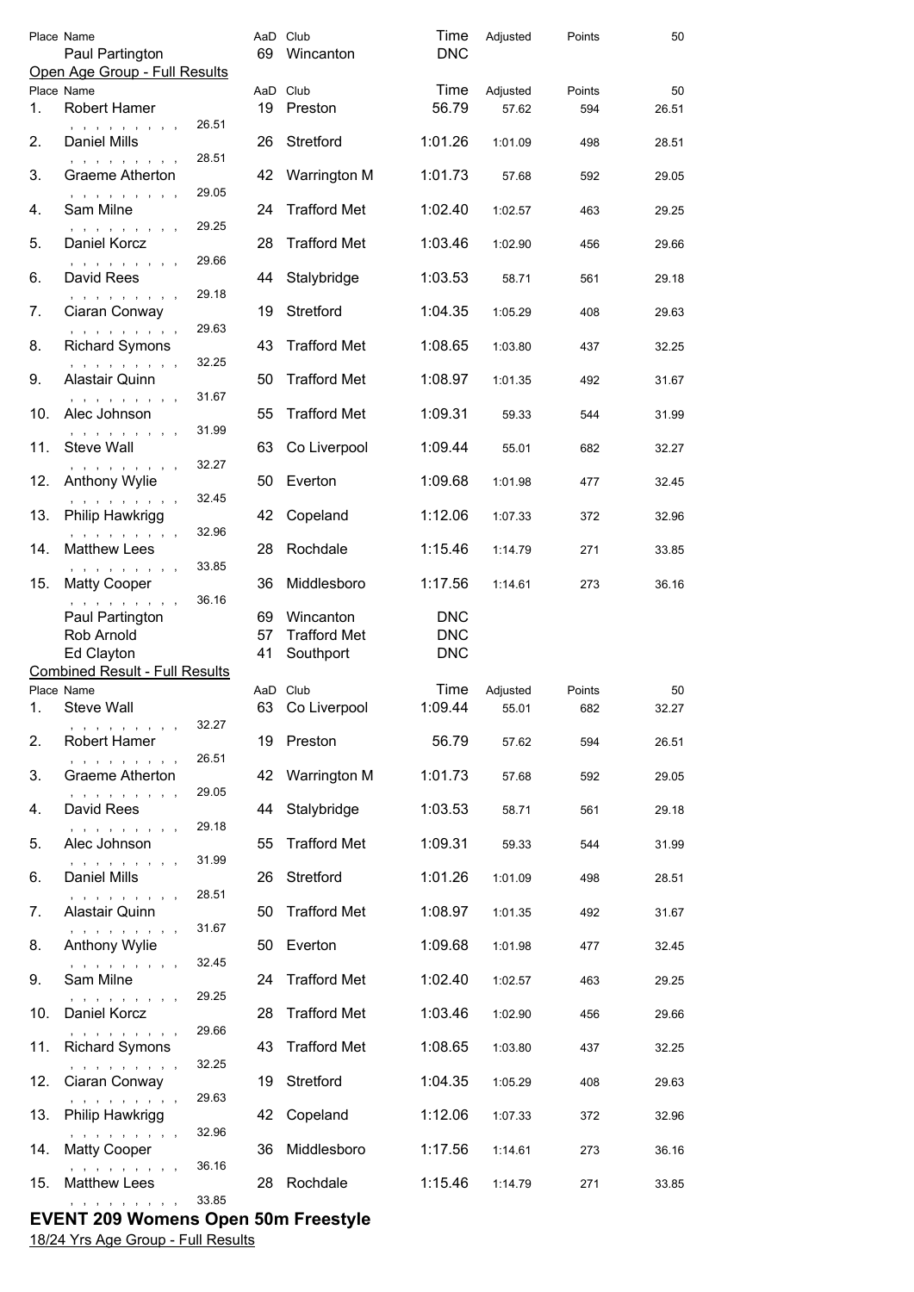|     | Place Name<br>Paul Partington                                                                                                                                                                                             | 69             | AaD Club<br>Wincanton                         | Time<br><b>DNC</b>                     | Adjusted          | Points        | 50          |
|-----|---------------------------------------------------------------------------------------------------------------------------------------------------------------------------------------------------------------------------|----------------|-----------------------------------------------|----------------------------------------|-------------------|---------------|-------------|
|     | Open Age Group - Full Results                                                                                                                                                                                             |                |                                               |                                        |                   |               |             |
| 1.  | Place Name<br><b>Robert Hamer</b>                                                                                                                                                                                         | 19<br>26.51    | AaD Club<br>Preston                           | Time<br>56.79                          | Adjusted<br>57.62 | Points<br>594 | 50<br>26.51 |
| 2.  | <b>Daniel Mills</b><br>$\mathbf{y} = \mathbf{y} - \mathbf{y} = \mathbf{y} - \mathbf{y} = \mathbf{y} - \mathbf{y} = \mathbf{y} - \mathbf{y} = \mathbf{y}$                                                                  | 26<br>28.51    | Stretford                                     | 1:01.26                                | 1:01.09           | 498           | 28.51       |
| 3.  | Graeme Atherton                                                                                                                                                                                                           | 42<br>29.05    | Warrington M                                  | 1:01.73                                | 57.68             | 592           | 29.05       |
| 4.  | $\mathbf{y} = \mathbf{y} = \mathbf{y} = \mathbf{y} = \mathbf{y} = \mathbf{y} = \mathbf{y} = \mathbf{y} = \mathbf{y}$<br>Sam Milne                                                                                         | 24<br>29.25    | <b>Trafford Met</b>                           | 1:02.40                                | 1:02.57           | 463           | 29.25       |
| 5.  | .<br>Daniel Korcz                                                                                                                                                                                                         | 28<br>29.66    | <b>Trafford Met</b>                           | 1:03.46                                | 1:02.90           | 456           | 29.66       |
| 6.  | $\mathbf{r} = \mathbf{r} = \mathbf{r} = \mathbf{r} = \mathbf{r} = \mathbf{r} = \mathbf{r} = \mathbf{r} = \mathbf{r}$<br>David Rees                                                                                        | 44<br>29.18    | Stalybridge                                   | 1:03.53                                | 58.71             | 561           | 29.18       |
| 7.  | .<br>Ciaran Conway                                                                                                                                                                                                        | 19<br>29.63    | Stretford                                     | 1:04.35                                | 1:05.29           | 408           | 29.63       |
| 8.  | $\mathbf{y} = \mathbf{y} = \mathbf{y} = \mathbf{y} = \mathbf{y} = \mathbf{y} = \mathbf{y} = \mathbf{y} = \mathbf{y}$<br><b>Richard Symons</b>                                                                             | 43<br>32.25    | <b>Trafford Met</b>                           | 1:08.65                                | 1:03.80           | 437           | 32.25       |
| 9.  | $\mathbf{y} = \mathbf{y} - \mathbf{y} - \mathbf{y} = \mathbf{y} - \mathbf{y} - \mathbf{y} = \mathbf{y} - \mathbf{y} = \mathbf{y}$<br><b>Alastair Quinn</b>                                                                | 50<br>31.67    | <b>Trafford Met</b>                           | 1:08.97                                | 1:01.35           | 492           | 31.67       |
| 10. | $\mathbf{y} = \mathbf{y} - \mathbf{y} = \mathbf{y} - \mathbf{y} = \mathbf{y} - \mathbf{y} = \mathbf{y} - \mathbf{y} = \mathbf{y}$<br>Alec Johnson                                                                         | 55<br>31.99    | <b>Trafford Met</b>                           | 1:09.31                                | 59.33             | 544           | 31.99       |
| 11. | $\mathbf{y} = \mathbf{y} - \mathbf{y} = \mathbf{y} - \mathbf{y} = \mathbf{y} - \mathbf{y} = \mathbf{y} - \mathbf{y} = \mathbf{y}$<br>Steve Wall                                                                           | 63<br>32.27    | Co Liverpool                                  | 1:09.44                                | 55.01             | 682           | 32.27       |
| 12. | Anthony Wylie                                                                                                                                                                                                             | 50<br>32.45    | Everton                                       | 1:09.68                                | 1:01.98           | 477           | 32.45       |
| 13. | , , , , , , , , ,<br>Philip Hawkrigg                                                                                                                                                                                      | 42<br>32.96    | Copeland                                      | 1:12.06                                | 1:07.33           | 372           | 32.96       |
| 14. | .<br><b>Matthew Lees</b>                                                                                                                                                                                                  | 28<br>33.85    | Rochdale                                      | 1:15.46                                | 1:14.79           | 271           | 33.85       |
| 15. | , , , , , , , , , ,<br>, , , ,<br><b>Matty Cooper</b>                                                                                                                                                                     | 36<br>36.16    | Middlesboro                                   | 1:17.56                                | 1:14.61           | 273           | 36.16       |
|     | $\mathbf{y} = \mathbf{y} - \mathbf{y} = \mathbf{y} - \mathbf{y} = \mathbf{y} - \mathbf{y} = \mathbf{y} - \mathbf{y} = \mathbf{y}$<br>Paul Partington<br>Rob Arnold<br>Ed Clayton<br><b>Combined Result - Full Results</b> | 69<br>57<br>41 | Wincanton<br><b>Trafford Met</b><br>Southport | <b>DNC</b><br><b>DNC</b><br><b>DNC</b> |                   |               |             |
|     | Place Name                                                                                                                                                                                                                |                |                                               | Time                                   |                   |               |             |
| 1.  | Steve Wall                                                                                                                                                                                                                | 32.27          | AaD Club<br>63 Co Liverpool                   | 1:09.44                                | Adjusted<br>55.01 | Points<br>682 | 50<br>32.27 |
| 2.  | $\mathbf{y} = \mathbf{y} - \mathbf{y} - \mathbf{y} = \mathbf{y} - \mathbf{y} - \mathbf{y} = \mathbf{y} - \mathbf{y} - \mathbf{y}$<br>Robert Hamer                                                                         | 26.51          | 19 Preston                                    | 56.79                                  | 57.62             | 594           | 26.51       |
| 3.  | $1 - 1 - 1 - 1 - 1 - 1 - 1 - 1 - 1 - 1$<br>Graeme Atherton                                                                                                                                                                | 42<br>29.05    | Warrington M                                  | 1:01.73                                | 57.68             | 592           | 29.05       |
| 4.  | $1 - 1 - 1 - 1 - 1 - 1 - 1 - 1 - 1 - 1$<br>David Rees                                                                                                                                                                     | 44<br>29.18    | Stalybridge                                   | 1:03.53                                | 58.71             | 561           | 29.18       |
| 5.  | $\mathbf{y} = \mathbf{y} = \mathbf{y} = \mathbf{y} = \mathbf{y} = \mathbf{y} = \mathbf{y} = \mathbf{y} = \mathbf{y}$<br>Alec Johnson                                                                                      | 55<br>31.99    | <b>Trafford Met</b>                           | 1:09.31                                | 59.33             | 544           | 31.99       |
| 6.  | $\begin{array}{cccccccccccccc} &\bullet &\bullet &\bullet &\bullet &\bullet &\bullet &\bullet &\bullet &\bullet &\bullet \end{array}$<br>Daniel Mills<br>.                                                                | 26<br>28.51    | Stretford                                     | 1:01.26                                | 1:01.09           | 498           | 28.51       |
| 7.  | Alastair Quinn                                                                                                                                                                                                            | 50<br>31.67    | <b>Trafford Met</b>                           | 1:08.97                                | 1:01.35           | 492           | 31.67       |
| 8.  | $1 - 1 - 1 - 1 - 1 - 1 - 1 - 1 - 1 - 1$<br>Anthony Wylie                                                                                                                                                                  | 50<br>32.45    | Everton                                       | 1:09.68                                | 1:01.98           | 477           | 32.45       |
| 9.  | .<br>Sam Milne                                                                                                                                                                                                            | 24<br>29.25    | <b>Trafford Met</b>                           | 1:02.40                                | 1:02.57           | 463           | 29.25       |
| 10. | $\mathbf{y} = \mathbf{y} - \mathbf{y} = \mathbf{y} - \mathbf{y} = \mathbf{y} - \mathbf{y} = \mathbf{y} - \mathbf{y} = \mathbf{y}$<br>Daniel Korcz                                                                         | 28<br>29.66    | <b>Trafford Met</b>                           | 1:03.46                                | 1:02.90           | 456           | 29.66       |
| 11. | <b>Richard Symons</b>                                                                                                                                                                                                     | 43<br>32.25    | <b>Trafford Met</b>                           | 1:08.65                                | 1:03.80           | 437           | 32.25       |
| 12. | , , , , , , , , ,<br>Ciaran Conway<br>$\begin{array}{cccccccccccccc} &\bullet &\bullet &\bullet &\bullet &\bullet &\bullet &\bullet &\bullet &\bullet &\bullet &\bullet \end{array}$                                      | 19<br>29.63    | Stretford                                     | 1:04.35                                | 1:05.29           | 408           | 29.63       |
| 13. | Philip Hawkrigg                                                                                                                                                                                                           | 42<br>32.96    | Copeland                                      | 1:12.06                                | 1:07.33           | 372           | 32.96       |
| 14. | , , , , , , , ,<br><b>Matty Cooper</b>                                                                                                                                                                                    | 36<br>36.16    | Middlesboro                                   | 1:17.56                                | 1:14.61           | 273           | 36.16       |
| 15. | , , , ,<br><b>Matthew Lees</b>                                                                                                                                                                                            | 28<br>33.85    | Rochdale                                      | 1:15.46                                | 1:14.79           | 271           | 33.85       |
|     |                                                                                                                                                                                                                           |                |                                               |                                        |                   |               |             |

#### **EVENT 209 Womens Open 50m Freestyle**

18/24 Yrs Age Group - Full Results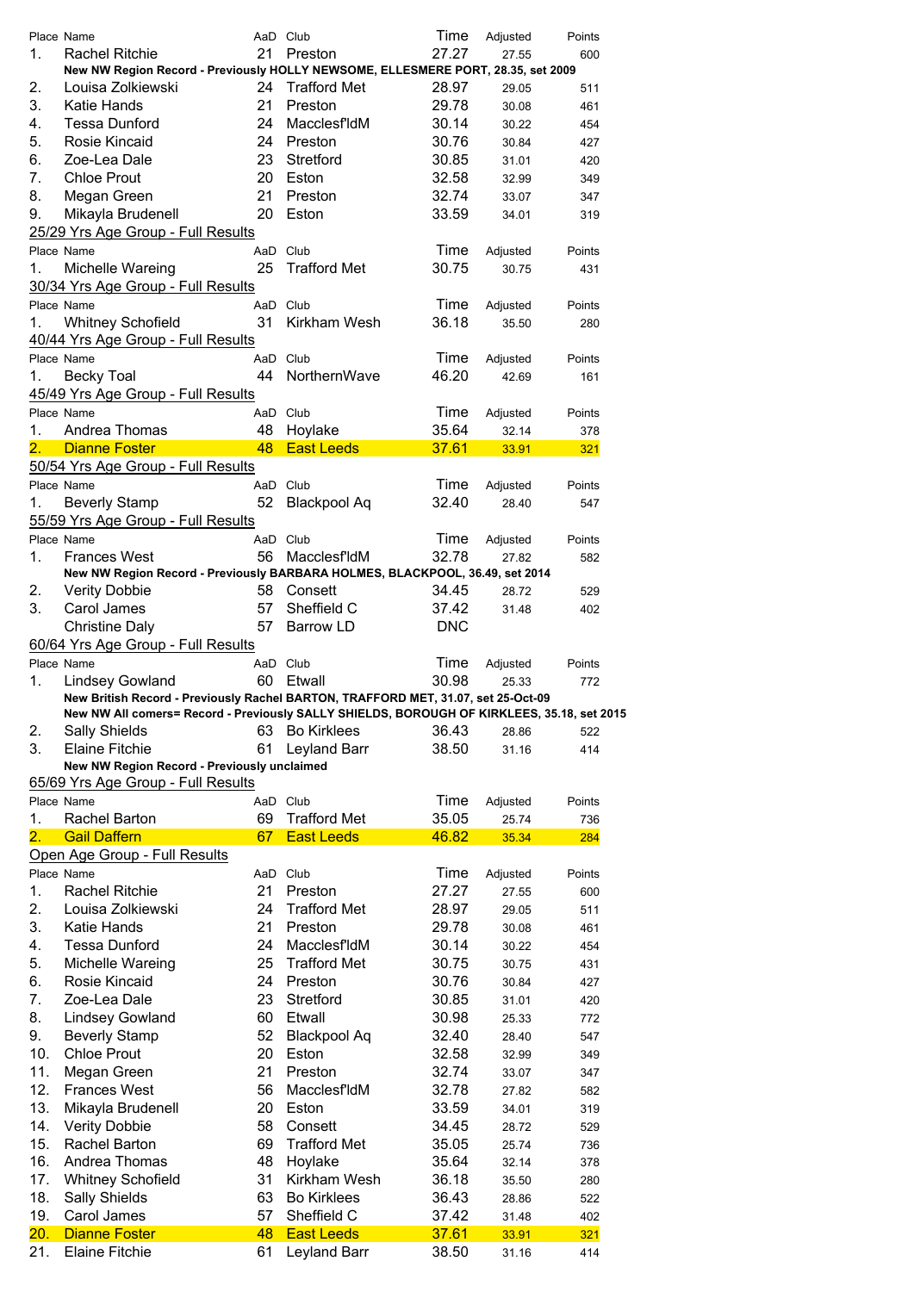|                        | Place Name                                                                                            | AaD Club  |                                          | Time          | Adjusted          | Points        |
|------------------------|-------------------------------------------------------------------------------------------------------|-----------|------------------------------------------|---------------|-------------------|---------------|
| 1.                     | Rachel Ritchie                                                                                        | 21        | Preston                                  | 27.27         | 27.55             | 600           |
| 2.                     | New NW Region Record - Previously HOLLY NEWSOME, ELLESMERE PORT, 28.35, set 2009<br>Louisa Zolkiewski | 24        | <b>Trafford Met</b>                      | 28.97         | 29.05             | 511           |
| 3.                     | Katie Hands                                                                                           | 21        | Preston                                  | 29.78         | 30.08             | 461           |
| 4.                     | <b>Tessa Dunford</b>                                                                                  | 24        | Macclesf'ldM                             | 30.14         | 30.22             | 454           |
| 5.                     | Rosie Kincaid                                                                                         | 24        | Preston                                  | 30.76         | 30.84             | 427           |
| 6.                     | Zoe-Lea Dale                                                                                          | 23        | Stretford                                | 30.85         | 31.01             | 420           |
| 7.                     | <b>Chloe Prout</b>                                                                                    | 20        | Eston                                    | 32.58         | 32.99             | 349           |
| 8.                     | Megan Green                                                                                           | 21        | Preston                                  | 32.74         | 33.07             | 347           |
| 9.                     | Mikayla Brudenell                                                                                     | 20        | Eston                                    | 33.59         | 34.01             | 319           |
|                        | 25/29 Yrs Age Group - Full Results                                                                    |           |                                          |               |                   |               |
|                        | Place Name                                                                                            | AaD       | Club                                     | Time          | Adjusted          | Points        |
| 1.                     | Michelle Wareing                                                                                      | 25        | <b>Trafford Met</b>                      | 30.75         | 30.75             | 431           |
|                        | 30/34 Yrs Age Group - Full Results                                                                    |           |                                          |               |                   |               |
|                        | Place Name                                                                                            | AaD       | Club                                     | Time          | Adjusted          | Points        |
| 1.                     | <b>Whitney Schofield</b>                                                                              | 31        | Kirkham Wesh                             | 36.18         | 35.50             | 280           |
|                        | 40/44 Yrs Age Group - Full Results                                                                    |           |                                          |               |                   |               |
|                        | Place Name                                                                                            | AaD Club  |                                          | Time          | Adjusted          | Points        |
| 1.                     | Becky Toal                                                                                            | 44        | NorthernWave                             | 46.20         | 42.69             | 161           |
|                        | 45/49 Yrs Age Group - Full Results                                                                    |           |                                          |               |                   |               |
|                        | Place Name                                                                                            | AaD       | Club                                     | Time          | Adjusted          | Points        |
| 1.                     | Andrea Thomas                                                                                         | 48        | Hoylake                                  | 35.64         | 32.14             | 378           |
| 2.                     | <b>Dianne Foster</b>                                                                                  | 48        | <b>East Leeds</b>                        | 37.61         | 33.91             | 321           |
|                        | 50/54 Yrs Age Group - Full Results                                                                    |           |                                          |               |                   |               |
|                        | Place Name                                                                                            | AaD       | Club                                     | Time          | Adjusted          | Points        |
| 1.                     | <b>Beverly Stamp</b>                                                                                  | 52        | <b>Blackpool Aq</b>                      | 32.40         | 28.40             | 547           |
|                        | 55/59 Yrs Age Group - Full Results                                                                    |           |                                          |               |                   |               |
|                        | Place Name                                                                                            | AaD Club  |                                          | Time          | Adjusted          | Points        |
| 1.                     | <b>Frances West</b>                                                                                   | 56        | <b>MacclesfldM</b>                       | 32.78         | 27.82             | 582           |
|                        | New NW Region Record - Previously BARBARA HOLMES, BLACKPOOL, 36.49, set 2014                          |           |                                          |               |                   |               |
| 2.                     | <b>Verity Dobbie</b>                                                                                  | 58        | Consett                                  | 34.45         | 28.72             | 529           |
| 3.                     | Carol James                                                                                           | 57        | Sheffield C                              | 37.42         | 31.48             | 402           |
|                        | <b>Christine Daly</b>                                                                                 | 57        | <b>Barrow LD</b>                         | <b>DNC</b>    |                   |               |
|                        | 60/64 Yrs Age Group - Full Results                                                                    |           |                                          |               |                   |               |
|                        | Place Name                                                                                            | AaD Club  |                                          | Time          | Adjusted          | Points        |
| 1.                     | <b>Lindsey Gowland</b>                                                                                | 60        | Etwall                                   | 30.98         | 25.33             | 772           |
|                        | New British Record - Previously Rachel BARTON, TRAFFORD MET, 31.07, set 25-Oct-09                     |           |                                          |               |                   |               |
|                        | New NW All comers= Record - Previously SALLY SHIELDS, BOROUGH OF KIRKLEES, 35.18, set 2015            |           |                                          |               |                   |               |
| 2.                     | Sally Shields                                                                                         | 63        | <b>Bo Kirklees</b>                       | 36.43         | 28.86             | 522           |
| 3.                     | <b>Elaine Fitchie</b>                                                                                 | 61        | Leyland Barr                             | 38.50         | 31.16             | 414           |
|                        | New NW Region Record - Previously unclaimed                                                           |           |                                          |               |                   |               |
|                        | 65/69 Yrs Age Group - Full Results                                                                    |           |                                          |               |                   |               |
|                        | Place Name                                                                                            | AaD Club  |                                          | Time<br>35.05 | Adjusted          | Points        |
| 1.<br>$\overline{2}$ . | Rachel Barton<br><b>Gail Daffern</b>                                                                  | 69<br>67  | <b>Trafford Met</b><br><b>East Leeds</b> |               | 25.74             | 736           |
|                        |                                                                                                       |           |                                          | 46.82         | 35.34             | 284           |
|                        | Open Age Group - Full Results                                                                         |           |                                          |               |                   |               |
| 1.                     | Place Name<br><b>Rachel Ritchie</b>                                                                   | AaD<br>21 | Club<br>Preston                          | Time<br>27.27 | Adjusted<br>27.55 | Points<br>600 |
| 2.                     | Louisa Zolkiewski                                                                                     | 24        | <b>Trafford Met</b>                      | 28.97         | 29.05             | 511           |
| 3.                     | Katie Hands                                                                                           | 21        | Preston                                  | 29.78         | 30.08             | 461           |
| 4.                     | <b>Tessa Dunford</b>                                                                                  | 24        | Macclesf'ldM                             | 30.14         | 30.22             | 454           |
| 5.                     | Michelle Wareing                                                                                      | 25        | <b>Trafford Met</b>                      | 30.75         | 30.75             | 431           |
| 6.                     | Rosie Kincaid                                                                                         | 24        | Preston                                  | 30.76         | 30.84             | 427           |
| 7.                     | Zoe-Lea Dale                                                                                          | 23        | Stretford                                | 30.85         | 31.01             | 420           |
| 8.                     | <b>Lindsey Gowland</b>                                                                                | 60        | Etwall                                   | 30.98         | 25.33             | 772           |
| 9.                     | <b>Beverly Stamp</b>                                                                                  | 52        | <b>Blackpool Aq</b>                      | 32.40         | 28.40             | 547           |
| 10.                    | <b>Chloe Prout</b>                                                                                    | 20        | Eston                                    | 32.58         | 32.99             | 349           |
| 11.                    | Megan Green                                                                                           | 21        | Preston                                  | 32.74         | 33.07             | 347           |
| 12.                    | <b>Frances West</b>                                                                                   | 56        | MacclesfldM                              | 32.78         | 27.82             | 582           |
| 13.                    | Mikayla Brudenell                                                                                     | 20        | Eston                                    | 33.59         | 34.01             | 319           |
| 14.                    | <b>Verity Dobbie</b>                                                                                  | 58        | Consett                                  | 34.45         | 28.72             | 529           |
| 15.                    | Rachel Barton                                                                                         | 69        | <b>Trafford Met</b>                      | 35.05         | 25.74             | 736           |
| 16.                    | Andrea Thomas                                                                                         | 48        | Hoylake                                  | 35.64         | 32.14             | 378           |
| 17.                    | <b>Whitney Schofield</b>                                                                              | 31        | Kirkham Wesh                             | 36.18         | 35.50             | 280           |
| 18.                    | Sally Shields                                                                                         | 63        | <b>Bo Kirklees</b>                       | 36.43         | 28.86             | 522           |
| 19.                    | Carol James                                                                                           | 57        | Sheffield C                              | 37.42         | 31.48             | 402           |
| 20.                    | <b>Dianne Foster</b>                                                                                  | 48        | <b>East Leeds</b>                        | 37.61         | 33.91             | 321           |
| 21.                    | <b>Elaine Fitchie</b>                                                                                 | 61        | Leyland Barr                             | 38.50         | 31.16             | 414           |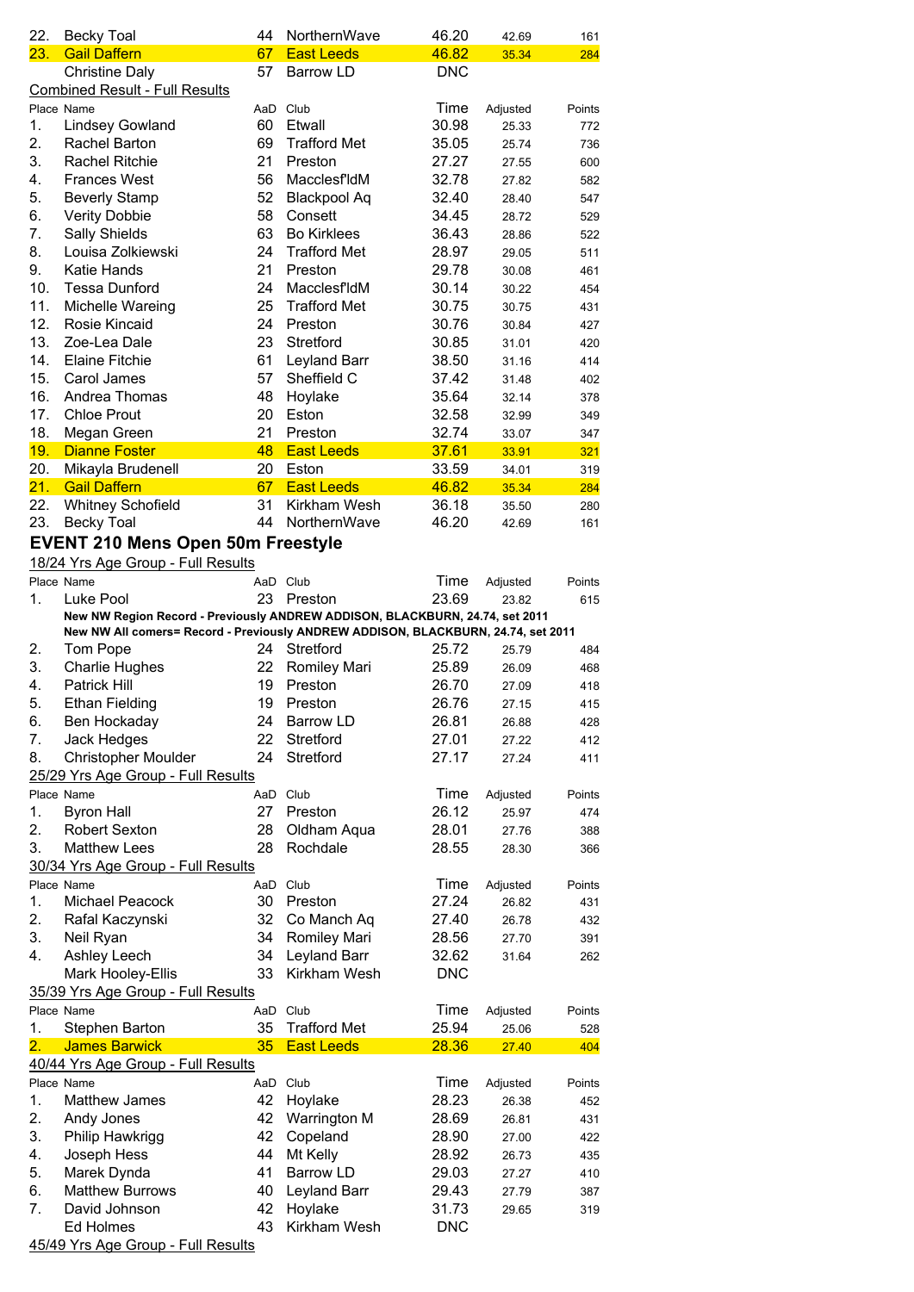| 22.                       | <b>Becky Toal</b>                                                                 | 44       | NorthernWave                        | 46.20          | 42.69             | 161           |
|---------------------------|-----------------------------------------------------------------------------------|----------|-------------------------------------|----------------|-------------------|---------------|
| 23.                       | <b>Gail Daffern</b>                                                               | 67       | <b>East Leeds</b>                   | 46.82          | 35.34             | 284           |
|                           | <b>Christine Daly</b>                                                             | 57       | Barrow LD                           | <b>DNC</b>     |                   |               |
|                           | <b>Combined Result - Full Results</b>                                             |          |                                     |                |                   |               |
|                           | Place Name                                                                        |          | AaD Club                            | Time           | Adjusted          | Points        |
| 1.                        | <b>Lindsey Gowland</b>                                                            | 60       | Etwall                              | 30.98          | 25.33             | 772           |
| 2.                        | Rachel Barton                                                                     | 69       | <b>Trafford Met</b>                 | 35.05          | 25.74             | 736           |
| 3.                        | <b>Rachel Ritchie</b>                                                             | 21       | Preston                             | 27.27          | 27.55             | 600           |
| 4.                        | <b>Frances West</b>                                                               | 56       | Macclesf <sup>'</sup> IdM           | 32.78          | 27.82             | 582           |
| 5.                        | <b>Beverly Stamp</b>                                                              | 52       | <b>Blackpool Aq</b>                 | 32.40          | 28.40             | 547           |
| 6.                        | <b>Verity Dobbie</b>                                                              | 58       | Consett                             | 34.45          | 28.72             | 529           |
| 7.                        | Sally Shields                                                                     | 63       | <b>Bo Kirklees</b>                  | 36.43          | 28.86             | 522           |
| 8.                        | Louisa Zolkiewski                                                                 | 24       | <b>Trafford Met</b>                 | 28.97          | 29.05             | 511           |
| 9.<br>10.                 | Katie Hands                                                                       | 21<br>24 | Preston                             | 29.78          | 30.08             | 461           |
| 11.                       | Tessa Dunford<br>Michelle Wareing                                                 | 25       | Macclesf'ldM<br><b>Trafford Met</b> | 30.14<br>30.75 | 30.22             | 454           |
| 12.                       | Rosie Kincaid                                                                     | 24       | Preston                             |                | 30.75             | 431           |
| 13.                       | Zoe-Lea Dale                                                                      | 23       | Stretford                           | 30.76<br>30.85 | 30.84             | 427           |
| 14.                       | <b>Elaine Fitchie</b>                                                             | 61       | Leyland Barr                        | 38.50          | 31.01<br>31.16    | 420<br>414    |
| 15.                       | Carol James                                                                       | 57       | Sheffield C                         | 37.42          |                   |               |
| 16.                       | Andrea Thomas                                                                     | 48       | Hoylake                             | 35.64          | 31.48<br>32.14    | 402<br>378    |
| 17.                       | <b>Chloe Prout</b>                                                                | 20       | Eston                               | 32.58          |                   | 349           |
| 18.                       | Megan Green                                                                       | 21       | Preston                             | 32.74          | 32.99<br>33.07    | 347           |
| 19.                       | <b>Dianne Foster</b>                                                              | 48       | <b>East Leeds</b>                   | 37.61          | 33.91             | 321           |
| 20.                       | Mikayla Brudenell                                                                 | 20       | Eston                               | 33.59          | 34.01             | 319           |
| 21.                       | <b>Gail Daffern</b>                                                               | 67       | <b>East Leeds</b>                   | 46.82          | 35.34             | 284           |
| 22.                       | <b>Whitney Schofield</b>                                                          | 31       | Kirkham Wesh                        | 36.18          | 35.50             | 280           |
| 23.                       | <b>Becky Toal</b>                                                                 | 44       | NorthernWave                        | 46.20          | 42.69             | 161           |
|                           | <b>EVENT 210 Mens Open 50m Freestyle</b>                                          |          |                                     |                |                   |               |
|                           |                                                                                   |          |                                     |                |                   |               |
|                           | 18/24 Yrs Age Group - Full Results<br>Place Name                                  |          | AaD Club                            | Time           |                   |               |
| 1.                        | Luke Pool                                                                         | 23       | Preston                             | 23.69          | Adjusted<br>23.82 | Points<br>615 |
|                           | New NW Region Record - Previously ANDREW ADDISON, BLACKBURN, 24.74, set 2011      |          |                                     |                |                   |               |
|                           | New NW All comers= Record - Previously ANDREW ADDISON, BLACKBURN, 24.74, set 2011 |          |                                     |                |                   |               |
| 2.                        | Tom Pope                                                                          | 24       | Stretford                           | 25.72          | 25.79             | 484           |
| 3.                        | <b>Charlie Hughes</b>                                                             | 22       | <b>Romiley Mari</b>                 | 25.89          | 26.09             | 468           |
| 4.                        | <b>Patrick Hill</b>                                                               | 19       | Preston                             | 26.70          | 27.09             | 418           |
| 5.                        | <b>Ethan Fielding</b>                                                             | 19       | Preston                             | 26.76          | 27.15             | 415           |
| 6.                        | Ben Hockaday                                                                      | 24       | <b>Barrow LD</b>                    | 26.81          | 26.88             | 428           |
| 7.                        | Jack Hedges                                                                       | 22       | Stretford                           | 27.01          | 27.22             | 412           |
| 8.                        | <b>Christopher Moulder</b>                                                        | 24       | Stretford                           | 27.17          | 27.24             | 411           |
|                           | 25/29 Yrs Age Group - Full Results                                                |          |                                     |                |                   |               |
|                           | Place Name                                                                        | AaD      | Club                                | Time           | Adjusted          | Points        |
| 1.                        | <b>Byron Hall</b>                                                                 | 27       | Preston                             | 26.12          | 25.97             | 474           |
| 2.                        | <b>Robert Sexton</b>                                                              | 28       | Oldham Aqua                         | 28.01          | 27.76             | 388           |
| 3.                        | <b>Matthew Lees</b>                                                               | 28       | Rochdale                            | 28.55          | 28.30             | 366           |
|                           | 30/34 Yrs Age Group - Full Results                                                |          |                                     |                |                   |               |
|                           | Place Name                                                                        | AaD      | Club                                | Time           | Adjusted          | Points        |
| 1.                        | Michael Peacock                                                                   | 30       | Preston                             | 27.24          | 26.82             | 431           |
| 2.                        | Rafal Kaczynski                                                                   | 32       | Co Manch Aq                         | 27.40          | 26.78             | 432           |
| 3.                        | Neil Ryan                                                                         | 34       | Romiley Mari                        | 28.56          | 27.70             | 391           |
| 4.                        | Ashley Leech                                                                      | 34       | Leyland Barr                        | 32.62          | 31.64             | 262           |
|                           | Mark Hooley-Ellis                                                                 | 33       | Kirkham Wesh                        | <b>DNC</b>     |                   |               |
|                           | 35/39 Yrs Age Group - Full Results                                                |          |                                     |                |                   |               |
|                           | Place Name                                                                        | AaD      | Club                                | Time           | Adjusted          | Points        |
| 1.                        | Stephen Barton                                                                    | 35       | <b>Trafford Met</b>                 | 25.94          | 25.06             | 528           |
| $\overline{\mathbf{2}}$ . | <b>James Barwick</b>                                                              | 35       | <b>East Leeds</b>                   | 28.36          | 27.40             | 404           |
|                           | 40/44 Yrs Age Group - Full Results                                                |          |                                     |                |                   |               |
|                           | Place Name                                                                        | AaD      | Club                                | Time           | Adjusted          | Points        |
| 1.                        | <b>Matthew James</b>                                                              | 42       | Hoylake                             | 28.23          | 26.38             | 452           |
| 2.                        | Andy Jones                                                                        | 42       | Warrington M                        | 28.69          | 26.81             | 431           |
| 3.                        | Philip Hawkrigg                                                                   | 42       | Copeland                            | 28.90          | 27.00             | 422           |
| 4.                        | Joseph Hess                                                                       | 44       | Mt Kelly                            | 28.92          | 26.73             | 435           |
| 5.                        | Marek Dynda                                                                       | 41       | <b>Barrow LD</b>                    | 29.03          | 27.27             | 410           |
| 6.                        | <b>Matthew Burrows</b>                                                            | 40       | Leyland Barr                        | 29.43          | 27.79             | 387           |
| 7.                        | David Johnson                                                                     | 42       | Hoylake                             | 31.73          | 29.65             | 319           |
|                           | Ed Holmes                                                                         | 43       | Kirkham Wesh                        | <b>DNC</b>     |                   |               |

45/49 Yrs Age Group - Full Results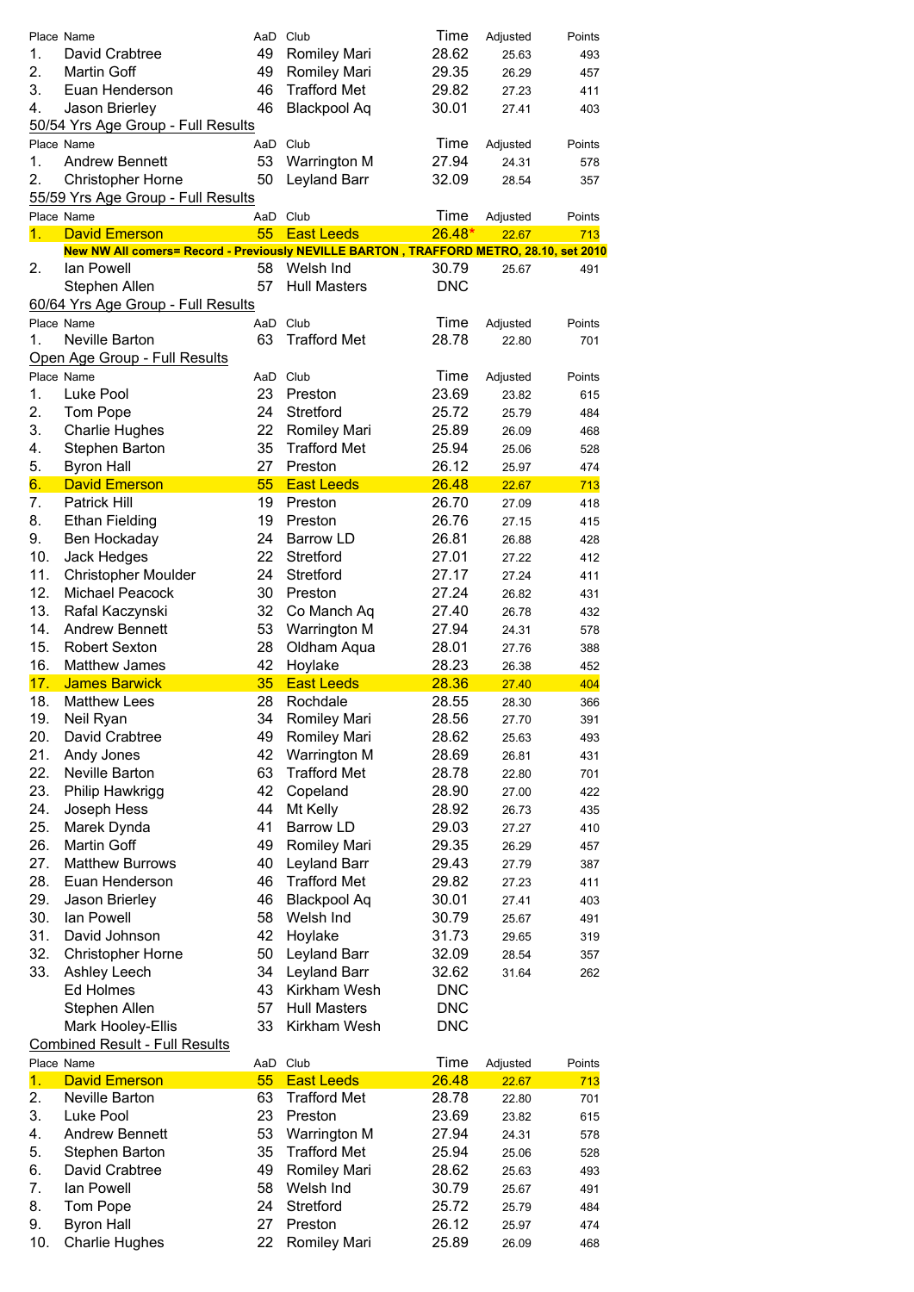|            | Place Name                                                                                           |          | AaD Club                       | Time           | Adjusted       | Points     |
|------------|------------------------------------------------------------------------------------------------------|----------|--------------------------------|----------------|----------------|------------|
| 1.         | David Crabtree                                                                                       | 49       | Romiley Mari                   | 28.62          | 25.63          | 493        |
| 2.         | Martin Goff                                                                                          | 49       | Romiley Mari                   | 29.35          | 26.29          | 457        |
| 3.         | Euan Henderson                                                                                       | 46       | <b>Trafford Met</b>            | 29.82          | 27.23          | 411        |
| 4.         | Jason Brierley                                                                                       | 46       | <b>Blackpool Aq</b>            | 30.01          | 27.41          | 403        |
|            | 50/54 Yrs Age Group - Full Results<br>Place Name                                                     | AaD      | Club                           | Time           | Adjusted       | Points     |
| 1.         | Andrew Bennett                                                                                       | 53       | Warrington M                   | 27.94          | 24.31          | 578        |
| 2.         | <b>Christopher Horne</b>                                                                             | 50       | Leyland Barr                   | 32.09          | 28.54          | 357        |
|            | 55/59 Yrs Age Group - Full Results                                                                   |          |                                |                |                |            |
|            | Place Name                                                                                           | AaD      | Club                           | Time           | Adjusted       | Points     |
| 1.         | <b>David Emerson</b>                                                                                 | 55       | <b>East Leeds</b>              | $26.48*$       | 22.67          | 713        |
| 2.         | New NW All comers= Record - Previously NEVILLE BARTON, TRAFFORD METRO, 28.10, set 2010<br>lan Powell | 58       | Welsh Ind                      | 30.79          | 25.67          | 491        |
|            | Stephen Allen                                                                                        | 57       | <b>Hull Masters</b>            | <b>DNC</b>     |                |            |
|            | 60/64 Yrs Age Group - Full Results                                                                   |          |                                |                |                |            |
|            | Place Name                                                                                           | AaD      | Club                           | Time           | Adjusted       | Points     |
| 1.         | <b>Neville Barton</b>                                                                                | 63       | <b>Trafford Met</b>            | 28.78          | 22.80          | 701        |
|            | Open Age Group - Full Results                                                                        |          |                                |                |                |            |
|            | Place Name                                                                                           | AaD      | Club                           | Time           | Adjusted       | Points     |
| 1.         | Luke Pool                                                                                            | 23       | Preston                        | 23.69          | 23.82          | 615        |
| 2.         | Tom Pope                                                                                             | 24       | Stretford                      | 25.72          | 25.79          | 484        |
| 3.         | <b>Charlie Hughes</b>                                                                                | 22       | Romiley Mari                   | 25.89          | 26.09          | 468        |
| 4.<br>5.   | Stephen Barton<br><b>Byron Hall</b>                                                                  | 35<br>27 | <b>Trafford Met</b><br>Preston | 25.94<br>26.12 | 25.06          | 528        |
| 6.         | <b>David Emerson</b>                                                                                 | 55       | <b>East Leeds</b>              | 26.48          | 25.97<br>22.67 | 474<br>713 |
| 7.         | <b>Patrick Hill</b>                                                                                  | 19       | Preston                        | 26.70          | 27.09          | 418        |
| 8.         | <b>Ethan Fielding</b>                                                                                | 19       | Preston                        | 26.76          | 27.15          | 415        |
| 9.         | Ben Hockaday                                                                                         | 24       | <b>Barrow LD</b>               | 26.81          | 26.88          | 428        |
| 10.        | Jack Hedges                                                                                          | 22       | Stretford                      | 27.01          | 27.22          | 412        |
| 11.        | <b>Christopher Moulder</b>                                                                           | 24       | Stretford                      | 27.17          | 27.24          | 411        |
| 12.        | Michael Peacock                                                                                      | 30       | Preston                        | 27.24          | 26.82          | 431        |
| 13.        | Rafal Kaczynski                                                                                      | 32       | Co Manch Aq                    | 27.40          | 26.78          | 432        |
| 14.        | <b>Andrew Bennett</b>                                                                                | 53       | Warrington M                   | 27.94          | 24.31          | 578        |
| 15.<br>16. | <b>Robert Sexton</b><br>Matthew James                                                                | 28       | Oldham Aqua                    | 28.01          | 27.76          | 388        |
| 17.        | <b>James Barwick</b>                                                                                 | 42<br>35 | Hoylake<br><b>East Leeds</b>   | 28.23<br>28.36 | 26.38<br>27.40 | 452<br>404 |
| 18.        | <b>Matthew Lees</b>                                                                                  | 28       | Rochdale                       | 28.55          | 28.30          | 366        |
| 19.        | Neil Ryan                                                                                            | 34       | Romiley Mari                   | 28.56          | 27.70          | 391        |
| 20.        | David Crabtree                                                                                       | 49       | Romiley Mari                   | 28.62          | 25.63          | 493        |
| 21.        | Andy Jones                                                                                           | 42       | Warrington M                   |                |                |            |
|            |                                                                                                      |          |                                | 28.69          | 26.81          | 431        |
| 22.        | Neville Barton                                                                                       | 63       | <b>Trafford Met</b>            | 28.78          | 22.80          | 701        |
| 23.        | Philip Hawkrigg                                                                                      | 42       | Copeland                       | 28.90          | 27.00          | 422        |
| 24.        | Joseph Hess                                                                                          | 44       | Mt Kelly                       | 28.92          | 26.73          | 435        |
| 25.        | Marek Dynda                                                                                          | 41       | <b>Barrow LD</b>               | 29.03          | 27.27          | 410        |
| 26.        | Martin Goff                                                                                          | 49       | <b>Romiley Mari</b>            | 29.35          | 26.29          | 457        |
| 27.        | <b>Matthew Burrows</b>                                                                               | 40       | Leyland Barr                   | 29.43          | 27.79          | 387        |
| 28.        | Euan Henderson                                                                                       | 46       | <b>Trafford Met</b>            | 29.82          | 27.23          | 411        |
| 29.        | Jason Brierley                                                                                       | 46       | <b>Blackpool Aq</b>            | 30.01          | 27.41          | 403        |
| 30.<br>31. | lan Powell<br>David Johnson                                                                          | 58<br>42 | Welsh Ind<br>Hoylake           | 30.79<br>31.73 | 25.67<br>29.65 | 491<br>319 |
| 32.        | <b>Christopher Horne</b>                                                                             | 50       | Leyland Barr                   | 32.09          | 28.54          | 357        |
| 33.        | Ashley Leech                                                                                         | 34       | Leyland Barr                   | 32.62          | 31.64          | 262        |
|            | Ed Holmes                                                                                            | 43       | Kirkham Wesh                   | <b>DNC</b>     |                |            |
|            | Stephen Allen                                                                                        | 57       | <b>Hull Masters</b>            | <b>DNC</b>     |                |            |
|            | Mark Hooley-Ellis                                                                                    | 33       | Kirkham Wesh                   | <b>DNC</b>     |                |            |
|            | <b>Combined Result - Full Results</b>                                                                |          |                                |                |                |            |
|            | Place Name                                                                                           | AaD      | Club                           | Time           | Adjusted       | Points     |
| 1.         | <b>David Emerson</b>                                                                                 | 55       | <b>East Leeds</b>              | 26.48          | 22.67          | 713        |
| 2.<br>3.   | Neville Barton<br>Luke Pool                                                                          | 63<br>23 | <b>Trafford Met</b><br>Preston | 28.78<br>23.69 | 22.80<br>23.82 | 701<br>615 |
| 4.         | <b>Andrew Bennett</b>                                                                                | 53       | Warrington M                   | 27.94          | 24.31          | 578        |
| 5.         | Stephen Barton                                                                                       | 35       | <b>Trafford Met</b>            | 25.94          | 25.06          | 528        |
| 6.         | David Crabtree                                                                                       | 49       | Romiley Mari                   | 28.62          | 25.63          | 493        |
| 7.         | lan Powell                                                                                           | 58       | Welsh Ind                      | 30.79          | 25.67          | 491        |
| 8.         | Tom Pope                                                                                             | 24       | Stretford                      | 25.72          | 25.79          | 484        |
| 9.<br>10.  | <b>Byron Hall</b><br><b>Charlie Hughes</b>                                                           | 27<br>22 | Preston<br>Romiley Mari        | 26.12<br>25.89 | 25.97<br>26.09 | 474<br>468 |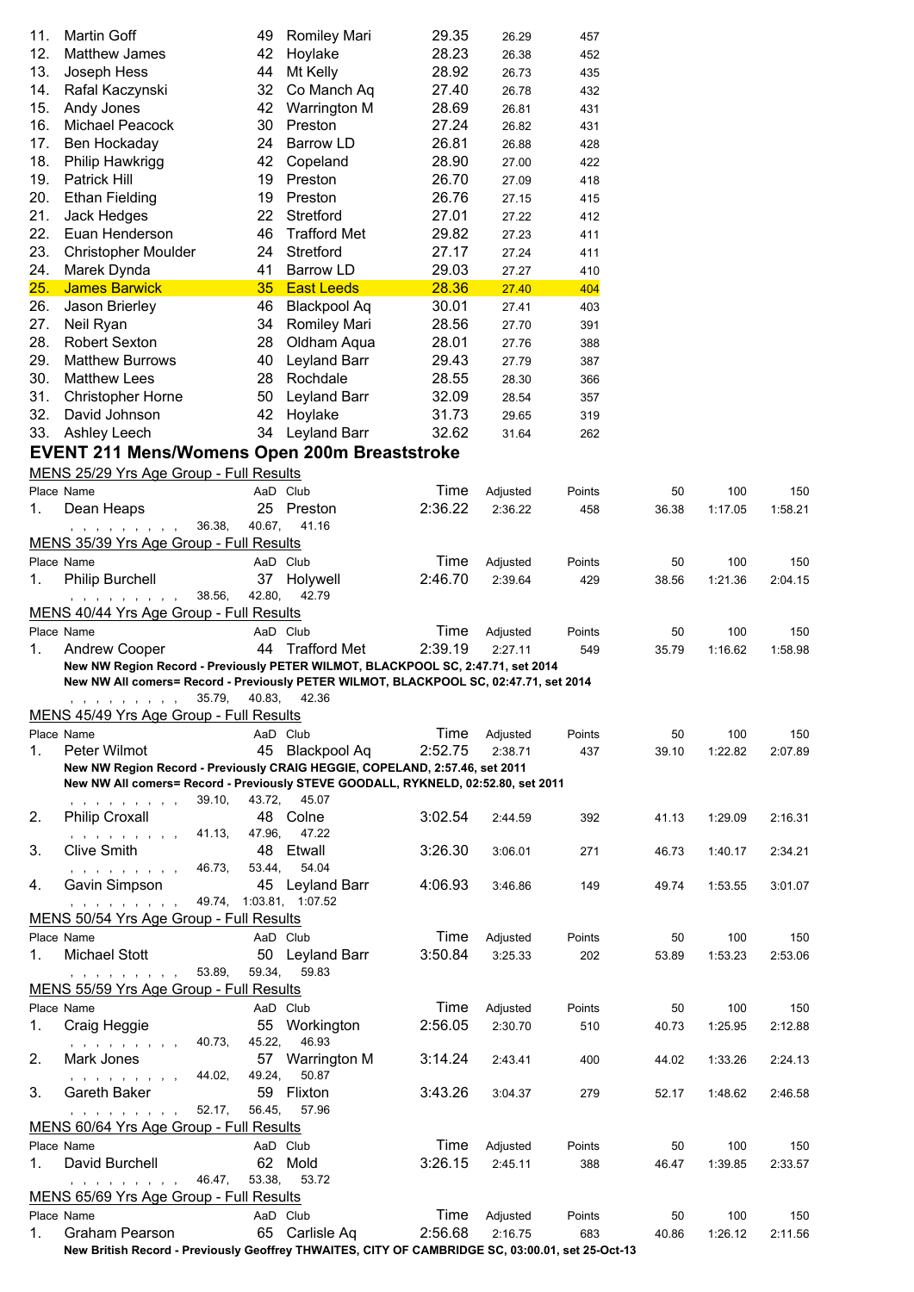| 11.        | <b>Martin Goff</b>                                                                                                                          | 49           | <b>Romiley Mari</b>               | 29.35          | 26.29               | 457        |       |         |         |
|------------|---------------------------------------------------------------------------------------------------------------------------------------------|--------------|-----------------------------------|----------------|---------------------|------------|-------|---------|---------|
| 12.        | Matthew James                                                                                                                               | 42           | Hoylake                           | 28.23          | 26.38               | 452        |       |         |         |
| 13.        | Joseph Hess                                                                                                                                 | 44           | Mt Kelly                          | 28.92          | 26.73               | 435        |       |         |         |
| 14.        | Rafal Kaczynski                                                                                                                             | 32           | Co Manch Aq                       | 27.40          | 26.78               | 432        |       |         |         |
| 15.        | Andy Jones                                                                                                                                  | 42           | Warrington M                      | 28.69          | 26.81               | 431        |       |         |         |
| 16.        | Michael Peacock                                                                                                                             | 30           | Preston                           | 27.24          | 26.82               | 431        |       |         |         |
| 17.        | Ben Hockaday                                                                                                                                | 24           | <b>Barrow LD</b>                  | 26.81          | 26.88               | 428        |       |         |         |
| 18.        | <b>Philip Hawkrigg</b>                                                                                                                      |              | 42 Copeland                       | 28.90          | 27.00               | 422        |       |         |         |
| 19.        | <b>Patrick Hill</b>                                                                                                                         | 19           | Preston                           | 26.70          | 27.09               | 418        |       |         |         |
| 20.        | <b>Ethan Fielding</b>                                                                                                                       | 19           | Preston                           | 26.76          | 27.15               | 415        |       |         |         |
| 21.        | Jack Hedges                                                                                                                                 | 22           | Stretford                         | 27.01          | 27.22               | 412        |       |         |         |
| 22.        | Euan Henderson                                                                                                                              | 46           | <b>Trafford Met</b>               | 29.82          | 27.23               | 411        |       |         |         |
| 23.        | <b>Christopher Moulder</b>                                                                                                                  | 24           | Stretford                         | 27.17<br>29.03 | 27.24               | 411        |       |         |         |
| 24.<br>25. | Marek Dynda<br><b>James Barwick</b>                                                                                                         | 41           | <b>Barrow LD</b><br>35 East Leeds | 28.36          | 27.27<br>27.40      | 410<br>404 |       |         |         |
| 26.        | Jason Brierley                                                                                                                              | 46           | <b>Blackpool Aq</b>               | 30.01          | 27.41               | 403        |       |         |         |
| 27.        | Neil Ryan                                                                                                                                   | 34           | Romiley Mari                      | 28.56          | 27.70               | 391        |       |         |         |
| 28.        | <b>Robert Sexton</b>                                                                                                                        | 28           | Oldham Aqua                       | 28.01          | 27.76               | 388        |       |         |         |
| 29.        | <b>Matthew Burrows</b>                                                                                                                      | 40           | <b>Leyland Barr</b>               | 29.43          | 27.79               | 387        |       |         |         |
| 30.        | <b>Matthew Lees</b>                                                                                                                         | 28           | Rochdale                          | 28.55          | 28.30               | 366        |       |         |         |
| 31.        | <b>Christopher Horne</b>                                                                                                                    | 50           | Leyland Barr                      | 32.09          | 28.54               | 357        |       |         |         |
| 32.        | David Johnson                                                                                                                               | 42           | Hoylake                           | 31.73          | 29.65               | 319        |       |         |         |
|            | 33. Ashley Leech                                                                                                                            |              | 34 Leyland Barr                   | 32.62          | 31.64               | 262        |       |         |         |
|            | <b>EVENT 211 Mens/Womens Open 200m Breaststroke</b>                                                                                         |              |                                   |                |                     |            |       |         |         |
|            | MENS 25/29 Yrs Age Group - Full Results                                                                                                     |              |                                   |                |                     |            |       |         |         |
|            | Place Name                                                                                                                                  | AaD Club     |                                   | Time           | Adjusted            | Points     | 50    | 100     | 150     |
| 1.         | Dean Heaps                                                                                                                                  | 25           | Preston                           | 2:36.22        | 2:36.22             | 458        | 36.38 | 1:17.05 | 1:58.21 |
|            | 36.38,<br>$\mathbf{y} = \mathbf{y} = \mathbf{y} = \mathbf{y} = \mathbf{y} = \mathbf{y} = \mathbf{y} = \mathbf{y} = \mathbf{y}$              | 40.67,       | 41.16                             |                |                     |            |       |         |         |
|            | MENS 35/39 Yrs Age Group - Full Results                                                                                                     |              |                                   |                |                     |            |       |         |         |
|            | Place Name                                                                                                                                  | AaD Club     |                                   | Time           | Adjusted            | Points     | 50    | 100     | 150     |
| 1.         | <b>Philip Burchell</b>                                                                                                                      | 37           | Holywell                          | 2:46.70        | 2:39.64             | 429        | 38.56 | 1:21.36 | 2:04.15 |
|            | 38.56,<br>$1 - 1 - 1 - 1 - 1 - 1 - 1 - 1 - 1$                                                                                               | 42.80,       | 42.79                             |                |                     |            |       |         |         |
|            | MENS 40/44 Yrs Age Group - Full Results                                                                                                     |              |                                   |                |                     |            |       |         |         |
|            |                                                                                                                                             |              |                                   |                |                     |            |       |         |         |
|            | Place Name                                                                                                                                  | AaD Club     |                                   | Time           | Adjusted            | Points     | 50    | 100     | 150     |
| 1.         | <b>Andrew Cooper</b>                                                                                                                        |              | 44 Trafford Met                   | 2:39.19        | 2:27.11             | 549        | 35.79 | 1:16.62 | 1:58.98 |
|            | New NW Region Record - Previously PETER WILMOT, BLACKPOOL SC, 2:47.71, set 2014                                                             |              |                                   |                |                     |            |       |         |         |
|            | New NW All comers= Record - Previously PETER WILMOT, BLACKPOOL SC, 02:47.71, set 2014                                                       |              |                                   |                |                     |            |       |         |         |
|            | 35.79,<br>$\mathbf{y} = \mathbf{y} - \mathbf{y} = \mathbf{y} - \mathbf{y} = \mathbf{y} - \mathbf{y} = \mathbf{y} - \mathbf{y} = \mathbf{y}$ | 40.83,       | 42.36                             |                |                     |            |       |         |         |
|            | MENS 45/49 Yrs Age Group - Full Results                                                                                                     |              |                                   |                |                     |            |       |         |         |
|            | Place Name                                                                                                                                  | AaD Club     |                                   | Time           | Adjusted            | Points     | 50    | 100     | 150     |
| 1.         | Peter Wilmot<br>New NW Region Record - Previously CRAIG HEGGIE, COPELAND, 2:57.46, set 2011                                                 |              | 45 Blackpool Aq                   | 2:52.75        | 2:38.71             | 437        | 39.10 | 1:22.82 | 2:07.89 |
|            | New NW All comers= Record - Previously STEVE GOODALL, RYKNELD, 02:52.80, set 2011                                                           |              |                                   |                |                     |            |       |         |         |
|            | 39.10,<br>$\mathbf{y} = \mathbf{y} - \mathbf{y} = \mathbf{y} - \mathbf{y} = \mathbf{y} - \mathbf{y} = \mathbf{y} - \mathbf{y} = \mathbf{y}$ | 43.72,       | 45.07                             |                |                     |            |       |         |         |
| 2.         | <b>Philip Croxall</b>                                                                                                                       | 48           | Colne                             | 3:02.54        | 2:44.59             | 392        | 41.13 | 1:29.09 | 2:16.31 |
|            | 41.13,<br>$\mathbf{y} = \mathbf{y} - \mathbf{y} = \mathbf{y} - \mathbf{y} = \mathbf{y} - \mathbf{y} = \mathbf{y} - \mathbf{y} = \mathbf{y}$ | 47.96,       | 47.22                             |                |                     |            |       |         |         |
| 3.         | <b>Clive Smith</b>                                                                                                                          |              | 48 Etwall                         | 3:26.30        | 3:06.01             | 271        | 46.73 | 1:40.17 | 2:34.21 |
|            | 46.73,<br>$\mathbf{y} = \mathbf{y} - \mathbf{y} = \mathbf{y} - \mathbf{y} = \mathbf{y} - \mathbf{y} = \mathbf{y} - \mathbf{y} = \mathbf{y}$ | 53.44,       | 54.04                             |                |                     |            |       |         |         |
| 4.         | Gavin Simpson                                                                                                                               |              | 45 Leyland Barr                   | 4:06.93        | 3:46.86             | 149        | 49.74 | 1:53.55 | 3:01.07 |
|            | $\mathbf{y} = \mathbf{y} - \mathbf{y} - \mathbf{y} = \mathbf{y} - \mathbf{y} - \mathbf{y} = \mathbf{y} - \mathbf{y} = \mathbf{y}$           |              | 49.74, 1:03.81, 1:07.52           |                |                     |            |       |         |         |
|            | MENS 50/54 Yrs Age Group - Full Results<br>Place Name                                                                                       | AaD Club     |                                   | Time           |                     | Points     | 50    | 100     | 150     |
| 1.         | <b>Michael Stott</b>                                                                                                                        |              | 50 Leyland Barr                   | 3:50.84        | Adjusted<br>3:25.33 | 202        | 53.89 | 1:53.23 | 2:53.06 |
|            | 53.89,<br>.                                                                                                                                 | 59.34,       | 59.83                             |                |                     |            |       |         |         |
|            | MENS 55/59 Yrs Age Group - Full Results                                                                                                     |              |                                   |                |                     |            |       |         |         |
|            | Place Name                                                                                                                                  | AaD Club     |                                   | Time           | Adjusted            | Points     | 50    | 100     | 150     |
| 1.         | Craig Heggie                                                                                                                                |              | 55 Workington                     | 2:56.05        | 2:30.70             | 510        | 40.73 | 1:25.95 | 2:12.88 |
|            | 40.73,                                                                                                                                      | 45.22,       | 46.93                             |                |                     |            |       |         |         |
| 2.         | Mark Jones                                                                                                                                  | 57           | Warrington M                      | 3:14.24        | 2:43.41             | 400        | 44.02 | 1:33.26 | 2:24.13 |
|            | 44.02,<br>.                                                                                                                                 | 49.24,       | 50.87                             |                |                     |            |       |         |         |
| 3.         | Gareth Baker                                                                                                                                | 59           | Flixton                           | 3:43.26        | 3:04.37             | 279        | 52.17 | 1:48.62 | 2:46.58 |
|            | 52.17,<br>.                                                                                                                                 | 56.45,       | 57.96                             |                |                     |            |       |         |         |
|            | MENS 60/64 Yrs Age Group - Full Results                                                                                                     |              |                                   |                |                     |            |       |         |         |
|            | Place Name                                                                                                                                  | AaD Club     |                                   | Time           | Adjusted            | Points     | 50    | 100     | 150     |
| 1.         | David Burchell<br>46.47,                                                                                                                    | 62<br>53.38, | Mold<br>53.72                     | 3:26.15        | 2:45.11             | 388        | 46.47 | 1:39.85 | 2:33.57 |
|            | .<br>MENS 65/69 Yrs Age Group - Full Results                                                                                                |              |                                   |                |                     |            |       |         |         |
|            | Place Name                                                                                                                                  | AaD Club     |                                   | Time           | Adjusted            | Points     | 50    | 100     | 150     |
| 1.         | Graham Pearson<br>New British Record - Previously Geoffrey THWAITES, CITY OF CAMBRIDGE SC, 03:00.01, set 25-Oct-13                          |              | 65 Carlisle Aq                    | 2:56.68        | 2:16.75             | 683        | 40.86 | 1:26.12 | 2:11.56 |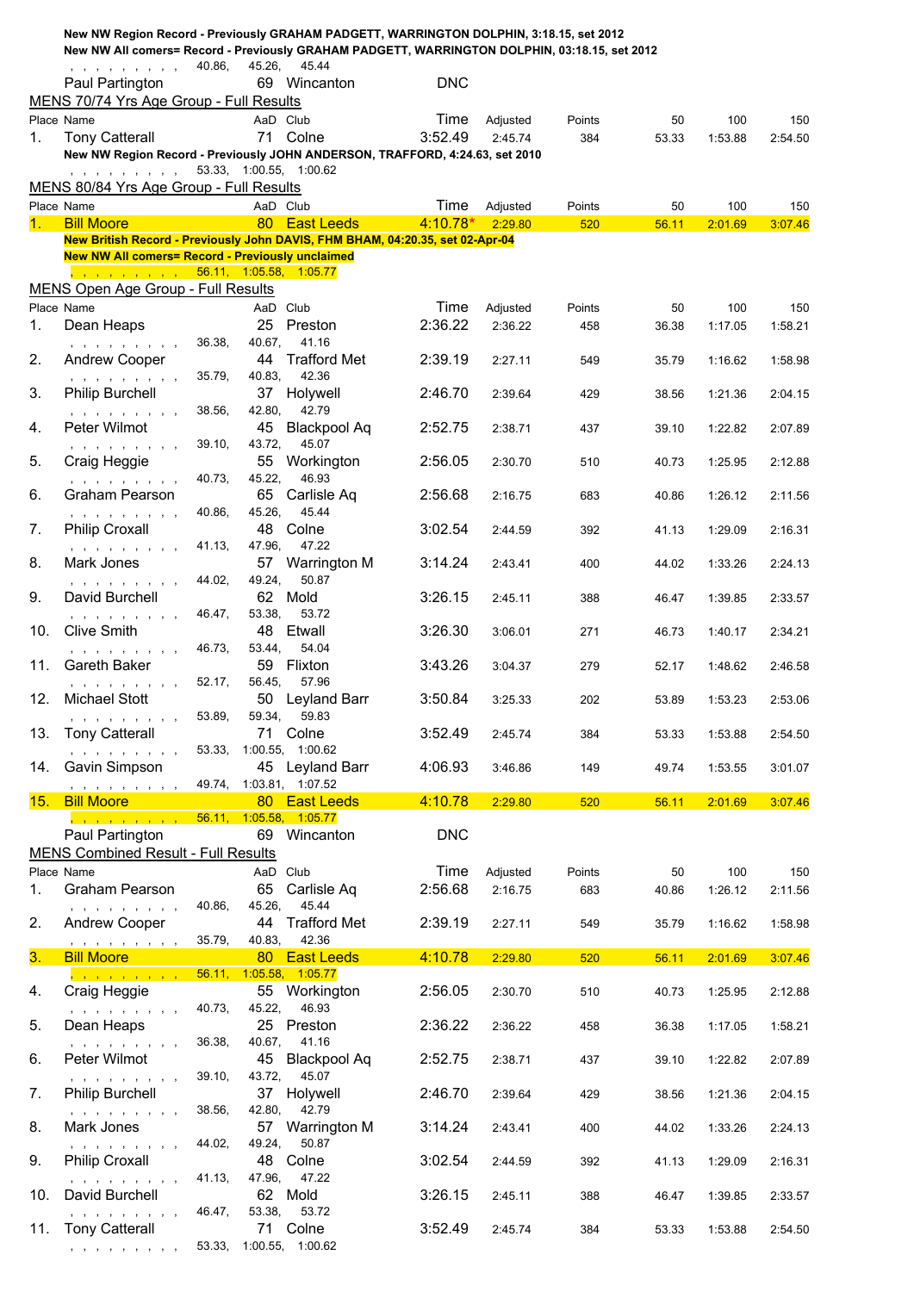|     | New NW Region Record - Previously GRAHAM PADGETT, WARRINGTON DOLPHIN, 3:18.15, set 2012<br>New NW All comers= Record - Previously GRAHAM PADGETT, WARRINGTON DOLPHIN, 03:18.15, set 2012                                       |        |                |                                         |                    |                     |               |             |                |                |
|-----|--------------------------------------------------------------------------------------------------------------------------------------------------------------------------------------------------------------------------------|--------|----------------|-----------------------------------------|--------------------|---------------------|---------------|-------------|----------------|----------------|
|     | , , , , , , , , ,                                                                                                                                                                                                              | 40.86, | 45.26,         | 45.44                                   |                    |                     |               |             |                |                |
|     | Paul Partington                                                                                                                                                                                                                |        |                | 69 Wincanton                            | <b>DNC</b>         |                     |               |             |                |                |
|     | MENS 70/74 Yrs Age Group - Full Results                                                                                                                                                                                        |        |                |                                         |                    |                     |               |             |                |                |
| 1.  | Place Name<br><b>Tony Catterall</b>                                                                                                                                                                                            |        | AaD Club       | 71 Colne                                | Time<br>3:52.49    | Adjusted<br>2:45.74 | Points<br>384 | 50<br>53.33 | 100<br>1:53.88 | 150<br>2:54.50 |
|     | New NW Region Record - Previously JOHN ANDERSON, TRAFFORD, 4:24.63, set 2010                                                                                                                                                   |        |                |                                         |                    |                     |               |             |                |                |
|     | .                                                                                                                                                                                                                              |        |                | 53.33, 1:00.55, 1:00.62                 |                    |                     |               |             |                |                |
|     | MENS 80/84 Yrs Age Group - Full Results                                                                                                                                                                                        |        |                |                                         |                    |                     |               |             |                |                |
|     | Place Name<br><b>Bill Moore</b>                                                                                                                                                                                                |        | AaD Club       | 80 East Leeds                           | Time<br>$4:10.78*$ | Adjusted            | Points        | 50          | 100            | 150            |
| 1.  | New British Record - Previously John DAVIS, FHM BHAM, 04:20.35, set 02-Apr-04                                                                                                                                                  |        |                |                                         |                    | 2:29.80             | 520           | 56.11       | 2:01.69        | 3:07.46        |
|     | <b>New NW All comers= Record - Previously unclaimed</b>                                                                                                                                                                        |        |                |                                         |                    |                     |               |             |                |                |
|     | .                                                                                                                                                                                                                              |        |                | 56.11, 1:05.58, 1:05.77                 |                    |                     |               |             |                |                |
|     | MENS Open Age Group - Full Results<br>Place Name                                                                                                                                                                               |        |                |                                         | Time               |                     |               |             |                |                |
| 1.  | Dean Heaps                                                                                                                                                                                                                     |        | AaD Club<br>25 | Preston                                 | 2:36.22            | Adjusted<br>2:36.22 | Points<br>458 | 50<br>36.38 | 100<br>1:17.05 | 150<br>1:58.21 |
|     | $\mathbf{y} = \mathbf{y} - \mathbf{y} = \mathbf{y} - \mathbf{y} = \mathbf{y} - \mathbf{y} = \mathbf{y} - \mathbf{y} = \mathbf{y}$                                                                                              | 36.38, | 40.67,         | 41.16                                   |                    |                     |               |             |                |                |
| 2.  | <b>Andrew Cooper</b>                                                                                                                                                                                                           |        | 44             | <b>Trafford Met</b>                     | 2:39.19            | 2:27.11             | 549           | 35.79       | 1:16.62        | 1:58.98        |
|     |                                                                                                                                                                                                                                | 35.79, | 40.83,         | 42.36                                   |                    |                     |               |             |                |                |
| 3.  | <b>Philip Burchell</b><br>$\mathbf{y} = \mathbf{y} - \mathbf{y} = \mathbf{y} - \mathbf{y} = \mathbf{y} - \mathbf{y} = \mathbf{y} - \mathbf{y} = \mathbf{y}$                                                                    | 38.56, | 37<br>42.80,   | Holywell<br>42.79                       | 2:46.70            | 2:39.64             | 429           | 38.56       | 1:21.36        | 2:04.15        |
| 4.  | Peter Wilmot                                                                                                                                                                                                                   |        | 45             | <b>Blackpool Aq</b>                     | 2:52.75            | 2:38.71             | 437           | 39.10       | 1:22.82        | 2:07.89        |
|     | $1 - 1 - 1 - 1 - 1 - 1 - 1 - 1 - 1 - 1$                                                                                                                                                                                        | 39.10, | 43.72,         | 45.07                                   |                    |                     |               |             |                |                |
| 5.  | Craig Heggie                                                                                                                                                                                                                   |        | 55             | Workington                              | 2:56.05            | 2:30.70             | 510           | 40.73       | 1:25.95        | 2:12.88        |
| 6.  | .<br>Graham Pearson                                                                                                                                                                                                            | 40.73, | 45.22,<br>65   | 46.93<br>Carlisle Aq                    | 2:56.68            | 2:16.75             | 683           | 40.86       | 1:26.12        | 2:11.56        |
|     | $1 - 1 - 1 - 1 - 1 - 1 - 1 - 1 - 1 - 1$                                                                                                                                                                                        | 40.86, | 45.26,         | 45.44                                   |                    |                     |               |             |                |                |
| 7.  | <b>Philip Croxall</b>                                                                                                                                                                                                          |        | 48             | Colne                                   | 3:02.54            | 2:44.59             | 392           | 41.13       | 1:29.09        | 2:16.31        |
|     | , , , , , , , , , , , , , , , , , ,                                                                                                                                                                                            | 41.13, | 47.96,         | 47.22                                   |                    |                     |               |             |                |                |
| 8.  | Mark Jones                                                                                                                                                                                                                     | 44.02, | 49.24,         | 57 Warrington M<br>50.87                | 3:14.24            | 2:43.41             | 400           | 44.02       | 1:33.26        | 2:24.13        |
| 9.  | David Burchell                                                                                                                                                                                                                 |        |                | 62 Mold                                 | 3:26.15            | 2:45.11             | 388           | 46.47       | 1:39.85        | 2:33.57        |
|     | $\mathbf{y} = \mathbf{y} - \mathbf{y} = \mathbf{y} - \mathbf{y} = \mathbf{y} - \mathbf{y} = \mathbf{y} - \mathbf{y} = \mathbf{y}$                                                                                              | 46.47, | 53.38,         | 53.72                                   |                    |                     |               |             |                |                |
| 10. | <b>Clive Smith</b>                                                                                                                                                                                                             |        | 48             | Etwall                                  | 3:26.30            | 3:06.01             | 271           | 46.73       | 1:40.17        | 2:34.21        |
| 11. | $\mathbf{y} = \mathbf{y} - \mathbf{y} = \mathbf{y} - \mathbf{y} = \mathbf{y} - \mathbf{y} = \mathbf{y} - \mathbf{y} = \mathbf{y}$<br>Gareth Baker                                                                              | 46.73, | 53.44,<br>59   | 54.04<br>Flixton                        | 3:43.26            | 3:04.37             | 279           | 52.17       | 1:48.62        | 2:46.58        |
|     |                                                                                                                                                                                                                                | 52.17, | 56.45,         | 57.96                                   |                    |                     |               |             |                |                |
| 12. | <b>Michael Stott</b>                                                                                                                                                                                                           |        |                | 50 Leyland Barr                         | 3:50.84            | 3:25.33             | 202           | 53.89       | 1:53.23        | 2:53.06        |
|     | $\mathbf{y} = \mathbf{y} - \mathbf{y} = \mathbf{y} - \mathbf{y} = \mathbf{y} - \mathbf{y} = \mathbf{y} - \mathbf{y} = \mathbf{y}$                                                                                              | 53.89, | 59.34,         | 59.83                                   |                    |                     |               |             |                |                |
| 13. | <b>Tony Catterall</b>                                                                                                                                                                                                          |        |                | 71 Colne<br>53.33, 1:00.55, 1:00.62     | 3:52.49            | 2:45.74             | 384           | 53.33       | 1:53.88        | 2:54.50        |
| 14. | $\mathbf{y} = \mathbf{y} - \mathbf{y} = \mathbf{y} - \mathbf{y} = \mathbf{y} - \mathbf{y} = \mathbf{y} - \mathbf{y} = \mathbf{y}$<br>Gavin Simpson                                                                             |        |                | 45 Leyland Barr                         | 4:06.93            | 3:46.86             | 149           | 49.74       | 1:53.55        | 3:01.07        |
|     | $\mathbf{y} = \mathbf{y} - \mathbf{y} - \mathbf{y} = \mathbf{y} - \mathbf{y} - \mathbf{y} = \mathbf{y} - \mathbf{y} = \mathbf{y}$                                                                                              |        |                | 49.74, 1:03.81, 1:07.52                 |                    |                     |               |             |                |                |
|     | 15. Bill Moore                                                                                                                                                                                                                 |        |                | 80 East Leeds                           | 4:10.78            | 2:29.80             | 520           | 56.11       | 2:01.69        | 3:07.46        |
|     | .<br>Paul Partington                                                                                                                                                                                                           |        |                | 56.11, 1:05.58, 1:05.77<br>69 Wincanton | <b>DNC</b>         |                     |               |             |                |                |
|     | <b>MENS Combined Result - Full Results</b>                                                                                                                                                                                     |        |                |                                         |                    |                     |               |             |                |                |
|     | Place Name                                                                                                                                                                                                                     |        | AaD Club       |                                         | Time               | Adjusted            | Points        | 50          | 100            | 150            |
| 1.  | Graham Pearson                                                                                                                                                                                                                 |        | 65             | Carlisle Aq                             | 2:56.68            | 2:16.75             | 683           | 40.86       | 1:26.12        | 2:11.56        |
|     | $\mathbf{y} = \mathbf{y} - \mathbf{y} = \mathbf{y} - \mathbf{y} = \mathbf{y} - \mathbf{y} = \mathbf{y} - \mathbf{y} = \mathbf{y}$                                                                                              | 40.86, | 45.26,         | 45.44                                   |                    |                     |               |             |                |                |
| 2.  | <b>Andrew Cooper</b>                                                                                                                                                                                                           | 35.79, | 40.83,         | 44 Trafford Met<br>42.36                | 2:39.19            | 2:27.11             | 549           | 35.79       | 1:16.62        | 1:58.98        |
| 3.  | $\mathbf{A}^{\mathcal{A}}=\mathbf{A}^{\mathcal{A}}=\mathbf{A}^{\mathcal{A}}=\mathbf{A}^{\mathcal{A}}=\mathbf{A}^{\mathcal{A}}=\mathbf{A}^{\mathcal{A}}=\mathbf{A}^{\mathcal{A}}=\mathbf{A}^{\mathcal{A}}$<br><b>Bill Moore</b> |        |                | 80 East Leeds                           | 4:10.78            | 2:29.80             | 520           | 56.11       | 2:01.69        | 3:07.46        |
|     | <del>, , , , , , , , ,</del>                                                                                                                                                                                                   |        |                | 56.11, 1:05.58, 1:05.77                 |                    |                     |               |             |                |                |
| 4.  | Craig Heggie                                                                                                                                                                                                                   |        |                | 55 Workington                           | 2:56.05            | 2:30.70             | 510           | 40.73       | 1:25.95        | 2:12.88        |
| 5.  | $\mathbf{y} = \mathbf{y} - \mathbf{y} = \mathbf{y} - \mathbf{y} = \mathbf{y} - \mathbf{y} = \mathbf{y} - \mathbf{y} = \mathbf{y}$<br>Dean Heaps                                                                                | 40.73, | 45.22,         | 46.93<br>25 Preston                     | 2:36.22            | 2:36.22             |               |             | 1:17.05        | 1:58.21        |
|     | $\mathbf{y} = \mathbf{y} - \mathbf{y} = \mathbf{y} - \mathbf{y} = \mathbf{y} - \mathbf{y} = \mathbf{y} - \mathbf{y} = \mathbf{y}$                                                                                              | 36.38, | 40.67,         | 41.16                                   |                    |                     | 458           | 36.38       |                |                |
| 6.  | Peter Wilmot                                                                                                                                                                                                                   |        |                | 45 Blackpool Aq                         | 2:52.75            | 2:38.71             | 437           | 39.10       | 1:22.82        | 2:07.89        |
|     | $\mathbf{y} = \mathbf{y} - \mathbf{y} = \mathbf{y} - \mathbf{y} = \mathbf{y} - \mathbf{y} = \mathbf{y} - \mathbf{y} = \mathbf{y}$                                                                                              | 39.10, | 43.72,         | 45.07                                   |                    |                     |               |             |                |                |
| 7.  | <b>Philip Burchell</b>                                                                                                                                                                                                         |        |                | 37 Holywell                             | 2:46.70            | 2:39.64             | 429           | 38.56       | 1:21.36        | 2:04.15        |
| 8.  | $\mathbf{y} = \mathbf{y} - \mathbf{y} = \mathbf{y} - \mathbf{y} = \mathbf{y} - \mathbf{y} = \mathbf{y} - \mathbf{y} = \mathbf{y}$<br>Mark Jones                                                                                | 38.56, | 42.80,         | 42.79<br>57 Warrington M                | 3:14.24            | 2:43.41             | 400           | 44.02       | 1:33.26        | 2:24.13        |
|     | $1 - 1 - 1 - 1 - 1 - 1 - 1 - 1 - 1$                                                                                                                                                                                            | 44.02, | 49.24,         | 50.87                                   |                    |                     |               |             |                |                |
| 9.  | Philip Croxall                                                                                                                                                                                                                 |        |                | 48 Colne                                | 3:02.54            | 2:44.59             | 392           | 41.13       | 1:29.09        | 2:16.31        |
| 10. | $\mathbf{y} = \mathbf{y} - \mathbf{y} = \mathbf{y} - \mathbf{y} = \mathbf{y} - \mathbf{y} = \mathbf{y} - \mathbf{y} = \mathbf{y}$<br>David Burchell                                                                            | 41.13, | 47.96,         | 47.22<br>62 Mold                        | 3:26.15            | 2:45.11             | 388           |             |                | 2:33.57        |
|     | $\mathbf{y} = \mathbf{y} - \mathbf{y} = \mathbf{y} - \mathbf{y} = \mathbf{y} - \mathbf{y} = \mathbf{y} - \mathbf{y} = \mathbf{y}$                                                                                              | 46.47, | 53.38,         | 53.72                                   |                    |                     |               | 46.47       | 1:39.85        |                |
| 11. | <b>Tony Catterall</b>                                                                                                                                                                                                          |        |                | 71 Colne                                | 3:52.49            | 2:45.74             | 384           | 53.33       | 1:53.88        | 2:54.50        |
|     | $\mathbf{y} = \mathbf{y} - \mathbf{y} - \mathbf{y} = \mathbf{y} - \mathbf{y} - \mathbf{y} = \mathbf{y} - \mathbf{y} - \mathbf{y}$                                                                                              | 53.33, |                | 1:00.55, 1:00.62                        |                    |                     |               |             |                |                |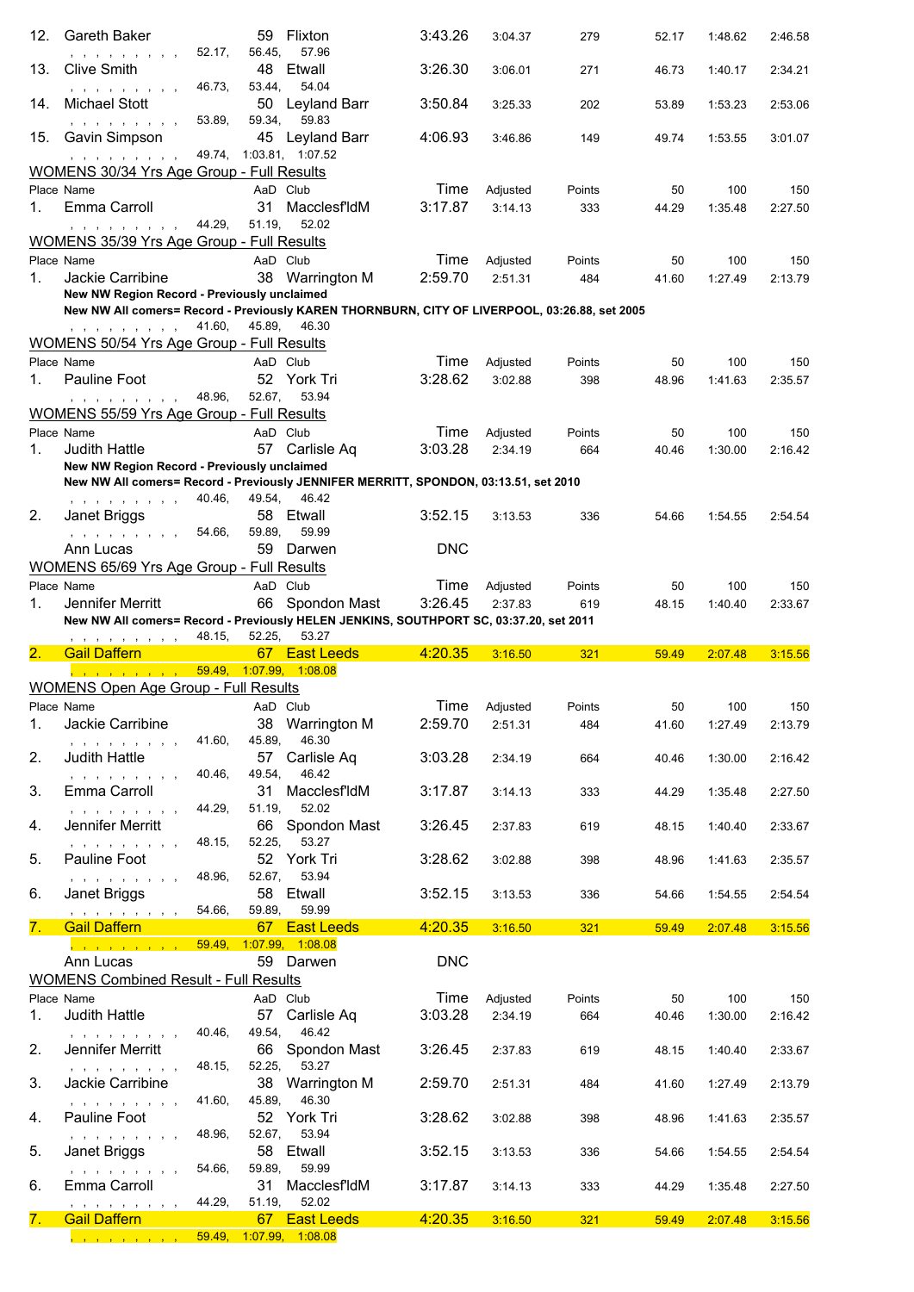|                  | 12. Gareth Baker                                                                                                                                                                                                                                                                                                                                                                                                                                    |        |                | 59 Flixton                               | 3:43.26         | 3:04.37  | 279    | 52.17 | 1:48.62 | 2:46.58 |
|------------------|-----------------------------------------------------------------------------------------------------------------------------------------------------------------------------------------------------------------------------------------------------------------------------------------------------------------------------------------------------------------------------------------------------------------------------------------------------|--------|----------------|------------------------------------------|-----------------|----------|--------|-------|---------|---------|
| 13.              | $\mathbf{y} = \mathbf{y} - \mathbf{y} = \mathbf{y} - \mathbf{y} = \mathbf{y} - \mathbf{y} = \mathbf{y} - \mathbf{y} = \mathbf{y}$<br><b>Clive Smith</b>                                                                                                                                                                                                                                                                                             | 52.17, | 56.45,<br>48   | 57.96<br>Etwall                          | 3:26.30         | 3:06.01  | 271    | 46.73 | 1:40.17 | 2:34.21 |
| 14.              | $1 - 1 - 1 - 1 - 1 - 1 - 1 - 1 - 1 - 1$<br><b>Michael Stott</b>                                                                                                                                                                                                                                                                                                                                                                                     | 46.73, | 53.44,         | 54.04<br>50 Leyland Barr                 | 3:50.84         | 3:25.33  | 202    | 53.89 | 1:53.23 | 2:53.06 |
|                  |                                                                                                                                                                                                                                                                                                                                                                                                                                                     | 53.89, | 59.34,         | 59.83                                    |                 |          |        |       |         |         |
| 15.              | <b>Gavin Simpson</b>                                                                                                                                                                                                                                                                                                                                                                                                                                |        |                | 45 Leyland Barr                          | 4:06.93         | 3:46.86  | 149    | 49.74 | 1:53.55 | 3:01.07 |
|                  | <b>WOMENS 30/34 Yrs Age Group - Full Results</b>                                                                                                                                                                                                                                                                                                                                                                                                    |        |                | 49.74, 1:03.81, 1:07.52                  |                 |          |        |       |         |         |
|                  | Place Name                                                                                                                                                                                                                                                                                                                                                                                                                                          |        | AaD Club       |                                          | Time            | Adjusted | Points | 50    | 100     | 150     |
| 1.               | Emma Carroll                                                                                                                                                                                                                                                                                                                                                                                                                                        |        | 31             | <b>MacclesfldM</b>                       | 3:17.87         | 3:14.13  | 333    | 44.29 | 1:35.48 | 2:27.50 |
|                  |                                                                                                                                                                                                                                                                                                                                                                                                                                                     | 44.29, | 51.19,         | 52.02                                    |                 |          |        |       |         |         |
|                  | <b>WOMENS 35/39 Yrs Age Group - Full Results</b>                                                                                                                                                                                                                                                                                                                                                                                                    |        |                |                                          |                 |          |        |       |         |         |
|                  | Place Name                                                                                                                                                                                                                                                                                                                                                                                                                                          |        | AaD Club       |                                          | Time            | Adjusted | Points | 50    | 100     | 150     |
| 1.               | Jackie Carribine<br>New NW Region Record - Previously unclaimed                                                                                                                                                                                                                                                                                                                                                                                     |        |                | 38 Warrington M                          | 2:59.70         | 2:51.31  | 484    | 41.60 | 1:27.49 | 2:13.79 |
|                  | New NW All comers= Record - Previously KAREN THORNBURN, CITY OF LIVERPOOL, 03:26.88, set 2005                                                                                                                                                                                                                                                                                                                                                       |        |                |                                          |                 |          |        |       |         |         |
|                  | $1 \t1 \t1 \t1 \t1 \t1 \t1 \t1 \t1 \t1 \t1 \t1 \t1$                                                                                                                                                                                                                                                                                                                                                                                                 | 41.60. | 45.89,         | 46.30                                    |                 |          |        |       |         |         |
|                  | <b>WOMENS 50/54 Yrs Age Group - Full Results</b>                                                                                                                                                                                                                                                                                                                                                                                                    |        |                |                                          |                 |          |        |       |         |         |
| 1.               | Place Name<br>Pauline Foot                                                                                                                                                                                                                                                                                                                                                                                                                          |        | AaD Club<br>52 | York Tri                                 | Time<br>3:28.62 | Adjusted | Points | 50    | 100     | 150     |
|                  | $1 - 1 - 1 - 1 - 1 - 1 - 1 - 1 - 1$                                                                                                                                                                                                                                                                                                                                                                                                                 | 48.96, | 52.67,         | 53.94                                    |                 | 3:02.88  | 398    | 48.96 | 1:41.63 | 2:35.57 |
|                  | WOMENS 55/59 Yrs Age Group - Full Results                                                                                                                                                                                                                                                                                                                                                                                                           |        |                |                                          |                 |          |        |       |         |         |
|                  | Place Name                                                                                                                                                                                                                                                                                                                                                                                                                                          |        | AaD Club       |                                          | Time            | Adjusted | Points | 50    | 100     | 150     |
| 1.               | <b>Judith Hattle</b>                                                                                                                                                                                                                                                                                                                                                                                                                                |        |                | 57 Carlisle Aq                           | 3:03.28         | 2:34.19  | 664    | 40.46 | 1:30.00 | 2:16.42 |
|                  | New NW Region Record - Previously unclaimed                                                                                                                                                                                                                                                                                                                                                                                                         |        |                |                                          |                 |          |        |       |         |         |
|                  | New NW All comers= Record - Previously JENNIFER MERRITT, SPONDON, 03:13.51, set 2010                                                                                                                                                                                                                                                                                                                                                                |        | 49.54,         | 46.42                                    |                 |          |        |       |         |         |
| 2.               | $\mathbf{y} = \mathbf{y} - \mathbf{y} = \mathbf{y} - \mathbf{y} = \mathbf{y} - \mathbf{y} = \mathbf{y} - \mathbf{y} = \mathbf{y}$<br>Janet Briggs                                                                                                                                                                                                                                                                                                   | 40.46, | 58             | Etwall                                   | 3:52.15         | 3:13.53  | 336    | 54.66 | 1:54.55 | 2:54.54 |
|                  | $\mathbf{y} = \mathbf{y} - \mathbf{y} = \mathbf{y} - \mathbf{y} = \mathbf{y} - \mathbf{y} = \mathbf{y} - \mathbf{y} = \mathbf{y}$                                                                                                                                                                                                                                                                                                                   | 54.66, | 59.89,         | 59.99                                    |                 |          |        |       |         |         |
|                  | Ann Lucas                                                                                                                                                                                                                                                                                                                                                                                                                                           |        |                | 59 Darwen                                | <b>DNC</b>      |          |        |       |         |         |
|                  | WOMENS 65/69 Yrs Age Group - Full Results                                                                                                                                                                                                                                                                                                                                                                                                           |        |                |                                          |                 |          |        |       |         |         |
|                  | Place Name                                                                                                                                                                                                                                                                                                                                                                                                                                          |        | AaD Club       |                                          | Time            | Adjusted | Points | 50    | 100     | 150     |
| 1.               | Jennifer Merritt                                                                                                                                                                                                                                                                                                                                                                                                                                    |        |                | 66 Spondon Mast                          | 3:26.45         | 2:37.83  | 619    | 48.15 | 1:40.40 | 2:33.67 |
|                  | New NW All comers= Record - Previously HELEN JENKINS, SOUTHPORT SC, 03:37.20, set 2011                                                                                                                                                                                                                                                                                                                                                              |        |                |                                          |                 |          |        |       |         |         |
|                  |                                                                                                                                                                                                                                                                                                                                                                                                                                                     |        |                |                                          |                 |          |        |       |         |         |
| 2.               | $\mathbf{a} = \mathbf{a} + \mathbf{a} + \mathbf{a} + \mathbf{a} + \mathbf{a} + \mathbf{a} + \mathbf{a} + \mathbf{a} + \mathbf{a} + \mathbf{a} + \mathbf{a} + \mathbf{a} + \mathbf{a} + \mathbf{a} + \mathbf{a} + \mathbf{a} + \mathbf{a} + \mathbf{a} + \mathbf{a} + \mathbf{a} + \mathbf{a} + \mathbf{a} + \mathbf{a} + \mathbf{a} + \mathbf{a} + \mathbf{a} + \mathbf{a} + \mathbf{a} + \mathbf{a} + \mathbf{a} + \mathbf$<br><b>Gail Daffern</b> | 48.15, | 52.25,         | 53.27<br>67 East Leeds                   | 4:20.35         | 3:16.50  | 321    | 59.49 | 2:07.48 | 3:15.56 |
|                  | , , , , , , , 59.49, 1.07.99, 1.08.08                                                                                                                                                                                                                                                                                                                                                                                                               |        |                |                                          |                 |          |        |       |         |         |
|                  | <b>WOMENS Open Age Group - Full Results</b>                                                                                                                                                                                                                                                                                                                                                                                                         |        |                |                                          |                 |          |        |       |         |         |
|                  | Place Name                                                                                                                                                                                                                                                                                                                                                                                                                                          |        | AaD Club       |                                          | Time            | Adjusted | Points | 50    | 100     | 150     |
| 1.               | Jackie Carribine                                                                                                                                                                                                                                                                                                                                                                                                                                    |        |                | 38 Warrington M                          | 2:59.70         | 2:51.31  | 484    | 41.60 | 1:27.49 | 2:13.79 |
|                  | $\mathbf{y} = \mathbf{y} - \mathbf{y} = \mathbf{y} - \mathbf{y} = \mathbf{y} - \mathbf{y} = \mathbf{y} - \mathbf{y} = \mathbf{y}$                                                                                                                                                                                                                                                                                                                   | 41.60, | 45.89,         | 46.30                                    |                 |          |        |       |         |         |
| 2.               | Judith Hattle                                                                                                                                                                                                                                                                                                                                                                                                                                       | 40.46, | 57<br>49.54,   | Carlisle Aq<br>46.42                     | 3:03.28         | 2:34.19  | 664    | 40.46 | 1:30.00 | 2:16.42 |
| 3.               | $\left\langle \mathbf{y}_{i}^{(1)},\mathbf{y}_{i}^{(2)},\mathbf{y}_{i}^{(3)},\mathbf{y}_{i}^{(4)},\mathbf{y}_{i}^{(5)},\mathbf{y}_{i}^{(6)},\mathbf{y}_{i}^{(6)},\mathbf{y}_{i}^{(6)}\right\rangle$<br>Emma Carroll                                                                                                                                                                                                                                 |        |                | 31 MacclesfldM                           | 3:17.87         | 3:14.13  | 333    | 44.29 | 1:35.48 | 2:27.50 |
|                  | $\mathbf{y} = \mathbf{y} = \mathbf{y} = \mathbf{y} = \mathbf{y} = \mathbf{y} = \mathbf{y} = \mathbf{y} = \mathbf{y}$                                                                                                                                                                                                                                                                                                                                | 44.29, | 51.19,         | 52.02                                    |                 |          |        |       |         |         |
| 4.               | Jennifer Merritt                                                                                                                                                                                                                                                                                                                                                                                                                                    |        |                | 66 Spondon Mast                          | 3:26.45         | 2:37.83  | 619    | 48.15 | 1:40.40 | 2:33.67 |
|                  | , , , , , , , , , ,                                                                                                                                                                                                                                                                                                                                                                                                                                 | 48.15, | 52.25,         | 53.27                                    |                 |          |        |       |         |         |
| 5.               | Pauline Foot                                                                                                                                                                                                                                                                                                                                                                                                                                        |        |                | 52 York Tri                              | 3:28.62         | 3:02.88  | 398    | 48.96 | 1:41.63 | 2:35.57 |
| 6.               | $\mathbf{y} = \mathbf{y} - \mathbf{y} = \mathbf{y} - \mathbf{y} = \mathbf{y} - \mathbf{y} = \mathbf{y} - \mathbf{y} = \mathbf{y}$                                                                                                                                                                                                                                                                                                                   | 48.96, | 52.67,         | 53.94<br>58 Etwall                       | 3:52.15         | 3:13.53  | 336    | 54.66 | 1:54.55 | 2:54.54 |
|                  | Janet Briggs                                                                                                                                                                                                                                                                                                                                                                                                                                        | 54.66, | 59.89,         | 59.99                                    |                 |          |        |       |         |         |
| $\overline{7}$ . | <b>Gail Daffern</b>                                                                                                                                                                                                                                                                                                                                                                                                                                 |        |                | 67 East Leeds                            | 4:20.35         | 3:16.50  | 321    | 59.49 | 2:07.48 | 3:15.56 |
|                  | .                                                                                                                                                                                                                                                                                                                                                                                                                                                   |        |                | 59.49, 1:07.99, 1:08.08                  |                 |          |        |       |         |         |
|                  | Ann Lucas                                                                                                                                                                                                                                                                                                                                                                                                                                           |        |                | 59 Darwen                                | <b>DNC</b>      |          |        |       |         |         |
|                  | <b>WOMENS Combined Result - Full Results</b>                                                                                                                                                                                                                                                                                                                                                                                                        |        |                |                                          |                 |          |        |       |         |         |
|                  | Place Name                                                                                                                                                                                                                                                                                                                                                                                                                                          |        | AaD Club       |                                          | Time            | Adjusted | Points | 50    | 100     | 150     |
| 1.               | Judith Hattle                                                                                                                                                                                                                                                                                                                                                                                                                                       | 40.46, | 57<br>49.54,   | Carlisle Aq<br>46.42                     | 3:03.28         | 2:34.19  | 664    | 40.46 | 1:30.00 | 2:16.42 |
| 2.               | $\mathbf{y} = \mathbf{y} - \mathbf{y} = \mathbf{y} - \mathbf{y} = \mathbf{y} - \mathbf{y} = \mathbf{y} - \mathbf{y} = \mathbf{y}$<br>Jennifer Merritt                                                                                                                                                                                                                                                                                               |        |                | 66 Spondon Mast                          | 3:26.45         | 2:37.83  | 619    | 48.15 | 1:40.40 | 2:33.67 |
|                  | $\mathbf{y} = \mathbf{y} = \mathbf{y} = \mathbf{y} = \mathbf{y} = \mathbf{y} = \mathbf{y} = \mathbf{y} = \mathbf{y}$                                                                                                                                                                                                                                                                                                                                | 48.15, | 52.25,         | 53.27                                    |                 |          |        |       |         |         |
| 3.               | Jackie Carribine                                                                                                                                                                                                                                                                                                                                                                                                                                    |        |                | 38 Warrington M                          | 2:59.70         | 2:51.31  | 484    | 41.60 | 1:27.49 | 2:13.79 |
|                  | $\mathbf{y} = \mathbf{y} - \mathbf{y} = \mathbf{y} - \mathbf{y} = \mathbf{y} - \mathbf{y} = \mathbf{y} - \mathbf{y} = \mathbf{y}$                                                                                                                                                                                                                                                                                                                   | 41.60, | 45.89,         | 46.30                                    |                 |          |        |       |         |         |
| 4.               | Pauline Foot                                                                                                                                                                                                                                                                                                                                                                                                                                        |        |                | 52 York Tri                              | 3:28.62         | 3:02.88  | 398    | 48.96 | 1:41.63 | 2:35.57 |
|                  | $\mathbf{y} = \mathbf{y} = \mathbf{y} = \mathbf{y} = \mathbf{y} = \mathbf{y} = \mathbf{y} = \mathbf{y} = \mathbf{y}$                                                                                                                                                                                                                                                                                                                                | 48.96, | 52.67,         | 53.94                                    |                 |          |        |       |         |         |
| 5.               | Janet Briggs<br>$\mathbf{y} = \mathbf{y} - \mathbf{y} = \mathbf{y} - \mathbf{y} = \mathbf{y} - \mathbf{y} = \mathbf{y} - \mathbf{y} = \mathbf{y}$                                                                                                                                                                                                                                                                                                   | 54.66, | 59.89,         | 58 Etwall<br>59.99                       | 3:52.15         | 3:13.53  | 336    | 54.66 | 1:54.55 | 2:54.54 |
| 6.               | Emma Carroll                                                                                                                                                                                                                                                                                                                                                                                                                                        |        | 31             | Macclesf'ldM                             | 3:17.87         | 3:14.13  | 333    | 44.29 | 1:35.48 | 2:27.50 |
|                  | $\mathbf{y} = \mathbf{y} - \mathbf{y} - \mathbf{y} - \mathbf{y} - \mathbf{y} - \mathbf{y} - \mathbf{y} - \mathbf{y} - \mathbf{y}$                                                                                                                                                                                                                                                                                                                   | 44.29, | 51.19,         | 52.02                                    |                 |          |        |       |         |         |
| 7. .             | <b>Gail Daffern</b><br>, , , , , , , , , ,                                                                                                                                                                                                                                                                                                                                                                                                          |        |                | 67 East Leeds<br>59.49, 1:07.99, 1:08.08 | 4:20.35         | 3:16.50  | 321    | 59.49 | 2:07.48 | 3:15.56 |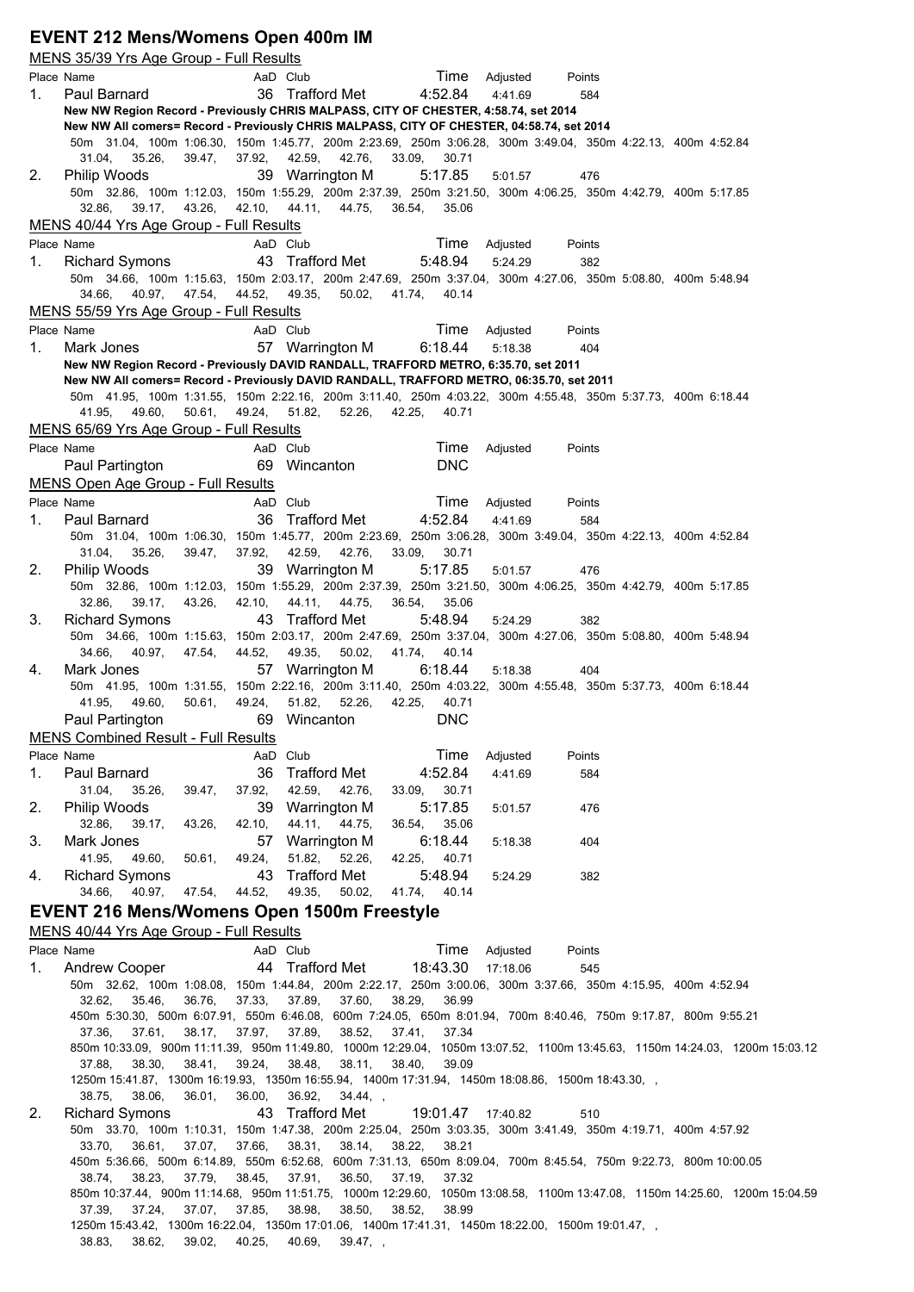#### **EVENT 212 Mens/Womens Open 400m IM**

MENS 35/39 Yrs Age Group - Full Results Place Name **AaD Club Time** Adjusted Points 1. Paul Barnard 36 Trafford Met 4:52.84 4:41.69 584 **New NW Region Record - Previously CHRIS MALPASS, CITY OF CHESTER, 4:58.74, set 2014 New NW All comers= Record - Previously CHRIS MALPASS, CITY OF CHESTER, 04:58.74, set 2014** 50m 31.04, 100m 1:06.30, 150m 1:45.77, 200m 2:23.69, 250m 3:06.28, 300m 3:49.04, 350m 4:22.13, 400m 4:52.84 31.04, 35.26, 39.47, 37.92, 42.59, 42.76, 33.09, 30.71 2. Philip Woods 39 Warrington M 5:17.85 5:01.57 476 50m 32.86, 100m 1:12.03, 150m 1:55.29, 200m 2:37.39, 250m 3:21.50, 300m 4:06.25, 350m 4:42.79, 400m 5:17.85 32.86, 39.17, 43.26, 42.10, 44.11, 44.75, 36.54, 35.06 MENS 40/44 Yrs Age Group - Full Results Place Name **AaD Club Time** Adjusted Points 1. Richard Symons 43 Trafford Met 5:48.94 5:24.29 382 50m 34.66, 100m 1:15.63, 150m 2:03.17, 200m 2:47.69, 250m 3:37.04, 300m 4:27.06, 350m 5:08.80, 400m 5:48.94 34.66, 40.97, 47.54, 44.52, 49.35, 50.02, 41.74, 40.14 MENS 55/59 Yrs Age Group - Full Results Place Name **A** AaD Club **Time** Adjusted Points 1. Mark Jones 57 Warrington M 6:18.44 5:18.38 404 **New NW Region Record - Previously DAVID RANDALL, TRAFFORD METRO, 6:35.70, set 2011 New NW All comers= Record - Previously DAVID RANDALL, TRAFFORD METRO, 06:35.70, set 2011** 50m 41.95, 100m 1:31.55, 150m 2:22.16, 200m 3:11.40, 250m 4:03.22, 300m 4:55.48, 350m 5:37.73, 400m 6:18.44 41.95, 49.60, 50.61, 49.24, 51.82, 52.26, 42.25, 40.71 MENS 65/69 Yrs Age Group - Full Results Place Name **AaD Club Time Adjusted** Points Paul Partington 69 Wincanton DNC MENS Open Age Group - Full Results Place Name **AaD Club Time** Adjusted Points 1. Paul Barnard 36 Trafford Met 4:52.84 4:41.69 584 50m 31.04, 100m 1:06.30, 150m 1:45.77, 200m 2:23.69, 250m 3:06.28, 300m 3:49.04, 350m 4:22.13, 400m 4:52.84 31.04, 35.26, 39.47, 37.92, 42.59, 42.76, 33.09, 30.71 2. Philip Woods 39 Warrington M 5:17.85 5:01.57 476 50m 32.86, 100m 1:12.03, 150m 1:55.29, 200m 2:37.39, 250m 3:21.50, 300m 4:06.25, 350m 4:42.79, 400m 5:17.85 32.86, 39.17, 43.26, 42.10, 44.11, 44.75, 36.54, 35.06 3. Richard Symons 43 Trafford Met 5:48.94 5:24.29 382 50m 34.66, 100m 1:15.63, 150m 2:03.17, 200m 2:47.69, 250m 3:37.04, 300m 4:27.06, 350m 5:08.80, 400m 5:48.94 34.66, 40.97, 47.54, 44.52, 49.35, 50.02, 41.74, 40.14 4. Mark Jones 57 Warrington M 6:18.44 5:18.38 404 50m 41.95, 100m 1:31.55, 150m 2:22.16, 200m 3:11.40, 250m 4:03.22, 300m 4:55.48, 350m 5:37.73, 400m 6:18.44 41.95, 49.60, 50.61, 49.24, 51.82, 52.26, 42.25, 40.71 Paul Partington 69 Wincanton DNC MENS Combined Result - Full Results Place Name **AaD Club Time Adjusted** Points 1. Paul Barnard 36 Trafford Met 4:52.84 4:41.69 584 31.04, 35.26, 39.47, 37.92, 42.59, 42.76, 33.09, 30.71 2. Philip Woods 39 Warrington M 5:17.85 5:01.57 476 32.86, 39.17, 43.26, 42.10, 44.11, 44.75, 36.54, 35.06 3. Mark Jones 57 Warrington M 6:18.44 5:18.38 404 41.95, 49.60, 50.61, 49.24, 51.82, 52.26, 42.25, 40.71 4. Richard Symons 43 Trafford Met 5:48.94 5:24.29 382 34.66, 40.97, 47.54, 44.52, 49.35, 50.02, 41.74, 40.14 **EVENT 216 Mens/Womens Open 1500m Freestyle** MENS 40/44 Yrs Age Group - Full Results Place Name **A** AaD Club **Time** Adjusted Points 1. Andrew Cooper 44 Trafford Met 18:43.30 17:18.06 545 50m 32.62, 100m 1:08.08, 150m 1:44.84, 200m 2:22.17, 250m 3:00.06, 300m 3:37.66, 350m 4:15.95, 400m 4:52.94 32.62, 35.46, 36.76, 37.33, 37.89, 37.60, 38.29, 36.99 450m 5:30.30, 500m 6:07.91, 550m 6:46.08, 600m 7:24.05, 650m 8:01.94, 700m 8:40.46, 750m 9:17.87, 800m 9:55.21 37.36, 37.61, 38.17, 37.97, 37.89, 38.52, 37.41, 37.34 850m 10:33.09, 900m 11:11.39, 950m 11:49.80, 1000m 12:29.04, 1050m 13:07.52, 1100m 13:45.63, 1150m 14:24.03, 1200m 15:03.12 37.88, 38.30, 38.41, 39.24, 38.48, 38.11, 38.40, 39.09 1250m 15:41.87, 1300m 16:19.93, 1350m 16:55.94, 1400m 17:31.94, 1450m 18:08.86, 1500m 18:43.30, , 38.75, 38.06, 36.01, 36.00, 36.92, 34.44, , 2. Richard Symons 43 Trafford Met 19:01.47 17:40.82 510 50m 33.70, 100m 1:10.31, 150m 1:47.38, 200m 2:25.04, 250m 3:03.35, 300m 3:41.49, 350m 4:19.71, 400m 4:57.92 33.70, 36.61, 37.07, 37.66, 38.31, 38.14, 38.22, 38.21 450m 5:36.66, 500m 6:14.89, 550m 6:52.68, 600m 7:31.13, 650m 8:09.04, 700m 8:45.54, 750m 9:22.73, 800m 10:00.05 38.74, 38.23, 37.79, 38.45, 37.91, 36.50, 37.19, 37.32 850m 10:37.44, 900m 11:14.68, 950m 11:51.75, 1000m 12:29.60, 1050m 13:08.58, 1100m 13:47.08, 1150m 14:25.60, 1200m 15:04.59 37.39, 37.24, 37.07, 37.85, 38.98, 38.50, 38.52, 38.99 1250m 15:43.42, 1300m 16:22.04, 1350m 17:01.06, 1400m 17:41.31, 1450m 18:22.00, 1500m 19:01.47, ,

38.83, 38.62, 39.02, 40.25, 40.69, 39.47, ,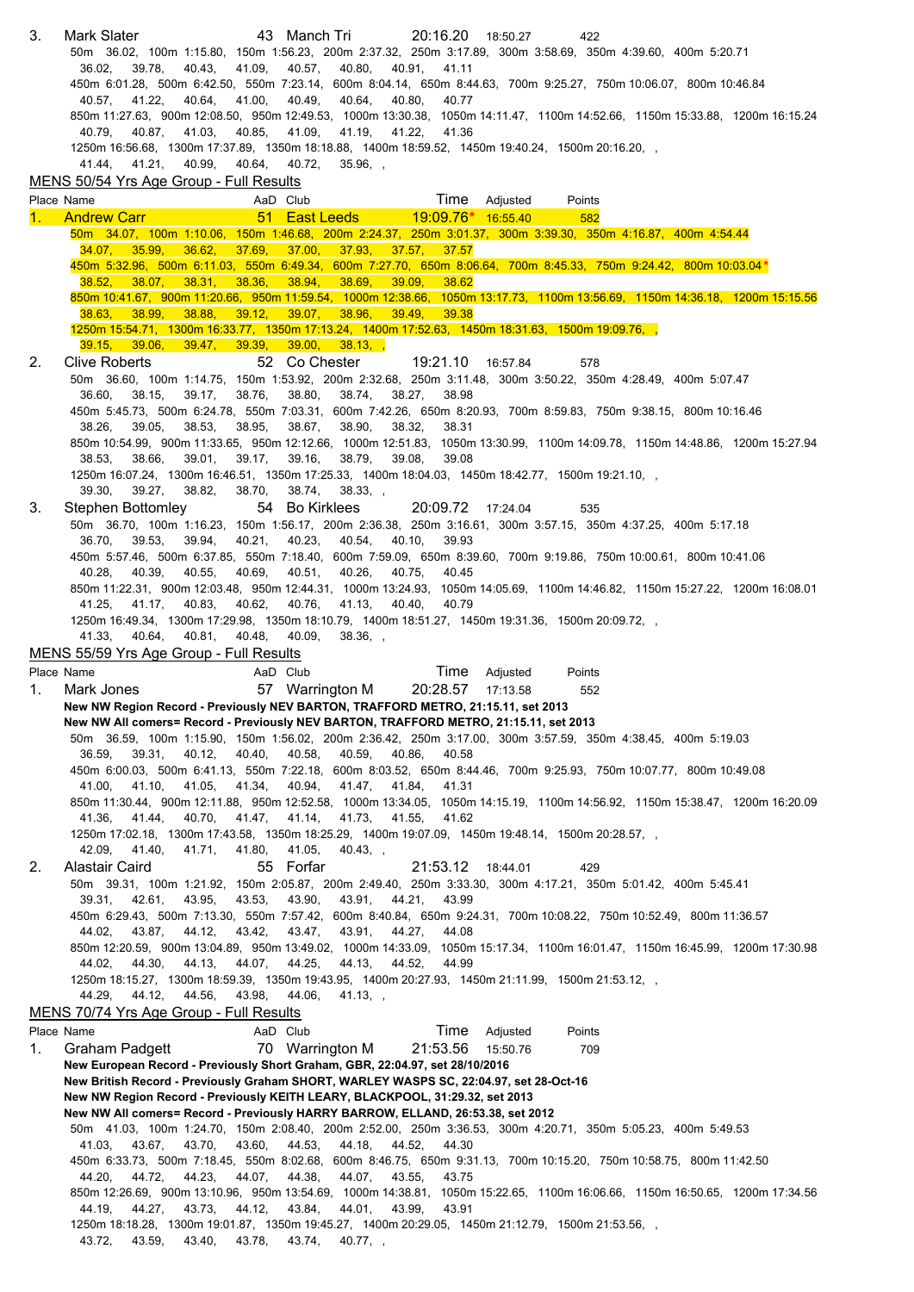3. Mark Slater 43 Manch Tri 20:16.20 18:50.27 422 50m 36.02, 100m 1:15.80, 150m 1:56.23, 200m 2:37.32, 250m 3:17.89, 300m 3:58.69, 350m 4:39.60, 400m 5:20.71 36.02, 39.78, 40.43, 41.09, 40.57, 40.80, 40.91, 41.11 450m 6:01.28, 500m 6:42.50, 550m 7:23.14, 600m 8:04.14, 650m 8:44.63, 700m 9:25.27, 750m 10:06.07, 800m 10:46.84 40.57, 41.22, 40.64, 41.00, 40.49, 40.64, 40.80, 40.77 850m 11:27.63, 900m 12:08.50, 950m 12:49.53, 1000m 13:30.38, 1050m 14:11.47, 1100m 14:52.66, 1150m 15:33.88, 1200m 16:15.24 40.79, 40.87, 41.03, 40.85, 41.09, 41.19, 41.22, 41.36 1250m 16:56.68, 1300m 17:37.89, 1350m 18:18.88, 1400m 18:59.52, 1450m 19:40.24, 1500m 20:16.20, , 41.44, 41.21, 40.99, 40.64, 40.72, 35.96, , MENS 50/54 Yrs Age Group - Full Results Place Name **AaD Club Time** Adjusted Points 1. Andrew Carr 51 East Leeds 19:09.76**\*** 16:55.40 582 50m 34.07, 100m 1:10.06, 150m 1:46.68, 200m 2:24.37, 250m 3:01.37, 300m 3:39.30, 350m 4:16.87, 400m 4:54.44 34.07, 35.99, 36.62, 37.69, 37.00, 37.93, 37.57, 37.57 450m 5:32.96, 500m 6:11.03, 550m 6:49.34, 600m 7:27.70, 650m 8:06.64, 700m 8:45.33, 750m 9:24.42, 800m 10:03.04 **\*** 38.52, 38.07, 38.31, 38.36, 38.94, 38.69, 39.09, 38.62 850m 10:41.67, 900m 11:20.66, 950m 11:59.54, 1000m 12:38.66, 1050m 13:17.73, 1100m 13:56.69, 1150m 14:36.18, 1200m 15:15.56 38.63, 38.99, 38.88, 39.12, 39.07, 38.96, 39.49, 39.38 1250m 15:54.71, 1300m 16:33.77, 1350m 17:13.24, 1400m 17:52.63, 1450m 18:31.63, 1500m 19:09.76, , 39.15, 39.06, 39.47, 39.39, 39.00, 38.13, , 2. Clive Roberts 52 Co Chester 19:21.10 16:57.84 578 50m 36.60, 100m 1:14.75, 150m 1:53.92, 200m 2:32.68, 250m 3:11.48, 300m 3:50.22, 350m 4:28.49, 400m 5:07.47 36.60, 38.15, 39.17, 38.76, 38.80, 38.74, 38.27, 38.98 450m 5:45.73, 500m 6:24.78, 550m 7:03.31, 600m 7:42.26, 650m 8:20.93, 700m 8:59.83, 750m 9:38.15, 800m 10:16.46 38.26, 39.05, 38.53, 38.95, 38.67, 38.90, 38.32, 38.31 850m 10:54.99, 900m 11:33.65, 950m 12:12.66, 1000m 12:51.83, 1050m 13:30.99, 1100m 14:09.78, 1150m 14:48.86, 1200m 15:27.94 38.53, 38.66, 39.01, 39.17, 39.16, 38.79, 39.08, 39.08 1250m 16:07.24, 1300m 16:46.51, 1350m 17:25.33, 1400m 18:04.03, 1450m 18:42.77, 1500m 19:21.10, , 39.30, 39.27, 38.82, 38.70, 38.74, 38.33, , 3. Stephen Bottomley 54 Bo Kirklees 20:09.72 17:24.04 535 50m 36.70, 100m 1:16.23, 150m 1:56.17, 200m 2:36.38, 250m 3:16.61, 300m 3:57.15, 350m 4:37.25, 400m 5:17.18 36.70, 39.53, 39.94, 40.21, 40.23, 40.54, 40.10, 39.93 450m 5:57.46, 500m 6:37.85, 550m 7:18.40, 600m 7:59.09, 650m 8:39.60, 700m 9:19.86, 750m 10:00.61, 800m 10:41.06 40.28, 40.39, 40.55, 40.69, 40.51, 40.26, 40.75, 40.45 850m 11:22.31, 900m 12:03.48, 950m 12:44.31, 1000m 13:24.93, 1050m 14:05.69, 1100m 14:46.82, 1150m 15:27.22, 1200m 16:08.01 41.25, 41.17, 40.83, 40.62, 40.76, 41.13, 40.40, 40.79 1250m 16:49.34, 1300m 17:29.98, 1350m 18:10.79, 1400m 18:51.27, 1450m 19:31.36, 1500m 20:09.72, , 41.33, 40.64, 40.81, 40.48, 40.09, 38.36, , MENS 55/59 Yrs Age Group - Full Results Place Name **AaD Club AaD Club Time** Adjusted Points 1. Mark Jones 57 Warrington M 20:28.57 17:13.58 552 **New NW Region Record - Previously NEV BARTON, TRAFFORD METRO, 21:15.11, set 2013 New NW All comers= Record - Previously NEV BARTON, TRAFFORD METRO, 21:15.11, set 2013** 50m 36.59, 100m 1:15.90, 150m 1:56.02, 200m 2:36.42, 250m 3:17.00, 300m 3:57.59, 350m 4:38.45, 400m 5:19.03 36.59, 39.31, 40.12, 40.40, 40.58, 40.59, 40.86, 40.58 450m 6:00.03, 500m 6:41.13, 550m 7:22.18, 600m 8:03.52, 650m 8:44.46, 700m 9:25.93, 750m 10:07.77, 800m 10:49.08 41.00, 41.10, 41.05, 41.34, 40.94, 41.47, 41.84, 41.31 850m 11:30.44, 900m 12:11.88, 950m 12:52.58, 1000m 13:34.05, 1050m 14:15.19, 1100m 14:56.92, 1150m 15:38.47, 1200m 16:20.09 41.36, 41.44, 40.70, 41.47, 41.14, 41.73, 41.55, 41.62 1250m 17:02.18, 1300m 17:43.58, 1350m 18:25.29, 1400m 19:07.09, 1450m 19:48.14, 1500m 20:28.57, , 42.09, 41.40, 41.71, 41.80, 41.05, 40.43, , 2. Alastair Caird 55 Forfar 21:53.12 18:44.01 429 50m 39.31, 100m 1:21.92, 150m 2:05.87, 200m 2:49.40, 250m 3:33.30, 300m 4:17.21, 350m 5:01.42, 400m 5:45.41 39.31, 42.61, 43.95, 43.53, 43.90, 43.91, 44.21, 43.99 450m 6:29.43, 500m 7:13.30, 550m 7:57.42, 600m 8:40.84, 650m 9:24.31, 700m 10:08.22, 750m 10:52.49, 800m 11:36.57 44.02, 43.87, 44.12, 43.42, 43.47, 43.91, 44.27, 44.08 850m 12:20.59, 900m 13:04.89, 950m 13:49.02, 1000m 14:33.09, 1050m 15:17.34, 1100m 16:01.47, 1150m 16:45.99, 1200m 17:30.98 44.02, 44.30, 44.13, 44.07, 44.25, 44.13, 44.52, 44.99 1250m 18:15.27, 1300m 18:59.39, 1350m 19:43.95, 1400m 20:27.93, 1450m 21:11.99, 1500m 21:53.12, , 44.29, 44.12, 44.56, 43.98, 44.06, 41.13, , MENS 70/74 Yrs Age Group - Full Results Place Name **AaD** Club **Time** Adjusted Points 1. Graham Padgett 70 Warrington M 21:53.56 15:50.76 709 **New European Record - Previously Short Graham, GBR, 22:04.97, set 28/10/2016 New British Record - Previously Graham SHORT, WARLEY WASPS SC, 22:04.97, set 28-Oct-16 New NW Region Record - Previously KEITH LEARY, BLACKPOOL, 31:29.32, set 2013 New NW All comers= Record - Previously HARRY BARROW, ELLAND, 26:53.38, set 2012** 50m 41.03, 100m 1:24.70, 150m 2:08.40, 200m 2:52.00, 250m 3:36.53, 300m 4:20.71, 350m 5:05.23, 400m 5:49.53 41.03, 43.67, 43.70, 43.60, 44.53, 44.18, 44.52, 44.30 450m 6:33.73, 500m 7:18.45, 550m 8:02.68, 600m 8:46.75, 650m 9:31.13, 700m 10:15.20, 750m 10:58.75, 800m 11:42.50 44.20, 44.72, 44.23, 44.07, 44.38, 44.07, 43.55, 43.75 850m 12:26.69, 900m 13:10.96, 950m 13:54.69, 1000m 14:38.81, 1050m 15:22.65, 1100m 16:06.66, 1150m 16:50.65, 1200m 17:34.56 44.19, 44.27, 43.73, 44.12, 43.84, 44.01, 43.99, 43.91 1250m 18:18.28, 1300m 19:01.87, 1350m 19:45.27, 1400m 20:29.05, 1450m 21:12.79, 1500m 21:53.56, , 43.72, 43.59, 43.40, 43.78, 43.74, 40.77, ,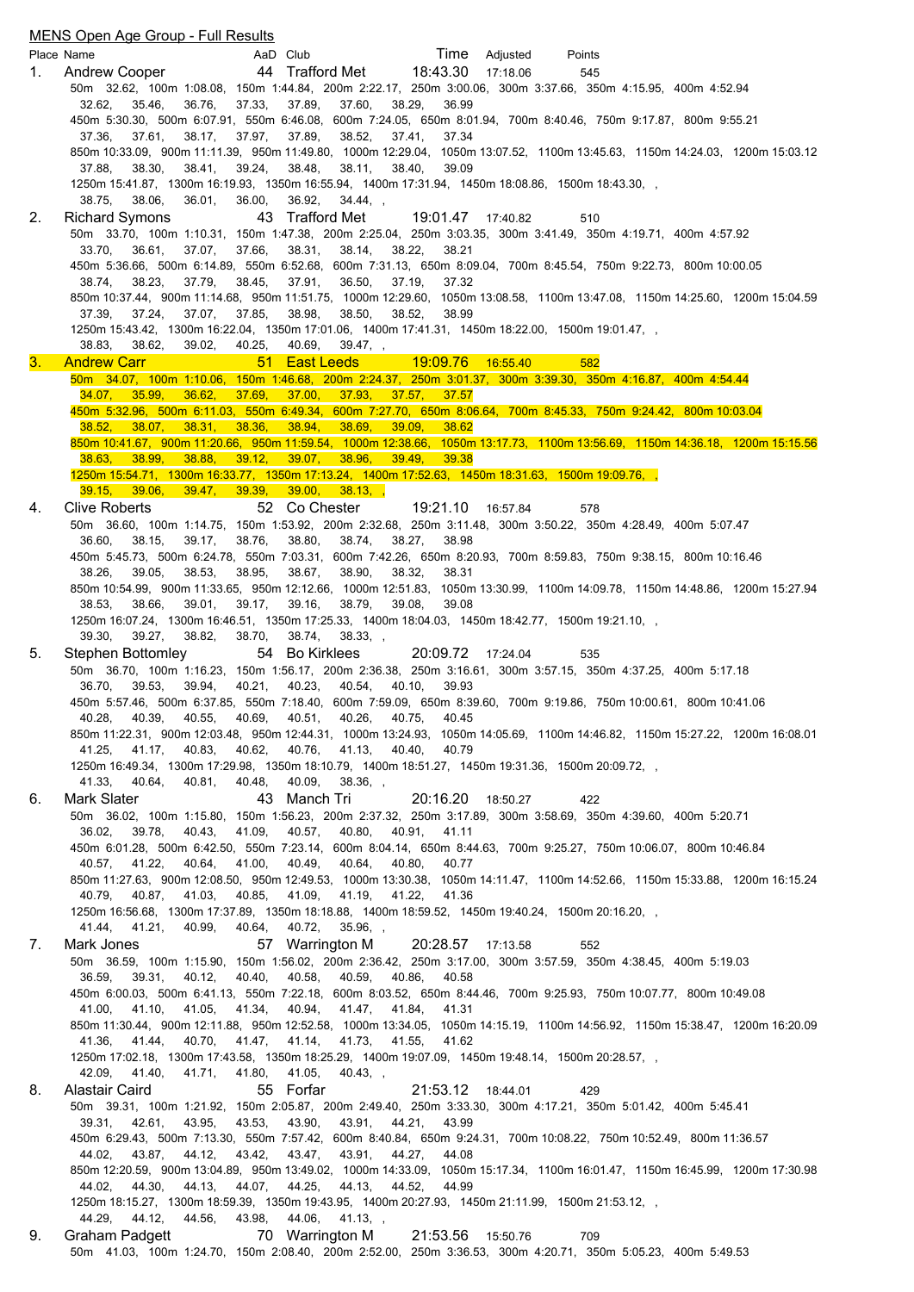MENS Open Age Group - Full Results Place Name **AaD** Club **Time** Adjusted Points 1. Andrew Cooper 244 Trafford Met 18:43.30 17:18.06 545 50m 32.62, 100m 1:08.08, 150m 1:44.84, 200m 2:22.17, 250m 3:00.06, 300m 3:37.66, 350m 4:15.95, 400m 4:52.94 32.62, 35.46, 36.76, 37.33, 37.89, 37.60, 38.29, 36.99 450m 5:30.30, 500m 6:07.91, 550m 6:46.08, 600m 7:24.05, 650m 8:01.94, 700m 8:40.46, 750m 9:17.87, 800m 9:55.21 37.36, 37.61, 38.17, 37.97, 37.89, 38.52, 37.41, 37.34 850m 10:33.09, 900m 11:11.39, 950m 11:49.80, 1000m 12:29.04, 1050m 13:07.52, 1100m 13:45.63, 1150m 14:24.03, 1200m 15:03.12 37.88, 38.30, 38.41, 39.24, 38.48, 38.11, 38.40, 39.09 1250m 15:41.87, 1300m 16:19.93, 1350m 16:55.94, 1400m 17:31.94, 1450m 18:08.86, 1500m 18:43.30, , 38.75, 38.06, 36.01, 36.00, 36.92, 34.44, , 2. Richard Symons 43 Trafford Met 19:01.47 17:40.82 510 50m 33.70, 100m 1:10.31, 150m 1:47.38, 200m 2:25.04, 250m 3:03.35, 300m 3:41.49, 350m 4:19.71, 400m 4:57.92 33.70, 36.61, 37.07, 37.66, 38.31, 38.14, 38.22, 38.21 450m 5:36.66, 500m 6:14.89, 550m 6:52.68, 600m 7:31.13, 650m 8:09.04, 700m 8:45.54, 750m 9:22.73, 800m 10:00.05 38.74, 38.23, 37.79, 38.45, 37.91, 36.50, 37.19, 37.32 850m 10:37.44, 900m 11:14.68, 950m 11:51.75, 1000m 12:29.60, 1050m 13:08.58, 1100m 13:47.08, 1150m 14:25.60, 1200m 15:04.59 37.39, 37.24, 37.07, 37.85, 38.98, 38.50, 38.52, 38.99 1250m 15:43.42, 1300m 16:22.04, 1350m 17:01.06, 1400m 17:41.31, 1450m 18:22.00, 1500m 19:01.47, , 38.83, 38.62, 39.02, 40.25, 40.69, 39.47, , 3. Andrew Carr 51 East Leeds 19:09.76 16:55.40 582 50m 34.07, 100m 1:10.06, 150m 1:46.68, 200m 2:24.37, 250m 3:01.37, 300m 3:39.30, 350m 4:16.87, 400m 4:54.44 34.07, 35.99, 36.62, 37.69, 37.00, 37.93, 37.57, 37.57 450m 5:32.96, 500m 6:11.03, 550m 6:49.34, 600m 7:27.70, 650m 8:06.64, 700m 8:45.33, 750m 9:24.42, 800m 10:03.04 38.52, 38.07, 38.31, 38.36, 38.94, 38.69, 39.09, 38.62 850m 10:41.67, 900m 11:20.66, 950m 11:59.54, 1000m 12:38.66, 1050m 13:17.73, 1100m 13:56.69, 1150m 14:36.18, 1200m 15:15.56 38.63, 38.99, 38.88, 39.12, 39.07, 38.96, 39.49, 39.38 1250m 15:54.71, 1300m 16:33.77, 1350m 17:13.24, 1400m 17:52.63, 1450m 18:31.63, 1500m 19:09.76, , 39.15, 39.06, 39.47, 39.39, 39.00, 38.13, , 4. Clive Roberts 52 Co Chester 19:21.10 16:57.84 578 50m 36.60, 100m 1:14.75, 150m 1:53.92, 200m 2:32.68, 250m 3:11.48, 300m 3:50.22, 350m 4:28.49, 400m 5:07.47 36.60, 38.15, 39.17, 38.76, 38.80, 38.74, 38.27, 38.98 450m 5:45.73, 500m 6:24.78, 550m 7:03.31, 600m 7:42.26, 650m 8:20.93, 700m 8:59.83, 750m 9:38.15, 800m 10:16.46 38.26, 39.05, 38.53, 38.95, 38.67, 38.90, 38.32, 38.31 850m 10:54.99, 900m 11:33.65, 950m 12:12.66, 1000m 12:51.83, 1050m 13:30.99, 1100m 14:09.78, 1150m 14:48.86, 1200m 15:27.94 38.53, 38.66, 39.01, 39.17, 39.16, 38.79, 39.08, 39.08 1250m 16:07.24, 1300m 16:46.51, 1350m 17:25.33, 1400m 18:04.03, 1450m 18:42.77, 1500m 19:21.10, , 39.30, 39.27, 38.82, 38.70, 38.74, 38.33, , 5. Stephen Bottomley 54 Bo Kirklees 20:09.72 17:24.04 535 50m 36.70, 100m 1:16.23, 150m 1:56.17, 200m 2:36.38, 250m 3:16.61, 300m 3:57.15, 350m 4:37.25, 400m 5:17.18 36.70, 39.53, 39.94, 40.21, 40.23, 40.54, 40.10, 39.93 450m 5:57.46, 500m 6:37.85, 550m 7:18.40, 600m 7:59.09, 650m 8:39.60, 700m 9:19.86, 750m 10:00.61, 800m 10:41.06 40.28, 40.39, 40.55, 40.69, 40.51, 40.26, 40.75, 40.45 850m 11:22.31, 900m 12:03.48, 950m 12:44.31, 1000m 13:24.93, 1050m 14:05.69, 1100m 14:46.82, 1150m 15:27.22, 1200m 16:08.01 41.25, 41.17, 40.83, 40.62, 40.76, 41.13, 40.40, 40.79 1250m 16:49.34, 1300m 17:29.98, 1350m 18:10.79, 1400m 18:51.27, 1450m 19:31.36, 1500m 20:09.72, , 41.33, 40.64, 40.81, 40.48, 40.09, 38.36, , 6. Mark Slater 43 Manch Tri 20:16.20 18:50.27 422 50m 36.02, 100m 1:15.80, 150m 1:56.23, 200m 2:37.32, 250m 3:17.89, 300m 3:58.69, 350m 4:39.60, 400m 5:20.71 36.02, 39.78, 40.43, 41.09, 40.57, 40.80, 40.91, 41.11 450m 6:01.28, 500m 6:42.50, 550m 7:23.14, 600m 8:04.14, 650m 8:44.63, 700m 9:25.27, 750m 10:06.07, 800m 10:46.84 40.57, 41.22, 40.64, 41.00, 40.49, 40.64, 40.80, 40.77 850m 11:27.63, 900m 12:08.50, 950m 12:49.53, 1000m 13:30.38, 1050m 14:11.47, 1100m 14:52.66, 1150m 15:33.88, 1200m 16:15.24 40.79, 40.87, 41.03, 40.85, 41.09, 41.19, 41.22, 41.36 1250m 16:56.68, 1300m 17:37.89, 1350m 18:18.88, 1400m 18:59.52, 1450m 19:40.24, 1500m 20:16.20, , 41.44, 41.21, 40.99, 40.64, 40.72, 35.96, , 7. Mark Jones 57 Warrington M 20:28.57 17:13.58 552 50m 36.59, 100m 1:15.90, 150m 1:56.02, 200m 2:36.42, 250m 3:17.00, 300m 3:57.59, 350m 4:38.45, 400m 5:19.03 36.59, 39.31, 40.12, 40.40, 40.58, 40.59, 40.86, 40.58 450m 6:00.03, 500m 6:41.13, 550m 7:22.18, 600m 8:03.52, 650m 8:44.46, 700m 9:25.93, 750m 10:07.77, 800m 10:49.08 41.00, 41.10, 41.05, 41.34, 40.94, 41.47, 41.84, 41.31 850m 11:30.44, 900m 12:11.88, 950m 12:52.58, 1000m 13:34.05, 1050m 14:15.19, 1100m 14:56.92, 1150m 15:38.47, 1200m 16:20.09 41.36, 41.44, 40.70, 41.47, 41.14, 41.73, 41.55, 41.62 1250m 17:02.18, 1300m 17:43.58, 1350m 18:25.29, 1400m 19:07.09, 1450m 19:48.14, 1500m 20:28.57, , 42.09, 41.40, 41.71, 41.80, 41.05, 40.43, , 8. Alastair Caird 55 Forfar 21:53.12 18:44.01 429 50m 39.31, 100m 1:21.92, 150m 2:05.87, 200m 2:49.40, 250m 3:33.30, 300m 4:17.21, 350m 5:01.42, 400m 5:45.41 39.31, 42.61, 43.95, 43.53, 43.90, 43.91, 44.21, 43.99 450m 6:29.43, 500m 7:13.30, 550m 7:57.42, 600m 8:40.84, 650m 9:24.31, 700m 10:08.22, 750m 10:52.49, 800m 11:36.57 44.02, 43.87, 44.12, 43.42, 43.47, 43.91, 44.27, 44.08 850m 12:20.59, 900m 13:04.89, 950m 13:49.02, 1000m 14:33.09, 1050m 15:17.34, 1100m 16:01.47, 1150m 16:45.99, 1200m 17:30.98 44.02, 44.30, 44.13, 44.07, 44.25, 44.13, 44.52, 44.99 1250m 18:15.27, 1300m 18:59.39, 1350m 19:43.95, 1400m 20:27.93, 1450m 21:11.99, 1500m 21:53.12, , 44.29, 44.12, 44.56, 43.98, 44.06, 41.13, , 9. Graham Padgett 70 Warrington M 21:53.56 15:50.76 709 50m 41.03, 100m 1:24.70, 150m 2:08.40, 200m 2:52.00, 250m 3:36.53, 300m 4:20.71, 350m 5:05.23, 400m 5:49.53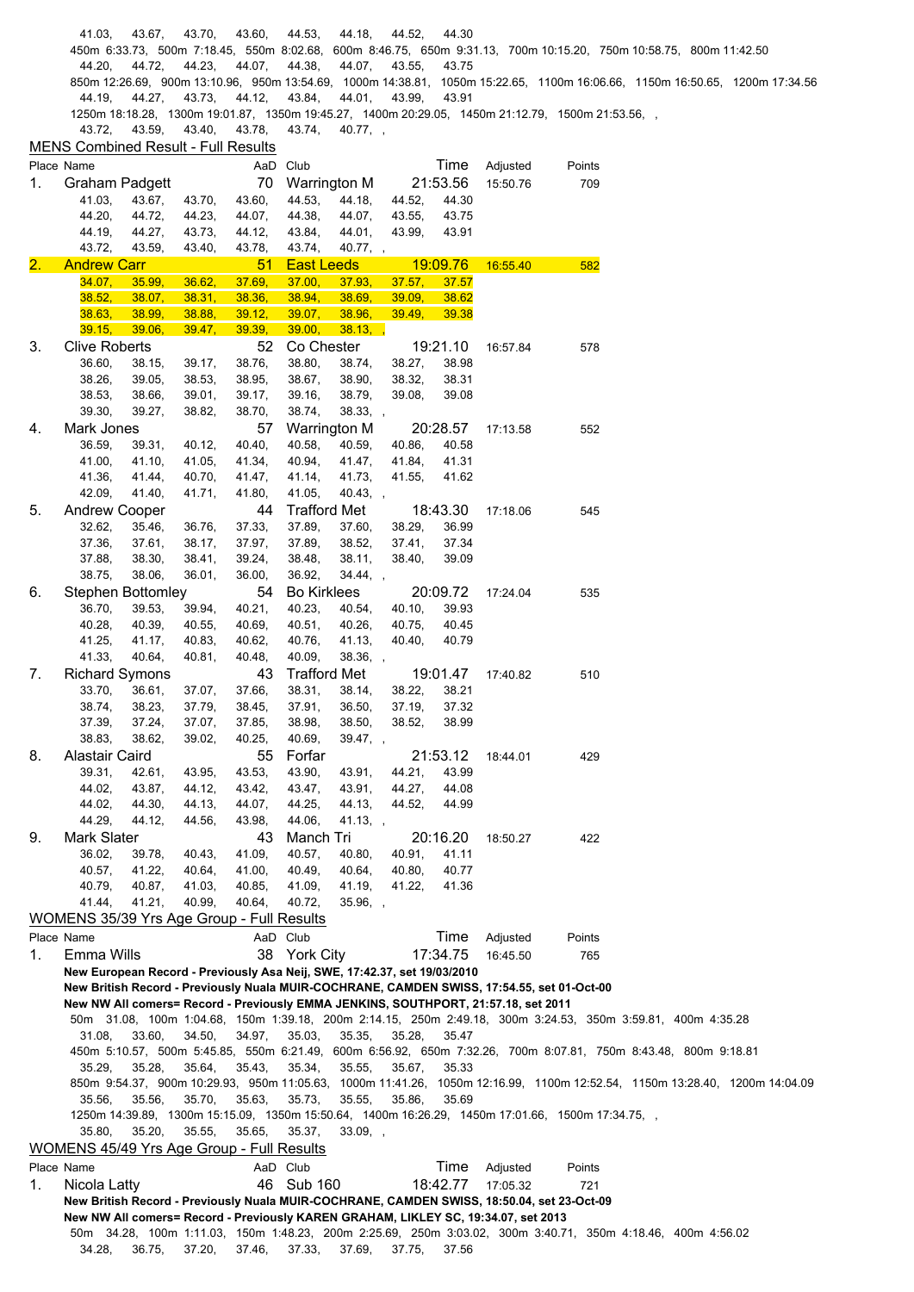|    | 41.03,                                                                   | 43.67,           | 43.70,           | 43.60,           | 44.53,                       | 44.18,             | 44.52,           | 44.30             |                                                                                    |                                                                                                   | 450m 6:33.73, 500m 7:18.45, 550m 8:02.68, 600m 8:46.75, 650m 9:31.13, 700m 10:15.20, 750m 10:58.75, 800m 11:42.50          |                                                                                                                             |
|----|--------------------------------------------------------------------------|------------------|------------------|------------------|------------------------------|--------------------|------------------|-------------------|------------------------------------------------------------------------------------|---------------------------------------------------------------------------------------------------|----------------------------------------------------------------------------------------------------------------------------|-----------------------------------------------------------------------------------------------------------------------------|
|    | 44.20,                                                                   | 44.72,           | 44.23,           | 44.07,           | 44.38,                       | 44.07,             | 43.55,           | 43.75             |                                                                                    |                                                                                                   |                                                                                                                            | 850m 12:26.69, 900m 13:10.96, 950m 13:54.69, 1000m 14:38.81, 1050m 15:22.65, 1100m 16:06.66, 1150m 16:50.65, 1200m 17:34.56 |
|    | 44.19,                                                                   | 44.27,           | 43.73.           | 44.12,           | 43.84,                       | 44.01,             | 43.99,           | 43.91             |                                                                                    | 1250m 18:18.28, 1300m 19:01.87, 1350m 19:45.27, 1400m 20:29.05, 1450m 21:12.79, 1500m 21:53.56, , |                                                                                                                            |                                                                                                                             |
|    | 43.72,                                                                   | 43.59,           | 43.40,           | 43.78,           | 43.74,                       | 40.77, ,           |                  |                   |                                                                                    |                                                                                                   |                                                                                                                            |                                                                                                                             |
|    | <b>MENS Combined Result - Full Results</b><br>Place Name                 |                  |                  |                  | AaD Club                     |                    |                  | Time              | Adjusted                                                                           | Points                                                                                            |                                                                                                                            |                                                                                                                             |
| 1. | <b>Graham Padgett</b>                                                    |                  |                  | 70               | Warrington M                 |                    |                  | 21:53.56          | 15:50.76                                                                           | 709                                                                                               |                                                                                                                            |                                                                                                                             |
|    | 41.03,                                                                   | 43.67,           | 43.70,           | 43.60,           | 44.53,                       | 44.18,             | 44.52,           | 44.30             |                                                                                    |                                                                                                   |                                                                                                                            |                                                                                                                             |
|    | 44.20,<br>44.19,                                                         | 44.72,<br>44.27, | 44.23,<br>43.73, | 44.07,<br>44.12, | 44.38,<br>43.84,             | 44.07,<br>44.01,   | 43.55,<br>43.99, | 43.75<br>43.91    |                                                                                    |                                                                                                   |                                                                                                                            |                                                                                                                             |
|    | 43.72,                                                                   | 43.59,           | 43.40,           | 43.78,           | 43.74,                       | 40.77, ,           |                  |                   |                                                                                    |                                                                                                   |                                                                                                                            |                                                                                                                             |
| 2. | <b>Andrew Carr</b>                                                       |                  |                  | 51               | <b>East Leeds</b>            |                    |                  | 19:09.76          | 16:55.40                                                                           | 582                                                                                               |                                                                                                                            |                                                                                                                             |
|    | 34.07,<br>38.52,                                                         | 35.99,<br>38.07, | 36.62,<br>38.31, | 37.69,<br>38.36, | 37.00,<br>38.94,             | 37.93,<br>38.69,   | 37.57,<br>39.09, | 37.57<br>38.62    |                                                                                    |                                                                                                   |                                                                                                                            |                                                                                                                             |
|    | 38.63,                                                                   | 38.99,           | 38.88,           | 39.12,           | 39.07,                       | 38.96,             | 39.49,           | 39.38             |                                                                                    |                                                                                                   |                                                                                                                            |                                                                                                                             |
| 3. | 39.15,<br><b>Clive Roberts</b>                                           | 39.06,           | 39.47,           | 39.39,<br>52     | 39.00,<br>Co Chester         | 38.13, ,           |                  | 19:21.10          |                                                                                    | 578                                                                                               |                                                                                                                            |                                                                                                                             |
|    | 36.60,                                                                   | 38.15,           | 39.17,           | 38.76,           | 38.80,                       | 38.74,             | 38.27,           | 38.98             | 16:57.84                                                                           |                                                                                                   |                                                                                                                            |                                                                                                                             |
|    | 38.26,                                                                   | 39.05,           | 38.53,           | 38.95,           | 38.67,                       | 38.90,             | 38.32,           | 38.31             |                                                                                    |                                                                                                   |                                                                                                                            |                                                                                                                             |
|    | 38.53,<br>39.30,                                                         | 38.66,<br>39.27, | 39.01,<br>38.82, | 39.17,<br>38.70, | 39.16,<br>38.74,             | 38.79,<br>38.33, , | 39.08,           | 39.08             |                                                                                    |                                                                                                   |                                                                                                                            |                                                                                                                             |
| 4. | Mark Jones                                                               |                  |                  | 57               |                              | Warrington M       |                  | 20:28.57          | 17:13.58                                                                           | 552                                                                                               |                                                                                                                            |                                                                                                                             |
|    | 36.59,                                                                   | 39.31,           | 40.12,           | 40.40,           | 40.58,                       | 40.59,             | 40.86,           | 40.58             |                                                                                    |                                                                                                   |                                                                                                                            |                                                                                                                             |
|    | 41.00,<br>41.36,                                                         | 41.10,<br>41.44, | 41.05,<br>40.70, | 41.34,<br>41.47, | 40.94,<br>41.14,             | 41.47,<br>41.73,   | 41.84,<br>41.55, | 41.31<br>41.62    |                                                                                    |                                                                                                   |                                                                                                                            |                                                                                                                             |
|    | 42.09,                                                                   | 41.40,           | 41.71,           | 41.80,           | 41.05,                       | 40.43, ,           |                  |                   |                                                                                    |                                                                                                   |                                                                                                                            |                                                                                                                             |
| 5. | <b>Andrew Cooper</b>                                                     |                  |                  | 44               | <b>Trafford Met</b>          |                    |                  | 18:43.30          | 17:18.06                                                                           | 545                                                                                               |                                                                                                                            |                                                                                                                             |
|    | 32.62,<br>37.36,                                                         | 35.46,<br>37.61, | 36.76,<br>38.17, | 37.33,<br>37.97, | 37.89,<br>37.89,             | 37.60,<br>38.52,   | 38.29,<br>37.41, | 36.99<br>37.34    |                                                                                    |                                                                                                   |                                                                                                                            |                                                                                                                             |
|    | 37.88,                                                                   | 38.30,           | 38.41,           | 39.24,           | 38.48,                       | 38.11,             | 38.40,           | 39.09             |                                                                                    |                                                                                                   |                                                                                                                            |                                                                                                                             |
| 6. | 38.75,<br>Stephen Bottomley                                              | 38.06,           | 36.01,           | 36.00,<br>54     | 36.92,<br><b>Bo Kirklees</b> | 34.44, ,           |                  | 20:09.72          |                                                                                    |                                                                                                   |                                                                                                                            |                                                                                                                             |
|    | 36.70,                                                                   | 39.53,           | 39.94,           | 40.21,           | 40.23,                       | 40.54,             | 40.10,           | 39.93             | 17:24.04                                                                           | 535                                                                                               |                                                                                                                            |                                                                                                                             |
|    | 40.28,                                                                   | 40.39,           | 40.55,           | 40.69,           | 40.51,                       | 40.26,             | 40.75,           | 40.45             |                                                                                    |                                                                                                   |                                                                                                                            |                                                                                                                             |
|    | 41.25,<br>41.33,                                                         | 41.17,<br>40.64, | 40.83,<br>40.81, | 40.62,<br>40.48, | 40.76,<br>40.09,             | 41.13,<br>38.36, , | 40.40,           | 40.79             |                                                                                    |                                                                                                   |                                                                                                                            |                                                                                                                             |
| 7. | <b>Richard Symons</b>                                                    |                  |                  | 43               | <b>Trafford Met</b>          |                    |                  | 19:01.47          | 17:40.82                                                                           | 510                                                                                               |                                                                                                                            |                                                                                                                             |
|    | 33.70,                                                                   | 36.61,           | 37.07,           | 37.66,           | 38.31,                       | 38.14,             | 38.22,           | 38.21             |                                                                                    |                                                                                                   |                                                                                                                            |                                                                                                                             |
|    | 38.74,<br>37.39,                                                         | 38.23,<br>37.24, | 37.79,<br>37.07, | 38.45,<br>37.85, | 37.91,<br>38.98,             | 36.50,<br>38.50,   | 37.19,<br>38.52, | 37.32<br>38.99    |                                                                                    |                                                                                                   |                                                                                                                            |                                                                                                                             |
|    | 38.83,                                                                   | 38.62,           | 39.02,           | 40.25,           | 40.69,                       | $39.47,$ ,         |                  |                   |                                                                                    |                                                                                                   |                                                                                                                            |                                                                                                                             |
| 8. | Alastair Caird                                                           |                  |                  | 55               | Forfar                       |                    |                  | 21:53.12          | 18:44.01                                                                           | 429                                                                                               |                                                                                                                            |                                                                                                                             |
|    | 39.31,<br>44.02,                                                         | 42.61,<br>43.87, | 43.95,<br>44.12, | 43.53,<br>43.42, | 43.90,<br>43.47,             | 43.91,<br>43.91,   | 44.21,<br>44.27, | 43.99<br>44.08    |                                                                                    |                                                                                                   |                                                                                                                            |                                                                                                                             |
|    | 44.02,                                                                   | 44.30,           | 44.13,           | 44.07,           | 44.25,                       | 44.13,             | 44.52,           | 44.99             |                                                                                    |                                                                                                   |                                                                                                                            |                                                                                                                             |
| 9. | 44.29,                                                                   | 44.12,           | 44.56,           | 43.98,<br>43     | 44.06,<br>Manch Tri          | 41.13, ,           |                  |                   |                                                                                    |                                                                                                   |                                                                                                                            |                                                                                                                             |
|    | Mark Slater<br>36.02,                                                    | 39.78,           | 40.43,           | 41.09,           | 40.57,                       | 40.80,             | 40.91,           | 20:16.20<br>41.11 | 18:50.27                                                                           | 422                                                                                               |                                                                                                                            |                                                                                                                             |
|    | 40.57,                                                                   | 41.22,           | 40.64,           | 41.00,           | 40.49,                       | 40.64,             | 40.80,           | 40.77             |                                                                                    |                                                                                                   |                                                                                                                            |                                                                                                                             |
|    | 40.79,<br>41.44,                                                         | 40.87,<br>41.21, | 41.03,<br>40.99, | 40.85,<br>40.64, | 41.09,<br>40.72,             | 41.19,<br>35.96.   | 41.22,           | 41.36             |                                                                                    |                                                                                                   |                                                                                                                            |                                                                                                                             |
|    | WOMENS 35/39 Yrs Age Group - Full Results                                |                  |                  |                  |                              |                    |                  |                   |                                                                                    |                                                                                                   |                                                                                                                            |                                                                                                                             |
|    | Place Name                                                               |                  |                  |                  | AaD Club                     |                    |                  | Time              | Adjusted                                                                           | Points                                                                                            |                                                                                                                            |                                                                                                                             |
| 1. | Emma Wills                                                               |                  |                  | 38               | York City                    |                    |                  | 17:34.75          | 16:45.50                                                                           | 765                                                                                               |                                                                                                                            |                                                                                                                             |
|    | New European Record - Previously Asa Neij, SWE, 17:42.37, set 19/03/2010 |                  |                  |                  |                              |                    |                  |                   |                                                                                    | New British Record - Previously Nuala MUIR-COCHRANE, CAMDEN SWISS, 17:54.55, set 01-Oct-00        |                                                                                                                            |                                                                                                                             |
|    |                                                                          |                  |                  |                  |                              |                    |                  |                   | New NW All comers= Record - Previously EMMA JENKINS, SOUTHPORT, 21:57.18, set 2011 |                                                                                                   |                                                                                                                            |                                                                                                                             |
|    | 31.08,                                                                   | 33.60,           | 34.50,           | 34.97,           | 35.03,                       | 35.35,             | 35.28,           | 35.47             |                                                                                    |                                                                                                   | 50m 31.08, 100m 1:04.68, 150m 1:39.18, 200m 2:14.15, 250m 2:49.18, 300m 3:24.53, 350m 3:59.81, 400m 4:35.28                |                                                                                                                             |
|    |                                                                          |                  |                  |                  |                              |                    |                  |                   |                                                                                    |                                                                                                   | 450m 5:10.57, 500m 5:45.85, 550m 6:21.49, 600m 6:56.92, 650m 7:32.26, 700m 8:07.81, 750m 8:43.48, 800m 9:18.81             |                                                                                                                             |
|    | 35.29,                                                                   | 35.28,           | 35.64,           | 35.43,           | 35.34,                       | 35.55,             | 35.67,           | 35.33             |                                                                                    |                                                                                                   |                                                                                                                            |                                                                                                                             |
|    | 35.56,                                                                   | 35.56,           | 35.70,           | 35.63,           | 35.73,                       | 35.55,             | 35.86,           | 35.69             |                                                                                    |                                                                                                   | 850m 9:54.37, 900m 10:29.93, 950m 11:05.63, 1000m 11:41.26, 1050m 12:16.99, 1100m 12:52.54, 1150m 13:28.40, 1200m 14:04.09 |                                                                                                                             |
|    |                                                                          |                  |                  |                  |                              |                    |                  |                   |                                                                                    | 1250m 14:39.89, 1300m 15:15.09, 1350m 15:50.64, 1400m 16:26.29, 1450m 17:01.66, 1500m 17:34.75, , |                                                                                                                            |                                                                                                                             |
|    | 35.80,<br>WOMENS 45/49 Yrs Age Group - Full Results                      | 35.20,           | 35.55,           | 35.65,           | 35.37,                       | 33.09, ,           |                  |                   |                                                                                    |                                                                                                   |                                                                                                                            |                                                                                                                             |
|    | Place Name                                                               |                  |                  |                  | AaD Club                     |                    |                  | Time              | Adjusted                                                                           | Points                                                                                            |                                                                                                                            |                                                                                                                             |
| 1. | Nicola Latty                                                             |                  |                  |                  | 46 Sub 160                   |                    |                  | 18:42.77          | 17:05.32                                                                           | 721                                                                                               |                                                                                                                            |                                                                                                                             |
|    |                                                                          |                  |                  |                  |                              |                    |                  |                   | New NW All comers= Record - Previously KAREN GRAHAM, LIKLEY SC, 19:34.07, set 2013 | New British Record - Previously Nuala MUIR-COCHRANE, CAMDEN SWISS, 18:50.04, set 23-Oct-09        |                                                                                                                            |                                                                                                                             |
|    |                                                                          |                  |                  |                  |                              |                    |                  |                   |                                                                                    |                                                                                                   | 50m 34.28, 100m 1:11.03, 150m 1:48.23, 200m 2:25.69, 250m 3:03.02, 300m 3:40.71, 350m 4:18.46, 400m 4:56.02                |                                                                                                                             |
|    | 34.28,                                                                   | 36.75.           | 37.20,           | 37.46,           | 37.33,                       | 37.69,             | 37.75,           | 37.56             |                                                                                    |                                                                                                   |                                                                                                                            |                                                                                                                             |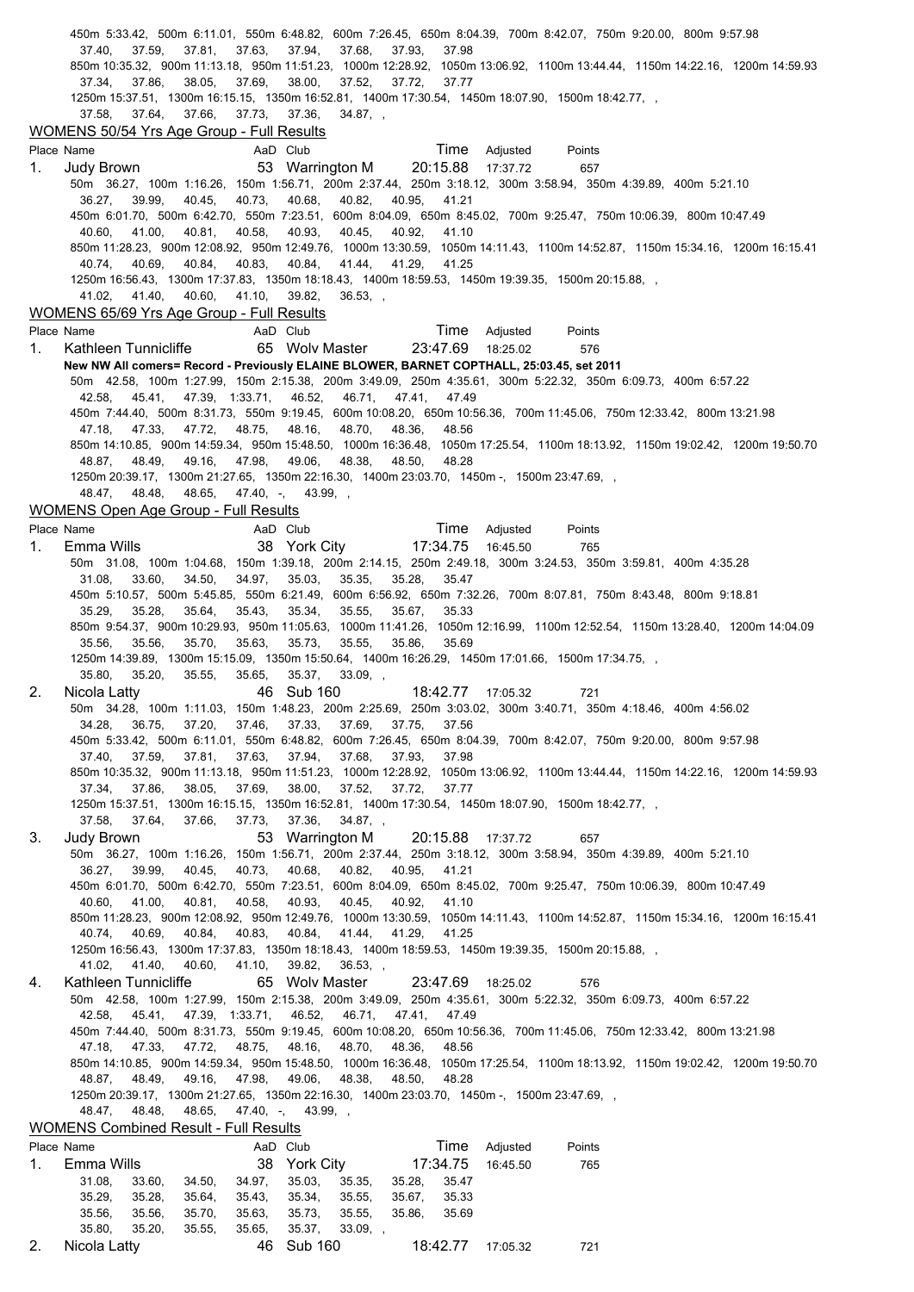450m 5:33.42, 500m 6:11.01, 550m 6:48.82, 600m 7:26.45, 650m 8:04.39, 700m 8:42.07, 750m 9:20.00, 800m 9:57.98 37.40, 37.59, 37.81, 37.63, 37.94, 37.68, 37.93, 37.98 850m 10:35.32, 900m 11:13.18, 950m 11:51.23, 1000m 12:28.92, 1050m 13:06.92, 1100m 13:44.44, 1150m 14:22.16, 1200m 14:59.93 37.34, 37.86, 38.05, 37.69, 38.00, 37.52, 37.72, 37.77 1250m 15:37.51, 1300m 16:15.15, 1350m 16:52.81, 1400m 17:30.54, 1450m 18:07.90, 1500m 18:42.77, , 37.58, 37.64, 37.66, 37.73, 37.36, 34.87, , WOMENS 50/54 Yrs Age Group - Full Results Place Name **A AaD Club Time** Adjusted Points 1. Judy Brown 53 Warrington M 20:15.88 17:37.72 657 50m 36.27, 100m 1:16.26, 150m 1:56.71, 200m 2:37.44, 250m 3:18.12, 300m 3:58.94, 350m 4:39.89, 400m 5:21.10 36.27, 39.99, 40.45, 40.73, 40.68, 40.82, 40.95, 41.21 450m 6:01.70, 500m 6:42.70, 550m 7:23.51, 600m 8:04.09, 650m 8:45.02, 700m 9:25.47, 750m 10:06.39, 800m 10:47.49 40.60, 41.00, 40.81, 40.58, 40.93, 40.45, 40.92, 41.10 850m 11:28.23, 900m 12:08.92, 950m 12:49.76, 1000m 13:30.59, 1050m 14:11.43, 1100m 14:52.87, 1150m 15:34.16, 1200m 16:15.41 40.74, 40.69, 40.84, 40.83, 40.84, 41.44, 41.29, 41.25 1250m 16:56.43, 1300m 17:37.83, 1350m 18:18.43, 1400m 18:59.53, 1450m 19:39.35, 1500m 20:15.88, , 41.02, 41.40, 40.60, 41.10, 39.82, 36.53, , WOMENS 65/69 Yrs Age Group - Full Results Place Name **AaD** Club **Time** Adjusted Points 1. Kathleen Tunnicliffe 65 Wolv Master 23:47.69 18:25.02 576 **New NW All comers= Record - Previously ELAINE BLOWER, BARNET COPTHALL, 25:03.45, set 2011** 50m 42.58, 100m 1:27.99, 150m 2:15.38, 200m 3:49.09, 250m 4:35.61, 300m 5:22.32, 350m 6:09.73, 400m 6:57.22 42.58, 45.41, 47.39, 1:33.71, 46.52, 46.71, 47.41, 47.49 450m 7:44.40, 500m 8:31.73, 550m 9:19.45, 600m 10:08.20, 650m 10:56.36, 700m 11:45.06, 750m 12:33.42, 800m 13:21.98 47.18, 47.33, 47.72, 48.75, 48.16, 48.70, 48.36, 48.56 850m 14:10.85, 900m 14:59.34, 950m 15:48.50, 1000m 16:36.48, 1050m 17:25.54, 1100m 18:13.92, 1150m 19:02.42, 1200m 19:50.70 48.87, 48.49, 49.16, 47.98, 49.06, 48.38, 48.50, 48.28 1250m 20:39.17, 1300m 21:27.65, 1350m 22:16.30, 1400m 23:03.70, 1450m -, 1500m 23:47.69, , 48.47, 48.48, 48.65, 47.40, -, 43.99, , WOMENS Open Age Group - Full Results Place Name **AaD Club Time** Adjusted Points 1. Emma Wills 38 York City 17:34.75 16:45.50 765 50m 31.08, 100m 1:04.68, 150m 1:39.18, 200m 2:14.15, 250m 2:49.18, 300m 3:24.53, 350m 3:59.81, 400m 4:35.28 31.08, 33.60, 34.50, 34.97, 35.03, 35.35, 35.28, 35.47 450m 5:10.57, 500m 5:45.85, 550m 6:21.49, 600m 6:56.92, 650m 7:32.26, 700m 8:07.81, 750m 8:43.48, 800m 9:18.81 35.29, 35.28, 35.64, 35.43, 35.34, 35.55, 35.67, 35.33 850m 9:54.37, 900m 10:29.93, 950m 11:05.63, 1000m 11:41.26, 1050m 12:16.99, 1100m 12:52.54, 1150m 13:28.40, 1200m 14:04.09 35.56, 35.56, 35.70, 35.63, 35.73, 35.55, 35.86, 35.69 1250m 14:39.89, 1300m 15:15.09, 1350m 15:50.64, 1400m 16:26.29, 1450m 17:01.66, 1500m 17:34.75, , 35.80, 35.20, 35.55, 35.65, 35.37, 33.09, , 2. Nicola Latty 46 Sub 160 18:42.77 17:05.32 721 50m 34.28, 100m 1:11.03, 150m 1:48.23, 200m 2:25.69, 250m 3:03.02, 300m 3:40.71, 350m 4:18.46, 400m 4:56.02 34.28, 36.75, 37.20, 37.46, 37.33, 37.69, 37.75, 37.56 450m 5:33.42, 500m 6:11.01, 550m 6:48.82, 600m 7:26.45, 650m 8:04.39, 700m 8:42.07, 750m 9:20.00, 800m 9:57.98 37.40, 37.59, 37.81, 37.63, 37.94, 37.68, 37.93, 37.98 850m 10:35.32, 900m 11:13.18, 950m 11:51.23, 1000m 12:28.92, 1050m 13:06.92, 1100m 13:44.44, 1150m 14:22.16, 1200m 14:59.93 37.34, 37.86, 38.05, 37.69, 38.00, 37.52, 37.72, 37.77 1250m 15:37.51, 1300m 16:15.15, 1350m 16:52.81, 1400m 17:30.54, 1450m 18:07.90, 1500m 18:42.77, , 37.58, 37.64, 37.66, 37.73, 37.36, 34.87, , 3. Judy Brown 53 Warrington M 20:15.88 17:37.72 657 50m 36.27, 100m 1:16.26, 150m 1:56.71, 200m 2:37.44, 250m 3:18.12, 300m 3:58.94, 350m 4:39.89, 400m 5:21.10 36.27, 39.99, 40.45, 40.73, 40.68, 40.82, 40.95, 41.21 450m 6:01.70, 500m 6:42.70, 550m 7:23.51, 600m 8:04.09, 650m 8:45.02, 700m 9:25.47, 750m 10:06.39, 800m 10:47.49 40.60, 41.00, 40.81, 40.58, 40.93, 40.45, 40.92, 41.10 850m 11:28.23, 900m 12:08.92, 950m 12:49.76, 1000m 13:30.59, 1050m 14:11.43, 1100m 14:52.87, 1150m 15:34.16, 1200m 16:15.41 40.74, 40.69, 40.84, 40.83, 40.84, 41.44, 41.29, 41.25 1250m 16:56.43, 1300m 17:37.83, 1350m 18:18.43, 1400m 18:59.53, 1450m 19:39.35, 1500m 20:15.88, , 41.02, 41.40, 40.60, 41.10, 39.82, 36.53, , 4. Kathleen Tunnicliffe 65 Wolv Master 23:47.69 18:25.02 576 50m 42.58, 100m 1:27.99, 150m 2:15.38, 200m 3:49.09, 250m 4:35.61, 300m 5:22.32, 350m 6:09.73, 400m 6:57.22 42.58, 45.41, 47.39, 1:33.71, 46.52, 46.71, 47.41, 47.49 450m 7:44.40, 500m 8:31.73, 550m 9:19.45, 600m 10:08.20, 650m 10:56.36, 700m 11:45.06, 750m 12:33.42, 800m 13:21.98 47.18, 47.33, 47.72, 48.75, 48.16, 48.70, 48.36, 48.56 850m 14:10.85, 900m 14:59.34, 950m 15:48.50, 1000m 16:36.48, 1050m 17:25.54, 1100m 18:13.92, 1150m 19:02.42, 1200m 19:50.70 48.87, 48.49, 49.16, 47.98, 49.06, 48.38, 48.50, 48.28 1250m 20:39.17, 1300m 21:27.65, 1350m 22:16.30, 1400m 23:03.70, 1450m -, 1500m 23:47.69, , 48.47, 48.48, 48.65, 47.40, -, 43.99, , WOMENS Combined Result - Full Results Place Name **AaD** Club **Time** Adjusted Points 1. Emma Wills 38 York City 17:34.75 16:45.50 765 31.08, 33.60, 34.50, 34.97, 35.03, 35.35, 35.28, 35.47 35.29, 35.28, 35.64, 35.43, 35.34, 35.55, 35.67, 35.33 35.56, 35.56, 35.70, 35.63, 35.73, 35.55, 35.86, 35.69 35.80, 35.20, 35.55, 35.65, 35.37, 33.09, , 2. Nicola Latty 46 Sub 160 18:42.77 17:05.32 721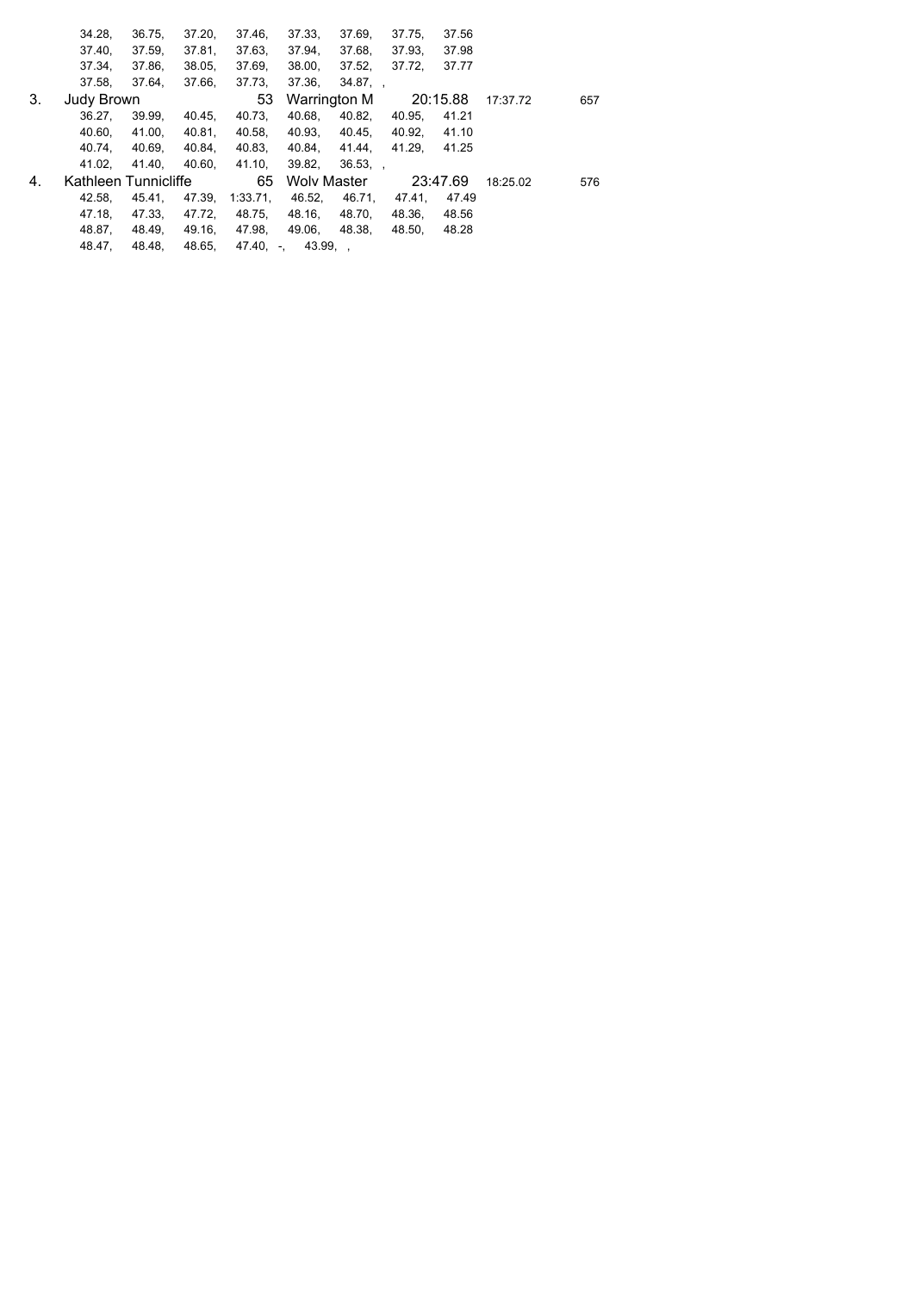|    | 34.28,                                       | 36.75,        | 37.20, | 37.46.                                     | 37.33.        | 37.69,                   | 37.75.              | 37.56 |          |     |
|----|----------------------------------------------|---------------|--------|--------------------------------------------|---------------|--------------------------|---------------------|-------|----------|-----|
|    | 37.40.                                       | 37.59.        | 37.81, | 37.63.                                     | 37.94.        |                          | 37.68, 37.93, 37.98 |       |          |     |
|    | 37.34,                                       | 37.86.        |        | 38.05, 37.69, 38.00,                       |               |                          | 37.52, 37.72, 37.77 |       |          |     |
|    |                                              | 37.58, 37.64, |        | 37.66, 37.73, 37.36,                       |               | 34.87, ,                 |                     |       |          |     |
| 3. | Judy Brown                                   |               |        |                                            |               | 53 Warrington M 20:15.88 |                     |       | 17:37.72 | 657 |
|    | 36.27.                                       | 39.99, 40.45, |        |                                            | 40.73, 40.68, |                          | 40.82, 40.95, 41.21 |       |          |     |
|    |                                              | 40.60. 41.00. |        | 40.81, 40.58, 40.93, 40.45, 40.92, 41.10   |               |                          |                     |       |          |     |
|    |                                              | 40.74, 40.69, |        | 40.84. 40.83. 40.84. 41.44.                |               |                          | 41.29. 41.25        |       |          |     |
|    |                                              |               |        | 41.02, 41.40, 40.60, 41.10, 39.82,         |               | 36.53, ,                 |                     |       |          |     |
| 4. | Kathleen Tunnicliffe 65 Wolv Master 23:47.69 |               |        |                                            |               |                          |                     |       | 18:25.02 | 576 |
|    | 42.58.                                       | 45.41.        |        | 47.39, 1:33.71, 46.52, 46.71, 47.41, 47.49 |               |                          |                     |       |          |     |
|    | 47.18.                                       | 47.33.        |        | 47.72, 48.75, 48.16,                       |               | 48.70.                   | 48.36. 48.56        |       |          |     |
|    | 48.87.                                       |               |        | 48.49, 49.16, 47.98, 49.06, 48.38,         |               |                          | 48.50. 48.28        |       |          |     |
|    | 48.47.                                       | 48.48.        | 48.65. | 47.40, -, 43.99, ,                         |               |                          |                     |       |          |     |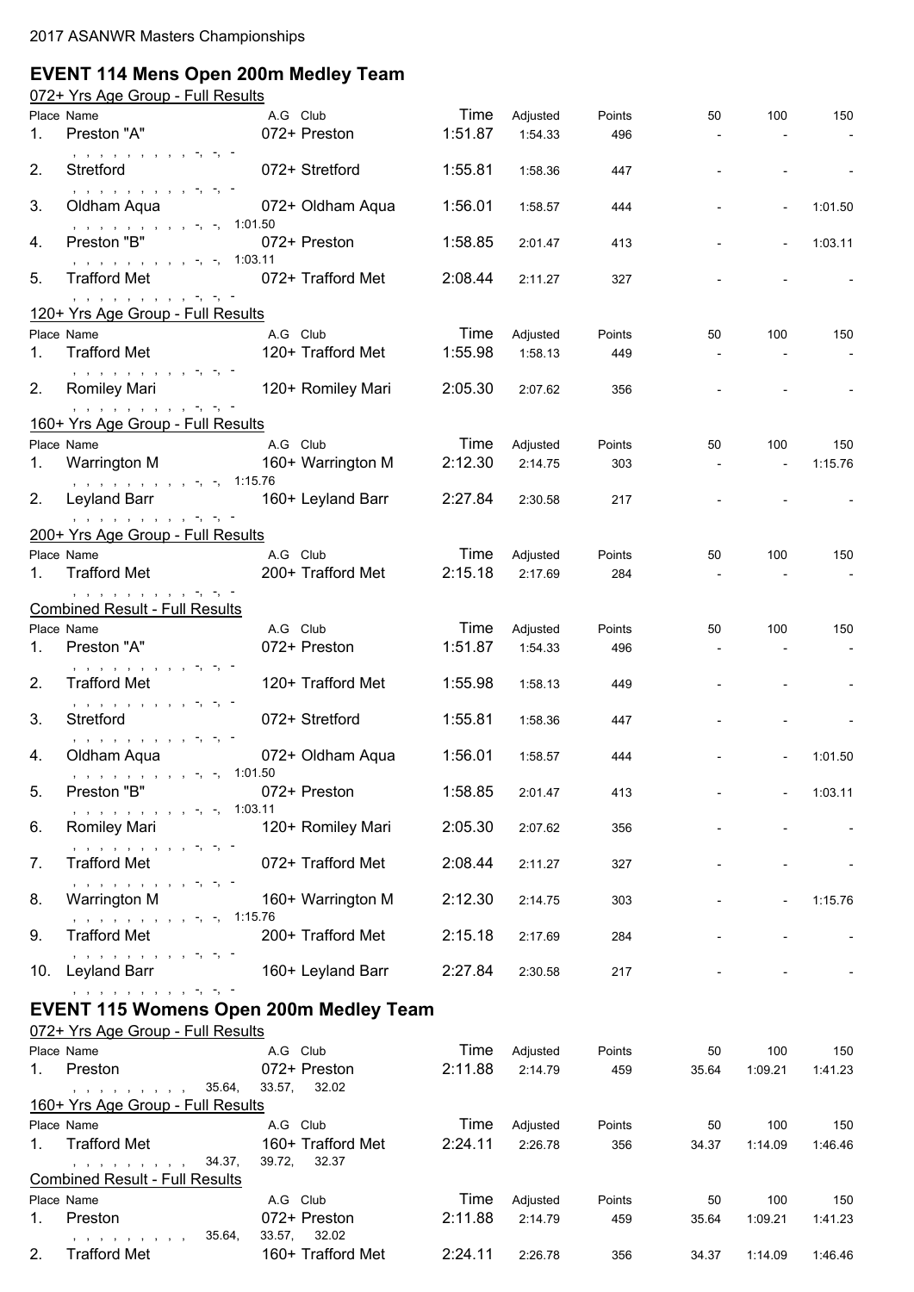## **EVENT 114 Mens Open 200m Medley Team**

|     | 072+ Yrs Age Group - Full Results                                                                                                                                                                                                                                                                                                                                                                                                           |                                               |                 |                     |               |             |                          |         |
|-----|---------------------------------------------------------------------------------------------------------------------------------------------------------------------------------------------------------------------------------------------------------------------------------------------------------------------------------------------------------------------------------------------------------------------------------------------|-----------------------------------------------|-----------------|---------------------|---------------|-------------|--------------------------|---------|
| 1.  | Place Name<br>Preston "A"                                                                                                                                                                                                                                                                                                                                                                                                                   | A.G Club<br>072+ Preston                      | Time<br>1:51.87 | Adjusted<br>1:54.33 | Points<br>496 | 50          | 100                      | 150     |
| 2.  | Stretford                                                                                                                                                                                                                                                                                                                                                                                                                                   | 072+ Stretford                                | 1:55.81         | 1:58.36             | 447           |             |                          |         |
| 3.  | $\mathbf{y} = \mathbf{y} - \mathbf{y} = \mathbf{y} - \mathbf{y} = \mathbf{y} - \mathbf{y} = \mathbf{y} - \mathbf{y} = \mathbf{y} - \mathbf{y} = \mathbf{y} - \mathbf{y} = \mathbf{y} - \mathbf{y} = \mathbf{y} - \mathbf{y} = \mathbf{y} - \mathbf{y} = \mathbf{y} - \mathbf{y} = \mathbf{y} - \mathbf{y} = \mathbf{y} - \mathbf{y} = \mathbf{y} - \mathbf{y} = \mathbf{y} - \mathbf{y} = \mathbf{y} - \mathbf{y} = \mathbf$<br>Oldham Aqua | 072+ Oldham Aqua                              | 1:56.01         | 1:58.57             | 444           |             | $\overline{\phantom{a}}$ | 1:01.50 |
| 4.  | (1.01.50)<br>Preston "B"                                                                                                                                                                                                                                                                                                                                                                                                                    | 072+ Preston                                  | 1:58.85         | 2:01.47             | 413           |             | $\overline{\phantom{a}}$ | 1:03.11 |
| 5.  | $\frac{1}{2}$ , $\frac{1}{2}$ , $\frac{1}{2}$ , $\frac{1}{2}$ , $\frac{1}{2}$ , $\frac{1}{2}$ , $\frac{1}{2}$ , $\frac{1}{2}$ , $\frac{1}{2}$ , $\frac{1}{2}$ , $\frac{1}{2}$ , $\frac{1}{2}$ , $\frac{1}{2}$<br><b>Trafford Met</b>                                                                                                                                                                                                        | 072+ Trafford Met                             | 2:08.44         | 2:11.27             | 327           |             |                          |         |
|     | and a carrier and a carrier tanta to<br>120+ Yrs Age Group - Full Results                                                                                                                                                                                                                                                                                                                                                                   |                                               |                 |                     |               |             |                          |         |
|     | Place Name                                                                                                                                                                                                                                                                                                                                                                                                                                  | A.G Club                                      | Time            | Adjusted            | Points        | 50          | 100                      | 150     |
| 1.  | <b>Trafford Met</b>                                                                                                                                                                                                                                                                                                                                                                                                                         | 120+ Trafford Met                             | 1:55.98         | 1:58.13             | 449           |             |                          |         |
| 2.  | and a series and a series to take the<br><b>Romiley Mari</b>                                                                                                                                                                                                                                                                                                                                                                                | 120+ Romiley Mari                             | 2:05.30         | 2:07.62             | 356           |             |                          |         |
|     | and a series and a series to take the<br>160+ Yrs Age Group - Full Results                                                                                                                                                                                                                                                                                                                                                                  |                                               |                 |                     |               |             |                          |         |
|     | Place Name                                                                                                                                                                                                                                                                                                                                                                                                                                  | A.G Club                                      | Time            | Adjusted            | Points        | 50          | 100                      | 150     |
| 1.  | <b>Warrington M</b><br>, , , , , , , , , , , , , 1:15.76                                                                                                                                                                                                                                                                                                                                                                                    | 160+ Warrington M                             | 2:12.30         | 2:14.75             | 303           |             | $\overline{\phantom{a}}$ | 1:15.76 |
| 2.  | Leyland Barr                                                                                                                                                                                                                                                                                                                                                                                                                                | 160+ Leyland Barr                             | 2:27.84         | 2:30.58             | 217           |             |                          |         |
|     | $\mathbf{y} = \mathbf{y} - \mathbf{y} = \mathbf{y} - \mathbf{y} = \mathbf{y} - \mathbf{y} = \mathbf{y} - \mathbf{y} = \mathbf{y} - \mathbf{y} = \mathbf{y} - \mathbf{y} = \mathbf{y}$<br>200+ Yrs Age Group - Full Results                                                                                                                                                                                                                  |                                               |                 |                     |               |             |                          |         |
|     | Place Name                                                                                                                                                                                                                                                                                                                                                                                                                                  | A.G Club                                      | Time            | Adjusted            | Points        | 50          | 100                      | 150     |
| 1.  | <b>Trafford Met</b>                                                                                                                                                                                                                                                                                                                                                                                                                         | 200+ Trafford Met                             | 2:15.18         | 2:17.69             | 284           |             |                          |         |
|     | and a series and a series to take the                                                                                                                                                                                                                                                                                                                                                                                                       |                                               |                 |                     |               |             |                          |         |
|     | <b>Combined Result - Full Results</b><br>Place Name                                                                                                                                                                                                                                                                                                                                                                                         | A.G Club                                      | Time            |                     |               | 50          |                          | 150     |
| 1.  | Preston "A"                                                                                                                                                                                                                                                                                                                                                                                                                                 | 072+ Preston                                  | 1:51.87         | Adjusted<br>1:54.33 | Points<br>496 |             | 100                      |         |
|     | and a carrier and a carrier tanta to                                                                                                                                                                                                                                                                                                                                                                                                        |                                               |                 |                     |               |             |                          |         |
| 2.  | <b>Trafford Met</b><br>$\mathbf{y} = \mathbf{y} - \mathbf{y} = \mathbf{y} - \mathbf{y} = \mathbf{y} - \mathbf{y} = \mathbf{y} - \mathbf{y} = \mathbf{y} - \nabla \mathbf{y} - \nabla \mathbf{y} = \nabla \mathbf{y} - \nabla \mathbf{y}$                                                                                                                                                                                                    | 120+ Trafford Met                             | 1:55.98         | 1:58.13             | 449           |             |                          |         |
| 3.  | Stretford                                                                                                                                                                                                                                                                                                                                                                                                                                   | 072+ Stretford                                | 1:55.81         | 1:58.36             | 447           |             |                          |         |
| 4.  | and a carrier and a carrier tanta<br>Oldham Aqua                                                                                                                                                                                                                                                                                                                                                                                            | 072+ Oldham Aqua                              | 1:56.01         | 1:58.57             | 444           |             | $\overline{\phantom{a}}$ | 1:01.50 |
| 5.  | , , , , , , , , , -, -, 1:01.50<br>Preston "B"                                                                                                                                                                                                                                                                                                                                                                                              | 072+ Preston                                  | 1:58.85         | 2:01.47             | 413           |             |                          | 1:03.11 |
| 6.  | $\frac{1}{2}$ , $\frac{1}{2}$ , $\frac{1}{2}$ , $\frac{1}{2}$ , $\frac{1}{2}$ , $\frac{1}{2}$ , $\frac{1}{2}$ , $\frac{1}{2}$ , $\frac{1}{2}$ , $\frac{1}{2}$ , $\frac{1}{2}$ , $\frac{1}{2}$ , $\frac{1}{2}$<br><b>Romiley Mari</b>                                                                                                                                                                                                        | 120+ Romiley Mari                             | 2:05.30         | 2:07.62             | 356           |             |                          |         |
| 7.  | and a series and a series to take the<br><b>Trafford Met</b>                                                                                                                                                                                                                                                                                                                                                                                | 072+ Trafford Met                             | 2:08.44         | 2:11.27             | 327           |             |                          |         |
| 8.  | $\mathbf{y} = \mathbf{y} - \mathbf{y} = \mathbf{y} - \mathbf{y} = \mathbf{y} - \mathbf{y} = \mathbf{y} - \mathbf{y} = \mathbf{T}\mathbf{y} - \mathbf{T}\mathbf{y} = \mathbf{T}$<br><b>Warrington M</b>                                                                                                                                                                                                                                      | 160+ Warrington M                             | 2:12.30         | 2:14.75             | 303           |             |                          | 1:15.76 |
| 9.  | $, , , , , , , , , , , , , , , , , , ,$ 1:15.76<br><b>Trafford Met</b>                                                                                                                                                                                                                                                                                                                                                                      | 200+ Trafford Met                             | 2:15.18         | 2:17.69             | 284           |             |                          |         |
| 10. | $\mathbf{y} = \mathbf{y} - \mathbf{y} = \mathbf{y} - \mathbf{y} = \mathbf{y} - \mathbf{y} = \mathbf{y} - \mathbf{y} = \mathbf{y} - \mathbf{y} = \mathbf{y} - \mathbf{y} = \mathbf{y}$<br>Leyland Barr                                                                                                                                                                                                                                       | 160+ Leyland Barr                             | 2:27.84         | 2:30.58             | 217           |             |                          |         |
|     | $\mathbf{y} = \mathbf{y} - \mathbf{y} - \mathbf{y} = \mathbf{y} - \mathbf{y} - \mathbf{y} = \mathbf{y} - \mathbf{y} - \mathbf{y} - \mathbf{y} = \mathbf{y} - \mathbf{y} - \mathbf{y} = \mathbf{y} - \mathbf{y}$                                                                                                                                                                                                                             |                                               |                 |                     |               |             |                          |         |
|     | 072+ Yrs Age Group - Full Results                                                                                                                                                                                                                                                                                                                                                                                                           | <b>EVENT 115 Womens Open 200m Medley Team</b> |                 |                     |               |             |                          |         |
|     | Place Name                                                                                                                                                                                                                                                                                                                                                                                                                                  | A.G Club                                      | Time            | Adjusted            | Points        |             | 100                      | 150     |
| 1.  | Preston                                                                                                                                                                                                                                                                                                                                                                                                                                     | 072+ Preston                                  | 2:11.88         | 2:14.79             | 459           | 50<br>35.64 | 1:09.21                  | 1:41.23 |
|     | $\mathbf{y} = \mathbf{y} = \mathbf{y} = \mathbf{y} = \mathbf{y} = \mathbf{y} = \mathbf{y} = \mathbf{y} = \mathbf{y}$                                                                                                                                                                                                                                                                                                                        | 33.57,<br>32.02<br>35.64,                     |                 |                     |               |             |                          |         |
|     | 160+ Yrs Age Group - Full Results                                                                                                                                                                                                                                                                                                                                                                                                           |                                               |                 |                     |               |             |                          |         |
|     | Place Name                                                                                                                                                                                                                                                                                                                                                                                                                                  | A.G Club                                      | Time            | Adjusted            | Points        | 50          | 100                      | 150     |
| 1.  | <b>Trafford Met</b>                                                                                                                                                                                                                                                                                                                                                                                                                         | 160+ Trafford Met                             | 2:24.11         | 2:26.78             | 356           | 34.37       | 1:14.09                  | 1:46.46 |
|     | $\mathbf{y} = \mathbf{y} = \mathbf{y} = \mathbf{y} = \mathbf{y} = \mathbf{y} = \mathbf{y} = \mathbf{y} = \mathbf{y}$<br><b>Combined Result - Full Results</b>                                                                                                                                                                                                                                                                               | 39.72,<br>32.37<br>34.37,                     |                 |                     |               |             |                          |         |
|     | Place Name                                                                                                                                                                                                                                                                                                                                                                                                                                  | A.G Club                                      | Time            | Adjusted            | Points        | 50          | 100                      | 150     |
| 1.  | Preston                                                                                                                                                                                                                                                                                                                                                                                                                                     | 072+ Preston                                  | 2:11.88         | 2:14.79             | 459           | 35.64       | 1:09.21                  | 1:41.23 |
|     |                                                                                                                                                                                                                                                                                                                                                                                                                                             | 32.02<br>33.57,<br>35.64,                     |                 |                     |               |             |                          |         |
| 2.  | <b>Trafford Met</b>                                                                                                                                                                                                                                                                                                                                                                                                                         | 160+ Trafford Met                             | 2:24.11         | 2:26.78             | 356           | 34.37       | 1:14.09                  | 1:46.46 |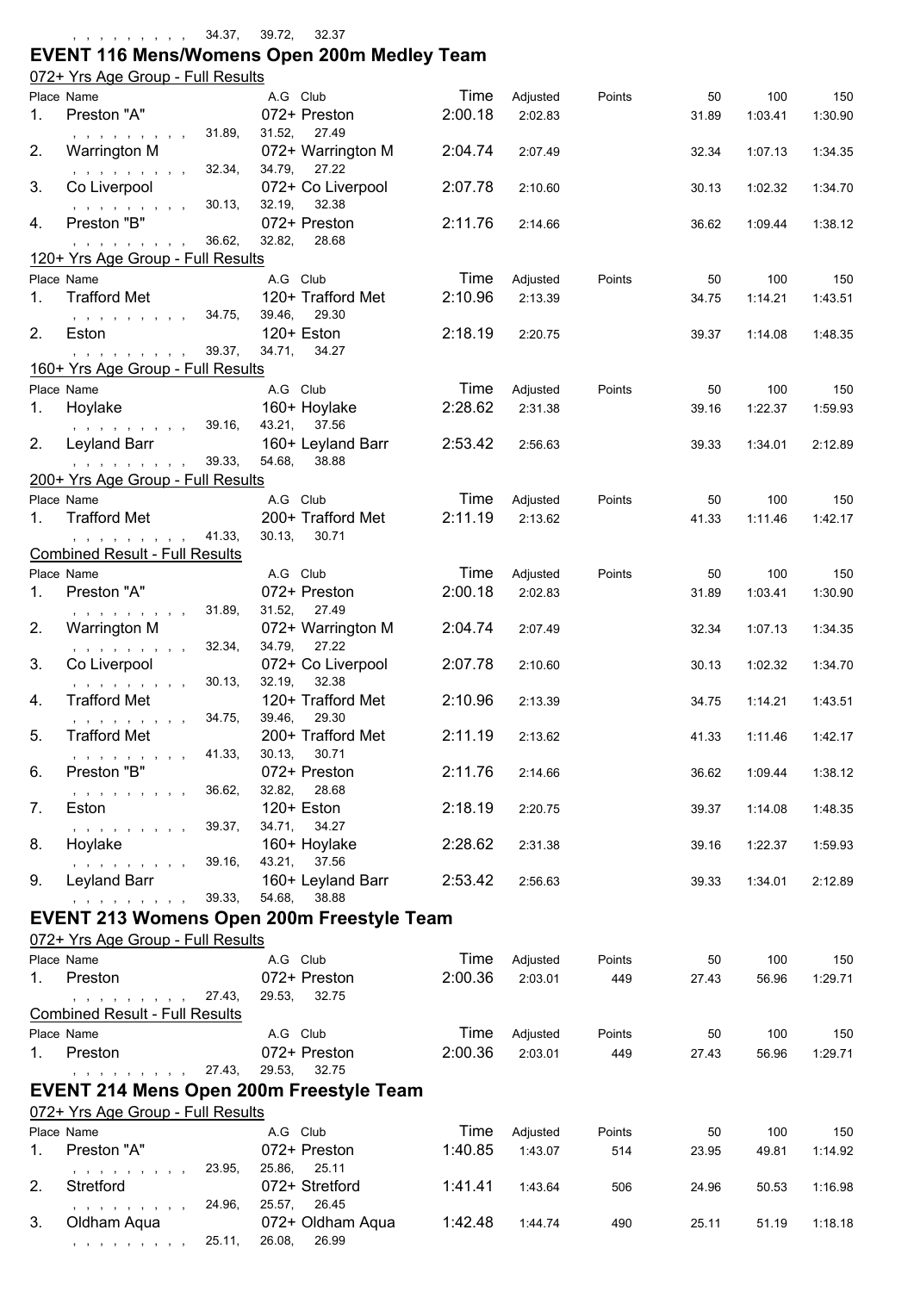# **EVENT 116 Mens/Womens Open 200m Medley Team**

|                                                  | 072+ Yrs Age Group - Full Results                                                                                                                                                                                                                                                                                                                                                                                                                                    |                                                |                 |                     |               |             |              |                |  |
|--------------------------------------------------|----------------------------------------------------------------------------------------------------------------------------------------------------------------------------------------------------------------------------------------------------------------------------------------------------------------------------------------------------------------------------------------------------------------------------------------------------------------------|------------------------------------------------|-----------------|---------------------|---------------|-------------|--------------|----------------|--|
|                                                  | Place Name                                                                                                                                                                                                                                                                                                                                                                                                                                                           | A.G Club                                       | Time            | Adjusted            | Points        | 50          | 100          | 150            |  |
| 1.                                               | Preston "A"                                                                                                                                                                                                                                                                                                                                                                                                                                                          | 072+ Preston                                   | 2:00.18         | 2:02.83             |               | 31.89       | 1:03.41      | 1:30.90        |  |
|                                                  | 31.89,<br>$\mathbf{y} = \mathbf{y} - \mathbf{y} = \mathbf{y} - \mathbf{y} = \mathbf{y} - \mathbf{y} = \mathbf{y} - \mathbf{y} = \mathbf{y}$                                                                                                                                                                                                                                                                                                                          | 31.52,<br>27.49                                |                 |                     |               |             |              |                |  |
| 2.                                               | <b>Warrington M</b>                                                                                                                                                                                                                                                                                                                                                                                                                                                  | 072+ Warrington M                              | 2:04.74         | 2:07.49             |               | 32.34       | 1:07.13      | 1:34.35        |  |
|                                                  | 32.34,<br>$\mathbf{y} = \mathbf{y} - \mathbf{y} = \mathbf{y} - \mathbf{y} = \mathbf{y} - \mathbf{y} = \mathbf{y} - \mathbf{y} = \mathbf{y}$                                                                                                                                                                                                                                                                                                                          | 34.79,<br>27.22                                |                 |                     |               |             |              |                |  |
| 3.                                               | Co Liverpool                                                                                                                                                                                                                                                                                                                                                                                                                                                         | 072+ Co Liverpool<br>32.19,<br>32.38           | 2:07.78         | 2:10.60             |               | 30.13       | 1:02.32      | 1:34.70        |  |
| 4.                                               | 30.13,<br>$\mathbf{y} = \mathbf{y} - \mathbf{y} = \mathbf{y} - \mathbf{y} = \mathbf{y} - \mathbf{y} = \mathbf{y} - \mathbf{y} = \mathbf{y}$<br>Preston "B"                                                                                                                                                                                                                                                                                                           | 072+ Preston                                   | 2:11.76         | 2:14.66             |               | 36.62       | 1:09.44      | 1:38.12        |  |
|                                                  | 36.62,<br>$\mathbf{y} = \mathbf{y} = \mathbf{y} = \mathbf{y} = \mathbf{y} = \mathbf{y} = \mathbf{y} = \mathbf{y} = \mathbf{y} = \mathbf{y}$                                                                                                                                                                                                                                                                                                                          | 32.82,<br>28.68                                |                 |                     |               |             |              |                |  |
|                                                  | 120+ Yrs Age Group - Full Results                                                                                                                                                                                                                                                                                                                                                                                                                                    |                                                |                 |                     |               |             |              |                |  |
|                                                  | Place Name                                                                                                                                                                                                                                                                                                                                                                                                                                                           | A.G Club                                       | Time            | Adjusted            | Points        | 50          | 100          | 150            |  |
| 1.                                               | <b>Trafford Met</b>                                                                                                                                                                                                                                                                                                                                                                                                                                                  | 120+ Trafford Met                              | 2:10.96         | 2:13.39             |               | 34.75       | 1:14.21      | 1:43.51        |  |
|                                                  | 34.75,<br>$\mathbf{a} = \mathbf{a} + \mathbf{a} + \mathbf{a} + \mathbf{a} + \mathbf{a} + \mathbf{a} + \mathbf{a} + \mathbf{a} + \mathbf{a} + \mathbf{a} + \mathbf{a} + \mathbf{a} + \mathbf{a} + \mathbf{a} + \mathbf{a} + \mathbf{a} + \mathbf{a} + \mathbf{a} + \mathbf{a} + \mathbf{a} + \mathbf{a} + \mathbf{a} + \mathbf{a} + \mathbf{a} + \mathbf{a} + \mathbf{a} + \mathbf{a} + \mathbf{a} + \mathbf{a} + \mathbf{a} + \mathbf$                               | 39.46,<br>29.30                                |                 |                     |               |             |              |                |  |
| 2.                                               | Eston                                                                                                                                                                                                                                                                                                                                                                                                                                                                | 120+ Eston                                     | 2:18.19         | 2:20.75             |               | 39.37       | 1:14.08      | 1:48.35        |  |
|                                                  | 39.37,<br>$\mathbf{y} = \mathbf{y} = \mathbf{y} = \mathbf{y} = \mathbf{y} = \mathbf{y} = \mathbf{y} = \mathbf{y} = \mathbf{y} = \mathbf{y} = \mathbf{y}$                                                                                                                                                                                                                                                                                                             | 34.71,<br>34.27                                |                 |                     |               |             |              |                |  |
|                                                  | 160+ Yrs Age Group - Full Results                                                                                                                                                                                                                                                                                                                                                                                                                                    |                                                |                 |                     |               |             |              |                |  |
|                                                  | Place Name<br>Hoylake                                                                                                                                                                                                                                                                                                                                                                                                                                                | A.G Club                                       | Time            | Adjusted            | Points        | 50          | 100          | 150            |  |
| 1.                                               | 39.16,                                                                                                                                                                                                                                                                                                                                                                                                                                                               | 160+ Hoylake<br>43.21,<br>37.56                | 2:28.62         | 2:31.38             |               | 39.16       | 1:22.37      | 1:59.93        |  |
| 2.                                               | $\mathbf{a}^{\dagger}=\mathbf{a}^{\dagger}=\mathbf{a}^{\dagger}=\mathbf{a}^{\dagger}=\mathbf{a}^{\dagger}=\mathbf{a}^{\dagger}=\mathbf{a}^{\dagger}=\mathbf{a}^{\dagger}=\mathbf{a}^{\dagger}=\mathbf{a}^{\dagger}=\mathbf{a}^{\dagger}$<br>Leyland Barr                                                                                                                                                                                                             | 160+ Leyland Barr                              | 2:53.42         | 2:56.63             |               | 39.33       | 1:34.01      | 2:12.89        |  |
|                                                  | 39.33,<br>$\mathbf{y} = \mathbf{y} - \mathbf{y} = \mathbf{y} - \mathbf{y} = \mathbf{y} - \mathbf{y} = \mathbf{y} - \mathbf{y} = \mathbf{y}$                                                                                                                                                                                                                                                                                                                          | 38.88<br>54.68,                                |                 |                     |               |             |              |                |  |
|                                                  | 200+ Yrs Age Group - Full Results                                                                                                                                                                                                                                                                                                                                                                                                                                    |                                                |                 |                     |               |             |              |                |  |
|                                                  | Place Name                                                                                                                                                                                                                                                                                                                                                                                                                                                           | A.G Club                                       | Time            | Adjusted            | Points        | 50          | 100          | 150            |  |
| 1.                                               | <b>Trafford Met</b>                                                                                                                                                                                                                                                                                                                                                                                                                                                  | 200+ Trafford Met                              | 2:11.19         | 2:13.62             |               | 41.33       | 1:11.46      | 1:42.17        |  |
|                                                  | 41.33,<br>$\mathbf{y} = \mathbf{y} = \mathbf{y} = \mathbf{y} = \mathbf{y} = \mathbf{y} = \mathbf{y} = \mathbf{y} = \mathbf{y} = \mathbf{y}$                                                                                                                                                                                                                                                                                                                          | 30.13,<br>30.71                                |                 |                     |               |             |              |                |  |
|                                                  | <b>Combined Result - Full Results</b>                                                                                                                                                                                                                                                                                                                                                                                                                                |                                                |                 |                     |               |             |              |                |  |
|                                                  | Place Name                                                                                                                                                                                                                                                                                                                                                                                                                                                           | A.G Club                                       | Time            | Adjusted            | Points        | 50          | 100          | 150            |  |
| 1.                                               | Preston "A"                                                                                                                                                                                                                                                                                                                                                                                                                                                          | 072+ Preston                                   | 2:00.18         | 2:02.83             |               | 31.89       | 1:03.41      | 1:30.90        |  |
| 2.                                               | 31.89,<br>$\mathbf{y} = \mathbf{y} - \mathbf{y} = \mathbf{y} - \mathbf{y} = \mathbf{y} - \mathbf{y} = \mathbf{y} - \mathbf{y} = \mathbf{y}$<br>Warrington M                                                                                                                                                                                                                                                                                                          | 31.52,<br>27.49<br>072+ Warrington M           | 2:04.74         | 2:07.49             |               | 32.34       | 1:07.13      | 1:34.35        |  |
|                                                  | 32.34,                                                                                                                                                                                                                                                                                                                                                                                                                                                               | 27.22<br>34.79,                                |                 |                     |               |             |              |                |  |
| 3.                                               | $\mathbf{y} = \mathbf{y} - \mathbf{y} = \mathbf{y} - \mathbf{y} = \mathbf{y} - \mathbf{y} = \mathbf{y} - \mathbf{y} = \mathbf{y}$<br>Co Liverpool                                                                                                                                                                                                                                                                                                                    | 072+ Co Liverpool                              | 2:07.78         | 2:10.60             |               | 30.13       | 1:02.32      | 1:34.70        |  |
|                                                  | 30.13,<br>$\mathbf{y} = \mathbf{y} - \mathbf{y} = \mathbf{y} - \mathbf{y} = \mathbf{y} - \mathbf{y} = \mathbf{y} - \mathbf{y} = \mathbf{y}$                                                                                                                                                                                                                                                                                                                          | 32.19,<br>32.38                                |                 |                     |               |             |              |                |  |
| 4.                                               | <b>Trafford Met</b>                                                                                                                                                                                                                                                                                                                                                                                                                                                  | 120+ Trafford Met                              | 2:10.96         | 2:13.39             |               | 34.75       | 1:14.21      | 1:43.51        |  |
|                                                  | 34.75,                                                                                                                                                                                                                                                                                                                                                                                                                                                               | 29.30<br>39.46,                                |                 |                     |               |             |              |                |  |
| 5.                                               | <b>Trafford Met</b>                                                                                                                                                                                                                                                                                                                                                                                                                                                  | 200+ Trafford Met                              | 2:11.19         | 2:13.62             |               | 41.33       | 1:11.46      | 1:42.17        |  |
|                                                  | 41.33,<br>$\mathbf{1} \qquad \mathbf{1} \qquad \mathbf{1} \qquad \mathbf{1} \qquad \mathbf{1} \qquad \mathbf{1} \qquad \mathbf{1} \qquad \mathbf{1} \qquad \mathbf{1} \qquad \mathbf{1} \qquad \mathbf{1} \qquad \mathbf{1} \qquad \mathbf{1} \qquad \mathbf{1} \qquad \mathbf{1} \qquad \mathbf{1} \qquad \mathbf{1} \qquad \mathbf{1} \qquad \mathbf{1} \qquad \mathbf{1} \qquad \mathbf{1} \qquad \mathbf{1} \qquad \mathbf{1} \qquad \mathbf{1} \qquad \mathbf{$ | 30.13, 30.71                                   |                 |                     |               |             |              |                |  |
| 6.                                               | Preston "B"<br>36.62,                                                                                                                                                                                                                                                                                                                                                                                                                                                | 072+ Preston<br>28.68<br>32.82,                | 2:11.76         | 2:14.66             |               | 36.62       | 1:09.44      | 1:38.12        |  |
| 7.                                               | $\mathbf{y} = \mathbf{y} = \mathbf{y} = \mathbf{y} = \mathbf{y} = \mathbf{y} = \mathbf{y} = \mathbf{y} = \mathbf{y}$<br>Eston                                                                                                                                                                                                                                                                                                                                        | $120+$ Eston                                   | 2:18.19         | 2:20.75             |               | 39.37       | 1:14.08      | 1:48.35        |  |
|                                                  | 39.37,<br>$\mathbf{y} = \mathbf{y} - \mathbf{y} = \mathbf{y} - \mathbf{y} = \mathbf{y} - \mathbf{y} = \mathbf{y} - \mathbf{y} = \mathbf{y}$                                                                                                                                                                                                                                                                                                                          | 34.27<br>34.71,                                |                 |                     |               |             |              |                |  |
| 8.                                               | Hoylake                                                                                                                                                                                                                                                                                                                                                                                                                                                              | 160+ Hoylake                                   | 2:28.62         | 2:31.38             |               | 39.16       | 1:22.37      | 1:59.93        |  |
|                                                  | $\mathbf{y} = \mathbf{y} - \mathbf{y} - \mathbf{y} = \mathbf{y} - \mathbf{y} - \mathbf{y} = \mathbf{y} - \mathbf{y} = \mathbf{y}$                                                                                                                                                                                                                                                                                                                                    | 43.21,<br>37.56<br>39.16,                      |                 |                     |               |             |              |                |  |
| 9.                                               | Leyland Barr                                                                                                                                                                                                                                                                                                                                                                                                                                                         | 160+ Leyland Barr                              | 2:53.42         | 2:56.63             |               | 39.33       | 1:34.01      | 2:12.89        |  |
|                                                  | 39.33,                                                                                                                                                                                                                                                                                                                                                                                                                                                               | 54.68.<br>38.88                                |                 |                     |               |             |              |                |  |
| <b>EVENT 213 Womens Open 200m Freestyle Team</b> |                                                                                                                                                                                                                                                                                                                                                                                                                                                                      |                                                |                 |                     |               |             |              |                |  |
|                                                  | 072+ Yrs Age Group - Full Results                                                                                                                                                                                                                                                                                                                                                                                                                                    |                                                |                 |                     |               |             |              |                |  |
|                                                  | Place Name                                                                                                                                                                                                                                                                                                                                                                                                                                                           | A.G Club                                       | Time            | Adjusted            | Points        | 50          | 100          | 150            |  |
| 1.                                               | Preston                                                                                                                                                                                                                                                                                                                                                                                                                                                              | 072+ Preston                                   | 2:00.36         | 2:03.01             | 449           | 27.43       | 56.96        | 1:29.71        |  |
|                                                  | , , , , , , , , , , 27.43,                                                                                                                                                                                                                                                                                                                                                                                                                                           | 29.53,<br>32.75                                |                 |                     |               |             |              |                |  |
|                                                  | <b>Combined Result - Full Results</b>                                                                                                                                                                                                                                                                                                                                                                                                                                |                                                |                 |                     |               |             |              |                |  |
| 1.                                               | Place Name<br>Preston                                                                                                                                                                                                                                                                                                                                                                                                                                                | A.G Club<br>072+ Preston                       | Time<br>2:00.36 | Adjusted<br>2:03.01 | Points<br>449 | 50<br>27.43 | 100<br>56.96 | 150<br>1:29.71 |  |
|                                                  | $, , , , , , , , , , , , ,$ 27.43,                                                                                                                                                                                                                                                                                                                                                                                                                                   | 29.53,<br>32.75                                |                 |                     |               |             |              |                |  |
|                                                  |                                                                                                                                                                                                                                                                                                                                                                                                                                                                      | <b>EVENT 214 Mens Open 200m Freestyle Team</b> |                 |                     |               |             |              |                |  |
| 072+ Yrs Age Group - Full Results                |                                                                                                                                                                                                                                                                                                                                                                                                                                                                      |                                                |                 |                     |               |             |              |                |  |
|                                                  | Place Name                                                                                                                                                                                                                                                                                                                                                                                                                                                           | A.G Club                                       | Time            | Adjusted            | Points        | 50          | 100          | 150            |  |
| 1.                                               | Preston "A"                                                                                                                                                                                                                                                                                                                                                                                                                                                          | 072+ Preston                                   | 1:40.85         | 1:43.07             | 514           | 23.95       | 49.81        | 1:14.92        |  |
|                                                  | 23.95,                                                                                                                                                                                                                                                                                                                                                                                                                                                               | 25.86,<br>25.11                                |                 |                     |               |             |              |                |  |
| 2.                                               | Stretford                                                                                                                                                                                                                                                                                                                                                                                                                                                            | 072+ Stretford                                 | 1:41.41         | 1:43.64             | 506           | 24.96       | 50.53        | 1:16.98        |  |
|                                                  | 24.96,<br>$\mathbf{y} = \mathbf{y} - \mathbf{y} - \mathbf{y} = \mathbf{y} - \mathbf{y} - \mathbf{y} = \mathbf{y} - \mathbf{y} - \mathbf{y}$                                                                                                                                                                                                                                                                                                                          | 25.57,<br>26.45                                |                 |                     |               |             |              |                |  |
| 3.                                               | Oldham Aqua                                                                                                                                                                                                                                                                                                                                                                                                                                                          | 072+ Oldham Aqua                               | 1:42.48         | 1:44.74             | 490           | 25.11       | 51.19        | 1:18.18        |  |
|                                                  | 25.11,                                                                                                                                                                                                                                                                                                                                                                                                                                                               | 26.08,<br>26.99                                |                 |                     |               |             |              |                |  |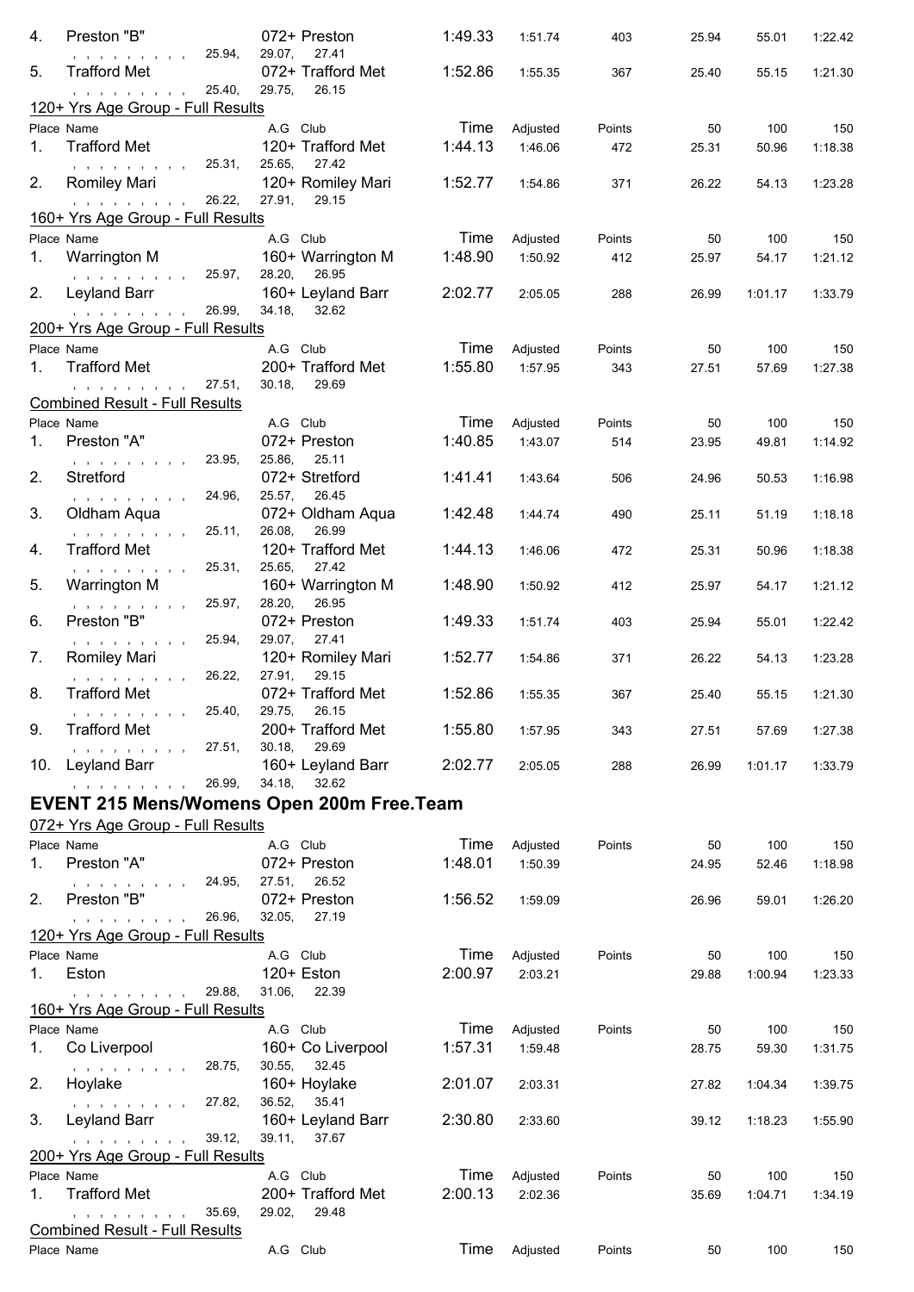| 4.                                | Preston "B"<br>$\mathbf{y} = \mathbf{y} - \mathbf{y} = \mathbf{y} - \mathbf{y} = \mathbf{y} - \mathbf{y} = \mathbf{y} - \mathbf{y} = \mathbf{y} = \mathbf{y}$                                                                                                                                                                                                                                                                                                                                                                                                                                          | 25.94, | 29.07,   | 072+ Preston<br>27.41      | 1:49.33 | 1:51.74  | 403    | 25.94 | 55.01   | 1:22.42 |
|-----------------------------------|--------------------------------------------------------------------------------------------------------------------------------------------------------------------------------------------------------------------------------------------------------------------------------------------------------------------------------------------------------------------------------------------------------------------------------------------------------------------------------------------------------------------------------------------------------------------------------------------------------|--------|----------|----------------------------|---------|----------|--------|-------|---------|---------|
| 5.                                | <b>Trafford Met</b>                                                                                                                                                                                                                                                                                                                                                                                                                                                                                                                                                                                    | 25.40, | 29.75,   | 072+ Trafford Met<br>26.15 | 1:52.86 | 1:55.35  | 367    | 25.40 | 55.15   | 1:21.30 |
|                                   | 120+ Yrs Age Group - Full Results                                                                                                                                                                                                                                                                                                                                                                                                                                                                                                                                                                      |        |          |                            |         |          |        |       |         |         |
|                                   | Place Name                                                                                                                                                                                                                                                                                                                                                                                                                                                                                                                                                                                             |        | A.G Club |                            | Time    | Adjusted | Points | 50    | 100     | 150     |
| 1.                                | <b>Trafford Met</b><br>$\mathbf{y} = \mathbf{y} - \mathbf{y} = \mathbf{y} - \mathbf{y} = \mathbf{y} - \mathbf{y} = \mathbf{y} - \mathbf{y} = \mathbf{y}$                                                                                                                                                                                                                                                                                                                                                                                                                                               | 25.31, | 25.65,   | 120+ Trafford Met<br>27.42 | 1:44.13 | 1:46.06  | 472    | 25.31 | 50.96   | 1:18.38 |
| 2.                                | Romiley Mari<br>$\label{eq:3} \begin{array}{lllllllllllllllll} \mathbf{y} & \mathbf{y} & \mathbf{y} & \mathbf{y} & \mathbf{y} & \mathbf{y} & \mathbf{y} & \mathbf{y} & \mathbf{y} \end{array}$                                                                                                                                                                                                                                                                                                                                                                                                         | 26.22, | 27.91,   | 120+ Romiley Mari<br>29.15 | 1:52.77 | 1:54.86  | 371    | 26.22 | 54.13   | 1:23.28 |
|                                   | 160+ Yrs Age Group - Full Results                                                                                                                                                                                                                                                                                                                                                                                                                                                                                                                                                                      |        |          |                            |         |          |        |       |         |         |
|                                   | Place Name                                                                                                                                                                                                                                                                                                                                                                                                                                                                                                                                                                                             |        | A.G Club |                            | Time    | Adjusted | Points | 50    | 100     | 150     |
| 1.                                | Warrington M<br>$\mathbf{y} = \mathbf{y} - \mathbf{y} - \mathbf{y} = \mathbf{y} - \mathbf{y} - \mathbf{y} = \mathbf{y} - \mathbf{y} = \mathbf{y} - \mathbf{y}$                                                                                                                                                                                                                                                                                                                                                                                                                                         | 25.97, | 28.20,   | 160+ Warrington M<br>26.95 | 1:48.90 | 1:50.92  | 412    | 25.97 | 54.17   | 1:21.12 |
| 2.                                | Leyland Barr<br>$\label{eq:3} \begin{array}{lllllllllllllllll} \mathbf{y} & \mathbf{y} & \mathbf{y} & \mathbf{y} & \mathbf{y} & \mathbf{y} & \mathbf{y} & \mathbf{y} & \mathbf{y} \end{array}$                                                                                                                                                                                                                                                                                                                                                                                                         | 26.99, | 34.18,   | 160+ Leyland Barr<br>32.62 | 2:02.77 | 2:05.05  | 288    | 26.99 | 1:01.17 | 1:33.79 |
|                                   | 200+ Yrs Age Group - Full Results                                                                                                                                                                                                                                                                                                                                                                                                                                                                                                                                                                      |        |          |                            |         |          |        |       |         |         |
|                                   | Place Name                                                                                                                                                                                                                                                                                                                                                                                                                                                                                                                                                                                             |        | A.G Club |                            | Time    | Adjusted | Points | 50    | 100     | 150     |
| 1.                                | <b>Trafford Met</b>                                                                                                                                                                                                                                                                                                                                                                                                                                                                                                                                                                                    |        |          | 200+ Trafford Met          | 1:55.80 | 1:57.95  | 343    | 27.51 | 57.69   | 1:27.38 |
|                                   |                                                                                                                                                                                                                                                                                                                                                                                                                                                                                                                                                                                                        | 27.51, | 30.18,   | 29.69                      |         |          |        |       |         |         |
|                                   | <b>Combined Result - Full Results</b>                                                                                                                                                                                                                                                                                                                                                                                                                                                                                                                                                                  |        |          |                            |         |          |        |       |         |         |
|                                   | Place Name                                                                                                                                                                                                                                                                                                                                                                                                                                                                                                                                                                                             |        | A.G Club |                            | Time    | Adjusted | Points | 50    | 100     | 150     |
| 1.                                | Preston "A"                                                                                                                                                                                                                                                                                                                                                                                                                                                                                                                                                                                            |        |          | 072+ Preston               | 1:40.85 | 1:43.07  | 514    | 23.95 | 49.81   | 1:14.92 |
|                                   | $\mathbf{y} = \mathbf{y} - \mathbf{y} - \mathbf{y} = \mathbf{y} - \mathbf{y} - \mathbf{y} = \mathbf{y} - \mathbf{y} = \mathbf{y}$                                                                                                                                                                                                                                                                                                                                                                                                                                                                      | 23.95, | 25.86,   | 25.11                      |         |          |        |       |         |         |
| 2.                                | Stretford                                                                                                                                                                                                                                                                                                                                                                                                                                                                                                                                                                                              |        |          | 072+ Stretford             | 1:41.41 | 1:43.64  | 506    | 24.96 | 50.53   | 1:16.98 |
| 3.                                | $\mathbf{y} = \mathbf{y} - \mathbf{y} = \mathbf{y} - \mathbf{y} = \mathbf{y} - \mathbf{y} = \mathbf{y} - \mathbf{y} = \mathbf{y}$<br>Oldham Aqua                                                                                                                                                                                                                                                                                                                                                                                                                                                       | 24.96, | 25.57,   | 26.45<br>072+ Oldham Aqua  | 1:42.48 | 1:44.74  | 490    | 25.11 | 51.19   | 1:18.18 |
| 4.                                | $\mathbf{y} = \mathbf{y} - \mathbf{y} = \mathbf{y} - \mathbf{y} = \mathbf{y} - \mathbf{y} = \mathbf{y} - \mathbf{y}$<br><b>Trafford Met</b>                                                                                                                                                                                                                                                                                                                                                                                                                                                            | 25.11, | 26.08,   | 26.99<br>120+ Trafford Met | 1:44.13 | 1:46.06  | 472    | 25.31 | 50.96   | 1:18.38 |
|                                   | $\mathbf{y} = \mathbf{y} = \mathbf{y} = \mathbf{y} = \mathbf{y} = \mathbf{y} = \mathbf{y} = \mathbf{y} = \mathbf{y} = \mathbf{y}$                                                                                                                                                                                                                                                                                                                                                                                                                                                                      | 25.31, | 25.65,   | 27.42                      |         |          |        |       |         |         |
| 5.                                | <b>Warrington M</b>                                                                                                                                                                                                                                                                                                                                                                                                                                                                                                                                                                                    |        |          | 160+ Warrington M          | 1:48.90 | 1:50.92  | 412    | 25.97 | 54.17   | 1:21.12 |
|                                   | $\mathbf{y} = \mathbf{y} - \mathbf{y} - \mathbf{y} = \mathbf{y} - \mathbf{y} - \mathbf{y} = \mathbf{y} - \mathbf{y} = \mathbf{y}$                                                                                                                                                                                                                                                                                                                                                                                                                                                                      | 25.97, | 28.20,   | 26.95                      |         |          |        |       |         |         |
| 6.                                | Preston "B"                                                                                                                                                                                                                                                                                                                                                                                                                                                                                                                                                                                            |        |          | 072+ Preston               | 1:49.33 | 1:51.74  | 403    | 25.94 | 55.01   | 1:22.42 |
| 7.                                | $\mathbf{y} = \mathbf{y} - \mathbf{y} = \mathbf{y} - \mathbf{y} = \mathbf{y} - \mathbf{y} = \mathbf{y} - \mathbf{y} = \mathbf{y}$                                                                                                                                                                                                                                                                                                                                                                                                                                                                      | 25.94, | 29.07,   | 27.41<br>120+ Romiley Mari |         |          |        |       |         | 1:23.28 |
|                                   | Romiley Mari                                                                                                                                                                                                                                                                                                                                                                                                                                                                                                                                                                                           | 26.22, | 27.91,   | 29.15                      | 1:52.77 | 1:54.86  | 371    | 26.22 | 54.13   |         |
| 8.                                | $\mathbf{y} = \mathbf{y} - \mathbf{y} - \mathbf{y} = \mathbf{y} - \mathbf{y} - \mathbf{y} = \mathbf{y} - \mathbf{y} = \mathbf{y}$<br><b>Trafford Met</b>                                                                                                                                                                                                                                                                                                                                                                                                                                               | 25.40, | 29.75,   | 072+ Trafford Met<br>26.15 | 1:52.86 | 1:55.35  | 367    | 25.40 | 55.15   | 1:21.30 |
| 9.                                | <b>Trafford Met</b>                                                                                                                                                                                                                                                                                                                                                                                                                                                                                                                                                                                    |        |          | 200+ Trafford Met          | 1:55.80 | 1:57.95  | 343    | 27.51 | 57.69   | 1:27.38 |
|                                   | $\begin{array}{cccccccccccccc} \mathbf{i} & \mathbf{j} & \mathbf{j} & \mathbf{k} & \mathbf{k} & \mathbf{k} & \mathbf{k} & \mathbf{k} & \mathbf{k} & \mathbf{k} & \mathbf{k} & \mathbf{k} \end{array}$                                                                                                                                                                                                                                                                                                                                                                                                  | 27.51, | 30.18,   | 29.69                      |         |          |        |       |         |         |
|                                   | 10. Leyland Barr                                                                                                                                                                                                                                                                                                                                                                                                                                                                                                                                                                                       | 26.99, | 34.18,   | 160+ Leyland Barr<br>32.62 | 2:02.77 | 2:05.05  | 288    | 26.99 | 1:01.17 | 1:33.79 |
|                                   | <b>EVENT 215 Mens/Womens Open 200m Free.Team</b>                                                                                                                                                                                                                                                                                                                                                                                                                                                                                                                                                       |        |          |                            |         |          |        |       |         |         |
|                                   | 072+ Yrs Age Group - Full Results                                                                                                                                                                                                                                                                                                                                                                                                                                                                                                                                                                      |        |          |                            |         |          |        |       |         |         |
|                                   | Place Name                                                                                                                                                                                                                                                                                                                                                                                                                                                                                                                                                                                             |        | A.G Club |                            | Time    | Adjusted | Points | 50    | 100     | 150     |
| 1.                                | Preston "A"                                                                                                                                                                                                                                                                                                                                                                                                                                                                                                                                                                                            |        |          | 072+ Preston               | 1:48.01 | 1:50.39  |        | 24.95 | 52.46   | 1:18.98 |
|                                   | $\mathbf{y} = \mathbf{y} - \mathbf{y} - \mathbf{y} = \mathbf{y} - \mathbf{y} - \mathbf{y} = \mathbf{y} - \mathbf{y} = \mathbf{y} - \mathbf{y}$                                                                                                                                                                                                                                                                                                                                                                                                                                                         | 24.95, | 27.51,   | 26.52                      |         |          |        |       |         |         |
| 2.                                | Preston "B"<br>$\mathbf{y} = \mathbf{y} - \mathbf{y} = \mathbf{y} - \mathbf{y} = \mathbf{y} - \mathbf{y} = \mathbf{y} - \mathbf{y} = \mathbf{y}$                                                                                                                                                                                                                                                                                                                                                                                                                                                       | 26.96, | 32.05,   | 072+ Preston<br>27.19      | 1:56.52 | 1:59.09  |        | 26.96 | 59.01   | 1:26.20 |
|                                   | 120+ Yrs Age Group - Full Results                                                                                                                                                                                                                                                                                                                                                                                                                                                                                                                                                                      |        |          |                            |         |          |        |       |         |         |
|                                   | Place Name                                                                                                                                                                                                                                                                                                                                                                                                                                                                                                                                                                                             |        | A.G Club |                            | Time    | Adjusted | Points | 50    | 100     | 150     |
| 1.                                | Eston                                                                                                                                                                                                                                                                                                                                                                                                                                                                                                                                                                                                  |        |          | 120+ Eston                 | 2:00.97 | 2:03.21  |        | 29.88 | 1:00.94 | 1:23.33 |
|                                   |                                                                                                                                                                                                                                                                                                                                                                                                                                                                                                                                                                                                        | 29.88, | 31.06,   | 22.39                      |         |          |        |       |         |         |
|                                   | 160+ Yrs Age Group - Full Results                                                                                                                                                                                                                                                                                                                                                                                                                                                                                                                                                                      |        |          |                            |         |          |        |       |         |         |
|                                   | Place Name                                                                                                                                                                                                                                                                                                                                                                                                                                                                                                                                                                                             |        | A.G Club |                            | Time    | Adjusted | Points | 50    | 100     | 150     |
| 1.                                | Co Liverpool                                                                                                                                                                                                                                                                                                                                                                                                                                                                                                                                                                                           |        |          | 160+ Co Liverpool          | 1:57.31 | 1:59.48  |        | 28.75 | 59.30   | 1:31.75 |
|                                   | $\left\langle \left\langle \mathbf{y}_{i} \right\rangle \left\langle \mathbf{y}_{i} \right\rangle \left\langle \mathbf{y}_{i} \right\rangle \left\langle \mathbf{y}_{i} \right\rangle \left\langle \mathbf{y}_{i} \right\rangle \left\langle \mathbf{y}_{i} \right\rangle \left\langle \mathbf{y}_{i} \right\rangle \left\langle \mathbf{y}_{i} \right\rangle \left\langle \mathbf{y}_{i} \right\rangle \left\langle \mathbf{y}_{i} \right\rangle \left\langle \mathbf{y}_{i} \right\rangle \left\langle \mathbf{y}_{i} \right\rangle \left\langle \mathbf{y}_{i} \right\rangle \left\langle \mathbf{$ | 28.75, | 30.55,   | 32.45                      |         |          |        |       |         |         |
| 2.                                | Hoylake<br>$\mathcal{A} = \mathcal{A} = \mathcal{A} = \mathcal{A} = \mathcal{A} = \mathcal{A} = \mathcal{A} = \mathcal{A} = \mathcal{A} = \mathcal{A}$                                                                                                                                                                                                                                                                                                                                                                                                                                                 | 27.82, | 36.52,   | 160+ Hoylake<br>35.41      | 2:01.07 | 2:03.31  |        | 27.82 | 1:04.34 | 1:39.75 |
| 3.                                | Leyland Barr                                                                                                                                                                                                                                                                                                                                                                                                                                                                                                                                                                                           |        |          | 160+ Leyland Barr          | 2:30.80 | 2:33.60  |        | 39.12 | 1:18.23 | 1:55.90 |
|                                   |                                                                                                                                                                                                                                                                                                                                                                                                                                                                                                                                                                                                        | 39.12, | 39.11,   | 37.67                      |         |          |        |       |         |         |
| 200+ Yrs Age Group - Full Results |                                                                                                                                                                                                                                                                                                                                                                                                                                                                                                                                                                                                        |        |          |                            |         |          |        |       |         |         |
|                                   | Place Name                                                                                                                                                                                                                                                                                                                                                                                                                                                                                                                                                                                             |        | A.G Club |                            | Time    | Adjusted | Points | 50    | 100     | 150     |
| 1.                                | <b>Trafford Met</b>                                                                                                                                                                                                                                                                                                                                                                                                                                                                                                                                                                                    |        |          | 200+ Trafford Met          | 2:00.13 | 2:02.36  |        | 35.69 | 1:04.71 | 1:34.19 |
|                                   |                                                                                                                                                                                                                                                                                                                                                                                                                                                                                                                                                                                                        | 35.69, | 29.02,   | 29.48                      |         |          |        |       |         |         |
|                                   | <b>Combined Result - Full Results</b>                                                                                                                                                                                                                                                                                                                                                                                                                                                                                                                                                                  |        |          |                            |         |          |        |       |         |         |
|                                   | Place Name                                                                                                                                                                                                                                                                                                                                                                                                                                                                                                                                                                                             |        | A.G Club |                            | Time    | Adjusted | Points | 50    | 100     | 150     |